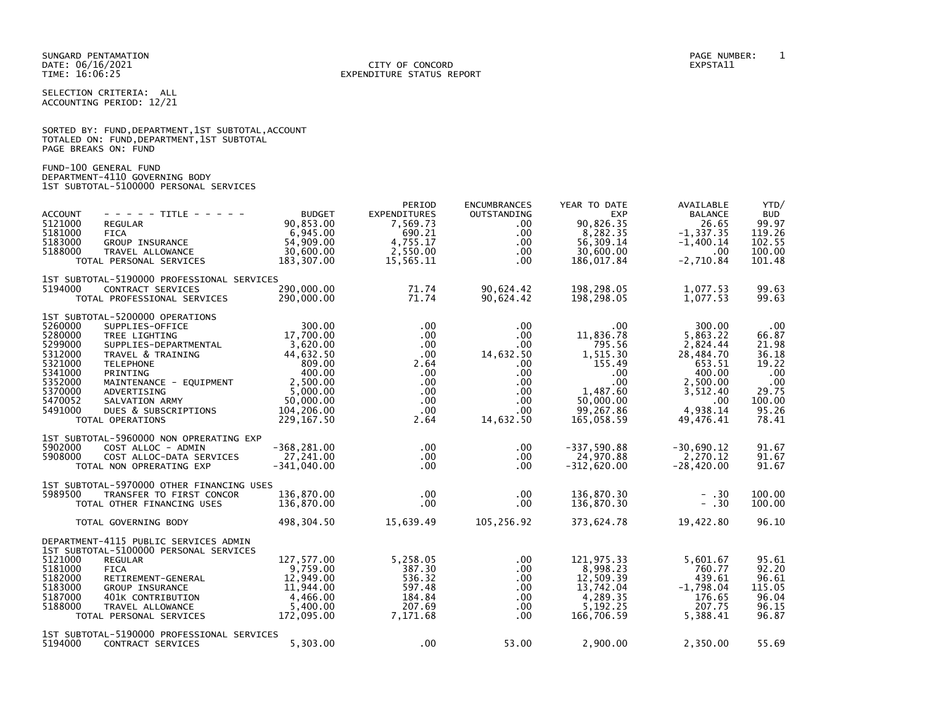SELECTION CRITERIA: ALL ACCOUNTING PERIOD: 12/21

|                      |  |  | SORTED BY: FUND, DEPARTMENT, 1ST SUBTOTAL, ACCOUNT |  |
|----------------------|--|--|----------------------------------------------------|--|
|                      |  |  | TOTALED ON: FUND, DEPARTMENT, 1ST SUBTOTAL         |  |
| PAGE BREAKS ON: FUND |  |  |                                                    |  |

FUND-100 GENERAL FUND DEPARTMENT-4110 GOVERNING BODY 1ST SUBTOTAL-5100000 PERSONAL SERVICES

| <b>ACCOUNT</b><br>5121000<br>5181000<br>5183000<br>5188000                                                 | $- - - - -$ TITLE - - - - -<br>REGULAR<br>FICA<br>GROUP INSURANCE<br>TRAVEL ALLOWANCE<br>TOTAL PERSONAL SERVICES                                                                                                                                          | <b>BUDGET</b><br>90,853.00<br>6,945.00<br>54,909.00<br>30,600.00<br>183,307.00                                                      | PERIOD<br><b>EXPENDITURES</b><br>7,569.73<br>690.21<br>4,755.17<br>2,550.00<br>15,565.11            | <b>ENCUMBRANCES</b><br>OUTSTANDING<br>$.00 \,$<br>$.00 \,$<br>$.00 \,$<br>.00<br>.00.                                         | YEAR TO DATE<br><b>EXP</b><br>90,826.35<br>8,282.35<br>56,309.14<br>30,600.00<br>186,017.84                                                      | AVAILABLE<br><b>BALANCE</b><br>26.65<br>$-1, 337.35$<br>$-1,400.14$<br>.00<br>$-2,710.84$                               | YTD/<br><b>BUD</b><br>99.97<br>119.26<br>102.55<br>100.00<br>101.48                        |
|------------------------------------------------------------------------------------------------------------|-----------------------------------------------------------------------------------------------------------------------------------------------------------------------------------------------------------------------------------------------------------|-------------------------------------------------------------------------------------------------------------------------------------|-----------------------------------------------------------------------------------------------------|-------------------------------------------------------------------------------------------------------------------------------|--------------------------------------------------------------------------------------------------------------------------------------------------|-------------------------------------------------------------------------------------------------------------------------|--------------------------------------------------------------------------------------------|
| 5194000                                                                                                    | 1ST SUBTOTAL-5190000 PROFESSIONAL SERVICES<br>CONTRACT SERVICES<br>TOTAL PROFESSIONAL SERVICES                                                                                                                                                            | 290,000.00<br>290,000.00                                                                                                            | 71.74<br>71.74                                                                                      | 90,624.42<br>90,624.42                                                                                                        | 198,298.05<br>198,298.05                                                                                                                         | 1,077.53<br>1,077.53                                                                                                    | 99.63<br>99.63                                                                             |
| 5260000<br>5280000<br>5299000<br>5312000<br>5321000<br>5341000<br>5352000<br>5370000<br>5470052<br>5491000 | 1ST SUBTOTAL-5200000 OPERATIONS<br>SUPPLIES-OFFICE<br>TREE LIGHTING<br>SUPPLIES-DEPARTMENTAL<br>TRAVEL & TRAINING<br><b>TELEPHONE</b><br>PRINTING<br>MAINTENANCE - EQUIPMENT<br>ADVERTISING<br>SALVATION ARMY<br>DUES & SUBSCRIPTIONS<br>TOTAL OPERATIONS | 300.00<br>17,700.00<br>3,620.00<br>44.632.50<br>809.00<br>400.00<br>$2,500.00$<br>5,000.00<br>50,000.00<br>104,206.00<br>229,167.50 | $.00 \,$<br>$.00 \,$<br>$.00 \,$<br>.00<br>2.64<br>$.00 \,$<br>.00<br>.00<br>$.00\,$<br>.00<br>2.64 | $.00 \,$<br>$.00 \,$<br>$.00 \,$<br>14,632.50<br>$.00 \,$<br>$.00 \,$<br>$.00 \,$<br>$.00 \,$<br>$.00 \,$<br>.00<br>14,632.50 | $\overline{\phantom{0}}$ .00<br>11,836.78<br>795.56<br>1,515.30<br>155.49<br>.00<br>$.00 \,$<br>1,487.60<br>50,000.00<br>99,267.86<br>165,058.59 | 300.00<br>5.863.22<br>2,824.44<br>28,484.70<br>653.51<br>400.00<br>2,500.00<br>3,512.40<br>.00<br>4,938.14<br>49,476.41 | .00<br>66.87<br>21.98<br>36.18<br>19.22<br>.00<br>.00<br>29.75<br>100.00<br>95.26<br>78.41 |
| 5902000<br>5908000                                                                                         | 1ST SUBTOTAL-5960000 NON OPRERATING EXP<br>COST ALLOC - ADMIN<br>COST ALLOC-DATA SERVICES<br>TOTAL NON OPRERATING EXP                                                                                                                                     | $-368, 281.00$<br>27,241.00<br>$-341,040.00$                                                                                        | $.00 \,$<br>$.00 \,$<br>$.00 \,$                                                                    | .00.<br>.00.<br>$.00 \times$                                                                                                  | $-337,590.88$<br>24,970.88<br>$-312,620.00$                                                                                                      | $-30,690.12$<br>2,270.12<br>$-28,420.00$                                                                                | 91.67<br>91.67<br>91.67                                                                    |
|                                                                                                            | 1ST SUBTOTAL-5970000 OTHER FINANCING USES                                                                                                                                                                                                                 |                                                                                                                                     |                                                                                                     |                                                                                                                               |                                                                                                                                                  |                                                                                                                         |                                                                                            |
| 5989500                                                                                                    | TRANSFER TO FIRST CONCOR<br>TOTAL OTHER FINANCING USES                                                                                                                                                                                                    | 136,870.00<br>136,870.00                                                                                                            | $.00 \,$<br>$.00 \,$                                                                                | .00<br>.00                                                                                                                    | 136,870.30<br>136,870.30                                                                                                                         | $- .30$<br>$- .30$                                                                                                      | 100.00<br>100.00                                                                           |
|                                                                                                            | TOTAL GOVERNING BODY                                                                                                                                                                                                                                      | 498,304.50                                                                                                                          | 15,639.49                                                                                           | 105,256.92                                                                                                                    | 373,624.78                                                                                                                                       | 19,422.80                                                                                                               | 96.10                                                                                      |
| 5121000<br>5181000<br>5182000<br>5183000<br>5187000<br>5188000                                             | DEPARTMENT-4115 PUBLIC SERVICES ADMIN<br>1ST SUBTOTAL-5100000 PERSONAL SERVICES<br><b>REGULAR</b><br><b>FICA</b><br>RETIREMENT-GENERAL<br>GROUP INSURANCE<br>401K CONTRIBUTION<br>TRAVEL ALLOWANCE<br>TOTAL PERSONAL SERVICES                             | 127,577.00<br>9.759.00<br>12,949.00<br>11,944,00<br>4,466.00<br>5.400.00<br>172,095.00                                              | 5,258.05<br>387.30<br>536.32<br>597.48<br>184.84<br>207.69<br>7,171.68                              | .00<br>.00<br>.00<br>$.00 \,$<br>$.00 \,$<br>$.00 \,$<br>$.00 \,$                                                             | 121,975.33<br>8,998.23<br>12,509.39<br>13,742.04<br>4,289.35<br>5.192.25<br>166,706.59                                                           | 5,601.67<br>760.77<br>439.61<br>$-1,798.04$<br>176.65<br>207.75<br>5,388.41                                             | 95.61<br>92.20<br>96.61<br>115.05<br>96.04<br>96.15<br>96.87                               |
| 5194000                                                                                                    | 1ST SUBTOTAL-5190000 PROFESSIONAL SERVICES<br>CONTRACT SERVICES                                                                                                                                                                                           | 5,303.00                                                                                                                            | $.00 \times$                                                                                        | 53.00                                                                                                                         | 2,900.00                                                                                                                                         | 2,350.00                                                                                                                | 55.69                                                                                      |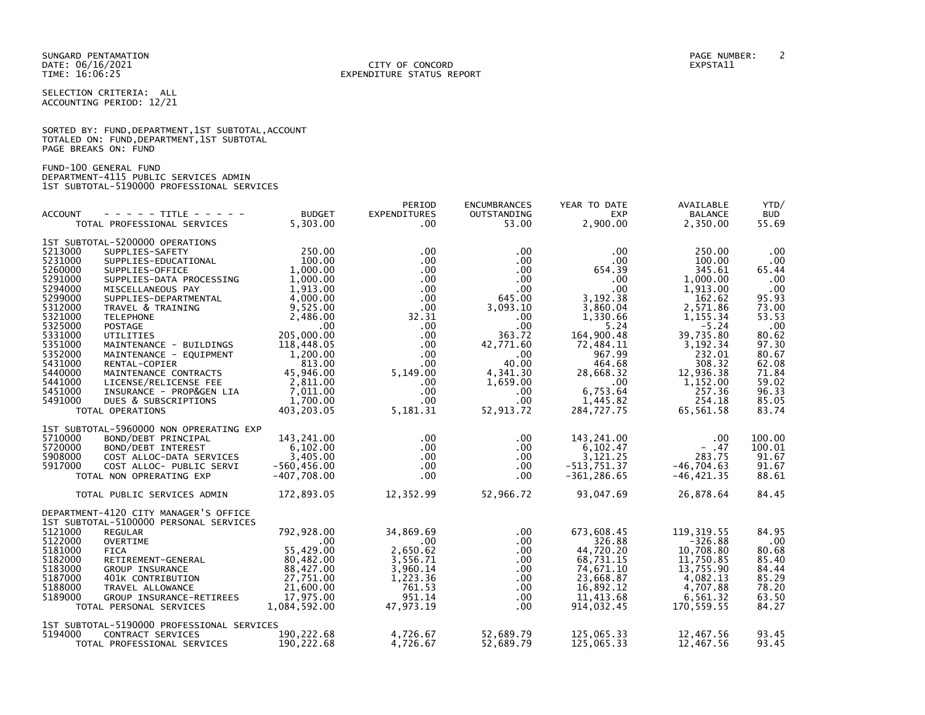SELECTION CRITERIA: ALL ACCOUNTING PERIOD: 12/21

|                      |  | SORTED BY: FUND, DEPARTMENT, 1ST SUBTOTAL, ACCOUNT |  |
|----------------------|--|----------------------------------------------------|--|
|                      |  | TOTALED ON: FUND, DEPARTMENT, 1ST SUBTOTAL         |  |
| PAGE BREAKS ON: FUND |  |                                                    |  |

FUND-100 GENERAL FUND DEPARTMENT-4115 PUBLIC SERVICES ADMIN 1ST SUBTOTAL-5190000 PROFESSIONAL SERVICES

|                    |                                                            |                           | PERIOD                            | <b>ENCUMBRANCES</b>  | YEAR TO DATE           | AVAILABLE                  | YTD/                |
|--------------------|------------------------------------------------------------|---------------------------|-----------------------------------|----------------------|------------------------|----------------------------|---------------------|
| <b>ACCOUNT</b>     | $- - - - -$ TITLE - - - - -<br>TOTAL PROFESSIONAL SERVICES | <b>BUDGET</b><br>5,303.00 | <b>EXPENDITURES</b><br>$.00 \ \,$ | OUTSTANDING<br>53.00 | <b>EXP</b><br>2,900.00 | <b>BALANCE</b><br>2,350.00 | <b>BUD</b><br>55.69 |
|                    |                                                            |                           |                                   |                      |                        |                            |                     |
|                    | 1ST SUBTOTAL-5200000 OPERATIONS                            |                           |                                   |                      |                        |                            |                     |
| 5213000            | SUPPLIES-SAFETY                                            | 250.00                    | $.00 \times$                      | $.00 \,$             | .00                    | 250.00                     | .00                 |
| 5231000            | SUPPLIES-EDUCATIONAL                                       | 100.00                    | $.00 \,$                          | $.00 \,$             | $.00 \,$               | 100.00                     | $.00 \,$            |
| 5260000            | SUPPLIES-OFFICE                                            | 1,000.00                  | $.00 \,$                          | $.00 \,$             | 654.39                 | 345.61                     | 65.44               |
| 5291000            | SUPPLIES-DATA PROCESSING 1,000.00                          |                           | $.00 \,$                          | $.00 \,$             | .00                    | 1,000.00                   | .00                 |
| 5294000            | MISCELLANEOUS PAY                                          | 1,913.00                  | $.00 \,$                          | $.00 \,$             | .00                    | 1,913.00                   | .00                 |
| 5299000            | SUPPLIES-DEPARTMENTAL                                      | 4,000.00                  | $.00 \,$                          | 645.00               | 3,192.38               | 162.62                     | 95.93               |
| 5312000<br>5321000 | TRAVEL & TRAINING                                          | 9,525.00                  | $.00 \,$                          | 3,093.10             | 3,860.04               | 2,571.86                   | 73.00               |
| 5325000            | <b>TELEPHONE</b><br><b>POSTAGE</b>                         | 2,486.00<br>.00           | 32.31<br>$.00 \,$                 | $.00 \,$<br>$.00 \,$ | 1,330.66<br>5.24       | 1, 155.34<br>$-5.24$       | 53.53<br>.00        |
| 5331000            | UTILITIES                                                  | 205,000.00                | $.00 \,$                          | 363.72               | 164,900.48             | 39,735.80                  | 80.62               |
| 5351000            | MAINTENANCE - BUILDINGS                                    | 118,448.05                | $.00 \,$                          | 42,771.60            | 72,484.11              | 3,192.34                   | 97.30               |
| 5352000            | MAINTENANCE - EQUIPMENT                                    | 1.200.00                  | $.00 \,$                          | $\sim$ 00            | 967.99                 | 232.01                     | 80.67               |
| 5431000            | RENTAL-COPIER                                              | 813.00                    | $.00 \,$                          | 40.00                | 464.68                 | 308.32                     | 62.08               |
| 5440000            | MAINTENANCE CONTRACTS                                      | 45,946.00                 | 5,149.00                          | 4,341.30             | 28,668.32              | 12,936.38                  | 71.84               |
| 5441000            | LICENSE/RELICENSE FEE                                      | 2,811.00                  | $.00 \times$                      | 1,659.00             | $\sim$ 00              | 1,152.00                   | 59.02               |
| 5451000            | INSURANCE - PROP&GEN LIA                                   | 7,011.00                  | $.00 \cdot$                       | $.00 \,$             | 6,753.64               | 257.36                     | 96.33               |
| 5491000            | DUES & SUBSCRIPTIONS                                       | 1,700.00                  | $.00 \cdot$                       | $.00 \,$             | 1,445.82               | 254.18                     | 85.05               |
|                    | TOTAL OPERATIONS                                           | 403,203.05                | 5,181.31                          | 52,913.72            | 284,727.75             | 65,561.58                  | 83.74               |
|                    |                                                            |                           |                                   |                      |                        |                            |                     |
| 5710000            | 1ST SUBTOTAL-5960000 NON OPRERATING EXP                    | 143,241.00                | $.00 \,$                          |                      |                        | .00                        | 100.00              |
| 5720000            | BOND/DEBT PRINCIPAL<br>BOND/DEBT INTEREST                  | 6,102.00                  | $.00 \,$                          | $.00 \,$<br>$.00 \,$ | 143,241.00<br>6,102.47 | $- .47$                    | 100.01              |
| 5908000            | COST ALLOC-DATA SERVICES                                   | 3,405.00                  | $.00 \,$                          | $.00 \,$             | 3,121.25               | 283.75                     | 91.67               |
| 5917000            | COST ALLOC- PUBLIC SERVI                                   | $-560, 456.00$            | $.00 \,$                          | $.00 \,$             | $-513,751.37$          | $-46,704.63$               | 91.67               |
|                    | TOTAL NON OPRERATING EXP                                   | $-407,708.00$             | .00 <sub>1</sub>                  | .00                  | $-361, 286.65$         | $-46, 421.35$              | 88.61               |
|                    |                                                            |                           |                                   |                      |                        |                            |                     |
|                    | TOTAL PUBLIC SERVICES ADMIN                                | 172,893.05                | 12,352.99                         | 52,966.72            | 93,047.69              | 26,878.64                  | 84.45               |
|                    | DEPARTMENT-4120 CITY MANAGER'S OFFICE                      |                           |                                   |                      |                        |                            |                     |
|                    | 1ST SUBTOTAL-5100000 PERSONAL SERVICES                     |                           |                                   |                      |                        |                            |                     |
| 5121000            | <b>REGULAR</b>                                             | 792,928.00                | 34,869.69                         | $.00 \,$             | 673,608.45             | 119, 319.55                | 84.95               |
| 5122000            | <b>OVERTIME</b>                                            | $.00 \,$                  | $.00 \,$                          | $.00 \,$             | 326.88                 | $-326.88$                  | $.00 \,$            |
| 5181000            | <b>FICA</b>                                                | 55.429.00                 | 2,650.62                          | $.00 \,$             | 44,720.20              | 10,708.80                  | 80.68               |
| 5182000            | RETIREMENT-GENERAL                                         | 80,482.00                 | 3,556.71                          | $.00 \,$             | 68,731.15              | 11,750.85                  | 85.40               |
| 5183000            | <b>GROUP INSURANCE</b>                                     | 88,427.00                 | 3,960.14                          | $.00 \,$             | 74,671.10              | 13,755.90                  | 84.44               |
| 5187000            | 401K CONTRIBUTION                                          | 27,751.00                 | 1,223.36                          | $.00 \,$             | 23,668.87              | 4,082.13                   | 85.29               |
| 5188000            | TRAVEL ALLOWANCE                                           | 21,600.00                 | 761.53                            | $.00 \,$             | 16,892.12              | 4,707.88                   | 78.20               |
| 5189000            | GROUP INSURANCE-RETIREES                                   | 17,975.00                 | 951.14                            | $.00 \,$             | 11,413.68              | 6,561.32                   | 63.50               |
|                    | TOTAL PERSONAL SERVICES                                    | 1,084,592.00              | 47,973.19                         | .00                  | 914,032.45             | 170,559.55                 | 84.27               |
|                    | 1ST SUBTOTAL-5190000 PROFESSIONAL SERVICES                 |                           |                                   |                      |                        |                            |                     |
| 5194000            | CONTRACT SERVICES                                          | 190, 222.68               | 4,726.67                          | 52,689.79            | 125,065.33             | 12,467.56                  | 93.45               |
|                    | TOTAL PROFESSIONAL SERVICES                                | 190,222.68                | 4,726.67                          | 52,689.79            | 125,065.33             | 12,467.56                  | 93.45               |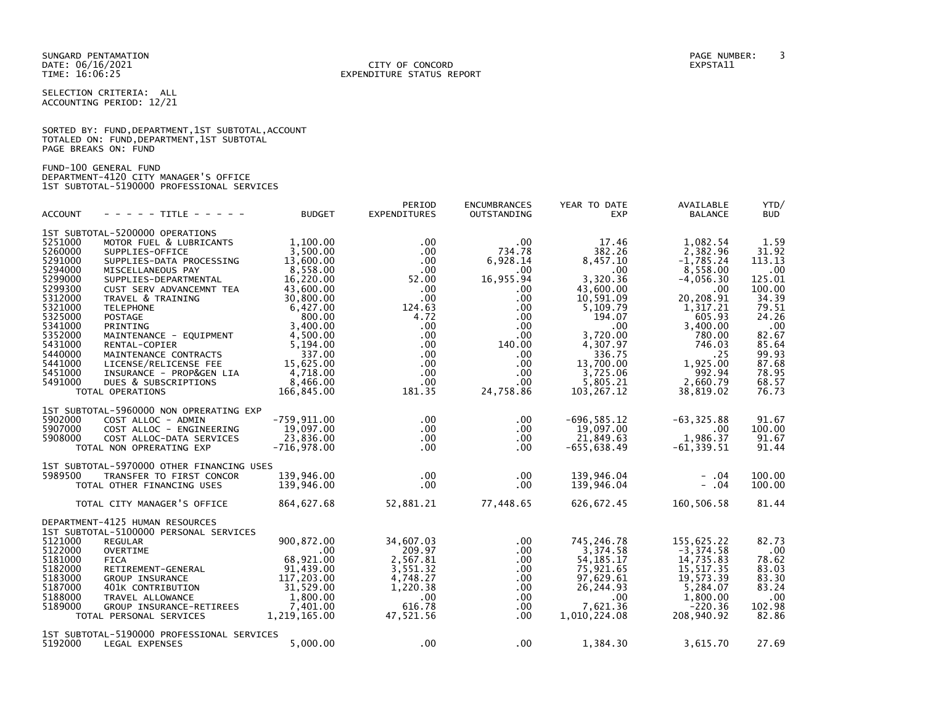### DATE: 06/16/2021 CITY OF CONCORD EXPSTA11 TIME: 16:06:25 EXPENDITURE STATUS REPORT

SELECTION CRITERIA: ALL ACCOUNTING PERIOD: 12/21

|                      | SORTED BY: FUND, DEPARTMENT, 1ST SUBTOTAL, ACCOUNT |
|----------------------|----------------------------------------------------|
|                      | TOTALED ON: FUND, DEPARTMENT, 1ST SUBTOTAL         |
| PAGE BREAKS ON: FUND |                                                    |

FUND-100 GENERAL FUND DEPARTMENT-4120 CITY MANAGER'S OFFICE 1ST SUBTOTAL-5190000 PROFESSIONAL SERVICES

| <b>ACCOUNT</b>                                                                                                                                                               | - - - - - TITLE - - - - -                                                                                                                                                                                                                                                                                                                                                                                                        | <b>BUDGET</b>                                                                                                                                                                                               | PERIOD<br>EXPENDITURES                                                                                                                                                                     | <b>ENCUMBRANCES</b><br>OUTSTANDING                                                                                                                                                  | YEAR TO DATE<br><b>EXP</b>                                                                                                                                                                       | AVAILABLE<br><b>BALANCE</b>                                                                                                                                                                    | YTD/<br>BUD                                                                                                                                         |
|------------------------------------------------------------------------------------------------------------------------------------------------------------------------------|----------------------------------------------------------------------------------------------------------------------------------------------------------------------------------------------------------------------------------------------------------------------------------------------------------------------------------------------------------------------------------------------------------------------------------|-------------------------------------------------------------------------------------------------------------------------------------------------------------------------------------------------------------|--------------------------------------------------------------------------------------------------------------------------------------------------------------------------------------------|-------------------------------------------------------------------------------------------------------------------------------------------------------------------------------------|--------------------------------------------------------------------------------------------------------------------------------------------------------------------------------------------------|------------------------------------------------------------------------------------------------------------------------------------------------------------------------------------------------|-----------------------------------------------------------------------------------------------------------------------------------------------------|
| 5251000<br>5260000<br>5291000<br>5294000<br>5299000<br>5299300<br>5312000<br>5321000<br>5325000<br>5341000<br>5352000<br>5431000<br>5440000<br>5441000<br>5451000<br>5491000 | 1ST SUBTOTAL-5200000 OPERATIONS<br>MOTOR FUEL & LUBRICANTS<br>SUPPLIES-OFFICE<br>SUPPLIES-DATA PROCESSING<br>MISCELLANEOUS PAY<br>SUPPLIES-DEPARTMENTAL<br>CUST SERV ADVANCEMNT TEA<br>TRAVEL & TRAINING<br><b>TELEPHONE</b><br><b>POSTAGE</b><br>PRINTING<br>MAINTENANCE - EQUIPMENT<br>RENTAL-COPIER<br>MAINTENANCE CONTRACTS<br>LICENSE/RELICENSE FEE<br>INSURANCE - PROP&GEN LIA<br>DUES & SUBSCRIPTIONS<br>TOTAL OPERATIONS | 1.100.00<br>3,500.00<br>13,600.00<br>8,558.00<br>16,220.00<br>43,600.00<br>30,800.00<br>6,427.00<br>800.00<br>3,400.00<br>4,500.00<br>5,194.00<br>337.00<br>15,625.00<br>4,718.00<br>8,466.00<br>166,845.00 | $.00 \,$<br>$.00 \,$<br>$.00 \,$<br>$.00 \,$<br>52.00<br>.00<br>$.00 \,$<br>124.63<br>4.72<br>$.00 \,$<br>$.00 \,$<br>$.00 \,$<br>$.00 \ \,$<br>$.00 \,$<br>$.00 \,$<br>$.00 \,$<br>181.35 | .00<br>734.78<br>6,928.14<br>$.00 \,$<br>16,955.94<br>$.00 \,$<br>$.00 \,$<br>.00<br>$.00 \,$<br>.00<br>$.00 \,$<br>140.00<br>$.00 \,$<br>$.00 \,$<br>.00.<br>$.00 \,$<br>24,758.86 | 17.46<br>382.26<br>8,457.10<br>$.00 \,$<br>3.320.36<br>43,600.00<br>10,591.09<br>5,109.79<br>194.07<br>.00<br>3,720.00<br>4,307.97<br>336.75<br>13,700.00<br>3,725.06<br>5,805.21<br>103, 267.12 | 1,082.54<br>2,382.96<br>$-1,785.24$<br>8,558.00<br>$-4,056.30$<br>.00<br>20,208.91<br>1,317.21<br>605.93<br>3,400.00<br>780.00<br>746.03<br>.25<br>1,925.00<br>992.94<br>2,660.79<br>38,819.02 | 1.59<br>31.92<br>113.13<br>.00<br>125.01<br>100.00<br>34.39<br>79.51<br>24.26<br>.00<br>82.67<br>85.64<br>99.93<br>87.68<br>78.95<br>68.57<br>76.73 |
| 5902000<br>5907000<br>5908000                                                                                                                                                | 1ST SUBTOTAL-5960000 NON OPRERATING EXP<br>COST ALLOC - ADMIN<br>COST ALLOC - ENGINEERING<br>COST ALLOC-DATA SERVICES<br>TOTAL NON OPRERATING EXP                                                                                                                                                                                                                                                                                | -759,911.00<br>19,097.00<br>23,836.00<br>$-716,978.00$                                                                                                                                                      | $.00 \ \,$<br>$.00 \,$<br>$.00 \,$<br>$.00 \cdot$                                                                                                                                          | $.00 \,$<br>.00<br>.00.<br>$.00 \,$                                                                                                                                                 | $-696, 585.12$<br>19,097.00<br>21,849.63<br>$-655.638.49$                                                                                                                                        | $-63, 325.88$<br>.00<br>1,986.37<br>$-61, 339.51$                                                                                                                                              | 91.67<br>100.00<br>91.67<br>91.44                                                                                                                   |
| 5989500                                                                                                                                                                      | 1ST SUBTOTAL-5970000 OTHER FINANCING USES<br>TRANSFER TO FIRST CONCOR<br>TOTAL OTHER FINANCING USES<br>TOTAL CITY MANAGER'S OFFICE                                                                                                                                                                                                                                                                                               | 139,946.00<br>139,946.00<br>864,627.68                                                                                                                                                                      | $.00 \,$<br>$.00 \times$<br>52,881.21                                                                                                                                                      | $.00 \,$<br>.00<br>77,448.65                                                                                                                                                        | 139,946.04<br>139,946.04<br>626,672.45                                                                                                                                                           | $- .04$<br>$-0.04$<br>160,506.58                                                                                                                                                               | 100.00<br>100.00<br>81.44                                                                                                                           |
| 5121000<br>5122000<br>5181000<br>5182000<br>5183000<br>5187000<br>5188000<br>5189000                                                                                         | DEPARTMENT-4125 HUMAN RESOURCES<br>1ST SUBTOTAL-5100000 PERSONAL SERVICES<br><b>REGULAR</b><br><b>OVERTIME</b><br><b>FICA</b><br>RETIREMENT-GENERAL<br>GROUP INSURANCE<br>401K CONTRIBUTION<br>TRAVEL ALLOWANCE<br>GROUP INSURANCE-RETIREES<br>TOTAL PERSONAL SERVICES                                                                                                                                                           | 900,872.00<br>$.00 \,$<br>68,921.00<br>91,439.00<br>117,203.00<br>31,529.00<br>1,800.00<br>7,401.00<br>1,219,165.00                                                                                         | 34,607.03<br>209.97<br>2,567.81<br>3,551.32<br>4,748.27<br>1,220.38<br>$.00 \,$<br>616.78<br>47,521.56                                                                                     | .00.<br>$.00 \,$<br>$.00 \,$<br>$.00 \,$<br>.00<br>.00.<br>.00<br>$.00 \,$<br>.00                                                                                                   | 745,246.78<br>3,374.58<br>54, 185. 17<br>75,921.65<br>97,629.61<br>26,244.93<br>$.00 \,$<br>7,621.36<br>1,010,224.08                                                                             | 155,625.22<br>$-3, 374.58$<br>14,735.83<br>15, 517.35<br>19,573.39<br>5,284.07<br>1,800.00<br>$-220.36$<br>208,940.92                                                                          | 82.73<br>.00<br>78.62<br>83.03<br>83.30<br>83.24<br>.00<br>102.98<br>82.86                                                                          |
| 5192000                                                                                                                                                                      | 1ST SUBTOTAL-5190000 PROFESSIONAL SERVICES<br>LEGAL EXPENSES                                                                                                                                                                                                                                                                                                                                                                     | 5,000.00                                                                                                                                                                                                    | $.00 \,$                                                                                                                                                                                   | $.00 \,$                                                                                                                                                                            | 1,384.30                                                                                                                                                                                         | 3,615.70                                                                                                                                                                                       | 27.69                                                                                                                                               |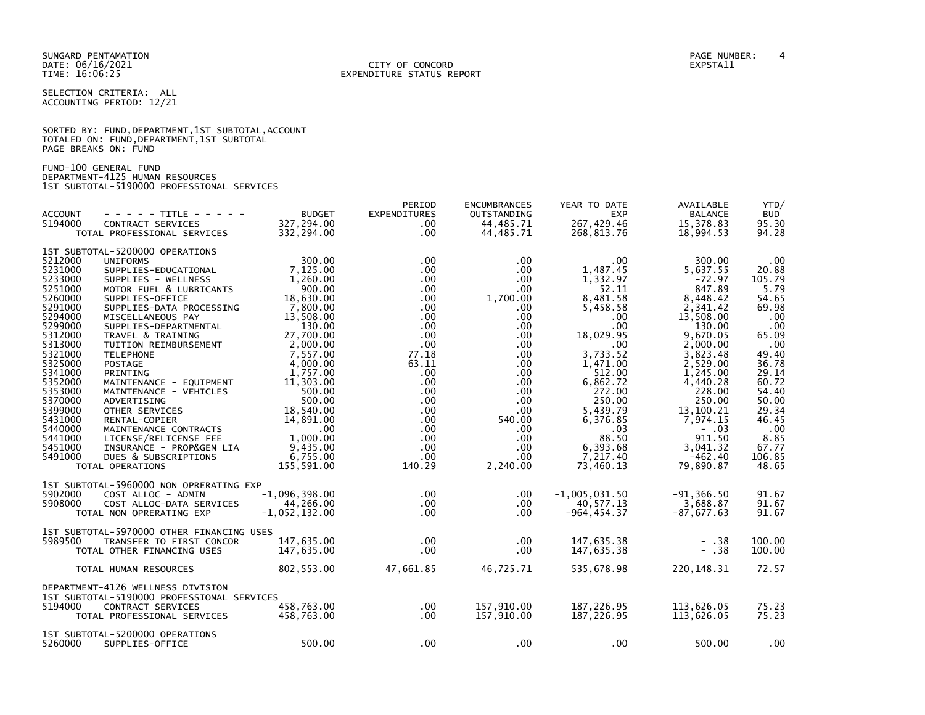SELECTION CRITERIA: ALL ACCOUNTING PERIOD: 12/21

|                      |  | SORTED BY: FUND, DEPARTMENT, 1ST SUBTOTAL, ACCOUNT |  |
|----------------------|--|----------------------------------------------------|--|
|                      |  | TOTALED ON: FUND, DEPARTMENT, 1ST SUBTOTAL         |  |
| PAGE BREAKS ON: FUND |  |                                                    |  |

FUND-100 GENERAL FUND DEPARTMENT-4125 HUMAN RESOURCES 1ST SUBTOTAL-5190000 PROFESSIONAL SERVICES

| <b>ACCOUNT</b><br>5194000                                                                                                                                                               | - - - - - TITLE - - - - -<br>CONTRACT SERVICES                                                                                                                                                                                                                                                                                                                                                                  | <b>BUDGET</b><br>327,294.00                                                                                                                                                                         | PERIOD<br><b>EXPENDITURES</b><br>.00                                                                                                                                                                            | <b>ENCUMBRANCES</b><br>OUTSTANDING<br>44,485.71                                                                                                                               | YEAR TO DATE<br><b>EXP</b><br>267,429.46                                                                                                                                               | AVAILABLE<br><b>BALANCE</b><br>15,378.83                                                                                                                                                         | YTD/<br><b>BUD</b><br>95.30                                                                                                                   |
|-----------------------------------------------------------------------------------------------------------------------------------------------------------------------------------------|-----------------------------------------------------------------------------------------------------------------------------------------------------------------------------------------------------------------------------------------------------------------------------------------------------------------------------------------------------------------------------------------------------------------|-----------------------------------------------------------------------------------------------------------------------------------------------------------------------------------------------------|-----------------------------------------------------------------------------------------------------------------------------------------------------------------------------------------------------------------|-------------------------------------------------------------------------------------------------------------------------------------------------------------------------------|----------------------------------------------------------------------------------------------------------------------------------------------------------------------------------------|--------------------------------------------------------------------------------------------------------------------------------------------------------------------------------------------------|-----------------------------------------------------------------------------------------------------------------------------------------------|
|                                                                                                                                                                                         | TOTAL PROFESSIONAL SERVICES                                                                                                                                                                                                                                                                                                                                                                                     | 332,294.00                                                                                                                                                                                          | $.00 \,$                                                                                                                                                                                                        | 44,485.71                                                                                                                                                                     | 268,813.76                                                                                                                                                                             | 18,994.53                                                                                                                                                                                        | 94.28                                                                                                                                         |
| 5212000<br>5231000<br>5233000<br>5251000<br>5260000<br>5291000<br>5294000<br>5299000<br>5312000<br>5313000<br>5321000<br>5325000<br>5341000<br>5352000<br>5353000<br>5370000<br>5399000 | 1ST SUBTOTAL-5200000 OPERATIONS<br><b>UNIFORMS</b><br>SUPPLIES-EDUCATIONAL<br>SUPPLIES - WELLNESS<br>MOTOR FUEL & LUBRICANTS<br>SUPPLIES-OFFICE<br>SUPPLIES-DATA PROCESSING<br>MISCELLANEOUS PAY<br>SUPPLIES-DEPARTMENTAL<br>TRAVEL & TRAINING<br>TUITION REIMBURSEMENT<br><b>TELEPHONE</b><br><b>POSTAGE</b><br>PRINTING<br>MAINTENANCE - EQUIPMENT<br>MAINTENANCE - VEHICLES<br>ADVERTISING<br>OTHER SERVICES | 300.00<br>7,125.00<br>1,260.00<br>900.00<br>18,630.00<br>7,800.00<br>13,508.00<br>130.00<br>27,700.00<br>2,000.00<br>7.557.00<br>4,000.00<br>1,757.00<br>11,303.00<br>500.00<br>500.00<br>18,540.00 | $.00 \,$<br>$.00 \ \,$<br>$.00 \,$<br>$.00 \,$<br>.00 <sub>1</sub><br>$.00 \,$<br>$.00 \,$<br>$.00 \,$<br>$.00 \,$<br>$.00 \,$<br>77.18<br>63.11<br>$.00 \,$<br>.00 <sub>1</sub><br>$.00 \,$<br>$.00 \,$<br>.00 | .00<br>$.00 \,$<br>$.00 \,$<br>.00.<br>1,700.00<br>.00<br>.00.<br>.00.<br>$.00 \,$<br>$.00 \,$<br>$.00 \,$<br>$.00 \,$<br>$.00 \,$<br>.00<br>$.00 \,$<br>$.00 \,$<br>$.00 \,$ | $.00 \,$<br>1,487.45<br>1,332.97<br>52.11<br>8,481.58<br>5,458.58<br>.00<br>.00<br>18,029.95<br>$.00 \,$<br>3.733.52<br>1,471.00<br>512.00<br>6,862.72<br>272.00<br>250.00<br>5,439.79 | 300.00<br>5,637.55<br>$-72.97$<br>847.89<br>8,448.42<br>2,341.42<br>13,508.00<br>130.00<br>9,670.05<br>2,000.00<br>3,823.48<br>2,529.00<br>1,245.00<br>4,440.28<br>228.00<br>250.00<br>13,100.21 | .00<br>20.88<br>105.79<br>5.79<br>54.65<br>69.98<br>.00<br>.00<br>65.09<br>.00<br>49.40<br>36.78<br>29.14<br>60.72<br>54.40<br>50.00<br>29.34 |
| 5431000<br>5440000<br>5441000<br>5451000<br>5491000                                                                                                                                     | RENTAL-COPIER<br>MAINTENANCE CONTRACTS<br>LICENSE/RELICENSE FEE<br>INSURANCE - PROP&GEN LIA<br>DUES & SUBSCRIPTIONS<br>TOTAL OPERATIONS                                                                                                                                                                                                                                                                         | 14,891.00<br>.00<br>1,000.00<br>9,435.00<br>6,755.00<br>155,591.00                                                                                                                                  | .00 <sub>1</sub><br>$.00 \,$<br>$.00 \,$<br>$.00 \,$<br>$.00 \,$<br>140.29                                                                                                                                      | 540.00<br>$.00 \,$<br>$.00 \,$<br>$.00 \,$<br>.00<br>2,240.00                                                                                                                 | 6,376.85<br>.03<br>88.50<br>6,393.68<br>7,217.40<br>73,460.13                                                                                                                          | 7,974.15<br>$-.03$<br>911.50<br>3,041.32<br>$-462.40$<br>79,890.87                                                                                                                               | 46.45<br>.00<br>8.85<br>67.77<br>106.85<br>48.65                                                                                              |
| 5902000<br>5908000                                                                                                                                                                      | 1ST SUBTOTAL-5960000 NON OPRERATING EXP<br>COST ALLOC - ADMIN<br>COST ALLOC-DATA SERVICES<br>TOTAL NON OPRERATING EXP                                                                                                                                                                                                                                                                                           | $-1,096,398.00$<br>44,266.00<br>$-1,052,132.00$                                                                                                                                                     | $.00 \,$<br>$.00 \,$<br>$.00 \times$                                                                                                                                                                            | $.00 \,$<br>.00.<br>.00                                                                                                                                                       | $-1,005,031.50$<br>40,577.13<br>$-964, 454.37$                                                                                                                                         | $-91, 366.50$<br>3,688.87<br>$-87,677.63$                                                                                                                                                        | 91.67<br>91.67<br>91.67                                                                                                                       |
| 5989500                                                                                                                                                                                 | 1ST SUBTOTAL-5970000 OTHER FINANCING USES<br>TRANSFER TO FIRST CONCOR<br>TOTAL OTHER FINANCING USES                                                                                                                                                                                                                                                                                                             | 147,635.00<br>147,635.00                                                                                                                                                                            | $.00 \times$<br>$.00 \,$                                                                                                                                                                                        | .00<br>.00.                                                                                                                                                                   | 147,635.38<br>147,635.38                                                                                                                                                               | $- .38$<br>$- .38$                                                                                                                                                                               | 100.00<br>100.00                                                                                                                              |
|                                                                                                                                                                                         | TOTAL HUMAN RESOURCES                                                                                                                                                                                                                                                                                                                                                                                           | 802,553.00                                                                                                                                                                                          | 47,661.85                                                                                                                                                                                                       | 46,725.71                                                                                                                                                                     | 535,678.98                                                                                                                                                                             | 220, 148. 31                                                                                                                                                                                     | 72.57                                                                                                                                         |
| 5194000                                                                                                                                                                                 | DEPARTMENT-4126 WELLNESS DIVISION<br>1ST SUBTOTAL-5190000 PROFESSIONAL SERVICES<br>CONTRACT SERVICES<br>TOTAL PROFESSIONAL SERVICES                                                                                                                                                                                                                                                                             | 458,763.00<br>458,763.00                                                                                                                                                                            | $.00 \,$<br>$.00 \,$                                                                                                                                                                                            | 157,910.00<br>157,910.00                                                                                                                                                      | 187,226.95<br>187,226.95                                                                                                                                                               | 113,626.05<br>113,626.05                                                                                                                                                                         | 75.23<br>75.23                                                                                                                                |
| 5260000                                                                                                                                                                                 | 1ST SUBTOTAL-5200000 OPERATIONS<br>SUPPLIES-OFFICE                                                                                                                                                                                                                                                                                                                                                              | 500.00                                                                                                                                                                                              | $.00 \,$                                                                                                                                                                                                        | .00.                                                                                                                                                                          | $.00 \,$                                                                                                                                                                               | 500.00                                                                                                                                                                                           | .00                                                                                                                                           |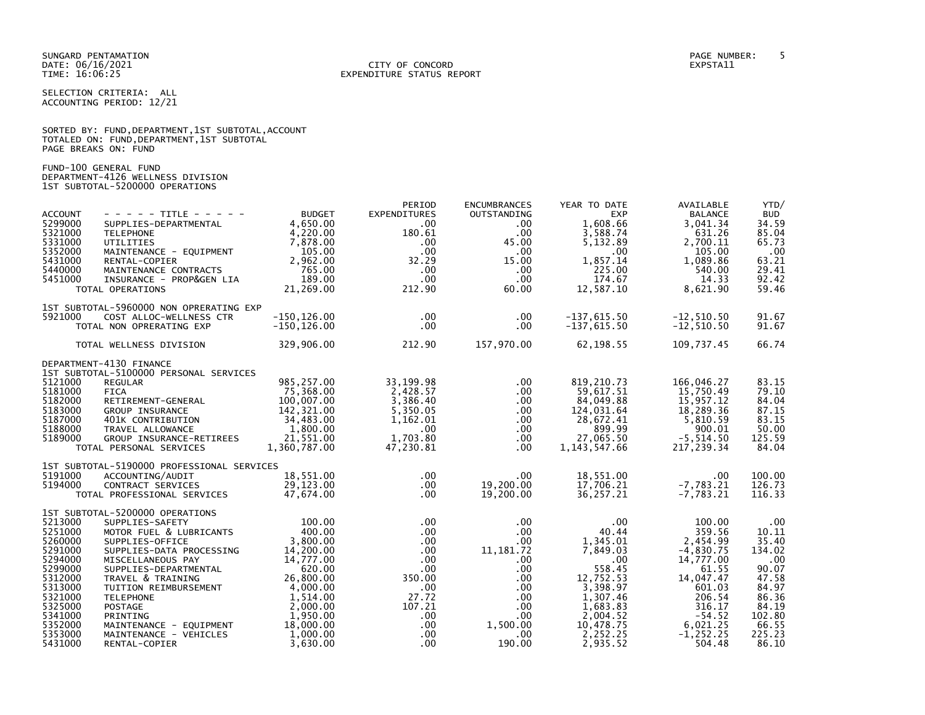### DATE: 06/16/2021 CITY OF CONCORD EXPSTA11 TIME: 16:06:25 EXPENDITURE STATUS REPORT

SELECTION CRITERIA: ALL ACCOUNTING PERIOD: 12/21

|                      |  |  | SORTED BY: FUND, DEPARTMENT, 1ST SUBTOTAL, ACCOUNT |  |
|----------------------|--|--|----------------------------------------------------|--|
|                      |  |  | TOTALED ON: FUND, DEPARTMENT, 1ST SUBTOTAL         |  |
| PAGE BREAKS ON: FUND |  |  |                                                    |  |

FUND-100 GENERAL FUND DEPARTMENT-4126 WELLNESS DIVISION 1ST SUBTOTAL-5200000 OPERATIONS

|                    |                                               |                         | PERIOD               | <b>ENCUMBRANCES</b>  | YEAR TO DATE           | AVAILABLE                | YTD/            |
|--------------------|-----------------------------------------------|-------------------------|----------------------|----------------------|------------------------|--------------------------|-----------------|
| <b>ACCOUNT</b>     | - - - - - TITLE - - - - -                     | <b>BUDGET</b>           | EXPENDITURES         | OUTSTANDING          | <b>EXP</b>             | <b>BALANCE</b>           | <b>BUD</b>      |
| 5299000<br>5321000 | SUPPLIES-DEPARTMENTAL<br><b>TELEPHONE</b>     | 4,650.00<br>4,220.00    | .00<br>180.61        | $.00 \,$<br>$.00 \,$ | 1,608.66<br>3,588.74   | 3,041.34<br>631.26       | 34.59<br>85.04  |
| 5331000            | UTILITIES                                     | 7,878.00                | $.00 \cdot$          | 45.00                | 5,132.89               | 2,700.11                 | 65.73           |
| 5352000            | MAINTENANCE - EQUIPMENT                       | 105.00                  | $.00 \,$             | $.00 \,$             | $.00 \,$               | 105.00                   | .00             |
| 5431000            | RENTAL-COPIER                                 | 2,962.00                | 32.29                | 15.00                | 1,857.14               | 1,089.86                 | 63.21           |
| 5440000            | MAINTENANCE CONTRACTS                         | 765.00                  | $.00 \,$             | $.00\,$              | 225.00                 | 540.00                   | 29.41           |
| 5451000            | INSURANCE - PROP&GEN LIA                      | 189.00                  | $.00 \,$             | $.00 \,$             | 174.67                 | 14.33                    | 92.42           |
|                    | TOTAL OPERATIONS                              | 21,269.00               | 212.90               | 60.00                | 12,587.10              | 8,621.90                 | 59.46           |
|                    | 1ST SUBTOTAL-5960000 NON OPRERATING EXP       |                         |                      |                      |                        |                          |                 |
| 5921000            | COST ALLOC-WELLNESS CTR                       | $-150, 126.00$          | $.00 \cdot$          | $.00 \,$             | $-137,615.50$          | $-12,510.50$             | 91.67           |
|                    | TOTAL NON OPRERATING EXP                      | $-150, 126.00$          | $.00 \,$             | .00.                 | $-137,615.50$          | $-12,510.50$             | 91.67           |
|                    | TOTAL WELLNESS DIVISION                       | 329,906.00              | 212.90               | 157,970.00           | 62,198.55              | 109,737.45               | 66.74           |
|                    | DEPARTMENT-4130 FINANCE                       |                         |                      |                      |                        |                          |                 |
|                    | 1ST SUBTOTAL-5100000 PERSONAL SERVICES        |                         |                      |                      |                        |                          |                 |
| 5121000            | <b>REGULAR</b>                                | 985,257.00              | 33, 199. 98          | .00.                 | 819, 210.73            | 166,046.27               | 83.15           |
| 5181000<br>5182000 | <b>FICA</b><br>RETIREMENT-GENERAL             | 75,368.00<br>100,007.00 | 2,428.57<br>3,386.40 | $.00 \,$<br>$.00 \,$ | 59,617.51<br>84,049.88 | 15,750.49<br>15,957.12   | 79.10<br>84.04  |
| 5183000            | GROUP INSURANCE                               | 142,321.00              | 5,350.05             | .00                  | 124,031.64             | 18,289.36                | 87.15           |
| 5187000            | 401K CONTRIBUTION                             | 34,483.00               | 1,162.01             | .00                  | 28,672.41              | 5,810.59                 | 83.15           |
| 5188000            | TRAVEL ALLOWANCE                              | 1,800.00                | $.00 \,$             | $.00 \,$             | 899.99                 | 900.01                   | 50.00           |
| 5189000            | GROUP INSURANCE-RETIREES                      | 21,551.00               | 1,703.80             | $.00 \,$             | 27,065.50              | $-5, 514.50$             | 125.59          |
|                    | TOTAL PERSONAL SERVICES                       | 1,360,787.00            | 47,230.81            | $.00 \,$             | 1, 143, 547.66         | 217,239.34               | 84.04           |
|                    | 1ST SUBTOTAL-5190000 PROFESSIONAL SERVICES    |                         |                      |                      |                        |                          |                 |
| 5191000            | ACCOUNTING/AUDIT                              | 18,551.00               | $.00 \cdot$          | .00                  | 18,551.00              | $.00 \,$                 | 100.00          |
| 5194000            | CONTRACT SERVICES                             | 29,123.00               | $.00 \,$             | 19,200.00            | 17,706.21              | $-7,783.21$              | 126.73          |
|                    | TOTAL PROFESSIONAL SERVICES                   | 47,674.00               | $.00 \cdot$          | 19,200.00            | 36,257.21              | $-7,783.21$              | 116.33          |
|                    | 1ST SUBTOTAL-5200000 OPERATIONS               |                         |                      |                      |                        |                          |                 |
| 5213000            | SUPPLIES-SAFETY                               | 100.00                  | $.00 \,$             | .00.                 | $.00 \,$               | 100.00                   | $.00 \,$        |
| 5251000            | MOTOR FUEL & LUBRICANTS                       | 400.00                  | $.00 \cdot$          | $.00 \,$             | 40.44                  | 359.56                   | 10.11           |
| 5260000<br>5291000 | SUPPLIES-OFFICE                               | 3,800.00                | $.00 \,$             | $.00 \,$             | 1,345.01<br>7,849.03   | 2,454.99                 | 35.40<br>134.02 |
| 5294000            | SUPPLIES-DATA PROCESSING<br>MISCELLANEOUS PAY | 14,200.00<br>14,777.00  | $.00 \,$<br>$.00 \,$ | 11, 181.72<br>.00.   | .00                    | $-4,830.75$<br>14,777.00 | .00             |
| 5299000            | SUPPLIES-DEPARTMENTAL                         | 620.00                  | $.00 \,$             | $.00 \,$             | 558.45                 | 61.55                    | 90.07           |
| 5312000            | TRAVEL & TRAINING                             | 26,800.00               | 350.00               | .00                  | 12,752.53              | 14,047.47                | 47.58           |
| 5313000            | TUITION REIMBURSEMENT                         | 4,000.00                | .00                  | $.00 \,$             | 3,398.97               | 601.03                   | 84.97           |
| 5321000            | <b>TELEPHONE</b>                              | 1,514.00                | 27.72                | $.00 \,$             | 1,307.46               | 206.54                   | 86.36           |
| 5325000            | <b>POSTAGE</b>                                | 2,000.00                | 107.21               | $.00 \,$             | 1,683.83               | 316.17                   | 84.19           |
| 5341000<br>5352000 | PRINTING<br>MAINTENANCE - EQUIPMENT           | 1,950.00<br>18,000.00   | $.00 \,$<br>$.00 \,$ | $.00 \,$<br>1,500.00 | 2,004.52<br>10,478.75  | $-54.52$<br>6,021.25     | 102.80<br>66.55 |
| 5353000            | MAINTENANCE - VEHICLES                        | 1,000.00                | $.00 \,$             | $.00 \,$             | 2,252.25               | $-1, 252.25$             | 225.23          |
| 5431000            | RENTAL-COPIER                                 | 3.630.00                | $.00 \,$             | 190.00               | 2,935.52               | 504.48                   | 86.10           |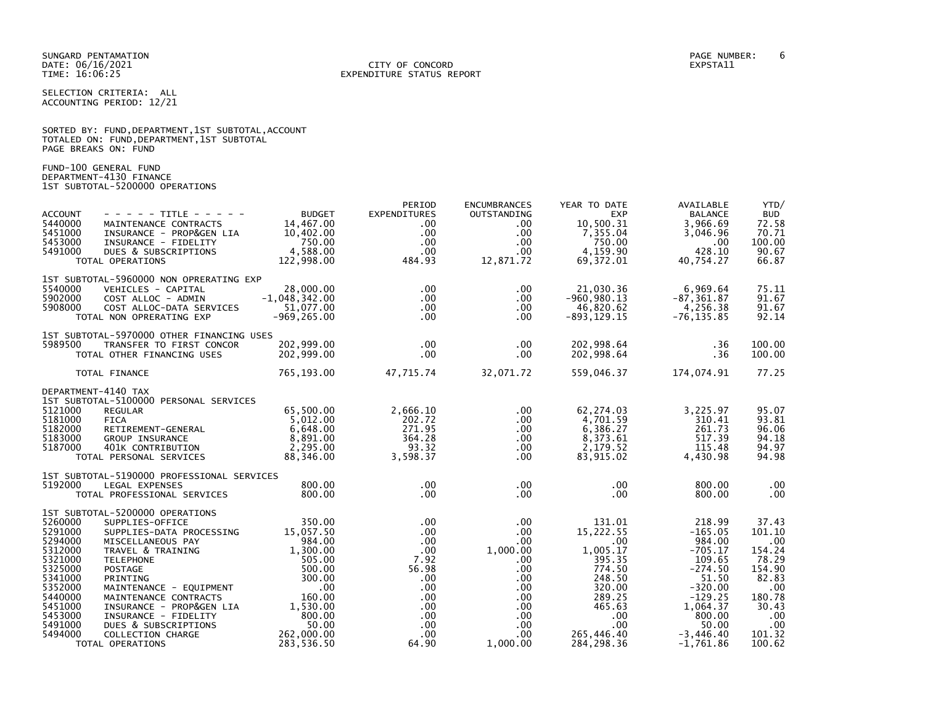SELECTION CRITERIA: ALL ACCOUNTING PERIOD: 12/21

|                      | SORTED BY: FUND, DEPARTMENT, 1ST SUBTOTAL, ACCOUNT |  |  |
|----------------------|----------------------------------------------------|--|--|
|                      | TOTALED ON: FUND, DEPARTMENT, 1ST SUBTOTAL         |  |  |
| PAGE BREAKS ON: FUND |                                                    |  |  |

FUND-100 GENERAL FUND DEPARTMENT-4130 FINANCE 1ST SUBTOTAL-5200000 OPERATIONS

| <b>ACCOUNT</b><br>5440000<br>5451000<br>5453000<br>5491000                                                                                  | $- - - - -$ TITLE - - - - -<br>MAINTENANCE CONTRACTS<br>INSURANCE - PROP&GEN LIA<br>INSURANCE - FIDELITY<br>DUES & SUBSCRIPTIONS<br>TOTAL OPERATIONS                                                                                                                                                                                                | <b>BUDGET</b><br>14,467.00<br>10,402.00<br>750.00<br>4,588.00<br>122,998.00                                                                                                  | PERIOD<br><b>EXPENDITURES</b><br>$.00 \,$<br>$.00 \ \,$<br>$.00 \,$<br>.00 <sub>1</sub><br>484.93                                                                | <b>ENCUMBRANCES</b><br>OUTSTANDING<br>.00.<br>.00.<br>.00<br>$.00 \,$<br>12,871.72                                                                       | YEAR TO DATE<br><b>EXP</b><br>10,500.31<br>7,355.04<br>750.00<br>4,159.90<br>69,372.01                                                                  | AVAILABLE<br><b>BALANCE</b><br>3,966.69<br>3,046.96<br>.00<br>428.10<br>40,754.27                                                                                 | YTD/<br><b>BUD</b><br>72.58<br>70.71<br>100.00<br>90.67<br>66.87                                                         |
|---------------------------------------------------------------------------------------------------------------------------------------------|-----------------------------------------------------------------------------------------------------------------------------------------------------------------------------------------------------------------------------------------------------------------------------------------------------------------------------------------------------|------------------------------------------------------------------------------------------------------------------------------------------------------------------------------|------------------------------------------------------------------------------------------------------------------------------------------------------------------|----------------------------------------------------------------------------------------------------------------------------------------------------------|---------------------------------------------------------------------------------------------------------------------------------------------------------|-------------------------------------------------------------------------------------------------------------------------------------------------------------------|--------------------------------------------------------------------------------------------------------------------------|
| 5540000<br>5902000<br>5908000                                                                                                               | 1ST SUBTOTAL-5960000 NON OPRERATING EXP<br>VEHICLES - CAPITAL<br>VERIALLOC - ADMIN<br>COST ALLOC - ADMIN -1,048,342.00<br>COST ALLOC-DATA SERVICES 51,077.00<br>NON OPRERATING EXP -969,265.00<br>TOTAL NON OPRERATING EXP                                                                                                                          | 28,000.00                                                                                                                                                                    | $.00 \,$<br>$.00 \,$<br>$.00 \,$<br>$.00 \ \,$                                                                                                                   | .00.<br>$.00 \,$<br>.00<br>$.00 \,$                                                                                                                      | 21,030.36<br>$-960, 980.13$<br>46,820.62<br>$-893, 129.15$                                                                                              | 6,969.64<br>$-87, 361.87$<br>4,256.38<br>$-76, 135.85$                                                                                                            | 75.11<br>91.67<br>91.67<br>92.14                                                                                         |
| 5989500                                                                                                                                     | 1ST SUBTOTAL-5970000 OTHER FINANCING USES<br>TRANSFER TO FIRST CONCOR<br>TOTAL OTHER FINANCING USES                                                                                                                                                                                                                                                 | 202,999.00<br>202,999.00                                                                                                                                                     | $.00 \,$<br>$.00 \ \,$                                                                                                                                           | $.00 \,$<br>$.00 \,$                                                                                                                                     | 202,998.64<br>202,998.64                                                                                                                                | .36<br>.36                                                                                                                                                        | 100.00<br>100.00                                                                                                         |
|                                                                                                                                             | TOTAL FINANCE                                                                                                                                                                                                                                                                                                                                       | 765,193.00                                                                                                                                                                   | 47,715.74                                                                                                                                                        | 32,071.72                                                                                                                                                | 559,046.37                                                                                                                                              | 174,074.91                                                                                                                                                        | 77.25                                                                                                                    |
| 5121000<br>5181000<br>5182000<br>5183000<br>5187000                                                                                         | DEPARTMENT-4140 TAX<br>1ST SUBTOTAL-5100000 PERSONAL SERVICES<br><b>REGULAR</b><br><b>FICA</b><br>RETIREMENT-GENERAL<br>GROUP INSURANCE<br>401K CONTRIBUTION<br>TOTAL PERSONAL SERVICES                                                                                                                                                             | 65,500.00<br>5,012.00<br>6,648.00<br>8,891.00<br>2,295.00<br>88,346.00                                                                                                       | 2,666.10<br>202.72<br>271.95<br>364.28<br>93.32<br>3,598.37                                                                                                      | .00<br>$.00 \,$<br>$.00 \,$<br>.00<br>$.00 \,$<br>$.00 \,$                                                                                               | 62,274.03<br>4,701.59<br>6,386.27<br>8,373.61<br>2,179.52<br>83,915.02                                                                                  | 3,225.97<br>310.41<br>261.73<br>517.39<br>115.48<br>4,430.98                                                                                                      | 95.07<br>93.81<br>96.06<br>94.18<br>94.97<br>94.98                                                                       |
| 5192000                                                                                                                                     | 1ST SUBTOTAL-5190000 PROFESSIONAL SERVICES<br>LEGAL EXPENSES<br>TOTAL PROFESSIONAL SERVICES                                                                                                                                                                                                                                                         | 800.00<br>800.00                                                                                                                                                             | $.00 \,$<br>.00 <sub>1</sub>                                                                                                                                     | $.00 \,$<br>.00.                                                                                                                                         | $.00 \,$<br>$.00 \,$                                                                                                                                    | 800.00<br>800.00                                                                                                                                                  | .00<br>.00                                                                                                               |
| 5260000<br>5291000<br>5294000<br>5312000<br>5321000<br>5325000<br>5341000<br>5352000<br>5440000<br>5451000<br>5453000<br>5491000<br>5494000 | 1ST SUBTOTAL-5200000 OPERATIONS<br>SUPPLIES-OFFICE<br>SUPPLIES-DATA PROCESSING<br>MISCELLANEOUS PAY<br>TRAVEL & TRAINING<br><b>TELEPHONE</b><br>POSTAGE<br>PRINTING<br>MAINTENANCE - EQUIPMENT<br>MAINTENANCE CONTRACTS<br>INSURANCE - PROP&GEN LIA<br>INSURANCE - FIDELITY<br>DUES & SUBSCRIPTIONS<br><b>COLLECTION CHARGE</b><br>TOTAL OPERATIONS | 350.00<br>15,057.50<br>984.00<br>1,300.00<br>505.00<br>500.00<br>300.00<br>$\overline{\phantom{0}}$ .00<br>160.00<br>1,530.00<br>800.00<br>50.00<br>262,000.00<br>283,536.50 | .00 <sub>1</sub><br>$.00 \times$<br>$.00 \,$<br>.00<br>7.92<br>56.98<br>$.00 \,$<br>$.00 \,$<br>$.00 \,$<br>$.00 \,$<br>$.00 \times$<br>$.00 \,$<br>.00<br>64.90 | .00.<br>$.00 \,$<br>.00.<br>1,000.00<br>$.00 \,$<br>$.00 \,$<br>$.00 \,$<br>$.00 \,$<br>$.00 \,$<br>$.00 \,$<br>$.00 \,$<br>$.00 \,$<br>.00.<br>1,000.00 | 131.01<br>15,222.55<br>$.00 \,$<br>1,005.17<br>395.35<br>774.50<br>248.50<br>320.00<br>289.25<br>465.63<br>.00<br>$.00 \,$<br>265,446.40<br>284, 298.36 | 218.99<br>$-165.05$<br>984.00<br>$-705.17$<br>109.65<br>$-274.50$<br>51.50<br>$-320.00$<br>$-129.25$<br>1,064.37<br>800.00<br>50.00<br>$-3,446.40$<br>$-1,761.86$ | 37.43<br>101.10<br>.00<br>154.24<br>78.29<br>154.90<br>82.83<br>.00<br>180.78<br>30.43<br>.00<br>.00<br>101.32<br>100.62 |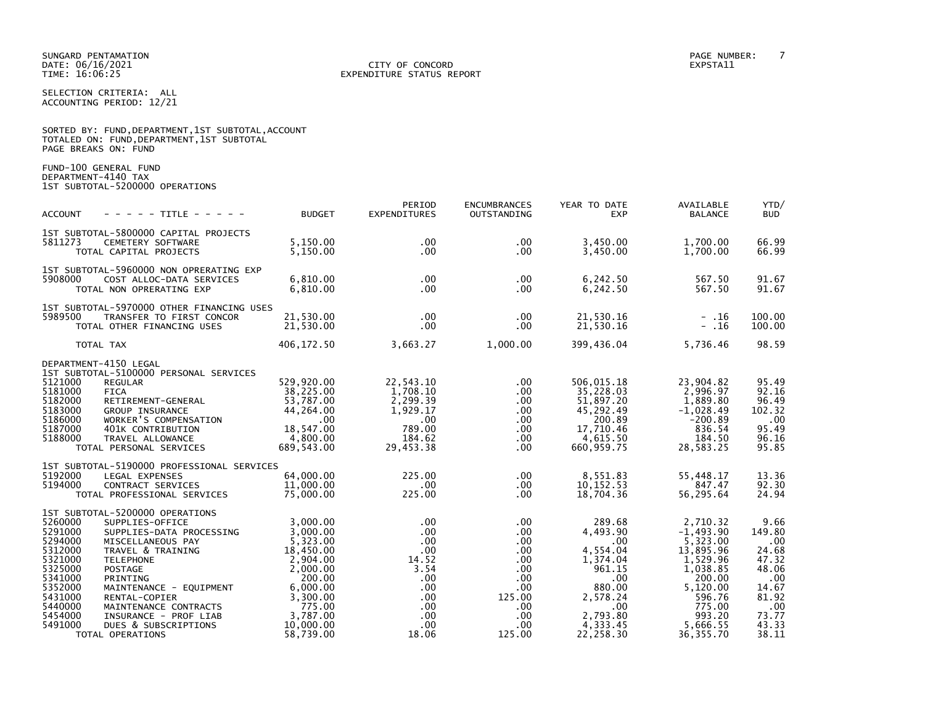### DATE: 06/16/2021 CITY OF CONCORD EXPSTA11 TIME: 16:06:25 EXPENDITURE STATUS REPORT

SELECTION CRITERIA: ALL ACCOUNTING PERIOD: 12/21

|                      |  |  | SORTED BY: FUND, DEPARTMENT, 1ST SUBTOTAL, ACCOUNT |  |
|----------------------|--|--|----------------------------------------------------|--|
|                      |  |  | TOTALED ON: FUND, DEPARTMENT, 1ST SUBTOTAL         |  |
| PAGE BREAKS ON: FUND |  |  |                                                    |  |

FUND-100 GENERAL FUND DEPARTMENT-4140 TAX 1ST SUBTOTAL-5200000 OPERATIONS

| <b>ACCOUNT</b><br>- - - - - TITLE - - - - -                                                                                                                                                                                                                                                                                                                                                                                                                          | <b>BUDGET</b>                                                                                                                                           | PERIOD<br><b>EXPENDITURES</b>                                                                                                             | <b>ENCUMBRANCES</b><br>OUTSTANDING                                                                                    | YEAR TO DATE<br><b>EXP</b>                                                                                                                        | AVAILABLE<br><b>BALANCE</b>                                                                                                                             | YTD/<br><b>BUD</b>                                                                                          |
|----------------------------------------------------------------------------------------------------------------------------------------------------------------------------------------------------------------------------------------------------------------------------------------------------------------------------------------------------------------------------------------------------------------------------------------------------------------------|---------------------------------------------------------------------------------------------------------------------------------------------------------|-------------------------------------------------------------------------------------------------------------------------------------------|-----------------------------------------------------------------------------------------------------------------------|---------------------------------------------------------------------------------------------------------------------------------------------------|---------------------------------------------------------------------------------------------------------------------------------------------------------|-------------------------------------------------------------------------------------------------------------|
| 1ST SUBTOTAL-5800000 CAPITAL PROJECTS<br>5811273<br>CEMETERY SOFTWARE<br>TOTAL CAPITAL PROJECTS                                                                                                                                                                                                                                                                                                                                                                      | 5,150.00<br>5,150.00                                                                                                                                    | $.00 \,$<br>$.00 \times$                                                                                                                  | $.00 \,$<br>.00.                                                                                                      | 3,450.00<br>3,450.00                                                                                                                              | 1,700.00<br>1,700.00                                                                                                                                    | 66.99<br>66.99                                                                                              |
| 1ST SUBTOTAL-5960000 NON OPRERATING EXP<br>5908000<br>COST ALLOC-DATA SERVICES<br>TOTAL NON OPRERATING EXP                                                                                                                                                                                                                                                                                                                                                           | 6.810.00<br>6,810.00                                                                                                                                    | $.00 \times$<br>$.00 \times$                                                                                                              | .00.<br>$.00 \,$                                                                                                      | 6,242.50<br>6,242.50                                                                                                                              | 567.50<br>567.50                                                                                                                                        | 91.67<br>91.67                                                                                              |
| 1ST SUBTOTAL-5970000 OTHER FINANCING USES<br>5989500<br>TRANSFER TO FIRST CONCOR<br>TOTAL OTHER FINANCING USES                                                                                                                                                                                                                                                                                                                                                       | 21,530.00<br>21,530.00                                                                                                                                  | $.00 \,$<br>$.00 \,$                                                                                                                      | .00.<br>.00                                                                                                           | 21,530.16<br>21,530.16                                                                                                                            | $-16$<br>$- .16$                                                                                                                                        | 100.00<br>100.00                                                                                            |
| TOTAL TAX                                                                                                                                                                                                                                                                                                                                                                                                                                                            | 406,172.50                                                                                                                                              | 3,663.27                                                                                                                                  | 1,000.00                                                                                                              | 399,436.04                                                                                                                                        | 5,736.46                                                                                                                                                | 98.59                                                                                                       |
| DEPARTMENT-4150 LEGAL<br>1ST SUBTOTAL-5100000 PERSONAL SERVICES<br>5121000<br><b>REGULAR</b><br>5181000<br><b>FICA</b><br>5182000<br>RETIREMENT-GENERAL<br>5183000<br><b>GROUP INSURANCE</b><br>5186000<br>WORKER'S COMPENSATION<br>5187000<br>401K CONTRIBUTION<br>5188000<br>TRAVEL ALLOWANCE<br>TOTAL PERSONAL SERVICES<br>1ST SUBTOTAL-5190000 PROFESSIONAL SERVICES<br>5192000<br>LEGAL EXPENSES<br>5194000<br>CONTRACT SERVICES<br>TOTAL PROFESSIONAL SERVICES | 529,920.00<br>38,225.00<br>53,787.00<br>44,264.00<br>$.00 \,$<br>18,547.00<br>4,800.00<br>689,543.00<br>64,000.00<br>11,000.00<br>75,000.00             | 22,543.10<br>1,708.10<br>2,299.39<br>1,929.17<br>.00<br>789.00<br>184.62<br>29,453.38<br>225.00<br>$.00 \,$<br>225.00                     | .00<br>.00<br>.00.<br>$.00 \,$<br>.00.<br>.00<br>$.00 \,$<br>$.00 \,$<br>.00<br>.00.<br>.00                           | 506,015.18<br>35,228.03<br>51,897.20<br>45,292.49<br>200.89<br>17,710.46<br>4,615.50<br>660.959.75<br>8,551.83<br>10, 152.53<br>18,704.36         | 23,904.82<br>2,996.97<br>1,889.80<br>$-1,028.49$<br>$-200.89$<br>836.54<br>184.50<br>28,583.25<br>55,448.17<br>847.47<br>56,295.64                      | 95.49<br>92.16<br>96.49<br>102.32<br>.00<br>95.49<br>96.16<br>95.85<br>13.36<br>92.30<br>24.94              |
| 1ST SUBTOTAL-5200000 OPERATIONS<br>5260000<br>SUPPLIES-OFFICE<br>5291000<br>SUPPLIES-DATA PROCESSING<br>5294000<br>MISCELLANEOUS PAY<br>5312000<br>TRAVEL & TRAINING<br>5321000<br><b>TELEPHONE</b><br>5325000<br>POSTAGE<br>5341000<br>PRINTING<br>5352000<br>MAINTENANCE - EQUIPMENT<br>5431000<br>RENTAL-COPIER<br>5440000<br>MAINTENANCE CONTRACTS<br>5454000<br>INSURANCE - PROF LIAB<br>5491000<br>DUES & SUBSCRIPTIONS<br>TOTAL OPERATIONS                    | 3,000.00<br>3,000.00<br>5,323.00<br>18,450.00<br>2,904.00<br>2,000.00<br>200.00<br>6,000.00<br>3,300.00<br>775.00<br>3,787.00<br>10.000.00<br>58.739.00 | $.00 \,$<br>$.00 \,$<br>$.00 \,$<br>.00<br>14.52<br>3.54<br>$.00 \,$<br>$.00 \,$<br>$.00 \,$<br>$.00 \,$<br>$.00 \,$<br>$.00 \,$<br>18.06 | .00<br>$.00 \,$<br>$.00 \,$<br>$.00 \,$<br>.00.<br>.00<br>.00.<br>$.00 \,$<br>125.00<br>.00<br>.00.<br>.00.<br>125.00 | 289.68<br>4,493.90<br>$.00 \cdot$<br>4,554.04<br>1,374.04<br>961.15<br>.00<br>880.00<br>2,578.24<br>$.00 \,$<br>2,793.80<br>4,333.45<br>22,258.30 | 2,710.32<br>$-1,493.90$<br>5,323.00<br>13,895.96<br>1,529.96<br>1,038.85<br>200.00<br>5,120.00<br>596.76<br>775.00<br>993.20<br>5,666.55<br>36, 355. 70 | 9.66<br>149.80<br>.00<br>24.68<br>47.32<br>48.06<br>.00<br>14.67<br>81.92<br>.00<br>73.77<br>43.33<br>38.11 |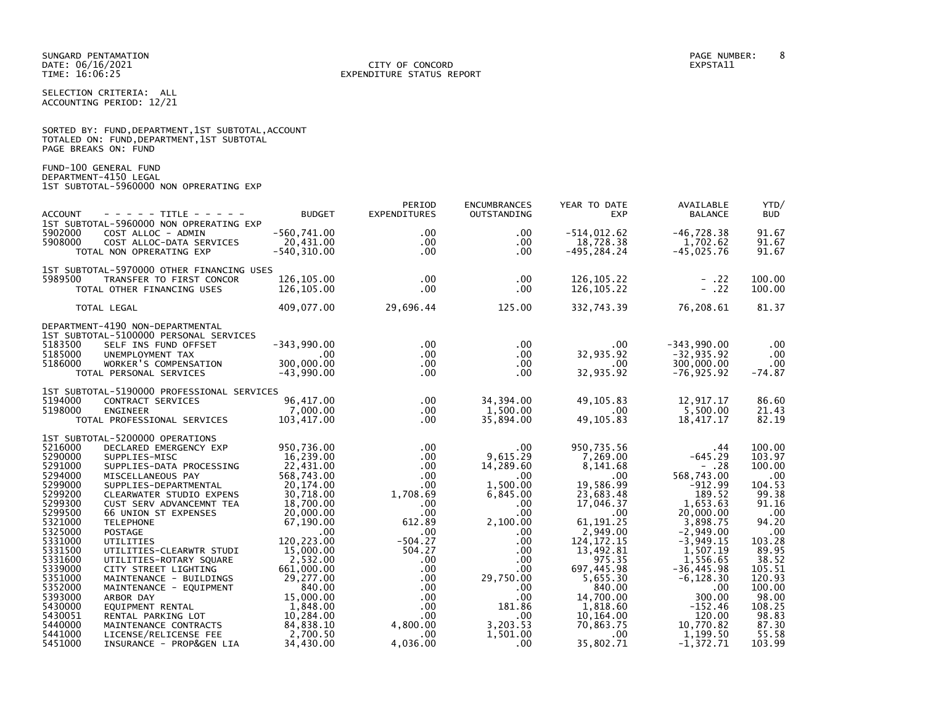SELECTION CRITERIA: ALL ACCOUNTING PERIOD: 12/21

|                      |  |  |                                          | SORTED BY: FUND, DEPARTMENT, 1ST SUBTOTAL, ACCOUNT |  |
|----------------------|--|--|------------------------------------------|----------------------------------------------------|--|
|                      |  |  | TOTALED ON: FUND,DEPARTMENT,1ST SUBTOTAL |                                                    |  |
| PAGE BREAKS ON: FUND |  |  |                                          |                                                    |  |

FUND-100 GENERAL FUND DEPARTMENT-4150 LEGAL 1ST SUBTOTAL-5960000 NON OPRERATING EXP

| $- - - - -$ TITLE - - - - -<br><b>ACCOUNT</b>                                                                                                                                                                                                                                                                                                                                                                                                                                                                                                                                                                                                                                                                                                                                                                       | <b>BUDGET</b>                                                                                                                                                                                                                                                                      | PERIOD<br><b>EXPENDITURES</b>                                                                                                                                                                                                                                           | <b>ENCUMBRANCES</b><br>OUTSTANDING                                                                                                                                                                                                | YEAR TO DATE<br><b>EXP</b>                                                                                                                                                                                                                                                         | AVAILABLE<br><b>BALANCE</b>                                                                                                                                                                                                                                                  | YTD/<br><b>BUD</b>                                                                                                                                                                                     |
|---------------------------------------------------------------------------------------------------------------------------------------------------------------------------------------------------------------------------------------------------------------------------------------------------------------------------------------------------------------------------------------------------------------------------------------------------------------------------------------------------------------------------------------------------------------------------------------------------------------------------------------------------------------------------------------------------------------------------------------------------------------------------------------------------------------------|------------------------------------------------------------------------------------------------------------------------------------------------------------------------------------------------------------------------------------------------------------------------------------|-------------------------------------------------------------------------------------------------------------------------------------------------------------------------------------------------------------------------------------------------------------------------|-----------------------------------------------------------------------------------------------------------------------------------------------------------------------------------------------------------------------------------|------------------------------------------------------------------------------------------------------------------------------------------------------------------------------------------------------------------------------------------------------------------------------------|------------------------------------------------------------------------------------------------------------------------------------------------------------------------------------------------------------------------------------------------------------------------------|--------------------------------------------------------------------------------------------------------------------------------------------------------------------------------------------------------|
| 1ST SUBTOTAL-5960000 NON OPRERATING EXP<br>5902000<br>COST ALLOC - ADMIN<br>5908000<br>COST ALLOC-DATA SERVICES<br>TOTAL NON OPRERATING EXP                                                                                                                                                                                                                                                                                                                                                                                                                                                                                                                                                                                                                                                                         | $-560, 741.00$<br>20,431.00<br>$-540, 310.00$                                                                                                                                                                                                                                      | $.00 \,$<br>$.00 \,$<br>$.00 \times$                                                                                                                                                                                                                                    | $.00 \,$<br>.00.<br>$.00 \,$                                                                                                                                                                                                      | $-514,012.62$<br>18,728.38<br>$-495, 284.24$                                                                                                                                                                                                                                       | $-46, 728.38$<br>1,702.62<br>$-45,025.76$                                                                                                                                                                                                                                    | 91.67<br>91.67<br>91.67                                                                                                                                                                                |
| 1ST SUBTOTAL-5970000 OTHER FINANCING USES<br>5989500<br>TRANSFER TO FIRST CONCOR                                                                                                                                                                                                                                                                                                                                                                                                                                                                                                                                                                                                                                                                                                                                    | 126,105,00<br>126,105.00                                                                                                                                                                                                                                                           | $.00 \,$<br>$.00 \,$                                                                                                                                                                                                                                                    | $.00 \,$<br>.00.                                                                                                                                                                                                                  | 126, 105.22<br>126, 105.22                                                                                                                                                                                                                                                         | $- .22$<br>$- .22$                                                                                                                                                                                                                                                           | 100.00<br>100.00                                                                                                                                                                                       |
| TOTAL OTHER FINANCING USES<br>TOTAL LEGAL                                                                                                                                                                                                                                                                                                                                                                                                                                                                                                                                                                                                                                                                                                                                                                           | 409,077.00                                                                                                                                                                                                                                                                         | 29,696.44                                                                                                                                                                                                                                                               | 125.00                                                                                                                                                                                                                            | 332,743.39                                                                                                                                                                                                                                                                         | 76,208.61                                                                                                                                                                                                                                                                    | 81.37                                                                                                                                                                                                  |
| DEPARTMENT-4190 NON-DEPARTMENTAL                                                                                                                                                                                                                                                                                                                                                                                                                                                                                                                                                                                                                                                                                                                                                                                    |                                                                                                                                                                                                                                                                                    |                                                                                                                                                                                                                                                                         |                                                                                                                                                                                                                                   |                                                                                                                                                                                                                                                                                    |                                                                                                                                                                                                                                                                              |                                                                                                                                                                                                        |
| 1ST SUBTOTAL-5100000 PERSONAL SERVICES<br>5183500<br>SELF INS FUND OFFSET<br>5185000<br>UNEMPLOYMENT TAX<br>5186000<br>WORKER'S COMPENSATION<br>TOTAL PERSONAL SERVICES                                                                                                                                                                                                                                                                                                                                                                                                                                                                                                                                                                                                                                             | $-343,990.00$<br>$.00 \,$<br>300,000.00<br>$-43,990.00$                                                                                                                                                                                                                            | $.00 \,$<br>$.00 \,$<br>$.00 \,$<br>$.00 \times$                                                                                                                                                                                                                        | .00<br>$.00 \,$<br>.00.<br>.00.                                                                                                                                                                                                   | $.00 \ \,$<br>32,935.92<br>$.00 \,$<br>32,935.92                                                                                                                                                                                                                                   | $-343,990.00$<br>$-32, 935.92$<br>300,000.00<br>$-76, 925.92$                                                                                                                                                                                                                | .00<br>$.00 \,$<br>$.00 \,$<br>$-74.87$                                                                                                                                                                |
| 1ST SUBTOTAL-5190000 PROFESSIONAL SERVICES<br>5194000<br>CONTRACT SERVICES<br>5198000<br><b>ENGINEER</b><br>TOTAL PROFESSIONAL SERVICES                                                                                                                                                                                                                                                                                                                                                                                                                                                                                                                                                                                                                                                                             | 96,417.00<br>7,000.00<br>103,417.00                                                                                                                                                                                                                                                | $.00 \,$<br>$.00 \times$<br>$.00 \ \,$                                                                                                                                                                                                                                  | 34,394.00<br>1,500.00<br>35,894.00                                                                                                                                                                                                | 49, 105.83<br>.00<br>49, 105.83                                                                                                                                                                                                                                                    | 12,917.17<br>5,500.00<br>18,417.17                                                                                                                                                                                                                                           | 86.60<br>21.43<br>82.19                                                                                                                                                                                |
| 1ST SUBTOTAL-5200000 OPERATIONS<br>5216000<br>DECLARED EMERGENCY EXP<br>5290000<br>SUPPLIES-MISC<br>5291000<br>SUPPLIES-DATA PROCESSING<br>5294000<br>MISCELLANEOUS PAY<br>5299000<br>SUPPLIES-DEPARTMENTAL<br>5299200<br>CLEARWATER STUDIO EXPENS<br>5299300<br>CUST SERV ADVANCEMNT TEA<br>5299500<br>66 UNION ST EXPENSES<br>5321000<br><b>TELEPHONE</b><br>5325000<br><b>POSTAGE</b><br>5331000<br>UTILITIES<br>5331500<br>UTILITIES-CLEARWTR STUDI<br>5331600<br>UTILITIES-ROTARY SQUARE<br>5339000<br>CITY STREET LIGHTING<br>5351000<br>MAINTENANCE - BUILDINGS<br>5352000<br>MAINTENANCE - EQUIPMENT<br>5393000<br>ARBOR DAY<br>5430000<br>EQUIPMENT RENTAL<br>5430051<br>RENTAL PARKING LOT<br>5440000<br>MAINTENANCE CONTRACTS<br>5441000<br>LICENSE/RELICENSE FEE<br>5451000<br>INSURANCE - PROP&GEN LIA | 950,736.00<br>16,239.00<br>22,431.00<br>568,743.00<br>20,174.00<br>30,718.00<br>18,700.00<br>20,000.00<br>67,190.00<br>.00<br>120.223.00<br>15,000.00<br>2,532.00<br>661,000.00<br>29,277.00<br>840.00<br>15,000.00<br>1,848.00<br>10,284.00<br>84,838.10<br>2,700.50<br>34,430.00 | $.00 \,$<br>$.00 \,$<br>$.00 \,$<br>$.00 \,$<br>$.00 \,$<br>1,708.69<br>$.00 \,$<br>$.00 \times$<br>612.89<br>$.00 \,$<br>$-504.27$<br>504.27<br>$.00 \,$<br>$.00 \,$<br>$.00 \,$<br>$.00 \,$<br>$.00 \,$<br>$.00 \,$<br>$.00 \ \,$<br>4,800.00<br>$.00 \,$<br>4,036.00 | $.00 \,$<br>9.615.29<br>14,289.60<br>$.00 \,$<br>1,500.00<br>6,845.00<br>$.00 \,$<br>.00<br>2,100.00<br>.00.<br>.00.<br>.00<br>.00.<br>$.00 \,$<br>29,750.00<br>.00<br>.00.<br>181.86<br>.00.<br>3,203.53<br>1,501.00<br>$.00 \,$ | 950,735.56<br>7,269.00<br>8,141.68<br>$.00 \,$<br>19,586.99<br>23,683.48<br>17,046.37<br>$.00 \,$<br>61, 191.25<br>2,949.00<br>124, 172. 15<br>13,492.81<br>975.35<br>697,445.98<br>5,655.30<br>840.00<br>14,700.00<br>1,818.60<br>10,164.00<br>70,863.75<br>$.00 \,$<br>35,802.71 | .44<br>$-645.29$<br>$- .28$<br>568,743.00<br>$-912.99$<br>189.52<br>1,653.63<br>20,000.00<br>3,898.75<br>$-2,949.00$<br>$-3,949.15$<br>1,507.19<br>1,556.65<br>$-36, 445.98$<br>$-6, 128.30$<br>.00<br>300.00<br>$-152.46$<br>120.00<br>10,770.82<br>1,199.50<br>$-1,372.71$ | 100.00<br>103.97<br>100.00<br>.00<br>104.53<br>99.38<br>91.16<br>.00<br>94.20<br>.00<br>103.28<br>89.95<br>38.52<br>105.51<br>120.93<br>100.00<br>98.00<br>108.25<br>98.83<br>87.30<br>55.58<br>103.99 |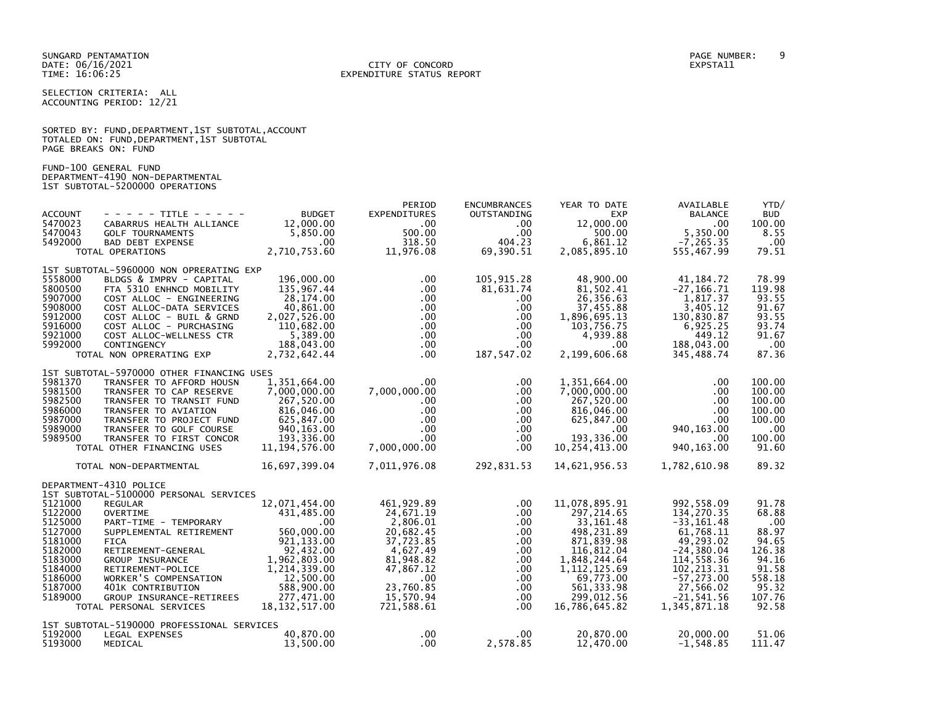DATE: 06/16/2021 CITY OF CONCORD EXPSTA11 TIME: 16:06:25 EXPENDITURE STATUS REPORT

SELECTION CRITERIA: ALL ACCOUNTING PERIOD: 12/21

|                      |  |  | SORTED BY: FUND, DEPARTMENT, 1ST SUBTOTAL, ACCOUNT |  |
|----------------------|--|--|----------------------------------------------------|--|
|                      |  |  | TOTALED ON: FUND, DEPARTMENT, 1ST SUBTOTAL         |  |
| PAGE BREAKS ON: FUND |  |  |                                                    |  |

FUND-100 GENERAL FUND

DEPARTMENT-4190 NON-DEPARTMENTAL 1ST SUBTOTAL-5200000 OPERATIONS

| <b>ACCOUNT</b><br>5470023                                                                       | - - - - - TITLE - - - - -<br>CABARRUS HEALTH ALLIANCE                                                                                                                                                                                                   | <b>BUDGET</b><br>12,000.00                                                                                                | PERIOD<br><b>EXPENDITURES</b><br>$.00 \,$                                                                        | <b>ENCUMBRANCES</b><br>OUTSTANDING<br>$.00 \cdot$                                          | YEAR TO DATE<br><b>EXP</b><br>12,000.00                                                                                             | AVAILABLE<br><b>BALANCE</b><br>.00                                                                                                 | YTD/<br><b>BUD</b><br>100.00                                                  |
|-------------------------------------------------------------------------------------------------|---------------------------------------------------------------------------------------------------------------------------------------------------------------------------------------------------------------------------------------------------------|---------------------------------------------------------------------------------------------------------------------------|------------------------------------------------------------------------------------------------------------------|--------------------------------------------------------------------------------------------|-------------------------------------------------------------------------------------------------------------------------------------|------------------------------------------------------------------------------------------------------------------------------------|-------------------------------------------------------------------------------|
| 5470043<br>5492000                                                                              | <b>GOLF TOURNAMENTS</b><br><b>BAD DEBT EXPENSE</b><br>TOTAL OPERATIONS                                                                                                                                                                                  | 5,850.00<br>$.00 \,$<br>2,710,753.60                                                                                      | 500.00<br>318.50<br>11,976.08                                                                                    | $.00 \,$<br>404.23<br>69,390.51                                                            | 500.00<br>6,861.12<br>2,085,895.10                                                                                                  | 5,350.00<br>$-7, 265.35$<br>555,467.99                                                                                             | 8.55<br>.00<br>79.51                                                          |
|                                                                                                 |                                                                                                                                                                                                                                                         |                                                                                                                           |                                                                                                                  |                                                                                            |                                                                                                                                     |                                                                                                                                    |                                                                               |
| 5558000<br>5800500<br>5907000<br>5908000<br>5912000<br>5916000<br>5921000<br>5992000            | 1ST SUBTOTAL-5960000 NON OPRERATING EXP<br>BLDGS & IMPRV - CAPITAL<br>FTA 5310 ENHNCD MOBILITY<br>COST ALLOC - ENGINEERING<br>COST ALLOC-DATA SERVICES<br>COST ALLOC - BUIL & GRND<br>COST ALLOC - PURCHASING<br>COST ALLOC-WELLNESS CTR<br>CONTINGENCY | 196,000.00<br>135,967.44<br>28,174.00<br>40,861.00<br>2,027,526.00<br>110,682.00<br>5,389.00<br>188,043.00                | $.00 \,$<br>$.00 \,$<br>$.00 \times$<br>$.00 \,$<br>$.00 \,$<br>$.00 \,$<br>$.00 \,$<br>$.00 \,$                 | 105,915.28<br>81,631.74<br>.00.<br>$.00 \,$<br>$.00 \,$<br>.00<br>.00.<br>$.00 \,$         | 48,900.00<br>81,502.41<br>26,356.63<br>37,455.88<br>1,896,695.13<br>103,756.75<br>4,939.88<br>$.00 \,$                              | 41, 184. 72<br>$-27, 166.71$<br>1,817.37<br>3,405.12<br>130,830.87<br>6,925.25<br>449.12<br>188,043.00                             | 78.99<br>119.98<br>93.55<br>91.67<br>93.55<br>93.74<br>91.67<br>.00           |
|                                                                                                 | TOTAL NON OPRERATING EXP                                                                                                                                                                                                                                | 2,732,642.44                                                                                                              | $.00 \times$                                                                                                     | 187,547.02                                                                                 | 2,199,606.68                                                                                                                        | 345,488.74                                                                                                                         | 87.36                                                                         |
|                                                                                                 | 1ST SUBTOTAL-5970000 OTHER FINANCING USES                                                                                                                                                                                                               |                                                                                                                           |                                                                                                                  |                                                                                            |                                                                                                                                     |                                                                                                                                    |                                                                               |
| 5981370<br>5981500<br>5982500<br>5986000<br>5987000                                             | TRANSFER TO AFFORD HOUSN<br>TRANSFER TO CAP RESERVE<br>TRANSFER TO TRANSIT FUND<br>TRANSFER TO AVIATION<br>TRANSFER TO PROJECT FUND                                                                                                                     | 1,351,664.00<br>7,000,000.00<br>267,520.00<br>816,046.00<br>625,847.00                                                    | $.00 \,$<br>7,000,000.00<br>$.00 \,$<br>$.00 \,$<br>$.00 \,$                                                     | .00.<br>$.00 \,$<br>.00<br>$.00 \,$<br>.00                                                 | 1,351,664.00<br>7,000,000.00<br>267,520.00<br>816,046.00<br>625,847.00                                                              | .00<br>$.00 \,$<br>.00<br>.00<br>.00                                                                                               | 100.00<br>100.00<br>100.00<br>100.00<br>100.00                                |
| 5989000<br>5989500                                                                              | TRANSFER TO GOLF COURSE<br>TRANSFER TO FIRST CONCOR                                                                                                                                                                                                     | 940, 163.00<br>193,336.00                                                                                                 | $.00 \,$<br>$.00 \,$                                                                                             | .00.<br>$.00 \,$                                                                           | $.00 \,$<br>193,336.00                                                                                                              | 940, 163.00<br>.00                                                                                                                 | .00<br>100.00                                                                 |
|                                                                                                 | TOTAL OTHER FINANCING USES                                                                                                                                                                                                                              | 11, 194, 576.00                                                                                                           | 7,000,000.00                                                                                                     | $.00 \,$                                                                                   | 10,254,413.00                                                                                                                       | 940, 163.00                                                                                                                        | 91.60                                                                         |
|                                                                                                 | TOTAL NON-DEPARTMENTAL                                                                                                                                                                                                                                  | 16,697,399.04                                                                                                             | 7,011,976.08                                                                                                     | 292,831.53                                                                                 | 14,621,956.53                                                                                                                       | 1,782,610.98                                                                                                                       | 89.32                                                                         |
|                                                                                                 | DEPARTMENT-4310 POLICE                                                                                                                                                                                                                                  |                                                                                                                           |                                                                                                                  |                                                                                            |                                                                                                                                     |                                                                                                                                    |                                                                               |
| 5121000<br>5122000<br>5125000<br>5127000<br>5181000<br>5182000<br>5183000<br>5184000<br>5186000 | 1ST SUBTOTAL-5100000 PERSONAL SERVICES<br><b>REGULAR</b><br>OVERTIME<br>PART-TIME - TEMPORARY<br>SUPPLEMENTAL RETIREMENT<br><b>FICA</b><br>RETIREMENT-GENERAL<br><b>GROUP INSURANCE</b><br>RETIREMENT-POLICE<br>WORKER'S COMPENSATION                   | 12,071,454.00<br>431,485.00<br>.00<br>560,000.00<br>921, 133.00<br>92,432.00<br>1,962,803.00<br>1,214,339.00<br>12,500.00 | 461, 929.89<br>24,671.19<br>2,806.01<br>20,682.45<br>37,723.85<br>4,627.49<br>81.948.82<br>47,867.12<br>$.00 \,$ | $.00 \,$<br>$.00 \,$<br>$.00 \,$<br>$.00 \,$<br>.00.<br>.00<br>$.00 \,$<br>$.00 \,$<br>.00 | 11,078,895.91<br>297, 214.65<br>33, 161.48<br>498,231.89<br>871,839.98<br>116,812.04<br>1,848,244.64<br>1, 112, 125.69<br>69,773.00 | 992,558.09<br>134,270.35<br>$-33, 161.48$<br>61,768.11<br>49,293.02<br>$-24, 380.04$<br>114,558.36<br>102, 213.31<br>$-57, 273.00$ | 91.78<br>68.88<br>.00<br>88.97<br>94.65<br>126.38<br>94.16<br>91.58<br>558.18 |
| 5187000                                                                                         | 401K CONTRIBUTION                                                                                                                                                                                                                                       | 588,900.00                                                                                                                | 23,760.85                                                                                                        | $.00 \,$                                                                                   | 561, 333.98                                                                                                                         | 27,566.02                                                                                                                          | 95.32                                                                         |
| 5189000                                                                                         | GROUP INSURANCE-RETIREES<br>TOTAL PERSONAL SERVICES                                                                                                                                                                                                     | 277,471.00<br>18, 132, 517.00                                                                                             | 15,570.94<br>721,588.61                                                                                          | $.00 \,$<br>$.00 \,$                                                                       | 299,012.56<br>16,786,645.82                                                                                                         | $-21,541.56$<br>1,345,871.18                                                                                                       | 107.76<br>92.58                                                               |
|                                                                                                 | 1ST SUBTOTAL-5190000 PROFESSIONAL SERVICES                                                                                                                                                                                                              |                                                                                                                           |                                                                                                                  |                                                                                            |                                                                                                                                     |                                                                                                                                    |                                                                               |
| 5192000<br>5193000                                                                              | LEGAL EXPENSES<br>MEDICAL                                                                                                                                                                                                                               | 40,870.00<br>13,500.00                                                                                                    | .00<br>$.00 \cdot$                                                                                               | .00.<br>2,578.85                                                                           | 20,870.00<br>12,470.00                                                                                                              | 20,000.00<br>$-1,548.85$                                                                                                           | 51.06<br>111.47                                                               |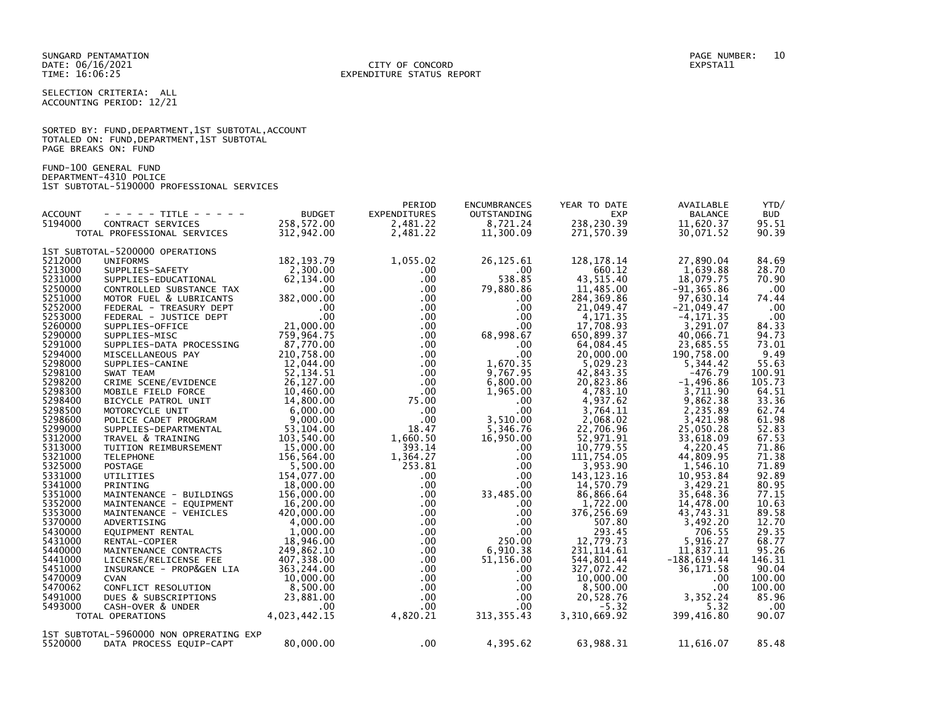SELECTION CRITERIA: ALL ACCOUNTING PERIOD: 12/21

|                      |  | SORTED BY: FUND, DEPARTMENT, 1ST SUBTOTAL, ACCOUNT |  |  |
|----------------------|--|----------------------------------------------------|--|--|
|                      |  | TOTALED ON: FUND, DEPARTMENT, 1ST SUBTOTAL         |  |  |
| PAGE BREAKS ON: FUND |  |                                                    |  |  |

| FUND-100 GENERAL FUND                      |  |
|--------------------------------------------|--|
| DEPARTMENT-4310 POLICE                     |  |
| 1ST SUBTOTAL-5190000 PROFESSIONAL SERVICES |  |

|                |                                         |               | PERIOD              | <b>ENCUMBRANCES</b> | YEAR TO DATE | AVAILABLE      | YTD/       |
|----------------|-----------------------------------------|---------------|---------------------|---------------------|--------------|----------------|------------|
| <b>ACCOUNT</b> | - - - - - TITLE - - - - -               | <b>BUDGET</b> | <b>EXPENDITURES</b> | OUTSTANDING         | <b>EXP</b>   | <b>BALANCE</b> | <b>BUD</b> |
| 5194000        | CONTRACT SERVICES                       | 258,572.00    | 2.481.22            | 8,721.24            | 238,230.39   | 11,620.37      | 95.51      |
|                | TOTAL PROFESSIONAL SERVICES             | 312,942.00    | 2,481.22            | 11,300.09           | 271,570.39   | 30,071.52      | 90.39      |
|                |                                         |               |                     |                     |              |                |            |
|                | 1ST SUBTOTAL-5200000 OPERATIONS         |               |                     |                     |              |                |            |
| 5212000        | <b>UNIFORMS</b>                         | 182, 193. 79  | 1,055.02            | 26,125.61           | 128, 178. 14 | 27,890.04      | 84.69      |
| 5213000        | SUPPLIES-SAFETY                         | 2,300.00      | $.00 \,$            | $.00 \,$            | 660.12       | 1,639.88       | 28.70      |
| 5231000        | SUPPLIES-EDUCATIONAL                    | 62,134.00     | $.00 \,$            | 538.85              | 43.515.40    | 18,079.75      | 70.90      |
| 5250000        | CONTROLLED SUBSTANCE TAX                | $.00 \,$      | $.00 \,$            | 79,880.86           | 11,485.00    | $-91, 365.86$  | .00        |
| 5251000        | MOTOR FUEL & LUBRICANTS                 | 382,000.00    | $.00 \,$            | .00.                | 284, 369.86  | 97,630.14      | 74.44      |
| 5252000        | FEDERAL - TREASURY DEPT                 | .00           | $.00 \,$            | .00                 | 21,049.47    | $-21,049.47$   | .00        |
| 5253000        | FEDERAL - JUSTICE DEPT                  | .00           | $.00 \,$            | $.00 \times$        | 4, 171.35    | $-4, 171.35$   | .00        |
| 5260000        | SUPPLIES-OFFICE                         | 21,000.00     | $.00 \,$            | $.00 \,$            | 17,708.93    | 3.291.07       | 84.33      |
| 5290000        | SUPPLIES-MISC                           | 759,964.75    | $.00 \,$            | 68,998.67           | 650,899.37   | 40,066.71      | 94.73      |
| 5291000        | SUPPLIES-DATA PROCESSING                | 87,770.00     | $.00 \,$            | .00.                | 64,084.45    | 23,685.55      | 73.01      |
| 5294000        | MISCELLANEOUS PAY                       | 210,758.00    | .00                 | $.00 \,$            | 20,000.00    | 190.758.00     | 9.49       |
| 5298000        | SUPPLIES-CANINE                         | 12,044.00     | $.00 \,$            | 1,670.35            | 5.029.23     | 5,344.42       | 55.63      |
| 5298100        | SWAT TEAM                               | 52, 134.51    | $.00 \,$            | 9,767.95            | 42,843.35    | $-476.79$      | 100.91     |
| 5298200        | CRIME SCENE/EVIDENCE                    | 26,127.00     | $.00 \,$            | 6,800.00            | 20,823.86    | $-1,496.86$    | 105.73     |
| 5298300        | MOBILE FIELD FORCE                      | 10,460.00     | $.00 \,$            | 1,965.00            | 4,783.10     | 3,711.90       | 64.51      |
| 5298400        | BICYCLE PATROL UNIT                     | 14,800.00     | 75.00               | $.00 \,$            | 4,937.62     | 9,862.38       | 33.36      |
| 5298500        | MOTORCYCLE UNIT                         | 6,000.00      | $.00 \,$            | $.00 \,$            | 3.764.11     | 2,235.89       | 62.74      |
| 5298600        | POLICE CADET PROGRAM                    | 9,000.00      | $.00 \,$            | 3,510.00            | 2,068.02     | 3,421.98       | 61.98      |
| 5299000        | SUPPLIES-DEPARTMENTAL                   | 53,104.00     | 18.47               | 5,346.76            | 22,706.96    | 25,050.28      | 52.83      |
| 5312000        | TRAVEL & TRAINING                       | 103,540.00    | 1,660.50            | 16,950.00           | 52.971.91    | 33,618.09      | 67.53      |
| 5313000        | TUITION REIMBURSEMENT                   | 15,000.00     | 393.14              | $.00 \,$            | 10,779.55    | 4,220.45       | 71.86      |
| 5321000        | <b>TELEPHONE</b>                        | 156,564.00    | 1,364.27            | $.00 \,$            | 111,754.05   | 44,809.95      | 71.38      |
| 5325000        | POSTAGE                                 | 5,500.00      | 253.81              | $.00 \,$            | 3,953.90     | 1,546.10       | 71.89      |
| 5331000        | UTILITIES                               | 154,077.00    | $.00 \ \,$          | .00                 | 143, 123. 16 | 10,953.84      | 92.89      |
| 5341000        | PRINTING                                | 18,000.00     | $.00 \,$            | $.00 \times$        | 14,570.79    | 3,429.21       | 80.95      |
| 5351000        | MAINTENANCE - BUILDINGS                 | 156,000.00    | $.00 \,$            | 33,485.00           | 86,866.64    | 35,648.36      | 77.15      |
| 5352000        | MAINTENANCE - EQUIPMENT                 | 16,200.00     | $.00 \times$        | $.00 \,$            | 1,722.00     | 14,478.00      | 10.63      |
| 5353000        | MAINTENANCE - VEHICLES                  | 420,000.00    | $.00 \,$            | $.00 \,$            | 376,256.69   | 43,743.31      | 89.58      |
| 5370000        | ADVERTISING                             | 4,000.00      | $.00 \,$            | $.00 \,$            | 507.80       | 3,492.20       | 12.70      |
| 5430000        | EQUIPMENT RENTAL                        | 1,000.00      | $.00 \,$            | $.00 \,$            | 293.45       | 706.55         | 29.35      |
| 5431000        | RENTAL-COPIER                           | 18,946.00     | $.00 \,$            | 250.00              | 12,779.73    | 5,916.27       | 68.77      |
| 5440000        | MAINTENANCE CONTRACTS                   | 249,862.10    | .00 <sub>1</sub>    | 6,910.38            | 231.114.61   | 11.837.11      | 95.26      |
| 5441000        | LICENSE/RELICENSE FEE                   | 407,338.00    | $.00 \,$            | 51,156.00           | 544,801.44   | $-188,619.44$  | 146.31     |
| 5451000        | INSURANCE - PROP&GEN LIA                | 363,244.00    | $.00 \,$            | .00                 | 327,072.42   | 36, 171.58     | 90.04      |
| 5470009        | <b>CVAN</b>                             | 10,000.00     | $.00 \cdot$         | .00.                | 10,000.00    | .00.           | 100.00     |
| 5470062        | CONFLICT RESOLUTION                     | 8,500.00      | $.00 \,$            | $.00 \,$            | 8,500.00     | $.00 \,$       | 100.00     |
| 5491000        | DUES & SUBSCRIPTIONS                    | 23,881.00     | $.00 \cdot$         | $.00 \,$            | 20,528.76    | 3,352.24       | 85.96      |
| 5493000        | CASH-OVER & UNDER                       | .00.          | $.00 \,$            | $.00 \,$            | $-5.32$      | 5.32           | .00        |
|                | TOTAL OPERATIONS                        | 4,023,442.15  | 4,820.21            | 313, 355.43         | 3,310,669.92 | 399,416.80     | 90.07      |
|                |                                         |               |                     |                     |              |                |            |
|                | 1ST SUBTOTAL-5960000 NON OPRERATING EXP |               |                     |                     |              |                |            |
| 5520000        | DATA PROCESS EQUIP-CAPT                 | 80,000.00     | $.00 \,$            | 4,395.62            | 63,988.31    | 11,616.07      | 85.48      |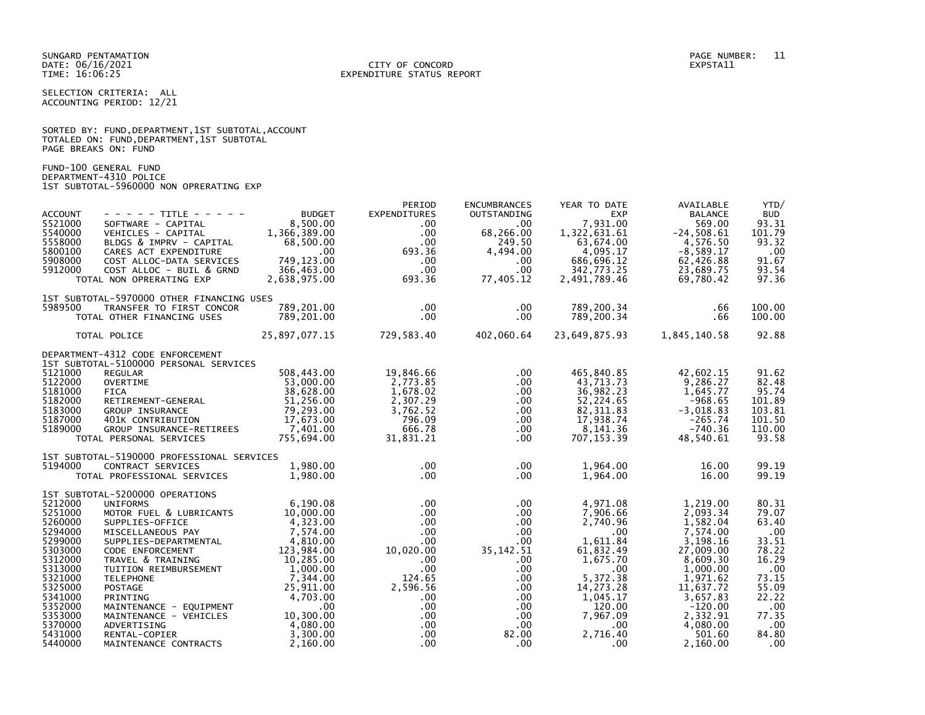SELECTION CRITERIA: ALL ACCOUNTING PERIOD: 12/21

SORTED BY: FUND,DEPARTMENT,1ST SUBTOTAL,ACCOUNT TOTALED ON: FUND,DEPARTMENT,1ST SUBTOTAL PAGE BREAKS ON: FUND

FUND-100 GENERAL FUND DEPARTMENT-4310 POLICE 1ST SUBTOTAL-5960000 NON OPRERATING EXP

|                |                                                                                                                                                                                                                                                          |                             | PERIOD              | <b>ENCUMBRANCES</b>   | YEAR TO DATE  | AVAILABLE      | YTD/       |
|----------------|----------------------------------------------------------------------------------------------------------------------------------------------------------------------------------------------------------------------------------------------------------|-----------------------------|---------------------|-----------------------|---------------|----------------|------------|
| <b>ACCOUNT</b> | - - - - - TITLE - - - - -                                                                                                                                                                                                                                | <b>BUDGET</b>               | <b>EXPENDITURES</b> | <b>OUTSTANDING</b>    | <b>EXP</b>    | <b>BALANCE</b> | <b>BUD</b> |
| 5521000        | SOFTWARE - CAPITAL                                                                                                                                                                                                                                       | 8,500.00                    | $.00 \,$            | $.00 \,$              | 7,931.00      | 569.00         | 93.31      |
| 5540000        | VEHICLES - CAPITAL                                                                                                                                                                                                                                       | 1,366,389.00                | $.00 \,$            | 68,266.00             | 1,322,631.61  | $-24,508.61$   | 101.79     |
| 5558000        | BLDGS & IMPRV - CAPITAL                                                                                                                                                                                                                                  | 68,500.00                   | $.00 \cdot$         | 249.50                | 63,674.00     | 4,576.50       | 93.32      |
| 5800100        | CARES ACT EXPENDITURE                                                                                                                                                                                                                                    | $.00\,$                     | 693.36              | 4,494.00              | 4,095.17      | $-8,589.17$    | .00        |
| 5908000        | COST ALLOC-DATA SERVICES                                                                                                                                                                                                                                 | 749,123.00                  | $.00 \,$            | $.00 \,$              | 686,696.12    | 62,426.88      | 91.67      |
| 5912000        | COST ALLOC - BUIL & GRND                                                                                                                                                                                                                                 | 366,463.00                  | .00                 | $.00 \,$              | 342,773.25    | 23,689.75      | 93.54      |
|                | TOTAL NON OPRERATING EXP                                                                                                                                                                                                                                 | 2,638,975.00                | 693.36              | 77,405.12             | 2,491,789.46  | 69,780.42      | 97.36      |
|                |                                                                                                                                                                                                                                                          |                             |                     |                       |               |                |            |
|                | 1ST SUBTOTAL-5970000 OTHER FINANCING USES                                                                                                                                                                                                                |                             |                     |                       |               |                |            |
| 5989500        | TRANSFER TO FIRST CONCOR                                                                                                                                                                                                                                 | 789,201.00                  | $.00 \,$            | .00                   | 789,200.34    | .66            | 100.00     |
|                | TOTAL OTHER FINANCING USES                                                                                                                                                                                                                               | 789,201.00                  | $.00 \,$            | $.00 \,$              | 789,200.34    | .66            | 100.00     |
|                |                                                                                                                                                                                                                                                          |                             |                     |                       |               |                |            |
|                | TOTAL POLICE                                                                                                                                                                                                                                             | 25,897,077.15               |                     | 729,583.40 402,060.64 | 23,649,875.93 | 1,845,140.58   | 92.88      |
|                |                                                                                                                                                                                                                                                          |                             |                     |                       |               |                |            |
|                | DEPARTMENT-4312 CODE ENFORCEMENT                                                                                                                                                                                                                         |                             |                     |                       |               |                |            |
|                | 1ST SUBTOTAL-5100000 PERSONAL SERVICES                                                                                                                                                                                                                   |                             |                     |                       |               |                |            |
| 5121000        | <b>REGULAR</b>                                                                                                                                                                                                                                           | 508,443.00                  | 19,846.66           | $.00 \,$              | 465,840.85    | 42,602.15      | 91.62      |
| 5122000        | OVERTIME                                                                                                                                                                                                                                                 | 53,000.00                   | 2,773.85            | .00                   | 43,713.73     | 9,286.27       | 82.48      |
| 5181000        | <b>FICA</b>                                                                                                                                                                                                                                              | 38,628.00                   | 1,678.02            | $.00 \,$              | 36,982.23     | 1,645.77       | 95.74      |
| 5182000        | RETIREMENT-GENERAL                                                                                                                                                                                                                                       | 51,256.00                   | 2,307.29            | $.00 \,$              | 52,224.65     | -968.65        | 101.89     |
| 5183000        | GROUP INSURANCE                                                                                                                                                                                                                                          | 79,293.00                   | 3,762.52            | $.00 \,$              | 82, 311.83    | $-3,018.83$    | 103.81     |
| 5187000        | <b>GRUUP INSURANCE<br/>401K CONTRIBUTION</b>                                                                                                                                                                                                             | 17,673.00                   | 796.09              | $.00 \,$              | 17,938.74     | $-265.74$      | 101.50     |
| 5189000        | GROUP INSURANCE-RETIREES                                                                                                                                                                                                                                 | 7,401.00                    | 666.78              | $.00 \,$              | 8,141.36      | $-740.36$      | 110.00     |
|                | TOTAL PERSONAL SERVICES                                                                                                                                                                                                                                  | 755,694.00                  | 31,831.21           | $.00 \,$              | 707, 153.39   | 48,540.61      | 93.58      |
|                |                                                                                                                                                                                                                                                          |                             |                     |                       |               |                |            |
|                | 1ST SUBTOTAL-5190000 PROFESSIONAL SERVICES                                                                                                                                                                                                               |                             |                     |                       |               |                |            |
| 5194000        | CONTRACT SERVICES                                                                                                                                                                                                                                        | 1,980.00                    | $.00 \cdot$         | .00                   | 1,964.00      | 16.00          | 99.19      |
|                | TOTAL PROFESSIONAL SERVICES                                                                                                                                                                                                                              | 1,980.00                    | $.00 \,$            | .00                   | 1,964.00      | 16.00          | 99.19      |
|                | 1ST SUBTOTAL-5200000 OPERATIONS                                                                                                                                                                                                                          |                             |                     |                       |               |                |            |
| 5212000        | <b>UNIFORMS</b>                                                                                                                                                                                                                                          | 6,190.08                    | $.00 \,$            | $.00 \,$              | 4,971.08      | 1,219.00       | 80.31      |
| 5251000        | MOTOR FUEL & LUBRICANTS                                                                                                                                                                                                                                  | 10,000.00                   | $.00 \,$            | $.00 \,$              | 7,906.66      | 2,093.34       | 79.07      |
| 5260000        |                                                                                                                                                                                                                                                          | 4,323.00                    | $.00 \cdot$         | $.00 \,$              | 2,740.96      | 1,582.04       | 63.40      |
| 5294000        | SUPPLIES-OFFICE                                                                                                                                                                                                                                          | 7,574.00                    | $.00 \cdot$         |                       | $.00 \,$      | 7,574.00       |            |
| 5299000        | MISCELLANEOUS PAY                                                                                                                                                                                                                                        |                             |                     | $.00 \,$              | 1,611.84      |                | .00        |
|                | SUPPLIES-DEPARTMENTAL<br>CODE ENFORCEMENT                                                                                                                                                                                                                | 4,810.00                    | $.00 \,$            | $.00 \,$              |               | 3,198.16       | 33.51      |
| 5303000        | CODE ENFORCEMENT                                                                                                                                                                                                                                         | 123,984.00                  | 10,020.00           | 35, 142.51            | 61,832.49     | 27,009.00      | 78.22      |
| 5312000        |                                                                                                                                                                                                                                                          |                             | $.00 \cdot$         | .00.                  | 1,675.70      | 8,609.30       | 16.29      |
| 5313000        |                                                                                                                                                                                                                                                          |                             | $.00 \,$            | $.00 \,$              | $.00 \,$      | 1,000.00       | .00        |
| 5321000        |                                                                                                                                                                                                                                                          |                             | 124.65              | $.00 \,$              | 5,372.38      | 1,971.62       | 73.15      |
| 5325000        |                                                                                                                                                                                                                                                          |                             | 2,596.56            | $.00 \,$              | 14,273.28     | 11,637.72      | 55.09      |
| 5341000        |                                                                                                                                                                                                                                                          |                             | $.00 \,$            | $.00 \,$              | 1,045.17      | 3,657.83       | 22.22      |
| 5352000        |                                                                                                                                                                                                                                                          |                             | $.00 \,$            | $.00 \,$              | 120.00        | $-120.00$      | .00        |
| 5353000        | CONFINITION<br>TRAVEL & TRAINING<br>TUITION REIMBURSEMENT<br>TELEPHONE<br>POSTAGE<br>POSTAGE<br>PRINTING<br>MAINTENANCE - EQUIPMENT<br>MAINTENANCE - EQUIPMENT<br>MAINTENANCE - VEHICLES<br>10,300.00<br>NAINTENANCE - VEHICLES<br>10,300.00<br>NAINTENA |                             | $.00 \,$            | $.00\,$               | 7,967.09      | 2,332.91       | 77.35      |
| 5370000        | ADVERTISING                                                                                                                                                                                                                                              |                             | $.00 \,$            | $.00 \,$              | $.00 \,$      | 4,080.00       | $.00 \,$   |
| 5431000        | RENTAL-COPIER                                                                                                                                                                                                                                            | $\frac{4,080.00}{3,300.00}$ | $.00 \,$            | 82.00                 | 2,716.40      | 501.60         | 84.80      |
| 5440000        | MAINTENANCE CONTRACTS                                                                                                                                                                                                                                    | 2,160.00                    | $.00 \,$            | .00                   | .00           | 2.160.00       | .00        |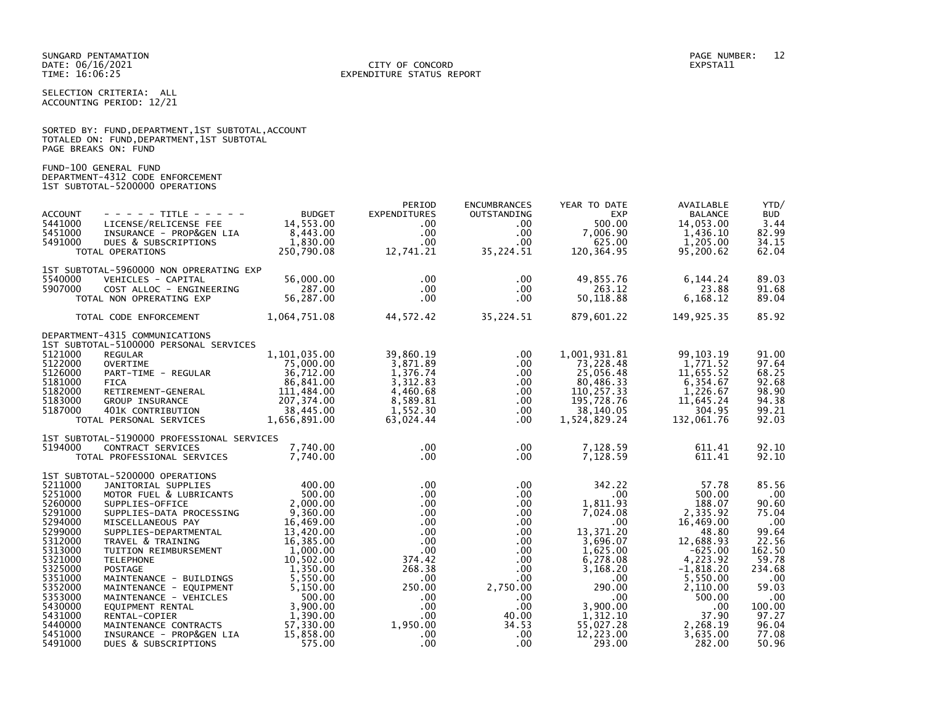SELECTION CRITERIA: ALL ACCOUNTING PERIOD: 12/21

|                      |  | SORTED BY: FUND, DEPARTMENT, 1ST SUBTOTAL, ACCOUNT |  |
|----------------------|--|----------------------------------------------------|--|
|                      |  | TOTALED ON: FUND, DEPARTMENT, 1ST SUBTOTAL         |  |
| PAGE BREAKS ON: FUND |  |                                                    |  |

FUND-100 GENERAL FUND DEPARTMENT-4312 CODE ENFORCEMENT 1ST SUBTOTAL-5200000 OPERATIONS

| <b>ACCOUNT</b><br>5441000<br>5451000<br>5491000                                                                                                                                                    | $- - - - -$ TITLE - - - - -<br>LICENSE/RELICENSE FEE<br>INSURANCE - PROP&GEN LIA<br>DUES & SUBSCRIPTIONS<br>TOTAL OPERATIONS                                                                                                                                                                                                                                                                                                                                         | <b>BUDGET</b><br>14,553.00<br>8,443.00<br>1,830.00<br>250,790.08                                                                                                                                                                   | PERIOD<br><b>EXPENDITURES</b><br>$.00 \ \,$<br>$.00 \,$<br>$.00 \,$<br>12,741.21                                                                                                                                   | <b>ENCUMBRANCES</b><br>OUTSTANDING<br>$.00 \,$<br>$.00 \,$<br>$.00 \,$<br>35,224.51                                                                                                                        | YEAR TO DATE<br><b>EXP</b><br>500.00<br>7,006.90<br>625.00<br>120,364.95                                                                                                                                         | AVAILABLE<br><b>BALANCE</b><br>14,053.00<br>1,436.10<br>1,205.00<br>95,200.62                                                                                                                        | YTD/<br><b>BUD</b><br>3.44<br>82.99<br>34.15<br>62.04                                                                                                          |
|----------------------------------------------------------------------------------------------------------------------------------------------------------------------------------------------------|----------------------------------------------------------------------------------------------------------------------------------------------------------------------------------------------------------------------------------------------------------------------------------------------------------------------------------------------------------------------------------------------------------------------------------------------------------------------|------------------------------------------------------------------------------------------------------------------------------------------------------------------------------------------------------------------------------------|--------------------------------------------------------------------------------------------------------------------------------------------------------------------------------------------------------------------|------------------------------------------------------------------------------------------------------------------------------------------------------------------------------------------------------------|------------------------------------------------------------------------------------------------------------------------------------------------------------------------------------------------------------------|------------------------------------------------------------------------------------------------------------------------------------------------------------------------------------------------------|----------------------------------------------------------------------------------------------------------------------------------------------------------------|
| 5540000<br>5907000                                                                                                                                                                                 | 1ST SUBTOTAL-5960000 NON OPRERATING EXP<br>VEHICLES - CAPITAL<br>COST ALLOC - ENGINEERING<br>TOTAL NON OPRERATING EXP                                                                                                                                                                                                                                                                                                                                                | 56,000,00<br>287.00<br>56,287.00                                                                                                                                                                                                   | $.00 \,$<br>$.00 \,$<br>$.00 \,$                                                                                                                                                                                   | $.00 \,$<br>.00.<br>$.00 \,$                                                                                                                                                                               | 49,855.76<br>263.12<br>50,118.88                                                                                                                                                                                 | 6,144.24<br>23.88<br>6,168.12                                                                                                                                                                        | 89.03<br>91.68<br>89.04                                                                                                                                        |
|                                                                                                                                                                                                    | TOTAL CODE ENFORCEMENT                                                                                                                                                                                                                                                                                                                                                                                                                                               | 1,064,751.08                                                                                                                                                                                                                       | 44,572.42                                                                                                                                                                                                          | 35,224.51                                                                                                                                                                                                  | 879,601.22                                                                                                                                                                                                       | 149,925.35                                                                                                                                                                                           | 85.92                                                                                                                                                          |
| 5121000<br>5122000<br>5126000<br>5181000<br>5182000<br>5183000<br>5187000                                                                                                                          | DEPARTMENT-4315 COMMUNICATIONS<br>1ST SUBTOTAL-5100000 PERSONAL SERVICES<br><b>REGULAR</b><br><b>OVERTIME</b><br>PART-TIME - REGULAR<br><b>FICA</b><br>RETIREMENT-GENERAL<br>GROUP INSURANCE<br>401K CONTRIBUTION<br>TOTAL PERSONAL SERVICES                                                                                                                                                                                                                         | 1,101,035.00<br>75,000.00<br>36,712.00<br>86,841.00<br>111,484.00<br>207,374.00<br>38,445.00<br>1,656,891.00                                                                                                                       | 39,860.19<br>3,871.89<br>1,376.74<br>3,312.83<br>4,460.68<br>8,589.81<br>1.552.30<br>63,024.44                                                                                                                     | .00.<br>.00<br>$.00 \,$<br>.00<br>$.00 \,$<br>$.00 \,$<br>$.00 \,$<br>.00                                                                                                                                  | 1,001,931.81<br>73,228.48<br>25,056.48<br>80,486.33<br>110,257.33<br>195,728.76<br>38,140.05<br>1,524,829.24                                                                                                     | 99, 103. 19<br>1,771.52<br>11,655.52<br>6,354.67<br>1,226.67<br>11,645.24<br>304.95<br>132,061.76                                                                                                    | 91.00<br>97.64<br>68.25<br>92.68<br>98.90<br>94.38<br>99.21<br>92.03                                                                                           |
| 5194000                                                                                                                                                                                            | 1ST SUBTOTAL-5190000 PROFESSIONAL SERVICES<br>CONTRACT SERVICES<br>TOTAL PROFESSIONAL SERVICES                                                                                                                                                                                                                                                                                                                                                                       | 7.740.00<br>7,740.00                                                                                                                                                                                                               | $.00 \,$<br>$.00 \,$                                                                                                                                                                                               | $.00 \,$<br>$.00 \,$                                                                                                                                                                                       | 7,128.59<br>7,128.59                                                                                                                                                                                             | 611.41<br>611.41                                                                                                                                                                                     | 92.10<br>92.10                                                                                                                                                 |
| 5211000<br>5251000<br>5260000<br>5291000<br>5294000<br>5299000<br>5312000<br>5313000<br>5321000<br>5325000<br>5351000<br>5352000<br>5353000<br>5430000<br>5431000<br>5440000<br>5451000<br>5491000 | 1ST SUBTOTAL-5200000 OPERATIONS<br>JANITORIAL SUPPLIES<br>MOTOR FUEL & LUBRICANTS<br>SUPPLIES-OFFICE<br>SUPPLIES-DATA PROCESSING<br>MISCELLANEOUS PAY<br>SUPPLIES-DEPARTMENTAL<br>TRAVEL & TRAINING<br>TUITION REIMBURSEMENT<br><b>TELEPHONE</b><br><b>POSTAGE</b><br>MAINTENANCE - BUILDINGS<br>MAINTENANCE - EQUIPMENT<br>MAINTENANCE - VEHICLES<br>EQUIPMENT RENTAL<br>RENTAL-COPIER<br>MAINTENANCE CONTRACTS<br>INSURANCE - PROP&GEN LIA<br>DUES & SUBSCRIPTIONS | 400.00<br>500.00<br>2,000.00<br>9,360.00<br>16,469.00<br>13,420.00<br>16,385.00<br>1,000.00<br>10,502.00<br>1,350.00<br>5,550.00<br>5,150.00<br>500.00<br>$3,900.00$<br>$1,390.00$<br>1,390.00<br>57,330.00<br>15,858.00<br>575.00 | $.00 \,$<br>$.00 \,$<br>$.00 \,$<br>$.00 \,$<br>$.00 \,$<br>$.00 \,$<br>$.00 \,$<br>$.00 \,$<br>374.42<br>268.38<br>$.00 \,$<br>250.00<br>$.00 \,$<br>$.00 \,$<br>$.00 \,$<br>1,950.00<br>$.00 \,$<br>$.00 \times$ | $.00 \,$<br>$.00 \,$<br>$.00 \,$<br>.00.<br>$.00 \,$<br>$.00 \,$<br>$.00 \,$<br>$.00 \,$<br>$.00 \,$<br>$.00 \,$<br>$.00 \,$<br>2,750.00<br>$.00 \,$<br>$.00 \,$<br>40.00<br>34.53<br>$.00 \,$<br>$.00 \,$ | 342.22<br>$.00 \times$<br>1,811.93<br>7,024.08<br>$.00 \,$<br>13,371.20<br>3,696.07<br>1,625.00<br>6,278.08<br>3,168.20<br>$.00 \,$<br>290.00<br>.00<br>3,900.00<br>1,312.10<br>55,027.28<br>12,223.00<br>293.00 | 57.78<br>500.00<br>188.07<br>2,335.92<br>16,469.00<br>48.80<br>12,688.93<br>$-625.00$<br>4,223.92<br>$-1,818.20$<br>5,550.00<br>2,110.00<br>500.00<br>.00<br>37.90<br>2,268.19<br>3,635.00<br>282.00 | 85.56<br>$.00 \,$<br>90.60<br>75.04<br>.00<br>99.64<br>22.56<br>162.50<br>59.78<br>234.68<br>.00<br>59.03<br>.00<br>100.00<br>97.27<br>96.04<br>77.08<br>50.96 |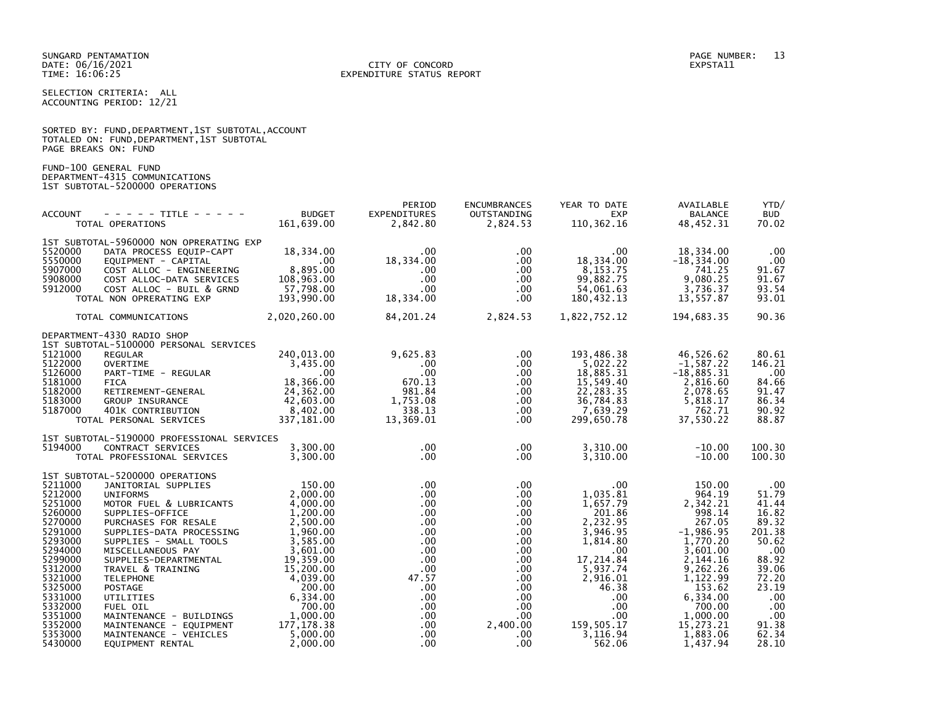### DATE: 06/16/2021 CITY OF CONCORD EXPSTA11 TIME: 16:06:25 EXPENDITURE STATUS REPORT

SELECTION CRITERIA: ALL ACCOUNTING PERIOD: 12/21

|                      |  |  |                                          | SORTED BY: FUND, DEPARTMENT, 1ST SUBTOTAL, ACCOUNT |  |
|----------------------|--|--|------------------------------------------|----------------------------------------------------|--|
|                      |  |  | TOTALED ON: FUND,DEPARTMENT,1ST SUBTOTAL |                                                    |  |
| PAGE BREAKS ON: FUND |  |  |                                          |                                                    |  |

FUND-100 GENERAL FUND DEPARTMENT-4315 COMMUNICATIONS 1ST SUBTOTAL-5200000 OPERATIONS

|                            | TOTAL OPERATIONS                                                                                                               | <b>BUDGET</b><br>161,639.00      | PERIOD<br>EXPENDITURES<br>2,842.80              | <b>ENCUMBRANCES</b><br>OUTSTANDING<br>2,824.53 | YEAR TO DATE<br><b>EXP</b><br>EXP<br>110,362.16                                              | AVAILABLE<br><b>BALANCE</b><br>48,452.31 | YTD/<br><b>BUD</b><br>70.02 |
|----------------------------|--------------------------------------------------------------------------------------------------------------------------------|----------------------------------|-------------------------------------------------|------------------------------------------------|----------------------------------------------------------------------------------------------|------------------------------------------|-----------------------------|
|                            | 1ST SUBTOTAL-5960000 NON OPRERATING EXP                                                                                        |                                  | $.00 \,$                                        |                                                |                                                                                              |                                          |                             |
| 5520000<br>5550000         | DATA PROCESS EQUIP-CAPT<br>EQUIPMENT - CAPITAL                                                                                 | 18,334.00                        |                                                 | $.00 \,$<br>.00                                | .00<br>18,334.00                                                                             | 18,334.00<br>$-18, 334.00$               | .00<br>.00                  |
| 5907000                    | COST ALLOC - ENGINEERING                                                                                                       | 8,895.00                         | $18,334.\stackrel{00}{00}$<br>.00<br>.00<br>.00 | $.00\,$                                        | 8, 153. 75                                                                                   | 741.25                                   | 91.67                       |
| 5908000                    | COST ALLOC-DATA SERVICES                                                                                                       | 108,963.00                       |                                                 | $.00 \,$                                       | 99,882.75                                                                                    | 9,080.25                                 | 91.67                       |
| 5912000                    | COST ALLOC - BUIL & GRND                                                                                                       | 108,963.00<br>57,798.00          |                                                 | $.00 \,$                                       | 54,061.63                                                                                    | 3,736.37                                 | 93.54                       |
|                            | TOTAL NON OPRERATING EXP                                                                                                       | 193,990.00                       | 18,334.00                                       | $.00 \,$                                       | 180,432.13                                                                                   | 13,557.87                                | 93.01                       |
|                            | TOTAL COMMUNICATIONS                                                                                                           | 2,020,260.00                     | 84, 201. 24 2, 824. 53                          |                                                | 1,822,752.12                                                                                 | 194,683.35                               | 90.36                       |
| DEPARTMENT-4330 RADIO SHOP | 1ST SUBTOTAL-5100000 PERSONAL SERVICES                                                                                         |                                  |                                                 |                                                |                                                                                              |                                          |                             |
| 5121000                    | <b>REGULAR</b>                                                                                                                 | 240,013.00                       | 9,625.83                                        | $.00 \,$                                       | 193,486.38                                                                                   | 46,526.62                                | 80.61                       |
| 5122000                    | NOVERTIME<br>PART-TIME - REGULAR<br>FICA                                                                                       | 3,435.00                         | .00                                             | $.00 \,$                                       | 5,022.22                                                                                     | $-1,587.22$                              | 146.21                      |
| 5126000                    |                                                                                                                                | $\sim$ 00                        | .00                                             | $.00 \,$                                       | 18,885.31                                                                                    | $-18,885.31$                             | .00                         |
| 5181000<br><b>FICA</b>     |                                                                                                                                | 18,366.00                        | 670.13                                          | $.00 \,$                                       | 15,549.40                                                                                    | 2,816.60                                 | 84.66                       |
| 5182000<br>5183000         | RETIREMENT-GENERAL<br>GROUP INSURANCE<br>401K CONTRIBUTION<br>PERSCULLE                                                        | 24,362.00<br>42,603.00           | 981.84<br>1,753.08                              | $.00 \,$                                       | 22,283.35<br>36,784.83                                                                       | 2,078.65<br>5,818.17                     | 91.47<br>86.34              |
| 5187000                    |                                                                                                                                | 8.402.00                         | 338.13                                          | $.00 \,$<br>$.00 \,$                           | 7,639.29                                                                                     | 762.71                                   | 90.92                       |
|                            | TOTAL PERSONAL SERVICES                                                                                                        | 337,181.00                       | 13,369.01                                       | $.00 \,$                                       | 299,650.78                                                                                   | 37,530.22                                | 88.87                       |
|                            | 1ST SUBTOTAL-5190000 PROFESSIONAL SERVICES                                                                                     |                                  |                                                 |                                                |                                                                                              |                                          |                             |
| 5194000                    | CONTRACT SERVICES                                                                                                              | 3,300.00<br>3,300.00<br>3,300.00 | $.00 \,$<br>$.00 \cdot$                         | $.00 \,$<br>$.00 \,$                           | 3,310.00<br>3,310.00                                                                         | $-10.00$<br>$-10.00$                     | 100.30<br>100.30            |
|                            | TOTAL PROFESSIONAL SERVICES                                                                                                    |                                  |                                                 |                                                |                                                                                              |                                          |                             |
|                            | 1ST SUBTOTAL-5200000 OPERATIONS                                                                                                |                                  |                                                 |                                                |                                                                                              |                                          |                             |
| 5211000                    | JANITORIAL SUPPLIES                                                                                                            | 150.00                           | $.00 \cdot$                                     | $.00 \,$                                       | .00                                                                                          | 150.00                                   | .00                         |
| 5212000<br>5251000         |                                                                                                                                |                                  | $.00 \,$<br>$.00 \,$                            | $.00\,$<br>$.00\,$                             | 1,035.81<br>1,657.79                                                                         | 964.19<br>2,342.21                       | 51.79<br>41.44              |
| 5260000                    | UNIFORMS<br>MOTOR FUEL & LUBRICANTS<br>SUPPLIES-OFFICE<br>PURCHASES FOR RESALE<br>2,500.00<br>PURCHASES FOR RESALE<br>2,500.00 |                                  | $.00 \cdot$                                     | $.00 \,$                                       | 201.86                                                                                       | 998.14                                   | 16.82                       |
| 5270000                    |                                                                                                                                |                                  | $.00 \cdot$                                     | .00                                            | 2.232.95                                                                                     | 267.05                                   | 89.32                       |
| 5291000                    | SUPPLIES-DATA PROCESSING 1,960.00                                                                                              |                                  | $.00 \cdot$                                     | $.00\,$                                        | 3,946.95                                                                                     | $-1,986.95$                              | 201.38                      |
| 5293000                    | SUPPLIES - SMALL TOOLS                                                                                                         | 3,585.00                         | $.00 \cdot$                                     | .00                                            | 1,814.80                                                                                     | 1,770.20                                 | 50.62                       |
| 5294000                    | MISCELLANEOUS PAY                                                                                                              | 3,601.00                         | $.00 \cdot$                                     | $.00 \,$                                       | $\sim$ .00                                                                                   | 3,601.00                                 | .00                         |
| 5299000<br>5312000         | SUPPLIES-DEPARTMENTAL<br>TRAVEL & TRAINING                                                                                     | 19,359.00<br>15,200.00           | $.00 \cdot$<br>$.00 \,$                         | $.00 \,$<br>$.00\,$                            | 17,214.84<br>5,937.74                                                                        | 2,144.16<br>9,262.26                     | 88.92<br>39.06              |
| 5321000                    | <b>TELEPHONE</b>                                                                                                               | 4,039.00                         | 47.57                                           | $.00 \,$                                       | 2,916.01                                                                                     | 1,122.99                                 | 72.20                       |
| 5325000                    | POSTAGE                                                                                                                        | 200.00                           | $.00 \,$                                        | .00                                            | 46.38                                                                                        | 153.62                                   | 23.19                       |
| 5331000                    |                                                                                                                                |                                  | $.00 \cdot$                                     |                                                | $\begin{array}{ccc} .00 & .00 & .00 \ .00 & .00 & .00 \ 2,400.00 & 159,505.17 \ \end{array}$ | 6,334.00                                 | .00                         |
| 5332000                    |                                                                                                                                |                                  | $.00 \,$                                        |                                                |                                                                                              | 700.00                                   | .00                         |
| 5351000                    |                                                                                                                                |                                  | $.00 \,$                                        |                                                |                                                                                              | 1,000.00                                 | .00                         |
| 5352000<br>5353000         | MAINTENANCE - VEHICLES                                                                                                         | 5,000.00                         | $.00 \,$<br>$.00 \cdot$                         | $.00 \,$                                       | 3,116.94                                                                                     | 15,273.21<br>1,883.06                    | 91.38<br>62.34              |
| 5430000                    | EQUIPMENT RENTAL                                                                                                               | 2,000,00                         | $.00 \,$                                        | .00.                                           | 562.06                                                                                       | 1,437.94                                 | 28.10                       |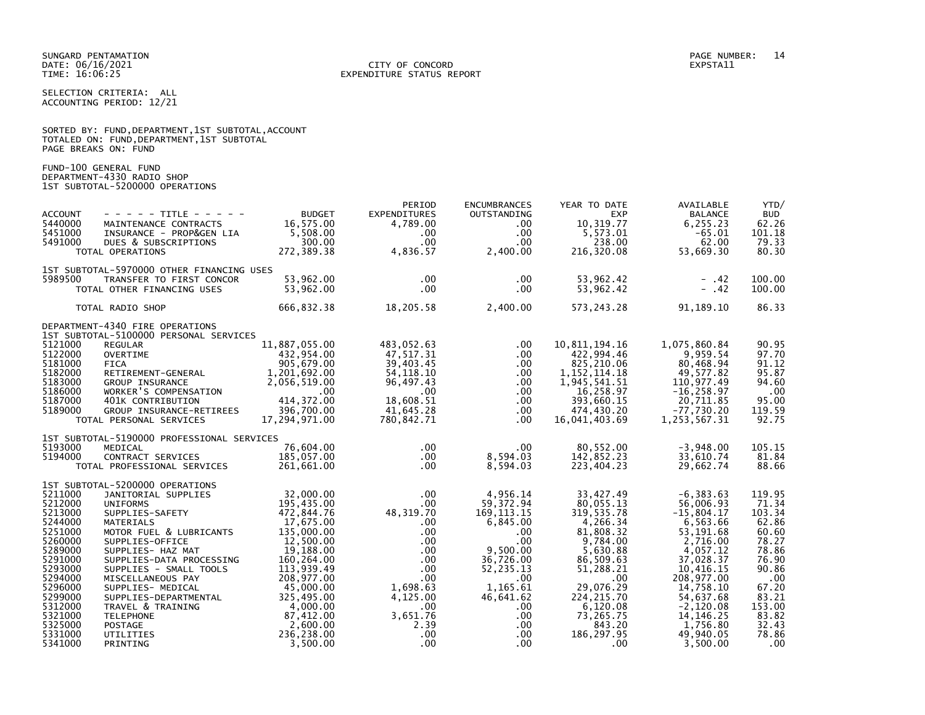SELECTION CRITERIA: ALL ACCOUNTING PERIOD: 12/21

|                      |  | SORTED BY: FUND, DEPARTMENT, 1ST SUBTOTAL, ACCOUNT |  |  |
|----------------------|--|----------------------------------------------------|--|--|
|                      |  | TOTALED ON: FUND,DEPARTMENT,1ST SUBTOTAL           |  |  |
| PAGE BREAKS ON: FUND |  |                                                    |  |  |

FUND-100 GENERAL FUND DEPARTMENT-4330 RADIO SHOP 1ST SUBTOTAL-5200000 OPERATIONS

| 2,400.00         | 238.00<br>216,320.08                                                                                                                                                                                                                       | $-65.01$<br>62.00<br>53,669.30                                                                                                                                                                                                                                                                       | 101.18<br>79.33<br>80.30                                                                                                                                                                                                                                                                                   |
|------------------|--------------------------------------------------------------------------------------------------------------------------------------------------------------------------------------------------------------------------------------------|------------------------------------------------------------------------------------------------------------------------------------------------------------------------------------------------------------------------------------------------------------------------------------------------------|------------------------------------------------------------------------------------------------------------------------------------------------------------------------------------------------------------------------------------------------------------------------------------------------------------|
|                  |                                                                                                                                                                                                                                            |                                                                                                                                                                                                                                                                                                      | 100.00                                                                                                                                                                                                                                                                                                     |
| .00.             | 53,962.42                                                                                                                                                                                                                                  | $-.42$                                                                                                                                                                                                                                                                                               | 100.00                                                                                                                                                                                                                                                                                                     |
| 2,400.00         | 573,243.28                                                                                                                                                                                                                                 | 91, 189. 10                                                                                                                                                                                                                                                                                          | 86.33                                                                                                                                                                                                                                                                                                      |
|                  |                                                                                                                                                                                                                                            |                                                                                                                                                                                                                                                                                                      |                                                                                                                                                                                                                                                                                                            |
|                  |                                                                                                                                                                                                                                            |                                                                                                                                                                                                                                                                                                      | 90.95                                                                                                                                                                                                                                                                                                      |
|                  |                                                                                                                                                                                                                                            |                                                                                                                                                                                                                                                                                                      | 97.70                                                                                                                                                                                                                                                                                                      |
| $.00 \,$         | 825,210.06                                                                                                                                                                                                                                 | 80,468.94                                                                                                                                                                                                                                                                                            | 91.12                                                                                                                                                                                                                                                                                                      |
| $.00 \,$         | 1, 152, 114. 18                                                                                                                                                                                                                            | 49,577.82                                                                                                                                                                                                                                                                                            | 95.87                                                                                                                                                                                                                                                                                                      |
| .00              |                                                                                                                                                                                                                                            | 110,977.49                                                                                                                                                                                                                                                                                           | 94.60                                                                                                                                                                                                                                                                                                      |
|                  |                                                                                                                                                                                                                                            |                                                                                                                                                                                                                                                                                                      | $.00 \,$                                                                                                                                                                                                                                                                                                   |
|                  |                                                                                                                                                                                                                                            |                                                                                                                                                                                                                                                                                                      | 95.00                                                                                                                                                                                                                                                                                                      |
| $.00 \cdot$      | 16,041,403.69                                                                                                                                                                                                                              | 1,253,567.31                                                                                                                                                                                                                                                                                         | 119.59<br>92.75                                                                                                                                                                                                                                                                                            |
|                  |                                                                                                                                                                                                                                            |                                                                                                                                                                                                                                                                                                      |                                                                                                                                                                                                                                                                                                            |
| .00              | 80,552.00                                                                                                                                                                                                                                  | $-3,948.00$                                                                                                                                                                                                                                                                                          | 105.15                                                                                                                                                                                                                                                                                                     |
|                  |                                                                                                                                                                                                                                            |                                                                                                                                                                                                                                                                                                      | 81.84                                                                                                                                                                                                                                                                                                      |
|                  |                                                                                                                                                                                                                                            |                                                                                                                                                                                                                                                                                                      | 88.66                                                                                                                                                                                                                                                                                                      |
|                  |                                                                                                                                                                                                                                            |                                                                                                                                                                                                                                                                                                      | 119.95                                                                                                                                                                                                                                                                                                     |
|                  |                                                                                                                                                                                                                                            |                                                                                                                                                                                                                                                                                                      | 71.34                                                                                                                                                                                                                                                                                                      |
|                  |                                                                                                                                                                                                                                            |                                                                                                                                                                                                                                                                                                      | 103.34                                                                                                                                                                                                                                                                                                     |
|                  |                                                                                                                                                                                                                                            |                                                                                                                                                                                                                                                                                                      | 62.86                                                                                                                                                                                                                                                                                                      |
| .00.             | 81,808.32                                                                                                                                                                                                                                  |                                                                                                                                                                                                                                                                                                      | 60.60                                                                                                                                                                                                                                                                                                      |
| .00.             | 9,784.00                                                                                                                                                                                                                                   | 2,716.00                                                                                                                                                                                                                                                                                             | 78.27                                                                                                                                                                                                                                                                                                      |
| 9,500.00         | 5,630.88                                                                                                                                                                                                                                   | 4,057.12                                                                                                                                                                                                                                                                                             | 78.86                                                                                                                                                                                                                                                                                                      |
|                  |                                                                                                                                                                                                                                            |                                                                                                                                                                                                                                                                                                      | 76.90                                                                                                                                                                                                                                                                                                      |
|                  |                                                                                                                                                                                                                                            |                                                                                                                                                                                                                                                                                                      | 90.86                                                                                                                                                                                                                                                                                                      |
|                  |                                                                                                                                                                                                                                            |                                                                                                                                                                                                                                                                                                      | .00                                                                                                                                                                                                                                                                                                        |
|                  |                                                                                                                                                                                                                                            |                                                                                                                                                                                                                                                                                                      | 67.20                                                                                                                                                                                                                                                                                                      |
|                  |                                                                                                                                                                                                                                            |                                                                                                                                                                                                                                                                                                      | 83.21                                                                                                                                                                                                                                                                                                      |
|                  |                                                                                                                                                                                                                                            |                                                                                                                                                                                                                                                                                                      | 153.00<br>83.82                                                                                                                                                                                                                                                                                            |
|                  |                                                                                                                                                                                                                                            |                                                                                                                                                                                                                                                                                                      | 32.43                                                                                                                                                                                                                                                                                                      |
|                  |                                                                                                                                                                                                                                            |                                                                                                                                                                                                                                                                                                      | 78.86                                                                                                                                                                                                                                                                                                      |
| $.00 \cdot$      | $.00 \cdot$                                                                                                                                                                                                                                | 3.500.00                                                                                                                                                                                                                                                                                             | $.00 \times$                                                                                                                                                                                                                                                                                               |
| .00<br>18,205.58 | .00<br>.00.<br>.00<br>$.00 \,$<br>.00<br>$.00 \,$<br>$.00 \,$<br>8,594.03<br>8,594.03<br>4,956.14<br>59,372.94<br>169, 113. 15<br>6,845.00<br>36.726.00<br>52,235.13<br>$.00 \,$<br>1.165.61<br>46,641.62<br>.00<br>.00<br>$.00 \,$<br>.00 | 53,962.42<br>10,811,194.16<br>422,994.46<br>1,945,541.51<br>16,258.97<br>393,660.15<br>474,430.20<br>142,852.23<br>223,404.23<br>33,427.49<br>80,055.13<br>319,535.78<br>4,266.34<br>86,509.63<br>51,288.21<br>$.00 \,$<br>29,076.29<br>224, 215.70<br>6,120.08<br>73,265.75<br>843.20<br>186,297.95 | $-.42$<br>1,075,860.84<br>9,959.54<br>$-16, 258.97$<br>20,711.85<br>$-77,730.20$<br>33,610.74<br>29,662.74<br>$-6, 383.63$<br>56,006.93<br>$-15,804.17$<br>6,563.66<br>53, 191.68<br>37.028.37<br>10,416.15<br>208,977.00<br>14,758.10<br>54,637.68<br>$-2,120.08$<br>14, 146. 25<br>1,756.80<br>49,940.05 |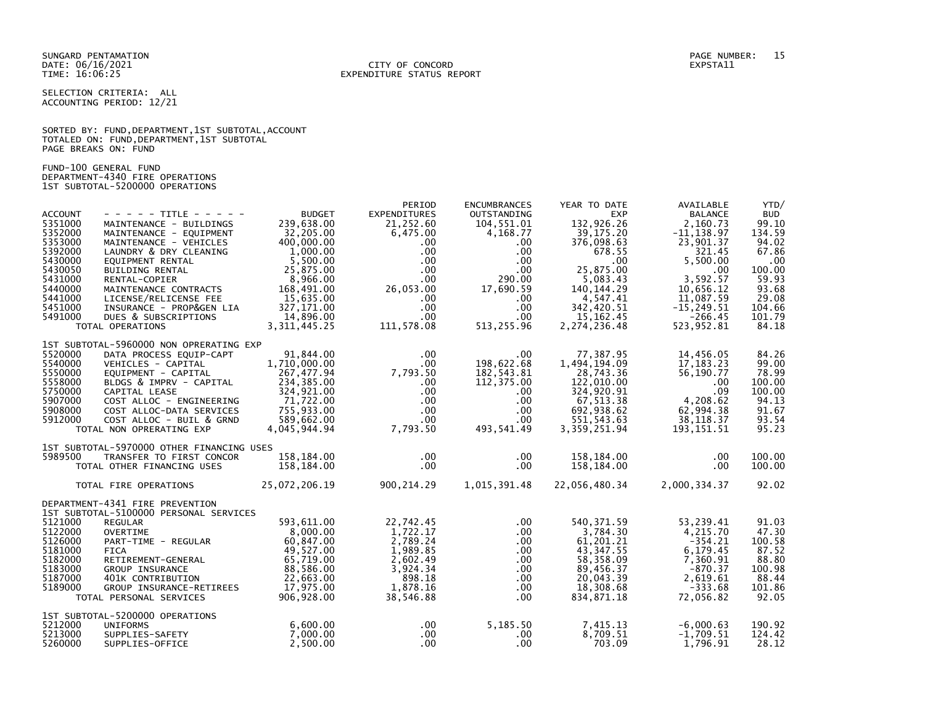### DATE: 06/16/2021 CITY OF CONCORD EXPSTA11 TIME: 16:06:25 EXPENDITURE STATUS REPORT

SELECTION CRITERIA: ALL ACCOUNTING PERIOD: 12/21

SORTED BY: FUND, DEPARTMENT, 1ST SUBTOTAL, ACCOUNT TOTALED ON: FUND,DEPARTMENT,1ST SUBTOTAL PAGE BREAKS ON: FUND

FUND-100 GENERAL FUND DEPARTMENT-4340 FIRE OPERATIONS 1ST SUBTOTAL-5200000 OPERATIONS

|                |                                           |                | PERIOD              | <b>ENCUMBRANCES</b> | YEAR TO DATE  | AVAILABLE      | YTD/       |
|----------------|-------------------------------------------|----------------|---------------------|---------------------|---------------|----------------|------------|
| <b>ACCOUNT</b> | - - - - - TITLE - - - - -                 | <b>BUDGET</b>  | <b>EXPENDITURES</b> | OUTSTANDING         | <b>EXP</b>    | <b>BALANCE</b> | <b>BUD</b> |
| 5351000        | MAINTENANCE - BUILDINGS                   | 239.638.00     | 21,252.60           | 104,551.01          | 132,926.26    | 2.160.73       | 99.10      |
| 5352000        | MAINTENANCE - EQUIPMENT                   | 32,205.00      | 6,475.00            | 4,168.77            | 39,175.20     | $-11, 138.97$  | 134.59     |
| 5353000        | MAINTENANCE - VEHICLES                    | 400,000.00     | $.00 \,$            | .00                 | 376,098.63    | 23,901.37      | 94.02      |
| 5392000        | LAUNDRY & DRY CLEANING                    | 1,000.00       | $.00 \,$            | .00                 | 678.55        | 321.45         | 67.86      |
| 5430000        | EQUIPMENT RENTAL                          | 5,500.00       | $.00 \cdot$         | $.00 \,$            | $.00 \,$      | 5,500.00       | .00        |
| 5430050        | BUILDING RENTAL                           | 25,875.00      | $.00 \,$            | $.00 \cdot$         | 25,875.00     | $.00 \,$       | 100.00     |
| 5431000        | RENTAL-COPIER                             | 8,966.00       | $.00 \,$            | 290.00              | 5.083.43      | 3.592.57       | 59.93      |
| 5440000        | MAINTENANCE CONTRACTS                     | 168,491.00     | 26,053.00           | 17,690.59           | 140, 144. 29  | 10,656.12      | 93.68      |
| 5441000        | LICENSE/RELICENSE FEE                     | 15,635.00      | .00 <sub>1</sub>    | .00.                | 4,547.41      | 11,087.59      | 29.08      |
| 5451000        | INSURANCE - PROP&GEN LIA                  | 327, 171.00    | .00 <sub>1</sub>    | .00.                | 342,420.51    | $-15, 249.51$  | 104.66     |
| 5491000        | DUES & SUBSCRIPTIONS                      | 14,896.00      | $.00 \,$            | .00                 | 15, 162. 45   | $-266.45$      | 101.79     |
|                | TOTAL OPERATIONS                          | 3, 311, 445.25 | 111,578.08          | 513,255.96          | 2,274,236.48  | 523,952.81     | 84.18      |
|                |                                           |                |                     |                     |               |                |            |
|                | 1ST SUBTOTAL-5960000 NON OPRERATING EXP   |                |                     |                     |               |                |            |
| 5520000        | DATA PROCESS EQUIP-CAPT                   | 91,844.00      | $.00 \,$            | .00.                | 77,387.95     | 14,456.05      | 84.26      |
| 5540000        | VEHICLES - CAPITAL                        | 1,710,000.00   | $.00 \times$        | 198,622.68          | 1,494,194.09  | 17, 183. 23    | 99.00      |
| 5550000        | EQUIPMENT - CAPITAL                       | 267,477.94     | 7,793.50            | 182,543.81          | 28,743.36     | 56,190.77      | 78.99      |
| 5558000        | BLDGS & IMPRV - CAPITAL                   | 234,385.00     | $.00 \,$            | 112,375.00          | 122,010.00    | .00            | 100.00     |
| 5750000        | CAPITAL LEASE                             | 324,921.00     | .00 <sub>1</sub>    | .00.                | 324,920.91    | .09            | 100.00     |
| 5907000        | COST ALLOC - ENGINEERING                  | 71,722.00      | $.00 \,$            | .00.                | 67,513.38     | 4,208.62       | 94.13      |
| 5908000        | COST ALLOC-DATA SERVICES                  | 755,933.00     | .00 <sub>1</sub>    | .00.                | 692,938.62    | 62,994.38      | 91.67      |
| 5912000        | COST ALLOC - BUIL & GRND                  | 589,662.00     | $.00 \cdot$         | .00                 | 551, 543.63   | 38, 118.37     | 93.54      |
|                | TOTAL NON OPRERATING EXP                  | 4,045,944.94   | 7,793.50            | 493,541.49          | 3,359,251.94  | 193, 151.51    | 95.23      |
|                |                                           |                |                     |                     |               |                |            |
|                | 1ST SUBTOTAL-5970000 OTHER FINANCING USES |                |                     |                     |               |                |            |
| 5989500        | TRANSFER TO FIRST CONCOR                  | 158,184.00     | $.00 \,$            | .00.                | 158,184.00    | .00            | 100.00     |
|                | TOTAL OTHER FINANCING USES                | 158,184.00     | $.00 \,$            | .00.                | 158,184.00    | $.00 \,$       | 100.00     |
|                |                                           |                |                     |                     |               |                |            |
|                | TOTAL FIRE OPERATIONS                     | 25,072,206.19  | 900,214.29          | 1,015,391.48        | 22,056,480.34 | 2,000,334.37   | 92.02      |
|                |                                           |                |                     |                     |               |                |            |
|                | DEPARTMENT-4341 FIRE PREVENTION           |                |                     |                     |               |                |            |
|                | 1ST SUBTOTAL-5100000 PERSONAL SERVICES    |                |                     |                     |               |                |            |
| 5121000        | <b>REGULAR</b>                            | 593,611.00     | 22,742.45           | .00.                | 540, 371.59   | 53,239.41      | 91.03      |
| 5122000        | OVERTIME                                  | 8.000.00       | 1,722.17            | $.00 \,$            | 3,784.30      | 4.215.70       | 47.30      |
| 5126000        | PART-TIME - REGULAR                       | 60,847.00      | 2,789.24            | $.00 \,$            | 61,201.21     | $-354.21$      | 100.58     |
| 5181000        | <b>FICA</b>                               | 49,527.00      | 1,989.85            | .00.                | 43, 347.55    | 6,179.45       | 87.52      |
| 5182000        | RETIREMENT-GENERAL                        | 65,719.00      | 2,602.49            | $.00 \,$            | 58,358.09     | 7,360.91       | 88.80      |
| 5183000        | GROUP INSURANCE                           | 88,586.00      | 3,924.34            | $.00 \,$            | 89,456.37     | $-870.37$      | 100.98     |
| 5187000        | 401K CONTRIBUTION                         | 22,663.00      | 898.18              | $.00 \,$            | 20,043.39     | 2,619.61       | 88.44      |
| 5189000        | <b>GROUP INSURANCE-RETIREES</b>           | 17,975.00      | 1,878.16            | $.00 \,$            | 18,308.68     | $-333.68$      | 101.86     |
|                | TOTAL PERSONAL SERVICES                   | 906,928.00     | 38,546.88           | .00.                | 834,871.18    | 72,056.82      | 92.05      |
|                | 1ST SUBTOTAL-5200000 OPERATIONS           |                |                     |                     |               |                |            |
| 5212000        | <b>UNIFORMS</b>                           | 6,600.00       | $.00 \,$            | 5,185.50            | 7,415.13      | $-6,000.63$    | 190.92     |
| 5213000        | SUPPLIES-SAFETY                           | 7,000.00       | $.00 \,$            | $.00 \,$            | 8,709.51      | $-1,709.51$    | 124.42     |
| 5260000        | SUPPLIES-OFFICE                           | 2,500.00       | $.00 \,$            | .00.                | 703.09        | 1,796.91       | 28.12      |
|                |                                           |                |                     |                     |               |                |            |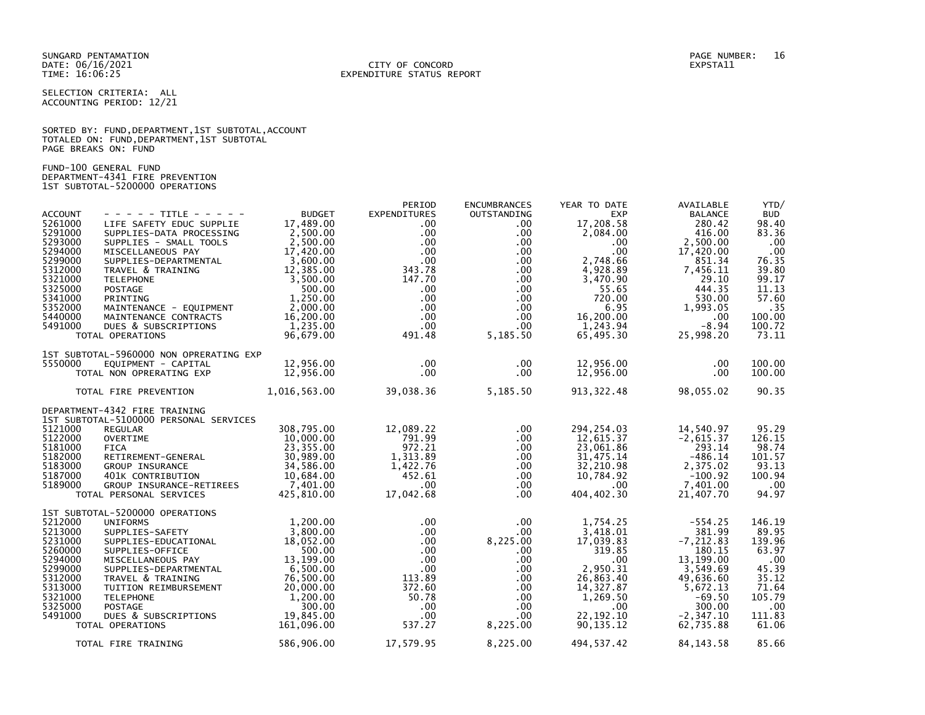SELECTION CRITERIA: ALL ACCOUNTING PERIOD: 12/21

|                      |  |  | SORTED BY: FUND, DEPARTMENT, 1ST SUBTOTAL, ACCOUNT |  |
|----------------------|--|--|----------------------------------------------------|--|
|                      |  |  | TOTALED ON: FUND, DEPARTMENT, 1ST SUBTOTAL         |  |
| PAGE BREAKS ON: FUND |  |  |                                                    |  |

FUND-100 GENERAL FUND DEPARTMENT-4341 FIRE PREVENTION 1ST SUBTOTAL-5200000 OPERATIONS

| <b>ACCOUNT</b>     | - - - - - TITLE - - - - -                                               | <b>BUDGET</b>          | PERIOD<br><b>EXPENDITURES</b> | <b>ENCUMBRANCES</b><br>OUTSTANDING | YEAR TO DATE<br><b>EXP</b> | AVAILABLE<br><b>BALANCE</b> | YTD/<br><b>BUD</b> |
|--------------------|-------------------------------------------------------------------------|------------------------|-------------------------------|------------------------------------|----------------------------|-----------------------------|--------------------|
| 5261000<br>5291000 | LIFE SAFETY EDUC SUPPLIE<br>SUPPLIES-DATA PROCESSING                    | 17,489.00<br>2,500.00  | $.00 \,$<br>$.00 \,$          | .00.<br>$.00 \,$                   | 17,208.58<br>2,084.00      | 280.42<br>416.00            | 98.40<br>83.36     |
| 5293000<br>5294000 | SUPPLIES - SMALL TOOLS<br>MISCELLANEOUS PAY                             | 2,500.00<br>17,420.00  | $.00 \,$<br>$.00 \,$          | $.00 \,$<br>$.00 \,$               | $.00 \,$<br>.00            | 2,500.00<br>17,420.00       | .00<br>.00         |
| 5299000            | SUPPLIES-DEPARTMENTAL                                                   | 3,600.00               | $.00 \cdot$                   | $.00 \,$                           | 2,748.66                   | 851.34                      | 76.35              |
| 5312000<br>5321000 | TRAVEL & TRAINING<br><b>TELEPHONE</b>                                   | 12,385.00<br>3,500.00  | 343.78<br>147.70              | $.00\,$<br>$.00 \,$                | 4,928.89<br>3,470.90       | 7,456.11<br>29.10           | 39.80<br>99.17     |
| 5325000<br>5341000 | <b>POSTAGE</b><br>PRINTING                                              | 500.00<br>1,250.00     | $.00 \,$<br>$.00 \,$          | $.00 \,$<br>$.00 \,$               | 55.65<br>720.00            | 444.35<br>530.00            | 11.13<br>57.60     |
| 5352000<br>5440000 | MAINTENANCE - EQUIPMENT                                                 | 2,000.00               | $.00 \cdot$<br>$.00 \,$       | $.00 \,$                           | 6.95                       | 1,993.05                    | .35                |
| 5491000            | MAINTENANCE CONTRACTS<br>DUES & SUBSCRIPTIONS                           | 16,200.00<br>1,235.00  | $.00 \cdot$                   | $.00 \,$<br>$.00 \,$               | 16,200.00<br>1,243.94      | .00<br>$-8.94$              | 100.00<br>100.72   |
|                    | TOTAL OPERATIONS                                                        | 96,679.00              | 491.48                        | 5,185.50                           | 65,495.30                  | 25,998.20                   | 73.11              |
| 5550000            | 1ST SUBTOTAL-5960000 NON OPRERATING EXP<br>EQUIPMENT - CAPITAL          | 12,956.00              | $.00 \,$                      | $.00 \,$                           | 12,956.00                  | $.00 \,$                    | 100.00             |
|                    | TOTAL NON OPRERATING EXP                                                | 12,956.00              | $.00 \cdot$                   | $.00 \,$                           | 12,956.00                  | $.00 \,$                    | 100.00             |
|                    | TOTAL FIRE PREVENTION 1,016,563.00                                      |                        | 39,038.36                     | 5,185.50                           | 913, 322.48                | 98,055.02                   | 90.35              |
|                    | DEPARTMENT-4342 FIRE TRAINING<br>1ST SUBTOTAL-5100000 PERSONAL SERVICES |                        |                               |                                    |                            |                             |                    |
| 5121000            | <b>REGULAR</b>                                                          | 308,795.00             | 12,089.22                     | $.00 \,$                           | 294,254.03                 | 14,540.97                   | 95.29              |
| 5122000<br>5181000 | <b>OVERTIME</b><br><b>FICA</b>                                          | 10,000.00<br>23,355.00 | 791.99<br>972.21              | $.00 \,$<br>$.00 \,$               | 12,615.37<br>23,061.86     | $-2,615.37$<br>293.14       | 126.15<br>98.74    |
| 5182000<br>5183000 | RETIREMENT-GENERAL<br>GROUP INSURANCE                                   | 30,989.00<br>34,586.00 | 1,313.89<br>1,422.76          | $.00 \,$<br>.00                    | 31,475.14<br>32,210.98     | $-486.14$<br>2,375.02       | 101.57<br>93.13    |
| 5187000<br>5189000 | 401K CONTRIBUTION<br>GROUP INSURANCE-RETIREES                           | 10,684.00<br>7,401.00  | 452.61<br>$.00 \cdot$         | $.00 \,$<br>$.00 \,$               | 10,784.92<br>$.00 \,$      | $-100.92$<br>7,401.00       | 100.94<br>.00      |
|                    | TOTAL PERSONAL SERVICES                                                 | 425.810.00             | 17,042.68                     | $.00 \,$                           | 404,402.30                 | 21,407.70                   | 94.97              |
|                    | 1ST SUBTOTAL-5200000 OPERATIONS                                         |                        |                               |                                    |                            |                             |                    |
| 5212000<br>5213000 | <b>UNIFORMS</b><br>SUPPLIES-SAFETY                                      | 1,200.00<br>3,800.00   | $.00 \,$<br>$.00 \cdot$       | $.00 \,$<br>$.00 \,$               | 1,754.25<br>3,418.01       | $-554.25$<br>381.99         | 146.19<br>89.95    |
| 5231000<br>5260000 | SUPPLIES-EDUCATIONAL<br>SUPPLIES-OFFICE                                 | 18,052.00<br>500.00    | $.00 \times$<br>$.00 \,$      | 8,225.00<br>$.00 \,$               | 17,039.83<br>319.85        | $-7, 212.83$<br>180.15      | 139.96<br>63.97    |
| 5294000<br>5299000 | MISCELLANEOUS PAY<br>SUPPLIES-DEPARTMENTAL                              | 13,199.00<br>6,500.00  | $.00 \cdot$<br>$.00 \cdot$    | $.00 \,$<br>$.00 \,$               | .00<br>2,950.31            | 13,199.00<br>3,549.69       | .00<br>45.39       |
| 5312000            | TRAVEL & TRAINING                                                       | 76,500.00              | 113.89                        | $.00 \,$                           | 26,863.40                  | 49,636.60                   | 35.12              |
| 5313000<br>5321000 | TUITION REIMBURSEMENT<br><b>TELEPHONE</b>                               | 20,000.00<br>1,200.00  | 372.60<br>50.78               | $.00 \,$<br>$.00 \,$               | 14,327.87<br>1,269.50      | 5,672.13<br>$-69.50$        | 71.64<br>105.79    |
| 5325000<br>5491000 | <b>POSTAGE</b><br>DUES & SUBSCRIPTIONS                                  | 300.00<br>19.845.00    | $.00 \,$<br>$.00 \,$          | $.00 \,$<br>$.00 \,$               | .00<br>22, 192. 10         | 300.00<br>$-2, 347.10$      | .00<br>111.83      |
|                    | TOTAL OPERATIONS                                                        | 161,096.00             | 537.27                        | 8,225.00                           | 90, 135. 12                | 62,735.88                   | 61.06              |
|                    | TOTAL FIRE TRAINING                                                     | 586,906.00             | 17,579.95                     | 8,225.00                           | 494,537.42                 | 84, 143. 58                 | 85.66              |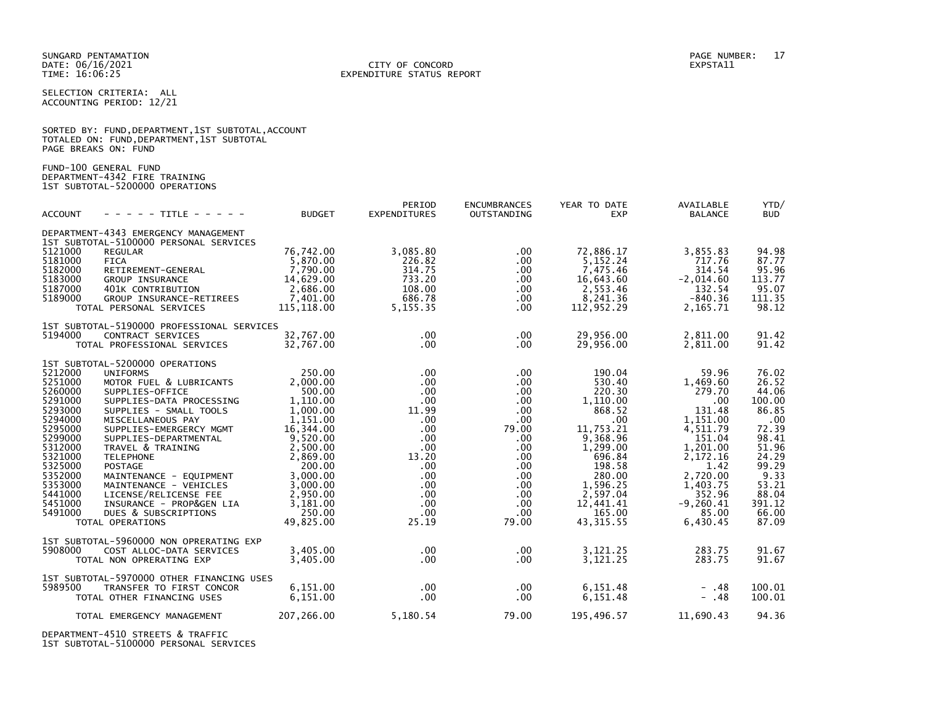### DATE: 06/16/2021 CITY OF CONCORD EXPSTA11 TIME: 16:06:25 EXPENDITURE STATUS REPORT

SELECTION CRITERIA: ALL ACCOUNTING PERIOD: 12/21

|                      |  |  | SORTED BY: FUND, DEPARTMENT, 1ST SUBTOTAL, ACCOUNT |  |
|----------------------|--|--|----------------------------------------------------|--|
|                      |  |  | TOTALED ON: FUND,DEPARTMENT,1ST SUBTOTAL           |  |
| PAGE BREAKS ON: FUND |  |  |                                                    |  |

FUND-100 GENERAL FUND DEPARTMENT-4342 FIRE TRAINING 1ST SUBTOTAL-5200000 OPERATIONS

| <b>ACCOUNT</b>                                                                                                                                                               | - - - - - TITLE - - - - -                                                                                                                                                                                                                                                                                                                                                                                                                 | <b>BUDGET</b>                                                                                                                                                                                      | PERIOD<br><b>EXPENDITURES</b>                                                                                                                                                                                    | <b>ENCUMBRANCES</b><br>OUTSTANDING                                                                                                                                                        | YEAR TO DATE<br><b>EXP</b>                                                                                                                                                               | AVAILABLE<br><b>BALANCE</b>                                                                                                                                                           | YTD/<br><b>BUD</b>                                                                                                                                   |
|------------------------------------------------------------------------------------------------------------------------------------------------------------------------------|-------------------------------------------------------------------------------------------------------------------------------------------------------------------------------------------------------------------------------------------------------------------------------------------------------------------------------------------------------------------------------------------------------------------------------------------|----------------------------------------------------------------------------------------------------------------------------------------------------------------------------------------------------|------------------------------------------------------------------------------------------------------------------------------------------------------------------------------------------------------------------|-------------------------------------------------------------------------------------------------------------------------------------------------------------------------------------------|------------------------------------------------------------------------------------------------------------------------------------------------------------------------------------------|---------------------------------------------------------------------------------------------------------------------------------------------------------------------------------------|------------------------------------------------------------------------------------------------------------------------------------------------------|
|                                                                                                                                                                              | DEPARTMENT-4343 EMERGENCY MANAGEMENT<br>1ST SUBTOTAL-5100000 PERSONAL SERVICES                                                                                                                                                                                                                                                                                                                                                            |                                                                                                                                                                                                    |                                                                                                                                                                                                                  |                                                                                                                                                                                           |                                                                                                                                                                                          |                                                                                                                                                                                       |                                                                                                                                                      |
| 5121000<br>5181000<br>5182000<br>5183000<br>5187000<br>5189000                                                                                                               | <b>REGULAR</b><br><b>FICA</b><br>RETIREMENT-GENERAL<br>GROUP INSURANCE<br>401K CONTRIBUTION<br>GROUP INSURANCE-RETIREES<br>TOTAL PERSONAL SERVICES                                                                                                                                                                                                                                                                                        | 76,742.00<br>5,870.00<br>7,790.00<br>14,629.00<br>2,686.00<br>7,401.00<br>115, 118.00                                                                                                              | 3,085.80<br>226.82<br>314.75<br>733.20<br>108.00<br>686.78<br>5, 155. 35                                                                                                                                         | .00<br>.00<br>$.00 \,$<br>$.00 \,$<br>$.00 \,$<br>$.00 \,$<br>$.00 \,$                                                                                                                    | 72,886.17<br>5,152.24<br>7,475.46<br>16,643.60<br>2,553.46<br>8,241.36<br>112,952.29                                                                                                     | 3,855.83<br>717.76<br>314.54<br>$-2,014.60$<br>132.54<br>$-840.36$<br>2,165.71                                                                                                        | 94.98<br>87.77<br>95.96<br>113.77<br>95.07<br>111.35<br>98.12                                                                                        |
| 5194000                                                                                                                                                                      | 1ST SUBTOTAL-5190000 PROFESSIONAL SERVICES<br>CONTRACT SERVICES<br>TOTAL PROFESSIONAL SERVICES                                                                                                                                                                                                                                                                                                                                            | 32.767.00<br>32,767.00                                                                                                                                                                             | $.00 \,$<br>$.00 \,$                                                                                                                                                                                             | $.00 \,$<br>$.00 \,$                                                                                                                                                                      | 29,956.00<br>29,956.00                                                                                                                                                                   | 2,811.00<br>2,811.00                                                                                                                                                                  | 91.42<br>91.42                                                                                                                                       |
| 5212000<br>5251000<br>5260000<br>5291000<br>5293000<br>5294000<br>5295000<br>5299000<br>5312000<br>5321000<br>5325000<br>5352000<br>5353000<br>5441000<br>5451000<br>5491000 | 1ST SUBTOTAL-5200000 OPERATIONS<br><b>UNIFORMS</b><br>MOTOR FUEL & LUBRICANTS<br>SUPPLIES-OFFICE<br>SUPPLIES-DATA PROCESSING<br>SUPPLIES - SMALL TOOLS<br>MISCELLANEOUS PAY<br>SUPPLIES-EMERGERCY MGMT<br>SUPPLIES-DEPARTMENTAL<br>TRAVEL & TRAINING<br><b>TELEPHONE</b><br>POSTAGE<br>MAINTENANCE - EQUIPMENT<br>MAINTENANCE - VEHICLES<br>LICENSE/RELICENSE FEE<br>INSURANCE - PROP&GEN LIA<br>DUES & SUBSCRIPTIONS<br>TOTAL OPERATIONS | 250.00<br>2,000.00<br>500.00<br>1.110.00<br>1,000.00<br>1.151.00<br>16,344.00<br>9,520.00<br>2,500.00<br>2,869.00<br>200.00<br>3,000.00<br>3,000.00<br>2,950.00<br>3,181.00<br>250.00<br>49.825.00 | $.00 \,$<br>$.00 \,$<br>$.00 \cdot$<br>$.00 \,$<br>11.99<br>$.00 \,$<br>$.00 \,$<br>$.00 \,$<br>$.00 \cdot$<br>13.20<br>$.00 \,$<br>$.00 \,$<br>$.00 \,$<br>.00 <sub>1</sub><br>$.00 \cdot$<br>$.00 \,$<br>25.19 | $.00 \,$<br>$.00 \,$<br>$.00 \,$<br>$.00 \,$<br>$.00 \,$<br>$.00 \,$<br>79.00<br>$.00 \,$<br>.00.<br>$.00 \,$<br>$.00 \,$<br>$.00 \,$<br>$.00 \,$<br>.00<br>$.00 \,$<br>$.00 \,$<br>79.00 | 190.04<br>530.40<br>220.30<br>1,110.00<br>868.52<br>.00.<br>11,753.21<br>9,368.96<br>1,299.00<br>696.84<br>198.58<br>280.00<br>1,596.25<br>2,597.04<br>12,441.41<br>165.00<br>43, 315.55 | 59.96<br>1.469.60<br>279.70<br>.00<br>131.48<br>1,151.00<br>4,511.79<br>151.04<br>1,201.00<br>2,172.16<br>1.42<br>2,720.00<br>1,403.75<br>352.96<br>$-9, 260.41$<br>85.00<br>6,430.45 | 76.02<br>26.52<br>44.06<br>100.00<br>86.85<br>.00<br>72.39<br>98.41<br>51.96<br>24.29<br>99.29<br>9.33<br>53.21<br>88.04<br>391.12<br>66.00<br>87.09 |
| 5908000                                                                                                                                                                      | 1ST SUBTOTAL-5960000 NON OPRERATING EXP<br>COST ALLOC-DATA SERVICES<br>TOTAL NON OPRERATING EXP                                                                                                                                                                                                                                                                                                                                           | 3.405.00<br>3,405.00                                                                                                                                                                               | $.00 \,$<br>$.00 \,$                                                                                                                                                                                             | $.00 \,$<br>.00                                                                                                                                                                           | 3,121.25<br>3,121.25                                                                                                                                                                     | 283.75<br>283.75                                                                                                                                                                      | 91.67<br>91.67                                                                                                                                       |
| 5989500                                                                                                                                                                      | 1ST SUBTOTAL-5970000 OTHER FINANCING USES<br>TRANSFER TO FIRST CONCOR<br>TOTAL OTHER FINANCING USES                                                                                                                                                                                                                                                                                                                                       | 6,151.00<br>6,151.00                                                                                                                                                                               | $.00 \,$<br>.00 <sub>1</sub>                                                                                                                                                                                     | $.00 \,$<br>$.00 \,$                                                                                                                                                                      | 6,151.48<br>6,151.48                                                                                                                                                                     | $- .48$<br>$- .48$                                                                                                                                                                    | 100.01<br>100.01                                                                                                                                     |
|                                                                                                                                                                              | TOTAL EMERGENCY MANAGEMENT                                                                                                                                                                                                                                                                                                                                                                                                                | 207,266.00                                                                                                                                                                                         | 5,180.54                                                                                                                                                                                                         | 79.00                                                                                                                                                                                     | 195,496.57                                                                                                                                                                               | 11.690.43                                                                                                                                                                             | 94.36                                                                                                                                                |

DEPARTMENT-4510 STREETS & TRAFFIC 1ST SUBTOTAL-5100000 PERSONAL SERVICES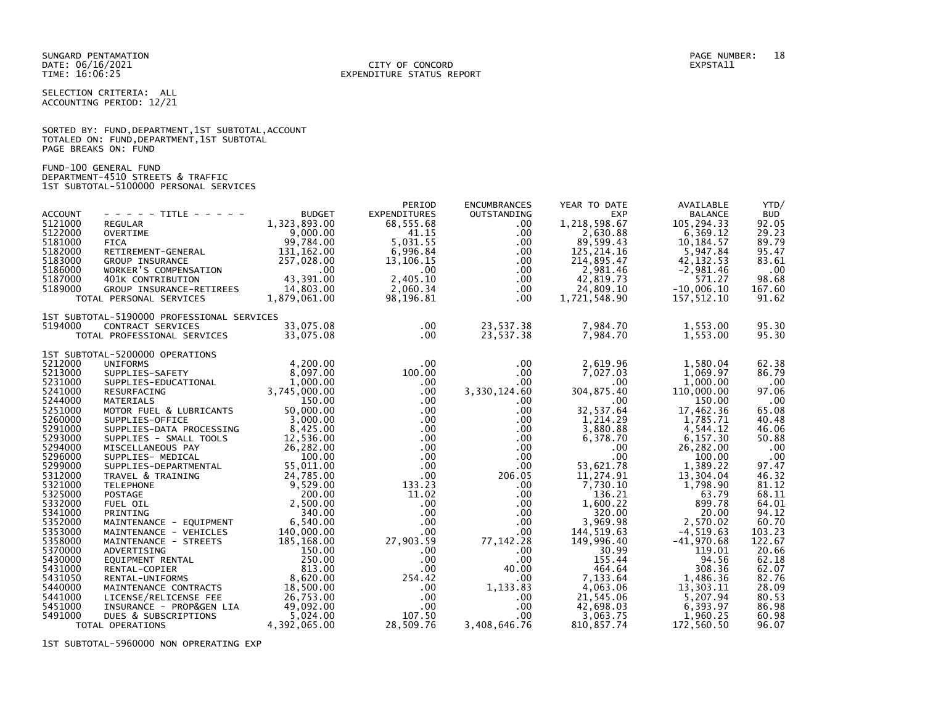SUNGARD PENTAMATION PAGE NUMBER: 18 DATE: 06/16/2021<br>TIME: 16:06:25

# EXPENDITURE STATUS REPORT

SELECTION CRITERIA: ALL ACCOUNTING PERIOD: 12/21

SORTED BY: FUND,DEPARTMENT,1ST SUBTOTAL,ACCOUNT TOTALED ON: FUND,DEPARTMENT,1ST SUBTOTAL PAGE BREAKS ON: FUND

FUND-100 GENERAL FUND DEPARTMENT-4510 STREETS & TRAFFIC 1ST SUBTOTAL-5100000 PERSONAL SERVICES

| <b>ACCOUNT</b><br>5121000<br>5122000<br>5181000<br>5182000<br>5183000<br>5186000<br>5187000<br>5189000 | $- - - - -$ TITLE - - - - -<br><b>REGULAR</b><br><b>OVERTIME</b><br><b>FICA</b><br>RETIREMENT-GENERAL<br>GROUP INSURANCE<br>WORKER'S COMPENSATION<br>401K CONTRIBUTION<br>GROUP INSURANCE-RETIREES<br>TOTAL PERSONAL SERVICES | <b>BUDGET</b><br>1,323,893.00<br>9,000.00<br>99,784.00<br>131,162.00<br>257,028.00<br>$.00 \,$<br>43,391.00<br>14,803.00<br>1,879,061.00 | PERIOD<br><b>EXPENDITURES</b><br>68,555.68<br>41.15<br>5.031.55<br>6,996.84<br>13,106.15<br>$.00 \,$<br>2,405.10<br>2,060.34<br>98,196.81 | <b>ENCUMBRANCES</b><br>OUTSTANDING<br>$.00 \,$<br>$.00 \,$<br>.00<br>.00<br>$.00 \,$<br>.00<br>$.00 \,$<br>.00<br>$.00 \,$ | YEAR TO DATE<br><b>EXP</b><br>1,218,598.67<br>2,630.88<br>89,599.43<br>125, 214.16<br>214,895.47<br>2,981.46<br>42,819.73<br>24,809.10<br>1,721,548.90 | AVAILABLE<br><b>BALANCE</b><br>105.294.33<br>6,369.12<br>10,184.57<br>5,947.84<br>42, 132.53<br>$-2,981.46$<br>571.27<br>$-10.006.10$<br>157,512.10 | YTD/<br><b>BUD</b><br>92.05<br>29.23<br>89.79<br>95.47<br>83.61<br>.00<br>98.68<br>167.60<br>91.62 |
|--------------------------------------------------------------------------------------------------------|-------------------------------------------------------------------------------------------------------------------------------------------------------------------------------------------------------------------------------|------------------------------------------------------------------------------------------------------------------------------------------|-------------------------------------------------------------------------------------------------------------------------------------------|----------------------------------------------------------------------------------------------------------------------------|--------------------------------------------------------------------------------------------------------------------------------------------------------|-----------------------------------------------------------------------------------------------------------------------------------------------------|----------------------------------------------------------------------------------------------------|
|                                                                                                        | 1ST SUBTOTAL-5190000 PROFESSIONAL SERVICES                                                                                                                                                                                    |                                                                                                                                          |                                                                                                                                           |                                                                                                                            |                                                                                                                                                        |                                                                                                                                                     |                                                                                                    |
| 5194000                                                                                                | CONTRACT SERVICES<br>TOTAL PROFESSIONAL SERVICES                                                                                                                                                                              | 33.075.08<br>33,075.08                                                                                                                   | $.00 \,$<br>$.00 \,$                                                                                                                      | 23,537.38<br>23,537.38                                                                                                     | 7,984.70<br>7,984.70                                                                                                                                   | 1,553.00<br>1,553.00                                                                                                                                | 95.30<br>95.30                                                                                     |
|                                                                                                        | 1ST SUBTOTAL-5200000 OPERATIONS                                                                                                                                                                                               |                                                                                                                                          |                                                                                                                                           |                                                                                                                            |                                                                                                                                                        |                                                                                                                                                     |                                                                                                    |
| 5212000                                                                                                | <b>UNIFORMS</b>                                                                                                                                                                                                               | 4,200.00                                                                                                                                 | $.00 \,$                                                                                                                                  | .00.                                                                                                                       | 2,619.96                                                                                                                                               | 1,580.04                                                                                                                                            | 62.38                                                                                              |
| 5213000                                                                                                | SUPPLIES-SAFETY                                                                                                                                                                                                               | 8,097.00                                                                                                                                 | 100.00                                                                                                                                    | $.00 \,$                                                                                                                   | 7,027.03                                                                                                                                               | 1,069.97                                                                                                                                            | 86.79                                                                                              |
| 5231000                                                                                                | SUPPLIES-EDUCATIONAL                                                                                                                                                                                                          | 1.000.00                                                                                                                                 | .00                                                                                                                                       | $.00 \,$                                                                                                                   | .00                                                                                                                                                    | 1.000.00                                                                                                                                            | .00                                                                                                |
| 5241000                                                                                                | RESURFACING                                                                                                                                                                                                                   | 3,745,000.00                                                                                                                             | $.00 \,$                                                                                                                                  | 3,330,124.60                                                                                                               | 304,875.40                                                                                                                                             | 110,000.00                                                                                                                                          | 97.06                                                                                              |
| 5244000                                                                                                | MATERIALS                                                                                                                                                                                                                     | 150.00                                                                                                                                   | $.00 \,$                                                                                                                                  | $.00 \,$                                                                                                                   | $.00 \,$                                                                                                                                               | 150.00                                                                                                                                              | .00                                                                                                |
| 5251000                                                                                                | MOTOR FUEL & LUBRICANTS                                                                                                                                                                                                       | 50,000.00                                                                                                                                | .00                                                                                                                                       | .00                                                                                                                        | 32,537.64                                                                                                                                              | 17,462.36                                                                                                                                           | 65.08                                                                                              |
| 5260000                                                                                                | SUPPLIES-OFFICE                                                                                                                                                                                                               | 3,000.00                                                                                                                                 | .00                                                                                                                                       | .00.                                                                                                                       | 1,214.29                                                                                                                                               | 1,785.71                                                                                                                                            | 40.48                                                                                              |
| 5291000<br>5293000                                                                                     | SUPPLIES-DATA PROCESSING                                                                                                                                                                                                      | 8,425.00<br>12,536.00                                                                                                                    | $.00 \,$                                                                                                                                  | $.00 \,$                                                                                                                   | 3,880.88<br>6,378.70                                                                                                                                   | 4,544.12<br>6,157.30                                                                                                                                | 46.06                                                                                              |
| 5294000                                                                                                | SUPPLIES - SMALL TOOLS<br>MISCELLANEOUS PAY                                                                                                                                                                                   | 26,282.00                                                                                                                                | $.00 \,$<br>$.00 \,$                                                                                                                      | $.00 \,$<br>$.00 \,$                                                                                                       | $.00 \,$                                                                                                                                               | 26,282.00                                                                                                                                           | 50.88<br>.00                                                                                       |
| 5296000                                                                                                | SUPPLIES- MEDICAL                                                                                                                                                                                                             | 100.00                                                                                                                                   | $.00 \,$                                                                                                                                  | $.00 \,$                                                                                                                   | .00                                                                                                                                                    | 100.00                                                                                                                                              | .00                                                                                                |
| 5299000                                                                                                | SUPPLIES-DEPARTMENTAL                                                                                                                                                                                                         | 55,011.00                                                                                                                                | .00                                                                                                                                       | $.00 \,$                                                                                                                   | 53,621.78                                                                                                                                              | 1,389.22                                                                                                                                            | 97.47                                                                                              |
| 5312000                                                                                                | TRAVEL & TRAINING                                                                                                                                                                                                             | 24,785.00                                                                                                                                | $.00 \,$                                                                                                                                  | 206.05                                                                                                                     | 11,274.91                                                                                                                                              | 13,304.04                                                                                                                                           | 46.32                                                                                              |
| 5321000                                                                                                | <b>TELEPHONE</b>                                                                                                                                                                                                              | 9,529.00                                                                                                                                 | 133.23                                                                                                                                    | $.00 \,$                                                                                                                   | 7,730.10                                                                                                                                               | 1,798.90                                                                                                                                            | 81.12                                                                                              |
| 5325000                                                                                                | <b>POSTAGE</b>                                                                                                                                                                                                                | 200.00                                                                                                                                   | 11.02                                                                                                                                     | $.00 \,$                                                                                                                   | 136.21                                                                                                                                                 | 63.79                                                                                                                                               | 68.11                                                                                              |
| 5332000                                                                                                | FUEL OIL                                                                                                                                                                                                                      | 2,500.00                                                                                                                                 | $.00 \,$                                                                                                                                  | $.00 \,$                                                                                                                   | 1,600.22                                                                                                                                               | 899.78                                                                                                                                              | 64.01                                                                                              |
| 5341000                                                                                                | PRINTING                                                                                                                                                                                                                      | 340.00                                                                                                                                   | $.00 \,$                                                                                                                                  | .00.                                                                                                                       | 320.00                                                                                                                                                 | 20.00                                                                                                                                               | 94.12                                                                                              |
| 5352000                                                                                                | MAINTENANCE - EQUIPMENT                                                                                                                                                                                                       | 6,540.00                                                                                                                                 | $.00 \,$                                                                                                                                  | $.00 \,$                                                                                                                   | 3.969.98                                                                                                                                               | 2,570.02                                                                                                                                            | 60.70                                                                                              |
| 5353000                                                                                                | MAINTENANCE - VEHICLES                                                                                                                                                                                                        | 140.000.00                                                                                                                               | $.00 \,$                                                                                                                                  | $.00 \,$                                                                                                                   | 144,519.63                                                                                                                                             | $-4,519.63$                                                                                                                                         | 103.23                                                                                             |
| 5358000                                                                                                | MAINTENANCE - STREETS                                                                                                                                                                                                         | 185,168.00                                                                                                                               | 27,903.59                                                                                                                                 | 77, 142. 28                                                                                                                | 149,996.40                                                                                                                                             | $-41,970.68$                                                                                                                                        | 122.67                                                                                             |
| 5370000                                                                                                | ADVERTISING                                                                                                                                                                                                                   | 150.00                                                                                                                                   | .00                                                                                                                                       | $.00 \,$                                                                                                                   | 30.99                                                                                                                                                  | 119.01                                                                                                                                              | 20.66                                                                                              |
| 5430000                                                                                                | EQUIPMENT RENTAL                                                                                                                                                                                                              | 250.00                                                                                                                                   | .00                                                                                                                                       | .00.                                                                                                                       | 155.44                                                                                                                                                 | 94.56                                                                                                                                               | 62.18                                                                                              |
| 5431000                                                                                                | RENTAL-COPIER                                                                                                                                                                                                                 | 813.00                                                                                                                                   | $.00 \,$                                                                                                                                  | 40.00                                                                                                                      | 464.64                                                                                                                                                 | 308.36                                                                                                                                              | 62.07                                                                                              |
| 5431050                                                                                                | RENTAL-UNIFORMS                                                                                                                                                                                                               | 8,620.00                                                                                                                                 | 254.42                                                                                                                                    | $.00 \,$                                                                                                                   | 7.133.64                                                                                                                                               | 1,486.36                                                                                                                                            | 82.76                                                                                              |
| 5440000                                                                                                | MAINTENANCE CONTRACTS                                                                                                                                                                                                         | 18,500.00                                                                                                                                | $.00 \,$                                                                                                                                  | 1,133.83                                                                                                                   | 4,063.06                                                                                                                                               | 13,303.11                                                                                                                                           | 28.09                                                                                              |
| 5441000                                                                                                | LICENSE/RELICENSE FEE                                                                                                                                                                                                         | 26,753.00                                                                                                                                | $.00 \,$                                                                                                                                  | .00.                                                                                                                       | 21,545.06                                                                                                                                              | 5,207.94                                                                                                                                            | 80.53                                                                                              |
| 5451000                                                                                                | INSURANCE - PROP&GEN LIA                                                                                                                                                                                                      | 49,092.00                                                                                                                                | $.00 \,$                                                                                                                                  | $.00 \,$                                                                                                                   | 42,698.03                                                                                                                                              | 6,393.97                                                                                                                                            | 86.98                                                                                              |
| 5491000                                                                                                | DUES & SUBSCRIPTIONS                                                                                                                                                                                                          | 5,024.00                                                                                                                                 | 107.50                                                                                                                                    | $.00 \,$                                                                                                                   | 3,063.75                                                                                                                                               | 1,960.25                                                                                                                                            | 60.98                                                                                              |
|                                                                                                        | TOTAL OPERATIONS                                                                                                                                                                                                              | 4,392,065.00                                                                                                                             | 28,509.76                                                                                                                                 | 3,408,646.76                                                                                                               | 810, 857.74                                                                                                                                            | 172,560.50                                                                                                                                          | 96.07                                                                                              |

1ST SUBTOTAL-5960000 NON OPRERATING EXP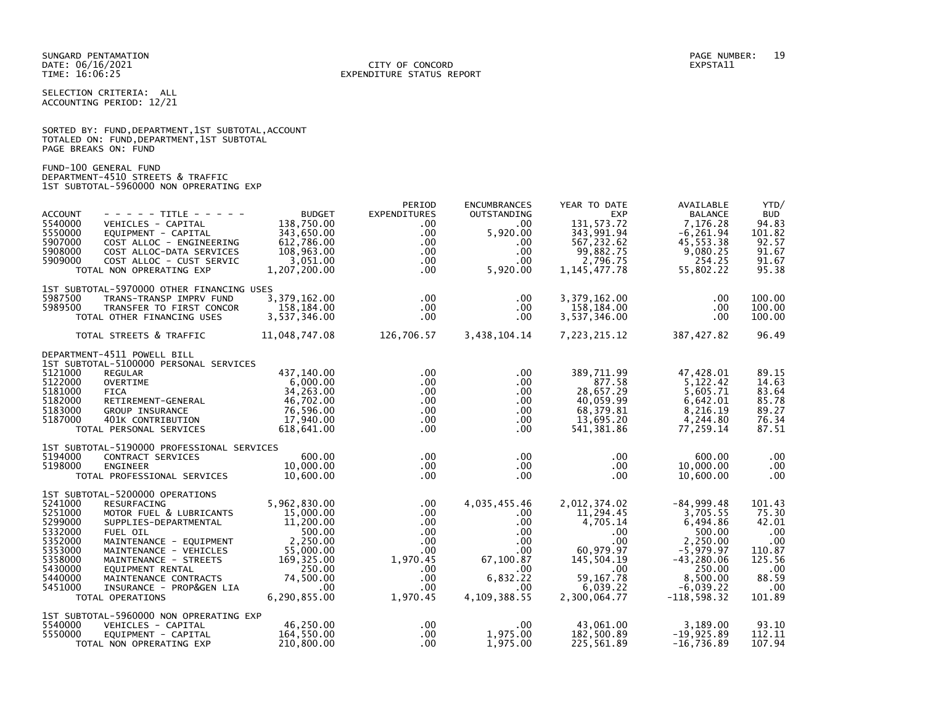SELECTION CRITERIA: ALL ACCOUNTING PERIOD: 12/21

|                      |  |  | SORTED BY: FUND, DEPARTMENT, 1ST SUBTOTAL, ACCOUNT |  |
|----------------------|--|--|----------------------------------------------------|--|
|                      |  |  | TOTALED ON: FUND, DEPARTMENT, 1ST SUBTOTAL         |  |
| PAGE BREAKS ON: FUND |  |  |                                                    |  |

FUND-100 GENERAL FUND DEPARTMENT-4510 STREETS & TRAFFIC 1ST SUBTOTAL-5960000 NON OPRERATING EXP

|               | PERIOD                                                                                                                                                                                                                                                                                                                                                                                                                                                                                                                                                                                                                                                                                                                                                                                                                                                                                                                                                                                                                                                                                                                                                                                                                                                                                                                               | <b>ENCUMBRANCES</b>                                                                                                                                                                                                                                                                                                                                                                                            | YEAR TO DATE                                                                                                                                                                                                                                                                                                                                                   | AVAILABLE                                                                                                                                                                                                                                                                                                                                                                                                                                      | YTD/                                                                                                                                                                                                                                                                                                                                                                                             |
|---------------|--------------------------------------------------------------------------------------------------------------------------------------------------------------------------------------------------------------------------------------------------------------------------------------------------------------------------------------------------------------------------------------------------------------------------------------------------------------------------------------------------------------------------------------------------------------------------------------------------------------------------------------------------------------------------------------------------------------------------------------------------------------------------------------------------------------------------------------------------------------------------------------------------------------------------------------------------------------------------------------------------------------------------------------------------------------------------------------------------------------------------------------------------------------------------------------------------------------------------------------------------------------------------------------------------------------------------------------|----------------------------------------------------------------------------------------------------------------------------------------------------------------------------------------------------------------------------------------------------------------------------------------------------------------------------------------------------------------------------------------------------------------|----------------------------------------------------------------------------------------------------------------------------------------------------------------------------------------------------------------------------------------------------------------------------------------------------------------------------------------------------------------|------------------------------------------------------------------------------------------------------------------------------------------------------------------------------------------------------------------------------------------------------------------------------------------------------------------------------------------------------------------------------------------------------------------------------------------------|--------------------------------------------------------------------------------------------------------------------------------------------------------------------------------------------------------------------------------------------------------------------------------------------------------------------------------------------------------------------------------------------------|
|               |                                                                                                                                                                                                                                                                                                                                                                                                                                                                                                                                                                                                                                                                                                                                                                                                                                                                                                                                                                                                                                                                                                                                                                                                                                                                                                                                      |                                                                                                                                                                                                                                                                                                                                                                                                                |                                                                                                                                                                                                                                                                                                                                                                |                                                                                                                                                                                                                                                                                                                                                                                                                                                | <b>BUD</b>                                                                                                                                                                                                                                                                                                                                                                                       |
|               |                                                                                                                                                                                                                                                                                                                                                                                                                                                                                                                                                                                                                                                                                                                                                                                                                                                                                                                                                                                                                                                                                                                                                                                                                                                                                                                                      |                                                                                                                                                                                                                                                                                                                                                                                                                |                                                                                                                                                                                                                                                                                                                                                                |                                                                                                                                                                                                                                                                                                                                                                                                                                                | 94.83                                                                                                                                                                                                                                                                                                                                                                                            |
|               |                                                                                                                                                                                                                                                                                                                                                                                                                                                                                                                                                                                                                                                                                                                                                                                                                                                                                                                                                                                                                                                                                                                                                                                                                                                                                                                                      |                                                                                                                                                                                                                                                                                                                                                                                                                |                                                                                                                                                                                                                                                                                                                                                                |                                                                                                                                                                                                                                                                                                                                                                                                                                                | 101.82<br>92.57                                                                                                                                                                                                                                                                                                                                                                                  |
|               |                                                                                                                                                                                                                                                                                                                                                                                                                                                                                                                                                                                                                                                                                                                                                                                                                                                                                                                                                                                                                                                                                                                                                                                                                                                                                                                                      |                                                                                                                                                                                                                                                                                                                                                                                                                |                                                                                                                                                                                                                                                                                                                                                                |                                                                                                                                                                                                                                                                                                                                                                                                                                                | 91.67                                                                                                                                                                                                                                                                                                                                                                                            |
|               |                                                                                                                                                                                                                                                                                                                                                                                                                                                                                                                                                                                                                                                                                                                                                                                                                                                                                                                                                                                                                                                                                                                                                                                                                                                                                                                                      |                                                                                                                                                                                                                                                                                                                                                                                                                |                                                                                                                                                                                                                                                                                                                                                                |                                                                                                                                                                                                                                                                                                                                                                                                                                                | 91.67                                                                                                                                                                                                                                                                                                                                                                                            |
|               |                                                                                                                                                                                                                                                                                                                                                                                                                                                                                                                                                                                                                                                                                                                                                                                                                                                                                                                                                                                                                                                                                                                                                                                                                                                                                                                                      |                                                                                                                                                                                                                                                                                                                                                                                                                |                                                                                                                                                                                                                                                                                                                                                                |                                                                                                                                                                                                                                                                                                                                                                                                                                                | 95.38                                                                                                                                                                                                                                                                                                                                                                                            |
|               |                                                                                                                                                                                                                                                                                                                                                                                                                                                                                                                                                                                                                                                                                                                                                                                                                                                                                                                                                                                                                                                                                                                                                                                                                                                                                                                                      |                                                                                                                                                                                                                                                                                                                                                                                                                |                                                                                                                                                                                                                                                                                                                                                                |                                                                                                                                                                                                                                                                                                                                                                                                                                                |                                                                                                                                                                                                                                                                                                                                                                                                  |
|               |                                                                                                                                                                                                                                                                                                                                                                                                                                                                                                                                                                                                                                                                                                                                                                                                                                                                                                                                                                                                                                                                                                                                                                                                                                                                                                                                      |                                                                                                                                                                                                                                                                                                                                                                                                                |                                                                                                                                                                                                                                                                                                                                                                |                                                                                                                                                                                                                                                                                                                                                                                                                                                |                                                                                                                                                                                                                                                                                                                                                                                                  |
|               |                                                                                                                                                                                                                                                                                                                                                                                                                                                                                                                                                                                                                                                                                                                                                                                                                                                                                                                                                                                                                                                                                                                                                                                                                                                                                                                                      |                                                                                                                                                                                                                                                                                                                                                                                                                |                                                                                                                                                                                                                                                                                                                                                                |                                                                                                                                                                                                                                                                                                                                                                                                                                                | 100.00                                                                                                                                                                                                                                                                                                                                                                                           |
|               |                                                                                                                                                                                                                                                                                                                                                                                                                                                                                                                                                                                                                                                                                                                                                                                                                                                                                                                                                                                                                                                                                                                                                                                                                                                                                                                                      |                                                                                                                                                                                                                                                                                                                                                                                                                |                                                                                                                                                                                                                                                                                                                                                                |                                                                                                                                                                                                                                                                                                                                                                                                                                                | 100.00<br>100.00                                                                                                                                                                                                                                                                                                                                                                                 |
|               |                                                                                                                                                                                                                                                                                                                                                                                                                                                                                                                                                                                                                                                                                                                                                                                                                                                                                                                                                                                                                                                                                                                                                                                                                                                                                                                                      |                                                                                                                                                                                                                                                                                                                                                                                                                |                                                                                                                                                                                                                                                                                                                                                                |                                                                                                                                                                                                                                                                                                                                                                                                                                                |                                                                                                                                                                                                                                                                                                                                                                                                  |
| 11,048,747.08 |                                                                                                                                                                                                                                                                                                                                                                                                                                                                                                                                                                                                                                                                                                                                                                                                                                                                                                                                                                                                                                                                                                                                                                                                                                                                                                                                      |                                                                                                                                                                                                                                                                                                                                                                                                                | 7,223,215.12                                                                                                                                                                                                                                                                                                                                                   | 387,427.82                                                                                                                                                                                                                                                                                                                                                                                                                                     | 96.49                                                                                                                                                                                                                                                                                                                                                                                            |
|               |                                                                                                                                                                                                                                                                                                                                                                                                                                                                                                                                                                                                                                                                                                                                                                                                                                                                                                                                                                                                                                                                                                                                                                                                                                                                                                                                      |                                                                                                                                                                                                                                                                                                                                                                                                                |                                                                                                                                                                                                                                                                                                                                                                |                                                                                                                                                                                                                                                                                                                                                                                                                                                |                                                                                                                                                                                                                                                                                                                                                                                                  |
|               |                                                                                                                                                                                                                                                                                                                                                                                                                                                                                                                                                                                                                                                                                                                                                                                                                                                                                                                                                                                                                                                                                                                                                                                                                                                                                                                                      |                                                                                                                                                                                                                                                                                                                                                                                                                |                                                                                                                                                                                                                                                                                                                                                                |                                                                                                                                                                                                                                                                                                                                                                                                                                                | 89.15                                                                                                                                                                                                                                                                                                                                                                                            |
|               |                                                                                                                                                                                                                                                                                                                                                                                                                                                                                                                                                                                                                                                                                                                                                                                                                                                                                                                                                                                                                                                                                                                                                                                                                                                                                                                                      |                                                                                                                                                                                                                                                                                                                                                                                                                |                                                                                                                                                                                                                                                                                                                                                                |                                                                                                                                                                                                                                                                                                                                                                                                                                                | 14.63                                                                                                                                                                                                                                                                                                                                                                                            |
|               |                                                                                                                                                                                                                                                                                                                                                                                                                                                                                                                                                                                                                                                                                                                                                                                                                                                                                                                                                                                                                                                                                                                                                                                                                                                                                                                                      |                                                                                                                                                                                                                                                                                                                                                                                                                |                                                                                                                                                                                                                                                                                                                                                                |                                                                                                                                                                                                                                                                                                                                                                                                                                                | 83.64                                                                                                                                                                                                                                                                                                                                                                                            |
|               |                                                                                                                                                                                                                                                                                                                                                                                                                                                                                                                                                                                                                                                                                                                                                                                                                                                                                                                                                                                                                                                                                                                                                                                                                                                                                                                                      |                                                                                                                                                                                                                                                                                                                                                                                                                |                                                                                                                                                                                                                                                                                                                                                                |                                                                                                                                                                                                                                                                                                                                                                                                                                                | 85.78                                                                                                                                                                                                                                                                                                                                                                                            |
|               |                                                                                                                                                                                                                                                                                                                                                                                                                                                                                                                                                                                                                                                                                                                                                                                                                                                                                                                                                                                                                                                                                                                                                                                                                                                                                                                                      |                                                                                                                                                                                                                                                                                                                                                                                                                |                                                                                                                                                                                                                                                                                                                                                                |                                                                                                                                                                                                                                                                                                                                                                                                                                                | 89.27                                                                                                                                                                                                                                                                                                                                                                                            |
|               | $.00 \,$                                                                                                                                                                                                                                                                                                                                                                                                                                                                                                                                                                                                                                                                                                                                                                                                                                                                                                                                                                                                                                                                                                                                                                                                                                                                                                                             |                                                                                                                                                                                                                                                                                                                                                                                                                |                                                                                                                                                                                                                                                                                                                                                                |                                                                                                                                                                                                                                                                                                                                                                                                                                                | 76.34                                                                                                                                                                                                                                                                                                                                                                                            |
| 618,641.00    | $.00 \cdot$                                                                                                                                                                                                                                                                                                                                                                                                                                                                                                                                                                                                                                                                                                                                                                                                                                                                                                                                                                                                                                                                                                                                                                                                                                                                                                                          | $.00 \cdot$                                                                                                                                                                                                                                                                                                                                                                                                    | 541,381.86                                                                                                                                                                                                                                                                                                                                                     | 77,259.14                                                                                                                                                                                                                                                                                                                                                                                                                                      | 87.51                                                                                                                                                                                                                                                                                                                                                                                            |
|               |                                                                                                                                                                                                                                                                                                                                                                                                                                                                                                                                                                                                                                                                                                                                                                                                                                                                                                                                                                                                                                                                                                                                                                                                                                                                                                                                      |                                                                                                                                                                                                                                                                                                                                                                                                                |                                                                                                                                                                                                                                                                                                                                                                |                                                                                                                                                                                                                                                                                                                                                                                                                                                |                                                                                                                                                                                                                                                                                                                                                                                                  |
|               |                                                                                                                                                                                                                                                                                                                                                                                                                                                                                                                                                                                                                                                                                                                                                                                                                                                                                                                                                                                                                                                                                                                                                                                                                                                                                                                                      |                                                                                                                                                                                                                                                                                                                                                                                                                |                                                                                                                                                                                                                                                                                                                                                                |                                                                                                                                                                                                                                                                                                                                                                                                                                                | .00                                                                                                                                                                                                                                                                                                                                                                                              |
|               |                                                                                                                                                                                                                                                                                                                                                                                                                                                                                                                                                                                                                                                                                                                                                                                                                                                                                                                                                                                                                                                                                                                                                                                                                                                                                                                                      |                                                                                                                                                                                                                                                                                                                                                                                                                |                                                                                                                                                                                                                                                                                                                                                                |                                                                                                                                                                                                                                                                                                                                                                                                                                                | $.00 \,$                                                                                                                                                                                                                                                                                                                                                                                         |
|               |                                                                                                                                                                                                                                                                                                                                                                                                                                                                                                                                                                                                                                                                                                                                                                                                                                                                                                                                                                                                                                                                                                                                                                                                                                                                                                                                      |                                                                                                                                                                                                                                                                                                                                                                                                                |                                                                                                                                                                                                                                                                                                                                                                |                                                                                                                                                                                                                                                                                                                                                                                                                                                | $.00 \,$                                                                                                                                                                                                                                                                                                                                                                                         |
|               |                                                                                                                                                                                                                                                                                                                                                                                                                                                                                                                                                                                                                                                                                                                                                                                                                                                                                                                                                                                                                                                                                                                                                                                                                                                                                                                                      |                                                                                                                                                                                                                                                                                                                                                                                                                |                                                                                                                                                                                                                                                                                                                                                                |                                                                                                                                                                                                                                                                                                                                                                                                                                                |                                                                                                                                                                                                                                                                                                                                                                                                  |
|               |                                                                                                                                                                                                                                                                                                                                                                                                                                                                                                                                                                                                                                                                                                                                                                                                                                                                                                                                                                                                                                                                                                                                                                                                                                                                                                                                      |                                                                                                                                                                                                                                                                                                                                                                                                                |                                                                                                                                                                                                                                                                                                                                                                |                                                                                                                                                                                                                                                                                                                                                                                                                                                | 101.43                                                                                                                                                                                                                                                                                                                                                                                           |
|               |                                                                                                                                                                                                                                                                                                                                                                                                                                                                                                                                                                                                                                                                                                                                                                                                                                                                                                                                                                                                                                                                                                                                                                                                                                                                                                                                      |                                                                                                                                                                                                                                                                                                                                                                                                                |                                                                                                                                                                                                                                                                                                                                                                |                                                                                                                                                                                                                                                                                                                                                                                                                                                | 75.30                                                                                                                                                                                                                                                                                                                                                                                            |
|               |                                                                                                                                                                                                                                                                                                                                                                                                                                                                                                                                                                                                                                                                                                                                                                                                                                                                                                                                                                                                                                                                                                                                                                                                                                                                                                                                      |                                                                                                                                                                                                                                                                                                                                                                                                                |                                                                                                                                                                                                                                                                                                                                                                |                                                                                                                                                                                                                                                                                                                                                                                                                                                | 42.01                                                                                                                                                                                                                                                                                                                                                                                            |
|               |                                                                                                                                                                                                                                                                                                                                                                                                                                                                                                                                                                                                                                                                                                                                                                                                                                                                                                                                                                                                                                                                                                                                                                                                                                                                                                                                      |                                                                                                                                                                                                                                                                                                                                                                                                                |                                                                                                                                                                                                                                                                                                                                                                |                                                                                                                                                                                                                                                                                                                                                                                                                                                | .00                                                                                                                                                                                                                                                                                                                                                                                              |
|               |                                                                                                                                                                                                                                                                                                                                                                                                                                                                                                                                                                                                                                                                                                                                                                                                                                                                                                                                                                                                                                                                                                                                                                                                                                                                                                                                      |                                                                                                                                                                                                                                                                                                                                                                                                                |                                                                                                                                                                                                                                                                                                                                                                |                                                                                                                                                                                                                                                                                                                                                                                                                                                | $.00 \times$                                                                                                                                                                                                                                                                                                                                                                                     |
|               |                                                                                                                                                                                                                                                                                                                                                                                                                                                                                                                                                                                                                                                                                                                                                                                                                                                                                                                                                                                                                                                                                                                                                                                                                                                                                                                                      |                                                                                                                                                                                                                                                                                                                                                                                                                |                                                                                                                                                                                                                                                                                                                                                                |                                                                                                                                                                                                                                                                                                                                                                                                                                                | 110.87<br>125.56                                                                                                                                                                                                                                                                                                                                                                                 |
|               |                                                                                                                                                                                                                                                                                                                                                                                                                                                                                                                                                                                                                                                                                                                                                                                                                                                                                                                                                                                                                                                                                                                                                                                                                                                                                                                                      |                                                                                                                                                                                                                                                                                                                                                                                                                |                                                                                                                                                                                                                                                                                                                                                                |                                                                                                                                                                                                                                                                                                                                                                                                                                                | .00                                                                                                                                                                                                                                                                                                                                                                                              |
|               |                                                                                                                                                                                                                                                                                                                                                                                                                                                                                                                                                                                                                                                                                                                                                                                                                                                                                                                                                                                                                                                                                                                                                                                                                                                                                                                                      |                                                                                                                                                                                                                                                                                                                                                                                                                |                                                                                                                                                                                                                                                                                                                                                                |                                                                                                                                                                                                                                                                                                                                                                                                                                                | 88.59                                                                                                                                                                                                                                                                                                                                                                                            |
|               |                                                                                                                                                                                                                                                                                                                                                                                                                                                                                                                                                                                                                                                                                                                                                                                                                                                                                                                                                                                                                                                                                                                                                                                                                                                                                                                                      |                                                                                                                                                                                                                                                                                                                                                                                                                |                                                                                                                                                                                                                                                                                                                                                                |                                                                                                                                                                                                                                                                                                                                                                                                                                                | .00                                                                                                                                                                                                                                                                                                                                                                                              |
| 6,290,855.00  | 1,970.45                                                                                                                                                                                                                                                                                                                                                                                                                                                                                                                                                                                                                                                                                                                                                                                                                                                                                                                                                                                                                                                                                                                                                                                                                                                                                                                             | 4,109,388.55                                                                                                                                                                                                                                                                                                                                                                                                   | 2,300,064.77                                                                                                                                                                                                                                                                                                                                                   | $-118,598.32$                                                                                                                                                                                                                                                                                                                                                                                                                                  | 101.89                                                                                                                                                                                                                                                                                                                                                                                           |
|               |                                                                                                                                                                                                                                                                                                                                                                                                                                                                                                                                                                                                                                                                                                                                                                                                                                                                                                                                                                                                                                                                                                                                                                                                                                                                                                                                      |                                                                                                                                                                                                                                                                                                                                                                                                                |                                                                                                                                                                                                                                                                                                                                                                |                                                                                                                                                                                                                                                                                                                                                                                                                                                |                                                                                                                                                                                                                                                                                                                                                                                                  |
|               |                                                                                                                                                                                                                                                                                                                                                                                                                                                                                                                                                                                                                                                                                                                                                                                                                                                                                                                                                                                                                                                                                                                                                                                                                                                                                                                                      |                                                                                                                                                                                                                                                                                                                                                                                                                |                                                                                                                                                                                                                                                                                                                                                                |                                                                                                                                                                                                                                                                                                                                                                                                                                                | 93.10                                                                                                                                                                                                                                                                                                                                                                                            |
|               |                                                                                                                                                                                                                                                                                                                                                                                                                                                                                                                                                                                                                                                                                                                                                                                                                                                                                                                                                                                                                                                                                                                                                                                                                                                                                                                                      |                                                                                                                                                                                                                                                                                                                                                                                                                |                                                                                                                                                                                                                                                                                                                                                                |                                                                                                                                                                                                                                                                                                                                                                                                                                                | 112.11                                                                                                                                                                                                                                                                                                                                                                                           |
| 210,800.00    | $.00 \times$                                                                                                                                                                                                                                                                                                                                                                                                                                                                                                                                                                                                                                                                                                                                                                                                                                                                                                                                                                                                                                                                                                                                                                                                                                                                                                                         | 1,975.00                                                                                                                                                                                                                                                                                                                                                                                                       | 225,561.89                                                                                                                                                                                                                                                                                                                                                     | $-16,736.89$                                                                                                                                                                                                                                                                                                                                                                                                                                   | 107.94                                                                                                                                                                                                                                                                                                                                                                                           |
|               | <b>BUDGET</b><br>- - - - - TITLE - - - - -<br>138.750.00<br>VEHICLES - CAPITAL<br>343,650.00<br>EQUIPMENT - CAPITAL<br>612,786.00<br>COST ALLOC - ENGINEERING<br>108,963.00<br>COST ALLOC-DATA SERVICES<br>3,051.00<br>COST ALLOC - CUST SERVIC<br>TOTAL NON OPRERATING EXP<br>1,207,200.00<br>1ST SUBTOTAL-5970000 OTHER FINANCING USES<br>3,379,162.00<br>TRANS-TRANSP IMPRV FUND<br>158,184.00<br>TRANSFER TO FIRST CONCOR<br>3,537,346.00<br>TOTAL OTHER FINANCING USES<br>TOTAL STREETS & TRAFFIC<br>1ST SUBTOTAL-5100000 PERSONAL SERVICES<br>437,140.00<br>6.000.00<br>34,263.00<br>46,702.00<br>RETIREMENT-GENERAL<br>76.596.00<br>17,940.00<br>401K CONTRIBUTION<br>TOTAL PERSONAL SERVICES<br>1ST SUBTOTAL-5190000 PROFESSIONAL SERVICES<br>600.00<br>CONTRACT SERVICES<br>10,000.00<br>10,600.00<br>TOTAL PROFESSIONAL SERVICES<br>1ST SUBTOTAL-5200000 OPERATIONS<br>5,962,830.00<br>MOTOR FUEL & LUBRICANTS<br>11,200.00<br>SUPPLIES-DEPARTMENTAL<br>500.00<br>2,250.00<br>MAINTENANCE - EQUIPMENT<br>55,000.00<br>MAINTENANCE - VEHICLES<br>169,325.00<br>MAINTENANCE - STREETS<br>250.00<br>74,500.00<br>MAINTENANCE CONTRACTS<br>$.00 \,$<br>INSURANCE - PROP&GEN LIA<br>1ST SUBTOTAL-5960000 NON OPRERATING EXP<br>46,250.00<br>VEHICLES - CAPITAL<br>164,550.00<br>EQUIPMENT - CAPITAL<br>TOTAL NON OPRERATING EXP | <b>EXPENDITURES</b><br>$.00 \,$<br>$.00 \,$<br>$.00 \,$<br>$.00 \,$<br>$.00 \,$<br>$.00 \,$<br>$.00 \,$<br>$.00 \,$<br>$.00 \,$<br>$.00 \,$<br>$.00 \,$<br>$.00 \,$<br>$.00 \,$<br>$.00 \,$<br>$.00 \,$<br>$.00 \cdot$<br>$.00 \,$<br>$.00 \,$<br>15,000.00<br>$.00 \,$<br>$.00 \cdot$<br>$.00 \cdot$<br>$.00 \,$<br>$.00 \,$<br>1,970.45<br>$.00 \cdot$<br>$.00 \cdot$<br>$.00 \,$<br>$.00 \,$<br>$.00 \cdot$ | OUTSTANDING<br>$.00 \,$<br>5,920.00<br>.00<br>.00<br>.00.<br>5,920.00<br>$.00 \,$<br>.00.<br>.00.<br>126,706.57<br>$.00 \,$<br>$.00 \,$<br>.00<br>$.00 \,$<br>.00<br>$.00 \,$<br>$.00 \,$<br>$.00 \,$<br>.00.<br>4,035,455.46<br>.00.<br>$.00 \,$<br>$.00 \,$<br>$.00 \,$<br>$.00 \,$<br>67,100.87<br>$.00 \,$<br>6,832.22<br>$.00 \,$<br>$.00 \,$<br>1,975.00 | <b>EXP</b><br>131, 573. 72<br>343,991.94<br>567,232.62<br>99,882.75<br>2,796.75<br>1, 145, 477. 78<br>3,379,162.00<br>158,184.00<br>3,537,346.00<br>3,438,104.14<br>389,711.99<br>877.58<br>28,657.29<br>40,059.99<br>68,379.81<br>13,695.20<br>$.00 \,$<br>$.00 \,$<br>$.00 \,$<br>2,012,374.02<br>11,294.45<br>4,705.14<br>$.00 \,$<br>$.00 \,$<br>60,979.97<br>145,504.19<br>$.00 \,$<br>59, 167. 78<br>6,039.22<br>43,061.00<br>182,500.89 | <b>BALANCE</b><br>7.176.28<br>$-6, 261.94$<br>45,553.38<br>9,080.25<br>254.25<br>55,802.22<br>.00<br>.00<br>$.00 \,$<br>47,428.01<br>5.122.42<br>5,605.71<br>6,642.01<br>8,216.19<br>4,244.80<br>600.00<br>10,000.00<br>10,600.00<br>$-84,999.48$<br>3.705.55<br>6,494.86<br>500.00<br>2,250.00<br>$-5,979.97$<br>$-43, 280.06$<br>250.00<br>8,500.00<br>$-6,039.22$<br>3,189.00<br>$-19,925.89$ |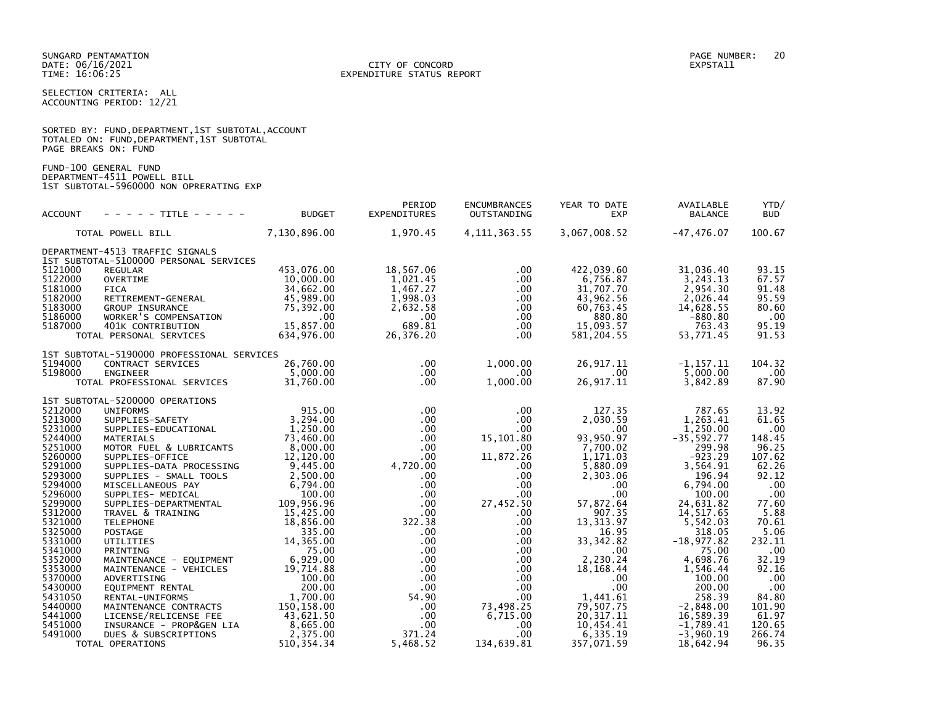### DATE: 06/16/2021 CITY OF CONCORD EXPSTA11 TIME: 16:06:25 EXPENDITURE STATUS REPORT

SELECTION CRITERIA: ALL ACCOUNTING PERIOD: 12/21

|                      |  |  | SORTED BY: FUND, DEPARTMENT, 1ST SUBTOTAL, ACCOUNT |  |
|----------------------|--|--|----------------------------------------------------|--|
|                      |  |  | TOTALED ON: FUND,DEPARTMENT,1ST SUBTOTAL           |  |
| PAGE BREAKS ON: FUND |  |  |                                                    |  |

FUND-100 GENERAL FUND DEPARTMENT-4511 POWELL BILL 1ST SUBTOTAL-5960000 NON OPRERATING EXP

| <b>ACCOUNT</b>     | - - - - - TITLE - - - - -                                                 | <b>BUDGET</b>           | PERIOD<br><b>EXPENDITURES</b> | <b>ENCUMBRANCES</b><br>OUTSTANDING | YEAR TO DATE<br><b>EXP</b> | AVAILABLE<br><b>BALANCE</b> | YTD/<br><b>BUD</b> |
|--------------------|---------------------------------------------------------------------------|-------------------------|-------------------------------|------------------------------------|----------------------------|-----------------------------|--------------------|
|                    | TOTAL POWELL BILL                                                         | 7,130,896.00            | 1,970.45                      | 4, 111, 363.55                     | 3,067,008.52               | $-47,476.07$                | 100.67             |
|                    | DEPARTMENT-4513 TRAFFIC SIGNALS<br>1ST SUBTOTAL-5100000 PERSONAL SERVICES |                         |                               |                                    |                            |                             |                    |
| 5121000            | <b>REGULAR</b>                                                            | 453,076.00              | 18,567.06                     | .00.                               | 422,039.60                 | 31,036.40                   | 93.15              |
| 5122000<br>5181000 | <b>OVERTIME</b><br><b>FICA</b>                                            | 10,000.00<br>34,662.00  | 1,021.45                      | $.00 \,$<br>$.00 \,$               | 6,756.87<br>31,707.70      | 3,243.13<br>2,954.30        | 67.57<br>91.48     |
| 5182000            | RETIREMENT-GENERAL                                                        | 45,989.00               | 1,467.27<br>1,998.03          | $.00 \,$                           | 43,962.56                  | 2,026.44                    | 95.59              |
| 5183000            | <b>GROUP INSURANCE</b>                                                    | 75,392.00               | 2,632.58                      | $.00 \,$                           | 60,763.45                  | 14,628.55                   | 80.60              |
| 5186000            | WORKER'S COMPENSATION                                                     | $.00 \,$                | $.00 \cdot$                   | $.00 \,$                           | 880.80                     | $-880.80$                   | .00                |
| 5187000            | 401K CONTRIBUTION                                                         | 15.857.00               | 689.81                        | .00                                | 15,093.57                  | 763.43                      | 95.19              |
|                    | TOTAL PERSONAL SERVICES                                                   | 634,976.00              | 26,376.20                     | .00.                               | 581,204.55                 | 53,771.45                   | 91.53              |
|                    | 1ST SUBTOTAL-5190000 PROFESSIONAL SERVICES                                |                         |                               |                                    |                            |                             |                    |
| 5194000            | CONTRACT SERVICES                                                         | 26,760.00               | $.00 \,$                      | 1,000.00                           | 26,917.11                  | $-1, 157.11$                | 104.32             |
| 5198000            | <b>ENGINEER</b><br>TOTAL PROFESSIONAL SERVICES                            | 5,000.00<br>31.760.00   | $.00 \,$<br>$.00 \,$          | $.00 \,$<br>1,000.00               | .00<br>26, 917. 11         | 5,000.00<br>3,842.89        | $.00 \,$<br>87.90  |
|                    |                                                                           |                         |                               |                                    |                            |                             |                    |
|                    | 1ST SUBTOTAL-5200000 OPERATIONS                                           |                         |                               |                                    |                            |                             |                    |
| 5212000            | <b>UNIFORMS</b>                                                           | 915.00                  | $.00 \,$                      | .00                                | 127.35                     | 787.65                      | 13.92              |
| 5213000<br>5231000 | SUPPLIES-SAFETY<br>SUPPLIES-EDUCATIONAL                                   | 3,294.00<br>1,250.00    | $.00 \,$<br>$.00 \,$          | $.00 \cdot$<br>$.00 \,$            | 2,030.59<br>.00            | 1,263.41<br>1,250.00        | 61.65<br>.00       |
| 5244000            | <b>MATERIALS</b>                                                          | 73,460.00               | $.00 \,$                      | 15,101.80                          | 93,950.97                  | $-35,592.77$                | 148.45             |
| 5251000            | MOTOR FUEL & LUBRICANTS                                                   | 8,000.00                | $.00 \,$                      | $.00 \,$                           | 7,700.02                   | 299.98                      | 96.25              |
| 5260000            | SUPPLIES-OFFICE                                                           | 12,120.00               | $.00 \,$                      | 11,872.26                          | 1,171.03                   | $-923.29$                   | 107.62             |
| 5291000<br>5293000 | SUPPLIES-DATA PROCESSING<br>SUPPLIES - SMALL TOOLS                        | 9,445.00<br>2,500.00    | 4,720.00<br>$.00 \,$          | .00.<br>$.00 \,$                   | 5,880.09<br>2,303.06       | 3,564.91<br>196.94          | 62.26<br>92.12     |
| 5294000            | MISCELLANEOUS PAY                                                         | 6,794.00                | $.00 \,$                      | $.00 \,$                           | $.00 \,$                   | 6,794.00                    | .00                |
| 5296000            | SUPPLIES- MEDICAL                                                         | 100.00                  | $.00 \,$                      | $.00 \,$                           | .00                        | 100.00                      | .00                |
| 5299000            | SUPPLIES-DEPARTMENTAL                                                     | 109,956.96              | $.00 \,$                      | 27,452.50                          | 57,872.64                  | 24,631.82                   | 77.60              |
| 5312000<br>5321000 | TRAVEL & TRAINING<br><b>TELEPHONE</b>                                     | 15,425.00<br>18,856.00  | $.00 \,$<br>322.38            | $.00 \,$<br>.00.                   | 907.35<br>13, 313.97       | 14, 517.65<br>5,542.03      | 5.88<br>70.61      |
| 5325000            | <b>POSTAGE</b>                                                            | 335.00                  | $.00 \,$                      | $.00 \,$                           | 16.95                      | 318.05                      | 5.06               |
| 5331000            | UTILITIES                                                                 | 14,365.00               | $.00 \,$                      | $.00 \,$                           | 33, 342.82                 | $-18,977.82$                | 232.11             |
| 5341000            | PRINTING                                                                  | 75.00                   | $.00 \,$                      | .00.                               | $.00 \,$                   | 75.00                       | .00                |
| 5352000<br>5353000 | MAINTENANCE - EQUIPMENT<br>MAINTENANCE - VEHICLES                         | 6,929.00<br>19,714.88   | $.00 \,$<br>$.00 \,$          | $.00 \,$<br>.00.                   | 2,230.24<br>18, 168. 44    | 4,698.76<br>1,546.44        | 32.19<br>92.16     |
| 5370000            | ADVERTISING                                                               | 100.00                  | $.00 \,$                      | .00                                | $.00 \,$                   | 100.00                      | .00                |
| 5430000            | EQUIPMENT RENTAL                                                          | 200.00                  | $.00 \,$                      | $.00 \,$                           | .00                        | 200.00                      | .00                |
| 5431050            | RENTAL-UNIFORMS                                                           | 1,700.00                | 54.90                         | $.00 \,$                           | 1,441.61                   | 258.39                      | 84.80              |
| 5440000<br>5441000 | MAINTENANCE CONTRACTS<br>LICENSE/RELICENSE FEE                            | 150,158.00<br>43,621.50 | $.00 \ \,$<br>$.00 \,$        | 73,498.25<br>6,715.00              | 79,507.75<br>20, 317.11    | $-2,848.00$<br>16,589.39    | 101.90<br>61.97    |
| 5451000            | INSURANCE - PROP&GEN LIA                                                  | 8,665.00                | $.00 \,$                      | .00.                               | 10,454.41                  | $-1,789.41$                 | 120.65             |
| 5491000            | DUES & SUBSCRIPTIONS                                                      | 2,375.00                | 371.24                        | .00.                               | 6,335.19                   | $-3,960.19$                 | 266.74             |
|                    | TOTAL OPERATIONS                                                          | 510, 354.34             | 5,468.52                      | 134,639.81                         | 357,071.59                 | 18,642.94                   | 96.35              |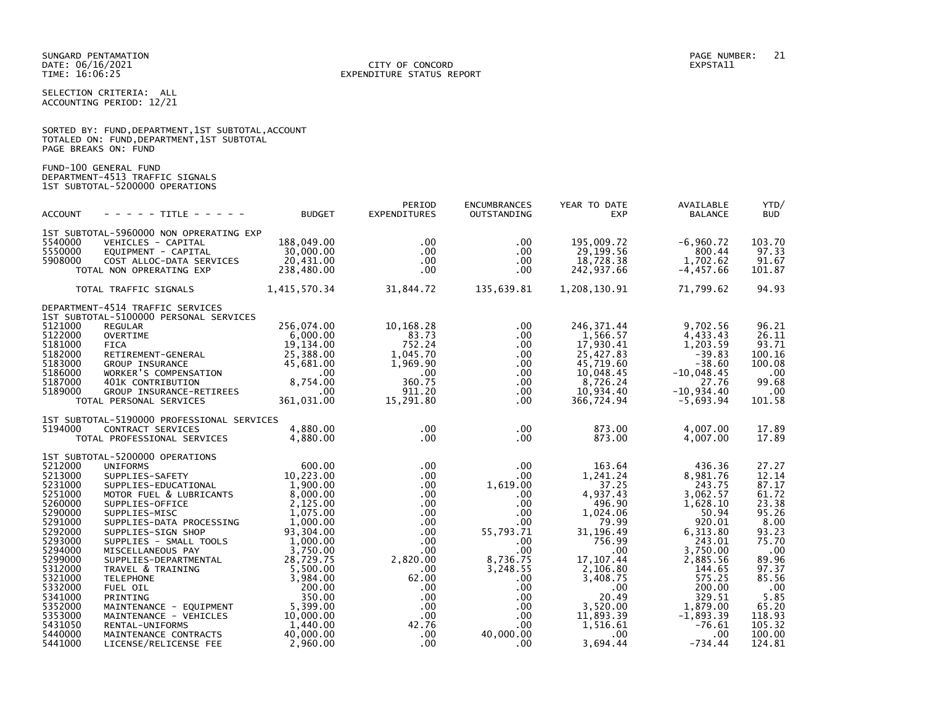SUNGARD PENTAMATION PAGE NUMBER: 21 DATE: 06/16/2021<br>TIME: 16:06:25

# EXPENDITURE STATUS REPORT

SELECTION CRITERIA: ALL ACCOUNTING PERIOD: 12/21

|                      |  |  | SORTED BY: FUND, DEPARTMENT, 1ST SUBTOTAL, ACCOUNT |  |
|----------------------|--|--|----------------------------------------------------|--|
|                      |  |  | TOTALED ON: FUND, DEPARTMENT, 1ST SUBTOTAL         |  |
| PAGE BREAKS ON: FUND |  |  |                                                    |  |

FUND-100 GENERAL FUND DEPARTMENT-4513 TRAFFIC SIGNALS 1ST SUBTOTAL-5200000 OPERATIONS

| <b>ACCOUNT</b>                                                                                                                                                                                                           | - - - - - TITLE - - - - -                                                                                                                                                                                                                                                                                                                                                                                                                                                         | <b>BUDGET</b>                                                                                                                                                                                                                               | PERIOD<br><b>EXPENDITURES</b>                                                                                                                                                                                                                                  | <b>ENCUMBRANCES</b><br>OUTSTANDING                                                                                                                                                       | YEAR TO DATE<br><b>EXP</b>                                                                                                                                                                                                                    | AVAILABLE<br><b>BALANCE</b>                                                                                                                                                                                                    | YTD/<br><b>BUD</b>                                                                                                                                                             |
|--------------------------------------------------------------------------------------------------------------------------------------------------------------------------------------------------------------------------|-----------------------------------------------------------------------------------------------------------------------------------------------------------------------------------------------------------------------------------------------------------------------------------------------------------------------------------------------------------------------------------------------------------------------------------------------------------------------------------|---------------------------------------------------------------------------------------------------------------------------------------------------------------------------------------------------------------------------------------------|----------------------------------------------------------------------------------------------------------------------------------------------------------------------------------------------------------------------------------------------------------------|------------------------------------------------------------------------------------------------------------------------------------------------------------------------------------------|-----------------------------------------------------------------------------------------------------------------------------------------------------------------------------------------------------------------------------------------------|--------------------------------------------------------------------------------------------------------------------------------------------------------------------------------------------------------------------------------|--------------------------------------------------------------------------------------------------------------------------------------------------------------------------------|
|                                                                                                                                                                                                                          |                                                                                                                                                                                                                                                                                                                                                                                                                                                                                   |                                                                                                                                                                                                                                             |                                                                                                                                                                                                                                                                |                                                                                                                                                                                          |                                                                                                                                                                                                                                               |                                                                                                                                                                                                                                |                                                                                                                                                                                |
| 5540000<br>5550000<br>5908000                                                                                                                                                                                            | 1ST SUBTOTAL-5960000 NON OPRERATING EXP<br>VEHICLES - CAPITAL<br>EQUIPMENT - CAPITAL<br>COST ALLOC-DATA SERVICES<br>TOTAL NON OPRERATING EXP                                                                                                                                                                                                                                                                                                                                      | 188,049.00<br>30,000.00<br>20,431.00<br>238,480.00                                                                                                                                                                                          | $.00 \times$<br>$.00 \times$<br>$.00 \,$<br>$.00 \times$                                                                                                                                                                                                       | $.00 \,$<br>.00<br>.00.<br>$.00 \,$                                                                                                                                                      | 195,009.72<br>29,199.56<br>18,728.38<br>242,937.66                                                                                                                                                                                            | $-6,960.72$<br>800.44<br>1,702.62<br>$-4, 457.66$                                                                                                                                                                              | 103.70<br>97.33<br>91.67<br>101.87                                                                                                                                             |
|                                                                                                                                                                                                                          | TOTAL TRAFFIC SIGNALS                                                                                                                                                                                                                                                                                                                                                                                                                                                             | 1,415,570.34                                                                                                                                                                                                                                | 31,844.72                                                                                                                                                                                                                                                      | 135,639.81                                                                                                                                                                               | 1,208,130.91                                                                                                                                                                                                                                  | 71,799.62                                                                                                                                                                                                                      | 94.93                                                                                                                                                                          |
|                                                                                                                                                                                                                          | DEPARTMENT-4514 TRAFFIC SERVICES<br>1ST SUBTOTAL-5100000 PERSONAL SERVICES                                                                                                                                                                                                                                                                                                                                                                                                        |                                                                                                                                                                                                                                             |                                                                                                                                                                                                                                                                |                                                                                                                                                                                          |                                                                                                                                                                                                                                               |                                                                                                                                                                                                                                |                                                                                                                                                                                |
| 5121000<br>5122000<br>5181000<br>5182000<br>5183000<br>5186000<br>5187000<br>5189000                                                                                                                                     | <b>REGULAR</b><br><b>OVERTIME</b><br><b>FICA</b><br>RETIREMENT-GENERAL<br>GROUP INSURANCE<br>WORKER'S COMPENSATION<br>401K CONTRIBUTION<br>GROUP INSURANCE-RETIREES<br>TOTAL PERSONAL SERVICES                                                                                                                                                                                                                                                                                    | 256,074.00<br>6,000.00<br>19,134.00<br>25,388.00<br>45,681.00<br>$.00 \,$<br>8,754.00<br>$.00 \,$<br>361,031.00                                                                                                                             | 10,168.28<br>83.73<br>752.24<br>1,045.70<br>1,969.90<br>$.00 \,$<br>360.75<br>911.20<br>15,291.80                                                                                                                                                              | .00.<br>.00<br>.00<br>.00.<br>.00<br>.00<br>.00<br>.00<br>.00.                                                                                                                           | 246, 371.44<br>1,566.57<br>17,930.41<br>25,427.83<br>45,719.60<br>10,048.45<br>8,726.24<br>10,934.40<br>366,724.94                                                                                                                            | 9,702.56<br>4,433.43<br>1,203.59<br>$-39.83$<br>$-38.60$<br>$-10,048.45$<br>27.76<br>$-10, 934.40$<br>$-5,693.94$                                                                                                              | 96.21<br>26.11<br>93.71<br>100.16<br>100.08<br>.00<br>99.68<br>.00<br>101.58                                                                                                   |
| 5194000                                                                                                                                                                                                                  | 1ST SUBTOTAL-5190000 PROFESSIONAL SERVICES<br>CONTRACT SERVICES<br>TOTAL PROFESSIONAL SERVICES                                                                                                                                                                                                                                                                                                                                                                                    | 4,880.00<br>4,880.00                                                                                                                                                                                                                        | $.00 \,$<br>$.00 \,$                                                                                                                                                                                                                                           | $.00 \,$<br>.00.                                                                                                                                                                         | 873.00<br>873.00                                                                                                                                                                                                                              | 4,007.00<br>4,007.00                                                                                                                                                                                                           | 17.89<br>17.89                                                                                                                                                                 |
| 5212000<br>5213000<br>5231000<br>5251000<br>5260000<br>5290000<br>5291000<br>5292000<br>5293000<br>5294000<br>5299000<br>5312000<br>5321000<br>5332000<br>5341000<br>5352000<br>5353000<br>5431050<br>5440000<br>5441000 | 1ST SUBTOTAL-5200000 OPERATIONS<br><b>UNIFORMS</b><br>SUPPLIES-SAFETY<br>SUPPLIES-EDUCATIONAL<br>MOTOR FUEL & LUBRICANTS<br>SUPPLIES-OFFICE<br>SUPPLIES-MISC<br>SUPPLIES-DATA PROCESSING<br>SUPPLIES-SIGN SHOP<br>SUPPLIES - SMALL TOOLS<br>MISCELLANEOUS PAY<br>SUPPLIES-DEPARTMENTAL<br>TRAVEL & TRAINING<br><b>TELEPHONE</b><br>FUEL OIL<br>PRINTING<br>MAINTENANCE - EQUIPMENT<br>MAINTENANCE - VEHICLES<br>RENTAL-UNIFORMS<br>MAINTENANCE CONTRACTS<br>LICENSE/RELICENSE FEE | 600.00<br>10,223.00<br>1,900.00<br>8,000.00<br>2,125.00<br>1,075.00<br>1,000.00<br>93,304.00<br>1,000.00<br>3,750.00<br>28,729.75<br>5,500.00<br>3,984.00<br>200.00<br>350.00<br>5,399.00<br>10,000.00<br>1,440.00<br>40,000.00<br>2,960.00 | $.00 \,$<br>$.00 \,$<br>$.00 \times$<br>$.00 \,$<br>$.00 \times$<br>$.00 \,$<br>$.00 \,$<br>$.00 \,$<br>$.00 \,$<br>.00 <sub>1</sub><br>2,820.00<br>$.00 \,$<br>62.00<br>$.00 \,$<br>$.00 \,$<br>$.00 \,$<br>$.00 \,$<br>42.76<br>.00 <sub>1</sub><br>$.00 \,$ | .00<br>$.00 \,$<br>1,619.00<br>.00<br>.00<br>.00.<br>$.00 \,$<br>55,793.71<br>.00<br>.00<br>8,736.75<br>3,248.55<br>.00<br>$.00 \,$<br>.00<br>.00<br>.00<br>.00<br>40,000.00<br>$.00 \,$ | 163.64<br>1,241.24<br>37.25<br>4,937.43<br>496.90<br>1,024.06<br>79.99<br>31, 196.49<br>756.99<br>.00 <sub>1</sub><br>17, 107.44<br>2,106.80<br>3,408.75<br>$.00 \cdot$<br>20.49<br>3,520.00<br>11,893.39<br>1,516.61<br>$.00 \,$<br>3,694.44 | 436.36<br>8,981.76<br>243.75<br>3,062.57<br>1,628.10<br>50.94<br>920.01<br>6, 313.80<br>243.01<br>3,750.00<br>2,885.56<br>144.65<br>575.25<br>200.00<br>329.51<br>1,879.00<br>$-1,893.39$<br>$-76.61$<br>$.00 \,$<br>$-734.44$ | 27.27<br>12.14<br>87.17<br>61.72<br>23.38<br>95.26<br>8.00<br>93.23<br>75.70<br>.00<br>89.96<br>97.37<br>85.56<br>.00<br>5.85<br>65.20<br>118.93<br>105.32<br>100.00<br>124.81 |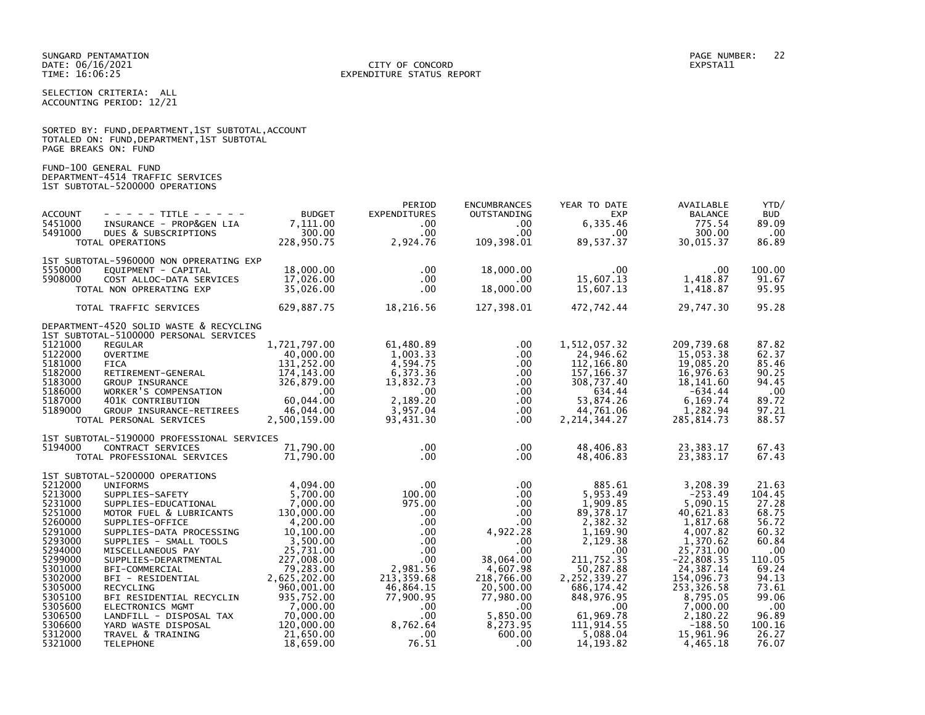SUNGARD PENTAMATION PAGE NUMBER: 22 DATE: 06/16/2021<br>TIME: 16:06:25

# EXPENDITURE STATUS REPORT

SELECTION CRITERIA: ALL ACCOUNTING PERIOD: 12/21

SORTED BY: FUND,DEPARTMENT,1ST SUBTOTAL,ACCOUNT

|                                                                           | TOTALED ON: FUND, DEPARTMENT, 1ST SUBTOTAL<br>PAGE BREAKS ON: FUND                                                                                               |                                                                                      |                                                                                      |                                                                                  |                                                                                 |                                                                                     |                                                            |
|---------------------------------------------------------------------------|------------------------------------------------------------------------------------------------------------------------------------------------------------------|--------------------------------------------------------------------------------------|--------------------------------------------------------------------------------------|----------------------------------------------------------------------------------|---------------------------------------------------------------------------------|-------------------------------------------------------------------------------------|------------------------------------------------------------|
|                                                                           | FUND-100 GENERAL FUND<br>DEPARTMENT-4514 TRAFFIC SERVICES<br>1ST SUBTOTAL-5200000 OPERATIONS                                                                     |                                                                                      |                                                                                      |                                                                                  |                                                                                 |                                                                                     |                                                            |
| <b>ACCOUNT</b><br>5451000<br>5491000                                      | - - - - - TITLE - - - - - -<br>INSURANCE - PROP&GEN LIA<br>DUES & SUBSCRIPTIONS<br>TOTAL OPERATIONS                                                              | <b>BUDGET</b><br>7,111.00<br>300.00<br>228,950.75                                    | PERIOD<br><b>EXPENDITURES</b><br>$.00 \,$<br>$.00 \cdot$<br>2,924.76                 | <b>ENCUMBRANCES</b><br>OUTSTANDING<br>$.00 \,$<br>$.00 \,$<br>109,398.01         | YEAR TO DATE<br><b>EXP</b><br>6,335.46<br>$.00 \,$<br>89,537.37                 | AVAILABLE<br><b>BALANCE</b><br>775.54<br>300.00<br>30,015.37                        | YTD/<br><b>BUD</b><br>89.09<br>.00.<br>86.89               |
| 5550000<br>5908000                                                        | 1ST SUBTOTAL-5960000 NON OPRERATING EXP<br>EQUIPMENT - CAPITAL<br>COST ALLOC-DATA SERVICES<br>TOTAL NON OPRERATING EXP                                           | 18,000.00<br>17,026.00<br>35,026.00                                                  | $.00 \,$<br>$.00 \,$<br>$.00 \cdot$                                                  | 18,000.00<br>$.00 \,$<br>18,000.00                                               | $.00 \,$<br>15,607.13<br>15,607.13                                              | $.00 \,$<br>1,418.87<br>1,418.87                                                    | 100.00<br>91.67<br>95.95                                   |
|                                                                           | TOTAL TRAFFIC SERVICES                                                                                                                                           | 629,887.75                                                                           | 18,216.56                                                                            | 127,398.01                                                                       | 472,742.44                                                                      | 29,747.30                                                                           | 95.28                                                      |
| 5121000                                                                   | DEPARTMENT-4520 SOLID WASTE & RECYCLING<br>1ST SUBTOTAL-5100000 PERSONAL SERVICES<br><b>REGULAR</b>                                                              | 1,721,797.00                                                                         | 61,480.89                                                                            | .00.                                                                             | 1,512,057.32                                                                    | 209,739.68                                                                          | 87.82                                                      |
| 5122000<br>5181000<br>5182000<br>5183000<br>5186000                       | <b>OVERTIME</b><br><b>FICA</b><br>RETIREMENT-GENERAL<br><b>GROUP INSURANCE</b><br>URUUP INSURANCE<br>WORKER'S COMPENSATION                                       | 40,000.00<br>131,252.00<br>174, 143.00<br>326,879.00<br>$.00 \,$                     | 1,003.33<br>4,594.75<br>6,373.36<br>13,832.73<br>$.00 \,$                            | .00<br>$.00 \,$<br>.00<br>.00<br>.00                                             | 24,946.62<br>112,166.80<br>157, 166.37<br>308,737.40<br>634.44                  | 15,053.38<br>19,085.20<br>16,976.63<br>18,141.60<br>$-634.44$                       | 62.37<br>85.46<br>90.25<br>94.45<br>.00                    |
| 5187000<br>5189000                                                        | 401K CONTRIBUTION<br>GROUP INSURANCE-RETIREES<br>TOTAL PERSONAL SERVICES                                                                                         | 60.044.00<br>46,044.00<br>2,500,159.00                                               | 2,189.20<br>3,957.04<br>93,431.30                                                    | .00<br>.00<br>$.00 \,$                                                           | 53,874.26<br>44,761.06<br>2, 214, 344.27                                        | 6,169.74<br>1,282.94<br>285, 814.73                                                 | 89.72<br>97.21<br>88.57                                    |
|                                                                           | 1ST SUBTOTAL-5190000 PROFESSIONAL SERVICES                                                                                                                       |                                                                                      |                                                                                      |                                                                                  |                                                                                 |                                                                                     |                                                            |
| 5194000                                                                   | CONTRACT SERVICES<br>TOTAL PROFESSIONAL SERVICES                                                                                                                 | 71,790.00<br>71.790.00                                                               | $.00 \,$<br>$.00 \,$                                                                 | $.00 \,$<br>.00                                                                  | 48,406.83<br>48,406.83                                                          | 23,383.17<br>23,383.17                                                              | 67.43<br>67.43                                             |
| 5212000                                                                   | 1ST SUBTOTAL-5200000 OPERATIONS<br><b>UNIFORMS</b>                                                                                                               | 4,094.00                                                                             | $.00 \,$                                                                             | $.00 \,$                                                                         | 885.61                                                                          | 3,208.39                                                                            | 21.63                                                      |
| 5213000<br>5231000<br>5251000<br>5260000<br>5291000<br>5293000<br>5294000 | SUPPLIES-SAFETY<br>SUPPLIES-EDUCATIONAL<br>MOTOR FUEL & LUBRICANTS<br>SUPPLIES-OFFICE<br>SUPPLIES-DATA PROCESSING<br>SUPPLIES - SMALL TOOLS<br>MISCELLANEOUS PAY | 5,700.00<br>7,000.00<br>130,000.00<br>4,200.00<br>10,100.00<br>3,500.00<br>25,731.00 | 100.00<br>975.00<br>$.00 \cdot$<br>$.00 \cdot$<br>$.00 \ \,$<br>$.00 \,$<br>$.00 \,$ | $.00 \,$<br>$.00 \,$<br>$.00 \,$<br>$.00 \,$<br>4,922.28<br>$.00 \,$<br>$.00 \,$ | 5,953.49<br>1,909.85<br>89, 378. 17<br>2,382.32<br>1,169.90<br>2,129.38<br>.00  | $-253.49$<br>5,090.15<br>40,621.83<br>1,817.68<br>4,007.82<br>1,370.62<br>25,731.00 | 104.45<br>27.28<br>68.75<br>56.72<br>60.32<br>60.84<br>.00 |
| 5299000<br>5301000<br>5302000<br>5305000<br>5305100<br>5305600            | SUPPLIES-DEPARTMENTAL<br>BFI-COMMERCIAL<br>BFI - RESIDENTIAL<br>RECYCLING<br>BFI RESIDENTIAL RECYCLIN<br>ELECTRONICS MGMT                                        | 227,008.00<br>79,283.00<br>2,625,202.00<br>960,001.00<br>935,752.00<br>7,000.00      | $.00 \,$<br>2,981.56<br>213, 359.68<br>46,864.15<br>77,900.95<br>$.00 \,$            | 38,064.00<br>4,607.98<br>218,766.00<br>20,500.00<br>77,980.00<br>$.00 \,$        | 211,752.35<br>50,287.88<br>2,252,339.27<br>686,174.42<br>848,976.95<br>$.00 \,$ | $-22,808.35$<br>24,387.14<br>154,096.73<br>253,326.58<br>8,795.05<br>7,000.00       | 110.05<br>69.24<br>94.13<br>73.61<br>99.06<br>.00          |
| 5306500<br>5306600<br>5312000<br>5321000                                  | LANDFILL - DISPOSAL TAX<br>YARD WASTE DISPOSAL<br>TRAVEL & TRAINING<br><b>TELEPHONE</b>                                                                          | 70,000.00<br>120,000.00<br>21,650.00<br>18,659.00                                    | .00<br>8,762.64<br>$.00 \,$<br>76.51                                                 | 5,850.00<br>8,273.95<br>600.00<br>$.00 \,$                                       | 61,969.78<br>111,914.55<br>5,088.04<br>14, 193. 82                              | 2,180.22<br>$-188.50$<br>15,961.96<br>4,465.18                                      | 96.89<br>100.16<br>26.27<br>76.07                          |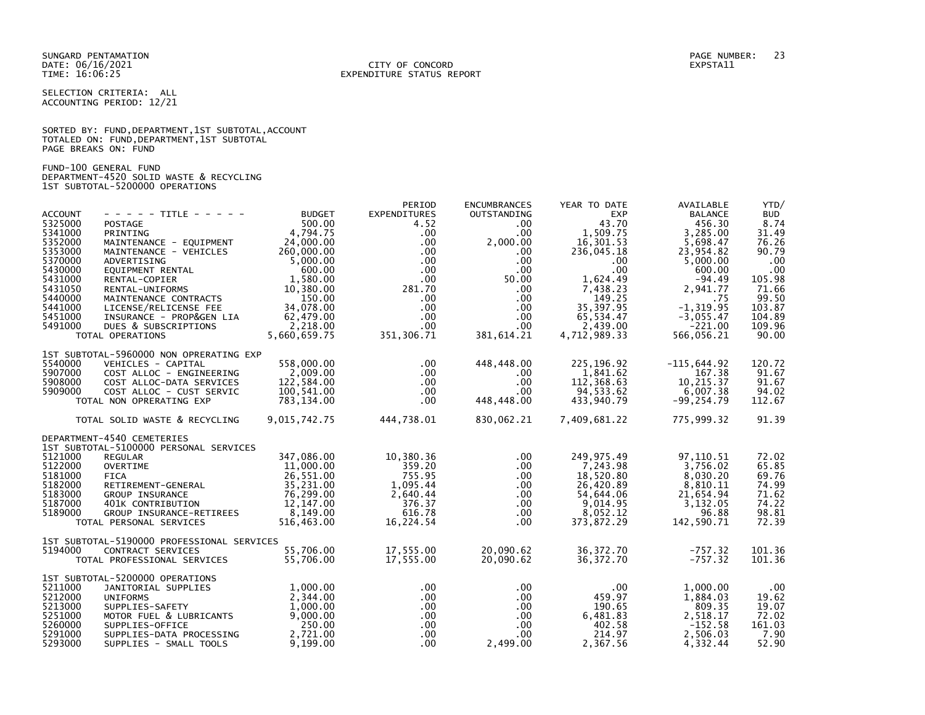SELECTION CRITERIA: ALL ACCOUNTING PERIOD: 12/21

|                      |  |  | SORTED BY: FUND, DEPARTMENT, 1ST SUBTOTAL, ACCOUNT |  |
|----------------------|--|--|----------------------------------------------------|--|
|                      |  |  | TOTALED ON: FUND, DEPARTMENT, 1ST SUBTOTAL         |  |
| PAGE BREAKS ON: FUND |  |  |                                                    |  |

FUND-100 GENERAL FUND DEPARTMENT-4520 SOLID WASTE & RECYCLING 1ST SUBTOTAL-5200000 OPERATIONS

|                    |                                                |                      | PERIOD               | <b>ENCUMBRANCES</b>  | YEAR TO DATE       | AVAILABLE             | YTD/            |
|--------------------|------------------------------------------------|----------------------|----------------------|----------------------|--------------------|-----------------------|-----------------|
| <b>ACCOUNT</b>     | - - - - - TITLE - - - - -                      | <b>BUDGET</b>        | <b>EXPENDITURES</b>  | OUTSTANDING          | <b>EXP</b>         | <b>BALANCE</b>        | <b>BUD</b>      |
| 5325000            | <b>POSTAGE</b>                                 | 500.00               | 4.52                 | $.00 \,$             | 43.70              | 456.30                | 8.74            |
| 5341000            | PRINTING                                       | 4,794.75             | $.00 \,$             | $.00 \,$             | 1,509.75           | 3,285.00              | 31.49           |
| 5352000            | MAINTENANCE - EQUIPMENT                        | 24,000.00            | $.00 \,$             | 2,000.00             | 16,301.53          | 5,698.47              | 76.26           |
| 5353000            | MAINTENANCE - VEHICLES                         | 260,000.00           | $.00 \,$             | $.00 \,$             | 236,045.18         | 23,954.82             | 90.79           |
| 5370000            | ADVERTISING                                    | 5,000.00             | $.00 \,$             | $.00 \,$             | $.00 \,$           | 5,000.00              | $.00 \,$        |
| 5430000            | EQUIPMENT RENTAL                               | 600.00               | $.00 \,$             | .00                  | $.00 \times$       | 600.00                | .00             |
| 5431000            | RENTAL-COPIER                                  | 1,580.00             | $.00 \,$             | 50.00                | 1,624.49           | $-94.49$              | 105.98          |
| 5431050<br>5440000 | RENTAL-UNIFORMS                                | 10,380.00            | 281.70               | $.00\,$              | 7,438.23<br>149.25 | 2,941.77              | 71.66           |
| 5441000            | MAINTENANCE CONTRACTS<br>LICENSE/RELICENSE FEE | 150.00<br>34,078.00  | $.00 \,$<br>$.00 \,$ | $.00 \,$             | 35,397.95          | .75<br>$-1, 319.95$   | 99.50<br>103.87 |
| 5451000            | INSURANCE - PROP&GEN LIA                       | 62,479.00            | $.00 \,$             | $.00 \,$<br>$.00 \,$ | 65,534.47          | $-3,055.47$           | 104.89          |
| 5491000            | DUES & SUBSCRIPTIONS                           | 2,218.00             | $.00 \,$             | $.00 \,$             | 2,439.00           | $-221.00$             | 109.96          |
|                    | TOTAL OPERATIONS                               | 5,660,659.75         | 351, 306.71          | 381,614.21           | 4,712,989.33       | 566,056.21            | 90.00           |
|                    |                                                |                      |                      |                      |                    |                       |                 |
|                    | 1ST SUBTOTAL-5960000 NON OPRERATING EXP        |                      |                      |                      |                    |                       |                 |
| 5540000            | VEHICLES - CAPITAL                             | 558,000.00           | $.00 \,$             | 448,448.00           | 225, 196. 92       | $-115,644.92$         | 120.72          |
| 5907000            | COST ALLOC - ENGINEERING                       | 2,009.00             | $.00 \,$             | $.00 \,$             | 1,841.62           | 167.38                | 91.67           |
| 5908000            | COST ALLOC-DATA SERVICES                       | 122,584.00           | $.00 \,$             | $.00 \,$             | 112,368.63         | 10,215.37             | 91.67           |
| 5909000            | COST ALLOC - CUST SERVIC                       | 100,541.00           | $.00 \,$             | .00                  | 94,533.62          | 6,007.38              | 94.02           |
|                    | TOTAL NON OPRERATING EXP                       | 783,134.00           | $.00 \,$             | 448,448.00           | 433,940.79         | $-99, 254.79$         | 112.67          |
|                    | TOTAL SOLID WASTE & RECYCLING                  | 9,015,742.75         | 444,738.01           | 830,062.21           | 7,409,681.22       | 775,999.32            | 91.39           |
|                    | DEPARTMENT-4540 CEMETERIES                     |                      |                      |                      |                    |                       |                 |
|                    | 1ST SUBTOTAL-5100000 PERSONAL SERVICES         |                      |                      |                      |                    |                       |                 |
| 5121000            | <b>REGULAR</b>                                 | 347,086.00           | 10,380.36            | $.00 \,$             | 249, 975.49        | 97, 110.51            | 72.02           |
| 5122000            | <b>OVERTIME</b>                                | 11,000.00            | 359.20               | .00                  | 7,243.98           | 3,756.02              | 65.85           |
| 5181000            | <b>FICA</b>                                    | 26,551.00            | 755.95               | $.00 \,$             | 18,520.80          | 8,030.20              | 69.76           |
| 5182000            | RETIREMENT-GENERAL                             | 35,231.00            | 1,095.44             | .00                  | 26,420.89          | 8,810.11              | 74.99           |
| 5183000            | <b>GROUP INSURANCE</b>                         | 76,299.00            | 2,640.44             | .00                  | 54,644.06          | 21,654.94             | 71.62           |
| 5187000            | 401K CONTRIBUTION                              | 12,147.00            | 376.37               | $.00 \,$             | 9,014.95           | 3,132.05              | 74.22           |
| 5189000            | GROUP INSURANCE-RETIREES                       | 8,149.00             | 616.78               | $.00 \,$             | 8,052.12           | 96.88                 | 98.81           |
|                    | TOTAL PERSONAL SERVICES                        | 516,463.00           | 16,224.54            | $.00 \,$             | 373,872.29         | 142,590.71            | 72.39           |
|                    | 1ST SUBTOTAL-5190000 PROFESSIONAL SERVICES     |                      |                      |                      |                    |                       |                 |
| 5194000            | CONTRACT SERVICES                              | 55,706.00            | 17,555.00            | 20,090.62            | 36, 372. 70        | $-757.32$             | 101.36          |
|                    | TOTAL PROFESSIONAL SERVICES                    | 55,706.00            | 17,555.00            | 20,090.62            | 36, 372. 70        | $-757.32$             | 101.36          |
|                    |                                                |                      |                      |                      |                    |                       |                 |
|                    | 1ST SUBTOTAL-5200000 OPERATIONS                |                      |                      |                      |                    |                       |                 |
| 5211000            | JANITORIAL SUPPLIES                            | 1,000.00             | $.00 \ \,$           | .00                  | .00                | 1,000.00              | .00             |
| 5212000            | <b>UNIFORMS</b>                                | 2,344.00             | $.00 \,$             | $.00 \,$             | 459.97             | 1,884.03              | 19.62           |
| 5213000<br>5251000 | SUPPLIES-SAFETY                                | 1,000.00<br>9,000.00 | $.00 \,$<br>$.00 \,$ | $.00\,$<br>$.00 \,$  | 190.65             | 809.35                | 19.07           |
| 5260000            | MOTOR FUEL & LUBRICANTS<br>SUPPLIES-OFFICE     | 250.00               | $.00 \,$             | $.00 \,$             | 6,481.83<br>402.58 | 2,518.17<br>$-152.58$ | 72.02<br>161.03 |
| 5291000            | SUPPLIES-DATA PROCESSING                       | 2,721.00             | $.00 \,$             | $.00 \,$             | 214.97             | 2,506.03              | 7.90            |
| 5293000            | SUPPLIES - SMALL TOOLS                         | 9,199.00             | $.00 \,$             | 2,499.00             | 2,367.56           | 4,332.44              | 52.90           |
|                    |                                                |                      |                      |                      |                    |                       |                 |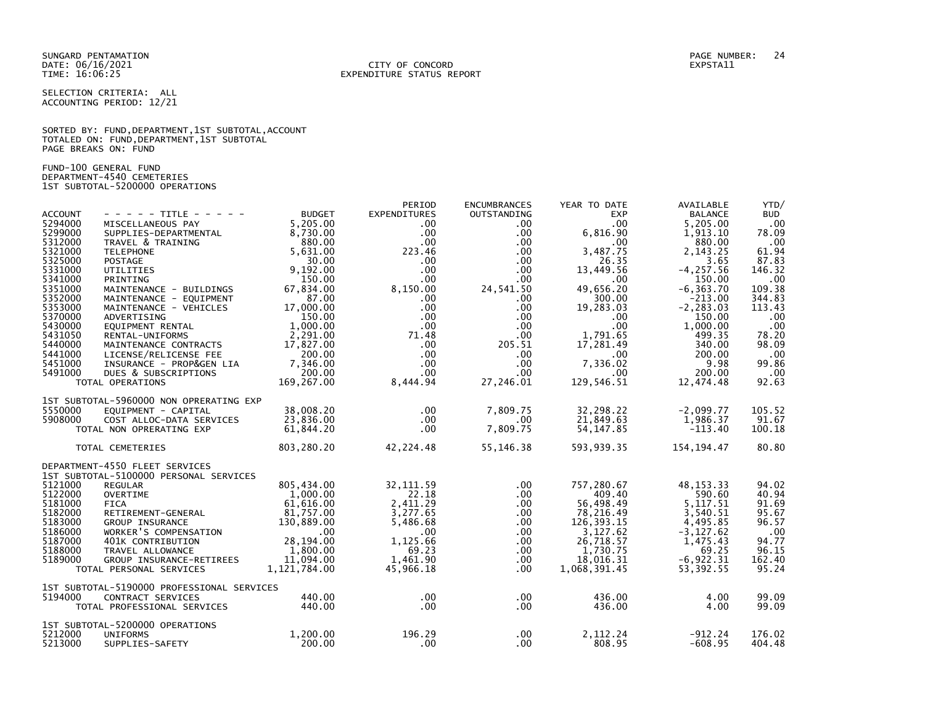SELECTION CRITERIA: ALL ACCOUNTING PERIOD: 12/21

SORTED BY: FUND,DEPARTMENT,1ST SUBTOTAL,ACCOUNT TOTALED ON: FUND,DEPARTMENT,1ST SUBTOTAL PAGE BREAKS ON: FUND

FUND-100 GENERAL FUND DEPARTMENT-4540 CEMETERIES 1ST SUBTOTAL-5200000 OPERATIONS

|                |                                            |               | PERIOD              | <b>ENCUMBRANCES</b> | YEAR TO DATE | AVAILABLE      | YTD/             |
|----------------|--------------------------------------------|---------------|---------------------|---------------------|--------------|----------------|------------------|
| <b>ACCOUNT</b> | - - - - - TITLE - - - - -                  | <b>BUDGET</b> | <b>EXPENDITURES</b> | OUTSTANDING         | <b>EXP</b>   | <b>BALANCE</b> | <b>BUD</b>       |
| 5294000        | MISCELLANEOUS PAY                          | 5.205.00      | $.00 \ \,$          | $.00 \,$            | .00          | 5,205.00       | .00              |
| 5299000        | SUPPLIES-DEPARTMENTAL                      | 8,730.00      | $.00 \,$            | $.00 \,$            | 6,816.90     | 1,913.10       | 78.09            |
| 5312000        | TRAVEL & TRAINING                          | 880.00        | $.00 \,$            | $.00 \,$            | .00          | 880.00         | .00              |
| 5321000        | <b>TELEPHONE</b>                           | 5,631.00      | 223.46              | $.00 \,$            | 3.487.75     | 2,143.25       | 61.94            |
| 5325000        | POSTAGE                                    | 30.00         | $.00 \,$            | $.00 \,$            | 26.35        | 3.65           | 87.83            |
| 5331000        | <b>UTILITIES</b>                           | 9,192.00      | $.00 \,$            | $.00 \,$            | 13,449.56    | $-4, 257.56$   | 146.32           |
| 5341000        | PRINTING                                   | 150.00        | $.00 \,$            | $.00 \,$            | $.00 \cdot$  | 150.00         | .00 <sub>1</sub> |
| 5351000        | MAINTENANCE - BUILDINGS                    | 67,834.00     | 8,150.00            | 24,541.50           | 49,656.20    | $-6, 363.70$   | 109.38           |
| 5352000        | MAINTENANCE - EQUIPMENT                    | 87.00         | $.00 \times$        | $.00 \,$            | 300.00       | $-213.00$      | 344.83           |
| 5353000        | MAINTENANCE - VEHICLES                     | 17,000.00     | $.00 \,$            | $.00 \,$            | 19,283.03    | $-2, 283.03$   | 113.43           |
| 5370000        | ADVERTISING                                | 150.00        | .00                 | $.00 \,$            | $.00 \,$     | 150.00         | .00              |
| 5430000        | EQUIPMENT RENTAL                           | 1,000.00      | $.00 \,$            | $.00 \,$            | $.00 \times$ | 1,000.00       | .00              |
| 5431050        | RENTAL-UNIFORMS                            | 2,291.00      | 71.48               | $.00 \,$            | 1,791.65     | 499.35         | 78.20            |
| 5440000        | MAINTENANCE CONTRACTS                      | 17,827.00     | .00                 | 205.51              | 17,281.49    | 340.00         | 98.09            |
| 5441000        | LICENSE/RELICENSE FEE                      | 200.00        | $.00 \,$            | $.00 \,$            | $.00 \,$     | 200.00         | .00              |
| 5451000        | INSURANCE - PROP&GEN LIA                   | 7,346.00      | $.00 \,$            | $.00 \,$            | 7,336.02     | 9.98           | 99.86            |
| 5491000        | DUES & SUBSCRIPTIONS                       | 200.00        | $.00 \,$            | $.00 \,$            | .00          | 200.00         | .00              |
|                | TOTAL OPERATIONS                           | 169,267.00    | 8,444.94            | 27,246.01           | 129,546.51   | 12,474.48      | 92.63            |
|                | 1ST SUBTOTAL-5960000 NON OPRERATING EXP    |               |                     |                     |              |                |                  |
| 5550000        | EQUIPMENT - CAPITAL                        | 38,008.20     | $.00 \,$            | 7,809.75            | 32,298.22    | $-2,099.77$    | 105.52           |
| 5908000        | COST ALLOC-DATA SERVICES                   | 23,836.00     | $.00 \,$            | $.00 \,$            | 21,849.63    | 1,986.37       | 91.67            |
|                | TOTAL NON OPRERATING EXP                   | 61,844.20     | $.00 \,$            | 7,809.75            | 54, 147.85   | $-113.40$      | 100.18           |
|                | TOTAL CEMETERIES                           | 803,280.20    | 42,224.48           | 55,146.38           | 593,939.35   | 154, 194. 47   | 80.80            |
|                | DEPARTMENT-4550 FLEET SERVICES             |               |                     |                     |              |                |                  |
|                | 1ST SUBTOTAL-5100000 PERSONAL SERVICES     |               |                     |                     |              |                |                  |
| 5121000        | <b>REGULAR</b>                             | 805,434.00    | 32, 111.59          | $.00 \,$            | 757,280.67   | 48, 153. 33    | 94.02            |
| 5122000        | <b>OVERTIME</b>                            | 1,000.00      | 22.18               | $.00 \,$            | 409.40       | 590.60         | 40.94            |
| 5181000        | <b>FICA</b>                                | 61,616.00     | 2,411.29            | $.00 \,$            | 56,498.49    | 5, 117.51      | 91.69            |
| 5182000        | RETIREMENT-GENERAL                         | 81,757.00     | 3,277.65            | $.00 \,$            | 78,216.49    | 3,540.51       | 95.67            |
| 5183000        | GROUP INSURANCE                            | 130,889.00    | 5,486.68            | $.00 \,$            | 126, 393. 15 | 4,495.85       | 96.57            |
| 5186000        | WORKER'S COMPENSATION                      | $.00 \times$  | $.00 \cdot$         | $.00 \,$            | 3,127.62     | $-3, 127.62$   | .00              |
| 5187000        | 401K CONTRIBUTION                          | 28,194.00     | 1,125.66            | $.00 \,$            | 26,718.57    | 1,475.43       | 94.77            |
| 5188000        | TRAVEL ALLOWANCE                           | 1,800.00      | 69.23               | $.00 \,$            | 1,730.75     | 69.25          | 96.15            |
| 5189000        | GROUP INSURANCE-RETIREES                   | 11,094.00     | 1,461.90            | $.00 \,$            | 18,016.31    | $-6,922.31$    | 162.40           |
|                | TOTAL PERSONAL SERVICES                    | 1,121,784.00  | 45,966.18           | $.00 \,$            | 1,068,391.45 | 53, 392.55     | 95.24            |
|                | 1ST SUBTOTAL-5190000 PROFESSIONAL SERVICES |               |                     |                     |              |                |                  |
| 5194000        | CONTRACT SERVICES                          | 440.00        | $.00 \,$            | $.00\,$             | 436.00       | 4.00           | 99.09            |
|                | TOTAL PROFESSIONAL SERVICES                | 440.00        | $.00 \,$            | $.00 \,$            | 436.00       | 4.00           | 99.09            |
|                |                                            |               |                     |                     |              |                |                  |
|                | 1ST SUBTOTAL-5200000 OPERATIONS            |               |                     |                     |              |                |                  |
| 5212000        | <b>UNIFORMS</b>                            | 1,200.00      | 196.29              | $.00 \,$            | 2,112.24     | $-912.24$      | 176.02           |
| 5213000        | SUPPLIES-SAFETY                            | 200.00        | .00 <sub>1</sub>    | $.00 \,$            | 808.95       | $-608.95$      | 404.48           |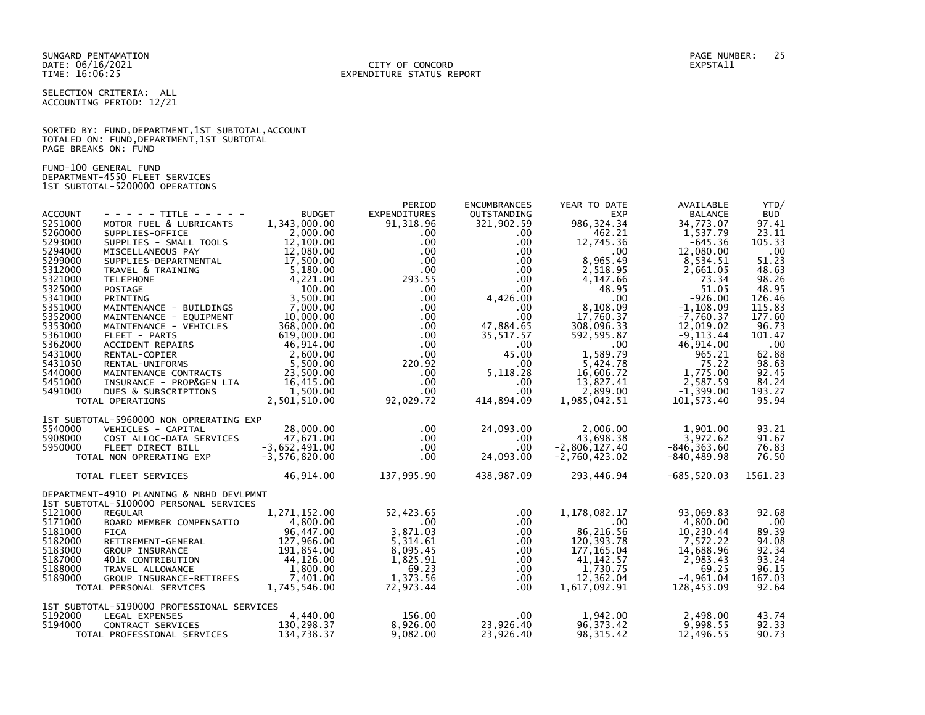SUNGARD PENTAMATION PAGE NUMBER: 25 DATE: 06/16/2021<br>TIME: 16:06:25

# EXPENDITURE STATUS REPORT

SELECTION CRITERIA: ALL ACCOUNTING PERIOD: 12/21

SORTED BY: FUND, DEPARTMENT, 1ST SUBTOTAL, ACCOUNT TOTALED ON: FUND,DEPARTMENT,1ST SUBTOTAL PAGE BREAKS ON: FUND

FUND-100 GENERAL FUND DEPARTMENT-4550 FLEET SERVICES 1ST SUBTOTAL-5200000 OPERATIONS

| <b>ACCOUNT</b><br>5251000     | - - - - - TITLE - - - - -<br>MOTOR FUEL & LUBRICANTS 1,343,000.00                                                                                                                                                                                        | <b>BUDGET</b>                                   | PERIOD<br><b>EXPENDITURES</b><br>91, 318.96                                                                                                                                                 | <b>ENCUMBRANCES</b><br>OUTSTANDING<br>321,902.59 | YEAR TO DATE<br><b>EXP</b><br>986, 324.34                                                                                                                                                                                                                                                              | AVAILABLE<br><b>BALANCE</b><br>34,773.07                                                                                                                                                  | YTD/<br><b>BUD</b><br>97.41 |
|-------------------------------|----------------------------------------------------------------------------------------------------------------------------------------------------------------------------------------------------------------------------------------------------------|-------------------------------------------------|---------------------------------------------------------------------------------------------------------------------------------------------------------------------------------------------|--------------------------------------------------|--------------------------------------------------------------------------------------------------------------------------------------------------------------------------------------------------------------------------------------------------------------------------------------------------------|-------------------------------------------------------------------------------------------------------------------------------------------------------------------------------------------|-----------------------------|
| 5260000<br>5293000<br>5294000 | MOTOR PUEL & LUBRICANTS<br>SUPPLIES - DETICE<br>SUPPLIES - SMALL TOOLS<br>MISCELLANEOUS PAY<br>12,080.00<br>SUPPLIES - DEPARTMENTAL<br>TRAVEL & TRAINING<br>TELEPHONE<br>TELEPHONE<br>POSTAGE<br>PRINTING<br>POSTAGE<br>PRINTING<br>MATHENANCE - BUILDIN |                                                 |                                                                                                                                                                                             |                                                  | $293.55$<br>$00$<br>$00$<br>$00$<br>$00$<br>$00$<br>$00$<br>$00$<br>$00$<br>$00$<br>$00$<br>$00$<br>$00$<br>$00$<br>$00$<br>$00$<br>$00$<br>$00$<br>$00$<br>$00$<br>$00$<br>$00$<br>$00$<br>$00$<br>$00$<br>$00$<br>$00$<br>$00$<br>$00$<br>$00$<br>$00$<br>$00$<br>$00$<br>$00$<br>$00$<br>$0,00$<br> | 1,537.79<br>-645.36<br>12,080.00                                                                                                                                                          | 23.11<br>105.33<br>.00      |
| 5299000<br>5312000<br>5321000 |                                                                                                                                                                                                                                                          |                                                 |                                                                                                                                                                                             |                                                  |                                                                                                                                                                                                                                                                                                        | 8,534.51<br>2,661.05<br>73.34                                                                                                                                                             | 51.23<br>48.63<br>98.26     |
| 5325000<br>5341000            |                                                                                                                                                                                                                                                          |                                                 |                                                                                                                                                                                             |                                                  |                                                                                                                                                                                                                                                                                                        | 51.05<br>$-926.00$                                                                                                                                                                        | 48.95<br>126.46             |
| 5351000<br>5352000<br>5353000 |                                                                                                                                                                                                                                                          |                                                 |                                                                                                                                                                                             |                                                  |                                                                                                                                                                                                                                                                                                        | $-1, 108.09$<br>$-7,760.37$<br>12,019.02                                                                                                                                                  | 115.83<br>177.60<br>96.73   |
| 5361000<br>5362000<br>5431000 |                                                                                                                                                                                                                                                          |                                                 |                                                                                                                                                                                             |                                                  | $35,517.57$<br>35,517.57<br>.00<br>45.00<br>45.00<br>1,589.79                                                                                                                                                                                                                                          |                                                                                                                                                                                           | 101.47<br>.00<br>62.88      |
| 5431050<br>5440000            | MAINTENANCE - BOLLUNGS<br>MAINTENANCE - EQUIPMENT<br>MAINTENANCE - VEHICLES<br>368,000.00<br>FLEET - PARTS<br>619,000.00<br>ACCIDENT REPAIRS<br>46,914.00<br>RENTAL-UNIFORMS<br>MAINTENANCE CONTRACTS<br>7,600.00<br>RENTAL-UNIFORMS<br>MAINTENANCE CO   |                                                 |                                                                                                                                                                                             |                                                  |                                                                                                                                                                                                                                                                                                        |                                                                                                                                                                                           | 98.63<br>92.45              |
| 5451000<br>5491000            | INSURANCE - PROP&GEN LIA 16,415.00<br>DUES & SUBSCRIPTIONS<br>TOTAL OPERATIONS                                                                                                                                                                           | 1,500.00<br>2,501,510.00                        | $\begin{array}{cccc} .00 & & & 0.0 & & & & \ 00 & & & 0.0 & & & \ 220.92 & & & .00 & & & \ 00 & & & 5,118.28 & & \ 00 & & & 00 & & & 0.0 & \ 92,029.72 & & & 414,894.09 & & 1, \end{array}$ |                                                  | 1,985,042.51                                                                                                                                                                                                                                                                                           | 308,096.33<br>592,595.87 - 9,113.44<br>592,595.87 - 9,113.44<br>1,589.79 - 965.21<br>5,424.78 - 75.22<br>16,606.72<br>13,827.41 - 2,587.59<br>2,899.00 -1,399.00<br>985,042.51 101,573.40 | 84.24<br>193.27<br>95.94    |
|                               | 1ST SUBTOTAL-5960000 NON OPRERATING EXP                                                                                                                                                                                                                  |                                                 |                                                                                                                                                                                             |                                                  |                                                                                                                                                                                                                                                                                                        |                                                                                                                                                                                           |                             |
| 5540000<br>5908000            |                                                                                                                                                                                                                                                          |                                                 | $.00 \,$<br>$.00 \,$                                                                                                                                                                        | 24,093.00<br>$.00 \,$                            | $2,000$<br>43,698.38<br>12,127.40                                                                                                                                                                                                                                                                      |                                                                                                                                                                                           | 93.21<br>91.67              |
| 5950000                       | VEHICLES - CAPITAL 28,000.00<br>COST ALLOC-DATA SERVICES 47,671.00<br>FLEET DIRECT BILL 3,652,491.00<br>NON OPRERATING EXP -3,576,820.00<br>TOTAL NON OPRERATING EXP                                                                                     |                                                 | $.00 \,$<br>$.00 \cdot$                                                                                                                                                                     | $.00 \,$<br>24,093.00                            | $-2,806,127.40$<br>$-2,760,423.02$                                                                                                                                                                                                                                                                     | 2,006.00<br>43,698.38 3,972.62<br>806.127.40 -846,363.60<br>840,489.98 -840,489.98                                                                                                        | 76.83<br>76.50              |
|                               | TOTAL FLEET SERVICES                                                                                                                                                                                                                                     | 46, 914.00                                      | 137,995.90                                                                                                                                                                                  |                                                  | 438,987.09 293,446.94                                                                                                                                                                                                                                                                                  | $-685,520.03$                                                                                                                                                                             | 1561.23                     |
|                               | DEPARTMENT-4910 PLANNING & NBHD DEVLPMNT<br>1ST SUBTOTAL-5100000 PERSONAL SERVICES                                                                                                                                                                       |                                                 |                                                                                                                                                                                             |                                                  |                                                                                                                                                                                                                                                                                                        |                                                                                                                                                                                           |                             |
| 5121000<br>5171000            | REGULAR                                                                                                                                                                                                                                                  | 1,271,152.00                                    | 52,423.65<br>$\sim$ 00                                                                                                                                                                      | $.00 \,$                                         | 1,178,082.17<br>.00                                                                                                                                                                                                                                                                                    | 93,069.83<br>4,800.00                                                                                                                                                                     | 92.68                       |
| 5181000                       | BOARD MEMBER COMPENSATIO $4,800.00$<br>FICA 96,447.00                                                                                                                                                                                                    |                                                 | $52, 423.65$<br>$.00$<br>$3, 871.03$<br>$5, 314.61$<br>$8, 095.45$<br>$1, 825.91$<br>$69.23$<br>$1, 373.56$<br>$72, 373.54$<br>3,871.03                                                     | .00<br>.00                                       | 00 .<br>86 ,216 .56                                                                                                                                                                                                                                                                                    | 10,230.44                                                                                                                                                                                 | $.00 \,$<br>89.39           |
| 5182000<br>5183000            | RETIREMENT-GENERAL                                                                                                                                                                                                                                       | 127,966.00                                      | $\overline{5}$ , 314.61<br>8.095.45                                                                                                                                                         | $.00 \,$<br>.00                                  | 120, 393.78<br>177, 165.04                                                                                                                                                                                                                                                                             | 7,572.22<br>14,688.96                                                                                                                                                                     | 94.08<br>92.34              |
| 5187000<br>5188000            |                                                                                                                                                                                                                                                          |                                                 |                                                                                                                                                                                             | .00<br>.00                                       | 41, 142.57<br>1,730.75                                                                                                                                                                                                                                                                                 | $\begin{array}{r} 2,983.43 \\ 69.25 \\ -4,961.04 \end{array}$                                                                                                                             | 93.24<br>96.15              |
| 5189000                       | A TETIREMENT-GENERAL<br>GROUP INSURANCE<br>401K CONTRIBUTION<br>TRAVEL ALLOWANCE<br>TRAVEL ALLOWANCE-RETIREES<br>3800.00<br>GROUP INSURANCE-RETIREES<br>1,745,546.00<br>CROUP INSURANCE-RETIREES<br>1,745,546.00<br>TOTAL PERSONAL SERVICES              |                                                 | 1,373.56<br>72,973.44                                                                                                                                                                       | .00<br>$.00 \,$                                  | 12,362.04<br>1,617,092.91                                                                                                                                                                                                                                                                              | 128,453.09                                                                                                                                                                                | 167.03<br>92.64             |
| 5192000                       | 1ST SUBTOTAL-5190000 PROFESSIONAL SERVICES                                                                                                                                                                                                               |                                                 | 4,440.00 156.00                                                                                                                                                                             |                                                  |                                                                                                                                                                                                                                                                                                        |                                                                                                                                                                                           |                             |
| 5194000                       | LEGAL EXPENSES<br>CONTRACT SERVICES<br>TOTAL PROFESSIONAL SERVICES                                                                                                                                                                                       | $4,440.00$<br>S<br>$130,298.37$<br>$134 738.37$ | 8,926.00<br>9,082.00                                                                                                                                                                        | .00<br>23,926.40<br>23,926.40                    | 1,942.00<br>96, 373.42<br>98, 315.42                                                                                                                                                                                                                                                                   | 2,498.00<br>9,998.55<br>12,496.55                                                                                                                                                         | 43.74<br>92.33<br>90.73     |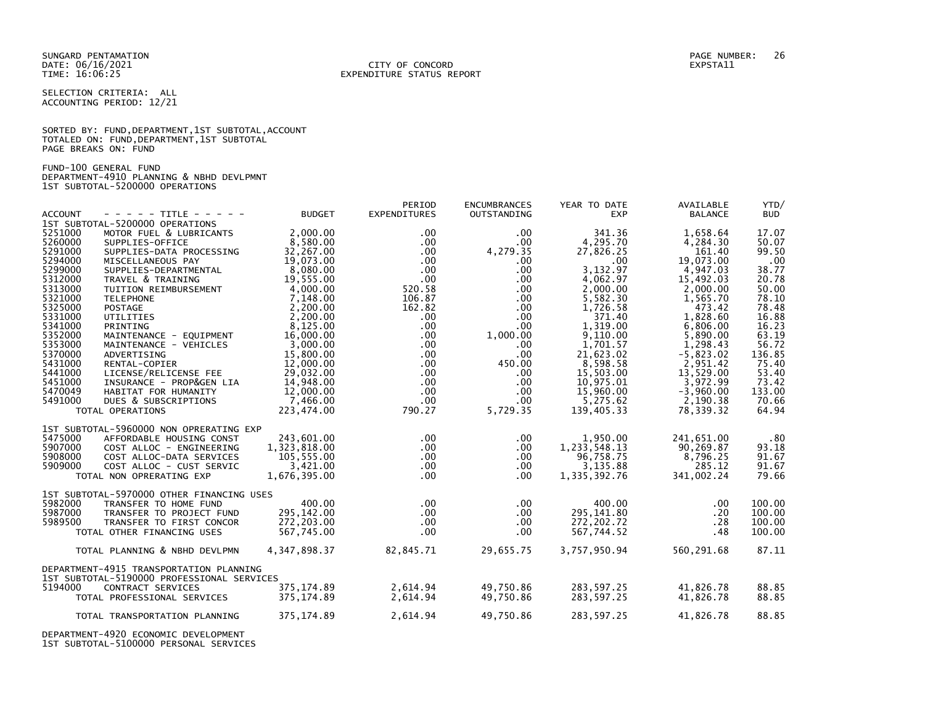SELECTION CRITERIA: ALL ACCOUNTING PERIOD: 12/21

SORTED BY: FUND, DEPARTMENT, 1ST SUBTOTAL, ACCOUNT TOTALED ON: FUND,DEPARTMENT,1ST SUBTOTAL PAGE BREAKS ON: FUND

FUND-100 GENERAL FUND DEPARTMENT-4910 PLANNING & NBHD DEVLPMNT 1ST SUBTOTAL-5200000 OPERATIONS

|                |                                            |                            | PERIOD              | <b>ENCUMBRANCES</b> | YEAR TO DATE             | AVAILABLE      | YTD/         |
|----------------|--------------------------------------------|----------------------------|---------------------|---------------------|--------------------------|----------------|--------------|
| <b>ACCOUNT</b> | - - - - - TITLE - - - - -                  | <b>BUDGET</b>              | <b>EXPENDITURES</b> | OUTSTANDING         | <b>EXP</b>               | <b>BALANCE</b> | <b>BUD</b>   |
|                | 1ST SUBTOTAL-5200000 OPERATIONS            |                            |                     |                     |                          |                |              |
| 5251000        | MOTOR FUEL & LUBRICANTS                    | 2,000.00                   | $.00 \,$            | $.00 \,$            | 341.36                   | 1,658.64       | 17.07        |
| 5260000        | SUPPLIES-OFFICE                            | 8,580.00                   | $.00 \,$            | $.00 \,$            | 4,295.70                 | 4,284.30       | 50.07        |
| 5291000        | SUPPLIES-DATA PROCESSING                   | 32,267.00                  | $.00 \,$            | 4,279.35            | 27,826.25                | 161.40         | 99.50        |
| 5294000        | MISCELLANEOUS PAY                          | 19,073.00                  | $.00 \,$            | $.00 \,$            | $.00 \,$                 | 19,073.00      | .00          |
| 5299000        | SUPPLIES-DEPARTMENTAL                      | 8.080.00                   | $.00 \,$            | $.00 \times$        | 3.132.97                 | 4,947.03       | 38.77        |
| 5312000        | TRAVEL & TRAINING                          | 19,555.00                  | $.00 \,$            | $.00 \,$            | 4,062.97                 | 15,492.03      | 20.78        |
| 5313000        | TUITION REIMBURSEMENT                      | 4,000.00                   | 520.58              | $.00 \,$            | 2,000.00                 | 2,000.00       | 50.00        |
| 5321000        | <b>TELEPHONE</b>                           | 7,148.00                   | 106.87              | $.00 \,$            | 5,582.30                 | 1,565.70       | 78.10        |
| 5325000        | <b>POSTAGE</b>                             | 2,200.00                   | 162.82              | $.00 \,$            | 1.726.58                 | 473.42         | 78.48        |
| 5331000        | <b>UTILITIES</b>                           | 2,200.00                   | $.00 \cdot$         | $.00 \,$            | 371.40                   | 1,828.60       | 16.88        |
| 5341000        | PRINTING                                   | 8,125.00                   | $.00 \,$            | $.00 \,$            | 1.319.00                 | 6,806.00       | 16.23        |
| 5352000        | MAINTENANCE - EQUIPMENT                    | 16,000.00                  | $.00 \,$            | 1,000.00            | 9,110.00                 | 5,890.00       | 63.19        |
| 5353000        | MAINTENANCE - VEHICLES                     | 3,000.00                   | $.00 \,$            | $.00 \,$            | 1,701.57                 | 1,298.43       | 56.72        |
| 5370000        | ADVERTISING                                | 15,800.00                  | $.00 \,$            | $.00 \,$            | 21,623.02                | $-5,823.02$    | 136.85       |
| 5431000        | RENTAL-COPIER                              | 12,000.00                  | $.00 \,$            | 450.00              | 8,598.58                 | 2,951.42       | 75.40        |
| 5441000        | LICENSE/RELICENSE FEE                      | 29,032.00                  | $.00 \,$            | $.00 \,$            | 15,503.00                | 13,529.00      | 53.40        |
| 5451000        |                                            |                            |                     |                     |                          |                | 73.42        |
|                | INSURANCE - PROP&GEN LIA                   | 14,948.00                  | $.00 \,$            | $.00 \ \,$          | 10,975.01                | 3,972.99       |              |
| 5470049        | HABITAT FOR HUMANITY                       | 12,000.00                  | $.00 \,$            | $.00 \,$            | 15,960.00                | $-3,960.00$    | 133.00       |
| 5491000        | DUES & SUBSCRIPTIONS                       | 7,466.00                   | $.00 \,$            | $.00 \,$            | 5,275.62                 | 2,190.38       | 70.66        |
|                | TOTAL OPERATIONS                           | 223,474.00                 | 790.27              | 5,729.35            | 139,405.33               | 78,339.32      | 64.94        |
|                | 1ST SUBTOTAL-5960000 NON OPRERATING EXP    |                            |                     |                     |                          |                |              |
| 5475000        |                                            |                            | $.00 \,$            | $.00 \times$        |                          |                |              |
| 5907000        | AFFORDABLE HOUSING CONST                   | 243,601.00<br>1,323,818.00 | $.00 \,$            | $.00 \,$            | 1,950.00<br>1,233,548.13 | 241,651.00     | .80<br>93.18 |
| 5908000        | COST ALLOC - ENGINEERING                   |                            | $.00 \,$            |                     | 96,758.75                | 90,269.87      |              |
|                | COST ALLOC-DATA SERVICES                   | 105,555.00                 |                     | $.00 \,$            |                          | 8,796.25       | 91.67        |
| 5909000        | COST ALLOC - CUST SERVIC                   | 3,421.00                   | $.00 \,$            | $.00 \,$            | 3,135.88                 | 285.12         | 91.67        |
|                | TOTAL NON OPRERATING EXP                   | 1,676,395.00               | $.00 \,$            | $.00 \,$            | 1,335,392.76             | 341,002.24     | 79.66        |
|                | 1ST SUBTOTAL-5970000 OTHER FINANCING USES  |                            |                     |                     |                          |                |              |
| 5982000        | TRANSFER TO HOME FUND                      | 400.00                     | $.00 \,$            | $.00 \,$            | 400.00                   | .00            | 100.00       |
| 5987000        | TRANSFER TO PROJECT FUND                   | 295, 142.00                | $.00 \,$            | $.00 \ \,$          | 295, 141.80              | .20            | 100.00       |
| 5989500        |                                            |                            |                     |                     | 272, 202.72              | .28            | 100.00       |
|                | TRANSFER TO FIRST CONCOR                   | 272,203.00                 | $.00 \,$            | .00.                |                          |                |              |
|                | TOTAL OTHER FINANCING USES                 | 567,745.00                 | $.00 \,$            | $.00 \,$            | 567,744.52               | .48            | 100.00       |
|                | TOTAL PLANNING & NBHD DEVLPMN              | 4, 347, 898. 37            | 82,845.71           | 29,655.75           | 3,757,950.94             | 560,291.68     | 87.11        |
|                |                                            |                            |                     |                     |                          |                |              |
|                | DEPARTMENT-4915 TRANSPORTATION PLANNING    |                            |                     |                     |                          |                |              |
|                | 1ST SUBTOTAL-5190000 PROFESSIONAL SERVICES |                            |                     |                     |                          |                |              |
| 5194000        | CONTRACT SERVICES                          | 375, 174.89                | 2,614.94            | 49,750.86           | 283,597.25               | 41,826.78      | 88.85        |
|                | TOTAL PROFESSIONAL SERVICES                | 375,174.89                 | 2,614.94            | 49,750.86           | 283,597.25               | 41,826.78      | 88.85        |
|                |                                            |                            |                     |                     |                          |                |              |
|                | TOTAL TRANSPORTATION PLANNING              | 375,174.89                 | 2,614.94            | 49,750.86           | 283,597.25               | 41,826.78      | 88.85        |
|                |                                            |                            |                     |                     |                          |                |              |
|                |                                            |                            |                     |                     |                          |                |              |

DEPARTMENT-4920 ECONOMIC DEVELOPMENT 1ST SUBTOTAL-5100000 PERSONAL SERVICES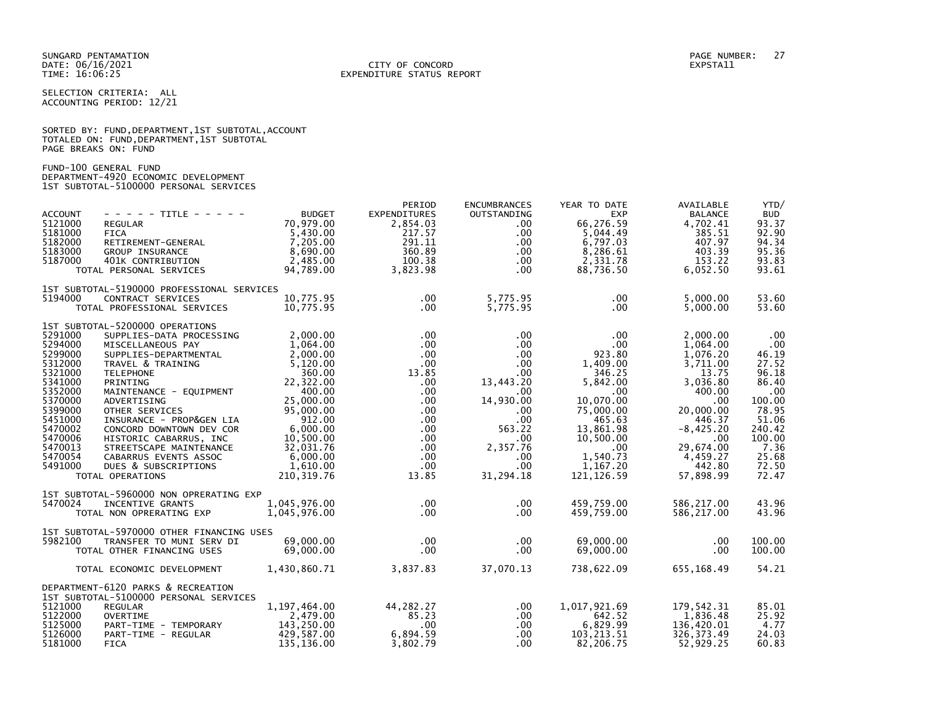SELECTION CRITERIA: ALL ACCOUNTING PERIOD: 12/21

|                      | SORTED BY: FUND, DEPARTMENT, 1ST SUBTOTAL, ACCOUNT |  |  |
|----------------------|----------------------------------------------------|--|--|
|                      | TOTALED ON: FUND, DEPARTMENT, 1ST SUBTOTAL         |  |  |
| PAGE BREAKS ON: FUND |                                                    |  |  |

FUND-100 GENERAL FUND DEPARTMENT-4920 ECONOMIC DEVELOPMENT 1ST SUBTOTAL-5100000 PERSONAL SERVICES

| <b>ACCOUNT</b><br>5121000<br>5181000<br>5182000<br>5183000<br>5187000                                                                                             | $- - - - -$ TITLE - - - - -<br><b>REGULAR</b><br><b>FICA</b><br>RETIREMENT-GENERAL<br>GROUP INSURANCE<br>401K CONTRIBUTION<br>TOTAL PERSONAL SERVICES                                                                                                                                                                                                                                                        | <b>BUDGET</b><br>70,979.00<br>5,430.00<br>7,205.00<br>8,690.00<br>2,485.00<br>94,789.00                                                                                                        | PERIOD<br><b>EXPENDITURES</b><br>2,854.03<br>217.57<br>291.11<br>360.89<br>100.38<br>3,823.98                                                                                                     | <b>ENCUMBRANCES</b><br><b>OUTSTANDING</b><br>$.00 \,$<br>$.00 \,$<br>$.00 \,$<br>$.00 \,$<br>$.00 \,$<br>.00.                                                                       | YEAR TO DATE<br><b>EXP</b><br>66,276.59<br>5,044.49<br>6,797.03<br>8,286.61<br>2,331.78<br>88,736.50                                                                                        | AVAILABLE<br><b>BALANCE</b><br>4,702.41<br>385.51<br>407.97<br>403.39<br>153.22<br>6,052.50                                                                                     | YTD/<br><b>BUD</b><br>93.37<br>92.90<br>94.34<br>95.36<br>93.83<br>93.61                                                                 |
|-------------------------------------------------------------------------------------------------------------------------------------------------------------------|--------------------------------------------------------------------------------------------------------------------------------------------------------------------------------------------------------------------------------------------------------------------------------------------------------------------------------------------------------------------------------------------------------------|------------------------------------------------------------------------------------------------------------------------------------------------------------------------------------------------|---------------------------------------------------------------------------------------------------------------------------------------------------------------------------------------------------|-------------------------------------------------------------------------------------------------------------------------------------------------------------------------------------|---------------------------------------------------------------------------------------------------------------------------------------------------------------------------------------------|---------------------------------------------------------------------------------------------------------------------------------------------------------------------------------|------------------------------------------------------------------------------------------------------------------------------------------|
| 5194000                                                                                                                                                           | 1ST SUBTOTAL-5190000 PROFESSIONAL SERVICES<br>CONTRACT SERVICES<br>TOTAL PROFESSIONAL SERVICES                                                                                                                                                                                                                                                                                                               | 10,775.95<br>10,775.95                                                                                                                                                                         | $.00 \,$<br>$.00 \,$                                                                                                                                                                              | 5,775.95<br>5,775.95                                                                                                                                                                | .00<br>$.00 \times$                                                                                                                                                                         | 5,000.00<br>5,000.00                                                                                                                                                            | 53.60<br>53.60                                                                                                                           |
| 5291000<br>5294000<br>5299000<br>5312000<br>5321000<br>5341000<br>5352000<br>5370000<br>5399000<br>5451000<br>5470002<br>5470006<br>5470013<br>5470054<br>5491000 | 1ST SUBTOTAL-5200000 OPERATIONS<br>SUPPLIES-DATA PROCESSING<br>MISCELLANEOUS PAY<br>SUPPLIES-DEPARTMENTAL<br>TRAVEL & TRAINING<br><b>TELEPHONE</b><br>PRINTING<br>MAINTENANCE - EQUIPMENT<br>ADVERTISING<br>OTHER SERVICES<br>INSURANCE - PROP&GEN LIA<br>CONCORD DOWNTOWN DEV COR<br>HISTORIC CABARRUS, INC<br>STREETSCAPE MAINTENANCE<br>CABARRUS EVENTS ASSOC<br>DUES & SUBSCRIPTIONS<br>TOTAL OPERATIONS | 2,000.00<br>1,064.00<br>2,000.00<br>5,120.00<br>360.00<br>22,322.00<br>400.00<br>25,000.00<br>95,000.00<br>912.00<br>6,000.00<br>10,500.00<br>32,031.76<br>6,000.00<br>1,610.00<br>210, 319.76 | $.00 \cdot$<br>$.00 \,$<br>$.00 \,$<br>$.00 \,$<br>13.85<br>$.00 \times$<br>$.00 \,$<br>.00<br>$.00 \,$<br>$.00 \,$<br>$.00 \,$<br>$.00 \,$<br>$.00 \cdot$<br>$.00 \cdot$<br>$.00 \cdot$<br>13.85 | $.00 \,$<br>$.00 \,$<br>$.00 \,$<br>$.00 \,$<br>$.00 \,$<br>13,443.20<br>$.00 \,$<br>14,930.00<br>$.00 \,$<br>.00<br>563.22<br>$.00 \,$<br>2,357.76<br>$.00 \,$<br>.00<br>31,294.18 | .00<br>$.00 \cdot$<br>923.80<br>1,409.00<br>346.25<br>5.842.00<br>$.00 \,$<br>10,070.00<br>75,000.00<br>465.63<br>13,861.98<br>10,500.00<br>$.00 \,$<br>1,540.73<br>1,167.20<br>121, 126.59 | 2,000.00<br>1,064.00<br>1,076.20<br>3,711.00<br>13.75<br>3,036.80<br>400.00<br>.00<br>20,000.00<br>446.37<br>$-8,425.20$<br>.00<br>29,674.00<br>4,459.27<br>442.80<br>57,898.99 | .00<br>.00<br>46.19<br>27.52<br>96.18<br>86.40<br>.00<br>100.00<br>78.95<br>51.06<br>240.42<br>100.00<br>7.36<br>25.68<br>72.50<br>72.47 |
| 5470024                                                                                                                                                           | 1ST SUBTOTAL-5960000 NON OPRERATING EXP<br>INCENTIVE GRANTS<br>TOTAL NON OPRERATING EXP                                                                                                                                                                                                                                                                                                                      | 1,045,976.00<br>1,045,976.00                                                                                                                                                                   | $.00 \,$<br>$.00 \,$                                                                                                                                                                              | .00.<br>$.00 \,$                                                                                                                                                                    | 459,759.00<br>459,759.00                                                                                                                                                                    | 586,217.00<br>586,217.00                                                                                                                                                        | 43.96<br>43.96                                                                                                                           |
| 5982100                                                                                                                                                           | 1ST SUBTOTAL-5970000 OTHER FINANCING USES<br>TRANSFER TO MUNI SERV DI<br>TOTAL OTHER FINANCING USES                                                                                                                                                                                                                                                                                                          | 69,000,00<br>69,000.00                                                                                                                                                                         | $.00 \,$<br>$.00 \,$                                                                                                                                                                              | $.00 \,$<br>$.00 \,$                                                                                                                                                                | 69,000,00<br>69,000.00                                                                                                                                                                      | .00<br>$.00 \,$                                                                                                                                                                 | 100.00<br>100.00                                                                                                                         |
|                                                                                                                                                                   | TOTAL ECONOMIC DEVELOPMENT                                                                                                                                                                                                                                                                                                                                                                                   | 1,430,860.71                                                                                                                                                                                   | 3,837.83                                                                                                                                                                                          | 37,070.13                                                                                                                                                                           | 738,622.09                                                                                                                                                                                  | 655,168.49                                                                                                                                                                      | 54.21                                                                                                                                    |
| 5121000<br>5122000<br>5125000<br>5126000<br>5181000                                                                                                               | DEPARTMENT-6120 PARKS & RECREATION<br>1ST SUBTOTAL-5100000 PERSONAL SERVICES<br><b>REGULAR</b><br><b>OVERTIME</b><br>PART-TIME - TEMPORARY<br>PART-TIME - REGULAR<br><b>FICA</b>                                                                                                                                                                                                                             | 1,197,464.00<br>2,479.00<br>143,250.00<br>429,587.00<br>135,136.00                                                                                                                             | 44,282.27<br>85.23<br>$.00 \,$<br>6,894.59<br>3,802.79                                                                                                                                            | .00<br>$.00 \,$<br>$.00 \,$<br>$.00 \,$<br>.00 <sub>1</sub>                                                                                                                         | 1,017,921.69<br>642.52<br>6,829.99<br>103, 213.51<br>82,206.75                                                                                                                              | 179,542.31<br>1,836.48<br>136,420.01<br>326, 373.49<br>52,929.25                                                                                                                | 85.01<br>25.92<br>4.77<br>24.03<br>60.83                                                                                                 |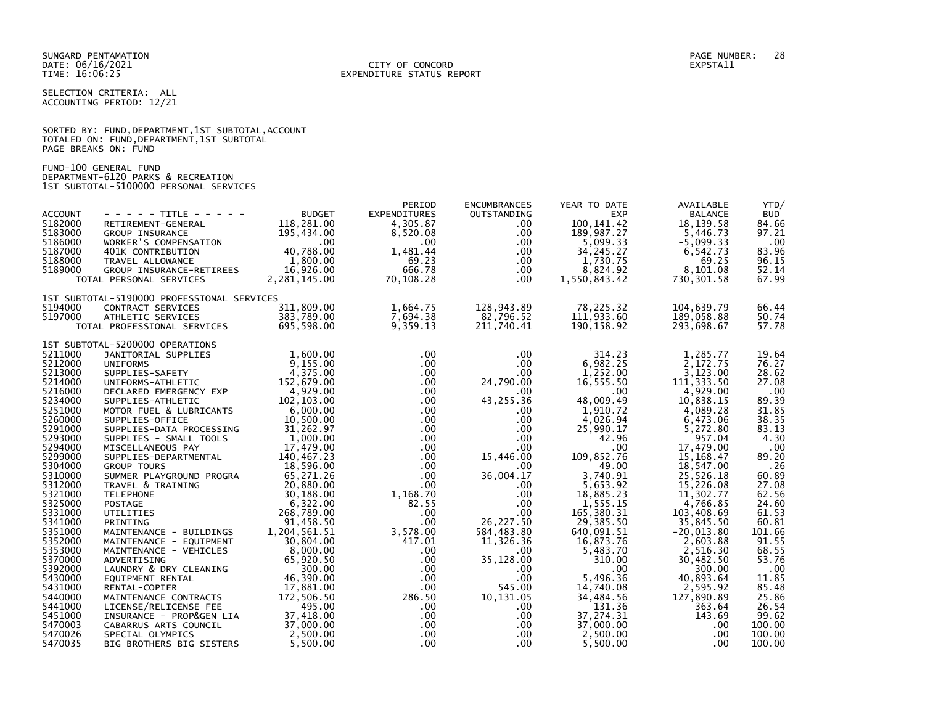SELECTION CRITERIA: ALL ACCOUNTING PERIOD: 12/21

|                      |  |  | SORTED BY: FUND, DEPARTMENT, 1ST SUBTOTAL, ACCOUNT |  |
|----------------------|--|--|----------------------------------------------------|--|
|                      |  |  | TOTALED ON: FUND, DEPARTMENT, 1ST SUBTOTAL         |  |
| PAGE BREAKS ON: FUND |  |  |                                                    |  |

FUND-100 GENERAL FUND DEPARTMENT-6120 PARKS & RECREATION 1ST SUBTOTAL-5100000 PERSONAL SERVICES

|                |                                            |               | PERIOD              | <b>ENCUMBRANCES</b> | YEAR TO DATE | AVAILABLE      | YTD/       |
|----------------|--------------------------------------------|---------------|---------------------|---------------------|--------------|----------------|------------|
| <b>ACCOUNT</b> | - - - - - TITLE - - - - -                  | <b>BUDGET</b> | <b>EXPENDITURES</b> | OUTSTANDING         | <b>EXP</b>   | <b>BALANCE</b> | <b>BUD</b> |
| 5182000        | RETIREMENT-GENERAL                         | 118,281.00    | 4,305.87            | $.00 \cdot$         | 100, 141.42  | 18, 139.58     | 84.66      |
| 5183000        | GROUP INSURANCE                            | 195,434.00    | 8,520.08            | $.00 \,$            | 189,987.27   | 5,446.73       | 97.21      |
| 5186000        | WORKER'S COMPENSATION                      | $.00 \,$      | $.00 \,$            | $.00 \,$            | 5,099.33     | $-5,099.33$    | .00        |
| 5187000        | 401K CONTRIBUTION                          | 40,788.00     | 1.481.44            | $.00 \,$            | 34, 245. 27  | 6,542.73       | 83.96      |
| 5188000        | TRAVEL ALLOWANCE                           | 1,800.00      | 69.23               | $.00 \,$            | 1,730.75     | 69.25          | 96.15      |
| 5189000        | GROUP INSURANCE-RETIREES                   | 16,926.00     | 666.78              | $.00 \,$            | 8,824.92     | 8,101.08       | 52.14      |
|                | TOTAL PERSONAL SERVICES                    | 2,281,145.00  | 70,108.28           | $.00 \,$            | 1,550,843.42 | 730, 301.58    | 67.99      |
|                | 1ST SUBTOTAL-5190000 PROFESSIONAL SERVICES |               |                     |                     |              |                |            |
| 5194000        | CONTRACT SERVICES                          | 311,809.00    | 1.664.75            | 128,943.89          | 78,225.32    | 104.639.79     | 66.44      |
| 5197000        | ATHLETIC SERVICES                          | 383,789.00    | 7,694.38            | 82,796.52           | 111,933.60   | 189,058.88     | 50.74      |
|                | TOTAL PROFESSIONAL SERVICES                | 695,598.00    | 9,359.13            | 211,740.41          | 190,158.92   | 293,698.67     | 57.78      |
|                | 1ST SUBTOTAL-5200000 OPERATIONS            |               |                     |                     |              |                |            |
| 5211000        | JANITORIAL SUPPLIES                        | 1,600.00      | $.00 \,$            | $.00 \,$            | 314.23       | 1,285.77       | 19.64      |
| 5212000        | <b>UNIFORMS</b>                            | 9.155.00      | $.00 \,$            | $.00 \,$            | 6,982.25     | 2,172.75       | 76.27      |
| 5213000        | SUPPLIES-SAFETY                            | 4,375.00      | $.00 \,$            | $.00 \,$            | 1,252.00     | 3,123.00       | 28.62      |
| 5214000        | UNIFORMS-ATHLETIC                          | 152,679.00    | $.00 \times$        | 24,790.00           | 16,555.50    | 111, 333.50    | 27.08      |
| 5216000        | DECLARED EMERGENCY EXP                     | 4,929.00      | $.00 \,$            | $.00 \,$            | .00          | 4,929.00       | .00        |
| 5234000        | SUPPLIES-ATHLETIC                          | 102,103.00    | $.00 \,$            | 43,255.36           | 48,009.49    | 10,838.15      | 89.39      |
| 5251000        | MOTOR FUEL & LUBRICANTS                    | 6.000.00      | $.00 \,$            | $.00 \,$            | 1,910.72     | 4,089.28       | 31.85      |
| 5260000        | SUPPLIES-OFFICE                            | 10,500.00     | $.00 \,$            | $.00 \,$            | 4,026.94     | 6,473.06       | 38.35      |
| 5291000        | SUPPLIES-DATA PROCESSING                   | 31,262.97     | $.00 \,$            | $.00 \,$            | 25,990.17    | 5,272.80       | 83.13      |
| 5293000        | SUPPLIES - SMALL TOOLS                     | 1,000.00      | $.00 \,$            | $.00 \,$            | 42.96        | 957.04         | 4.30       |
| 5294000        | MISCELLANEOUS PAY                          | 17,479.00     | $.00 \times$        | $.00 \,$            | $.00 \,$     | 17,479.00      | .00        |
| 5299000        | SUPPLIES-DEPARTMENTAL                      | 140,467.23    | $.00 \,$            | 15,446.00           | 109,852.76   | 15, 168.47     | 89.20      |
| 5304000        | <b>GROUP TOURS</b>                         | 18,596.00     | .00                 | $.00 \,$            | 49.00        | 18,547.00      | .26        |
| 5310000        | SUMMER PLAYGROUND PROGRA                   | 65,271.26     | $.00 \,$            | 36,004.17           | 3,740.91     | 25,526.18      | 60.89      |
| 5312000        | TRAVEL & TRAINING                          | 20,880.00     | $.00 \ \,$          | $.00 \,$            | 5,653.92     | 15,226.08      | 27.08      |
| 5321000        | <b>TELEPHONE</b>                           | 30,188.00     | 1,168.70            | $.00 \,$            | 18,885.23    | 11,302.77      | 62.56      |
| 5325000        | <b>POSTAGE</b>                             | 6,322.00      | 82.55               | $.00 \,$            | 1,555.15     | 4,766.85       | 24.60      |
| 5331000        | UTILITIES                                  | 268,789.00    | .00 <sub>1</sub>    | $.00 \,$            | 165,380.31   | 103,408.69     | 61.53      |
| 5341000        | PRINTING                                   | 91,458.50     | $.00 \times$        | 26.227.50           | 29,385.50    | 35.845.50      | 60.81      |
| 5351000        | MAINTENANCE - BUILDINGS                    | 1,204,561.51  | 3,578.00            | 584,483.80          | 640,091.51   | $-20,013.80$   | 101.66     |
| 5352000        | MAINTENANCE - EQUIPMENT                    | 30,804.00     | 417.01              | 11,326.36           | 16,873.76    | 2,603.88       | 91.55      |
| 5353000        | MAINTENANCE - VEHICLES                     | 8,000.00      | $.00 \,$            | $.00 \,$            | 5,483.70     | 2,516.30       | 68.55      |
| 5370000        | ADVERTISING                                | 65,920.50     | $.00 \,$            | 35,128.00           | 310.00       | 30,482.50      | 53.76      |
| 5392000        | LAUNDRY & DRY CLEANING                     | 300.00        | $.00 \ \,$          | $.00 \,$            | $.00 \,$     | 300.00         | .00        |
| 5430000        | EQUIPMENT RENTAL                           | 46,390.00     | $.00 \,$            | $.00 \,$            | 5,496.36     | 40,893.64      | 11.85      |
| 5431000        | RENTAL-COPIER                              | 17,881.00     | $.00 \,$            | 545.00              | 14,740.08    | 2,595.92       | 85.48      |
| 5440000        | MAINTENANCE CONTRACTS                      | 172,506.50    | 286.50              | 10,131.05           | 34,484.56    | 127,890.89     | 25.86      |
| 5441000        | LICENSE/RELICENSE FEE                      | 495.00        | $.00 \,$            | $.00 \,$            | 131.36       | 363.64         | 26.54      |
| 5451000        | INSURANCE - PROP&GEN LIA                   | 37,418.00     | $.00 \,$            | $.00 \,$            | 37,274.31    | 143.69         | 99.62      |
| 5470003        | CABARRUS ARTS COUNCIL                      | 37,000.00     | $.00 \,$            | $.00 \,$            | 37,000.00    | .00            | 100.00     |
| 5470026        | SPECIAL OLYMPICS                           | 2,500.00      | $.00 \,$            | $.00 \,$            | 2,500.00     | .00            | 100.00     |
| 5470035        | BIG BROTHERS BIG SISTERS                   | 5,500.00      | .00 <sub>1</sub>    | $.00 \,$            | 5,500.00     | .00.           | 100.00     |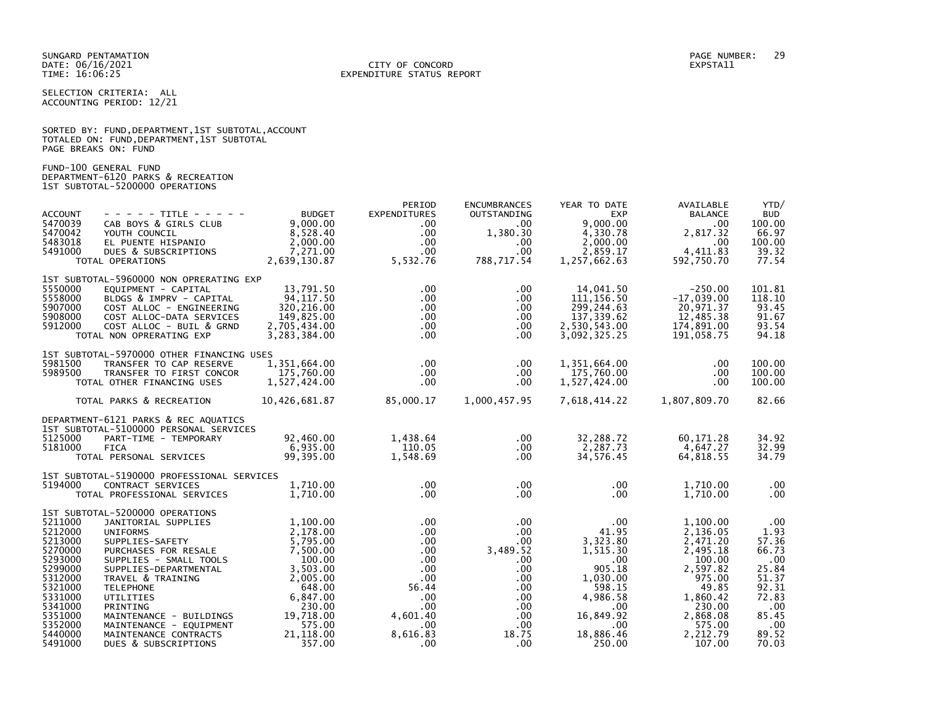SELECTION CRITERIA: ALL ACCOUNTING PERIOD: 12/21

|                      |  |  | SORTED BY: FUND, DEPARTMENT, 1ST SUBTOTAL, ACCOUNT |  |
|----------------------|--|--|----------------------------------------------------|--|
|                      |  |  | TOTALED ON: FUND, DEPARTMENT, 1ST SUBTOTAL         |  |
| PAGE BREAKS ON: FUND |  |  |                                                    |  |

FUND-100 GENERAL FUND DEPARTMENT-6120 PARKS & RECREATION 1ST SUBTOTAL-5200000 OPERATIONS

| <b>ACCOUNT</b><br>5470039<br>5470042<br>5483018<br>5491000                                                                                             | - - - - - TITLE - - - - -<br>CAB BOYS & GIRLS CLUB<br>YOUTH COUNCIL<br>EL PUENTE HISPANIO<br>DUES & SUBSCRIPTIONS<br>TOTAL OPERATIONS                                                                                                                                                                                                                   | <b>BUDGET</b><br>9,000.00<br>8,528.40<br>2.000.00<br>7,271.00<br>2,639,130.87                                                                                | PERIOD<br><b>EXPENDITURES</b><br>.00<br>$.00 \,$<br>$.00 \,$<br>$.00 \,$<br>5,532.76                                                                            | <b>ENCUMBRANCES</b><br>OUTSTANDING<br>$.00 \,$<br>1,380.30<br>.00<br>$.00 \,$<br>788,717.54                                               | YEAR TO DATE<br><b>EXP</b><br>9.000.00<br>4,330.78<br>2,000.00<br>2,859.17<br>1,257,662.63                                                          | AVAILABLE<br><b>BALANCE</b><br>.00<br>2,817.32<br>.00<br>4,411.83<br>592,750.70                                                                         | YTD/<br><b>BUD</b><br>100.00<br>66.97<br>100.00<br>39.32<br>77.54                                                 |
|--------------------------------------------------------------------------------------------------------------------------------------------------------|---------------------------------------------------------------------------------------------------------------------------------------------------------------------------------------------------------------------------------------------------------------------------------------------------------------------------------------------------------|--------------------------------------------------------------------------------------------------------------------------------------------------------------|-----------------------------------------------------------------------------------------------------------------------------------------------------------------|-------------------------------------------------------------------------------------------------------------------------------------------|-----------------------------------------------------------------------------------------------------------------------------------------------------|---------------------------------------------------------------------------------------------------------------------------------------------------------|-------------------------------------------------------------------------------------------------------------------|
| 5550000<br>5558000<br>5907000<br>5908000<br>5912000                                                                                                    | 1ST SUBTOTAL-5960000 NON OPRERATING EXP<br>EQUIPMENT - CAPITAL<br>BLDGS & IMPRV - CAPITAL<br>COST ALLOC - ENGINEERING<br>COST ALLOC-DATA SERVICES<br>COST ALLOC - BUIL & GRND<br>TOTAL NON OPRERATING EXP                                                                                                                                               | 13,791.50<br>94,117.50<br>320,216.00<br>149,825.00<br>2,705,434.00<br>3,283,384.00                                                                           | $.00 \,$<br>$.00 \,$<br>$.00 \,$<br>$.00 \,$<br>.00 <sub>1</sub><br>$.00 \,$                                                                                    | .00<br>$.00 \,$<br>.00.<br>.00.<br>.00<br>.00.                                                                                            | 14,041.50<br>111, 156.50<br>299, 244.63<br>137, 339.62<br>2,530,543.00<br>3,092,325.25                                                              | $-250.00$<br>$-17,039.00$<br>20,971.37<br>12,485.38<br>174,891.00<br>191,058.75                                                                         | 101.81<br>118.10<br>93.45<br>91.67<br>93.54<br>94.18                                                              |
| 5981500<br>5989500                                                                                                                                     | 1ST SUBTOTAL-5970000 OTHER FINANCING USES<br>TRANSFER TO CAP RESERVE<br>TRANSFER TO FIRST CONCOR<br>TOTAL OTHER FINANCING USES<br>TOTAL PARKS & RECREATION                                                                                                                                                                                              | 1,351,664.00<br>175,760.00<br>1,527,424.00<br>10,426,681.87                                                                                                  | $.00 \,$<br>$.00 \,$<br>.00<br>85,000.17                                                                                                                        | $.00 \,$<br>.00<br>.00<br>1,000,457.95                                                                                                    | 1,351,664.00<br>175,760.00<br>1,527,424.00<br>7,618,414.22                                                                                          | $.00 \,$<br>$.00 \,$<br>$.00 \,$<br>1,807,809.70                                                                                                        | 100.00<br>100.00<br>100.00<br>82.66                                                                               |
| 5125000<br>5181000                                                                                                                                     | DEPARTMENT-6121 PARKS & REC AQUATICS<br>1ST SUBTOTAL-5100000 PERSONAL SERVICES<br>PART-TIME - TEMPORARY<br><b>FICA</b><br>TOTAL PERSONAL SERVICES                                                                                                                                                                                                       | 92,460.00<br>6,935.00<br>99,395.00                                                                                                                           | 1,438.64<br>110.05<br>1,548.69                                                                                                                                  | .00<br>.00.<br>.00                                                                                                                        | 32,288.72<br>2,287.73<br>34,576.45                                                                                                                  | 60,171.28<br>4,647.27<br>64,818.55                                                                                                                      | 34.92<br>32.99<br>34.79                                                                                           |
| 5194000                                                                                                                                                | 1ST SUBTOTAL-5190000 PROFESSIONAL SERVICES<br>CONTRACT SERVICES<br>TOTAL PROFESSIONAL SERVICES                                                                                                                                                                                                                                                          | 1,710.00<br>1.710.00                                                                                                                                         | $.00 \,$<br>.00 <sub>1</sub>                                                                                                                                    | $.00 \,$<br>$.00 \,$                                                                                                                      | $.00 \,$<br>$.00 \times$                                                                                                                            | 1,710.00<br>1.710.00                                                                                                                                    | .00<br>.00                                                                                                        |
| 5211000<br>5212000<br>5213000<br>5270000<br>5293000<br>5299000<br>5312000<br>5321000<br>5331000<br>5341000<br>5351000<br>5352000<br>5440000<br>5491000 | 1ST SUBTOTAL-5200000 OPERATIONS<br>JANITORIAL SUPPLIES<br><b>UNIFORMS</b><br>SUPPLIES-SAFETY<br>PURCHASES FOR RESALE<br>SUPPLIES - SMALL TOOLS<br>SUPPLIES-DEPARTMENTAL<br>TRAVEL & TRAINING<br><b>TELEPHONE</b><br><b>UTILITIES</b><br>PRINTING<br>MAINTENANCE - BUILDINGS<br>MAINTENANCE - EQUIPMENT<br>MAINTENANCE CONTRACTS<br>DUES & SUBSCRIPTIONS | 1,100.00<br>2,178.00<br>5,795.00<br>7.500.00<br>100.00<br>3,503.00<br>2.005.00<br>648.00<br>6,847.00<br>230.00<br>19,718.00<br>575.00<br>21,118.00<br>357.00 | $.00 \,$<br>$.00 \,$<br>$.00 \,$<br>.00<br>$.00 \,$<br>$.00 \,$<br>.00 <sub>1</sub><br>56.44<br>$.00 \,$<br>$.00 \,$<br>4.601.40<br>$.00 \,$<br>8,616.83<br>.00 | .00<br>$.00 \,$<br>.00<br>3,489.52<br>$.00 \,$<br>$.00 \,$<br>$.00 \,$<br>.00.<br>$.00 \,$<br>$.00 \,$<br>.00<br>.00<br>18.75<br>$.00 \,$ | .00<br>41.95<br>3,323.80<br>1,515.30<br>.00<br>905.18<br>1.030.00<br>598.15<br>4.986.58<br>$.00 \,$<br>16,849.92<br>$.00 \,$<br>18,886.46<br>250.00 | 1,100.00<br>2,136.05<br>2,471.20<br>2,495.18<br>100.00<br>2,597.82<br>975.00<br>49.85<br>1,860.42<br>230.00<br>2,868.08<br>575.00<br>2,212.79<br>107.00 | .00<br>1.93<br>57.36<br>66.73<br>.00<br>25.84<br>51.37<br>92.31<br>72.83<br>.00<br>85.45<br>.00<br>89.52<br>70.03 |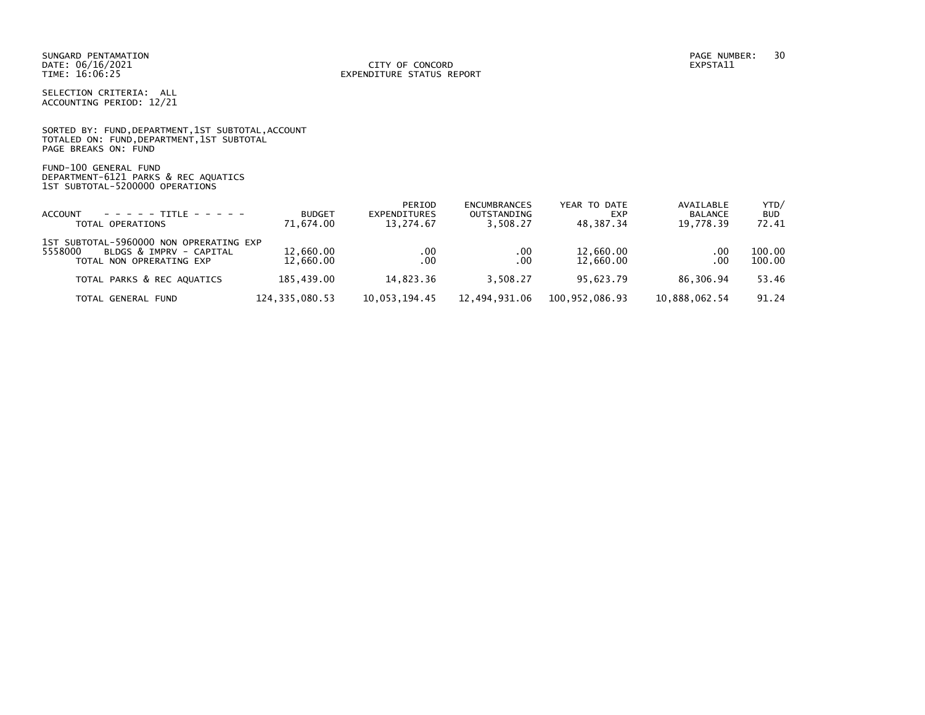SELECTION CRITERIA: ALL ACCOUNTING PERIOD: 12/21

SORTED BY: FUND, DEPARTMENT, 1ST SUBTOTAL, ACCOUNT TOTALED ON: FUND,DEPARTMENT,1ST SUBTOTAL PAGE BREAKS ON: FUND

FUND-100 GENERAL FUND DEPARTMENT-6121 PARKS & REC AQUATICS 1ST SUBTOTAL-5200000 OPERATIONS

| ACCOUNT<br>TOTAL OPERATIONS                                                                               | <b>BUDGET</b><br>71,674.00 | PERIOD<br>EXPENDITURES<br>13,274.67 | <b>ENCUMBRANCES</b><br>OUTSTANDING<br>3.508.27 | YEAR TO DATE<br><b>EXP</b><br>48.387.34 | AVAILABLE<br><b>BALANCE</b><br>19,778.39 | YTD/<br><b>BUD</b><br>72.41 |
|-----------------------------------------------------------------------------------------------------------|----------------------------|-------------------------------------|------------------------------------------------|-----------------------------------------|------------------------------------------|-----------------------------|
| 1ST SUBTOTAL-5960000 NON OPRERATING EXP<br>5558000<br>BLDGS & IMPRV - CAPITAL<br>TOTAL NON OPRERATING EXP | 12,660.00<br>12,660.00     | .00<br>.00                          | .00<br>.00                                     | 12,660.00<br>12,660.00                  | .00<br>.00                               | 100.00<br>100.00            |
| TOTAL PARKS & REC AQUATICS                                                                                | 185.439.00                 | 14.823.36                           | 3.508.27                                       | 95.623.79                               | 86.306.94                                | 53.46                       |
| TOTAL GENERAL FUND                                                                                        | 124, 335, 080. 53          | 10,053,194.45                       | 12.494.931.06                                  | 100.952.086.93                          | 10,888,062.54                            | 91.24                       |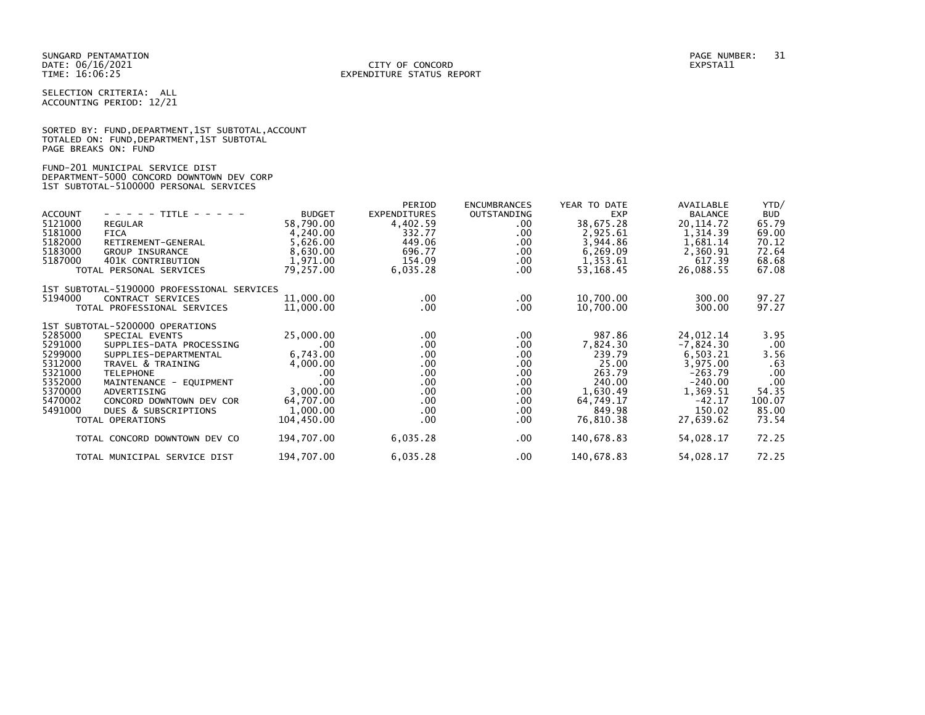SELECTION CRITERIA: ALL ACCOUNTING PERIOD: 12/21

|                      |  | SORTED BY: FUND, DEPARTMENT, 1ST SUBTOTAL, ACCOUNT |  |
|----------------------|--|----------------------------------------------------|--|
|                      |  | TOTALED ON: FUND, DEPARTMENT, 1ST SUBTOTAL         |  |
| PAGE BREAKS ON: FUND |  |                                                    |  |

### FUND-201 MUNICIPAL SERVICE DIST DEPARTMENT-5000 CONCORD DOWNTOWN DEV CORP 1ST SUBTOTAL-5100000 PERSONAL SERVICES

| - - - - - TITLE - - - - -<br><b>ACCOUNT</b><br>5121000<br><b>REGULAR</b><br>5181000<br><b>FICA</b><br>5182000<br>RETIREMENT-GENERAL<br>5183000<br><b>GROUP INSURANCE</b><br>5187000<br>401K CONTRIBUTION<br>TOTAL PERSONAL SERVICES                                                                                                                                  | <b>BUDGET</b><br>58,790.00<br>4,240.00<br>5,626.00<br>8,630.00<br>1,971.00<br>79,257.00                    | PERIOD<br><b>EXPENDITURES</b><br>4,402.59<br>332.77<br>449.06<br>696.77<br>154.09<br>6,035.28 | <b>ENCUMBRANCES</b><br>OUTSTANDING<br>$.00 \,$<br>.00.<br>$.00 \,$<br>$.00 \,$<br>.00<br>.00           | YEAR TO DATE<br><b>EXP</b><br>38,675.28<br>2,925.61<br>3,944.86<br>6,269.09<br>1,353.61<br>53,168.45      | AVAILABLE<br><b>BALANCE</b><br>20, 114, 72<br>1,314.39<br>1,681.14<br>2,360.91<br>617.39<br>26,088.55                     | YTD/<br><b>BUD</b><br>65.79<br>69.00<br>70.12<br>72.64<br>68.68<br>67.08      |
|----------------------------------------------------------------------------------------------------------------------------------------------------------------------------------------------------------------------------------------------------------------------------------------------------------------------------------------------------------------------|------------------------------------------------------------------------------------------------------------|-----------------------------------------------------------------------------------------------|--------------------------------------------------------------------------------------------------------|-----------------------------------------------------------------------------------------------------------|---------------------------------------------------------------------------------------------------------------------------|-------------------------------------------------------------------------------|
| 1ST SUBTOTAL-5190000 PROFESSIONAL SERVICES<br>5194000<br>CONTRACT SERVICES<br>TOTAL PROFESSIONAL SERVICES                                                                                                                                                                                                                                                            | 11,000.00<br>11,000.00                                                                                     | $.00 \,$<br>$.00 \,$                                                                          | $.00 \,$<br>.00.                                                                                       | 10,700.00<br>10,700.00                                                                                    | 300.00<br>300.00                                                                                                          | 97.27<br>97.27                                                                |
| 1ST SUBTOTAL-5200000 OPERATIONS<br>5285000<br>SPECIAL EVENTS<br>5291000<br>SUPPLIES-DATA PROCESSING<br>5299000<br>SUPPLIES-DEPARTMENTAL<br>5312000<br>TRAVEL & TRAINING<br>5321000<br><b>TELEPHONE</b><br>5352000<br>MAINTENANCE - EQUIPMENT<br>5370000<br>ADVERTISING<br>5470002<br>CONCORD DOWNTOWN DEV COR<br>5491000<br>DUES & SUBSCRIPTIONS<br>TOTAL OPERATIONS | 25,000.00<br>.00<br>6,743.00<br>4,000.00<br>.00.<br>.00<br>3.000.00<br>64,707.00<br>1,000.00<br>104,450.00 | $.00 \,$<br>$.00 \,$<br>.00<br>.00<br>$.00 \,$<br>.00<br>.00.<br>$.00 \,$<br>$.00 \,$<br>.00  | $.00 \,$<br>$.00 \,$<br>$.00 \,$<br>$.00 \,$<br>.00.<br>$.00 \,$<br>$.00 \,$<br>$.00 \,$<br>.00<br>.00 | 987.86<br>7,824.30<br>239.79<br>25.00<br>263.79<br>240.00<br>1,630.49<br>64,749.17<br>849.98<br>76,810.38 | 24,012.14<br>$-7,824.30$<br>6,503.21<br>3,975.00<br>$-263.79$<br>$-240.00$<br>1,369.51<br>$-42.17$<br>150.02<br>27,639.62 | 3.95<br>.00<br>3.56<br>.63<br>.00<br>.00<br>54.35<br>100.07<br>85.00<br>73.54 |
| TOTAL CONCORD DOWNTOWN DEV CO                                                                                                                                                                                                                                                                                                                                        | 194,707.00                                                                                                 | 6,035.28                                                                                      | .00                                                                                                    | 140,678.83                                                                                                | 54,028.17                                                                                                                 | 72.25                                                                         |
| TOTAL MUNICIPAL SERVICE DIST                                                                                                                                                                                                                                                                                                                                         | 194,707.00                                                                                                 | 6,035.28                                                                                      | .00                                                                                                    | 140,678.83                                                                                                | 54,028.17                                                                                                                 | 72.25                                                                         |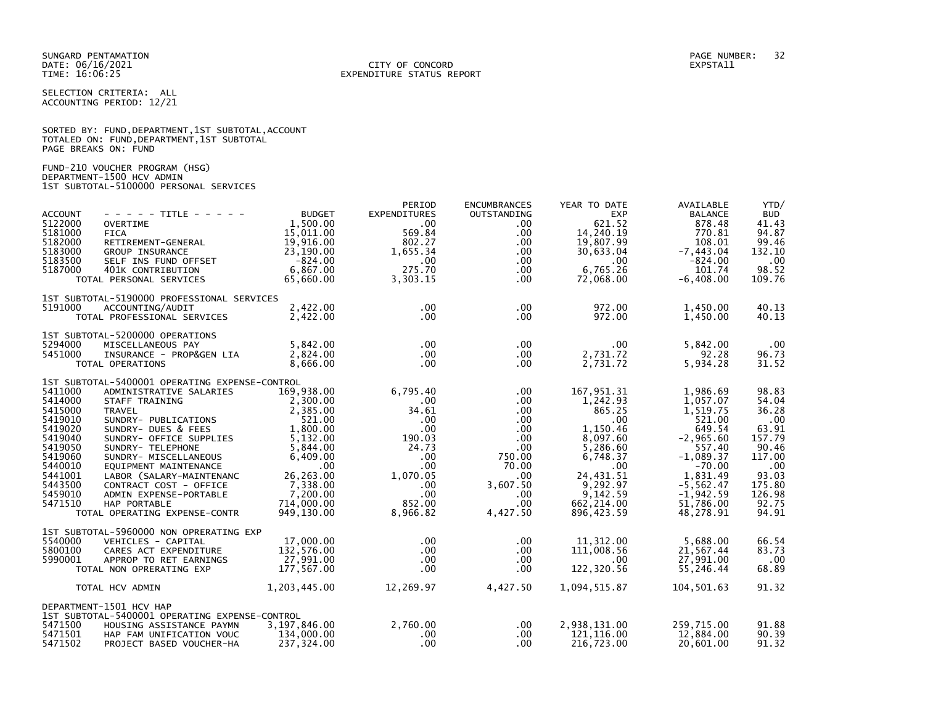SELECTION CRITERIA: ALL ACCOUNTING PERIOD: 12/21

|                      | SORTED BY: FUND, DEPARTMENT, 1ST SUBTOTAL, ACCOUNT |  |  |
|----------------------|----------------------------------------------------|--|--|
|                      | TOTALED ON: FUND, DEPARTMENT, 1ST SUBTOTAL         |  |  |
| PAGE BREAKS ON: FUND |                                                    |  |  |

FUND-210 VOUCHER PROGRAM (HSG) DEPARTMENT-1500 HCV ADMIN 1ST SUBTOTAL-5100000 PERSONAL SERVICES

| <b>ACCOUNT</b><br>5122000<br>5181000<br>5182000<br>5183000<br>5183500<br>5187000                                                            | $- - - - -$ TITLE - - - - -<br><b>OVERTIME</b><br><b>FICA</b><br>RETIREMENT-GENERAL<br>GROUP INSURANCE<br>SELF INS FUND OFFSET<br>401K CONTRIBUTION<br>TOTAL PERSONAL SERVICES                                                                                                                                                                                                | <b>BUDGET</b><br>1,500.00<br>15,011.00<br>19,916.00<br>23,190.00<br>-824.00<br>6,867.00<br>65,660.00 | PERIOD<br><b>EXPENDITURES</b><br>.00<br>569.84<br>802.27<br>1.655.34<br>$.00 \,$<br>275.70<br>3,303.15                                                         | <b>ENCUMBRANCES</b><br>OUTSTANDING<br>.00<br>.00.<br>$.00 \,$<br>$.00 \,$<br>.00<br>$.00 \,$<br>.00.                                      | YEAR TO DATE<br><b>EXP</b><br>621.52<br>14,240.19<br>19,807.99<br>30,633.04<br>.00.<br>6.765.26<br>72,068.00                                                               | AVAILABLE<br><b>BALANCE</b><br>878.48<br>770.81<br>108.01<br>$-7,443.04$<br>$-824.00$<br>101.74<br>$-6,408.00$                                                                | YTD/<br><b>BUD</b><br>41.43<br>94.87<br>99.46<br>132.10<br>$.00 \,$<br>98.52<br>109.76                                     |
|---------------------------------------------------------------------------------------------------------------------------------------------|-------------------------------------------------------------------------------------------------------------------------------------------------------------------------------------------------------------------------------------------------------------------------------------------------------------------------------------------------------------------------------|------------------------------------------------------------------------------------------------------|----------------------------------------------------------------------------------------------------------------------------------------------------------------|-------------------------------------------------------------------------------------------------------------------------------------------|----------------------------------------------------------------------------------------------------------------------------------------------------------------------------|-------------------------------------------------------------------------------------------------------------------------------------------------------------------------------|----------------------------------------------------------------------------------------------------------------------------|
| 5191000                                                                                                                                     | 1ST SUBTOTAL-5190000 PROFESSIONAL SERVICES<br>ACCOUNTING/AUDIT<br>TOTAL PROFESSIONAL SERVICES                                                                                                                                                                                                                                                                                 | 2,422.00<br>2,422.00                                                                                 | $.00 \cdot$<br>$.00 \,$                                                                                                                                        | $.00 \,$<br>$.00 \,$                                                                                                                      | 972.00<br>972.00                                                                                                                                                           | 1,450.00<br>1,450.00                                                                                                                                                          | 40.13<br>40.13                                                                                                             |
| 5294000<br>5451000                                                                                                                          | 1ST SUBTOTAL-5200000 OPERATIONS<br>MISCELLANEOUS PAY<br>INSURANCE - PROP&GEN LIA<br>TOTAL OPERATIONS                                                                                                                                                                                                                                                                          | 5,842.00<br>2,824.00<br>8.666.00                                                                     | $.00 \cdot$<br>$.00 \cdot$<br>$.00 \,$                                                                                                                         | .00<br>$.00 \,$<br>$.00 \,$                                                                                                               | $.00 \,$<br>2,731.72<br>2,731.72                                                                                                                                           | 5,842.00<br>92.28<br>5,934.28                                                                                                                                                 | $.00 \,$<br>96.73<br>31.52                                                                                                 |
| 5411000<br>5414000<br>5415000<br>5419010<br>5419020<br>5419040<br>5419050<br>5419060<br>5440010<br>5441001<br>5443500<br>5459010<br>5471510 | 1ST SUBTOTAL-5400001 OPERATING EXPENSE-CONTROL<br>DMINISTRAIL<br>STAFF TRAINING<br>TRAVEL<br>SUNDRY- PUBLICATIONS<br>CHANGE COMPARE SUPPLIES<br>CHANGE SUPPLIES<br>THE SUPPLIES<br>5,844.00<br>5,844.00<br>6,849.00<br>EQUIPMENT MAINTENANCE<br>LABOR (SALARY-MAINTENANC<br>CONTRACT COST - OFFICE<br>ADMIN EXPENSE-PORTABLE<br>HAP PORTABLE<br>TOTAL OPERATING EXPENSE-CONTR | 169,938.00<br>6,409.00<br>.00<br>26, 263.00<br>7,338.00<br>7,200.00<br>714,000.00<br>949,130.00      | 6,795.40<br>$.00 \,$<br>34.61<br>$.00 \times$<br>$.00 \,$<br>190.03<br>24.73<br>$.00 \,$<br>$.00 \,$<br>1.070.05<br>$.00 \,$<br>$.00 \,$<br>852.00<br>8,966.82 | .00<br>$.00 \,$<br>$.00 \,$<br>$.00 \,$<br>$.00\,$<br>.00<br>$.00 \,$<br>750.00<br>70.00<br>$.00\,$<br>3,607.50<br>.00<br>.00<br>4,427.50 | 167,951.31<br>1,242.93<br>865.25<br>$.00 \,$<br>1,150.46<br>8,097.60<br>5,286.60<br>6,748.37<br>$.00 \,$<br>24,431.51<br>9,292.97<br>9.142.59<br>662, 214.00<br>896,423.59 | 1,986.69<br>1,057.07<br>1,519.75<br>521.00<br>649.54<br>$-2,965.60$<br>557.40<br>$-1,089.37$<br>$-70.00$<br>1,831.49<br>$-5, 562.47$<br>$-1.942.59$<br>51,786.00<br>48,278.91 | 98.83<br>54.04<br>36.28<br>.00<br>63.91<br>157.79<br>90.46<br>117.00<br>.00<br>93.03<br>175.80<br>126.98<br>92.75<br>94.91 |
| 5540000<br>5800100<br>5990001                                                                                                               | 1ST SUBTOTAL-5960000 NON OPRERATING EXP<br>VEHICLES - CAPITAL<br>CARES ACT EXPENDITURE<br>APPROP TO RET EARNINGS<br>TOTAL NON OPRERATING EXP                                                                                                                                                                                                                                  | 17,000.00<br>132.576.00<br>27,991.00<br>177,567.00                                                   | $.00 \,$<br>$.00 \,$<br>$.00 \,$<br>$.00 \,$                                                                                                                   | .00<br>.00<br>.00<br>.00.                                                                                                                 | 11,312.00<br>111,008.56<br>$.00 \,$<br>122,320.56                                                                                                                          | 5,688.00<br>21,567.44<br>27,991.00<br>55,246.44                                                                                                                               | 66.54<br>83.73<br>.00<br>68.89                                                                                             |
| 5471500<br>5471501<br>5471502                                                                                                               | TOTAL HCV ADMIN<br>DEPARTMENT-1501 HCV HAP<br>1ST SUBTOTAL-5400001 OPERATING EXPENSE-CONTROL<br>HOUSING ASSISTANCE PAYMN<br>HAP FAM UNIFICATION VOUC<br>PROJECT BASED VOUCHER-HA                                                                                                                                                                                              | 1,203,445.00<br>3,197,846.00<br>134,000.00<br>237,324.00                                             | 12,269.97<br>2.760.00<br>$.00 \,$<br>$.00 \,$                                                                                                                  | 4,427.50<br>$.00 \,$<br>$.00 \,$<br>.00.                                                                                                  | 1,094,515.87<br>2,938,131.00<br>121,116.00<br>216,723.00                                                                                                                   | 104,501.63<br>259,715.00<br>12,884.00<br>20,601.00                                                                                                                            | 91.32<br>91.88<br>90.39<br>91.32                                                                                           |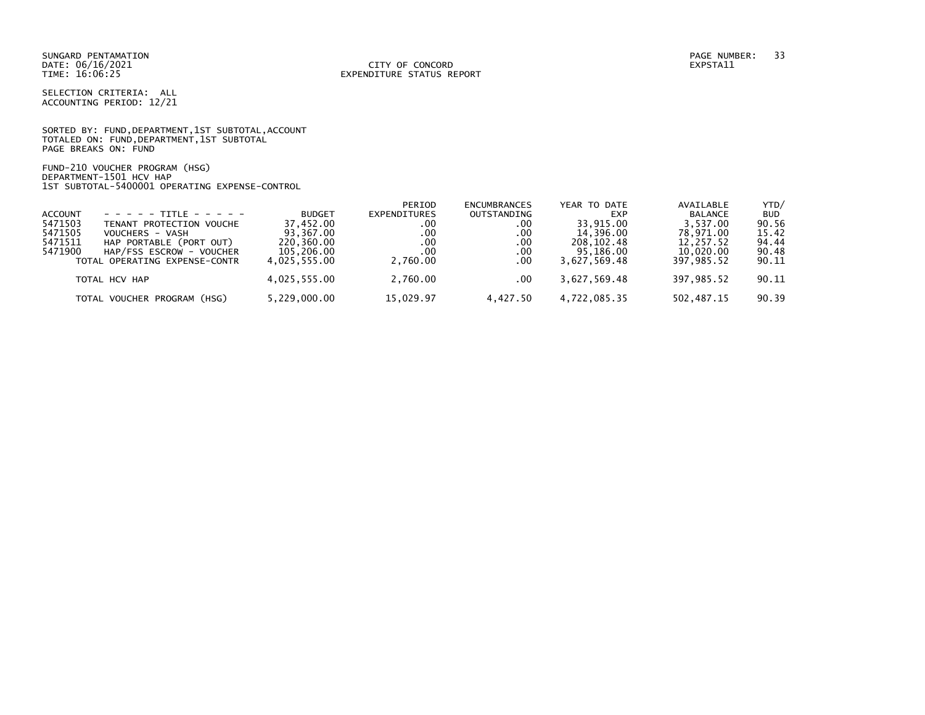SELECTION CRITERIA: ALL ACCOUNTING PERIOD: 12/21

SORTED BY: FUND,DEPARTMENT,1ST SUBTOTAL,ACCOUNT TOTALED ON: FUND,DEPARTMENT,1ST SUBTOTAL PAGE BREAKS ON: FUND

FUND-210 VOUCHER PROGRAM (HSG) DEPARTMENT-1501 HCV HAP 1ST SUBTOTAL-5400001 OPERATING EXPENSE-CONTROL

|                |                               |               | PERIOD       | <b>ENCUMBRANCES</b> | YEAR TO DATE | AVAILABLE      | YTD/       |
|----------------|-------------------------------|---------------|--------------|---------------------|--------------|----------------|------------|
| <b>ACCOUNT</b> | $- - - - - + + +$             | <b>BUDGET</b> | EXPENDITURES | OUTSTANDING         | <b>EXP</b>   | <b>BALANCE</b> | <b>BUD</b> |
| 5471503        | TENANT PROTECTION VOUCHE      | 37.452.00     | .00          | .00                 | 33.915.00    | 3.537.00       | 90.56      |
| 5471505        | VOUCHERS - VASH               | 93.367.00     | .00          | .00                 | 14.396.00    | 78.971.00      | 15.42      |
| 5471511        | HAP PORTABLE (PORT OUT)       | 220,360.00    | .00          | $.00 \,$            | 208.102.48   | 12.257.52      | 94.44      |
| 5471900        | HAP/FSS ESCROW - VOUCHER      | 105,206.00    | .00          | .00                 | 95.186.00    | 10.020.00      | 90.48      |
|                | TOTAL OPERATING EXPENSE-CONTR | 4.025.555.00  | 2.760.00     | .00                 | 3.627.569.48 | 397.985.52     | 90.11      |
|                | TOTAL HCV HAP                 | 4,025,555.00  | 2.760.00     | $.00 \,$            | 3.627.569.48 | 397.985.52     | 90.11      |
|                | TOTAL VOUCHER PROGRAM (HSG)   | 5,229,000.00  | 15,029.97    | 4.427.50            |              | 502,487.15     | 90.39      |
|                |                               |               |              |                     | 4,722,085.35 |                |            |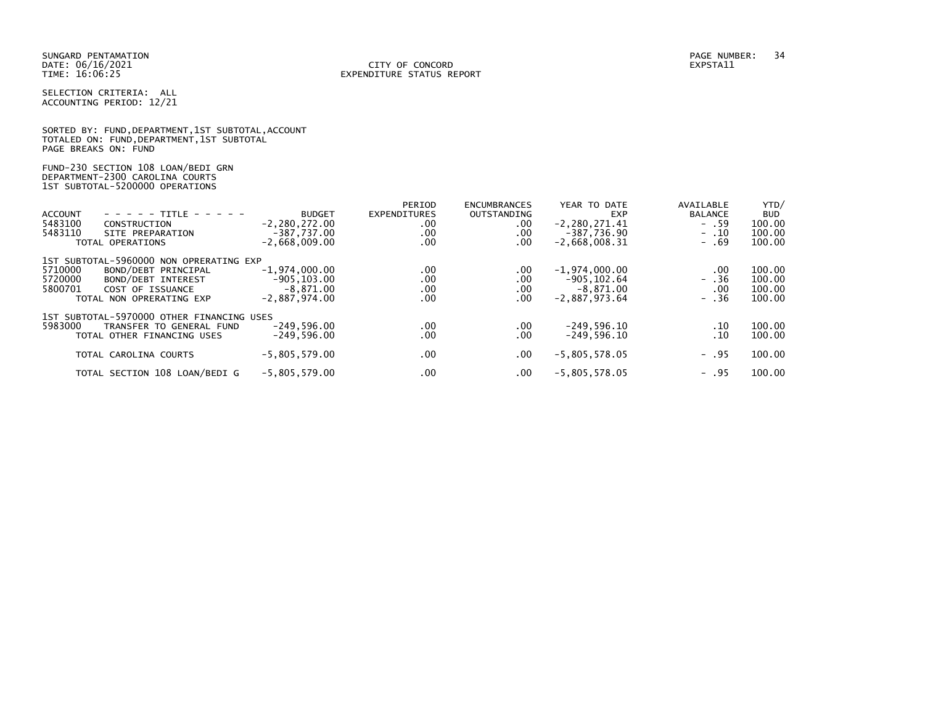### DATE: 06/16/2021 CITY OF CONCORD EXPSTA11 TIME: 16:06:25 EXPENDITURE STATUS REPORT

SELECTION CRITERIA: ALL ACCOUNTING PERIOD: 12/21

|                      |  |  | SORTED BY: FUND, DEPARTMENT, 1ST SUBTOTAL, ACCOUNT |  |
|----------------------|--|--|----------------------------------------------------|--|
|                      |  |  | TOTALED ON: FUND, DEPARTMENT, 1ST SUBTOTAL         |  |
| PAGE BREAKS ON: FUND |  |  |                                                    |  |

FUND-230 SECTION 108 LOAN/BEDI GRN DEPARTMENT-2300 CAROLINA COURTS 1ST SUBTOTAL-5200000 OPERATIONS

|                |                                           |                   | PERIOD              | <b>ENCUMBRANCES</b> | YEAR TO DATE      | AVAILABLE      | YTD/       |
|----------------|-------------------------------------------|-------------------|---------------------|---------------------|-------------------|----------------|------------|
| <b>ACCOUNT</b> | - - - - - TITLE - - - - -                 | <b>BUDGET</b>     | <b>EXPENDITURES</b> | <b>OUTSTANDING</b>  | EXP               | <b>BALANCE</b> | <b>BUD</b> |
| 5483100        | CONSTRUCTION                              | $-2, 280, 272.00$ | $.00 \,$            | .00                 | $-2, 280, 271.41$ | $- .59$        | 100.00     |
| 5483110        | SITE PREPARATION                          | $-387.737.00$     | .00                 | .00                 | $-387,736.90$     | $-10$          | 100.00     |
|                | TOTAL OPERATIONS                          | $-2.668.009.00$   | .00                 | .00                 | $-2,668,008.31$   | $-0.69$        | 100.00     |
|                | 1ST SUBTOTAL-5960000 NON OPRERATING EXP   |                   |                     |                     |                   |                |            |
| 5710000        | BOND/DEBT PRINCIPAL                       | $-1,974,000.00$   | .00                 | .00                 | $-1,974,000.00$   | .00            | 100.00     |
| 5720000        | BOND/DEBT INTEREST                        | $-905.103.00$     | .00                 | .00                 | $-905.102.64$     | $- .36$        | 100.00     |
| 5800701        | COST OF ISSUANCE                          | $-8.871.00$       | .00                 | .00                 | $-8,871.00$       | .00            | 100.00     |
|                | TOTAL NON OPRERATING EXP                  | $-2.887.974.00$   | .00                 | .00                 | $-2.887.973.64$   | $- .36$        | 100.00     |
|                |                                           |                   |                     |                     |                   |                |            |
|                | 1ST SUBTOTAL-5970000 OTHER FINANCING USES |                   |                     |                     |                   |                |            |
| 5983000        | TRANSFER TO GENERAL FUND                  | $-249.596.00$     | $.00 \,$            | .00                 | $-249,596.10$     | .10            | 100.00     |
|                | TOTAL OTHER FINANCING USES                | $-249.596.00$     | .00                 | .00                 | $-249.596.10$     | . 10           | 100.00     |
|                |                                           |                   |                     |                     |                   |                |            |
|                | TOTAL CAROLINA COURTS                     | $-5,805,579.00$   | $.00 \,$            | .00                 | $-5,805,578.05$   | $- .95$        | 100.00     |
|                | TOTAL SECTION 108 LOAN/BEDI G             | $-5,805,579.00$   | .00                 | .00                 | $-5,805,578.05$   | $- .95$        | 100.00     |
|                |                                           |                   |                     |                     |                   |                |            |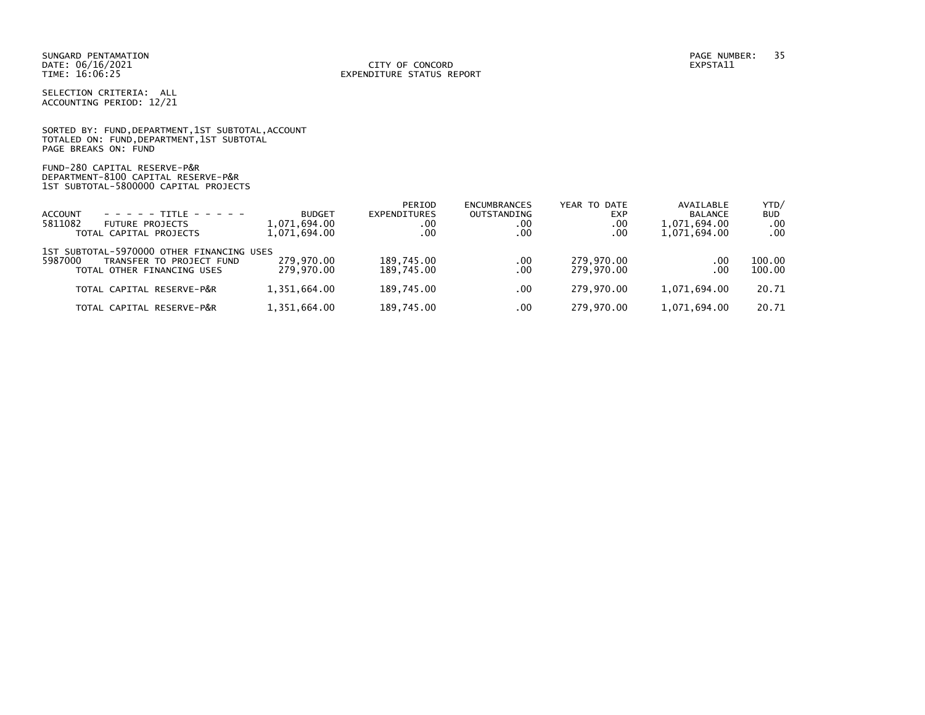### DATE: 06/16/2021 CITY OF CONCORD EXPSTA11 TIME: 16:06:25 EXPENDITURE STATUS REPORT

SELECTION CRITERIA: ALL ACCOUNTING PERIOD: 12/21

SORTED BY: FUND, DEPARTMENT, 1ST SUBTOTAL, ACCOUNT TOTALED ON: FUND,DEPARTMENT,1ST SUBTOTAL PAGE BREAKS ON: FUND

FUND-280 CAPITAL RESERVE-P&R DEPARTMENT-8100 CAPITAL RESERVE-P&R 1ST SUBTOTAL-5800000 CAPITAL PROJECTS

|                                                                                  |               | PERIOD       | <b>ENCUMBRANCES</b> | YEAR TO DATE | AVAILABLE      | YTD/       |
|----------------------------------------------------------------------------------|---------------|--------------|---------------------|--------------|----------------|------------|
| <b>ACCOUNT</b><br>$- - - - - + +$ TTTI F - - - - -                               | <b>BUDGET</b> | EXPENDITURES | <b>OUTSTANDING</b>  | <b>EXP</b>   | <b>BALANCE</b> | <b>BUD</b> |
| 5811082<br><b>FUTURE PROJECTS</b>                                                | 1,071,694.00  | $.00 \,$     | .00                 | .00          | 1,071,694.00   | .00        |
| TOTAL CAPITAL PROJECTS                                                           | 1,071,694.00  | .00          | .00                 | .00          | 1,071,694.00   | $.00 \,$   |
| 1ST SUBTOTAL-5970000 OTHER FINANCING USES<br>5987000<br>TRANSFER TO PROJECT FUND | 279.970.00    | 189,745.00   | $.00 \,$            | 279.970.00   | $.00 \,$       | 100.00     |
| TOTAL OTHER FINANCING USES                                                       | 279.970.00    | 189.745.00   | .00                 | 279.970.00   | $.00 \,$       | 100.00     |
|                                                                                  |               |              |                     |              |                |            |
| TOTAL CAPITAL RESERVE-P&R                                                        | 1,351,664.00  | 189.745.00   | .00                 | 279.970.00   | 1.071.694.00   | 20.71      |
| TOTAL CAPITAL RESERVE-P&R                                                        | 1,351,664.00  | 189.745.00   | .00                 | 279.970.00   | 1.071.694.00   | 20.71      |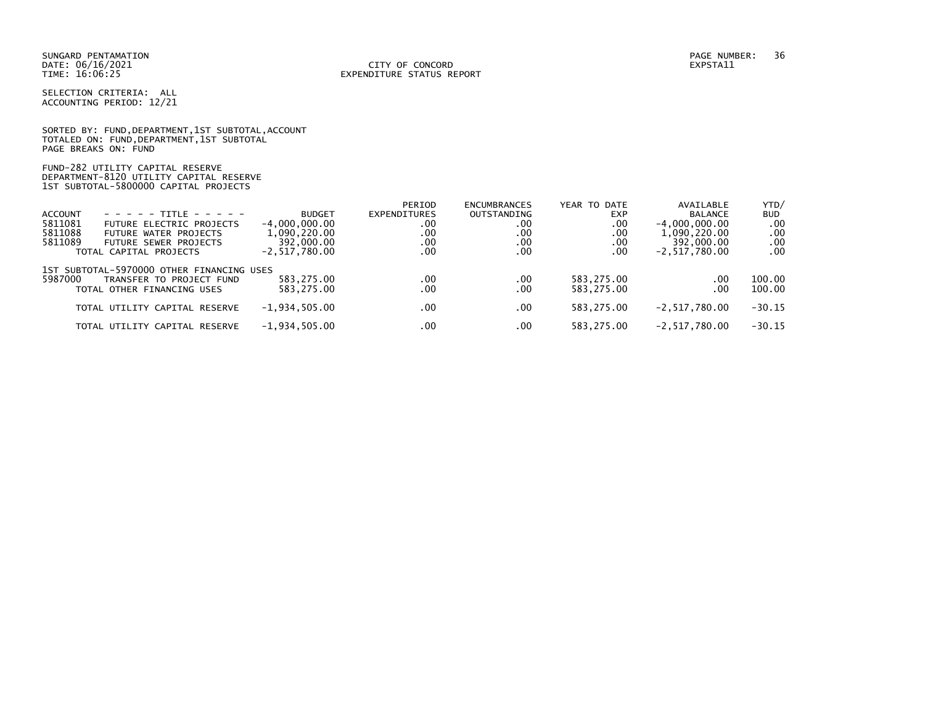### DATE: 06/16/2021 CITY OF CONCORD EXPSTA11 TIME: 16:06:25 EXPENDITURE STATUS REPORT

SELECTION CRITERIA: ALL ACCOUNTING PERIOD: 12/21

SORTED BY: FUND, DEPARTMENT, 1ST SUBTOTAL, ACCOUNT TOTALED ON: FUND,DEPARTMENT,1ST SUBTOTAL PAGE BREAKS ON: FUND

FUND-282 UTILITY CAPITAL RESERVE DEPARTMENT-8120 UTILITY CAPITAL RESERVE 1ST SUBTOTAL-5800000 CAPITAL PROJECTS

|                                           |                               |                   | PERIOD       | <b>ENCUMBRANCES</b> | YEAR TO DATE | AVAILABLE       | YTD/       |  |  |  |  |
|-------------------------------------------|-------------------------------|-------------------|--------------|---------------------|--------------|-----------------|------------|--|--|--|--|
| ACCOUNT                                   | $- - - - - -$ TITLE - - - - - | <b>BUDGET</b>     | EXPENDITURES | OUTSTANDING         | <b>EXP</b>   | <b>BALANCE</b>  | <b>BUD</b> |  |  |  |  |
| 5811081                                   | FUTURE ELECTRIC PROJECTS      | $-4.000.000.00$   | .00          | .00                 | .00          | $-4,000,000.00$ | .00        |  |  |  |  |
| 5811088                                   | FUTURE WATER PROJECTS         | 1,090,220.00      | .00          | .00                 | .00          | 1,090,220.00    | .00        |  |  |  |  |
| 5811089                                   | FUTURE SEWER PROJECTS         | 392,000,00        | $.00 \,$     | .00                 | .00          | 392,000.00      | .00        |  |  |  |  |
|                                           | TOTAL CAPITAL PROJECTS        | $-2, 517, 780.00$ | .00          | .00                 | .00          | $-2.517.780.00$ | .00        |  |  |  |  |
| 1ST SUBTOTAL-5970000 OTHER FINANCING USES |                               |                   |              |                     |              |                 |            |  |  |  |  |
| 5987000                                   | TRANSFER TO PROJECT FUND      | 583.275.00        | .00          | .00                 | 583,275.00   | .00             | 100.00     |  |  |  |  |
|                                           | TOTAL OTHER FINANCING USES    | 583.275.00        | .00.         | .00                 | 583,275.00   | .00             | 100.00     |  |  |  |  |
|                                           | TOTAL UTILITY CAPITAL RESERVE | $-1,934,505.00$   | .00          | .00                 | 583.275.00   | $-2.517.780.00$ | $-30.15$   |  |  |  |  |
|                                           | TOTAL UTILITY CAPITAL RESERVE | $-1,934,505.00$   | .00          | $.00 \,$            | 583.275.00   | $-2.517.780.00$ | $-30.15$   |  |  |  |  |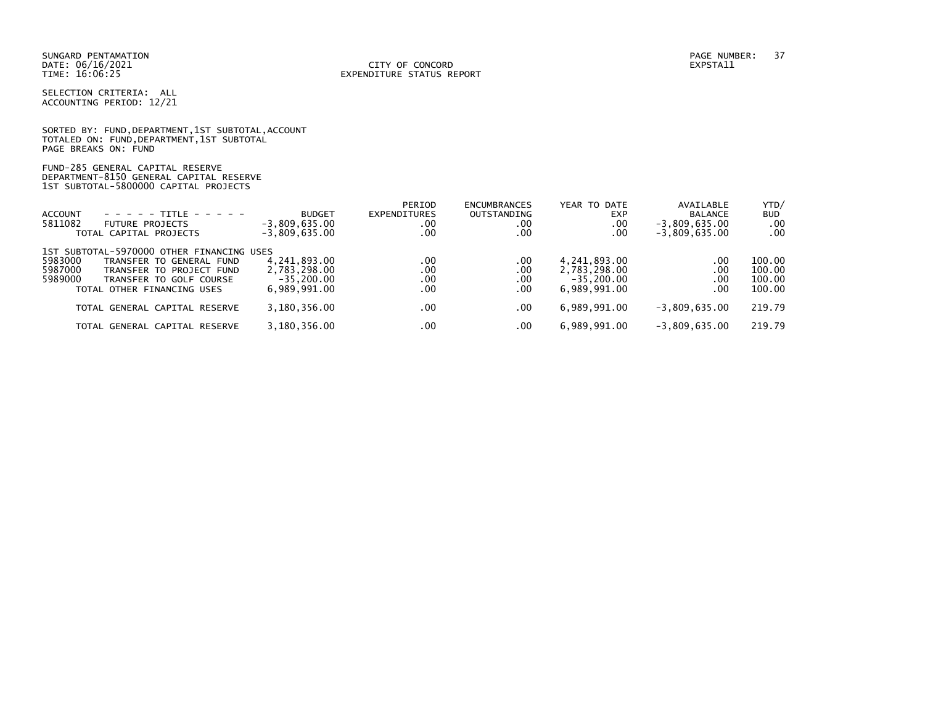#### DATE: 06/16/2021 CITY OF CONCORD EXPSTA11 TIME: 16:06:25 EXPENDITURE STATUS REPORT

SELECTION CRITERIA: ALL ACCOUNTING PERIOD: 12/21

|                      | SORTED BY: FUND, DEPARTMENT, 1ST SUBTOTAL, ACCOUNT |  |  |
|----------------------|----------------------------------------------------|--|--|
|                      | TOTALED ON: FUND, DEPARTMENT, 1ST SUBTOTAL         |  |  |
| PAGE BREAKS ON: FUND |                                                    |  |  |

## FUND-285 GENERAL CAPITAL RESERVE DEPARTMENT-8150 GENERAL CAPITAL RESERVE 1ST SUBTOTAL-5800000 CAPITAL PROJECTS

| <b>ACCOUNT</b><br>- - - - - TITLE - - - - -<br>5811082<br><b>FUTURE PROJECTS</b><br>TOTAL CAPITAL PROJECTS | <b>BUDGET</b><br>$-3,809,635.00$<br>$-3,809,635.00$ | PERIOD<br>EXPENDITURES<br>.00<br>.00 | <b>ENCUMBRANCES</b><br>OUTSTANDING<br>.00<br>.00 | YEAR TO DATE<br><b>EXP</b><br>.00<br>.00 | AVAILABLE<br>BALANCE<br>$-3,809,635.00$<br>$-3,809,635.00$ | YTD/<br><b>BUD</b><br>.00<br>.00 |
|------------------------------------------------------------------------------------------------------------|-----------------------------------------------------|--------------------------------------|--------------------------------------------------|------------------------------------------|------------------------------------------------------------|----------------------------------|
| 1ST SUBTOTAL-5970000 OTHER FINANCING USES                                                                  |                                                     |                                      |                                                  |                                          |                                                            |                                  |
| 5983000<br>TRANSFER TO GENERAL FUND                                                                        | 4,241,893.00                                        | .00                                  | .00                                              | 4,241,893.00                             | .00                                                        | 100.00                           |
| 5987000<br>TRANSFER TO PROJECT FUND                                                                        | 2,783,298.00                                        | .00                                  | $.00 \,$                                         | 2,783,298.00                             | .00                                                        | 100.00                           |
| 5989000<br>TRANSFER TO GOLF COURSE                                                                         | $-35, 200.00$                                       | .00                                  | .00                                              | $-35.200.00$                             | .00                                                        | 100.00                           |
| TOTAL OTHER FINANCING USES                                                                                 | 6.989.991.00                                        | .00                                  | $.00 \,$                                         | 6.989.991.00                             | .00                                                        | 100.00                           |
| TOTAL GENERAL CAPITAL RESERVE                                                                              | 3,180,356.00                                        | .00                                  | .00                                              | 6,989,991.00                             | $-3.809.635.00$                                            | 219.79                           |
| TOTAL GENERAL CAPITAL RESERVE                                                                              | 3.180.356.00                                        | .00                                  | .00                                              | 6,989,991.00                             | $-3.809.635.00$                                            | 219.79                           |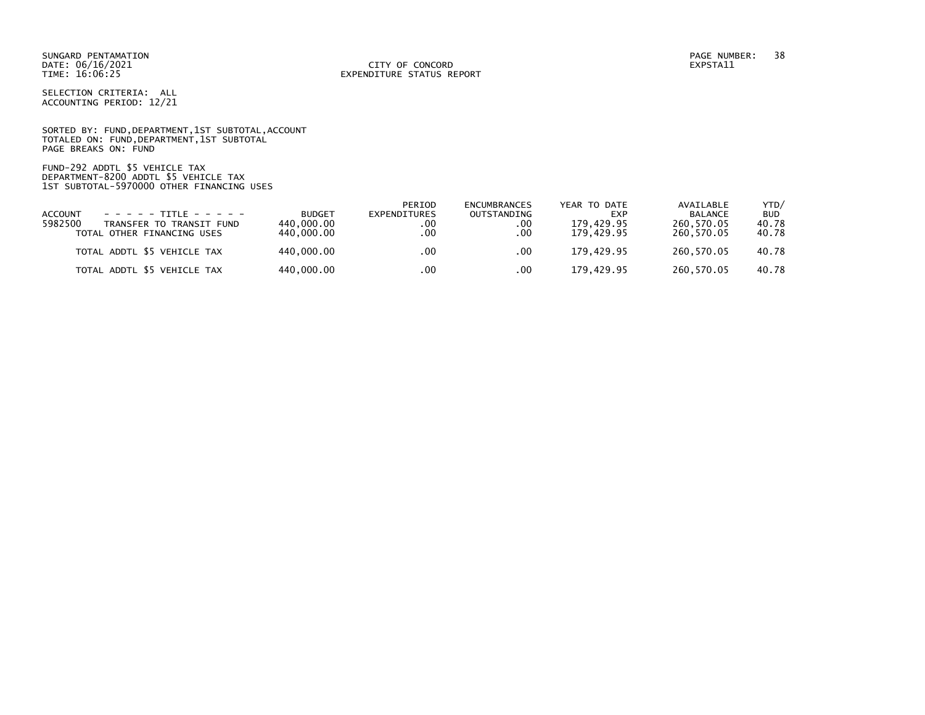SELECTION CRITERIA: ALL ACCOUNTING PERIOD: 12/21

SORTED BY: FUND, DEPARTMENT, 1ST SUBTOTAL, ACCOUNT TOTALED ON: FUND,DEPARTMENT,1ST SUBTOTAL PAGE BREAKS ON: FUND

FUND-292 ADDTL \$5 VEHICLE TAX DEPARTMENT-8200 ADDTL \$5 VEHICLE TAX 1ST SUBTOTAL-5970000 OTHER FINANCING USES

|                                     |               | PERIOD       | ENCUMBRANCES | YEAR TO DATE | AVAILABLE      | YTD/       |
|-------------------------------------|---------------|--------------|--------------|--------------|----------------|------------|
| $- - - - - + + +$<br><b>ACCOUNT</b> | <b>BUDGET</b> | EXPENDITURES | OUTSTANDING  | <b>EXP</b>   | <b>BALANCE</b> | <b>BUD</b> |
| 5982500<br>TRANSFER TO TRANSIT FUND | 440.000.00    | . 00         | .00          | 179.429.95   | 260.570.05     | 40.78      |
| TOTAL OTHER FINANCING USES          | 440.000.00    | . 00         | .00          | 179.429.95   | 260.570.05     | 40.78      |
|                                     |               |              |              |              |                |            |
| TOTAL ADDTL \$5 VEHICLE TAX         | 440.000.00    | .00          | .00          | 179.429.95   | 260.570.05     | 40.78      |
|                                     |               |              |              |              |                |            |
| TOTAL ADDTL \$5 VEHICLE TAX         | 440,000.00    | .00          | .00          | 179.429.95   | 260.570.05     | 40.78      |
|                                     |               |              |              |              |                |            |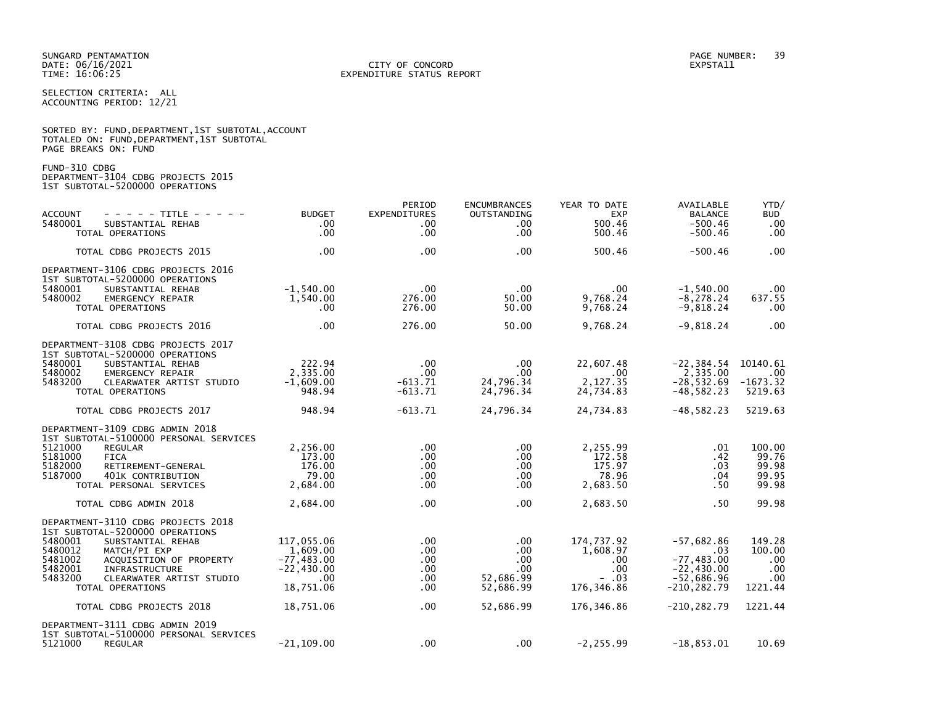#### DATE: 06/16/2021 CITY OF CONCORD EXPSTA11 TIME: 16:06:25 EXPENDITURE STATUS REPORT

SELECTION CRITERIA: ALL ACCOUNTING PERIOD: 12/21

| SORTED BY: FUND, DEPARTMENT, 1ST SUBTOTAL, ACCOUNT |  |
|----------------------------------------------------|--|
| TOTALED ON: FUND,DEPARTMENT,1ST SUBTOTAL           |  |
| PAGE BREAKS ON: FUND                               |  |

FUND-310 CDBG

DEPARTMENT-3104 CDBG PROJECTS 2015 1ST SUBTOTAL-5200000 OPERATIONS

| <b>ACCOUNT</b><br>- - - - - TITLE - - - - -<br>5480001<br>SUBSTANTIAL REHAB<br>TOTAL OPERATIONS                                                                                                                                                                | <b>BUDGET</b><br>$.00 \,$<br>.00                                            | PERIOD<br>EXPENDITURES<br>.00<br>.00      | <b>ENCUMBRANCES</b><br>OUTSTANDING<br>.00.<br>$.00 \,$   | YEAR TO DATE<br><b>EXP</b><br>500.46<br>500.46                 | AVAILABLE<br><b>BALANCE</b><br>$-500.46$<br>$-500.46$                                  | YTD/<br><b>BUD</b><br>.00<br>.00                 |
|----------------------------------------------------------------------------------------------------------------------------------------------------------------------------------------------------------------------------------------------------------------|-----------------------------------------------------------------------------|-------------------------------------------|----------------------------------------------------------|----------------------------------------------------------------|----------------------------------------------------------------------------------------|--------------------------------------------------|
| TOTAL CDBG PROJECTS 2015                                                                                                                                                                                                                                       | .00                                                                         | .00                                       | .00                                                      | 500.46                                                         | $-500.46$                                                                              | .00                                              |
| DEPARTMENT-3106 CDBG PROJECTS 2016<br>1ST SUBTOTAL-5200000 OPERATIONS<br>5480001<br>SUBSTANTIAL REHAB<br>5480002<br>EMERGENCY REPAIR<br>TOTAL OPERATIONS                                                                                                       | $-1,540.00$<br>1,540.00<br>.00                                              | $.00 \,$<br>276.00<br>276.00              | .00.<br>50.00<br>50.00                                   | $.00 \,$<br>9,768.24<br>9,768.24                               | $-1,540.00$<br>$-8, 278.24$<br>$-9,818.24$                                             | .00<br>637.55<br>.00                             |
| TOTAL CDBG PROJECTS 2016                                                                                                                                                                                                                                       | .00                                                                         | 276.00                                    | 50.00                                                    | 9,768.24                                                       | $-9,818.24$                                                                            | .00                                              |
| DEPARTMENT-3108 CDBG PROJECTS 2017<br>1ST SUBTOTAL-5200000 OPERATIONS<br>5480001<br>SUBSTANTIAL REHAB<br>5480002<br>EMERGENCY REPAIR<br>5483200<br>CLEARWATER ARTIST STUDIO<br>TOTAL OPERATIONS                                                                | 222.94<br>2,335.00<br>$-1,609.00$<br>948.94                                 | $.00 \,$<br>.00<br>$-613.71$<br>$-613.71$ | .00<br>.00<br>24,796.34<br>24,796.34                     | 22,607.48<br>$.00 \,$<br>2,127.35<br>24,734.83                 | $-22, 384.54$<br>2,335.00<br>$-28, 532.69$<br>$-48,582.23$                             | 10140.61<br>.00<br>$-1673.32$<br>5219.63         |
| TOTAL CDBG PROJECTS 2017                                                                                                                                                                                                                                       | 948.94                                                                      | $-613.71$                                 | 24,796.34                                                | 24,734.83                                                      | $-48, 582.23$                                                                          | 5219.63                                          |
| DEPARTMENT-3109 CDBG ADMIN 2018<br>1ST SUBTOTAL-5100000 PERSONAL SERVICES<br>5121000<br><b>REGULAR</b><br>5181000<br><b>FICA</b><br>5182000<br>RETIREMENT-GENERAL<br>5187000<br>401K CONTRIBUTION<br>TOTAL PERSONAL SERVICES                                   | 2,256.00<br>173.00<br>176.00<br>79.00<br>2,684.00                           | $.00 \,$<br>.00<br>.00<br>.00<br>.00      | .00<br>$.00 \,$<br>$.00 \,$<br>.00.<br>.00.              | 2,255.99<br>172.58<br>175.97<br>78.96<br>2,683.50              | .01<br>.42<br>.03<br>.04<br>.50                                                        | 100.00<br>99.76<br>99.98<br>99.95<br>99.98       |
| TOTAL CDBG ADMIN 2018                                                                                                                                                                                                                                          | 2,684.00                                                                    | .00                                       | $.00 \,$                                                 | 2,683.50                                                       | .50                                                                                    | 99.98                                            |
| DEPARTMENT-3110 CDBG PROJECTS 2018<br>1ST SUBTOTAL-5200000 OPERATIONS<br>5480001<br>SUBSTANTIAL REHAB<br>5480012<br>MATCH/PI EXP<br>5481002<br>ACQUISITION OF PROPERTY<br>5482001<br>INFRASTRUCTURE<br>5483200<br>CLEARWATER ARTIST STUDIO<br>TOTAL OPERATIONS | 117,055.06<br>1,609.00<br>$-77, 483.00$<br>$-22,430.00$<br>.00<br>18,751.06 | .00<br>.00<br>.00<br>.00<br>.00<br>.00    | $.00 \,$<br>.00<br>.00<br>.00.<br>52,686.99<br>52,686.99 | 174,737.92<br>1,608.97<br>.00.<br>.00<br>$-0.03$<br>176,346.86 | $-57,682.86$<br>.03<br>$-77, 483.00$<br>$-22,430.00$<br>$-52,686.96$<br>$-210, 282.79$ | 149.28<br>100.00<br>.00<br>.00<br>.00<br>1221.44 |
| TOTAL CDBG PROJECTS 2018                                                                                                                                                                                                                                       | 18,751.06                                                                   | .00                                       | 52,686.99                                                | 176,346.86                                                     | $-210, 282.79$                                                                         | 1221.44                                          |
| DEPARTMENT-3111 CDBG ADMIN 2019<br>1ST SUBTOTAL-5100000 PERSONAL SERVICES<br>5121000<br><b>REGULAR</b>                                                                                                                                                         | $-21, 109.00$                                                               | .00                                       | $.00 \,$                                                 | $-2, 255.99$                                                   | $-18,853.01$                                                                           | 10.69                                            |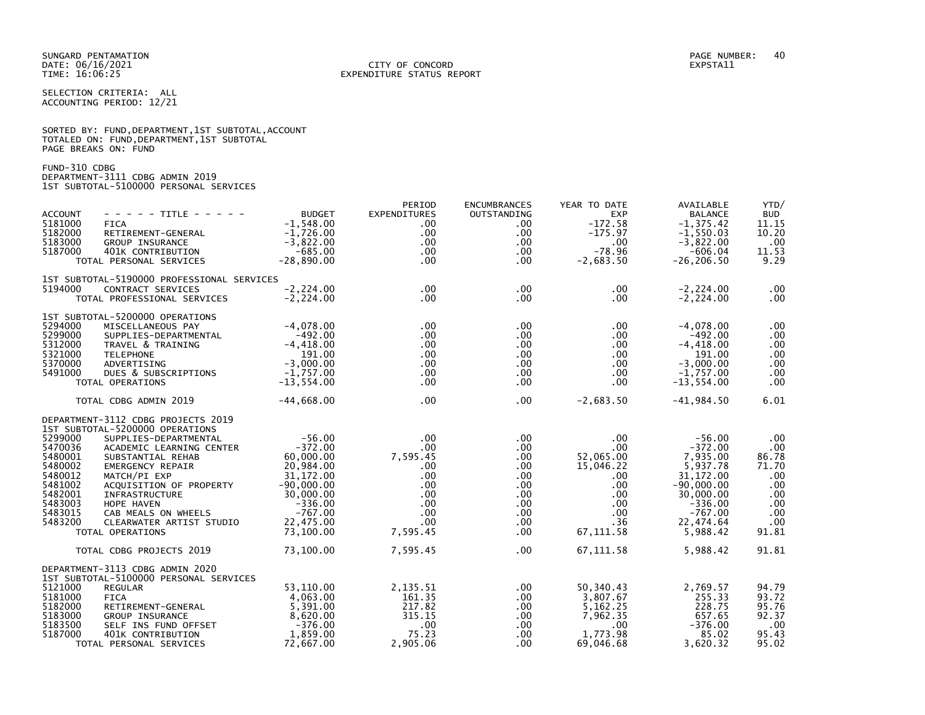SELECTION CRITERIA: ALL ACCOUNTING PERIOD: 12/21

|                      | SORTED BY: FUND, DEPARTMENT, 1ST SUBTOTAL, ACCOUNT |  |  |
|----------------------|----------------------------------------------------|--|--|
|                      | TOTALED ON: FUND, DEPARTMENT, 1ST SUBTOTAL         |  |  |
| PAGE BREAKS ON: FUND |                                                    |  |  |

FUND-310 CDBG DEPARTMENT-3111 CDBG ADMIN 2019 1ST SUBTOTAL-5100000 PERSONAL SERVICES

| <b>ACCOUNT</b><br>5181000<br>5182000<br>5183000<br>5187000                                                 | - - - - - TITLE - - - - -<br><b>FICA</b><br>RETIREMENT-GENERAL<br>GROUP INSURANCE<br>401K CONTRIBUTION<br>TOTAL PERSONAL SERVICES                                                                                                                                                                                                   | <b>BUDGET</b><br>$-1.548.00$<br>$-1,726.00$<br>$-3,822.00$<br>$-685.00$<br>$-28,890.00$                                                        | PERIOD<br>EXPENDITURES<br>$.00 \,$<br>$.00 \,$<br>$.00 \,$<br>.00 <sub>1</sub><br>.00 <sub>1</sub>                                                     | <b>ENCUMBRANCES</b><br><b>OUTSTANDING</b><br>$.00 \,$<br>$.00 \,$<br>$.00 \,$<br>$.00 \,$<br>$.00 \,$               | YEAR TO DATE<br><b>EXP</b><br>$-172.58$<br>$-175.97$<br>.00<br>$-78.96$<br>$-2,683.50$                                                      | AVAILABLE<br><b>BALANCE</b><br>$-1, 375.42$<br>$-1,550.03$<br>$-3,822.00$<br>$-606.04$<br>$-26, 206.50$                                     | YTD/<br><b>BUD</b><br>11.15<br>10.20<br>.00<br>11.53<br>9.29                         |
|------------------------------------------------------------------------------------------------------------|-------------------------------------------------------------------------------------------------------------------------------------------------------------------------------------------------------------------------------------------------------------------------------------------------------------------------------------|------------------------------------------------------------------------------------------------------------------------------------------------|--------------------------------------------------------------------------------------------------------------------------------------------------------|---------------------------------------------------------------------------------------------------------------------|---------------------------------------------------------------------------------------------------------------------------------------------|---------------------------------------------------------------------------------------------------------------------------------------------|--------------------------------------------------------------------------------------|
| 5194000                                                                                                    | 1ST SUBTOTAL-5190000 PROFESSIONAL SERVICES<br>CONTRACT SERVICES<br>TOTAL PROFESSIONAL SERVICES                                                                                                                                                                                                                                      | $-2.224.00$<br>$-2,224.00$                                                                                                                     | $.00 \,$<br>.00 <sub>1</sub>                                                                                                                           | .00.<br>$.00 \,$                                                                                                    | $.00 \,$<br>$.00 \times$                                                                                                                    | $-2,224.00$<br>$-2, 224.00$                                                                                                                 | $.00 \,$<br>.00                                                                      |
| 5294000<br>5299000<br>5312000<br>5321000<br>5370000<br>5491000                                             | 1ST SUBTOTAL-5200000 OPERATIONS<br>MISCELLANEOUS PAY<br>SUPPLIES-DEPARTMENTAL<br>TRAVEL & TRAINING<br><b>TELEPHONE</b><br>ADVERTISING<br>DUES & SUBSCRIPTIONS<br>TOTAL OPERATIONS                                                                                                                                                   | $-4,078.00$<br>-492.00<br>$-4,418.00$<br>191.00<br>$-3,000.00$<br>$-1,757.00$<br>$-13,554.00$                                                  | $.00 \,$<br>$.00 \,$<br>.00 <sub>1</sub><br>.00<br>$.00 \,$<br>$.00 \,$<br>.00 <sub>1</sub>                                                            | $.00 \,$<br>$.00 \,$<br>$.00 \,$<br>$.00 \,$<br>$.00 \,$<br>$.00 \,$<br>$.00 \,$                                    | $.00 \times$<br>$.00 \,$<br>$.00 \,$<br>$.00 \,$<br>.00<br>.00<br>$.00 \times$                                                              | $-4,078.00$<br>$-492.00$<br>$-4,418.00$<br>191.00<br>$-3,000.00$<br>$-1,757.00$<br>$-13,554.00$                                             | .00<br>.00<br>.00<br>.00<br>.00<br>.00<br>.00                                        |
|                                                                                                            | TOTAL CDBG ADMIN 2019                                                                                                                                                                                                                                                                                                               | $-44,668.00$                                                                                                                                   | .00 <sub>1</sub>                                                                                                                                       | $.00 \,$                                                                                                            | $-2,683.50$                                                                                                                                 | $-41,984.50$                                                                                                                                | 6.01                                                                                 |
| 5299000<br>5470036<br>5480001<br>5480002<br>5480012<br>5481002<br>5482001<br>5483003<br>5483015<br>5483200 | DEPARTMENT-3112 CDBG PROJECTS 2019<br>1ST SUBTOTAL-5200000 OPERATIONS<br>SUPPLIES-DEPARTMENTAL<br>ACADEMIC LEARNING CENTER<br>SUBSTANTIAL REHAB<br><b>EMERGENCY REPAIR</b><br>MATCH/PI EXP<br>ACQUISITION OF PROPERTY<br><b>INFRASTRUCTURE</b><br>HOPE HAVEN<br>CAB MEALS ON WHEELS<br>CLEARWATER ARTIST STUDIO<br>TOTAL OPERATIONS | $-56.00$<br>$-372.00$<br>60,000.00<br>20,984.00<br>31, 172.00<br>$-90,000.00$<br>30,000.00<br>$-336.00$<br>$-767.00$<br>22,475.00<br>73,100.00 | $.00 \,$<br>.00 <sub>1</sub><br>7,595.45<br>.00<br>$.00 \,$<br>$.00 \,$<br>.00 <sub>1</sub><br>$.00 \,$<br>$.00 \cdot$<br>.00 <sub>1</sub><br>7,595.45 | $.00 \,$<br>$.00 \,$<br>.00<br>$.00 \,$<br>.00.<br>$.00 \,$<br>$.00 \,$<br>$.00 \,$<br>$.00 \,$<br>.00.<br>$.00 \,$ | $.00 \,$<br>$.00 \times$<br>52,065.00<br>15,046.22<br>$.00 \,$<br>$.00 \,$<br>.00 <sub>1</sub><br>$.00 \,$<br>$.00 \,$<br>.36<br>67, 111.58 | $-56.00$<br>$-372.00$<br>7,935.00<br>5,937.78<br>31, 172.00<br>$-90,000.00$<br>30,000.00<br>$-336.00$<br>$-767.00$<br>22,474.64<br>5,988.42 | .00<br>$.00 \,$<br>86.78<br>71.70<br>.00<br>.00<br>.00<br>.00<br>.00<br>.00<br>91.81 |
|                                                                                                            | TOTAL CDBG PROJECTS 2019                                                                                                                                                                                                                                                                                                            | 73,100.00                                                                                                                                      | 7,595.45                                                                                                                                               | .00.                                                                                                                | 67, 111.58                                                                                                                                  | 5,988.42                                                                                                                                    | 91.81                                                                                |
| 5121000<br>5181000<br>5182000<br>5183000<br>5183500<br>5187000                                             | DEPARTMENT-3113 CDBG ADMIN 2020<br>1ST SUBTOTAL-5100000 PERSONAL SERVICES<br><b>REGULAR</b><br><b>FICA</b><br>RETIREMENT-GENERAL<br>GROUP INSURANCE<br>SELF INS FUND OFFSET<br>401K CONTRIBUTION<br>TOTAL PERSONAL SERVICES                                                                                                         | 53.110.00<br>4,063.00<br>5,391.00<br>8,620.00<br>$-376.00$<br>1,859.00<br>72,667.00                                                            | 2,135.51<br>161.35<br>217.82<br>315.15<br>$.00 \ \,$<br>75.23<br>2,905.06                                                                              | $.00 \,$<br>$.00 \,$<br>$.00 \,$<br>.00<br>.00.<br>$.00 \,$<br>.00.                                                 | 50.340.43<br>3,807.67<br>5,162.25<br>7,962.35<br>$.00 \,$<br>1,773.98<br>69,046.68                                                          | 2,769.57<br>255.33<br>228.75<br>657.65<br>$-376.00$<br>85.02<br>3,620.32                                                                    | 94.79<br>93.72<br>95.76<br>92.37<br>.00<br>95.43<br>95.02                            |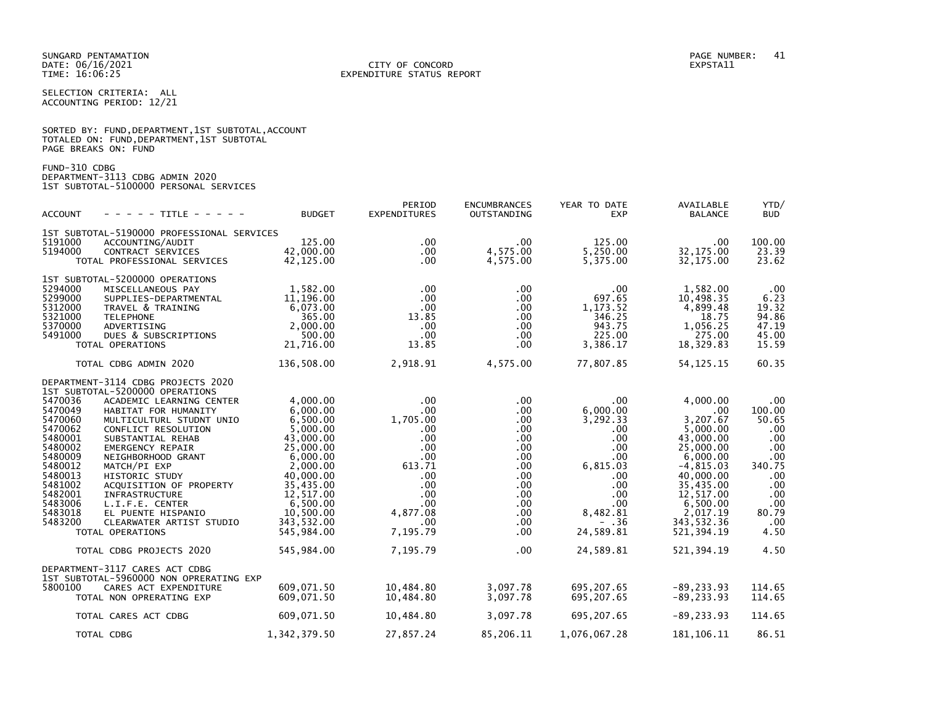SELECTION CRITERIA: ALL ACCOUNTING PERIOD: 12/21

|                      |  |  | SORTED BY: FUND, DEPARTMENT, 1ST SUBTOTAL, ACCOUNT |  |
|----------------------|--|--|----------------------------------------------------|--|
|                      |  |  | TOTALED ON: FUND,DEPARTMENT,1ST SUBTOTAL           |  |
| PAGE BREAKS ON: FUND |  |  |                                                    |  |

FUND-310 CDBG DEPARTMENT-3113 CDBG ADMIN 2020 1ST SUBTOTAL-5100000 PERSONAL SERVICES

| <b>ACCOUNT</b>     | - - - - - TITLE - - - - -                     | <b>BUDGET</b>          | PERIOD<br><b>EXPENDITURES</b> | <b>ENCUMBRANCES</b><br>OUTSTANDING | YEAR TO DATE<br><b>EXP</b> | AVAILABLE<br><b>BALANCE</b> | YTD/<br><b>BUD</b> |
|--------------------|-----------------------------------------------|------------------------|-------------------------------|------------------------------------|----------------------------|-----------------------------|--------------------|
|                    | 1ST SUBTOTAL-5190000 PROFESSIONAL SERVICES    |                        |                               |                                    |                            |                             |                    |
| 5191000            | ACCOUNTING/AUDIT                              | 125.00                 | $.00 \,$                      | $.00 \,$                           | 125.00                     | $.00 \,$                    | 100.00             |
| 5194000            | CONTRACT SERVICES                             | 42,000,00              | $.00 \,$                      | 4,575.00                           | 5,250.00                   | 32.175.00                   | 23.39              |
|                    | TOTAL PROFESSIONAL SERVICES                   | 42,125.00              | $.00 \,$                      | 4,575.00                           | 5,375.00                   | 32, 175.00                  | 23.62              |
|                    | 1ST SUBTOTAL-5200000 OPERATIONS               |                        |                               |                                    |                            |                             |                    |
| 5294000            | MISCELLANEOUS PAY                             | 1,582.00               | $.00 \,$                      | $.00 \,$                           | $.00 \,$                   | 1,582.00                    | .00                |
| 5299000            | SUPPLIES-DEPARTMENTAL                         | 11,196.00              | $.00 \,$                      | $.00 \,$                           | 697.65                     | 10,498.35                   | 6.23               |
| 5312000            | TRAVEL & TRAINING                             | 6,073.00               | $.00 \,$                      | $.00 \,$                           | 1, 173.52                  | 4,899.48                    | 19.32              |
| 5321000            | <b>TELEPHONE</b>                              | 365.00                 | 13.85                         | .00.                               | 346.25                     | 18.75                       | 94.86              |
| 5370000            | ADVERTISING                                   | 2.000.00               | $.00 \,$                      | .00.                               | 943.75                     | 1,056.25                    | 47.19              |
| 5491000            | DUES & SUBSCRIPTIONS                          | 500.00                 | $.00 \,$                      | $.00 \,$                           | 225.00                     | 275.00                      | 45.00              |
|                    | TOTAL OPERATIONS                              | 21,716.00              | 13.85                         | $.00 \,$                           | 3,386.17                   | 18,329.83                   | 15.59              |
|                    | TOTAL CDBG ADMIN 2020                         | 136,508.00             | 2,918.91                      | 4,575.00                           | 77,807.85                  | 54, 125. 15                 | 60.35              |
|                    | DEPARTMENT-3114 CDBG PROJECTS 2020            |                        |                               |                                    |                            |                             |                    |
|                    | 1ST SUBTOTAL-5200000 OPERATIONS               |                        |                               |                                    |                            |                             |                    |
| 5470036            | ACADEMIC LEARNING CENTER                      | 4,000.00               | $.00 \,$                      | $.00 \,$                           | .00.                       | 4,000.00                    | $.00 \,$           |
| 5470049            | HABITAT FOR HUMANITY                          | 6,000.00               | $.00 \,$                      | $.00 \,$                           | 6,000.00                   | .00                         | 100.00             |
| 5470060            | MULTICULTURL STUDNT UNIO                      | 6,500.00               | 1,705.00                      | $.00 \,$                           | 3,292.33                   | 3,207.67                    | 50.65              |
| 5470062            | CONFLICT RESOLUTION                           | 5,000.00               | $.00 \,$                      | $.00 \,$                           | $.00 \,$                   | 5,000.00                    | .00                |
| 5480001<br>5480002 | SUBSTANTIAL REHAB                             | 43,000.00<br>25,000.00 | .00<br>$.00 \,$               | $.00 \,$                           | .00                        | 43,000.00<br>25,000.00      | .00<br>.00         |
| 5480009            | <b>EMERGENCY REPAIR</b><br>NEIGHBORHOOD GRANT | 6,000.00               | $.00 \cdot$                   | $.00 \,$<br>$.00 \,$               | $.00 \,$<br>.00            | 6,000.00                    | .00                |
| 5480012            | MATCH/PI EXP                                  | 2.000.00               | 613.71                        | $.00 \,$                           | 6,815.03                   | $-4,815.03$                 | 340.75             |
| 5480013            | HISTORIC STUDY                                | 40,000.00              | $.00 \,$                      | $.00 \,$                           | $.00 \,$                   | 40,000.00                   | $.00 \,$           |
| 5481002            | ACQUISITION OF PROPERTY                       | 35,435.00              | $.00 \,$                      | $.00 \,$                           | .00                        | 35,435.00                   | .00                |
| 5482001            | INFRASTRUCTURE                                | 12,517.00              | $.00 \,$                      | $.00 \,$                           | $.00 \,$                   | 12,517.00                   | .00                |
| 5483006            | L.I.F.E. CENTER                               | 6,500.00               | .00                           | .00.                               | .00                        | 6,500.00                    | .00                |
| 5483018            | EL PUENTE HISPANIO                            | 10,500.00              | 4,877.08                      | $.00 \,$                           | 8,482.81                   | 2,017.19                    | 80.79              |
| 5483200            | CLEARWATER ARTIST STUDIO                      | 343.532.00             | $.00 \,$                      | $.00 \,$                           | $- .36$                    | 343, 532.36                 | .00                |
|                    | TOTAL OPERATIONS                              | 545,984.00             | 7,195.79                      | .00.                               | 24,589.81                  | 521, 394.19                 | 4.50               |
|                    | TOTAL CDBG PROJECTS 2020                      | 545,984.00             | 7,195.79                      | $.00 \,$                           | 24,589.81                  | 521, 394.19                 | 4.50               |
|                    | DEPARTMENT-3117 CARES ACT CDBG                |                        |                               |                                    |                            |                             |                    |
|                    | 1ST SUBTOTAL-5960000 NON OPRERATING EXP       |                        |                               |                                    |                            |                             |                    |
| 5800100            | CARES ACT EXPENDITURE                         | 609,071.50             | 10,484.80                     | 3,097.78                           | 695,207.65                 | $-89, 233.93$               | 114.65             |
|                    | TOTAL NON OPRERATING EXP                      | 609,071.50             | 10,484.80                     | 3,097.78                           | 695,207.65                 | $-89, 233.93$               | 114.65             |
|                    | TOTAL CARES ACT CDBG                          | 609,071.50             | 10,484.80                     | 3,097.78                           | 695,207.65                 | $-89, 233.93$               | 114.65             |
|                    |                                               |                        |                               |                                    |                            |                             |                    |
|                    | TOTAL CDBG                                    | 1,342,379.50           | 27,857.24                     | 85,206.11                          | 1,076,067.28               | 181, 106. 11                | 86.51              |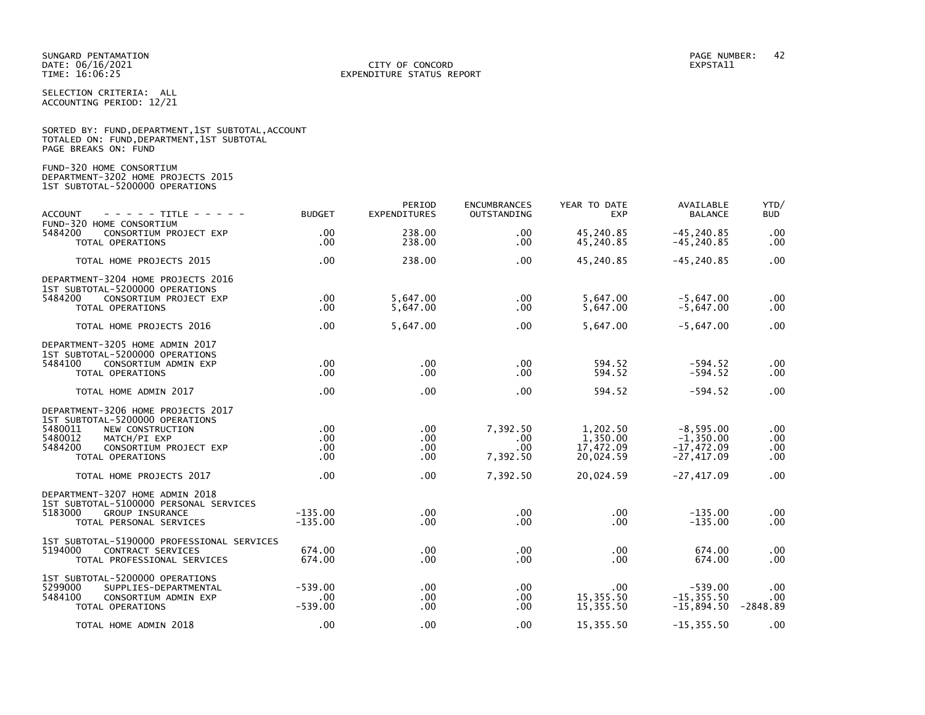### DATE: 06/16/2021 CITY OF CONCORD EXPSTA11 TIME: 16:06:25 EXPENDITURE STATUS REPORT

SELECTION CRITERIA: ALL ACCOUNTING PERIOD: 12/21

SORTED BY: FUND, DEPARTMENT, 1ST SUBTOTAL, ACCOUNT

| TOTALED ON: FUND, DEPARTMENT, 1ST SUBTOTAL<br>PAGE BREAKS ON: FUND                                                                                                                                                   |                                      |                                   |                                                 |                                                             |                                                                            |                                 |
|----------------------------------------------------------------------------------------------------------------------------------------------------------------------------------------------------------------------|--------------------------------------|-----------------------------------|-------------------------------------------------|-------------------------------------------------------------|----------------------------------------------------------------------------|---------------------------------|
| FUND-320 HOME CONSORTIUM<br>DEPARTMENT-3202 HOME PROJECTS 2015<br>1ST SUBTOTAL-5200000 OPERATIONS                                                                                                                    |                                      |                                   |                                                 |                                                             |                                                                            |                                 |
| <b>ACCOUNT</b><br>- - - - - TITLE - - - - -<br>FUND-320 HOME CONSORTIUM                                                                                                                                              | <b>BUDGET</b>                        | PERIOD<br>EXPENDITURES            | <b>ENCUMBRANCES</b><br>OUTSTANDING              | YEAR TO DATE<br><b>EXP</b>                                  | AVAILABLE<br><b>BALANCE</b>                                                | YTD/<br>BUD                     |
| 5484200<br>CONSORTIUM PROJECT EXP<br>TOTAL OPERATIONS                                                                                                                                                                | $.00 \times$<br>.00.                 | 238.00<br>238.00                  | .00.<br>.00.                                    | 45,240.85<br>45,240.85                                      | $-45, 240.85$<br>$-45, 240.85$                                             | .00<br>.00                      |
| TOTAL HOME PROJECTS 2015                                                                                                                                                                                             | .00                                  | 238.00                            | .00.                                            | 45,240.85                                                   | $-45, 240.85$                                                              | .00                             |
| DEPARTMENT-3204 HOME PROJECTS 2016<br>1ST SUBTOTAL-5200000 OPERATIONS<br>5484200<br>CONSORTIUM PROJECT EXP<br>TOTAL OPERATIONS                                                                                       | .00<br>$.00 \,$                      | 5,647.00<br>5,647.00              | .00<br>.00.                                     | 5,647.00<br>5,647.00                                        | $-5,647.00$<br>$-5,647.00$                                                 | .00<br>.00                      |
| TOTAL HOME PROJECTS 2016                                                                                                                                                                                             | $.00 \times$                         | 5,647.00                          | .00                                             | 5,647.00                                                    | $-5,647.00$                                                                | .00                             |
| DEPARTMENT-3205 HOME ADMIN 2017<br>1ST SUBTOTAL-5200000 OPERATIONS<br>5484100<br>CONSORTIUM ADMIN EXP<br>TOTAL OPERATIONS                                                                                            | .00<br>$.00 \times$                  | .00<br>.00                        | .00<br>.00                                      | 594.52<br>594.52                                            | $-594.52$<br>$-594.52$                                                     | .00<br>.00                      |
| TOTAL HOME ADMIN 2017                                                                                                                                                                                                | .00                                  | .00                               | .00.                                            | 594.52                                                      | $-594.52$                                                                  | .00                             |
| DEPARTMENT-3206 HOME PROJECTS 2017<br>1ST SUBTOTAL-5200000 OPERATIONS<br>5480011<br>NEW CONSTRUCTION<br>5480012<br>MATCH/PI EXP<br>5484200<br>CONSORTIUM PROJECT EXP<br>TOTAL OPERATIONS<br>TOTAL HOME PROJECTS 2017 | .00<br>.00<br>$.00 \,$<br>.00<br>.00 | .00.<br>.00.<br>.00<br>.00<br>.00 | 7,392.50<br>.00.<br>.00<br>7,392.50<br>7,392.50 | 1,202.50<br>1,350.00<br>17,472.09<br>20,024.59<br>20,024.59 | $-8,595.00$<br>$-1,350.00$<br>$-17,472.09$<br>$-27,417.09$<br>$-27,417.09$ | .00<br>.00<br>.00<br>.00<br>.00 |
| DEPARTMENT-3207 HOME ADMIN 2018<br>1ST SUBTOTAL-5100000 PERSONAL SERVICES<br>5183000<br><b>GROUP INSURANCE</b><br>TOTAL PERSONAL SERVICES                                                                            | $-135.00$<br>$-135.00$               | .00<br>.00                        | .00<br>.00                                      | $.00 \,$<br>.00                                             | $-135.00$<br>$-135.00$                                                     | .00<br>.00                      |
| 1ST SUBTOTAL-5190000 PROFESSIONAL SERVICES<br>5194000<br><b>CONTRACT SERVICES</b><br>TOTAL PROFESSIONAL SERVICES                                                                                                     | 674.00<br>674.00                     | .00<br>.00                        | .00<br>.00                                      | .00 <sub>1</sub><br>.00                                     | 674.00<br>674.00                                                           | .00<br>$.00 \,$                 |
| 1ST SUBTOTAL-5200000 OPERATIONS<br>5299000<br>SUPPLIES-DEPARTMENTAL<br>5484100<br>CONSORTIUM ADMIN EXP<br>TOTAL OPERATIONS                                                                                           | $-539.00$<br>.00<br>$-539.00$        | .00.<br>.00<br>.00                | .00<br>.00<br>.00                               | $.00 \,$<br>15,355.50<br>15,355.50                          | $-539.00$<br>$-15, 355.50$<br>$-15,894.50$                                 | .00<br>.00<br>-2848.89          |
| TOTAL HOME ADMIN 2018                                                                                                                                                                                                | .00                                  | .00                               | .00                                             | 15,355.50                                                   | $-15, 355.50$                                                              | .00                             |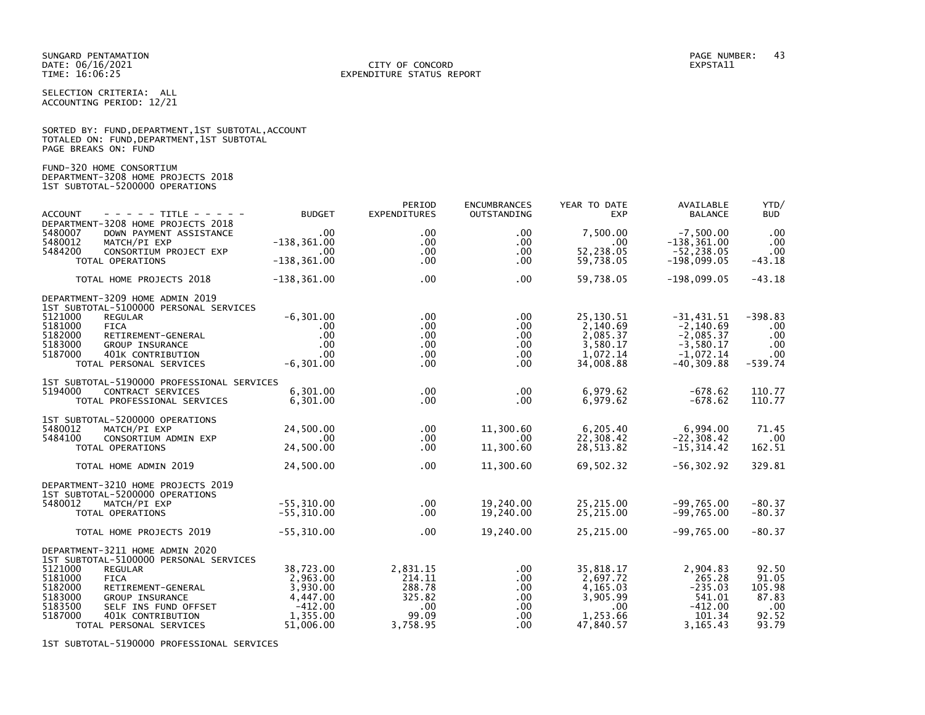#### DATE: 06/16/2021 CITY OF CONCORD EXPSTA11 TIME: 16:06:25 EXPENDITURE STATUS REPORT

SELECTION CRITERIA: ALL ACCOUNTING PERIOD: 12/21

|                      |                                            | SORTED BY: FUND, DEPARTMENT, 1ST SUBTOTAL, ACCOUNT |
|----------------------|--------------------------------------------|----------------------------------------------------|
|                      | TOTALED ON: FUND, DEPARTMENT, 1ST SUBTOTAL |                                                    |
| PAGE BREAKS ON: FUND |                                            |                                                    |

FUND-320 HOME CONSORTIUM DEPARTMENT-3208 HOME PROJECTS 2018 1ST SUBTOTAL-5200000 OPERATIONS

| - - - - - TITLE - - - - -<br><b>ACCOUNT</b>                                                                                                                                                                                                                       | <b>BUDGET</b>                                                                       | PERIOD<br><b>EXPENDITURES</b>                                           | <b>ENCUMBRANCES</b><br>OUTSTANDING                                 | YEAR TO DATE<br><b>EXP</b>                                                         | AVAILABLE<br><b>BALANCE</b>                                                               | YTD/<br><b>BUD</b>                                                |
|-------------------------------------------------------------------------------------------------------------------------------------------------------------------------------------------------------------------------------------------------------------------|-------------------------------------------------------------------------------------|-------------------------------------------------------------------------|--------------------------------------------------------------------|------------------------------------------------------------------------------------|-------------------------------------------------------------------------------------------|-------------------------------------------------------------------|
| DEPARTMENT-3208 HOME PROJECTS 2018<br>5480007<br>DOWN PAYMENT ASSISTANCE<br>5480012<br>MATCH/PI EXP                                                                                                                                                               | $.00 \,$<br>$-138, 361.00$                                                          | .00<br>$.00 \,$                                                         | $.00 \,$<br>$.00 \,$                                               | 7.500.00<br>$.00 \,$                                                               | $-7.500.00$<br>$-138, 361.00$                                                             | .00<br>.00                                                        |
| 5484200<br>CONSORTIUM PROJECT EXP<br>TOTAL OPERATIONS                                                                                                                                                                                                             | $.00 \,$<br>$-138, 361.00$                                                          | $.00 \,$<br>$.00 \,$                                                    | .00<br>.00.                                                        | 52,238.05<br>59,738.05                                                             | $-52, 238.05$<br>$-198,099.05$                                                            | $.00 \,$<br>$-43.18$                                              |
| TOTAL HOME PROJECTS 2018                                                                                                                                                                                                                                          | $-138, 361.00$                                                                      | $.00 \,$                                                                | .00                                                                | 59,738.05                                                                          | $-198,099.05$                                                                             | $-43.18$                                                          |
| DEPARTMENT-3209 HOME ADMIN 2019<br>1ST SUBTOTAL-5100000 PERSONAL SERVICES<br>5121000<br><b>REGULAR</b><br>5181000<br><b>FICA</b><br>5182000<br>RETIREMENT-GENERAL<br>5183000<br><b>GROUP INSURANCE</b><br>5187000<br>401K CONTRIBUTION<br>TOTAL PERSONAL SERVICES | $-6, 301.00$<br>$.00 \,$<br>.00<br>$.00 \,$<br>$.00 \,$<br>$-6, 301.00$             | $.00 \,$<br>$.00 \,$<br>$.00 \,$<br>$.00 \,$<br>$.00 \,$<br>$.00 \,$    | $.00 \,$<br>.00<br>$.00 \,$<br>$.00 \,$<br>$.00 \,$<br>.00.        | 25,130.51<br>2,140.69<br>2,085.37<br>3,580.17<br>1,072.14<br>34,008.88             | $-31,431.51$<br>$-2,140.69$<br>$-2,085.37$<br>$-3,580.17$<br>$-1,072.14$<br>$-40, 309.88$ | $-398.83$<br>$.00 \,$<br>.00<br>$.00 \,$<br>$.00 \,$<br>$-539.74$ |
| 1ST SUBTOTAL-5190000 PROFESSIONAL SERVICES<br>5194000<br>CONTRACT SERVICES<br>TOTAL PROFESSIONAL SERVICES                                                                                                                                                         | 6.301.00<br>6,301.00                                                                | $.00 \,$<br>$.00 \,$                                                    | $.00 \,$<br>.00.                                                   | 6,979.62<br>6,979.62                                                               | $-678.62$<br>$-678.62$                                                                    | 110.77<br>110.77                                                  |
| 1ST SUBTOTAL-5200000 OPERATIONS<br>5480012<br>MATCH/PI EXP<br>5484100<br>CONSORTIUM ADMIN EXP<br>TOTAL OPERATIONS                                                                                                                                                 | 24,500.00<br>.00<br>24,500.00                                                       | $.00 \,$<br>.00<br>$.00 \,$                                             | 11,300.60<br>$.00 \,$<br>11,300.60                                 | 6,205.40<br>22,308.42<br>28,513.82                                                 | 6,994.00<br>$-22, 308.42$<br>$-15, 314.42$                                                | 71.45<br>.00<br>162.51                                            |
| TOTAL HOME ADMIN 2019                                                                                                                                                                                                                                             | 24,500.00                                                                           | .00                                                                     | 11,300.60                                                          | 69,502.32                                                                          | $-56, 302.92$                                                                             | 329.81                                                            |
| DEPARTMENT-3210 HOME PROJECTS 2019<br>1ST SUBTOTAL-5200000 OPERATIONS<br>MATCH/PI EXP<br>5480012<br>TOTAL OPERATIONS                                                                                                                                              | $-55, 310.00$<br>$-55,310.00$                                                       | $.00 \,$<br>$.00 \,$                                                    | 19.240.00<br>19,240.00                                             | 25,215.00<br>25,215.00                                                             | $-99,765.00$<br>$-99,765.00$                                                              | $-80.37$<br>$-80.37$                                              |
| TOTAL HOME PROJECTS 2019                                                                                                                                                                                                                                          | $-55, 310.00$                                                                       | $.00 \,$                                                                | 19,240.00                                                          | 25,215.00                                                                          | $-99,765.00$                                                                              | $-80.37$                                                          |
| DEPARTMENT-3211 HOME ADMIN 2020<br>1ST SUBTOTAL-5100000 PERSONAL SERVICES                                                                                                                                                                                         |                                                                                     |                                                                         |                                                                    |                                                                                    |                                                                                           |                                                                   |
| 5121000<br><b>REGULAR</b><br>5181000<br><b>FICA</b><br>5182000<br>RETIREMENT-GENERAL<br>5183000<br><b>GROUP INSURANCE</b><br>5183500<br>SELF INS FUND OFFSET<br>5187000<br>401K CONTRIBUTION<br>TOTAL PERSONAL SERVICES                                           | 38,723.00<br>2,963.00<br>3,930.00<br>4,447.00<br>$-412.00$<br>1,355.00<br>51,006.00 | 2,831.15<br>214.11<br>288.78<br>325.82<br>$.00 \,$<br>99.09<br>3.758.95 | $.00 \,$<br>.00<br>$.00 \,$<br>$.00 \,$<br>$.00 \,$<br>.00.<br>.00 | 35,818.17<br>2.697.72<br>4.165.03<br>3,905.99<br>$.00 \,$<br>1,253.66<br>47,840.57 | 2,904.83<br>265.28<br>$-235.03$<br>541.01<br>$-412.00$<br>101.34<br>3.165.43              | 92.50<br>91.05<br>105.98<br>87.83<br>$.00 \,$<br>92.52<br>93.79   |

1ST SUBTOTAL-5190000 PROFESSIONAL SERVICES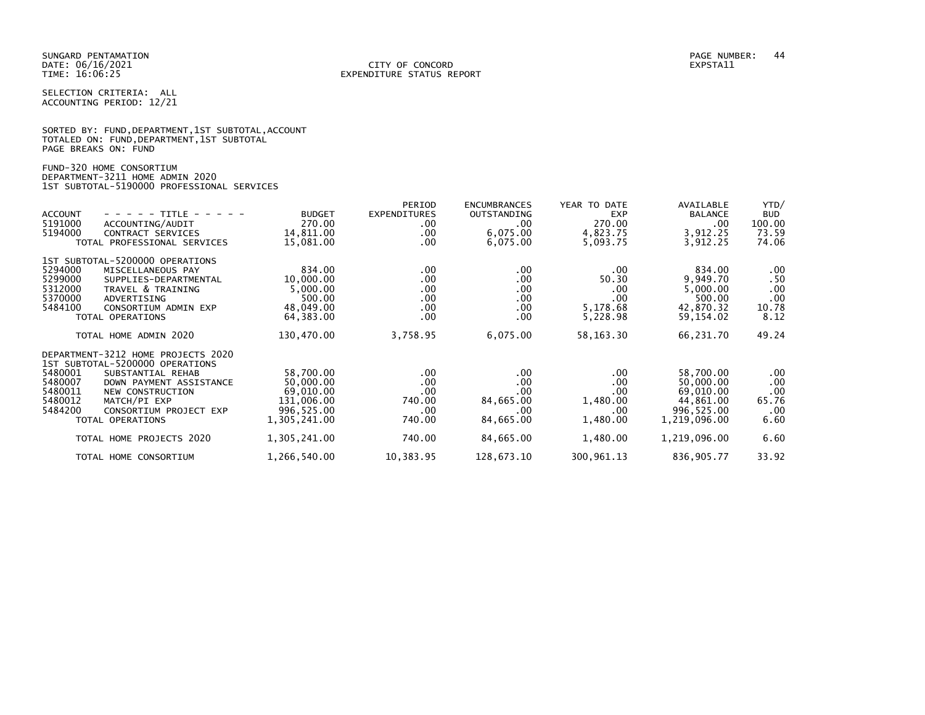SELECTION CRITERIA: ALL ACCOUNTING PERIOD: 12/21

|                      |  | SORTED BY: FUND, DEPARTMENT, 1ST SUBTOTAL, ACCOUNT |  |  |
|----------------------|--|----------------------------------------------------|--|--|
|                      |  | TOTALED ON: FUND, DEPARTMENT, 1ST SUBTOTAL         |  |  |
| PAGE BREAKS ON: FUND |  |                                                    |  |  |

FUND-320 HOME CONSORTIUM DEPARTMENT-3211 HOME ADMIN 2020 1ST SUBTOTAL-5190000 PROFESSIONAL SERVICES

| <b>ACCOUNT</b><br>- - - - - TITLE - - - - -<br>5191000<br>ACCOUNTING/AUDIT<br>5194000<br>CONTRACT SERVICES<br>TOTAL PROFESSIONAL SERVICES                                                                                                                      | <b>BUDGET</b><br>270.00<br>14,811.00<br>15,081.00                               | PERIOD<br><b>EXPENDITURES</b><br>$.00 \,$<br>$.00 \,$<br>$.00 \,$ | <b>ENCUMBRANCES</b><br>OUTSTANDING<br>$.00 \,$<br>6,075.00<br>6,075.00 | YEAR TO DATE<br><b>EXP</b><br>270.00<br>4,823.75<br>5,093.75 | AVAILABLE<br><b>BALANCE</b><br>$.00 \,$<br>3,912.25<br>3,912.25                | YTD/<br><b>BUD</b><br>100.00<br>73.59<br>74.06      |
|----------------------------------------------------------------------------------------------------------------------------------------------------------------------------------------------------------------------------------------------------------------|---------------------------------------------------------------------------------|-------------------------------------------------------------------|------------------------------------------------------------------------|--------------------------------------------------------------|--------------------------------------------------------------------------------|-----------------------------------------------------|
| 1ST SUBTOTAL-5200000 OPERATIONS<br>5294000<br>MISCELLANEOUS PAY<br>5299000<br>SUPPLIES-DEPARTMENTAL<br>5312000<br>TRAVEL & TRAINING<br>5370000<br>ADVERTISING<br>5484100<br>CONSORTIUM ADMIN EXP<br>TOTAL OPERATIONS                                           | 834.00<br>10,000.00<br>5,000.00<br>500.00<br>48,049.00<br>64,383.00             | $.00 \,$<br>.00<br>$.00 \,$<br>.00<br>$.00 \,$<br>$.00 \,$        | .00<br>.00<br>.00.<br>.00.<br>.00.<br>.00                              | .00<br>50.30<br>.00<br>.00<br>5,178.68<br>5,228.98           | 834.00<br>9,949.70<br>5,000.00<br>500.00<br>42,870.32<br>59, 154, 02           | .00<br>.50<br>.00<br>.00<br>10.78<br>8.12           |
| TOTAL HOME ADMIN 2020                                                                                                                                                                                                                                          | 130,470.00                                                                      | 3,758.95                                                          | 6,075.00                                                               | 58, 163. 30                                                  | 66,231.70                                                                      | 49.24                                               |
| DEPARTMENT-3212 HOME PROJECTS 2020<br>1ST SUBTOTAL-5200000 OPERATIONS<br>5480001<br>SUBSTANTIAL REHAB<br>5480007<br>DOWN PAYMENT ASSISTANCE<br>5480011<br>NEW CONSTRUCTION<br>5480012<br>MATCH/PI EXP<br>5484200<br>CONSORTIUM PROJECT EXP<br>TOTAL OPERATIONS | 58,700.00<br>50,000,00<br>69,010.00<br>131,006.00<br>996,525.00<br>1,305,241.00 | $.00 \,$<br>.00<br>.00<br>740.00<br>$.00 \,$<br>740.00            | .00.<br>.00.<br>.00<br>84,665.00<br>.00.<br>84,665.00                  | .00<br>.00<br>.00<br>1,480.00<br>.00<br>1,480.00             | 58,700.00<br>50,000.00<br>69,010.00<br>44,861.00<br>996,525.00<br>1,219,096.00 | $.00 \,$<br>.00<br>.00<br>65.76<br>$.00 \,$<br>6.60 |
| TOTAL HOME PROJECTS 2020                                                                                                                                                                                                                                       | 1,305,241.00                                                                    | 740.00                                                            | 84,665.00                                                              | 1,480.00                                                     | 1,219,096.00                                                                   | 6.60                                                |
| TOTAL HOME CONSORTIUM                                                                                                                                                                                                                                          | 1,266,540.00                                                                    | 10,383.95                                                         | 128,673.10                                                             | 300,961.13                                                   | 836,905.77                                                                     | 33.92                                               |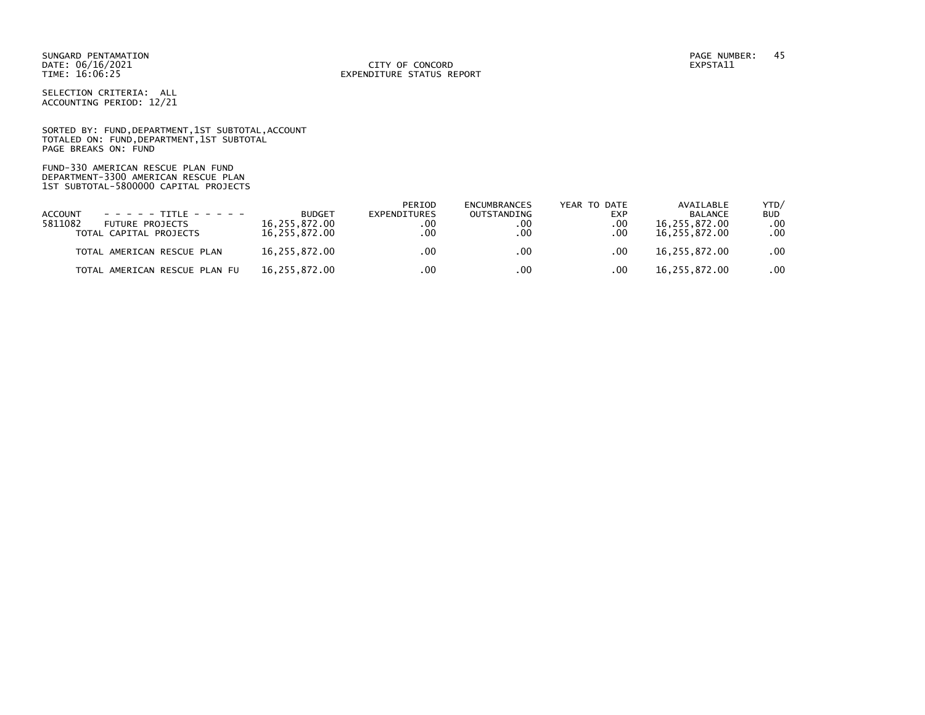DATE: 06/16/2021 CITY OF CONCORD EXPSTA11 TIME: 16:06:25 EXPENDITURE STATUS REPORT

SELECTION CRITERIA: ALL ACCOUNTING PERIOD: 12/21

SORTED BY: FUND, DEPARTMENT, 1ST SUBTOTAL, ACCOUNT TOTALED ON: FUND,DEPARTMENT,1ST SUBTOTAL PAGE BREAKS ON: FUND

FUND-330 AMERICAN RESCUE PLAN FUND DEPARTMENT-3300 AMERICAN RESCUE PLAN 1ST SUBTOTAL-5800000 CAPITAL PROJECTS

|                |                                   |               | PERIOD       | <b>ENCUMBRANCES</b> | YEAR TO DATE | AVAILABLE      | YTD/             |
|----------------|-----------------------------------|---------------|--------------|---------------------|--------------|----------------|------------------|
| <b>ACCOUNT</b> | $- - - - - + + + + + - - - - - -$ | <b>BUDGET</b> | EXPENDITURES | OUTSTANDING         | <b>EXP</b>   | <b>BALANCE</b> | <b>BUD</b>       |
| 5811082        | FUTURE PROJECTS                   | 16.255.872.00 | .00          | .00                 | .00          | 16.255.872.00  | $.00 \ \,$       |
|                | TOTAL CAPITAL PROJECTS            | 16,255,872.00 | . 00         | .00                 | .00          | 16.255.872.00  | $.00 \,$         |
|                |                                   |               |              |                     |              |                |                  |
|                | TOTAL AMERICAN RESCUE PLAN        | 16,255,872.00 | .00          | $.00 \,$            | . 00         | 16.255.872.00  | .00 <sub>1</sub> |
|                | TOTAL AMERICAN RESCUE PLAN FU     | 16.255.872.00 | .00          | .00                 | .00          | 16,255,872.00  | $.00 \,$         |
|                |                                   |               |              |                     |              |                |                  |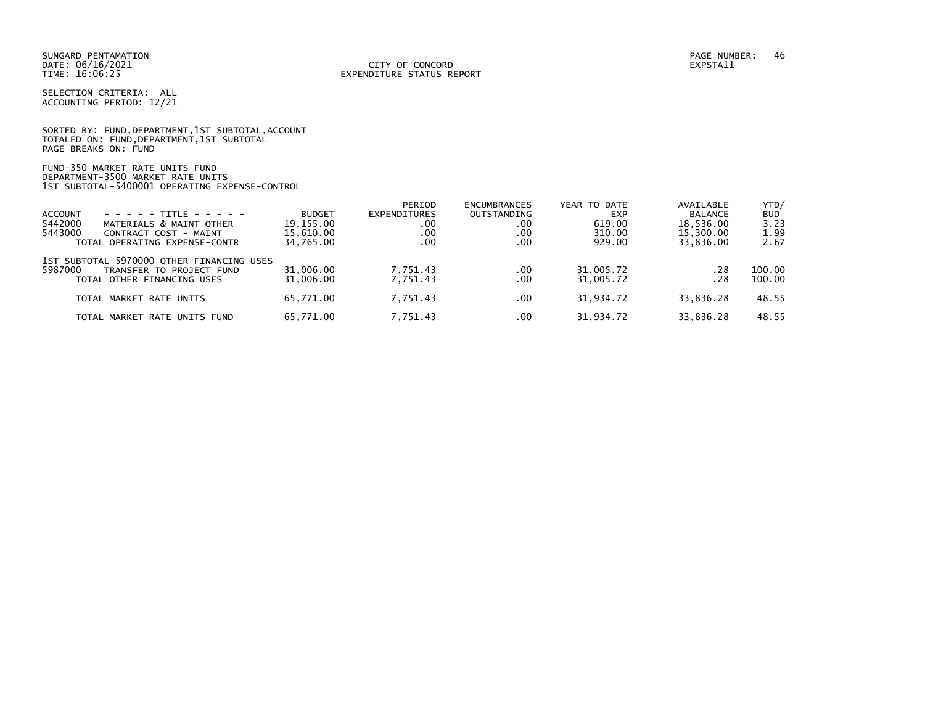SELECTION CRITERIA: ALL ACCOUNTING PERIOD: 12/21

SORTED BY: FUND, DEPARTMENT, 1ST SUBTOTAL, ACCOUNT TOTALED ON: FUND,DEPARTMENT,1ST SUBTOTAL PAGE BREAKS ON: FUND

FUND-350 MARKET RATE UNITS FUND DEPARTMENT-3500 MARKET RATE UNITS 1ST SUBTOTAL-5400001 OPERATING EXPENSE-CONTROL

|                                                                                                                                                                                                                                                                                         | PERIOD                                                                                                   |                                                              |                                           |                                                                  | YTD/                                                                              |
|-----------------------------------------------------------------------------------------------------------------------------------------------------------------------------------------------------------------------------------------------------------------------------------------|----------------------------------------------------------------------------------------------------------|--------------------------------------------------------------|-------------------------------------------|------------------------------------------------------------------|-----------------------------------------------------------------------------------|
|                                                                                                                                                                                                                                                                                         |                                                                                                          |                                                              | <b>EXP</b>                                | <b>BALANCE</b>                                                   | <b>BUD</b>                                                                        |
|                                                                                                                                                                                                                                                                                         | .00                                                                                                      | .00                                                          | 619.00                                    |                                                                  | 3.23                                                                              |
|                                                                                                                                                                                                                                                                                         | .00                                                                                                      | .00                                                          | 310.00                                    |                                                                  | 1.99                                                                              |
|                                                                                                                                                                                                                                                                                         | .00                                                                                                      | .00 <sub>1</sub>                                             | 929.00                                    |                                                                  | 2.67                                                                              |
|                                                                                                                                                                                                                                                                                         |                                                                                                          |                                                              |                                           |                                                                  |                                                                                   |
|                                                                                                                                                                                                                                                                                         |                                                                                                          | $.00 \,$                                                     |                                           | .28                                                              | 100.00                                                                            |
|                                                                                                                                                                                                                                                                                         |                                                                                                          |                                                              |                                           |                                                                  | 100.00                                                                            |
|                                                                                                                                                                                                                                                                                         |                                                                                                          | $.00 \,$                                                     |                                           |                                                                  | 48.55                                                                             |
|                                                                                                                                                                                                                                                                                         |                                                                                                          | $.00 \,$                                                     |                                           |                                                                  | 48.55                                                                             |
| $- - - - - + +$ TTTI F - - - - -<br>MATERIALS & MAINT OTHER<br>CONTRACT COST - MAINT<br>TOTAL OPERATING EXPENSE-CONTR<br>1ST SUBTOTAL-5970000 OTHER FINANCING USES<br>TRANSFER TO PROJECT FUND<br>TOTAL OTHER FINANCING USES<br>TOTAL MARKET RATE UNITS<br>TOTAL MARKET RATE UNITS FUND | <b>BUDGET</b><br>19.155.00<br>15.610.00<br>34,765.00<br>31,006.00<br>31,006.00<br>65.771.00<br>65.771.00 | EXPENDITURES<br>7.751.43<br>7.751.43<br>7.751.43<br>7.751.43 | <b>ENCUMBRANCES</b><br>OUTSTANDING<br>.00 | YEAR TO DATE<br>31,005.72<br>31,005.72<br>31.934.72<br>31.934.72 | AVAILABLE<br>18,536.00<br>15,300.00<br>33.836.00<br>.28<br>33.836.28<br>33.836.28 |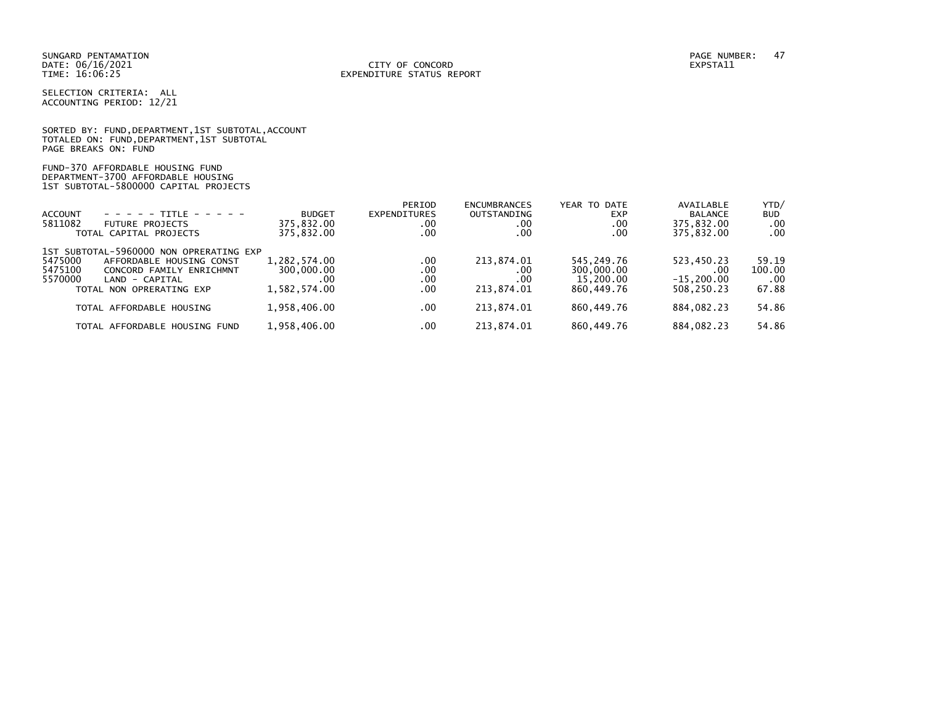#### DATE: 06/16/2021 CITY OF CONCORD EXPSTA11 TIME: 16:06:25 EXPENDITURE STATUS REPORT

SELECTION CRITERIA: ALL ACCOUNTING PERIOD: 12/21

|                      | SORTED BY: FUND, DEPARTMENT, 1ST SUBTOTAL, ACCOUNT |  |  |
|----------------------|----------------------------------------------------|--|--|
|                      | TOTALED ON: FUND, DEPARTMENT, 1ST SUBTOTAL         |  |  |
| PAGE BREAKS ON: FUND |                                                    |  |  |

FUND-370 AFFORDABLE HOUSING FUND DEPARTMENT-3700 AFFORDABLE HOUSING 1ST SUBTOTAL-5800000 CAPITAL PROJECTS

| <b>ACCOUNT</b><br>$- - - - - + + +$<br>5811082<br><b>FUTURE PROJECTS</b><br>TOTAL CAPITAL PROJECTS                                                                             | <b>BUDGET</b><br>375,832.00<br>375,832.00          | PERIOD<br>EXPENDITURES<br>.00<br>.00 | <b>ENCUMBRANCES</b><br><b>OUTSTANDING</b><br>.00<br>.00 | YEAR TO DATE<br><b>EXP</b><br>.00<br>.00            | AVAILABLE<br><b>BALANCE</b><br>375,832.00<br>375,832.00 | YTD/<br><b>BUD</b><br>.00<br>$.00 \,$ |
|--------------------------------------------------------------------------------------------------------------------------------------------------------------------------------|----------------------------------------------------|--------------------------------------|---------------------------------------------------------|-----------------------------------------------------|---------------------------------------------------------|---------------------------------------|
| 1ST SUBTOTAL-5960000 NON OPRERATING EXP<br>5475000<br>AFFORDABLE HOUSING CONST<br>5475100<br>CONCORD FAMILY ENRICHMNT<br>5570000<br>LAND - CAPITAL<br>TOTAL NON OPRERATING EXP | 1,282,574.00<br>300,000.00<br>. 00<br>1.582.574.00 | .00<br>.00<br>.00<br>.00             | 213,874.01<br>.00<br>.00<br>213.874.01                  | 545,249.76<br>300,000.00<br>15,200,00<br>860,449.76 | 523,450.23<br>$.00 \,$<br>$-15.200.00$<br>508,250.23    | 59.19<br>100.00<br>$.00 \,$<br>67.88  |
| TOTAL AFFORDABLE HOUSING                                                                                                                                                       | 1,958,406.00                                       | .00                                  | 213.874.01                                              | 860.449.76                                          | 884,082.23                                              | 54.86                                 |
| TOTAL AFFORDABLE HOUSING FUND                                                                                                                                                  | 1,958,406.00                                       | .00                                  | 213.874.01                                              | 860.449.76                                          | 884,082.23                                              | 54.86                                 |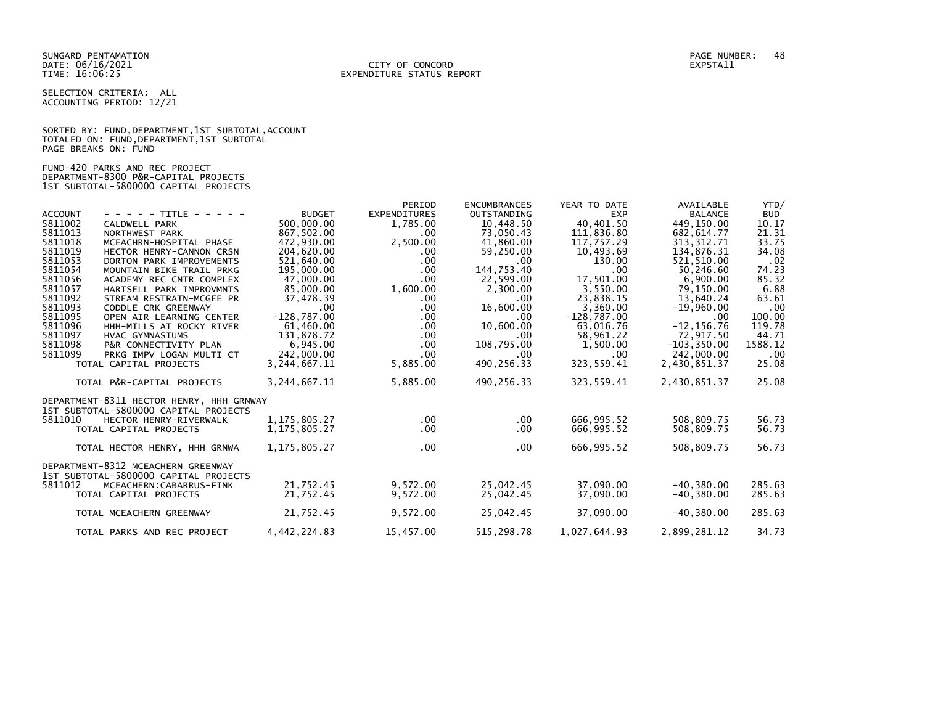SELECTION CRITERIA: ALL ACCOUNTING PERIOD: 12/21

SORTED BY: FUND, DEPARTMENT, 1ST SUBTOTAL, ACCOUNT TOTALED ON: FUND,DEPARTMENT,1ST SUBTOTAL PAGE BREAKS ON: FUND

FUND-420 PARKS AND REC PROJECT DEPARTMENT-8300 P&R-CAPITAL PROJECTS 1ST SUBTOTAL-5800000 CAPITAL PROJECTS

|                |                                          |                 | PERIOD              | <b>ENCUMBRANCES</b> | YEAR TO DATE  | AVAILABLE      | YTD/       |
|----------------|------------------------------------------|-----------------|---------------------|---------------------|---------------|----------------|------------|
| <b>ACCOUNT</b> | - - - - - TITLE - - - - -                | <b>BUDGET</b>   | <b>EXPENDITURES</b> | <b>OUTSTANDING</b>  | <b>EXP</b>    | <b>BALANCE</b> | <b>BUD</b> |
| 5811002        | CALDWELL PARK                            | 500,000.00      | 1,785.00            | 10,448.50           | 40,401.50     | 449,150.00     | 10.17      |
| 5811013        | NORTHWEST PARK                           | 867,502.00      | $.00 \,$            | 73,050.43           | 111,836.80    | 682, 614.77    | 21.31      |
| 5811018        | MCEACHRN-HOSPITAL PHASE                  | 472.930.00      | 2,500.00            | 41,860.00           | 117,757.29    | 313, 312.71    | 33.75      |
| 5811019        | HECTOR HENRY-CANNON CRSN                 | 204,620.00      | .00                 | 59,250.00           | 10,493.69     | 134,876.31     | 34.08      |
| 5811053        | DORTON PARK IMPROVEMENTS                 | 521,640.00      | .00                 | .00                 | 130.00        | 521,510.00     | .02        |
| 5811054        | MOUNTAIN BIKE TRAIL PRKG                 | 195,000.00      | .00                 | 144,753.40          | .00           | 50,246.60      | 74.23      |
| 5811056        | ACADEMY REC CNTR COMPLEX                 | 47,000.00       | .00                 | 22,599.00           | 17,501.00     | 6,900.00       | 85.32      |
| 5811057        | HARTSELL PARK IMPROVMNTS                 | 85,000.00       | 1,600.00            | 2,300.00            | 3,550.00      | 79,150.00      | 6.88       |
| 5811092        | STREAM RESTRATN-MCGEE PR                 | 37,478.39       | $.00 \,$            | .00                 | 23.838.15     | 13,640.24      | 63.61      |
| 5811093        | CODDLE CRK GREENWAY                      | $.00 \,$        | $.00 \,$            | 16,600.00           | 3,360.00      | $-19,960.00$   | .00        |
| 5811095        | OPEN AIR LEARNING CENTER                 | $-128,787.00$   | $.00 \,$            | .00                 | $-128,787.00$ | .00.           | 100.00     |
| 5811096        | HHH-MILLS AT ROCKY RIVER                 | 61,460.00       | $.00 \,$            | 10,600.00           | 63.016.76     | $-12, 156.76$  | 119.78     |
| 5811097        | HVAC GYMNASIUMS                          | 131,878.72      | $.00 \,$            | .00                 | 58,961.22     | 72,917.50      | 44.71      |
| 5811098        | P&R CONNECTIVITY PLAN                    | 6,945.00        | $.00 \,$            | 108,795.00          | 1,500.00      | $-103, 350.00$ | 1588.12    |
| 5811099        | PRKG IMPV LOGAN MULTI CT                 | 242,000.00      | $.00 \,$            | .00                 | .00           | 242,000.00     | $.00 \,$   |
|                | TOTAL CAPITAL PROJECTS                   | 3,244,667.11    | 5,885.00            | 490,256.33          | 323,559.41    | 2,430,851.37   | 25.08      |
|                | TOTAL P&R-CAPITAL PROJECTS               | 3, 244, 667. 11 | 5,885.00            | 490,256.33          | 323,559.41    | 2,430,851.37   | 25.08      |
|                | DEPARTMENT-8311 HECTOR HENRY, HHH GRNWAY |                 |                     |                     |               |                |            |
|                | 1ST SUBTOTAL-5800000 CAPITAL PROJECTS    |                 |                     |                     |               |                |            |
| 5811010        | HECTOR HENRY-RIVERWALK                   | 1, 175, 805. 27 | $.00 \,$            | .00.                | 666,995.52    | 508,809.75     | 56.73      |
|                | TOTAL CAPITAL PROJECTS                   | 1, 175, 805. 27 | $.00 \,$            | .00                 | 666,995.52    | 508,809.75     | 56.73      |
|                | TOTAL HECTOR HENRY, HHH GRNWA            | 1, 175, 805. 27 | $.00 \,$            | $.00 \,$            | 666,995.52    | 508,809.75     | 56.73      |
|                | DEPARTMENT-8312 MCEACHERN GREENWAY       |                 |                     |                     |               |                |            |
|                | 1ST SUBTOTAL-5800000 CAPITAL PROJECTS    |                 |                     |                     |               |                |            |
| 5811012        | MCEACHERN: CABARRUS-FINK                 | 21,752.45       | 9,572.00            | 25,042.45           | 37,090.00     | $-40, 380.00$  | 285.63     |
|                | TOTAL CAPITAL PROJECTS                   | 21,752.45       | 9,572.00            | 25,042.45           | 37,090.00     | $-40,380.00$   | 285.63     |
|                | TOTAL MCEACHERN GREENWAY                 | 21,752.45       | 9,572.00            | 25,042.45           | 37,090.00     | $-40, 380.00$  | 285.63     |
|                |                                          |                 |                     |                     |               |                |            |
|                | TOTAL PARKS AND REC PROJECT              | 4,442,224.83    | 15,457.00           | 515,298.78          | 1,027,644.93  | 2,899,281.12   | 34.73      |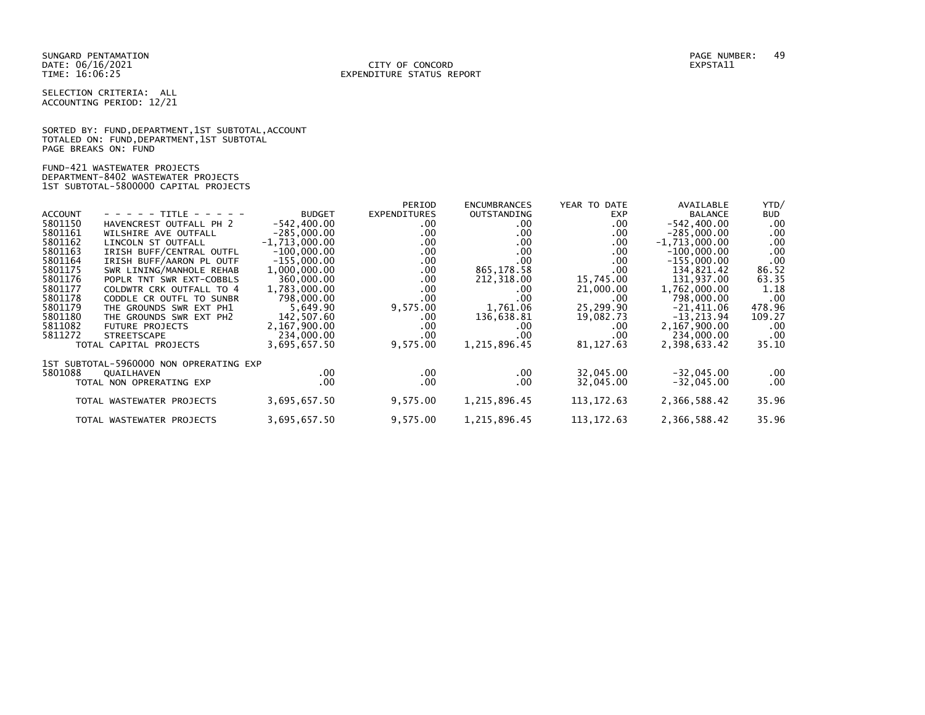SELECTION CRITERIA: ALL ACCOUNTING PERIOD: 12/21

SORTED BY: FUND, DEPARTMENT, 1ST SUBTOTAL, ACCOUNT TOTALED ON: FUND,DEPARTMENT,1ST SUBTOTAL PAGE BREAKS ON: FUND

FUND-421 WASTEWATER PROJECTS DEPARTMENT-8402 WASTEWATER PROJECTS 1ST SUBTOTAL-5800000 CAPITAL PROJECTS

|                |                                         |                 | PERIOD              | <b>ENCUMBRANCES</b> | YEAR TO DATE | AVAILABLE       | YTD/   |
|----------------|-----------------------------------------|-----------------|---------------------|---------------------|--------------|-----------------|--------|
| <b>ACCOUNT</b> | - - - - - TITLE - - - - -               | <b>BUDGET</b>   | <b>EXPENDITURES</b> | OUTSTANDING         | <b>EXP</b>   | <b>BALANCE</b>  | BUD    |
| 5801150        | HAVENCREST OUTFALL PH 2                 | $-542, 400.00$  | .00                 | .00                 | $.00 \,$     | $-542, 400.00$  | .00    |
| 5801161        | WILSHIRE AVE OUTFALL                    | $-285,000.00$   | .00                 | .00                 | .00.         | $-285,000.00$   | .00    |
| 5801162        | LINCOLN ST OUTFALL                      | $-1,713,000.00$ | $.00 \,$            | .00                 | .00.         | $-1,713,000.00$ | .00    |
| 5801163        | IRISH BUFF/CENTRAL OUTFL                | $-100.000.00$   | .00                 | .00                 | .00.         | $-100,000.00$   | .00    |
| 5801164        | IRISH BUFF/AARON PL OUTF                | $-155,000.00$   | .00                 | .00                 | .00.         | $-155,000.00$   | .00    |
| 5801175        | SWR LINING/MANHOLE REHAB                | 1,000,000.00    | $.00 \,$            | 865,178.58          | .00          | 134,821.42      | 86.52  |
| 5801176        | POPLR TNT SWR EXT-COBBLS                | 360,000.00      | $.00 \,$            | 212,318.00          | 15,745.00    | 131,937.00      | 63.35  |
| 5801177        | COLDWTR CRK OUTFALL TO 4                | 1,783,000.00    | .00                 | .00                 | 21,000.00    | 1,762,000.00    | 1.18   |
| 5801178        | CODDLE CR OUTFL TO SUNBR                | 798,000,00      | .00                 | .00                 | .00          | 798,000.00      | .00    |
| 5801179        | THE GROUNDS SWR EXT PH1                 | 5,649.90        | 9,575.00            | 1,761.06            | 25,299.90    | $-21,411.06$    | 478.96 |
| 5801180        | THE GROUNDS SWR EXT<br>PH <sub>2</sub>  | 142,507.60      | .00                 | 136,638.81          | 19,082.73    | $-13, 213.94$   | 109.27 |
| 5811082        | <b>FUTURE PROJECTS</b>                  | 2,167,900.00    | $.00 \,$            | .00                 | .00          | 2,167,900.00    | .00    |
| 5811272        | <b>STREETSCAPE</b>                      | 234,000.00      | .00                 | .00                 | .00          | 234,000.00      | .00    |
|                | TOTAL CAPITAL PROJECTS                  | 3,695,657.50    | 9,575.00            | 1,215,896.45        | 81, 127.63   | 2,398,633.42    | 35.10  |
|                | 1ST SUBTOTAL-5960000 NON OPRERATING EXP |                 |                     |                     |              |                 |        |
| 5801088        | QUAILHAVEN                              | .00             | $.00 \,$            | .00                 | 32,045.00    | $-32,045.00$    | .00    |
|                | TOTAL NON OPRERATING EXP                | $.00 \,$        | $.00 \,$            | .00.                | 32,045.00    | $-32,045.00$    | .00    |
|                |                                         |                 |                     |                     |              |                 |        |
|                | TOTAL WASTEWATER PROJECTS               | 3,695,657.50    | 9,575.00            | 1,215,896.45        | 113, 172.63  | 2,366,588.42    | 35.96  |
|                |                                         |                 |                     |                     |              |                 |        |
|                | TOTAL WASTEWATER PROJECTS               | 3,695,657.50    | 9,575.00            | 1,215,896.45        | 113, 172.63  | 2,366,588.42    | 35.96  |
|                |                                         |                 |                     |                     |              |                 |        |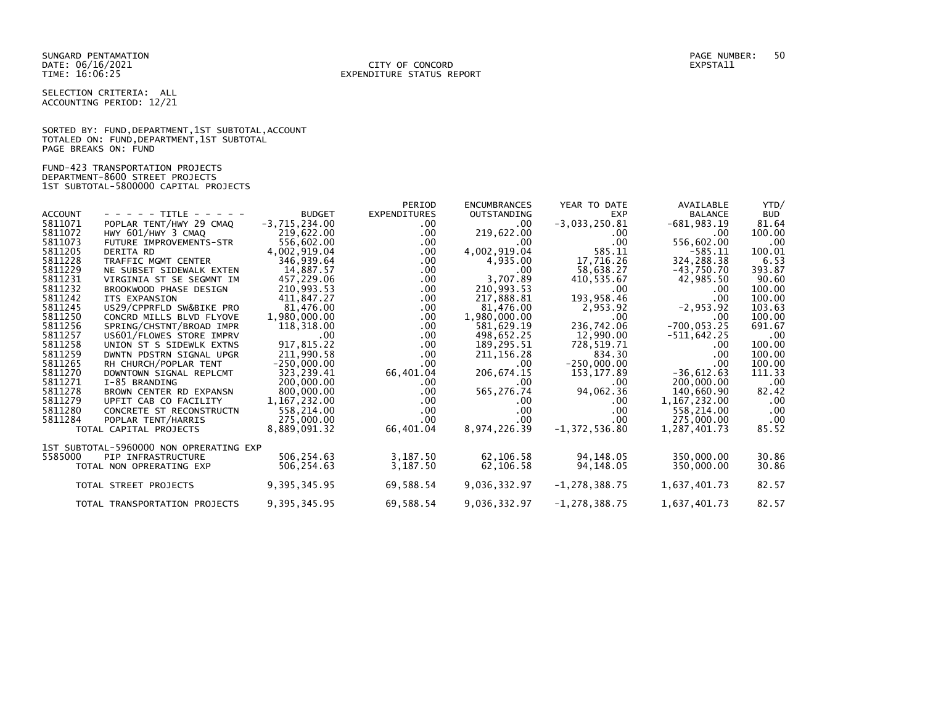SELECTION CRITERIA: ALL ACCOUNTING PERIOD: 12/21

SORTED BY: FUND, DEPARTMENT, 1ST SUBTOTAL, ACCOUNT TOTALED ON: FUND,DEPARTMENT,1ST SUBTOTAL PAGE BREAKS ON: FUND

FUND-423 TRANSPORTATION PROJECTS DEPARTMENT-8600 STREET PROJECTS 1ST SUBTOTAL-5800000 CAPITAL PROJECTS

|                |                                         |                 | PERIOD              | <b>ENCUMBRANCES</b> | YEAR TO DATE      | AVAILABLE      | YTD/       |
|----------------|-----------------------------------------|-----------------|---------------------|---------------------|-------------------|----------------|------------|
| <b>ACCOUNT</b> | - - - - - TITLE - - - - -               | <b>BUDGET</b>   | <b>EXPENDITURES</b> | <b>OUTSTANDING</b>  | <b>EXP</b>        | <b>BALANCE</b> | <b>BUD</b> |
| 5811071        | POPLAR TENT/HWY 29 CMAQ                 | $-3,715,234.00$ | $.00 \,$            | $.00 \cdot$         | $-3,033,250.81$   | $-681,983.19$  | 81.64      |
| 5811072        | HWY 601/HWY 3 CMAQ                      | 219,622.00      | $.00 \,$            | 219,622.00          | $.00 \,$          | .00            | 100.00     |
| 5811073        | FUTURE IMPROVEMENTS-STR                 | 556,602.00      | $.00 \,$            | $.00 \cdot$         | $.00 \,$          | 556,602.00     | .00        |
| 5811205        | <b>DERITA RD</b>                        | 4,002,919.04    | $.00 \,$            | 4,002,919.04        | 585.11            | -585.11        | 100.01     |
| 5811228        | TRAFFIC MGMT CENTER                     | 346,939.64      | .00                 | 4,935.00            | 17,716.26         | 324,288.38     | 6.53       |
| 5811229        | NE SUBSET SIDEWALK EXTEN                | 14,887.57       | $.00 \,$            | .00.                | 58,638.27         | -43,750.70     | 393.87     |
| 5811231        | VIRGINIA ST SE SEGMNT IM                | 457,229.06      | $.00 \,$            | 3,707.89            | 410,535.67        | 42,985.50      | 90.60      |
| 5811232        | BROOKWOOD PHASE DESIGN                  | 210,993.53      | $.00 \,$            | 210,993.53          | .00               | .00            | 100.00     |
| 5811242        | ITS EXPANSION                           | 411,847.27      | .00                 | 217,888.81          | 193,958.46        | .00            | 100.00     |
| 5811245        | US29/CPPRFLD SW&BIKE PRO                | 81.476.00       | .00                 | 81,476.00           | 2,953.92          | $-2,953.92$    | 103.63     |
| 5811250        | CONCRD MILLS BLVD FLYOVE                | 1,980,000.00    | .00                 | 1,980,000.00        | .00               | .00            | 100.00     |
| 5811256        | SPRING/CHSTNT/BROAD IMPR                | 118,318.00      | .00                 | 581,629.19          | 236,742.06        | $-700, 053.25$ | 691.67     |
| 5811257        | US601/FLOWES STORE IMPRV                | .00             | .00                 | 498,652.25          | 12.990.00         | $-511,642.25$  | .00        |
| 5811258        | UNION ST S SIDEWLK EXTNS                | 917,815.22      | $.00 \,$            | 189,295.51          | 728,519.71        | .00.           | 100.00     |
| 5811259        | DWNTN PDSTRN SIGNAL UPGR                | 211,990.58      | $.00 \,$            | 211, 156. 28        | 834.30            | $.00 \,$       | 100.00     |
| 5811265        | RH CHURCH/POPLAR TENT                   | $-250.000.00$   | $.00 \,$            | .00                 | $-250,000.00$     | $.00 \,$       | 100.00     |
| 5811270        | DOWNTOWN SIGNAL REPLCMT                 | 323,239.41      | 66,401.04           | 206, 674. 15        | 153,177.89        | $-36,612.63$   | 111.33     |
| 5811271        | I-85 BRANDING                           | 200,000.00      | $.00 \,$            | $.00 \cdot$         | .00               | 200,000.00     | .00        |
| 5811278        | BROWN CENTER RD EXPANSN                 | 800,000.00      | $.00 \,$            | 565,276.74          | 94,062.36         | 140,660.90     | 82.42      |
| 5811279        | UPFIT CAB CO FACILITY                   | 1, 167, 232.00  | $.00 \,$            | .00.                | .00.              | 1, 167, 232.00 | .00        |
| 5811280        | CONCRETE ST RECONSTRUCTN                | 558,214.00      | $.00 \,$            | $.00 \,$            | .00               | 558,214.00     | .00        |
| 5811284        | POPLAR TENT/HARRIS                      | 275,000.00      | .00                 | $.00 \cdot$         | .00               | 275,000.00     | .00        |
|                | TOTAL CAPITAL PROJECTS                  | 8,889,091.32    | 66,401.04           | 8,974,226.39        | $-1, 372, 536.80$ | 1,287,401.73   | 85.52      |
|                | 1ST SUBTOTAL-5960000 NON OPRERATING EXP |                 |                     |                     |                   |                |            |
| 5585000        | PIP INFRASTRUCTURE                      | 506,254.63      | 3,187.50            | 62,106.58           | 94,148.05         | 350,000.00     | 30.86      |
|                | TOTAL NON OPRERATING EXP                | 506,254.63      | 3,187.50            | 62,106.58           | 94,148.05         | 350,000.00     | 30.86      |
|                |                                         |                 |                     |                     |                   |                |            |
|                | TOTAL STREET PROJECTS                   | 9, 395, 345.95  | 69,588.54           | 9,036,332.97        | $-1, 278, 388.75$ | 1,637,401.73   | 82.57      |
|                |                                         |                 |                     |                     |                   |                |            |
|                | TOTAL TRANSPORTATION PROJECTS           | 9,395,345.95    | 69,588.54           | 9,036,332.97        | $-1, 278, 388.75$ | 1,637,401.73   | 82.57      |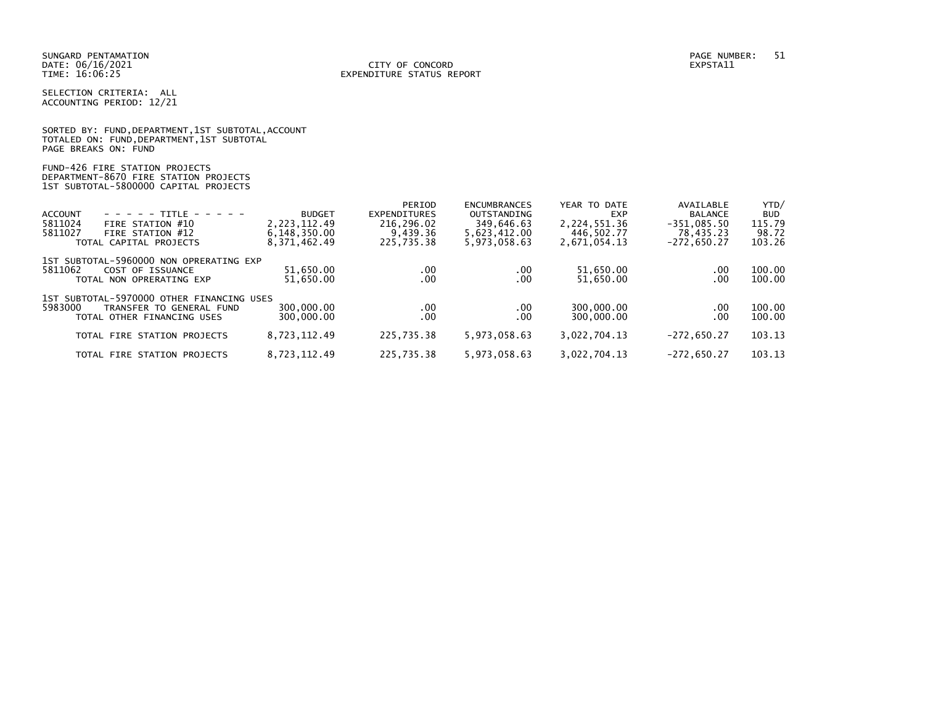SELECTION CRITERIA: ALL ACCOUNTING PERIOD: 12/21

|                      |  |                                            | SORTED BY: FUND, DEPARTMENT, 1ST SUBTOTAL, ACCOUNT |
|----------------------|--|--------------------------------------------|----------------------------------------------------|
|                      |  | TOTALED ON: FUND, DEPARTMENT, 1ST SUBTOTAL |                                                    |
| PAGE BREAKS ON: FUND |  |                                            |                                                    |

### FUND-426 FIRE STATION PROJECTS DEPARTMENT-8670 FIRE STATION PROJECTS 1ST SUBTOTAL-5800000 CAPITAL PROJECTS

| <b>BUD</b><br>115.79<br>98.72<br>103.26 |
|-----------------------------------------|
|                                         |
|                                         |
|                                         |
|                                         |
|                                         |
| 100.00                                  |
| 100.00                                  |
|                                         |
|                                         |
| 100.00                                  |
| 100.00                                  |
|                                         |
| 103.13                                  |
| 103.13                                  |
|                                         |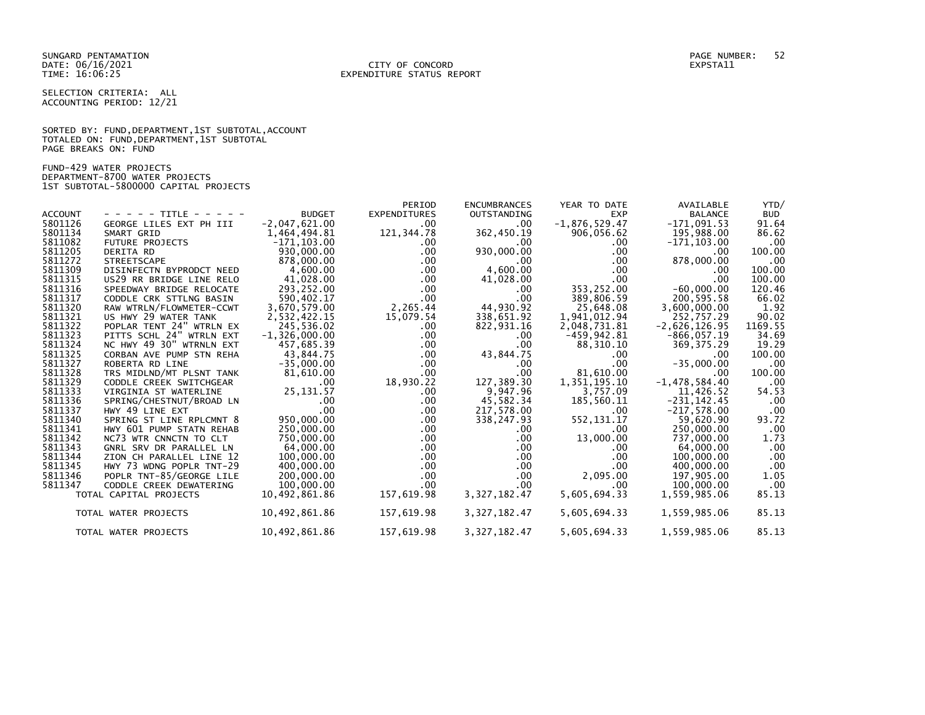SUNGARD PENTAMATION PAGE NUMBER: 52 DATE: 06/16/2021<br>TIME: 16:06:25

SELECTION CRITERIA: ALL ACCOUNTING PERIOD: 12/21

SORTED BY: FUND, DEPARTMENT, 1ST SUBTOTAL, ACCOUNT TOTALED ON: FUND,DEPARTMENT,1ST SUBTOTAL PAGE BREAKS ON: FUND

FUND-429 WATER PROJECTS DEPARTMENT-8700 WATER PROJECTS 1ST SUBTOTAL-5800000 CAPITAL PROJECTS

| <b>ACCOUNT</b><br>5801126<br>5801134<br>5811082<br>5811205<br>5811272<br>5811309<br>5811315<br>5811316<br>5811317<br>5811320<br>5811321<br>5811322<br>5811323<br>5811324 | - - - - - TITLE - - - - -<br>GEORGE LILES EXT PH III<br>SMART GRID<br><b>FUTURE PROJECTS</b><br><b>DERITA RD</b><br><b>STREETSCAPE</b><br>DISINFECTN BYPRODCT NEED<br>US29 RR BRIDGE LINE RELO<br>SPEEDWAY BRIDGE RELOCATE<br>CODDLE CRK STTLNG BASIN<br>RAW WTRLN/FLOWMETER-CCWT<br>US HWY 29 WATER TANK<br>POPLAR TENT 24" WTRLN EX<br>PITTS SCHL 24" WTRLN EXT<br>NC HWY 49 30" WTRNLN EXT | <b>BUDGET</b><br>$-2,047,621.00$<br>1,464,494.81<br>$-171, 103.00$<br>930,000.00<br>878,000.00<br>4,600.00<br>41,028.00<br>293,252.00<br>590,402.17<br>3,670,579.00<br>2,532,422.15<br>245,536.02<br>$-1,326,000.00$<br>457,685.39 | PERIOD<br><b>EXPENDITURES</b><br>.00<br>121,344.78<br>.00.<br>.00.<br>$.00 \,$<br>$.00 \,$<br>$.00 \,$<br>$.00 \,$<br>$.00 \,$<br>2,265.44<br>15,079.54<br>.00.<br>$.00 \,$<br>$.00 \,$ | <b>ENCUMBRANCES</b><br><b>OUTSTANDING</b><br>.00.<br>362,450.19<br>$.00 \cdot$<br>930,000.00<br>$.00 \cdot$<br>4,600.00<br>41,028.00<br>.00.<br>.00<br>44,930.92<br>338,651.92<br>822,931.16<br>.00<br>.00 | YEAR TO DATE<br><b>EXP</b><br>$-1,876,529.47$<br>906,056.62<br>.00.<br>.00<br>.00<br>$.00 \times$<br>.00 <sub>1</sub><br>353,252.00<br>389,806.59<br>25,648.08<br>1,941,012.94<br>2,048,731.81<br>$-459, 942.81$<br>88,310.10 | AVAILABLE<br><b>BALANCE</b><br>$-171,091.53$<br>195,988.00<br>$-171, 103.00$<br>$.00 \,$<br>878,000.00<br>$.00 \,$<br>.00<br>$-60,000.00$<br>200,595.58<br>3,600,000.00<br>252,757.29<br>$-2,626,126.95$<br>$-866, 057.19$<br>369, 375.29 | YTD/<br><b>BUD</b><br>91.64<br>86.62<br>.00<br>100.00<br>.00<br>100.00<br>100.00<br>120.46<br>66.02<br>1.92<br>90.02<br>1169.55<br>34.69<br>19.29 |
|--------------------------------------------------------------------------------------------------------------------------------------------------------------------------|-----------------------------------------------------------------------------------------------------------------------------------------------------------------------------------------------------------------------------------------------------------------------------------------------------------------------------------------------------------------------------------------------|------------------------------------------------------------------------------------------------------------------------------------------------------------------------------------------------------------------------------------|-----------------------------------------------------------------------------------------------------------------------------------------------------------------------------------------|------------------------------------------------------------------------------------------------------------------------------------------------------------------------------------------------------------|-------------------------------------------------------------------------------------------------------------------------------------------------------------------------------------------------------------------------------|-------------------------------------------------------------------------------------------------------------------------------------------------------------------------------------------------------------------------------------------|---------------------------------------------------------------------------------------------------------------------------------------------------|
| 5811325<br>5811327                                                                                                                                                       | CORBAN AVE PUMP STN REHA<br>ROBERTA RD LINE                                                                                                                                                                                                                                                                                                                                                   | 43,844.75<br>$-35,000.00$                                                                                                                                                                                                          | $.00 \,$<br>.00.                                                                                                                                                                        | 43,844.75<br>.00.                                                                                                                                                                                          | .00.<br>.00                                                                                                                                                                                                                   | .00.<br>$-35,000.00$                                                                                                                                                                                                                      | 100.00<br>.00                                                                                                                                     |
| 5811328                                                                                                                                                                  | TRS MIDLND/MT PLSNT TANK                                                                                                                                                                                                                                                                                                                                                                      | 81,610.00                                                                                                                                                                                                                          | $.00 \,$                                                                                                                                                                                | $.00 \,$                                                                                                                                                                                                   | 81,610.00                                                                                                                                                                                                                     | $.00 \,$                                                                                                                                                                                                                                  | 100.00                                                                                                                                            |
| 5811329                                                                                                                                                                  | CODDLE CREEK SWITCHGEAR                                                                                                                                                                                                                                                                                                                                                                       | .00                                                                                                                                                                                                                                | 18,930.22                                                                                                                                                                               | 127,389.30                                                                                                                                                                                                 | 1,351,195.10                                                                                                                                                                                                                  | $-1,478,584.40$                                                                                                                                                                                                                           | .00                                                                                                                                               |
| 5811333                                                                                                                                                                  | VIRGINIA ST WATERLINE                                                                                                                                                                                                                                                                                                                                                                         | 25, 131.57                                                                                                                                                                                                                         | .00.                                                                                                                                                                                    | 9,947.96                                                                                                                                                                                                   | 3.757.09                                                                                                                                                                                                                      | 11,426.52                                                                                                                                                                                                                                 | 54.53                                                                                                                                             |
| 5811336<br>5811337                                                                                                                                                       | SPRING/CHESTNUT/BROAD LN<br>HWY 49 LINE EXT                                                                                                                                                                                                                                                                                                                                                   | .00<br>.00                                                                                                                                                                                                                         | $.00 \,$<br>$.00 \,$                                                                                                                                                                    | 45,582.34<br>217,578.00                                                                                                                                                                                    | 185,560.11<br>$.00 \times$                                                                                                                                                                                                    | $-231, 142.45$<br>$-217,578.00$                                                                                                                                                                                                           | .00<br>.00                                                                                                                                        |
| 5811340                                                                                                                                                                  | SPRING ST LINE RPLCMNT 8                                                                                                                                                                                                                                                                                                                                                                      | 950,000.00                                                                                                                                                                                                                         | $.00 \,$                                                                                                                                                                                | 338,247.93                                                                                                                                                                                                 | 552, 131. 17                                                                                                                                                                                                                  | 59,620.90                                                                                                                                                                                                                                 | 93.72                                                                                                                                             |
| 5811341                                                                                                                                                                  | HWY 601 PUMP STATN REHAB                                                                                                                                                                                                                                                                                                                                                                      | 250,000.00                                                                                                                                                                                                                         | $.00 \,$                                                                                                                                                                                | .00.                                                                                                                                                                                                       | .00.                                                                                                                                                                                                                          | 250,000.00                                                                                                                                                                                                                                | .00                                                                                                                                               |
| 5811342                                                                                                                                                                  | NC73 WTR CNNCTN TO CLT                                                                                                                                                                                                                                                                                                                                                                        | 750,000.00                                                                                                                                                                                                                         | .00                                                                                                                                                                                     | .00.                                                                                                                                                                                                       | 13,000.00                                                                                                                                                                                                                     | 737,000.00                                                                                                                                                                                                                                | 1.73                                                                                                                                              |
| 5811343                                                                                                                                                                  | GNRL SRV DR PARALLEL LN                                                                                                                                                                                                                                                                                                                                                                       | 64,000.00                                                                                                                                                                                                                          | $.00 \,$                                                                                                                                                                                | $.00 \,$                                                                                                                                                                                                   | .00.                                                                                                                                                                                                                          | 64,000.00                                                                                                                                                                                                                                 | .00                                                                                                                                               |
| 5811344                                                                                                                                                                  | ZION CH PARALLEL LINE 12                                                                                                                                                                                                                                                                                                                                                                      | 100,000.00                                                                                                                                                                                                                         | $.00 \,$                                                                                                                                                                                | $.00 \,$                                                                                                                                                                                                   | .00                                                                                                                                                                                                                           | 100,000.00                                                                                                                                                                                                                                | .00                                                                                                                                               |
| 5811345                                                                                                                                                                  | HWY 73 WDNG POPLR TNT-29                                                                                                                                                                                                                                                                                                                                                                      | 400,000.00                                                                                                                                                                                                                         | $.00 \,$                                                                                                                                                                                | .00.                                                                                                                                                                                                       | $.00 \times$                                                                                                                                                                                                                  | 400,000.00                                                                                                                                                                                                                                | .00                                                                                                                                               |
| 5811346                                                                                                                                                                  | POPLR TNT-85/GEORGE LILE                                                                                                                                                                                                                                                                                                                                                                      | 200,000.00                                                                                                                                                                                                                         | $.00 \,$                                                                                                                                                                                | .00.                                                                                                                                                                                                       | 2,095.00                                                                                                                                                                                                                      | 197,905.00                                                                                                                                                                                                                                | 1.05                                                                                                                                              |
| 5811347                                                                                                                                                                  | CODDLE CREEK DEWATERING                                                                                                                                                                                                                                                                                                                                                                       | 100,000.00                                                                                                                                                                                                                         | $.00 \,$                                                                                                                                                                                | $.00 \,$                                                                                                                                                                                                   | .00 <sub>1</sub>                                                                                                                                                                                                              | 100,000.00                                                                                                                                                                                                                                | .00                                                                                                                                               |
|                                                                                                                                                                          | TOTAL CAPITAL PROJECTS                                                                                                                                                                                                                                                                                                                                                                        | 10,492,861.86                                                                                                                                                                                                                      | 157,619.98                                                                                                                                                                              | 3, 327, 182.47                                                                                                                                                                                             | 5,605,694.33                                                                                                                                                                                                                  | 1,559,985.06                                                                                                                                                                                                                              | 85.13                                                                                                                                             |
|                                                                                                                                                                          | TOTAL WATER PROJECTS                                                                                                                                                                                                                                                                                                                                                                          | 10,492,861.86                                                                                                                                                                                                                      | 157,619.98                                                                                                                                                                              | 3, 327, 182, 47                                                                                                                                                                                            | 5,605,694.33                                                                                                                                                                                                                  | 1,559,985.06                                                                                                                                                                                                                              | 85.13                                                                                                                                             |
|                                                                                                                                                                          | TOTAL WATER PROJECTS                                                                                                                                                                                                                                                                                                                                                                          | 10,492,861.86                                                                                                                                                                                                                      | 157,619.98                                                                                                                                                                              | 3, 327, 182.47                                                                                                                                                                                             | 5,605,694.33                                                                                                                                                                                                                  | 1,559,985.06                                                                                                                                                                                                                              | 85.13                                                                                                                                             |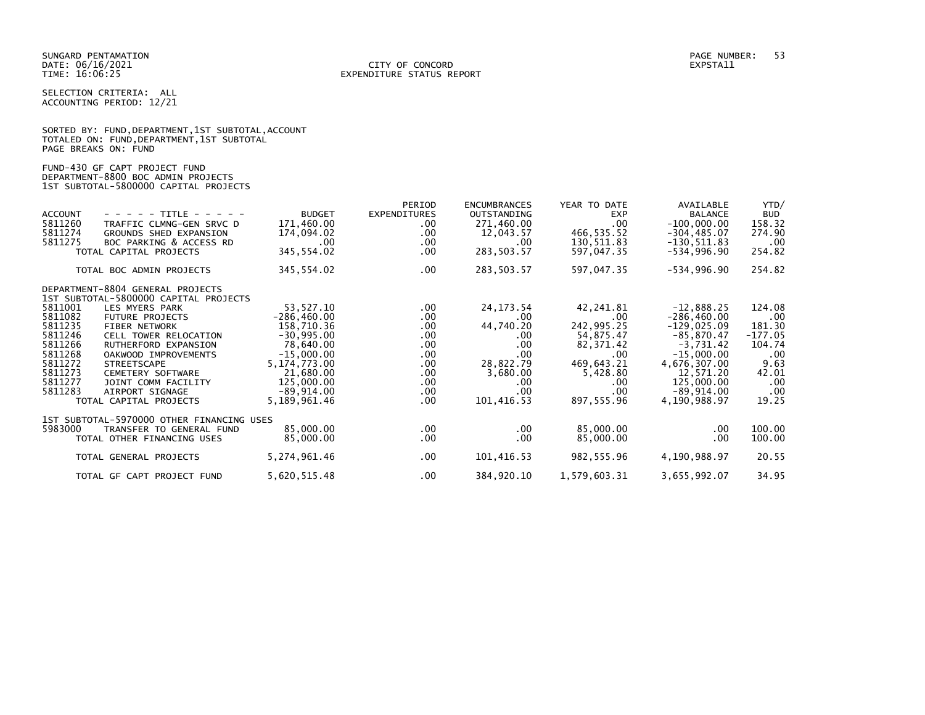SELECTION CRITERIA: ALL ACCOUNTING PERIOD: 12/21

|                      | SORTED BY: FUND, DEPARTMENT, 1ST SUBTOTAL, ACCOUNT |  |  |
|----------------------|----------------------------------------------------|--|--|
|                      | TOTALED ON: FUND, DEPARTMENT, 1ST SUBTOTAL         |  |  |
| PAGE BREAKS ON: FUND |                                                    |  |  |

FUND-430 GF CAPT PROJECT FUND DEPARTMENT-8800 BOC ADMIN PROJECTS 1ST SUBTOTAL-5800000 CAPITAL PROJECTS

|                |                                           |                | PERIOD       | <b>ENCUMBRANCES</b> | YEAR TO DATE | AVAILABLE      | YTD/       |
|----------------|-------------------------------------------|----------------|--------------|---------------------|--------------|----------------|------------|
| <b>ACCOUNT</b> | - - - - - TITLE - - - - -                 | <b>BUDGET</b>  | EXPENDITURES | <b>OUTSTANDING</b>  | <b>EXP</b>   | <b>BALANCE</b> | <b>BUD</b> |
| 5811260        | TRAFFIC CLMNG-GEN SRVC D                  | 171,460.00     | $.00 \,$     | 271,460.00          | .00          | $-100,000.00$  | 158.32     |
| 5811274        | GROUNDS SHED EXPANSION                    | 174,094.02     | .00          | 12,043.57           | 466,535.52   | $-304, 485.07$ | 274.90     |
| 5811275        | BOC PARKING & ACCESS RD                   | $.00 \cdot$    | .00          | .00.                | 130,511.83   | $-130, 511.83$ | .00        |
|                | TOTAL CAPITAL PROJECTS                    | 345,554.02     | $.00 \,$     | 283, 503.57         | 597,047.35   | -534,996.90    | 254.82     |
|                |                                           |                |              |                     |              |                |            |
|                | TOTAL BOC ADMIN PROJECTS                  | 345,554.02     | .00          | 283,503.57          | 597,047.35   | $-534,996.90$  | 254.82     |
|                | DEPARTMENT-8804 GENERAL PROJECTS          |                |              |                     |              |                |            |
|                | 1ST SUBTOTAL-5800000 CAPITAL PROJECTS     |                |              |                     |              |                |            |
| 5811001        | LES MYERS PARK                            | 53, 527. 10    | $.00 \,$     | 24, 173.54          | 42,241.81    | $-12,888.25$   | 124.08     |
| 5811082        | <b>FUTURE PROJECTS</b>                    | $-286,460.00$  | .00          | .00.                | $.00 \times$ | $-286, 460.00$ | .00        |
| 5811235        | <b>FIBER NETWORK</b>                      | 158,710.36     | $.00 \,$     | 44,740.20           | 242,995.25   | $-129,025.09$  | 181.30     |
| 5811246        | CELL TOWER RELOCATION                     | $-30,995.00$   | .00          | .00.                | 54,875.47    | $-85,870.47$   | $-177.05$  |
| 5811266        | RUTHERFORD EXPANSION                      | 78,640.00      | $.00 \,$     | .00.                | 82,371.42    | $-3,731.42$    | 104.74     |
| 5811268        | OAKWOOD IMPROVEMENTS                      | $-15,000.00$   | .00          | .00.                | $.00 \,$     | $-15,000.00$   | .00        |
| 5811272        | <b>STREETSCAPE</b>                        | 5, 174, 773.00 | .00          | 28,822.79           | 469,643.21   | 4,676,307.00   | 9.63       |
| 5811273        | CEMETERY SOFTWARE                         | 21,680.00      | .00          | 3,680.00            | 5,428.80     | 12,571.20      | 42.01      |
| 5811277        | JOINT COMM FACILITY                       | 125,000.00     | $.00 \,$     | .00.                | $.00 \,$     | 125,000.00     | .00        |
| 5811283        | AIRPORT SIGNAGE                           | $-89,914.00$   | $.00 \,$     | .00.                | .00.         | $-89,914.00$   | .00        |
|                | TOTAL CAPITAL PROJECTS                    | 5,189,961.46   | $.00 \,$     | 101,416.53          | 897,555.96   | 4,190,988.97   | 19.25      |
|                | 1ST SUBTOTAL-5970000 OTHER FINANCING USES |                |              |                     |              |                |            |
| 5983000        | TRANSFER TO GENERAL FUND                  | 85,000.00      | $.00 \,$     | $.00 \,$            | 85,000.00    | $.00 \,$       | 100.00     |
|                | TOTAL OTHER FINANCING USES                | 85,000.00      | $.00 \,$     | .00.                | 85,000.00    | .00            | 100.00     |
|                | TOTAL GENERAL PROJECTS                    | 5,274,961.46   | $.00 \,$     | 101,416.53          | 982,555.96   | 4,190,988.97   | 20.55      |
|                | TOTAL GF CAPT PROJECT FUND                | 5,620,515.48   | .00          | 384,920.10          | 1,579,603.31 | 3,655,992.07   | 34.95      |
|                |                                           |                |              |                     |              |                |            |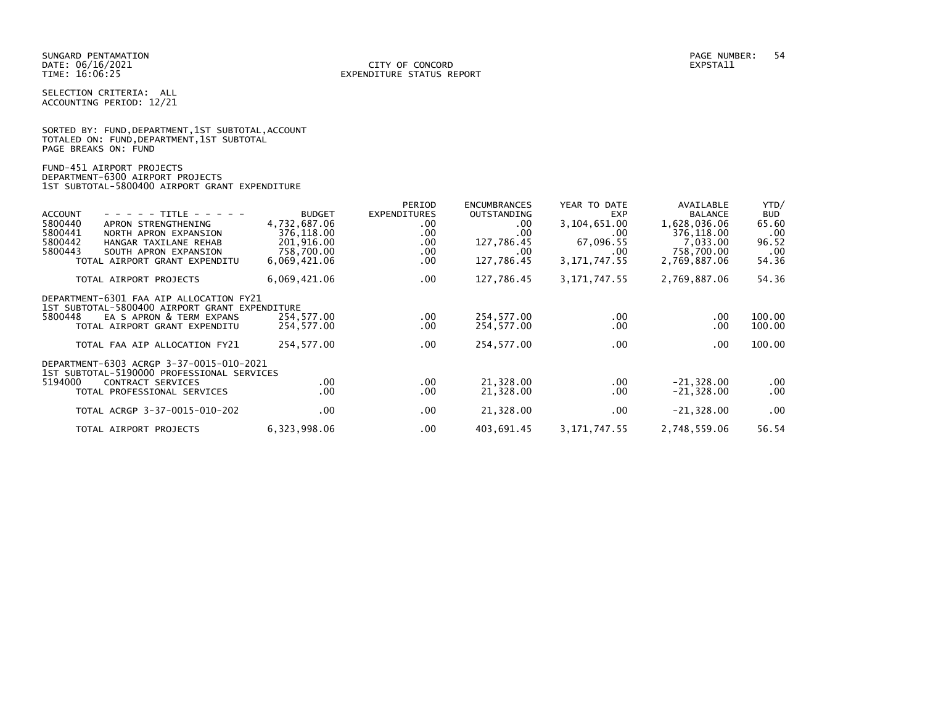SELECTION CRITERIA: ALL ACCOUNTING PERIOD: 12/21

SORTED BY: FUND, DEPARTMENT, 1ST SUBTOTAL, ACCOUNT TOTALED ON: FUND,DEPARTMENT,1ST SUBTOTAL PAGE BREAKS ON: FUND

FUND-451 AIRPORT PROJECTS DEPARTMENT-6300 AIRPORT PROJECTS 1ST SUBTOTAL-5800400 AIRPORT GRANT EXPENDITURE

| <b>ACCOUNT</b><br>5800440<br>5800441<br>5800442<br>5800443 | - - - - - TITLE - - - - -<br>APRON STRENGTHENING<br>NORTH APRON EXPANSION<br>HANGAR TAXILANE REHAB<br>SOUTH APRON EXPANSION<br>TOTAL AIRPORT GRANT EXPENDITU                            | <b>BUDGET</b><br>4,732,687.06<br>376,118.00<br>201,916.00<br>758,700.00<br>6,069,421.06 | PERIOD<br><b>EXPENDITURES</b><br>$.00 \,$<br>.00<br>.00<br>.00<br>.00. | <b>ENCUMBRANCES</b><br><b>OUTSTANDING</b><br>.00.<br>.00<br>127,786.45<br>.00<br>127,786.45 | YEAR TO DATE<br><b>EXP</b><br>3,104,651.00<br>.00<br>67,096.55<br>$.00 \,$<br>3, 171, 747.55 | AVAILABLE<br><b>BALANCE</b><br>1,628,036.06<br>376,118.00<br>7,033.00<br>758,700.00<br>2,769,887.06 | YTD/<br><b>BUD</b><br>65.60<br>.00<br>96.52<br>.00<br>54.36 |
|------------------------------------------------------------|-----------------------------------------------------------------------------------------------------------------------------------------------------------------------------------------|-----------------------------------------------------------------------------------------|------------------------------------------------------------------------|---------------------------------------------------------------------------------------------|----------------------------------------------------------------------------------------------|-----------------------------------------------------------------------------------------------------|-------------------------------------------------------------|
|                                                            | TOTAL AIRPORT PROJECTS                                                                                                                                                                  | 6,069,421.06                                                                            | .00.                                                                   | 127,786.45                                                                                  | 3, 171, 747. 55                                                                              | 2,769,887.06                                                                                        | 54.36                                                       |
| 5800448                                                    | DEPARTMENT-6301 FAA AIP ALLOCATION FY21<br>1ST SUBTOTAL-5800400 AIRPORT GRANT EXPENDITURE<br>EA S APRON & TERM EXPANS<br>TOTAL AIRPORT GRANT EXPENDITU<br>TOTAL FAA AIP ALLOCATION FY21 | 254,577.00<br>254,577.00<br>254,577.00                                                  | $.00 \,$<br>.00.<br>$.00 \,$                                           | 254,577.00<br>254,577.00<br>254,577.00                                                      | $.00 \,$<br>$.00 \,$<br>$.00 \,$                                                             | .00.<br>.00<br>$.00 \,$                                                                             | 100.00<br>100.00<br>100.00                                  |
| 5194000                                                    | DEPARTMENT-6303 ACRGP 3-37-0015-010-2021<br>1ST SUBTOTAL-5190000 PROFESSIONAL SERVICES<br>CONTRACT SERVICES<br>TOTAL PROFESSIONAL SERVICES                                              | .00.<br>$.00 \,$                                                                        | .00<br>.00.                                                            | 21,328.00<br>21,328.00                                                                      | $.00 \,$<br>$.00 \,$                                                                         | $-21,328.00$<br>$-21,328.00$                                                                        | .00<br>.00                                                  |
|                                                            | TOTAL ACRGP 3-37-0015-010-202                                                                                                                                                           | $.00 \,$                                                                                | .00                                                                    | 21,328.00                                                                                   | $.00 \,$                                                                                     | $-21,328.00$                                                                                        | .00                                                         |
|                                                            | TOTAL AIRPORT PROJECTS                                                                                                                                                                  | 6,323,998.06                                                                            | .00.                                                                   | 403,691.45                                                                                  | 3, 171, 747. 55                                                                              | 2,748,559.06                                                                                        | 56.54                                                       |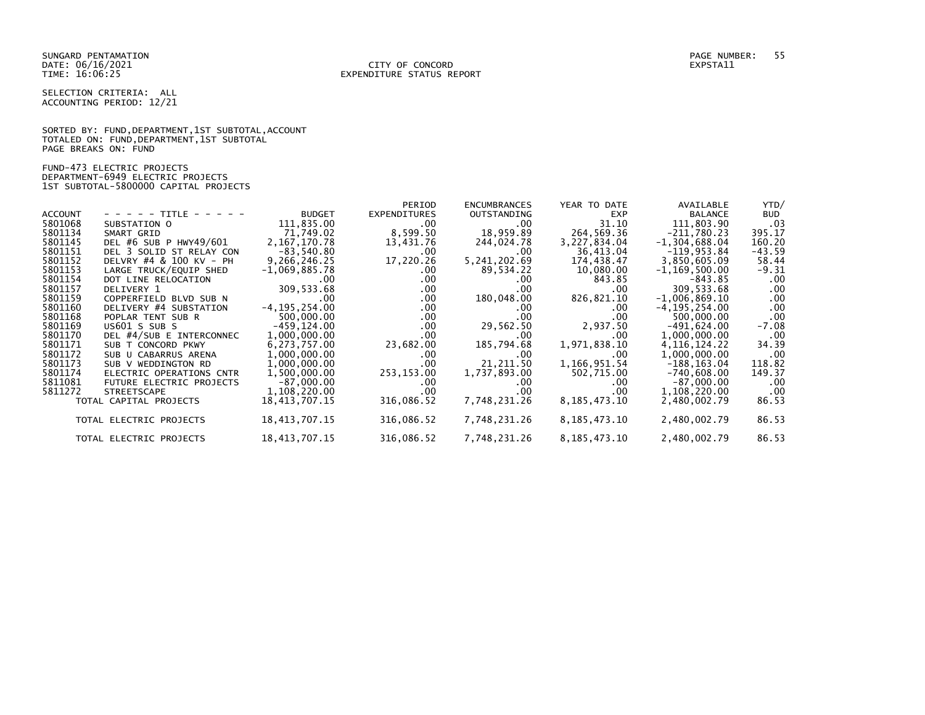#### DATE: 06/16/2021 CITY OF CONCORD EXPSTA11 TIME: 16:06:25 EXPENDITURE STATUS REPORT

SELECTION CRITERIA: ALL ACCOUNTING PERIOD: 12/21

SORTED BY: FUND, DEPARTMENT, 1ST SUBTOTAL, ACCOUNT TOTALED ON: FUND,DEPARTMENT,1ST SUBTOTAL PAGE BREAKS ON: FUND

FUND-473 ELECTRIC PROJECTS DEPARTMENT-6949 ELECTRIC PROJECTS 1ST SUBTOTAL-5800000 CAPITAL PROJECTS

|                |                                 |                   | PERIOD       | <b>ENCUMBRANCES</b> | YEAR TO DATE    | AVAILABLE         | YTD/       |
|----------------|---------------------------------|-------------------|--------------|---------------------|-----------------|-------------------|------------|
| <b>ACCOUNT</b> | - - - - - TITLE - - - - -       | <b>BUDGET</b>     | EXPENDITURES | OUTSTANDING         | <b>EXP</b>      | <b>BALANCE</b>    | <b>BUD</b> |
| 5801068        | SUBSTATION O                    | 111,835.00        | $.00 \,$     | $.00 \,$            | 31.10           | 111,803.90        | .03        |
| 5801134        | SMART GRID                      | 71,749.02         | 8,599.50     | 18,959.89           | 264,569.36      | $-211,780.23$     | 395.17     |
| 5801145        | DEL #6 SUB P HWY49/601          | 2, 167, 170. 78   | 13,431.76    | 244,024.78          | 3,227,834.04    | $-1, 304, 688.04$ | 160.20     |
| 5801151        | DEL 3 SOLID ST RELAY CON        | $-83,540.80$      | $.00 \cdot$  | $.00 \cdot$         | 36,413.04       | $-119, 953.84$    | -43.59     |
| 5801152        | DELVRY #4 & 100 KV - PH         | 9,266,246.25      | 17,220.26    | 5, 241, 202.69      | 174,438.47      | 3,850,605.09      | 58.44      |
| 5801153        | LARGE TRUCK/EQUIP SHED          | $-1,069,885.78$   | $.00 \,$     | 89,534.22           | 10,080.00       | $-1, 169, 500.00$ | -9.31      |
| 5801154        | DOT LINE RELOCATION             | $.00 \,$          | $.00 \,$     | .00.                | 843.85          | -843.85           | .00.       |
| 5801157        | DELIVERY 1                      | 309,533.68        | $.00 \,$     | .00                 | .00             | 309,533.68        | .00        |
| 5801159        | COPPERFIELD BLVD SUB N          | .00               | $.00 \,$     | 180,048.00          | 826,821.10      | $-1,006,869.10$   | .00        |
| 5801160        | DELIVERY #4 SUBSTATION          | $-4, 195, 254.00$ | $.00 \,$     | .00.                | $.00 \cdot$     | $-4, 195, 254.00$ | .00        |
| 5801168        | POPLAR TENT SUB R               | 500,000.00        | $.00 \,$     | .00                 | $.00 \times$    | 500,000.00        | .00        |
| 5801169        | US601 S SUB S                   | -459,124.00       | $.00 \,$     | 29,562.50           | 2,937.50        | $-491,624.00$     | $-7.08$    |
| 5801170        | DEL #4/SUB E INTERCONNEC        | 1,000,000.00      | $.00 \,$     | .00                 | .00             | 1,000,000.00      | .00        |
| 5801171        | SUB T CONCORD PKWY              | 6,273,757.00      | 23,682.00    | 185,794.68          | 1,971,838.10    | 4, 116, 124. 22   | 34.39      |
| 5801172        | SUB U CABARRUS ARENA            | 1,000,000.00      | $.00 \,$     | .00.                | .00             | 1,000,000.00      | .00        |
| 5801173        | SUB V WEDDINGTON RD             | 1,000,000.00      | $.00 \,$     | 21,211.50           | 1,166,951.54    | $-188, 163.04$    | 118.82     |
| 5801174        | ELECTRIC OPERATIONS CNTR        | 1,500,000.00      | 253,153.00   | 1,737,893.00        | 502,715.00      | $-740,608.00$     | 149.37     |
| 5811081        | <b>FUTURE ELECTRIC PROJECTS</b> | $-87,000.00$      | .00          | $.00 \,$            | .00             | $-87,000.00$      | .00        |
| 5811272        | <b>STREETSCAPE</b>              | 1,108,220.00      | $.00 \cdot$  | .00                 | .00             | 1,108,220.00      | .00        |
|                | TOTAL CAPITAL PROJECTS          | 18,413,707.15     | 316,086.52   | 7,748,231.26        | 8,185,473.10    | 2,480,002.79      | 86.53      |
|                | TOTAL ELECTRIC PROJECTS         | 18, 413, 707. 15  | 316,086.52   | 7,748,231.26        | 8, 185, 473. 10 | 2,480,002.79      | 86.53      |
|                | TOTAL ELECTRIC PROJECTS         | 18, 413, 707. 15  | 316,086.52   | 7,748,231.26        | 8, 185, 473. 10 | 2,480,002.79      | 86.53      |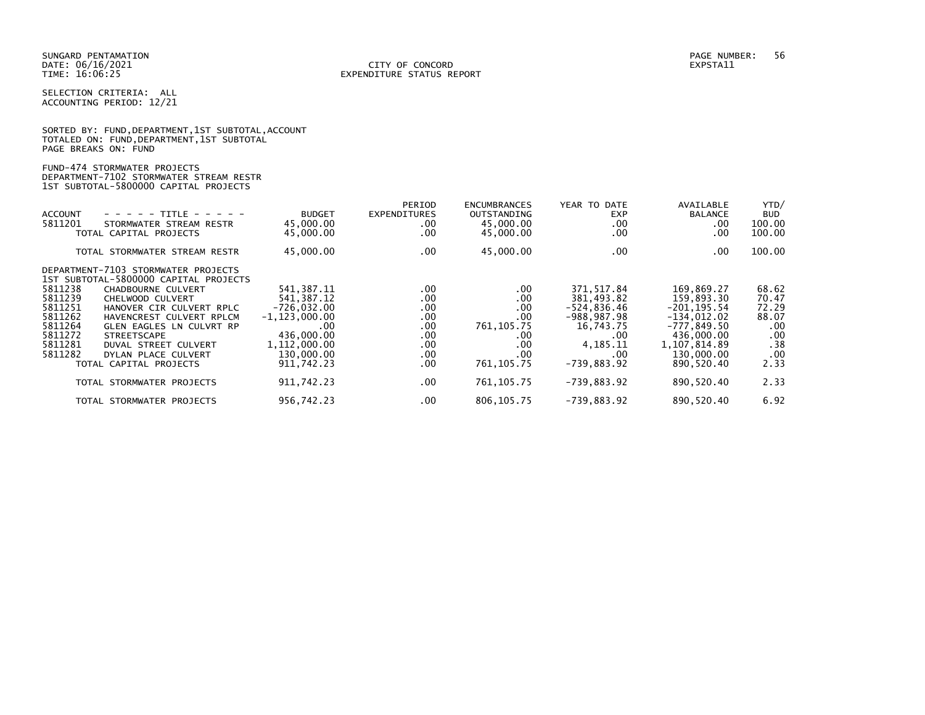#### DATE: 06/16/2021 CITY OF CONCORD EXPSTA11 TIME: 16:06:25 EXPENDITURE STATUS REPORT

SELECTION CRITERIA: ALL ACCOUNTING PERIOD: 12/21

| SORTED BY: FUND, DEPARTMENT, 1ST SUBTOTAL, ACCOUNT |
|----------------------------------------------------|
| TOTALED ON: FUND, DEPARTMENT, 1ST SUBTOTAL         |
| PAGE BREAKS ON: FUND                               |
|                                                    |

## FUND-474 STORMWATER PROJECTS DEPARTMENT-7102 STORMWATER STREAM RESTR 1ST SUBTOTAL-5800000 CAPITAL PROJECTS

|                |                                       |                   | PERIOD              | <b>ENCUMBRANCES</b> | YEAR TO DATE   | AVAILABLE      | YTD/       |
|----------------|---------------------------------------|-------------------|---------------------|---------------------|----------------|----------------|------------|
| <b>ACCOUNT</b> | - - - - - TITLE - - - - -             | <b>BUDGET</b>     | <b>EXPENDITURES</b> | OUTSTANDING         | <b>EXP</b>     | <b>BALANCE</b> | <b>BUD</b> |
| 5811201        | STORMWATER STREAM RESTR               | 45,000.00         | .00.                | 45,000.00           | .00            | .00.           | 100.00     |
|                | TOTAL CAPITAL PROJECTS                | 45,000.00         | .00                 | 45,000.00           | .00.           | .00            | 100.00     |
|                | TOTAL STORMWATER STREAM RESTR         | 45,000.00         | .00                 | 45,000.00           | .00.           | .00.           | 100.00     |
|                | DEPARTMENT-7103 STORMWATER PROJECTS   |                   |                     |                     |                |                |            |
|                | 1ST SUBTOTAL-5800000 CAPITAL PROJECTS |                   |                     |                     |                |                |            |
| 5811238        | CHADBOURNE CULVERT                    | 541, 387. 11      | .00.                | .00.                | 371, 517.84    | 169,869.27     | 68.62      |
| 5811239        | CHELWOOD CULVERT                      | 541,387.12        | .00.                | .00                 | 381,493.82     | 159,893.30     | 70.47      |
| 5811251        | HANOVER CIR CULVERT RPLC              | $-726.032.00$     | .00                 | .00                 | $-524, 836.46$ | $-201.195.54$  | 72.29      |
| 5811262        | HAVENCREST CULVERT RPLCM              | $-1, 123, 000.00$ | .00                 | .00                 | $-988,987.98$  | $-134,012.02$  | 88.07      |
| 5811264        | GLEN EAGLES LN CULVRT RP              | .00               | .00.                | 761, 105.75         | 16,743.75      | $-777,849.50$  | .00        |
| 5811272        | <b>STREETSCAPE</b>                    | 436,000,00        | .00                 | .00                 | $.00 \times$   | 436,000.00     | .00        |
| 5811281        | DUVAL STREET CULVERT                  | 1,112,000.00      | .00.                | .00                 | 4, 185. 11     | 1,107,814.89   | .38        |
| 5811282        | DYLAN PLACE CULVERT                   | 130,000.00        | .00.                | .00                 | $.00 \times$   | 130,000.00     | .00        |
|                | TOTAL CAPITAL PROJECTS                | 911,742.23        | .00                 | 761, 105.75         | $-739.883.92$  | 890.520.40     | 2.33       |
|                | TOTAL STORMWATER PROJECTS             | 911,742.23        | .00.                | 761, 105.75         | $-739,883.92$  | 890,520.40     | 2.33       |
|                | TOTAL STORMWATER PROJECTS             | 956,742.23        | .00                 | 806, 105.75         | $-739,883.92$  | 890,520.40     | 6.92       |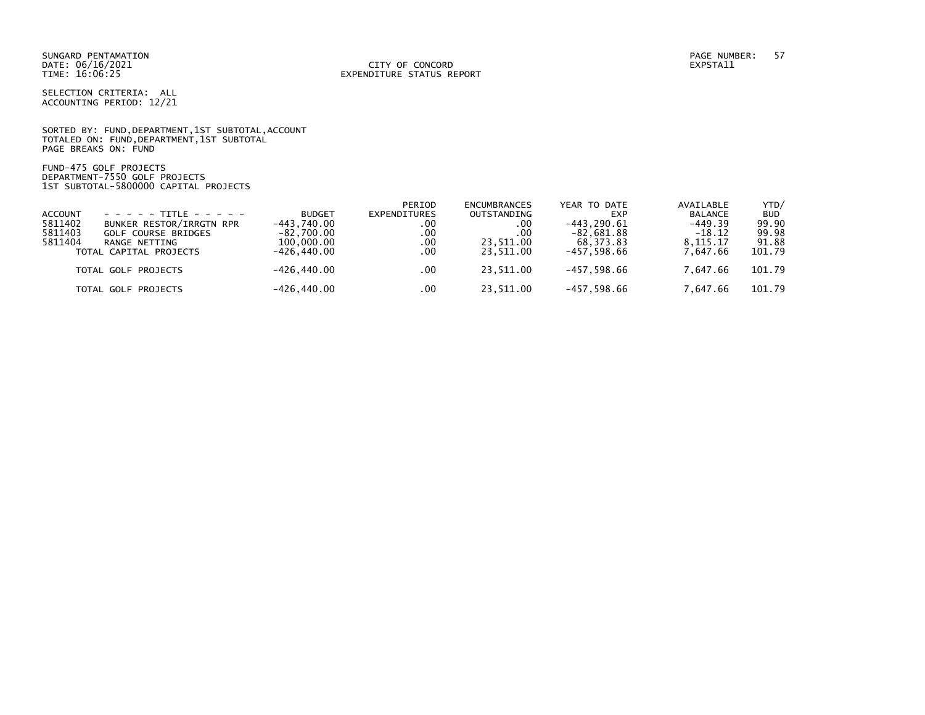SELECTION CRITERIA: ALL ACCOUNTING PERIOD: 12/21

SORTED BY: FUND, DEPARTMENT, 1ST SUBTOTAL, ACCOUNT TOTALED ON: FUND,DEPARTMENT,1ST SUBTOTAL PAGE BREAKS ON: FUND

FUND-475 GOLF PROJECTS DEPARTMENT-7550 GOLF PROJECTS 1ST SUBTOTAL-5800000 CAPITAL PROJECTS

|                |                                  |               | PERIOD              | <b>ENCUMBRANCES</b> | YEAR TO DATE  | AVAILABLE      | YTD/       |
|----------------|----------------------------------|---------------|---------------------|---------------------|---------------|----------------|------------|
| <b>ACCOUNT</b> | $- - - - - + +$ TTTI F - - - - - | <b>BUDGET</b> | <b>EXPENDITURES</b> | OUTSTANDING         | <b>EXP</b>    | <b>BALANCE</b> | <b>BUD</b> |
| 5811402        | BUNKER RESTOR/IRRGTN RPR         | -443.740.00   | .00                 | .00                 | $-443.290.61$ | $-449.39$      | 99.90      |
| 5811403        | <b>GOLF COURSE BRIDGES</b>       | $-82.700.00$  | .00                 | .00.                | $-82,681.88$  | $-18.12$       | 99.98      |
| 5811404        | RANGE NETTING                    | 100,000,00    | .00                 | 23.511.00           | 68.373.83     | 8.115.17       | 91.88      |
|                | TOTAL CAPITAL PROJECTS           | -426.440.00   | .00                 | 23.511.00           | $-457.598.66$ | 7.647.66       | 101.79     |
|                | TOTAL GOLF PROJECTS              | -426.440.00   | .00                 | 23,511.00           | $-457,598.66$ | 7.647.66       | 101.79     |
|                | TOTAL GOLF PROJECTS              | -426,440.00   | .00                 | 23.511.00           | -457,598.66   | 7.647.66       | 101.79     |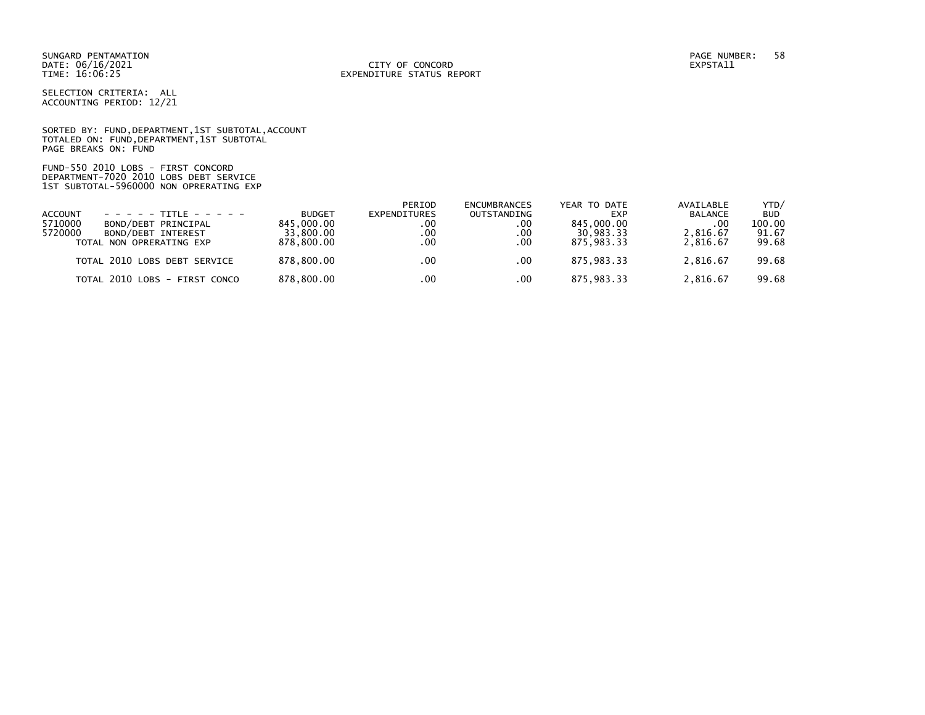DATE: 06/16/2021 CITY OF CONCORD EXPSTA11 TIME: 16:06:25 EXPENDITURE STATUS REPORT

SELECTION CRITERIA: ALL ACCOUNTING PERIOD: 12/21

SORTED BY: FUND, DEPARTMENT, 1ST SUBTOTAL, ACCOUNT TOTALED ON: FUND,DEPARTMENT,1ST SUBTOTAL PAGE BREAKS ON: FUND

FUND-550 2010 LOBS - FIRST CONCORD DEPARTMENT-7020 2010 LOBS DEBT SERVICE 1ST SUBTOTAL-5960000 NON OPRERATING EXP

|                                |               | PERIOD       | <b>ENCUMBRANCES</b> | YEAR TO DATE | AVAILABLE      | YTD/       |
|--------------------------------|---------------|--------------|---------------------|--------------|----------------|------------|
| <b>ACCOUNT</b>                 | <b>BUDGET</b> | EXPENDITURES | OUTSTANDING         | <b>EXP</b>   | <b>BALANCE</b> | <b>BUD</b> |
| 5710000<br>BOND/DEBT PRINCIPAL | 845.000.00    | .00          | .00                 | 845,000,00   | .00            | 100.00     |
| 5720000<br>BOND/DEBT INTEREST  | 33,800,00     | .00          | .00                 | 30.983.33    | 2.816.67       | 91.67      |
| TOTAL NON OPRERATING EXP       | 878,800,00    | .00          | .00                 | 875.983.33   | 2.816.67       | 99.68      |
| TOTAL 2010 LOBS DEBT SERVICE   | 878.800.00    | .00          | .00                 | 875.983.33   | 2.816.67       | 99.68      |
| TOTAL 2010 LOBS - FIRST CONCO  | 878,800.00    | .00          | .00                 | 875,983.33   | 2.816.67       | 99.68      |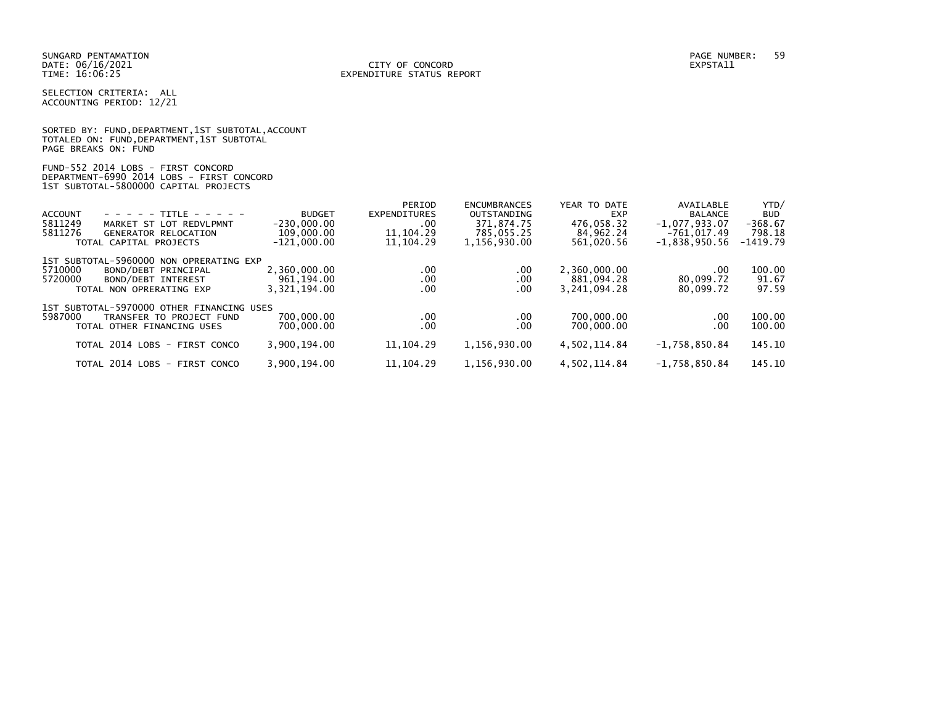SELECTION CRITERIA: ALL ACCOUNTING PERIOD: 12/21

|                      |  |  | SORTED BY: FUND, DEPARTMENT, 1ST SUBTOTAL, ACCOUNT |  |
|----------------------|--|--|----------------------------------------------------|--|
|                      |  |  | TOTALED ON: FUND, DEPARTMENT, 1ST SUBTOTAL         |  |
| PAGE BREAKS ON: FUND |  |  |                                                    |  |

| FUND-552 2014 LOBS - FIRST CONCORD        |  |
|-------------------------------------------|--|
| DEPARTMENT-6990 2014 LOBS - FIRST CONCORD |  |
| 1ST SUBTOTAL-5800000 CAPITAL PROJECTS     |  |

|                                           |               | PERIOD       | <b>ENCUMBRANCES</b> | YEAR TO DATE | AVAILABLE       | YTD/       |
|-------------------------------------------|---------------|--------------|---------------------|--------------|-----------------|------------|
| $- - - - - + + + +$<br><b>ACCOUNT</b>     | <b>BUDGET</b> | EXPENDITURES | OUTSTANDING         | EXP          | <b>BALANCE</b>  | <b>BUD</b> |
| 5811249<br>MARKET ST LOT REDVLPMNT        | $-230,000.00$ | .00          | 371.874.75          | 476.058.32   | $-1,077,933.07$ | $-368.67$  |
| 5811276<br><b>GENERATOR RELOCATION</b>    | 109,000.00    | 11.104.29    | 785.055.25          | 84,962.24    | $-761.017.49$   | 798.18     |
| TOTAL CAPITAL PROJECTS                    | $-121.000.00$ | 11, 104, 29  | 1,156,930.00        | 561,020.56   | $-1,838,950.56$ | $-1419.79$ |
| 1ST SUBTOTAL-5960000 NON OPRERATING EXP   |               |              |                     |              |                 |            |
| 5710000<br>BOND/DEBT PRINCIPAL            | 2,360,000.00  | $.00 \,$     | .00                 | 2,360,000.00 | $.00 \,$        | 100.00     |
| 5720000<br>BOND/DEBT INTEREST             | 961,194.00    | .00          | .00                 | 881.094.28   | 80,099.72       | 91.67      |
| TOTAL NON OPRERATING EXP                  | 3,321,194.00  | .00          | .00                 | 3.241.094.28 | 80,099.72       | 97.59      |
| 1ST SUBTOTAL-5970000 OTHER FINANCING USES |               |              |                     |              |                 |            |
| 5987000<br>TRANSFER TO PROJECT FUND       | 700,000.00    | $.00 \,$     | .00                 | 700,000.00   | $.00 \,$        | 100.00     |
| TOTAL OTHER FINANCING USES                | 700,000,00    | .00          | .00                 | 700,000.00   | $.00 \,$        | 100.00     |
| TOTAL 2014 LOBS - FIRST CONCO             | 3,900,194.00  | 11, 104. 29  | 1,156,930.00        | 4,502,114.84 | $-1,758,850.84$ | 145.10     |
|                                           |               |              |                     |              |                 |            |
| TOTAL 2014 LOBS - FIRST CONCO             | 3,900,194.00  | 11.104.29    | 1,156,930.00        | 4,502,114.84 | $-1.758.850.84$ | 145.10     |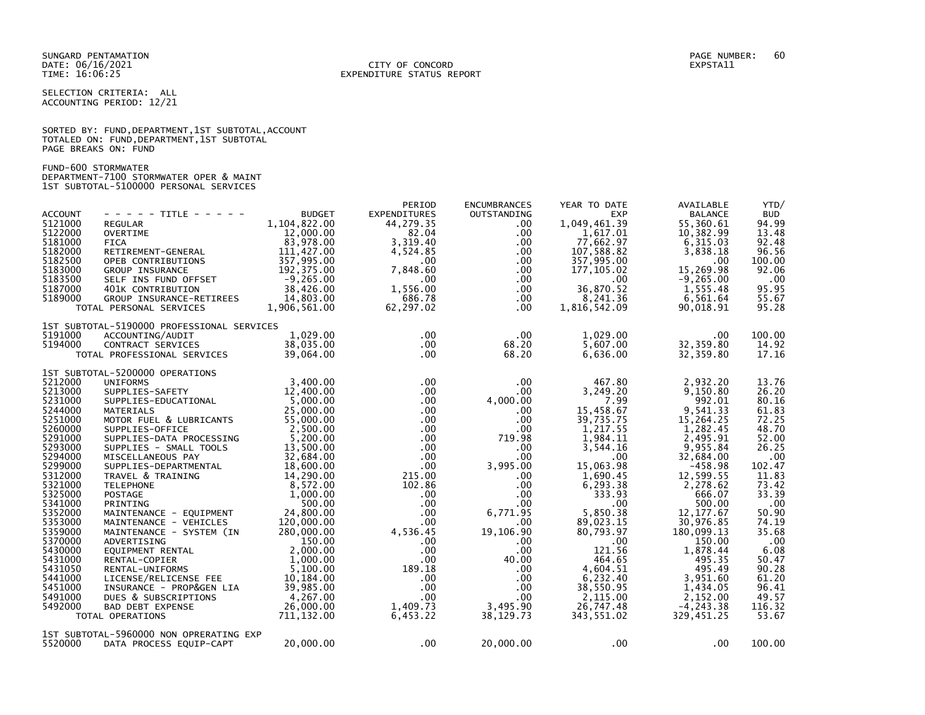#### DATE: 06/16/2021 CITY OF CONCORD EXPSTA11 TIME: 16:06:25 EXPENDITURE STATUS REPORT

SELECTION CRITERIA: ALL ACCOUNTING PERIOD: 12/21

SORTED BY: FUND, DEPARTMENT, 1ST SUBTOTAL, ACCOUNT TOTALED ON: FUND,DEPARTMENT,1ST SUBTOTAL PAGE BREAKS ON: FUND

FUND-600 STORMWATER DEPARTMENT-7100 STORMWATER OPER & MAINT 1ST SUBTOTAL-5100000 PERSONAL SERVICES

| - - - - - TITLE - - - - -<br><b>REGULAR</b><br>OVERTIME<br><b>FICA</b><br>RETIREMENT-GENERAL<br>OPEB CONTRIBUTIONS<br>GROUP INSURANCE<br>SELF INS FUND OFFSET<br>401K CONTRIBUTION<br>GROUP INSURANCE-RETIREES<br>TOTAL PERSONAL SERVICES                                                                                                                                                                                                                                                                                                                                                                                      | <b>BUDGET</b><br>1,104,822.00<br>12,000.00<br>83,978.00<br>111,427.00<br>357,995.00<br>192,375.00<br>$-9,265.00$<br>38,426.00<br>14,803,00<br>1,906,561.00                                                                                                                                                                        | <b>EXPENDITURES</b><br>44,279.35<br>82.04<br>3,319.40<br>4.524.85<br>$.00 \cdot$<br>7,848.60<br>$.00 \,$<br>1,556.00<br>686.78<br>62,297.02                                                                                                                                                                                                | OUTSTANDING<br>$.00 \,$<br>$.00 \,$<br>.00<br>.00.<br>$.00 \,$<br>.00<br>.00<br>$.00 \,$<br>$.00 \,$<br>$.00 \,$                                                                                                                                                                                   | <b>EXP</b><br>1,049,461.39<br>1,617.01<br>77,662.97<br>107,588.82<br>357,995.00<br>177,105.02<br>.00<br>36,870.52<br>8,241.36<br>1,816,542.09                                                                                                                                                                          | <b>BALANCE</b><br>55,360.61<br>10,382.99<br>6,315.03<br>3,838.18<br>.00<br>15,269.98<br>$-9, 265.00$<br>1,555.48<br>6,561.64<br>90,018.91                                                                                                                                                                               | YTD/<br><b>BUD</b><br>94.99<br>13.48<br>92.48<br>96.56<br>100.00<br>92.06<br>.00<br>95.95<br>55.67<br>95.28                                                                                                                       |
|--------------------------------------------------------------------------------------------------------------------------------------------------------------------------------------------------------------------------------------------------------------------------------------------------------------------------------------------------------------------------------------------------------------------------------------------------------------------------------------------------------------------------------------------------------------------------------------------------------------------------------|-----------------------------------------------------------------------------------------------------------------------------------------------------------------------------------------------------------------------------------------------------------------------------------------------------------------------------------|--------------------------------------------------------------------------------------------------------------------------------------------------------------------------------------------------------------------------------------------------------------------------------------------------------------------------------------------|----------------------------------------------------------------------------------------------------------------------------------------------------------------------------------------------------------------------------------------------------------------------------------------------------|------------------------------------------------------------------------------------------------------------------------------------------------------------------------------------------------------------------------------------------------------------------------------------------------------------------------|-------------------------------------------------------------------------------------------------------------------------------------------------------------------------------------------------------------------------------------------------------------------------------------------------------------------------|-----------------------------------------------------------------------------------------------------------------------------------------------------------------------------------------------------------------------------------|
| ACCOUNTING/AUDIT<br>CONTRACT SERVICES<br>TOTAL PROFESSIONAL SERVICES                                                                                                                                                                                                                                                                                                                                                                                                                                                                                                                                                           | 1.029.00<br>38,035.00<br>39.064.00                                                                                                                                                                                                                                                                                                | $.00 \,$<br>$.00 \,$<br>$.00 \,$                                                                                                                                                                                                                                                                                                           | $.00 \,$<br>68.20<br>68.20                                                                                                                                                                                                                                                                         | 1,029.00<br>5,607.00<br>6,636.00                                                                                                                                                                                                                                                                                       | .00<br>32, 359.80<br>32,359.80                                                                                                                                                                                                                                                                                          | 100.00<br>14.92<br>17.16                                                                                                                                                                                                          |
| 1ST SUBTOTAL-5200000 OPERATIONS<br><b>UNIFORMS</b><br>SUPPLIES-SAFETY<br>SUPPLIES-EDUCATIONAL<br><b>MATERIALS</b><br>MOTOR FUEL & LUBRICANTS<br>SUPPLIES-OFFICE<br>SUPPLIES-DATA PROCESSING<br>SUPPLIES - SMALL TOOLS<br>MISCELLANEOUS PAY<br>SUPPLIES-DEPARTMENTAL<br>TRAVEL & TRAINING<br><b>TELEPHONE</b><br><b>POSTAGE</b><br>PRINTING<br>MAINTENANCE - EQUIPMENT<br>MAINTENANCE - VEHICLES<br>MAINTENANCE - SYSTEM (IN<br>ADVERTISING<br>EQUIPMENT RENTAL<br>RENTAL-COPIER<br>RENTAL-UNIFORMS<br>LICENSE/RELICENSE FEE<br>INSURANCE - PROP&GEN LIA<br>DUES & SUBSCRIPTIONS<br><b>BAD DEBT EXPENSE</b><br>TOTAL OPERATIONS | 3.400.00<br>12,400.00<br>5,000.00<br>25,000.00<br>55,000.00<br>2,500.00<br>5,200.00<br>13,500.00<br>32,684.00<br>18,600,00<br>14,290.00<br>8,572.00<br>1,000.00<br>500.00<br>24,800.00<br>120,000.00<br>280,000.00<br>150.00<br>2,000.00<br>1,000.00<br>5.100.00<br>10,184.00<br>39,985.00<br>4,267.00<br>26,000,00<br>711,132.00 | $.00 \,$<br>$.00 \,$<br>$.00 \,$<br>$.00 \,$<br>$.00 \,$<br>$.00 \cdot$<br>$.00 \,$<br>$.00 \cdot$<br>$.00 \cdot$<br>.00 <sub>1</sub><br>215.00<br>102.86<br>$.00 \,$<br>$.00 \,$<br>$.00 \,$<br>.00 <sub>1</sub><br>4,536.45<br>$.00 \,$<br>$.00 \,$<br>$.00 \cdot$<br>189.18<br>$.00 \,$<br>$.00 \,$<br>$.00 \,$<br>1,409.73<br>6,453.22 | $.00 \,$<br>.00<br>4,000.00<br>.00.<br>$.00 \,$<br>.00<br>719.98<br>$.00 \,$<br>$.00 \,$<br>3,995.00<br>$.00 \,$<br>$.00 \,$<br>$.00 \,$<br>$.00 \,$<br>6,771.95<br>.00<br>19,106.90<br>$.00 \,$<br>.00 <sub>1</sub><br>40.00<br>$.00 \,$<br>.00.<br>$.00 \,$<br>$.00 \,$<br>3,495.90<br>38,129.73 | 467.80<br>3,249.20<br>7.99<br>15,458.67<br>39,735.75<br>1,217.55<br>1,984.11<br>3,544.16<br>$.00 \,$<br>15,063.98<br>1,690.45<br>6, 293.38<br>333.93<br>$.00 \times$<br>5,850.38<br>89,023.15<br>80,793.97<br>$.00 \,$<br>121.56<br>464.65<br>4,604.51<br>6,232.40<br>38,550.95<br>2,115.00<br>26,747.48<br>343,551.02 | 2,932.20<br>9,150.80<br>992.01<br>9,541.33<br>15,264.25<br>1,282.45<br>2,495.91<br>9,955.84<br>32,684.00<br>$-458.98$<br>12,599.55<br>2,278.62<br>666.07<br>500.00<br>12, 177.67<br>30,976.85<br>180,099.13<br>150.00<br>1,878.44<br>495.35<br>495.49<br>3,951.60<br>1,434.05<br>2,152.00<br>$-4, 243.38$<br>329,451.25 | 13.76<br>26.20<br>80.16<br>61.83<br>72.25<br>48.70<br>52.00<br>26.25<br>.00<br>102.47<br>11.83<br>73.42<br>33.39<br>.00<br>50.90<br>74.19<br>35.68<br>.00<br>6.08<br>50.47<br>90.28<br>61.20<br>96.41<br>49.57<br>116.32<br>53.67 |
| DATA PROCESS EQUIP-CAPT                                                                                                                                                                                                                                                                                                                                                                                                                                                                                                                                                                                                        | 20,000.00                                                                                                                                                                                                                                                                                                                         | $.00 \,$                                                                                                                                                                                                                                                                                                                                   | 20,000.00                                                                                                                                                                                                                                                                                          | $.00 \,$                                                                                                                                                                                                                                                                                                               | .00                                                                                                                                                                                                                                                                                                                     | 100.00                                                                                                                                                                                                                            |
|                                                                                                                                                                                                                                                                                                                                                                                                                                                                                                                                                                                                                                |                                                                                                                                                                                                                                                                                                                                   | 1ST SUBTOTAL-5190000 PROFESSIONAL SERVICES<br>1ST SUBTOTAL-5960000 NON OPRERATING EXP                                                                                                                                                                                                                                                      | PERIOD                                                                                                                                                                                                                                                                                             | <b>ENCUMBRANCES</b>                                                                                                                                                                                                                                                                                                    | YEAR TO DATE                                                                                                                                                                                                                                                                                                            | AVAILABLE                                                                                                                                                                                                                         |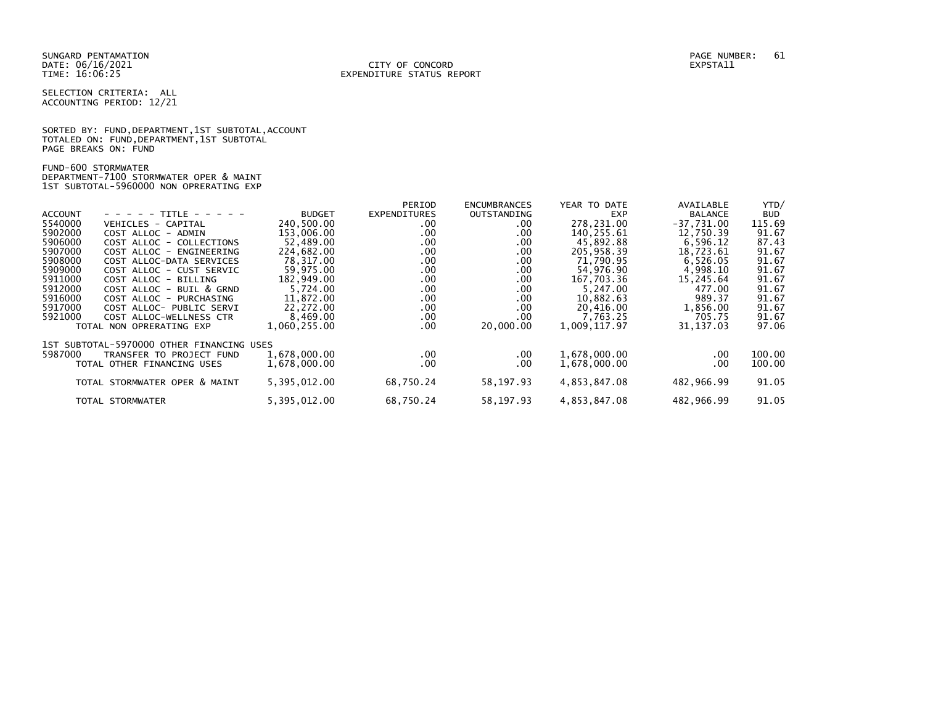SELECTION CRITERIA: ALL ACCOUNTING PERIOD: 12/21

SORTED BY: FUND, DEPARTMENT, 1ST SUBTOTAL, ACCOUNT TOTALED ON: FUND,DEPARTMENT,1ST SUBTOTAL PAGE BREAKS ON: FUND

FUND-600 STORMWATER DEPARTMENT-7100 STORMWATER OPER & MAINT 1ST SUBTOTAL-5960000 NON OPRERATING EXP

|                |                                           |               | PERIOD              | <b>ENCUMBRANCES</b> | YEAR TO DATE | AVAILABLE      | YTD/       |
|----------------|-------------------------------------------|---------------|---------------------|---------------------|--------------|----------------|------------|
| <b>ACCOUNT</b> | - - - - - TITLE - - - - -                 | <b>BUDGET</b> | <b>EXPENDITURES</b> | OUTSTANDING         | <b>EXP</b>   | <b>BALANCE</b> | <b>BUD</b> |
| 5540000        | VEHICLES - CAPITAL                        | 240,500.00    | .00                 | .00                 | 278,231.00   | $-37,731.00$   | 115.69     |
| 5902000        | COST ALLOC - ADMIN                        | 153,006.00    | .00.                | .00.                | 140,255.61   | 12,750.39      | 91.67      |
| 5906000        | COST ALLOC - COLLECTIONS                  | 52.489.00     | .00.                | .00                 | 45,892.88    | 6,596.12       | 87.43      |
| 5907000        | COST ALLOC - ENGINEERING                  | 224.682.00    | .00.                | .00                 | 205,958.39   | 18,723.61      | 91.67      |
| 5908000        | COST ALLOC-DATA SERVICES                  | 78,317.00     | .00.                | .00.                | 71,790.95    | 6,526.05       | 91.67      |
| 5909000        | COST ALLOC - CUST SERVIC                  | 59.975.00     | .00.                | .00.                | 54,976.90    | 4.998.10       | 91.67      |
| 5911000        | COST ALLOC - BILLING                      | 182,949.00    | .00.                | .00                 | 167,703.36   | 15,245.64      | 91.67      |
| 5912000        | COST ALLOC - BUIL & GRND                  | 5,724.00      | .00.                | .00.                | 5,247.00     | 477.00         | 91.67      |
| 5916000        | COST ALLOC - PURCHASING                   | 11.872.00     | .00.                | .00                 | 10,882.63    | 989.37         | 91.67      |
| 5917000        | COST ALLOC- PUBLIC SERVI                  | 22,272.00     | .00.                | .00.                | 20,416.00    | 1,856.00       | 91.67      |
| 5921000        | COST ALLOC-WELLNESS CTR                   | 8,469.00      | $.00 \,$            | .00.                | 7,763.25     | 705.75         | 91.67      |
|                | TOTAL NON OPRERATING EXP                  | 1,060,255.00  | .00.                | 20,000.00           | 1,009,117.97 | 31, 137.03     | 97.06      |
|                | 1ST SUBTOTAL-5970000 OTHER FINANCING USES |               |                     |                     |              |                |            |
| 5987000        | TRANSFER TO PROJECT FUND                  | 1,678,000.00  | $.00 \,$            | $.00 \,$            | 1,678,000.00 | .00            | 100.00     |
|                | TOTAL OTHER FINANCING USES                | 1,678,000.00  | .00.                | .00                 | 1,678,000.00 | .00            | 100.00     |
|                |                                           |               |                     |                     |              |                |            |
|                | TOTAL STORMWATER OPER & MAINT             | 5,395,012.00  | 68,750.24           | 58,197.93           | 4,853,847.08 | 482,966.99     | 91.05      |
|                |                                           |               |                     |                     |              |                |            |
|                | TOTAL STORMWATER                          | 5,395,012.00  | 68,750.24           | 58,197.93           | 4,853,847.08 | 482,966.99     | 91.05      |
|                |                                           |               |                     |                     |              |                |            |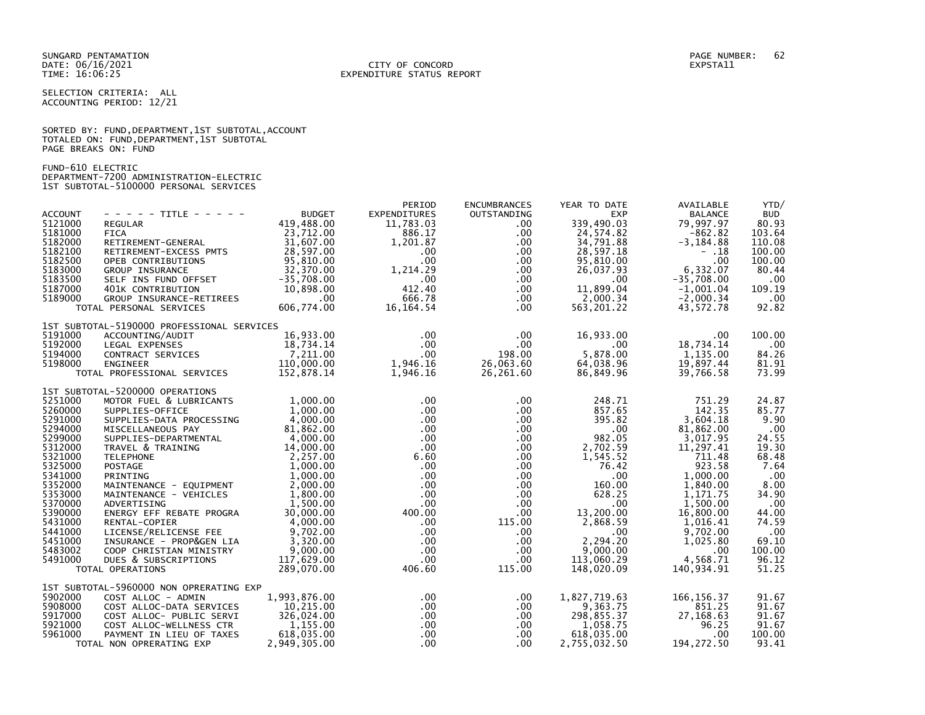#### DATE: 06/16/2021 CITY OF CONCORD EXPSTA11 TIME: 16:06:25 EXPENDITURE STATUS REPORT

SELECTION CRITERIA: ALL ACCOUNTING PERIOD: 12/21

|                      |  |  | SORTED BY: FUND, DEPARTMENT, 1ST SUBTOTAL, ACCOUNT |  |
|----------------------|--|--|----------------------------------------------------|--|
|                      |  |  | TOTALED ON: FUND, DEPARTMENT, 1ST SUBTOTAL         |  |
| PAGE BREAKS ON: FUND |  |  |                                                    |  |

FUND-610 ELECTRIC DEPARTMENT-7200 ADMINISTRATION-ELECTRIC 1ST SUBTOTAL-5100000 PERSONAL SERVICES

| <b>ACCOUNT</b><br>5121000<br>5181000<br>5182000<br>5182100<br>5182500<br>5183000<br>5183500<br>5187000<br>5189000                                                                                  | $- - - - -$ TITLE - - - - -<br><b>REGULAR</b><br><b>FICA</b><br>RETIREMENT-GENERAL<br>RETIREMENT-EXCESS PMTS<br>OPEB CONTRIBUTIONS<br>GROUP INSURANCE $32,370.00$<br>SELF INS FUND OFFSET -35,708.00<br>401K CONTRIBUTION 10,898.00<br>GROUP INSURANCE-RETIREES .00<br>GROUP INSURANCE-RETIREES<br>TOTAL PERSONAL SERVICES                                                                                                                                                                      | <b>BUDGET</b><br>419,488.00<br>23,712.00<br>31,607.00<br>28,597.00<br>95,810.00<br>606,774.00                                                                                                                                          | PERIOD<br><b>EXPENDITURES</b><br>11,783.03<br>886.17<br>1,201.87<br>$.00 \,$<br>$.00 \,$<br>1,214.29<br>$\sim 0.00$<br>412.40<br>666.78<br>16, 164. 54                                                            | <b>ENCUMBRANCES</b><br>OUTSTANDING<br>.00.<br>$.00 \,$<br>$.00 \,$<br>$.00 \,$<br>$.00 \,$<br>$.00 \,$<br>.00<br>$.00 \,$<br>$.00 \,$<br>.00                                                                | YEAR TO DATE<br><b>EXP</b><br>339,490.03<br>24,574.82<br>34,791.88<br>28,597.18<br>95,810.00<br>26,037.93<br>.00<br>11,899.04<br>2,000.34<br>563, 201.22                                                                                  | AVAILABLE<br><b>BALANCE</b><br>79,997.97<br>$-862.82$<br>$-3, 184.88$<br>- .18<br>.00<br>6,332.07<br>$-35,708.00$<br>$-1,001.04$<br>$-2,000.34$<br>43,572.78                                                             | YTD/<br><b>BUD</b><br>80.93<br>103.64<br>110.08<br>100.00<br>100.00<br>80.44<br>.00<br>109.19<br>.00<br>92.82                                                 |
|----------------------------------------------------------------------------------------------------------------------------------------------------------------------------------------------------|-------------------------------------------------------------------------------------------------------------------------------------------------------------------------------------------------------------------------------------------------------------------------------------------------------------------------------------------------------------------------------------------------------------------------------------------------------------------------------------------------|----------------------------------------------------------------------------------------------------------------------------------------------------------------------------------------------------------------------------------------|-------------------------------------------------------------------------------------------------------------------------------------------------------------------------------------------------------------------|-------------------------------------------------------------------------------------------------------------------------------------------------------------------------------------------------------------|-------------------------------------------------------------------------------------------------------------------------------------------------------------------------------------------------------------------------------------------|--------------------------------------------------------------------------------------------------------------------------------------------------------------------------------------------------------------------------|---------------------------------------------------------------------------------------------------------------------------------------------------------------|
| 5191000<br>5192000<br>5194000<br>5198000                                                                                                                                                           | 1ST SUBTOTAL-5190000 PROFESSIONAL SERVICES<br>ACCOUNTING/AUDIT<br>LEGAL EXPENSES<br>CONTRACT SERVICES<br>ENGINEER<br>TOTAL PROFESSIONAL SERVICES                                                                                                                                                                                                                                                                                                                                                | 16,933.00<br>$\frac{18}{2}, \frac{333}{24}$ . 14<br>7,211.00<br>110,000.00<br>152,878.14                                                                                                                                               | $.00 \cdot$<br>$.00 \,$<br>$.00 \,$<br>1,946.16<br>1,946.16                                                                                                                                                       | $.00 \,$<br>$.00 \,$<br>198.00<br>26,063.60<br>26,261.60                                                                                                                                                    | 16,933.00<br>$\sim$ 00<br>5,878.00<br>64,038.96<br>86,849.96                                                                                                                                                                              | $.00 \,$<br>18,734.14<br>1,135.00<br>19,897.44<br>39,766.58                                                                                                                                                              | 100.00<br>$.00 \,$<br>84.26<br>81.91<br>73.99                                                                                                                 |
| 5251000<br>5260000<br>5291000<br>5294000<br>5299000<br>5312000<br>5321000<br>5325000<br>5341000<br>5352000<br>5353000<br>5370000<br>5390000<br>5431000<br>5441000<br>5451000<br>5483002<br>5491000 | 1ST SUBTOTAL-5200000 OPERATIONS<br>MOTOR FUEL & LUBRICANTS<br>SUPPLIES-OFFICE<br>SUPPLIES-DATA PROCESSING<br>MISCELLANEOUS PAY<br>SUPPLIES-DEPARTMENTAL<br>TRAVEL & TRAINING<br><b>TELEPHONE</b><br>POSTAGE<br>PRINTING<br>MAINTENANCE - EQUIPMENT 2,000.00<br>MAINTENANCE - VEHICLES 1,800.00<br>ADVERTISING 1,500.00<br>ENERGY EFF REBATE PROGRA<br>RENTAL-COPIER<br>LICENSE/RELICENSE FEE<br>INSURANCE - PROP&GEN LIA<br>COOP CHRISTIAN MINISTRY<br>DUES & SUBSCRIPTIONS<br>TOTAL OPERATIONS | 1,000.00<br>1,000.00<br>$\frac{1}{4}$ ,000.00<br>81,862.00<br>THENTAL<br>TRENTAL<br>14,000.00<br>2,257.00<br>1,000.00<br>1,000.00<br>3,000.00<br>30,000.00<br>4,000.00<br>9,702.00<br>3,320.00<br>9,000.00<br>117,629.00<br>289,070.00 | $.00 \,$<br>$.00 \times$<br>$.00 \,$<br>$.00 \,$<br>.00<br>$.00 \,$<br>6.60<br>.00<br>$.00 \,$<br>$.00 \,$<br>$.00 \,$<br>$.00 \,$<br>400.00<br>$.00 \times$<br>.00<br>$.00 \,$<br>$.00 \,$<br>$.00 \,$<br>406.60 | $.00 \,$<br>$.00 \,$<br>$.00 \,$<br>$.00 \,$<br>.00<br>$.00\,$<br>$.00 \,$<br>$.00\,$<br>.00<br>.00<br>$.00 \,$<br>$.00 \,$<br>$.00 \,$<br>115.00<br>$.00 \,$<br>$.00 \,$<br>$.00 \,$<br>$.00 \,$<br>115.00 | 248.71<br>857.65<br>395.82<br>$\overline{\phantom{0}}$ .00<br>982.05<br>2,702.59<br>1,545.52<br>76.42<br>$.00 \times$<br>160.00<br>628.25<br>.00<br>13,200.00<br>2,868.59<br>$.00 \,$<br>2,294.20<br>9,000.00<br>113,060.29<br>148,020.09 | 751.29<br>142.35<br>3,604.18<br>81,862.00<br>3,017.95<br>11,297.41<br>711.48<br>923.58<br>1,000.00<br>1,840.00<br>1,171.75<br>1,500.00<br>16,800.00<br>1,016.41<br>9,702.00<br>1,025.80<br>.00<br>4,568.71<br>140,934.91 | 24.87<br>85.77<br>9.90<br>.00<br>24.55<br>19.30<br>68.48<br>7.64<br>.00<br>8.00<br>34.90<br>.00<br>44.00<br>74.59<br>.00<br>69.10<br>100.00<br>96.12<br>51.25 |
| 5902000<br>5908000<br>5917000<br>5921000<br>5961000                                                                                                                                                | 1ST SUBTOTAL-5960000 NON OPRERATING EXP<br>COST ALLOC - ADMIN<br>COST ALLOC-DATA SERVICES<br>COST ALLOC- PUBLIC SERVI<br>COST ALLOC-WELLNESS CTR<br>PAYMENT IN LIEU OF TAXES<br>TOTAL NON OPRERATING EXP                                                                                                                                                                                                                                                                                        | 1,993,876.00<br>10,215.00<br>326,024.00<br>1,155.00<br>618,035.00<br>2,949,305.00                                                                                                                                                      | $.00 \,$<br>$.00 \,$<br>$.00 \,$<br>$.00 \,$<br>$.00 \,$<br>$.00 \,$                                                                                                                                              | $.00 \,$<br>$.00 \,$<br>$.00 \,$<br>$.00 \,$<br>$.00 \,$<br>$.00 \,$                                                                                                                                        | 1,827,719.63<br>9,363.75<br>298,855.37<br>1,058.75<br>618,035.00<br>2,755,032.50                                                                                                                                                          | 166, 156. 37<br>851.25<br>27,168.63<br>96.25<br>.00<br>194, 272.50                                                                                                                                                       | 91.67<br>91.67<br>91.67<br>91.67<br>100.00<br>93.41                                                                                                           |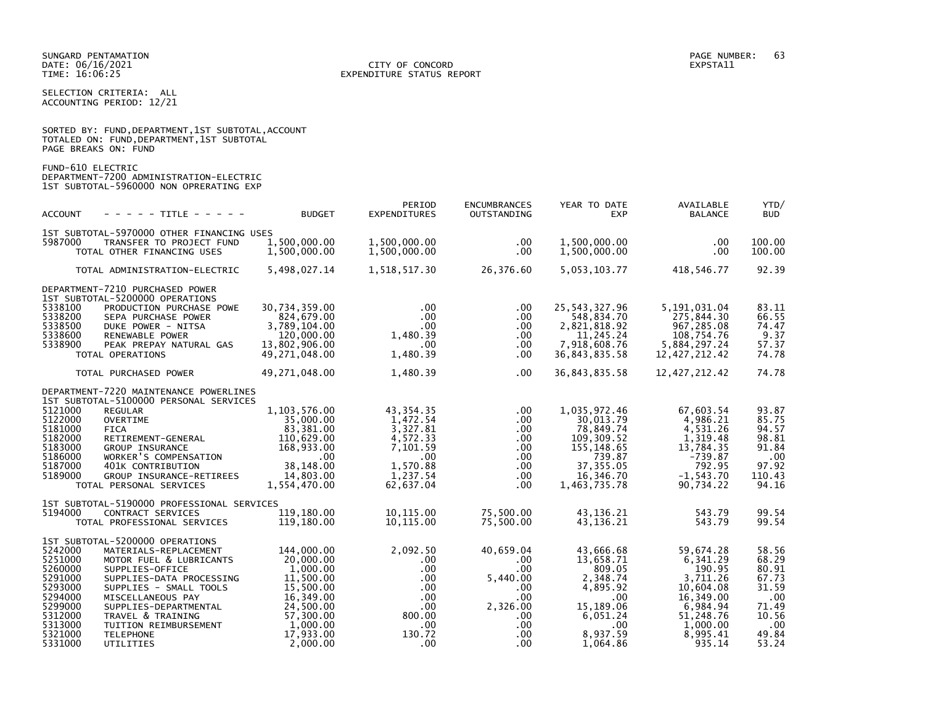SELECTION CRITERIA: ALL ACCOUNTING PERIOD: 12/21

SORTED BY: FUND, DEPARTMENT, 1ST SUBTOTAL, ACCOUNT

|                                                                                                                       | TOTALED ON: FUND, DEPARTMENT, 1ST SUBTOTAL<br>PAGE BREAKS ON: FUND                                                                                                                                                                                                                                                        |                                                                                                                                           |                                                                                                                               |                                                                                                                                 |                                                                                                                              |                                                                                                                                  |                                                                                             |
|-----------------------------------------------------------------------------------------------------------------------|---------------------------------------------------------------------------------------------------------------------------------------------------------------------------------------------------------------------------------------------------------------------------------------------------------------------------|-------------------------------------------------------------------------------------------------------------------------------------------|-------------------------------------------------------------------------------------------------------------------------------|---------------------------------------------------------------------------------------------------------------------------------|------------------------------------------------------------------------------------------------------------------------------|----------------------------------------------------------------------------------------------------------------------------------|---------------------------------------------------------------------------------------------|
| FUND-610 ELECTRIC                                                                                                     | DEPARTMENT-7200 ADMINISTRATION-ELECTRIC<br>1ST SUBTOTAL-5960000 NON OPRERATING EXP                                                                                                                                                                                                                                        |                                                                                                                                           |                                                                                                                               |                                                                                                                                 |                                                                                                                              |                                                                                                                                  |                                                                                             |
| ACCOUNT                                                                                                               | - - - - - TITLE - - - - - -                                                                                                                                                                                                                                                                                               | <b>BUDGET</b>                                                                                                                             | PERIOD<br><b>EXPENDITURES</b>                                                                                                 | <b>ENCUMBRANCES</b><br>OUTSTANDING                                                                                              | YEAR TO DATE<br><b>EXP</b>                                                                                                   | AVAILABLE<br><b>BALANCE</b>                                                                                                      | YTD/<br><b>BUD</b>                                                                          |
| 5987000                                                                                                               | 1ST SUBTOTAL-5970000 OTHER FINANCING USES<br>TRANSFER TO PROJECT FUND<br>TOTAL OTHER FINANCING USES                                                                                                                                                                                                                       | 1,500,000.00<br>1,500,000.00                                                                                                              | 1,500,000.00<br>1,500,000.00                                                                                                  | $.00 \,$<br>$.00 \,$                                                                                                            | 1,500,000.00<br>1,500,000.00                                                                                                 | .00<br>$.00 \,$                                                                                                                  | 100.00<br>100.00                                                                            |
|                                                                                                                       | TOTAL ADMINISTRATION-ELECTRIC                                                                                                                                                                                                                                                                                             | 5,498,027.14                                                                                                                              | 1,518,517.30                                                                                                                  | 26,376.60                                                                                                                       | 5,053,103.77                                                                                                                 | 418,546.77                                                                                                                       | 92.39                                                                                       |
| 5338100<br>5338200<br>5338500<br>5338600<br>5338900                                                                   | DEPARTMENT-7210 PURCHASED POWER<br>1ST SUBTOTAL-5200000 OPERATIONS<br>PRODUCTION PURCHASE POWE<br>SEPA PURCHASE POWER<br>DUKE POWER - NITSA<br>RENEWABLE POWER<br>PEAK PREPAY NATURAL GAS<br>TOTAL OPERATIONS                                                                                                             | 30,734,359.00<br>824,679.00<br>3,789,104.00<br>120,000.00<br>13,802,906.00<br>49,271,048.00                                               | .00<br>$.00 \,$<br>$.00\,$<br>1,480.39<br>$.00 \,$<br>1,480.39                                                                | $.00 \,$<br>$.00 \,$<br>.00<br>.00.<br>$.00 \,$<br>$.00 \,$                                                                     | 25, 543, 327.96<br>548,834.70<br>2,821,818.92<br>11,245.24<br>7,918,608.76<br>36,843,835.58                                  | 5,191,031.04<br>275,844.30<br>967,285.08<br>108,754.76<br>5,884,297.24<br>12, 427, 212.42                                        | 83.11<br>66.55<br>74.47<br>9.37<br>57.37<br>74.78                                           |
|                                                                                                                       | TOTAL PURCHASED POWER                                                                                                                                                                                                                                                                                                     | 49,271,048.00                                                                                                                             | 1,480.39                                                                                                                      | .00                                                                                                                             | 36,843,835.58                                                                                                                | 12,427,212.42                                                                                                                    | 74.78                                                                                       |
| 5121000<br>5122000<br>5181000<br>5182000<br>5183000<br>5186000<br>5187000<br>5189000                                  | DEPARTMENT-7220 MAINTENANCE POWERLINES<br>1ST SUBTOTAL-5100000 PERSONAL SERVICES<br><b>REGULAR</b><br>OVERTIME<br><b>FICA</b><br>RETIREMENT-GENERAL<br>GROUP INSURANCE<br>WORKER'S COMPENSATION<br>401K CONTRIBUTION<br>GROUP INSURANCE-RETIREES<br>TOTAL PERSONAL SERVICES<br>1ST SUBTOTAL-5190000 PROFESSIONAL SERVICES | 1,103,576.00<br>35,000.00<br>83,381.00<br>110,629.00<br>168,933.00<br>$\sim 00$<br>38,148.00<br>14,803.00<br>1,554,470.00                 | 43, 354. 35<br>1,472.54<br>3,327.81<br>4,572.33<br>7,101.59<br>$.00 \,$<br>1,570.88<br>1,237.54<br>62,637.04                  | $.00 \cdot$<br>$.00 \,$<br>$.00 \,$<br>.00<br>.00<br>.00<br>$.00 \,$<br>$.00 \,$<br>$.00 \,$                                    | 1,035,972.46<br>30,013.79<br>78,849.74<br>109,309.52<br>155, 148.65<br>739.87<br>37, 355.05<br>16,346.70<br>1,463,735.78     | 67,603.54<br>4,986.21<br>4,531.26<br>1,319.48<br>13,784.35<br>$-739.87$<br>792.95<br>$-1, 543.70$<br>90,734.22                   | 93.87<br>85.75<br>94.57<br>98.81<br>91.84<br>.00<br>97.92<br>110.43<br>94.16                |
| 5194000                                                                                                               | CONTRACT SERVICES<br>TOTAL PROFESSIONAL SERVICES                                                                                                                                                                                                                                                                          | 119,180.00<br>119,180.00                                                                                                                  | 10,115.00<br>10,115.00                                                                                                        | 75,500.00<br>75,500.00                                                                                                          | 43, 136. 21<br>43,136.21                                                                                                     | 543.79<br>543.79                                                                                                                 | 99.54<br>99.54                                                                              |
| 5242000<br>5251000<br>5260000<br>5291000<br>5293000<br>5294000<br>5299000<br>5312000<br>5313000<br>5321000<br>5331000 | 1ST SUBTOTAL-5200000 OPERATIONS<br>MATERIALS-REPLACEMENT<br>MOTOR FUEL & LUBRICANTS<br>SUPPLIES-OFFICE<br>SUPPLIES-DATA PROCESSING<br>SUPPLIES - SMALL TOOLS<br>MISCELLANEOUS PAY<br>SUPPLIES-DEPARTMENTAL<br>TRAVEL & TRAINING<br>TUITION REIMBURSEMENT<br><b>TELEPHONE</b><br>UTILITIES                                 | 144,000.00<br>20,000.00<br>1,000.00<br>11,500.00<br>15,500.00<br>16,349.00<br>24,500.00<br>57,300.00<br>1,000.00<br>17,933.00<br>2,000.00 | 2,092.50<br>$.00 \,$<br>$.00 \cdot$<br>$.00 \,$<br>$.00 \cdot$<br>$.00 \,$<br>$.00 \,$<br>800.00<br>$.00 \,$<br>130.72<br>.00 | 40,659.04<br>$.00 \,$<br>$.00 \cdot$<br>5,440.00<br>$.00 \,$<br>.00<br>2,326.00<br>$.00 \,$<br>$.00 \,$<br>$.00 \,$<br>$.00 \,$ | 43,666.68<br>13,658.71<br>809.05<br>2,348.74<br>4,895.92<br>.00<br>15,189.06<br>6,051.24<br>$.00 \,$<br>8,937.59<br>1,064.86 | 59,674.28<br>6,341.29<br>190.95<br>3,711.26<br>10,604.08<br>16,349.00<br>6,984.94<br>51,248.76<br>1,000.00<br>8,995.41<br>935.14 | 58.56<br>68.29<br>80.91<br>67.73<br>31.59<br>.00<br>71.49<br>10.56<br>.00<br>49.84<br>53.24 |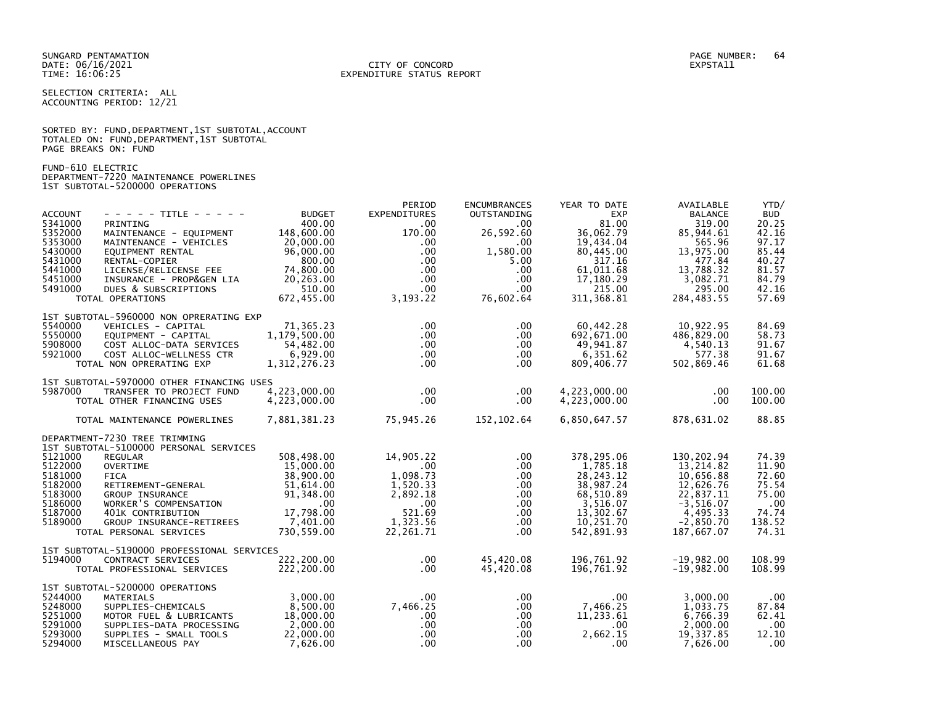SELECTION CRITERIA: ALL ACCOUNTING PERIOD: 12/21

|                      | SORTED BY: FUND, DEPARTMENT, 1ST SUBTOTAL, ACCOUNT |  |  |
|----------------------|----------------------------------------------------|--|--|
|                      | TOTALED ON: FUND, DEPARTMENT, 1ST SUBTOTAL         |  |  |
| PAGE BREAKS ON: FUND |                                                    |  |  |

FUND-610 ELECTRIC DEPARTMENT-7220 MAINTENANCE POWERLINES 1ST SUBTOTAL-5200000 OPERATIONS

| <b>ACCOUNT</b><br>5341000<br>5352000<br>5353000<br>5430000<br>5431000<br>5441000<br>5451000<br>5491000 | - - - - - TITLE - - - - -<br>PRINTING<br>MAINTENANCE - EQUIPMENT<br>MAINTENANCE - VEHICLES<br>EQUIPMENT RENTAL<br>RENTAL-COPIER<br>LICENSE/RELICENSE FEE<br>INSURANCE - PROP&GEN LIA<br>DUES & SUBSCRIPTIONS<br>TOTAL OPERATIONS                                                                          | <b>BUDGET</b><br>400.00<br>148,600.00<br>20,000.00<br>96,000.00<br>800.00<br>74,800.00<br>20,263.00<br>510.00<br>672,455.00       | PERIOD<br><b>EXPENDITURES</b><br>$.00 \times$<br>170.00<br>$.00 \,$<br>$.00 \,$<br>$.00 \,$<br>$.00 \,$<br>$.00 \,$<br>$.00 \,$<br>3, 193. 22 | <b>ENCUMBRANCES</b><br>OUTSTANDING<br>.00<br>26,592.60<br>.00.<br>1,580.00<br>5.00<br>$.00 \,$<br>$.00 \,$<br>$.00 \,$<br>76,602.64 | YEAR TO DATE<br><b>EXP</b><br>81.00<br>36,062.79<br>19,434.04<br>80,445.00<br>317.16<br>61,011.68<br>17,180.29<br>215.00<br>311, 368.81 | AVAILABLE<br><b>BALANCE</b><br>319.00<br>85,944.61<br>565.96<br>13,975.00<br>477.84<br>13,788.32<br>3,082.71<br>295.00<br>284, 483.55 | YTD/<br><b>BUD</b><br>20.25<br>42.16<br>97.17<br>85.44<br>40.27<br>81.57<br>84.79<br>42.16<br>57.69 |
|--------------------------------------------------------------------------------------------------------|-----------------------------------------------------------------------------------------------------------------------------------------------------------------------------------------------------------------------------------------------------------------------------------------------------------|-----------------------------------------------------------------------------------------------------------------------------------|-----------------------------------------------------------------------------------------------------------------------------------------------|-------------------------------------------------------------------------------------------------------------------------------------|-----------------------------------------------------------------------------------------------------------------------------------------|---------------------------------------------------------------------------------------------------------------------------------------|-----------------------------------------------------------------------------------------------------|
| 5540000<br>5550000<br>5908000<br>5921000                                                               | 1ST SUBTOTAL-5960000 NON OPRERATING EXP<br>VEHICLES - CAPITAL<br>EQUIPMENT - CAPITAL<br>COST ALLOC-DATA SERVICES<br>COST ALLOC-WELLNESS CTR<br>TOTAL NON OPRERATING EXP                                                                                                                                   | 71,365.23<br>1,179,500.00<br>54,482.00<br>6,929.00<br>1,312,276.23                                                                | $.00 \,$<br>$.00 \,$<br>$.00 \,$<br>$.00 \,$<br>$.00 \,$                                                                                      | $.00 \,$<br>$.00 \,$<br>$.00 \,$<br>$.00 \,$<br>$.00 \cdot$                                                                         | 60,442.28<br>692,671.00<br>49,941.87<br>6,351.62<br>809,406.77                                                                          | 10,922.95<br>486,829.00<br>4,540.13<br>577.38<br>502,869.46                                                                           | 84.69<br>58.73<br>91.67<br>91.67<br>61.68                                                           |
| 5987000                                                                                                | 1ST SUBTOTAL-5970000 OTHER FINANCING USES<br>TRANSFER TO PROJECT FUND<br>TOTAL OTHER FINANCING USES                                                                                                                                                                                                       | 4,223,000.00<br>4,223,000.00                                                                                                      | $.00 \,$<br>$.00 \,$                                                                                                                          | $.00 \,$<br>$.00 \cdot$                                                                                                             | 4,223,000.00<br>4,223,000.00                                                                                                            | .00<br>.00.                                                                                                                           | 100.00<br>100.00                                                                                    |
| 5121000<br>5122000<br>5181000<br>5182000<br>5183000<br>5186000<br>5187000<br>5189000                   | TOTAL MAINTENANCE POWERLINES<br>DEPARTMENT-7230 TREE TRIMMING<br>1ST SUBTOTAL-5100000 PERSONAL SERVICES<br><b>REGULAR</b><br><b>OVERTIME</b><br><b>FICA</b><br>RETIREMENT-GENERAL<br>GROUP INSURANCE<br>WORKER'S COMPENSATION<br>401K CONTRIBUTION<br>GROUP INSURANCE-RETIREES<br>TOTAL PERSONAL SERVICES | 7,881,381.23<br>508,498.00<br>15,000.00<br>38,900.00<br>51,614.00<br>91,348.00<br>$.00 \,$<br>17,798.00<br>7,401.00<br>730,559.00 | 75,945.26<br>14,905.22<br>$.00 \,$<br>1,098.73<br>1,520.33<br>2,892.18<br>$.00 \,$<br>521.69<br>1,323.56<br>22,261.71                         | 152,102.64<br>$.00 \,$<br>$.00 \,$<br>$.00 \,$<br>$.00 \,$<br>$.00 \,$<br>$.00 \,$<br>$.00 \,$<br>$.00 \,$<br>$.00 \cdot$           | 6,850,647.57<br>378,295.06<br>1,785.18<br>28, 243. 12<br>38,987.24<br>68,510.89<br>3,516.07<br>13,302.67<br>10.251.70<br>542,891.93     | 878,631.02<br>130, 202.94<br>13,214.82<br>10,656.88<br>12,626.76<br>22,837.11<br>$-3,516.07$<br>4,495.33<br>$-2.850.70$<br>187,667.07 | 88.85<br>74.39<br>11.90<br>72.60<br>75.54<br>75.00<br>.00<br>74.74<br>138.52<br>74.31               |
| 5194000                                                                                                | 1ST SUBTOTAL-5190000 PROFESSIONAL SERVICES<br>CONTRACT SERVICES<br>TOTAL PROFESSIONAL SERVICES                                                                                                                                                                                                            | 222,200.00<br>222,200.00                                                                                                          | $.00 \,$<br>$.00 \,$                                                                                                                          | 45,420.08<br>45,420.08                                                                                                              | 196,761.92<br>196.761.92                                                                                                                | $-19,982.00$<br>$-19.982.00$                                                                                                          | 108.99<br>108.99                                                                                    |
| 5244000<br>5248000<br>5251000<br>5291000<br>5293000<br>5294000                                         | 1ST SUBTOTAL-5200000 OPERATIONS<br>MATERIALS<br>SUPPLIES-CHEMICALS<br>MOTOR FUEL & LUBRICANTS<br>SUPPLIES-DATA PROCESSING<br>SUPPLIES - SMALL TOOLS<br>MISCELLANEOUS PAY                                                                                                                                  | 3,000.00<br>8,500.00<br>18,000.00<br>2,000.00<br>22,000.00<br>7,626.00                                                            | $.00 \,$<br>7,466.25<br>$.00 \,$<br>$.00 \,$<br>$.00 \,$<br>$.00 \times$                                                                      | $.00 \,$<br>$.00 \,$<br>$.00 \,$<br>$.00 \,$<br>$.00 \,$<br>$.00 \,$                                                                | $.00 \,$<br>7,466.25<br>11,233.61<br>$.00 \,$<br>2,662.15<br>$.00 \,$                                                                   | 3,000.00<br>1,033.75<br>6,766.39<br>2,000.00<br>19,337.85<br>7,626.00                                                                 | .00<br>87.84<br>62.41<br>.00<br>12.10<br>$.00 \,$                                                   |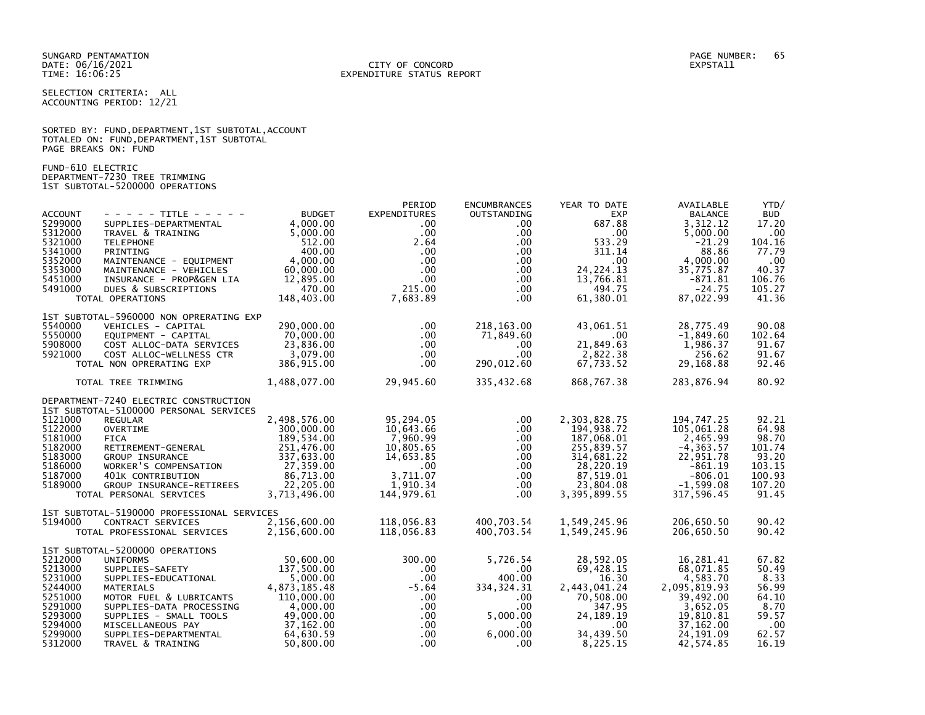SUNGARD PENTAMATION PAGE NUMBER: 65 DATE: 06/16/2021<br>TIME: 16:06:25

SELECTION CRITERIA: ALL ACCOUNTING PERIOD: 12/21

|                      |  |  | SORTED BY: FUND, DEPARTMENT, 1ST SUBTOTAL, ACCOUNT |  |
|----------------------|--|--|----------------------------------------------------|--|
|                      |  |  | TOTALED ON: FUND, DEPARTMENT, 1ST SUBTOTAL         |  |
| PAGE BREAKS ON: FUND |  |  |                                                    |  |

FUND-610 ELECTRIC DEPARTMENT-7230 TREE TRIMMING 1ST SUBTOTAL-5200000 OPERATIONS

| <b>ACCOUNT</b><br>5299000<br>5312000<br>5321000<br>5341000<br>5352000<br>5353000<br>5451000<br>5491000     | - - - - - TITLE - - - - -<br>SUPPLIES-DEPARTMENTAL<br>TRAVEL & TRAINING<br><b>TELEPHONE</b><br>PRINTING<br>MAINTENANCE - EQUIPMENT<br>MAINTENANCE - VEHICLES<br>INSURANCE - PROP&GEN LIA<br>DUES & SUBSCRIPTIONS                                                                  | <b>BUDGET</b><br>4,000.00<br>5,000.00<br>512.00<br>400.00<br>4,000.00<br>60,000.00<br>12,895.00<br>470.00                         | PERIOD<br>EXPENDITURES<br>$.00 \,$<br>$.00 \,$<br>2.64<br>$.00 \,$<br>$.00 \,$<br>$.00 \,$<br>$.00 \,$<br>215.00          | <b>ENCUMBRANCES</b><br>OUTSTANDING<br>$.00 \,$<br>$.00 \,$<br>$.00 \,$<br>$.00 \,$<br>$.00 \,$<br>$.00 \,$<br>$.00 \,$<br>$.00 \,$ | YEAR TO DATE<br><b>EXP</b><br>687.88<br>.00<br>533.29<br>311.14<br>$.00 \,$<br>24, 224. 13<br>13,766.81<br>494.75           | AVAILABLE<br><b>BALANCE</b><br>3.312.12<br>5,000.00<br>$-21.29$<br>88.86<br>4,000.00<br>35.775.87<br>$-871.81$<br>$-24.75$       | YTD/<br><b>BUD</b><br>17.20<br>.00<br>104.16<br>77.79<br>$.00 \times$<br>40.37<br>106.76<br>105.27 |
|------------------------------------------------------------------------------------------------------------|-----------------------------------------------------------------------------------------------------------------------------------------------------------------------------------------------------------------------------------------------------------------------------------|-----------------------------------------------------------------------------------------------------------------------------------|---------------------------------------------------------------------------------------------------------------------------|------------------------------------------------------------------------------------------------------------------------------------|-----------------------------------------------------------------------------------------------------------------------------|----------------------------------------------------------------------------------------------------------------------------------|----------------------------------------------------------------------------------------------------|
| 5540000<br>5550000                                                                                         | TOTAL OPERATIONS<br>1ST SUBTOTAL-5960000 NON OPRERATING EXP<br>VEHICLES - CAPITAL<br>EOUIPMENT - CAPITAL                                                                                                                                                                          | 148,403.00<br>290,000.00<br>70.000.00                                                                                             | 7,683.89<br>$.00 \,$<br>$.00 \,$                                                                                          | $.00 \,$<br>218,163.00<br>71,849.60                                                                                                | 61,380.01<br>43,061.51<br>$.00 \,$                                                                                          | 87,022.99<br>28,775.49<br>$-1,849.60$                                                                                            | 41.36<br>90.08<br>102.64                                                                           |
| 5908000<br>5921000                                                                                         | COST ALLOC-DATA SERVICES<br>COST ALLOC-WELLNESS CTR<br>TOTAL NON OPRERATING EXP                                                                                                                                                                                                   | 23,836.00<br>3,079.00<br>386,915.00                                                                                               | $.00 \cdot$<br>$.00 \,$<br>$.00 \,$                                                                                       | $.00 \,$<br>$.00 \,$<br>290,012.60                                                                                                 | 21,849.63<br>2,822.38<br>67,733.52                                                                                          | 1,986.37<br>256.62<br>29,168.88                                                                                                  | 91.67<br>91.67<br>92.46                                                                            |
|                                                                                                            | TOTAL TREE TRIMMING                                                                                                                                                                                                                                                               | 1,488,077.00                                                                                                                      | 29,945.60                                                                                                                 | 335,432.68                                                                                                                         | 868,767.38                                                                                                                  | 283,876.94                                                                                                                       | 80.92                                                                                              |
| 5121000<br>5122000<br>5181000<br>5182000<br>5183000<br>5186000<br>5187000<br>5189000                       | DEPARTMENT-7240 ELECTRIC CONSTRUCTION<br>1ST SUBTOTAL-5100000 PERSONAL SERVICES<br><b>REGULAR</b><br><b>OVERTIME</b><br><b>FICA</b><br>RETIREMENT-GENERAL<br>GROUP INSURANCE<br>WORKER'S COMPENSATION<br>401K CONTRIBUTION<br>GROUP INSURANCE-RETIREES<br>TOTAL PERSONAL SERVICES | 2,498,576.00<br>300,000,00<br>189,534.00<br>251,476.00<br>337,633.00<br>27,359.00<br>86,713.00<br>22,205.00<br>3,713,496.00       | 95,294.05<br>10.643.66<br>7,960.99<br>10,805.65<br>14,653.85<br>$.00 \,$<br>3.711.07<br>1.910.34<br>144,979.61            | $.00 \,$<br>$.00 \,$<br>.00<br>$.00 \,$<br>$.00 \,$<br>$.00 \,$<br>$.00 \,$<br>$.00 \,$<br>$.00 \,$                                | 2,303,828.75<br>194.938.72<br>187,068.01<br>255,839.57<br>314,681.22<br>28,220.19<br>87,519.01<br>23,804.08<br>3,395,899.55 | 194,747.25<br>105.061.28<br>2,465.99<br>$-4, 363.57$<br>22,951.78<br>$-861.19$<br>$-806.01$<br>$-1,599.08$<br>317,596.45         | 92.21<br>64.98<br>98.70<br>101.74<br>93.20<br>103.15<br>100.93<br>107.20<br>91.45                  |
| 5194000                                                                                                    | 1ST SUBTOTAL-5190000 PROFESSIONAL SERVICES<br>CONTRACT SERVICES<br>TOTAL PROFESSIONAL SERVICES                                                                                                                                                                                    | 2.156.600.00<br>2,156,600.00                                                                                                      | 118.056.83<br>118,056.83                                                                                                  | 400,703.54<br>400,703.54                                                                                                           | 1,549,245.96<br>1,549,245.96                                                                                                | 206.650.50<br>206,650.50                                                                                                         | 90.42<br>90.42                                                                                     |
| 5212000<br>5213000<br>5231000<br>5244000<br>5251000<br>5291000<br>5293000<br>5294000<br>5299000<br>5312000 | 1ST SUBTOTAL-5200000 OPERATIONS<br>UNIFORMS<br>SUPPLIES-SAFETY<br>SUPPLIES-EDUCATIONAL<br><b>MATERIALS</b><br>MOTOR FUEL & LUBRICANTS<br>SUPPLIES-DATA PROCESSING<br>SUPPLIES - SMALL TOOLS<br>MISCELLANEOUS PAY<br>SUPPLIES-DEPARTMENTAL<br>TRAVEL & TRAINING                    | 50,600.00<br>137,500.00<br>5,000.00<br>4,873,185.48<br>110,000.00<br>4,000.00<br>49,000.00<br>37,162.00<br>64.630.59<br>50,800.00 | 300.00<br>$.00 \,$<br>$.00 \,$<br>$-5.64$<br>$.00 \,$<br>$.00 \,$<br>$.00 \,$<br>$.00 \,$<br>.00 <sub>1</sub><br>$.00 \,$ | 5,726.54<br>$.00 \,$<br>400.00<br>334, 324. 31<br>$.00 \,$<br>$.00 \,$<br>5,000,00<br>$.00 \,$<br>6.000.00<br>$.00 \,$             | 28,592.05<br>69,428.15<br>16.30<br>2,443,041.24<br>70,508.00<br>347.95<br>24, 189. 19<br>$.00 \,$<br>34,439.50<br>8,225.15  | 16,281.41<br>68,071.85<br>4,583.70<br>2,095,819.93<br>39,492.00<br>3,652.05<br>19,810.81<br>37,162.00<br>24, 191.09<br>42,574.85 | 67.82<br>50.49<br>8.33<br>56.99<br>64.10<br>8.70<br>59.57<br>.00<br>62.57<br>16.19                 |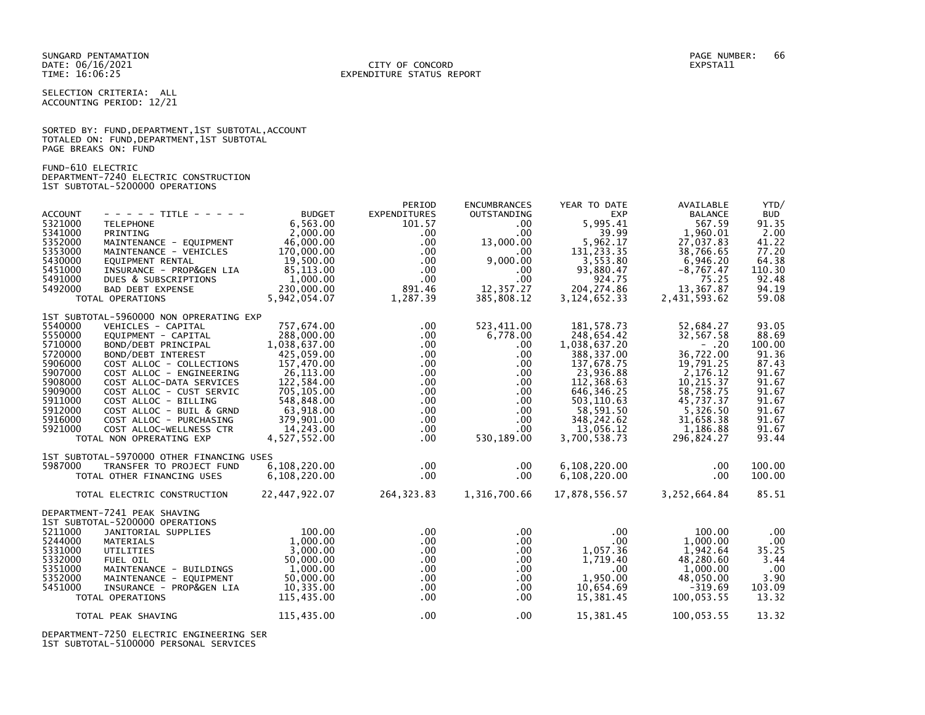#### DATE: 06/16/2021 CITY OF CONCORD EXPSTA11 TIME: 16:06:25 EXPENDITURE STATUS REPORT

SELECTION CRITERIA: ALL ACCOUNTING PERIOD: 12/21

|                      |  |  | SORTED BY: FUND, DEPARTMENT, 1ST SUBTOTAL, ACCOUNT |  |
|----------------------|--|--|----------------------------------------------------|--|
|                      |  |  | TOTALED ON: FUND, DEPARTMENT, 1ST SUBTOTAL         |  |
| PAGE BREAKS ON: FUND |  |  |                                                    |  |

FUND-610 ELECTRIC DEPARTMENT-7240 ELECTRIC CONSTRUCTION 1ST SUBTOTAL-5200000 OPERATIONS

|                |                                           |               | PERIOD           | <b>ENCUMBRANCES</b> | YEAR TO DATE    | AVAILABLE      | YTD/       |
|----------------|-------------------------------------------|---------------|------------------|---------------------|-----------------|----------------|------------|
| <b>ACCOUNT</b> | - - - - - TITLE - - - - -                 | <b>BUDGET</b> | EXPENDITURES     | OUTSTANDING         | <b>EXP</b>      | <b>BALANCE</b> | <b>BUD</b> |
| 5321000        | <b>TELEPHONE</b>                          | 6,563.00      | 101.57           | $.00 \,$            | 5,995.41        | 567.59         | 91.35      |
| 5341000        | PRINTING                                  | 2,000.00      | $.00 \,$         | $.00 \,$            | 39.99           | 1,960.01       | 2.00       |
| 5352000        | MAINTENANCE - EQUIPMENT                   | 46,000.00     | $.00 \times$     | 13,000.00           | 5,962.17        | 27,037.83      | 41.22      |
| 5353000        | MAINTENANCE - VEHICLES                    | 170,000.00    | $.00 \,$         | .00.                | 131, 233.35     | 38,766.65      | 77.20      |
| 5430000        | EOUIPMENT RENTAL                          | 19,500.00     | $.00 \,$         | 9,000.00            | 3,553.80        | 6,946.20       | 64.38      |
| 5451000        | INSURANCE - PROP&GEN LIA                  | 85,113.00     | $.00 \times$     | $.00 \,$            | 93.880.47       | $-8.767.47$    | 110.30     |
| 5491000        | DUES & SUBSCRIPTIONS                      | 1,000.00      | .00              | .00                 | 924.75          | 75.25          | 92.48      |
| 5492000        | <b>BAD DEBT EXPENSE</b>                   | 230,000.00    | 891.46           | 12,357.27           | 204, 274.86     | 13,367.87      | 94.19      |
|                | TOTAL OPERATIONS                          | 5,942,054.07  | 1,287.39         | 385,808.12          | 3, 124, 652. 33 | 2,431,593.62   | 59.08      |
|                | 1ST SUBTOTAL-5960000 NON OPRERATING EXP   |               |                  |                     |                 |                |            |
| 5540000        | VEHICLES - CAPITAL                        | 757,674.00    | $.00 \,$         | 523,411.00          | 181.578.73      | 52,684.27      | 93.05      |
| 5550000        | EOUIPMENT - CAPITAL                       | 288,000.00    | $.00 \,$         | 6,778.00            | 248,654.42      | 32,567.58      | 88.69      |
| 5710000        | BOND/DEBT PRINCIPAL                       | 1,038,637.00  | $.00 \,$         | $.00 \,$            | 1,038,637.20    | $- .20$        | 100.00     |
| 5720000        | BOND/DEBT INTEREST                        | 425,059.00    | $.00 \,$         | .00                 | 388, 337.00     | 36,722.00      | 91.36      |
| 5906000        | COST ALLOC - COLLECTIONS                  | 157,470.00    | $.00 \,$         | .00                 | 137,678.75      | 19,791.25      | 87.43      |
| 5907000        | COST ALLOC - ENGINEERING                  | 26,113.00     | $.00 \,$         | $.00 \,$            | 23,936.88       | 2,176.12       | 91.67      |
| 5908000        | COST ALLOC-DATA SERVICES                  | 122,584.00    | $.00 \,$         | .00.                | 112,368.63      | 10,215.37      | 91.67      |
| 5909000        | COST ALLOC - CUST SERVIC                  | 705,105.00    | .00 <sub>1</sub> | .00                 | 646, 346.25     | 58,758.75      | 91.67      |
| 5911000        | COST ALLOC - BILLING                      | 548,848.00    | $.00 \times$     | $.00 \,$            | 503,110.63      | 45,737.37      | 91.67      |
| 5912000        | COST ALLOC - BUIL & GRND                  | 63,918.00     | $.00 \times$     | .00.                | 58,591.50       | 5,326.50       | 91.67      |
| 5916000        | COST ALLOC - PURCHASING                   | 379,901.00    | $.00 \times$     | .00                 | 348,242.62      | 31,658.38      | 91.67      |
| 5921000        | COST ALLOC-WELLNESS CTR                   | 14,243.00     | $.00 \,$         | $.00 \,$            | 13,056.12       | 1,186.88       | 91.67      |
|                | TOTAL NON OPRERATING EXP                  | 4,527,552.00  | $.00 \,$         | 530,189.00          | 3,700,538.73    | 296,824.27     | 93.44      |
|                | 1ST SUBTOTAL-5970000 OTHER FINANCING USES |               |                  |                     |                 |                |            |
| 5987000        | TRANSFER TO PROJECT FUND                  | 6,108,220.00  | $.00 \,$         | .00                 | 6,108,220.00    | $.00 \,$       | 100.00     |
|                | TOTAL OTHER FINANCING USES                | 6,108,220.00  | $.00 \,$         | $.00 \,$            | 6,108,220.00    | $.00 \,$       | 100.00     |
|                | TOTAL ELECTRIC CONSTRUCTION               | 22,447,922.07 | 264, 323.83      | 1,316,700.66        | 17,878,556.57   | 3,252,664.84   | 85.51      |
|                | DEPARTMENT-7241 PEAK SHAVING              |               |                  |                     |                 |                |            |
|                | 1ST SUBTOTAL-5200000 OPERATIONS           |               |                  |                     |                 |                |            |
| 5211000        | JANITORIAL SUPPLIES                       | 100.00        | $.00 \,$         | $.00 \,$            | .00             | 100.00         | .00        |
| 5244000        | MATERIALS                                 | 1,000.00      | $.00 \,$         | $.00 \,$            | .00             | 1.000.00       | .00        |
| 5331000        | UTILITIES                                 | 3,000,00      | $.00 \times$     | $.00 \,$            | 1,057.36        | 1,942.64       | 35.25      |
| 5332000        | FUEL OIL                                  | 50,000.00     | $.00 \,$         | $.00 \,$            | 1,719.40        | 48,280.60      | 3.44       |
| 5351000        | MAINTENANCE - BUILDINGS                   | 1,000.00      | $.00 \,$         | .00.                | .00             | 1,000.00       | .00        |
| 5352000        | MAINTENANCE - EQUIPMENT                   | 50,000.00     | $.00 \,$         | $.00 \,$            | 1,950.00        | 48,050.00      | 3.90       |
| 5451000        | INSURANCE - PROP&GEN LIA                  | 10,335.00     | $.00 \,$         | .00.                | 10,654.69       | $-319.69$      | 103.09     |
|                | TOTAL OPERATIONS                          | 115,435.00    | $.00 \,$         | .00                 | 15,381.45       | 100,053.55     | 13.32      |
|                | TOTAL PEAK SHAVING                        | 115,435.00    | $.00 \,$         | $.00 \,$            | 15,381.45       | 100,053.55     | 13.32      |
|                |                                           |               |                  |                     |                 |                |            |

DEPARTMENT-7250 ELECTRIC ENGINEERING SER 1ST SUBTOTAL-5100000 PERSONAL SERVICES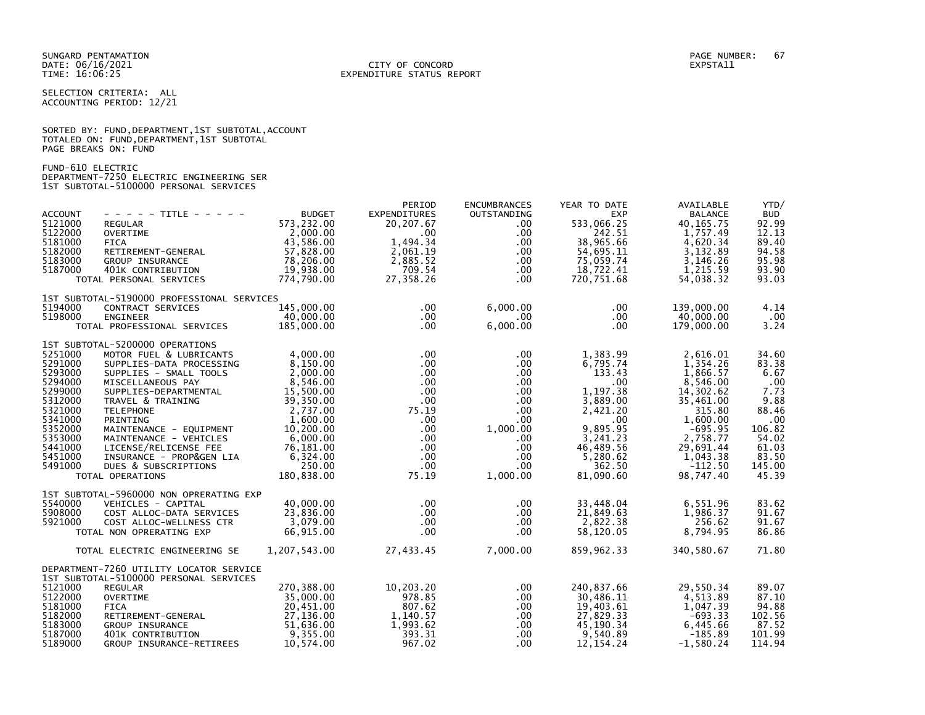#### DATE: 06/16/2021 CITY OF CONCORD EXPSTA11 TIME: 16:06:25 EXPENDITURE STATUS REPORT

SELECTION CRITERIA: ALL ACCOUNTING PERIOD: 12/21

|                      |  | SORTED BY: FUND, DEPARTMENT, 1ST SUBTOTAL, ACCOUNT |  |  |
|----------------------|--|----------------------------------------------------|--|--|
|                      |  | TOTALED ON: FUND, DEPARTMENT, 1ST SUBTOTAL         |  |  |
| PAGE BREAKS ON: FUND |  |                                                    |  |  |

FUND-610 ELECTRIC DEPARTMENT-7250 ELECTRIC ENGINEERING SER 1ST SUBTOTAL-5100000 PERSONAL SERVICES

|                |                                            |               | PERIOD       | <b>ENCUMBRANCES</b> | YEAR TO DATE | AVAILABLE      | YTD/       |
|----------------|--------------------------------------------|---------------|--------------|---------------------|--------------|----------------|------------|
| <b>ACCOUNT</b> | - - - - - TITLE - - - - -                  | <b>BUDGET</b> | EXPENDITURES | OUTSTANDING         | <b>EXP</b>   | <b>BALANCE</b> | <b>BUD</b> |
| 5121000        | REGULAR                                    | 573,232.00    | 20,207.67    | $.00 \,$            | 533,066.25   | 40, 165. 75    | 92.99      |
| 5122000        | <b>OVERTIME</b>                            | 2,000.00      | $.00 \,$     | .00.                | 242.51       | 1,757.49       | 12.13      |
| 5181000        | <b>FICA</b>                                | 43,586.00     | 1.494.34     | .00                 | 38,965.66    | 4,620.34       | 89.40      |
| 5182000        | RETIREMENT-GENERAL                         | 57,828.00     | 2,061.19     | .00.                | 54,695.11    | 3,132.89       | 94.58      |
| 5183000        | GROUP INSURANCE                            | 78,206.00     | 2,885.52     | $.00 \,$            | 75,059.74    | 3,146.26       | 95.98      |
| 5187000        | 401K CONTRIBUTION                          | 19,938.00     | 709.54       | $.00 \,$            | 18,722.41    | 1,215.59       | 93.90      |
|                | TOTAL PERSONAL SERVICES                    | 774,790.00    | 27,358.26    | $.00 \,$            | 720,751.68   | 54,038.32      | 93.03      |
|                | 1ST SUBTOTAL-5190000 PROFESSIONAL SERVICES |               |              |                     |              |                |            |
| 5194000        | CONTRACT SERVICES                          | 145,000.00    | $.00 \,$     | 6,000.00            | $.00 \,$     | 139,000,00     | 4.14       |
| 5198000        | <b>ENGINEER</b>                            | 40,000.00     | $.00 \,$     | .00                 | $.00 \,$     | 40,000.00      | $.00 \,$   |
|                | TOTAL PROFESSIONAL SERVICES                | 185,000.00    | $.00 \,$     | 6,000.00            | $.00 \times$ | 179,000.00     | 3.24       |
|                | 1ST SUBTOTAL-5200000 OPERATIONS            |               |              |                     |              |                |            |
| 5251000        | MOTOR FUEL & LUBRICANTS                    | 4.000.00      | $.00 \,$     | $.00 \,$            | 1,383.99     | 2,616.01       | 34.60      |
| 5291000        | SUPPLIES-DATA PROCESSING                   | 8,150.00      | $.00 \,$     | .00                 | 6,795.74     | 1,354.26       | 83.38      |
| 5293000        | SUPPLIES - SMALL TOOLS                     | 2,000.00      | $.00 \,$     | $.00 \,$            | 133.43       | 1,866.57       | 6.67       |
| 5294000        | MISCELLANEOUS PAY                          | 8,546.00      | $.00 \,$     | $.00 \,$            | .00          | 8,546.00       | .00        |
| 5299000        | SUPPLIES-DEPARTMENTAL                      | 15,500.00     | $.00 \,$     | $.00 \,$            | 1,197.38     | 14,302.62      | 7.73       |
| 5312000        | TRAVEL & TRAINING                          | 39,350.00     | $.00 \,$     | $.00 \,$            | 3,889.00     | 35,461.00      | 9.88       |
| 5321000        | <b>TELEPHONE</b>                           | 2,737.00      | 75.19        | $.00 \,$            | 2,421.20     | 315.80         | 88.46      |
| 5341000        | PRINTING                                   | 1.600.00      | .00          | $.00 \,$            | $.00 \,$     | 1,600.00       | .00        |
| 5352000        | MAINTENANCE - EQUIPMENT                    | 10,200.00     | $.00 \,$     | 1,000.00            | 9,895.95     | $-695.95$      | 106.82     |
| 5353000        | MAINTENANCE - VEHICLES                     | 6,000.00      | $.00 \,$     | $.00 \,$            | 3,241.23     | 2,758.77       | 54.02      |
| 5441000        | LICENSE/RELICENSE FEE                      | 76,181.00     | $.00 \,$     | $.00 \,$            | 46,489.56    | 29,691.44      | 61.03      |
| 5451000        | INSURANCE - PROP&GEN LIA                   | 6,324.00      | $.00 \,$     | .00.                | 5,280.62     | 1,043.38       | 83.50      |
| 5491000        | DUES & SUBSCRIPTIONS                       | 250.00        | $.00 \,$     | .00                 | 362.50       | $-112.50$      | 145.00     |
|                | TOTAL OPERATIONS                           | 180,838.00    | 75.19        | 1,000.00            | 81,090.60    | 98,747.40      | 45.39      |
|                | 1ST SUBTOTAL-5960000 NON OPRERATING EXP    |               |              |                     |              |                |            |
| 5540000        | VEHICLES - CAPITAL                         | 40.000.00     | $.00 \,$     | .00.                | 33,448.04    | 6,551.96       | 83.62      |
| 5908000        | COST ALLOC-DATA SERVICES                   | 23,836.00     | $.00 \,$     | $.00 \,$            | 21,849.63    | 1,986.37       | 91.67      |
| 5921000        | COST ALLOC-WELLNESS CTR                    | 3,079.00      | $.00 \,$     | $.00 \,$            | 2,822.38     | 256.62         | 91.67      |
|                | TOTAL NON OPRERATING EXP                   | 66,915.00     | $.00 \,$     | $.00 \,$            | 58,120.05    | 8,794.95       | 86.86      |
|                | TOTAL ELECTRIC ENGINEERING SE              | 1,207,543.00  | 27,433.45    | 7,000.00            | 859,962.33   | 340,580.67     | 71.80      |
|                | DEPARTMENT-7260 UTILITY LOCATOR SERVICE    |               |              |                     |              |                |            |
|                | 1ST SUBTOTAL-5100000 PERSONAL SERVICES     |               |              |                     |              |                |            |
| 5121000        | <b>REGULAR</b>                             | 270,388.00    | 10,203.20    | .00.                | 240,837.66   | 29,550.34      | 89.07      |
| 5122000        | <b>OVERTIME</b>                            | 35,000.00     | 978.85       | $.00 \,$            | 30,486.11    | 4,513.89       | 87.10      |
| 5181000        | <b>FICA</b>                                | 20,451.00     | 807.62       | $.00 \,$            | 19,403.61    | 1,047.39       | 94.88      |
| 5182000        | RETIREMENT-GENERAL                         | 27,136.00     | 1,140.57     | $.00 \,$            | 27,829.33    | $-693.33$      | 102.56     |
| 5183000        | GROUP INSURANCE                            | 51,636.00     | 1,993.62     | $.00 \,$            | 45,190.34    | 6,445.66       | 87.52      |
| 5187000        | 401K CONTRIBUTION                          | 9,355.00      | 393.31       | .00.                | 9,540.89     | $-185.89$      | 101.99     |
| 5189000        | GROUP INSURANCE-RETIREES                   | 10,574.00     | 967.02       | .00.                | 12, 154. 24  | $-1,580.24$    | 114.94     |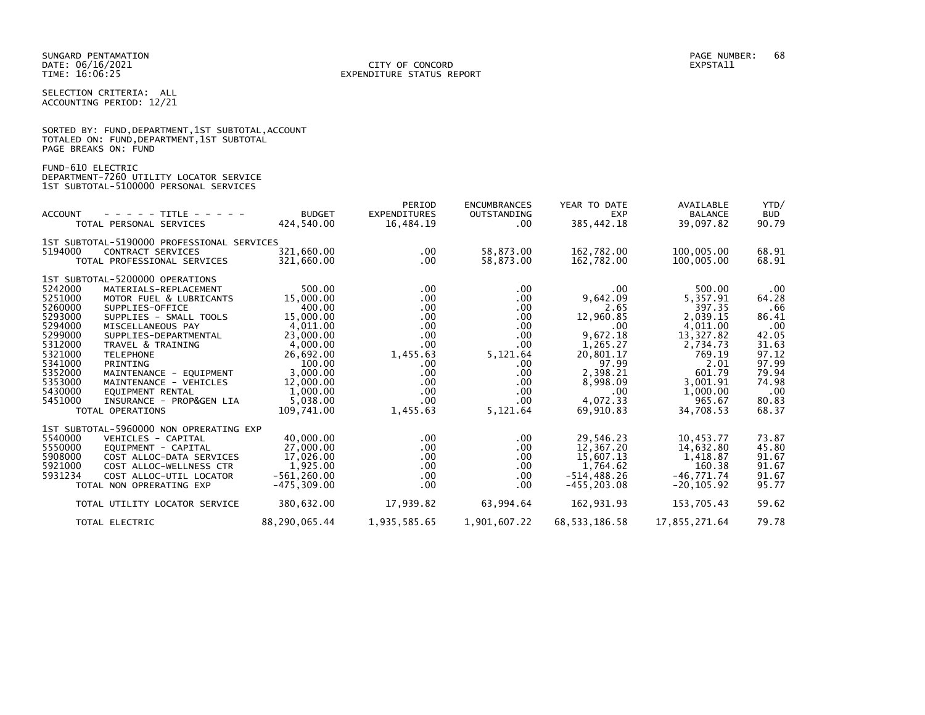SELECTION CRITERIA: ALL ACCOUNTING PERIOD: 12/21

|                      | SORTED BY: FUND, DEPARTMENT, 1ST SUBTOTAL, ACCOUNT |  |
|----------------------|----------------------------------------------------|--|
|                      | TOTALED ON: FUND,DEPARTMENT,1ST SUBTOTAL           |  |
| PAGE BREAKS ON: FUND |                                                    |  |

FUND-610 ELECTRIC

DEPARTMENT-7260 UTILITY LOCATOR SERVICE 1ST SUBTOTAL-5100000 PERSONAL SERVICES

| <b>ACCOUNT</b><br>- - - - - TITLE - - - - -<br>TOTAL PERSONAL SERVICES                                                                                                                                                                                                                                                                                                                                                                                                                                      | <b>BUDGET</b><br>424,540.00                                                                                                                                           | PERIOD<br><b>EXPENDITURES</b><br>16,484.19                                                                    | <b>ENCUMBRANCES</b><br>OUTSTANDING<br>$.00 \,$                                                                                | YEAR TO DATE<br><b>EXP</b><br>385, 442. 18                                                                                                                      | AVAILABLE<br><b>BALANCE</b><br>39,097.82                                                                                                                 | YTD/<br><b>BUD</b><br>90.79                                                                                        |
|-------------------------------------------------------------------------------------------------------------------------------------------------------------------------------------------------------------------------------------------------------------------------------------------------------------------------------------------------------------------------------------------------------------------------------------------------------------------------------------------------------------|-----------------------------------------------------------------------------------------------------------------------------------------------------------------------|---------------------------------------------------------------------------------------------------------------|-------------------------------------------------------------------------------------------------------------------------------|-----------------------------------------------------------------------------------------------------------------------------------------------------------------|----------------------------------------------------------------------------------------------------------------------------------------------------------|--------------------------------------------------------------------------------------------------------------------|
| 1ST SUBTOTAL-5190000 PROFESSIONAL SERVICES<br>5194000<br>CONTRACT SERVICES<br>TOTAL PROFESSIONAL SERVICES                                                                                                                                                                                                                                                                                                                                                                                                   | 321.660.00<br>321,660.00                                                                                                                                              | $.00 \,$<br>.00                                                                                               | 58,873.00<br>58,873.00                                                                                                        | 162.782.00<br>162,782.00                                                                                                                                        | 100.005.00<br>100,005.00                                                                                                                                 | 68.91<br>68.91                                                                                                     |
| 1ST SUBTOTAL-5200000 OPERATIONS<br>5242000<br>MATERIALS-REPLACEMENT<br>5251000<br>MOTOR FUEL & LUBRICANTS<br>5260000<br>SUPPLIES-OFFICE<br>5293000<br>SUPPLIES - SMALL TOOLS<br>5294000<br>MISCELLANEOUS PAY<br>5299000<br>SUPPLIES-DEPARTMENTAL<br>5312000<br>TRAVEL & TRAINING<br>5321000<br><b>TELEPHONE</b><br>5341000<br>PRINTING<br>5352000<br>MAINTENANCE - EQUIPMENT<br>5353000<br>MAINTENANCE - VEHICLES<br>5430000<br>EQUIPMENT RENTAL<br>5451000<br>INSURANCE - PROP&GEN LIA<br>TOTAL OPERATIONS | 500.00<br>15,000,00<br>400.00<br>15,000.00<br>4.011.00<br>23,000.00<br>4,000.00<br>26,692.00<br>100.00<br>3,000.00<br>12,000.00<br>1,000.00<br>5,038.00<br>109.741.00 | $.00 \,$<br>.00<br>.00<br>.00<br>.00<br>.00<br>.00<br>1,455.63<br>.00<br>.00<br>.00<br>.00<br>.00<br>1,455.63 | .00<br>$.00 \,$<br>.00<br>.00<br>.00<br>.00<br>.00.<br>5,121.64<br>$.00 \,$<br>.00<br>.00<br>$.00 \,$<br>$.00 \,$<br>5,121.64 | .00<br>9.642.09<br>2.65<br>12,960.85<br>$.00 \times$<br>9,672.18<br>1,265.27<br>20,801.17<br>97.99<br>2,398.21<br>8,998.09<br>$.00 \,$<br>4,072.33<br>69.910.83 | 500.00<br>5.357.91<br>397.35<br>2.039.15<br>4,011.00<br>13,327.82<br>2,734.73<br>769.19<br>2.01<br>601.79<br>3,001.91<br>1,000.00<br>965.67<br>34,708.53 | .00<br>64.28<br>.66<br>86.41<br>.00<br>42.05<br>31.63<br>97.12<br>97.99<br>79.94<br>74.98<br>.00<br>80.83<br>68.37 |
| 1ST SUBTOTAL-5960000 NON OPRERATING EXP<br>5540000<br>VEHICLES - CAPITAL<br>5550000<br>EOUIPMENT - CAPITAL<br>5908000<br>COST ALLOC-DATA SERVICES<br>5921000<br>COST ALLOC-WELLNESS CTR<br>5931234<br>COST ALLOC-UTIL LOCATOR<br>TOTAL NON OPRERATING EXP<br>TOTAL UTILITY LOCATOR SERVICE                                                                                                                                                                                                                  | 40,000.00<br>27,000.00<br>17,026.00<br>1,925.00<br>$-561, 260.00$<br>$-475, 309.00$<br>380,632.00                                                                     | $.00 \,$<br>.00<br>.00<br>.00<br>.00<br>.00<br>17,939.82                                                      | .00.<br>.00<br>.00<br>.00<br>.00.<br>.00.<br>63,994.64                                                                        | 29,546.23<br>12,367.20<br>15,607.13<br>1,764.62<br>$-514, 488.26$<br>$-455.203.08$<br>162,931.93                                                                | 10,453.77<br>14,632.80<br>1,418.87<br>160.38<br>$-46.771.74$<br>$-20, 105.92$<br>153,705.43                                                              | 73.87<br>45.80<br>91.67<br>91.67<br>91.67<br>95.77<br>59.62                                                        |
| TOTAL ELECTRIC                                                                                                                                                                                                                                                                                                                                                                                                                                                                                              | 88,290,065.44                                                                                                                                                         | 1,935,585.65                                                                                                  | 1,901,607.22                                                                                                                  | 68, 533, 186. 58                                                                                                                                                | 17,855,271.64                                                                                                                                            | 79.78                                                                                                              |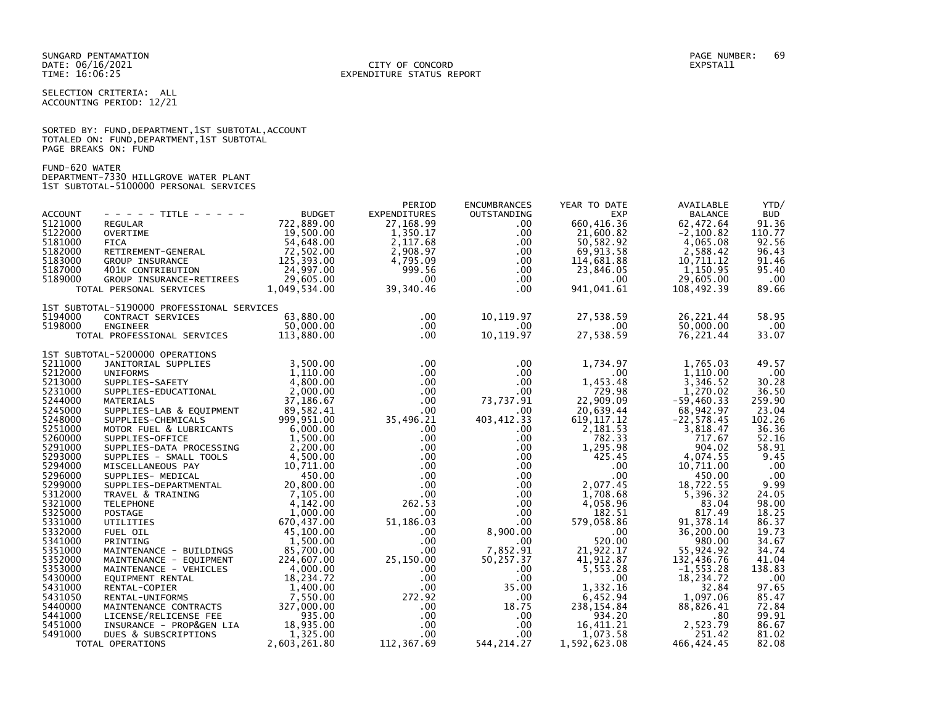SELECTION CRITERIA: ALL ACCOUNTING PERIOD: 12/21

|                      |  |  | SORTED BY: FUND, DEPARTMENT, 1ST SUBTOTAL, ACCOUNT |  |
|----------------------|--|--|----------------------------------------------------|--|
|                      |  |  | TOTALED ON: FUND, DEPARTMENT, 1ST SUBTOTAL         |  |
| PAGE BREAKS ON: FUND |  |  |                                                    |  |

FUND-620 WATER

DEPARTMENT-7330 HILLGROVE WATER PLANT 1ST SUBTOTAL-5100000 PERSONAL SERVICES

|                |                                                                                                                                                                                                                                                        |                                                     | PERIOD                                           | <b>ENCUMBRANCES</b>          | YEAR TO DATE                                                                             | AVAILABLE      | YTD/       |
|----------------|--------------------------------------------------------------------------------------------------------------------------------------------------------------------------------------------------------------------------------------------------------|-----------------------------------------------------|--------------------------------------------------|------------------------------|------------------------------------------------------------------------------------------|----------------|------------|
| <b>ACCOUNT</b> | - - - - - TITLE - - - - -                                                                                                                                                                                                                              | <b>BUDGET</b>                                       | <b>EXPENDITURES</b>                              | OUTSTANDING                  | <b>EXP</b>                                                                               | <b>BALANCE</b> | <b>BUD</b> |
| 5121000        | REGULAR                                                                                                                                                                                                                                                | 722,889.00                                          | 27,168.99                                        | $.00 \,$                     | 660,416.36                                                                               | 62,472.64      | 91.36      |
| 5122000        | <b>CUSETIME<br/>FICA<br/>RETIREMENT-GENERAL<br/>RETIREMENT-GENERAL</b>                                                                                                                                                                                 | 19,500.00                                           | 1,350.17                                         | $.00 \,$                     | 21,600.82                                                                                | $-2,100.82$    | 110.77     |
| 5181000        |                                                                                                                                                                                                                                                        | 54,648.00                                           | 2,117.68                                         | $.00 \,$                     | 50,582.92                                                                                | 4,065.08       | 92.56      |
| 5182000        |                                                                                                                                                                                                                                                        | 72,502.00                                           | 2,908.97                                         | $.00 \,$                     | 69,913.58                                                                                | 2,588.42       | 96.43      |
| 5183000        |                                                                                                                                                                                                                                                        | 125,393.00                                          | 4,795.09                                         | $.00 \,$                     | 114,681.88                                                                               | 10,711.12      | 91.46      |
| 5187000        | GROUP INSURANCE<br>401K CONTRIBUTION                                                                                                                                                                                                                   | 24,997.00                                           | 999.56                                           | $.00 \,$                     | 23,846.05                                                                                | 1,150.95       | 95.40      |
| 5189000        |                                                                                                                                                                                                                                                        | 29,605.00                                           | $.00\,$                                          | $.00 \,$                     | $.00 \,$                                                                                 | 29,605.00      | .00        |
|                | GROUP INSURANCE-RETIREES<br>TOTAL PERSONAL SERVICES                                                                                                                                                                                                    | 1,049,534.00                                        | 39,340.46                                        | $.00 \,$                     | 941,041.61                                                                               | 108,492.39     | 89.66      |
|                |                                                                                                                                                                                                                                                        |                                                     |                                                  |                              |                                                                                          |                |            |
|                | 1ST SUBTOTAL-5190000 PROFESSIONAL SERVICES                                                                                                                                                                                                             |                                                     |                                                  |                              |                                                                                          |                |            |
| 5194000        | CONTRACT SERVICES                                                                                                                                                                                                                                      | 63,880.00                                           | $.00 \,$                                         | 10,119.97                    | 27,538.59                                                                                | 26,221.44      | 58.95      |
| 5198000        | <b>ENGINEER</b>                                                                                                                                                                                                                                        | 50,000.00                                           | $.00 \,$                                         | .00                          | $\sim$ 00                                                                                | 50,000.00      | .00        |
|                | TOTAL PROFESSIONAL SERVICES                                                                                                                                                                                                                            | 113,880.00                                          | $.00 \,$                                         | 10,119.97                    | 27,538.59                                                                                | 76,221.44      | 33.07      |
|                | 1ST SUBTOTAL-5200000 OPERATIONS                                                                                                                                                                                                                        |                                                     |                                                  |                              | 1,734.97<br>.00<br>453.48<br>79.98<br>.09<br>44<br>68,9<br>72<br>.00<br>44<br>72<br>68,9 |                |            |
| 5211000        |                                                                                                                                                                                                                                                        |                                                     | $.00 \,$                                         | $.00 \,$                     |                                                                                          | 1,765.03       | 49.57      |
| 5212000        | JANITORIAL SUPPLIES                                                                                                                                                                                                                                    | 3,500.00<br>1,110.00                                |                                                  |                              |                                                                                          |                |            |
|                | <b>UNIFORMS</b>                                                                                                                                                                                                                                        |                                                     | $.00 \,$                                         | $.00 \,$                     |                                                                                          | 1,110.00       | .00        |
| 5213000        | SUPPLIES-SAFETY                                                                                                                                                                                                                                        | $\begin{array}{r} 4,800.00 \\ 2,000.00 \end{array}$ | $.00 \,$                                         | $.00 \,$                     |                                                                                          | 3,346.52       | 30.28      |
| 5231000        | SUPPLIES-EDUCATIONAL                                                                                                                                                                                                                                   |                                                     | $.00 \,$                                         | $.00 \,$                     |                                                                                          | 1,270.02       | 36.50      |
| 5244000        | 37,186.67<br>SUPPLIES-LAB & EQUIPMENT 37,186.67<br>SUPPLIES-CHEMICALS 39,582.41<br>MOTOR FUEL 8 (1999.951.00                                                                                                                                           |                                                     | $.00 \,$                                         | 73,737.91                    |                                                                                          | $-59,460.33$   | 259.90     |
| 5245000        |                                                                                                                                                                                                                                                        |                                                     | $.00 \,$                                         | $.00 \,$                     |                                                                                          | 68,942.97      | 23.04      |
| 5248000        |                                                                                                                                                                                                                                                        |                                                     | 35,496.21                                        | 403,412.33                   | 619, 117.12                                                                              | $-22, 578.45$  | 102.26     |
| 5251000        | MOTOR FUEL & LUBRICANTS                                                                                                                                                                                                                                | $6,000$<br>$1,500.00$<br>$0,00$                     | $.00 \,$                                         | $.00 \,$                     | 2,181.53                                                                                 | 3,818.47       | 36.36      |
| 5260000        | SUPPLIES-OFFICE                                                                                                                                                                                                                                        |                                                     | $.00 \,$                                         | $.00 \,$                     | 782.33                                                                                   | 717.67         | 52.16      |
| 5291000        |                                                                                                                                                                                                                                                        |                                                     | $.00 \,$                                         | .00                          | 1,295.98                                                                                 | 904.02         | 58.91      |
| 5293000        |                                                                                                                                                                                                                                                        |                                                     | $.00 \,$                                         | .00                          | 425.45                                                                                   | 4,074.55       | 9.45       |
| 5294000        | SUPPLIES-DATA PROCESSING<br>SUPPLIES-DATA PROCESSING<br>SUPPLIES - SMALL TOOLS<br>MISCELLANEOUS PAY<br>10,711.00<br>SUPPLIES - MEDICAL<br>SUPPLIES - MEDICAL<br>450.00<br>SUPPLIES - MEDICAL<br>450.00<br>SUPPLIES - MEDICAL<br>450.00<br>SUPPLIES - M |                                                     | $.00 \,$                                         | $\frac{00}{00}$              | $.00 \,$                                                                                 | 10,711.00      | .00        |
| 5296000        |                                                                                                                                                                                                                                                        |                                                     | .00 <sub>1</sub>                                 |                              | $.00 \,$                                                                                 | 450.00         | .00        |
| 5299000        |                                                                                                                                                                                                                                                        |                                                     | $.00 \,$                                         |                              | $\begin{array}{c} 0.00 \ 0.00 \end{array}$<br>2,077.45                                   | 18,722.55      | 9.99       |
| 5312000        |                                                                                                                                                                                                                                                        |                                                     | $.00\,$                                          | $.00 \,$                     | 1,708.68                                                                                 | 5,396.32       | 24.05      |
| 5321000        |                                                                                                                                                                                                                                                        |                                                     | 262.53                                           | $.00 \,$                     | 4,058.96                                                                                 | 83.04          | 98.00      |
| 5325000        |                                                                                                                                                                                                                                                        |                                                     | $.00 \,$                                         | $.00 \,$                     | 182.51                                                                                   | 817.49         | 18.25      |
| 5331000        |                                                                                                                                                                                                                                                        |                                                     | 51,186.03                                        | 00 .<br>00 .<br>8 , 900 . 00 | 579,058.86                                                                               | 91,378.14      | 86.37      |
| 5332000        | FUEL OIL                                                                                                                                                                                                                                               | 45,100.00                                           | $.00 \,$                                         |                              | .00                                                                                      | 36,200.00      | 19.73      |
| 5341000        | PRINTING                                                                                                                                                                                                                                               | 1,500.00                                            | $.00 \cdot$                                      | $.00 \,$                     | 520.00                                                                                   | 980.00         | 34.67      |
| 5351000        | MAINTENANCE - BUILDINGS<br>MAINTENANCE - EQUIPMENT<br>MAINTENANCE - VEHICLES<br>EQUIPMENT RENTAL<br>EQUIPMENT RENTAL<br>RENTAL-COPIER<br>1,400.00                                                                                                      |                                                     | $.00 \cdot$                                      | 7,852.91                     | 21,922.17                                                                                | 55,924.92      | 34.74      |
| 5352000        |                                                                                                                                                                                                                                                        |                                                     | 25,150.00                                        | 50,257.37                    | 41,912.87                                                                                | 132,436.76     | 41.04      |
| 5353000        |                                                                                                                                                                                                                                                        |                                                     | $.00 \,$                                         | $.00 \,$                     | 5,553.28                                                                                 | $-1,553.28$    | 138.83     |
| 5430000        |                                                                                                                                                                                                                                                        |                                                     | .00                                              | $.00 \,$                     | $.00 \,$                                                                                 | 18,234.72      | .00        |
| 5431000        |                                                                                                                                                                                                                                                        | 1,400.00                                            | .00                                              | 35.00                        | 1,332.16                                                                                 | 32.84          | 97.65      |
| 5431050        |                                                                                                                                                                                                                                                        |                                                     |                                                  |                              | 6,452.94                                                                                 |                |            |
| 5440000        | RENTAL-COPIER<br>RENTAL-UNIFORMS<br>MAINTENANCE CONTRACTS 327,000.00<br>LICENSE/RELICENSE FEE 935.00<br>INSURANCE - PROP&GEN LIA 18,935.00<br>DUES & SUBSCRIPTIONS 2.603.261.80                                                                        |                                                     | $272.92$<br>.00                                  | $.00\,$                      |                                                                                          | 1,097.06       | 85.47      |
|                |                                                                                                                                                                                                                                                        |                                                     |                                                  | 18.75                        | 238, 154.84                                                                              | 88,826.41      | 72.84      |
| 5441000        |                                                                                                                                                                                                                                                        |                                                     | $\begin{array}{r} .00\ 00\ 00\ .69\ \end{array}$ | $.00 \,$                     | 934.20                                                                                   | .80            | 99.91      |
| 5451000        |                                                                                                                                                                                                                                                        |                                                     |                                                  | $.00 \,$                     | 16,411.21                                                                                | 2,523.79       | 86.67      |
| 5491000        |                                                                                                                                                                                                                                                        |                                                     |                                                  | $.00 \,$                     | 1,073.58                                                                                 | 251.42         | 81.02      |
|                | TOTAL OPERATIONS                                                                                                                                                                                                                                       | 2,603,261.80                                        | 112,367.69                                       | 544, 214. 27                 | 1,592,623.08                                                                             | 466, 424.45    | 82.08      |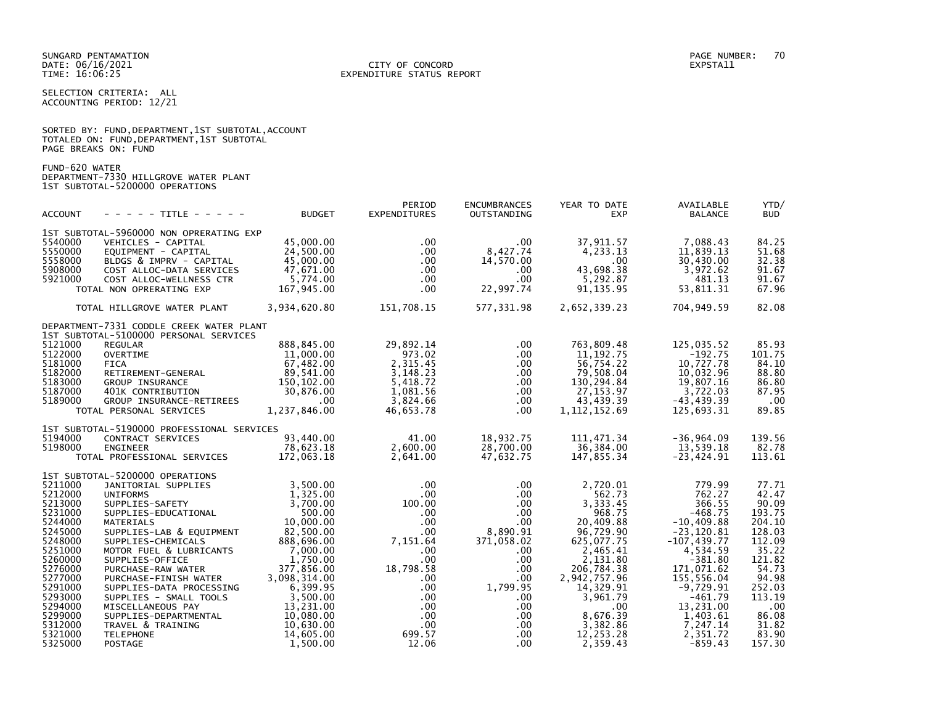#### DATE: 06/16/2021 CITY OF CONCORD EXPSTA11 TIME: 16:06:25 EXPENDITURE STATUS REPORT

SELECTION CRITERIA: ALL ACCOUNTING PERIOD: 12/21

|                      | SORTED BY: FUND, DEPARTMENT, 1ST SUBTOTAL, ACCOUNT |  |  |
|----------------------|----------------------------------------------------|--|--|
|                      | TOTALED ON: FUND,DEPARTMENT,1ST SUBTOTAL           |  |  |
| PAGE BREAKS ON: FUND |                                                    |  |  |

FUND-620 WATER DEPARTMENT-7330 HILLGROVE WATER PLANT

1ST SUBTOTAL-5200000 OPERATIONS

| <b>ACCOUNT</b>     | - - - - - TITLE - - - - -                                | <b>BUDGET</b>        | PERIOD<br><b>EXPENDITURES</b>    | <b>ENCUMBRANCES</b><br>OUTSTANDING | YEAR TO DATE<br><b>EXP</b> | AVAILABLE<br><b>BALANCE</b> | YTD/<br><b>BUD</b> |
|--------------------|----------------------------------------------------------|----------------------|----------------------------------|------------------------------------|----------------------------|-----------------------------|--------------------|
|                    | 1ST SUBTOTAL-5960000 NON OPRERATING EXP                  |                      |                                  |                                    |                            |                             |                    |
| 5540000            | VEHICLES - CAPITAL                                       | 45,000.00            | $.00 \,$                         | $.00 \,$                           | 37,911.57                  | 7,088.43                    | 84.25              |
| 5550000            | EOUIPMENT - CAPITAL                                      | 24,500.00            | $.00 \,$                         | 8,427.74                           | 4,233.13                   | 11,839.13                   | 51.68              |
| 5558000            | BLDGS & IMPRV - CAPITAL                                  | 45,000.00            | $.00 \,$                         | 14,570.00                          | $.00 \,$                   | 30,430.00                   | 32.38              |
| 5908000            | COST ALLOC-DATA SERVICES                                 | 47,671.00            | $.00 \,$                         | $.00 \,$                           | 43,698.38                  | 3,972.62                    | 91.67              |
| 5921000            | COST ALLOC-WELLNESS CTR                                  | 5,774.00             | .00 <sub>1</sub>                 | $.00 \,$                           | 5,292.87                   | 481.13                      | 91.67              |
|                    | TOTAL NON OPRERATING EXP                                 | 167,945.00           | .00 <sub>1</sub>                 | 22,997.74                          | 91, 135.95                 | 53,811.31                   | 67.96              |
|                    | TOTAL HILLGROVE WATER PLANT                              | 3,934,620.80         | 151,708.15                       | 577,331.98                         | 2,652,339.23               | 704,949.59                  | 82.08              |
|                    | DEPARTMENT-7331 CODDLE CREEK WATER PLANT                 |                      |                                  |                                    |                            |                             |                    |
| 5121000            | 1ST SUBTOTAL-5100000 PERSONAL SERVICES<br><b>REGULAR</b> | 888,845.00           | 29,892.14                        | $.00 \,$                           | 763,809.48                 | 125,035.52                  | 85.93              |
| 5122000            | OVERTIME                                                 | 11,000.00            | 973.02                           | $.00 \,$                           | 11, 192. 75                | $-192.75$                   | 101.75             |
| 5181000            | FICA                                                     | 67,482.00            | 2,315.45                         | $.00 \,$                           | 56,754.22                  | 10,727.78                   | 84.10              |
| 5182000            | RETIREMENT-GENERAL                                       | 89,541.00            | 3,148.23                         | $.00 \,$                           | 79,508.04                  | 10,032.96                   | 88.80              |
| 5183000            | GROUP INSURANCE                                          | 150,102.00           | 5,418.72                         | $.00 \,$                           | 130, 294.84                | 19,807.16                   | 86.80              |
| 5187000            | 401K CONTRIBUTION                                        | 30.876.00            | 1,081.56                         | $.00 \,$                           | 27, 153.97                 | 3,722.03                    | 87.95              |
| 5189000            | GROUP INSURANCE-RETIREES                                 | .00                  | 3,824.66                         | $.00 \,$                           | 43,439.39                  | $-43, 439.39$               | .00                |
|                    | TOTAL PERSONAL SERVICES                                  | 1,237,846.00         | 46,653.78                        | $.00 \,$                           | 1, 112, 152.69             | 125,693.31                  | 89.85              |
|                    | 1ST SUBTOTAL-5190000 PROFESSIONAL SERVICES               |                      |                                  |                                    |                            |                             |                    |
| 5194000            | CONTRACT SERVICES                                        | 93,440.00            | 41.00                            | 18,932.75                          | 111.471.34                 | $-36, 964.09$               | 139.56             |
| 5198000            | ENGINEER                                                 | 78,623.18            | 2,600.00                         | 28,700.00                          | 36,384.00                  | 13,539.18                   | 82.78              |
|                    | TOTAL PROFESSIONAL SERVICES                              | 172,063.18           | 2,641.00                         | 47,632.75                          | 147,855.34                 | $-23,424.91$                | 113.61             |
|                    | 1ST SUBTOTAL-5200000 OPERATIONS                          |                      |                                  |                                    |                            |                             |                    |
| 5211000            | JANITORIAL SUPPLIES                                      | 3,500.00             | $.00 \,$                         | $.00 \,$                           | 2,720.01                   | 779.99                      | 77.71              |
| 5212000            | <b>UNIFORMS</b>                                          | 1,325.00             | $.00 \times$                     | $.00 \,$                           | 562.73                     | 762.27                      | 42.47              |
| 5213000            | SUPPLIES-SAFETY                                          | 3,700.00             | 100.00                           | $.00 \,$                           | 3,333.45                   | 366.55                      | 90.09              |
| 5231000<br>5244000 | SUPPLIES-EDUCATIONAL<br><b>MATERIALS</b>                 | 500.00<br>10,000.00  | $.00 \times$<br>.00 <sub>1</sub> | $.00 \,$<br>.00                    | 968.75<br>20,409.88        | $-468.75$<br>$-10.409.88$   | 193.75<br>204.10   |
| 5245000            | SUPPLIES-LAB & EQUIPMENT                                 | 82,500.00            | $.00 \,$                         | 8,890.91                           | 96,729.90                  | $-23, 120.81$               | 128.03             |
| 5248000            | SUPPLIES-CHEMICALS                                       | 888,696.00           | 7,151.64                         | 371,058.02                         | 625,077.75                 | $-107, 439.77$              | 112.09             |
| 5251000            | MOTOR FUEL & LUBRICANTS                                  | 7,000.00             | $.00 \,$                         | $.00 \,$                           | 2,465.41                   | 4,534.59                    | 35.22              |
| 5260000            | SUPPLIES-OFFICE                                          | 1,750.00             | $.00 \,$                         | $.00 \,$                           | 2.131.80                   | $-381.80$                   | 121.82             |
| 5276000            | PURCHASE-RAW WATER                                       | 377,856.00           | 18,798.58                        | $.00 \,$                           | 206,784.38                 | 171,071.62                  | 54.73              |
| 5277000            | PURCHASE-FINISH WATER                                    | 3,098,314.00         | $.00 \times$                     | .00                                | 2,942,757.96               | 155,556.04                  | 94.98              |
| 5291000<br>5293000 | SUPPLIES-DATA PROCESSING                                 | 6,399.95<br>3,500.00 | $.00 \,$<br>$.00 \ \,$           | 1,799.95                           | 14,329.91<br>3,961.79      | $-9,729.91$<br>$-461.79$    | 252.03<br>113.19   |
| 5294000            | SUPPLIES - SMALL TOOLS<br>MISCELLANEOUS PAY              | 13,231.00            | $.00 \,$                         | $.00 \,$<br>$.00 \,$               | $.00 \,$                   | 13,231.00                   | .00                |
| 5299000            | SUPPLIES-DEPARTMENTAL                                    | 10,080.00            | $.00 \,$                         | $.00 \,$                           | 8,676.39                   | 1,403.61                    | 86.08              |
| 5312000            | TRAVEL & TRAINING                                        | 10,630.00            | $.00 \,$                         | $.00 \,$                           | 3,382.86                   | 7,247.14                    | 31.82              |
| 5321000            | <b>TELEPHONE</b>                                         | 14,605.00            | 699.57                           | $.00 \,$                           | 12,253.28                  | 2,351.72                    | 83.90              |
| 5325000            | <b>POSTAGE</b>                                           | 1,500.00             | 12.06                            | $.00 \cdot$                        | 2,359.43                   | $-859.43$                   | 157.30             |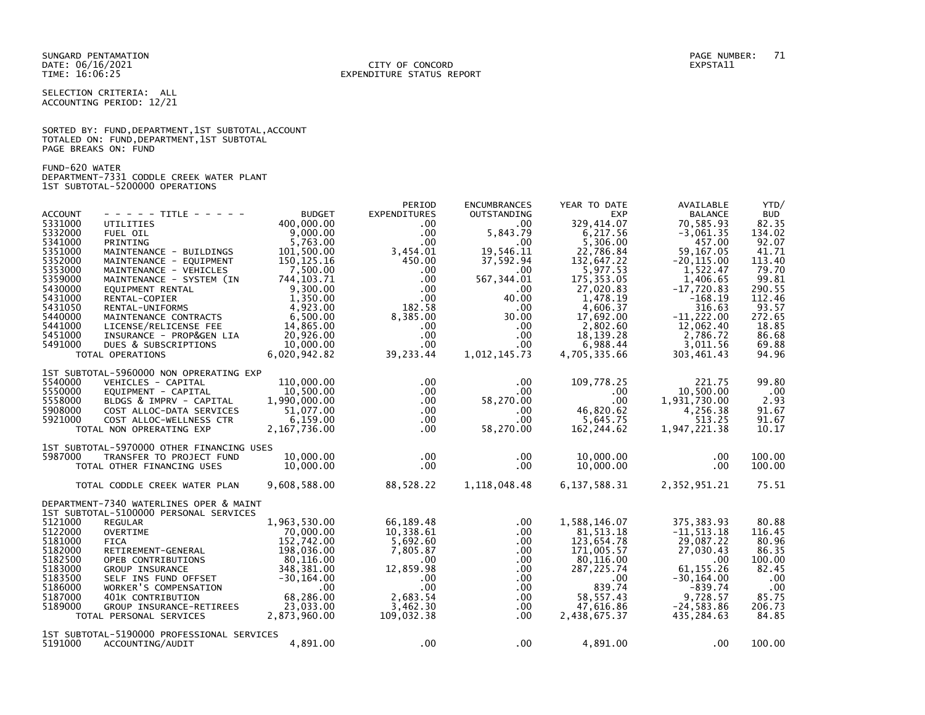SUNGARD PENTAMATION PAGE NUMBER: 71 DATE: 06/16/2021<br>TIME: 16:06:25

# EXPENDITURE STATUS REPORT

SELECTION CRITERIA: ALL ACCOUNTING PERIOD: 12/21

SORTED BY: FUND, DEPARTMENT, 1ST SUBTOTAL, ACCOUNT TOTALED ON: FUND,DEPARTMENT,1ST SUBTOTAL PAGE BREAKS ON: FUND

FUND-620 WATER DEPARTMENT-7331 CODDLE CREEK WATER PLANT 1ST SUBTOTAL-5200000 OPERATIONS

| <b>ACCOUNT</b><br>5331000<br>5332000<br>5341000                                                            | - - - - - TITLE - - - - -<br>UTILITIES<br>FUEL OIL<br>PRINTING                                                                                                                                                           | <b>BUDGET</b><br>400,000,00<br>9,000.00<br>5,763.00                                                                                | PERIOD<br><b>EXPENDITURES</b><br>.00.<br>$.00 \,$<br>.00 <sub>1</sub>                                                  | <b>ENCUMBRANCES</b><br><b>OUTSTANDING</b><br>$.00 \cdot$<br>5,843.79<br>.00                                             | YEAR TO DATE<br><b>EXP</b><br>329.414.07<br>6,217.56<br>5,306.00                                                                   | AVAILABLE<br><b>BALANCE</b><br>70,585.93<br>$-3,061.35$<br>457.00                                                                     | YTD/<br><b>BUD</b><br>82.35<br>134.02<br>92.07                                        |
|------------------------------------------------------------------------------------------------------------|--------------------------------------------------------------------------------------------------------------------------------------------------------------------------------------------------------------------------|------------------------------------------------------------------------------------------------------------------------------------|------------------------------------------------------------------------------------------------------------------------|-------------------------------------------------------------------------------------------------------------------------|------------------------------------------------------------------------------------------------------------------------------------|---------------------------------------------------------------------------------------------------------------------------------------|---------------------------------------------------------------------------------------|
| 5351000<br>5352000<br>5353000<br>5359000<br>5430000                                                        | MAINTENANCE - BUILDINGS<br>MAINTENANCE - EQUIPMENT<br>MAINTENANCE - VEHICLES<br>MAINTENANCE - SYSTEM (IN<br>EQUIPMENT RENTAL                                                                                             | 101,500.00<br>150, 125. 16<br>7.500.00<br>744, 103. 71<br>9.300.00                                                                 | 3,454.01<br>450.00<br>$.00 \times$<br>.00<br>$.00 \,$                                                                  | 19,546.11<br>37,592.94<br>.00 <sub>1</sub><br>567, 344.01<br>$.00 \,$                                                   | 22.786.84<br>132,647.22<br>5.977.53<br>175, 353.05<br>27,020.83                                                                    | 59.167.05<br>$-20, 115.00$<br>1.522.47<br>1,406.65<br>$-17,720.83$                                                                    | 41.71<br>113.40<br>79.70<br>99.81<br>290.55                                           |
| 5431000<br>5431050<br>5440000<br>5441000<br>5451000                                                        | RENTAL-COPIER<br>RENTAL-UNIFORMS<br>MAINTENANCE CONTRACTS<br>LICENSE/RELICENSE FEE<br>INSURANCE - PROP&GEN LIA                                                                                                           | 1,350.00<br>4.923.00<br>6,500.00<br>14.865.00<br>20,926.00                                                                         | $.00 \,$<br>182.58<br>8,385.00<br>$.00 \,$<br>$.00 \,$                                                                 | 40.00<br>$.00 \,$<br>30.00<br>$.00 \,$<br>$.00 \,$                                                                      | 1,478.19<br>4.606.37<br>17,692.00<br>2.802.60<br>18.139.28                                                                         | $-168.19$<br>316.63<br>$-11,222.00$<br>12.062.40<br>2.786.72                                                                          | 112.46<br>93.57<br>272.65<br>18.85<br>86.68                                           |
| 5491000                                                                                                    | DUES & SUBSCRIPTIONS<br>TOTAL OPERATIONS                                                                                                                                                                                 | 10.000.00<br>6,020,942.82                                                                                                          | $.00 \,$<br>39,233.44                                                                                                  | $.00 \,$<br>1,012,145.73                                                                                                | 6,988.44<br>4,705,335.66                                                                                                           | 3,011.56<br>303,461.43                                                                                                                | 69.88<br>94.96                                                                        |
| 5540000<br>5550000<br>5558000<br>5908000<br>5921000                                                        | 1ST SUBTOTAL-5960000 NON OPRERATING EXP<br>VEHICLES - CAPITAL<br>EQUIPMENT - CAPITAL<br>BLDGS & IMPRV - CAPITAL<br>COST ALLOC-DATA SERVICES<br>COST ALLOC-WELLNESS CTR<br>TOTAL NON OPRERATING EXP                       | 110,000.00<br>10,500.00<br>1,990,000.00<br>51,077.00<br>6,159.00<br>2, 167, 736.00                                                 | $.00 \,$<br>$.00 \,$<br>$.00 \,$<br>$.00 \,$<br>$.00 \,$<br>.00                                                        | .00<br>.00 <sub>1</sub><br>58,270.00<br>$.00 \,$<br>$.00 \,$<br>58,270.00                                               | 109,778.25<br>.00<br>$.00 \times$<br>46,820.62<br>5,645.75<br>162,244.62                                                           | 221.75<br>10,500.00<br>1,931,730.00<br>4.256.38<br>513.25<br>1,947,221.38                                                             | 99.80<br>.00<br>2.93<br>91.67<br>91.67<br>10.17                                       |
| 5987000                                                                                                    | 1ST SUBTOTAL-5970000 OTHER FINANCING USES<br>TRANSFER TO PROJECT FUND<br>TOTAL OTHER FINANCING USES                                                                                                                      | 10,000,00<br>10,000.00                                                                                                             | $.00 \,$<br>$.00 \,$                                                                                                   | $.00 \,$<br>$.00 \,$                                                                                                    | 10,000.00<br>10,000.00                                                                                                             | .00<br>.00                                                                                                                            | 100.00<br>100.00                                                                      |
|                                                                                                            | TOTAL CODDLE CREEK WATER PLAN                                                                                                                                                                                            | 9,608,588.00                                                                                                                       | 88,528.22                                                                                                              | 1,118,048.48                                                                                                            | 6,137,588.31                                                                                                                       | 2,352,951.21                                                                                                                          | 75.51                                                                                 |
|                                                                                                            | DEPARTMENT-7340 WATERLINES OPER & MAINT<br>1ST SUBTOTAL-5100000 PERSONAL SERVICES                                                                                                                                        |                                                                                                                                    |                                                                                                                        |                                                                                                                         |                                                                                                                                    |                                                                                                                                       |                                                                                       |
| 5121000<br>5122000<br>5181000<br>5182000<br>5182500<br>5183000<br>5183500<br>5186000<br>5187000<br>5189000 | <b>REGULAR</b><br><b>OVERTIME</b><br><b>FICA</b><br>RETIREMENT-GENERAL<br>OPEB CONTRIBUTIONS<br>GROUP INSURANCE<br>SELF INS FUND OFFSET<br>WORKER'S COMPENSATION<br>401K CONTRIBUTION<br><b>GROUP INSURANCE-RETIREES</b> | 1,963,530.00<br>70,000,00<br>152,742.00<br>198,036.00<br>80,116.00<br>348,381.00<br>$-30, 164.00$<br>.00<br>68,286.00<br>23.033.00 | 66.189.48<br>10.338.61<br>5,692.60<br>7.805.87<br>.00<br>12.859.98<br>$.00 \,$<br>$.00 \times$<br>2,683.54<br>3.462.30 | $.00 \,$<br>$.00 \cdot$<br>$.00 \,$<br>$.00 \,$<br>$.00 \,$<br>$.00 \,$<br>$.00 \,$<br>$.00 \,$<br>$.00 \,$<br>$.00 \,$ | 1.588.146.07<br>81.513.18<br>123,654.78<br>171,005.57<br>80,116.00<br>287, 225.74<br>$.00 \,$<br>839.74<br>58, 557.43<br>47.616.86 | 375, 383.93<br>$-11, 513.18$<br>29,087.22<br>27,030.43<br>.00<br>61, 155.26<br>$-30, 164.00$<br>$-839.74$<br>9,728.57<br>$-24.583.86$ | 80.88<br>116.45<br>80.96<br>86.35<br>100.00<br>82.45<br>.00<br>.00<br>85.75<br>206.73 |
|                                                                                                            | TOTAL PERSONAL SERVICES<br>1ST SUBTOTAL-5190000 PROFESSIONAL SERVICES                                                                                                                                                    | 2,873,960.00                                                                                                                       | 109,032.38                                                                                                             | $.00 \,$                                                                                                                | 2,438,675.37                                                                                                                       | 435,284.63                                                                                                                            | 84.85                                                                                 |
| 5191000                                                                                                    | ACCOUNTING/AUDIT                                                                                                                                                                                                         | 4,891.00                                                                                                                           | $.00 \times$                                                                                                           | $.00 \,$                                                                                                                | 4,891.00                                                                                                                           | .00                                                                                                                                   | 100.00                                                                                |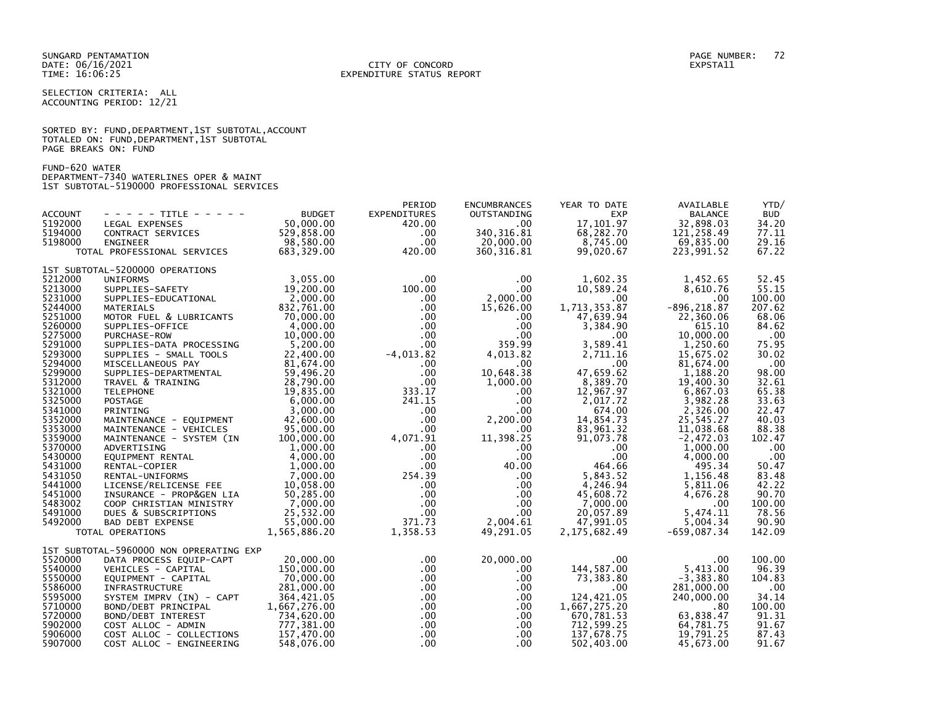SELECTION CRITERIA: ALL ACCOUNTING PERIOD: 12/21

|                      |  |  | SORTED BY: FUND, DEPARTMENT, 1ST SUBTOTAL, ACCOUNT |  |
|----------------------|--|--|----------------------------------------------------|--|
|                      |  |  | TOTALED ON: FUND, DEPARTMENT, 1ST SUBTOTAL         |  |
| PAGE BREAKS ON: FUND |  |  |                                                    |  |

FUND-620 WATER DEPARTMENT-7340 WATERLINES OPER & MAINT 1ST SUBTOTAL-5190000 PROFESSIONAL SERVICES

|                    |                                                |                          | PERIOD               | <b>ENCUMBRANCES</b>  | YEAR TO DATE             | AVAILABLE              | YTD/           |
|--------------------|------------------------------------------------|--------------------------|----------------------|----------------------|--------------------------|------------------------|----------------|
| <b>ACCOUNT</b>     | - - - - - TITLE - - - - -                      | <b>BUDGET</b>            | <b>EXPENDITURES</b>  | OUTSTANDING          | <b>EXP</b>               | <b>BALANCE</b>         | <b>BUD</b>     |
| 5192000            | LEGAL EXPENSES                                 | 50,000.00                | 420.00               | $.00 \,$             | 17,101.97                | 32,898.03              | 34.20          |
| 5194000            | CONTRACT SERVICES                              | 529,858.00               | .00                  | 340, 316.81          | 68,282.70                | 121,258.49             | 77.11          |
| 5198000            | <b>ENGINEER</b>                                | 98,580.00                | $.00 \times$         | 20,000.00            | 8,745.00                 | 69,835.00              | 29.16          |
|                    | TOTAL PROFESSIONAL SERVICES                    | 683,329.00               | 420.00               | 360, 316.81          | 99,020.67                | 223,991.52             | 67.22          |
|                    | 1ST SUBTOTAL-5200000 OPERATIONS                |                          |                      |                      |                          |                        |                |
| 5212000            | <b>UNIFORMS</b>                                | 3.055.00                 | $.00 \,$             | $.00 \,$             | 1,602.35                 | 1,452.65               | 52.45          |
| 5213000            | SUPPLIES-SAFETY                                | 19,200.00                | 100.00               | $.00 \,$             | 10,589.24                | 8,610.76               | 55.15          |
| 5231000            | SUPPLIES-EDUCATIONAL                           | 2.000.00                 | $.00 \,$             | 2,000.00             | $.00 \ \,$               | .00                    | 100.00         |
| 5244000            | MATERIALS                                      | 832,761.00               | $.00 \,$             | 15,626.00            | 1,713,353.87             | $-896, 218.87$         | 207.62         |
| 5251000            | MOTOR FUEL & LUBRICANTS                        | 70,000.00                | $.00 \,$             | $.00 \,$             | 47,639.94                | 22,360.06              | 68.06          |
| 5260000            | SUPPLIES-OFFICE                                | 4.000.00                 | $.00 \cdot$          | $.00 \,$             | 3,384.90                 | 615.10                 | 84.62          |
| 5275000            | PURCHASE-ROW                                   | 10,000.00                | $.00 \ \,$           | $.00 \,$<br>359.99   | $.00 \,$                 | 10,000.00              | .00            |
| 5291000<br>5293000 | SUPPLIES-DATA PROCESSING                       | 5,200.00                 | $.00 \,$             |                      | 3,589.41                 | 1,250.60               | 75.95          |
| 5294000            | SUPPLIES - SMALL TOOLS<br>MISCELLANEOUS PAY    | 22,400.00<br>81,674.00   | $-4,013.82$          | 4,013.82<br>$.00 \,$ | 2,711.16<br>$.00 \,$     | 15,675.02<br>81,674.00 | 30.02<br>.00   |
| 5299000            | SUPPLIES-DEPARTMENTAL                          | 59,496.20                | $.00 \,$<br>$.00 \,$ | 10,648.38            | 47,659.62                | 1,188.20               | 98.00          |
| 5312000            | TRAVEL & TRAINING                              | 28,790.00                | $.00 \,$             | 1,000.00             | 8,389.70                 | 19,400.30              | 32.61          |
| 5321000            | <b>TELEPHONE</b>                               | 19,835.00                | 333.17               | $.00 \,$             | 12,967.97                | 6,867.03               | 65.38          |
| 5325000            | <b>POSTAGE</b>                                 | 6,000.00                 | 241.15               | $.00 \,$             | 2,017.72                 | 3,982.28               | 33.63          |
| 5341000            | PRINTING                                       | 3,000.00                 | $.00 \cdot$          | $.00 \,$             | 674.00                   | 2,326.00               | 22.47          |
| 5352000            | MAINTENANCE - EQUIPMENT                        | 42,600.00                | $.00 \cdot$          | 2,200.00             | 14,854.73                | 25,545.27              | 40.03          |
| 5353000            | MAINTENANCE - VEHICLES                         | 95,000.00                | $.00 \cdot$          | $.00 \,$             | 83,961.32                | 11,038.68              | 88.38          |
| 5359000            | MAINTENANCE - SYSTEM (IN                       | 100,000.00               | 4,071.91             | 11,398.25            | 91,073.78                | $-2,472.03$            | 102.47         |
| 5370000            | ADVERTISING                                    | 1.000.00                 | $.00 \cdot$          | .00                  | .00                      | 1.000.00               | .00            |
| 5430000            | EQUIPMENT RENTAL                               | 4,000.00                 | $.00 \cdot$          | $.00 \,$             | .00                      | 4,000.00               | .00            |
| 5431000            | RENTAL-COPIER                                  | 1.000.00                 | .00 <sub>1</sub>     | 40.00                | 464.66                   | 495.34                 | 50.47          |
| 5431050            | RENTAL-UNIFORMS                                | 7,000.00                 | 254.39               | $.00 \,$             | 5,843.52                 | 1,156.48               | 83.48          |
| 5441000            | LICENSE/RELICENSE FEE                          | 10,058.00                | $.00 \,$             | $.00 \,$             | 4,246.94                 | 5,811.06               | 42.22          |
| 5451000            | INSURANCE - PROP&GEN LIA                       | 50,285.00                | $.00 \,$             | $.00 \,$             | 45,608.72                | 4,676.28               | 90.70          |
| 5483002            | COOP CHRISTIAN MINISTRY                        | 7,000.00                 | $.00 \,$             | $.00 \,$             | 7,000.00                 | .00                    | 100.00         |
| 5491000            | DUES & SUBSCRIPTIONS                           | 25,532.00                | $.00 \,$             | $.00 \,$             | 20,057.89                | 5,474.11               | 78.56          |
| 5492000            | BAD DEBT EXPENSE                               | 55,000,00                | 371.73               | 2,004.61             | 47,991.05                | 5,004.34               | 90.90          |
|                    | TOTAL OPERATIONS                               | 1,565,886.20             | 1,358.53             | 49,291.05            | 2,175,682.49             | $-659,087.34$          | 142.09         |
|                    | 1ST SUBTOTAL-5960000 NON OPRERATING EXP        |                          |                      |                      |                          |                        |                |
| 5520000            | DATA PROCESS EQUIP-CAPT                        | 20,000.00                | $.00 \,$             | 20,000.00            | .00                      | .00.                   | 100.00         |
| 5540000            | VEHICLES - CAPITAL                             | 150,000.00               | $.00 \,$             | $.00 \,$             | 144,587.00               | 5,413.00               | 96.39          |
| 5550000            | EQUIPMENT - CAPITAL                            | 70,000.00                | $.00 \cdot$          | $.00 \,$             | 73,383.80                | $-3,383.80$            | 104.83         |
| 5586000            | INFRASTRUCTURE                                 | 281,000.00               | $.00 \ \,$           | .00.                 | .00                      | 281,000.00             | .00            |
| 5595000            | SYSTEM IMPRV (IN) - CAPT                       | 364,421.05               | $.00 \cdot$          | $.00 \,$             | 124,421.05               | 240,000.00             | 34.14          |
| 5710000            | BOND/DEBT PRINCIPAL                            | 1,667,276.00             | $.00 \ \,$           | $.00 \,$             | 1,667,275.20             | .80                    | 100.00         |
| 5720000<br>5902000 | BOND/DEBT INTEREST                             | 734,620.00<br>777,381.00 | $.00 \,$             | $.00 \,$             | 670,781.53<br>712,599.25 | 63,838.47<br>64,781.75 | 91.31<br>91.67 |
| 5906000            | COST ALLOC - ADMIN<br>COST ALLOC - COLLECTIONS | 157,470.00               | .00<br>$.00 \cdot$   | $.00 \,$<br>$.00 \,$ | 137,678.75               | 19,791.25              | 87.43          |
| 5907000            | COST ALLOC - ENGINEERING                       | 548,076.00               | $.00 \,$             | $.00 \,$             | 502,403.00               | 45,673.00              | 91.67          |
|                    |                                                |                          |                      |                      |                          |                        |                |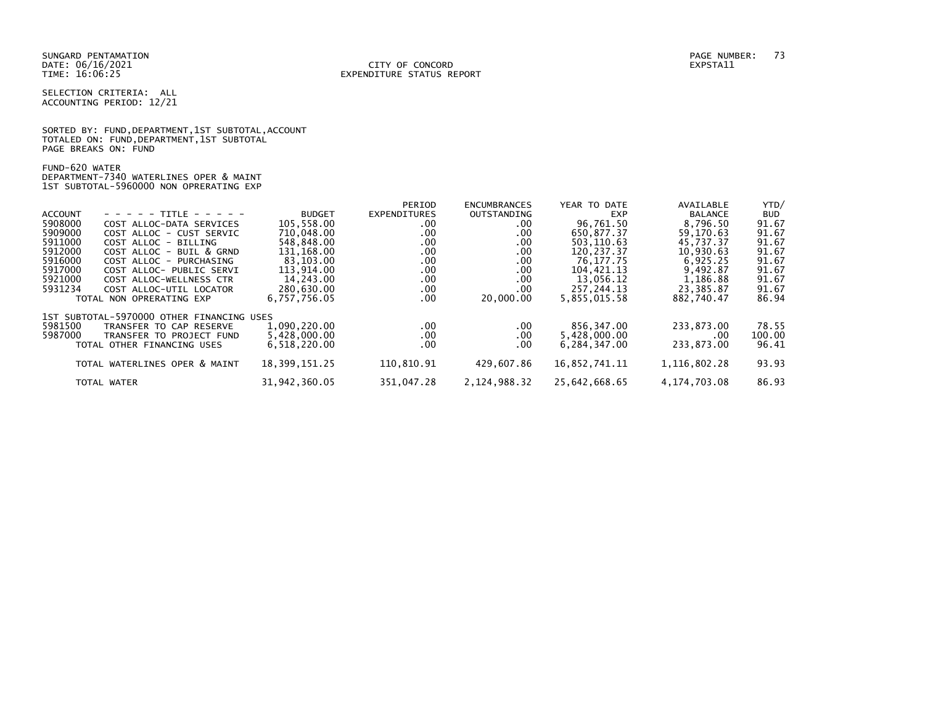SELECTION CRITERIA: ALL ACCOUNTING PERIOD: 12/21

SORTED BY: FUND, DEPARTMENT, 1ST SUBTOTAL, ACCOUNT TOTALED ON: FUND,DEPARTMENT,1ST SUBTOTAL PAGE BREAKS ON: FUND

FUND-620 WATER DEPARTMENT-7340 WATERLINES OPER & MAINT 1ST SUBTOTAL-5960000 NON OPRERATING EXP

|                |                                           |                  | PERIOD              | <b>ENCUMBRANCES</b> | YEAR TO DATE  | AVAILABLE       | YTD/       |
|----------------|-------------------------------------------|------------------|---------------------|---------------------|---------------|-----------------|------------|
| <b>ACCOUNT</b> | - - - - - TITLE - - - - -                 | <b>BUDGET</b>    | <b>EXPENDITURES</b> | OUTSTANDING         | <b>EXP</b>    | <b>BALANCE</b>  | <b>BUD</b> |
| 5908000        | COST ALLOC-DATA SERVICES                  | 105,558.00       | .00                 | .00                 | 96,761.50     | 8,796.50        | 91.67      |
| 5909000        | COST ALLOC - CUST SERVIC                  | 710,048.00       | .00                 | .00.                | 650,877.37    | 59,170.63       | 91.67      |
| 5911000        | COST ALLOC - BILLING                      | 548.848.00       | .00                 | .00.                | 503.110.63    | 45.737.37       | 91.67      |
| 5912000        | COST ALLOC - BUIL & GRND                  | 131,168.00       | .00                 | .00.                | 120,237.37    | 10,930.63       | 91.67      |
| 5916000        | COST ALLOC - PURCHASING                   | 83,103.00        | .00                 | .00.                | 76,177.75     | 6,925.25        | 91.67      |
| 5917000        | COST ALLOC- PUBLIC SERVI                  | 113.914.00       | .00                 | .00.                | 104.421.13    | 9.492.87        | 91.67      |
| 5921000        | COST ALLOC-WELLNESS CTR                   | 14,243.00        | .00                 | .00.                | 13,056.12     | 1.186.88        | 91.67      |
| 5931234        | COST ALLOC-UTIL LOCATOR                   | 280,630.00       | .00                 | .00.                | 257, 244. 13  | 23,385.87       | 91.67      |
|                | TOTAL NON OPRERATING EXP                  | 6,757,756.05     | .00                 | 20,000,00           | 5,855,015.58  | 882.740.47      | 86.94      |
|                | 1ST SUBTOTAL-5970000 OTHER FINANCING USES |                  |                     |                     |               |                 |            |
| 5981500        | TRANSFER TO CAP RESERVE                   | 1,090,220.00     | $.00 \,$            | .00.                | 856,347.00    | 233.873.00      | 78.55      |
| 5987000        | TRANSFER TO PROJECT FUND                  | 5,428,000.00     | .00                 | .00                 | 5,428,000.00  | .00             | 100.00     |
|                | TOTAL OTHER FINANCING USES                | 6,518,220.00     | .00                 | .00                 | 6.284.347.00  | 233.873.00      | 96.41      |
|                | TOTAL WATERLINES OPER & MAINT             | 18, 399, 151. 25 | 110,810.91          | 429,607.86          | 16,852,741.11 | 1, 116, 802. 28 | 93.93      |
|                |                                           |                  |                     |                     |               |                 |            |
|                | TOTAL WATER                               | 31,942,360.05    | 351,047.28          | 2, 124, 988. 32     | 25,642,668.65 | 4, 174, 703.08  | 86.93      |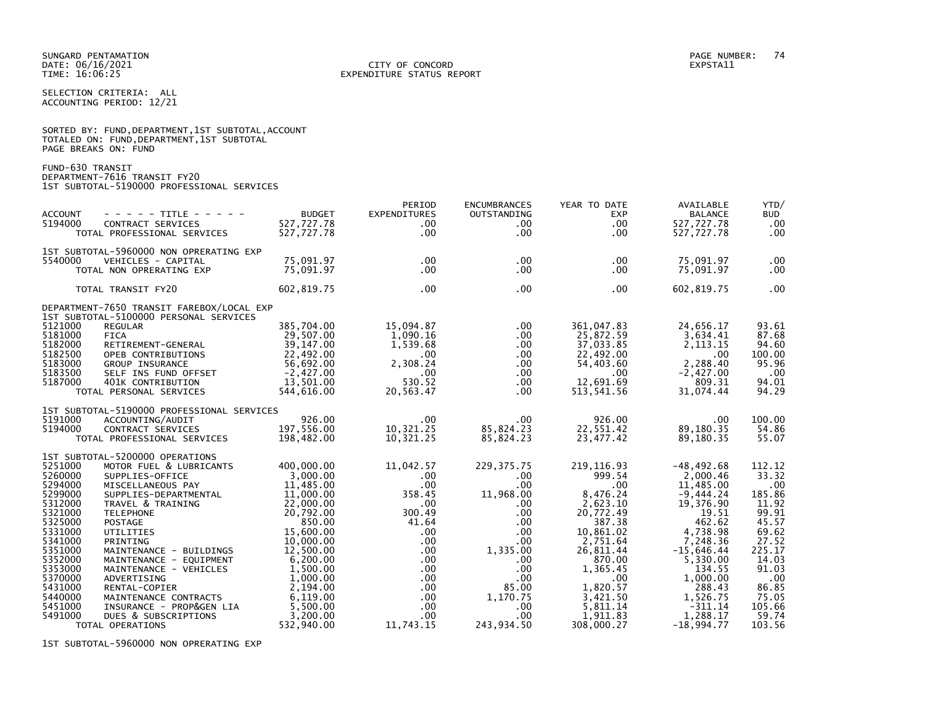SELECTION CRITERIA: ALL ACCOUNTING PERIOD: 12/21

|                      | SORTED BY: FUND, DEPARTMENT, 1ST SUBTOTAL, ACCOUNT |  |
|----------------------|----------------------------------------------------|--|
|                      | TOTALED ON: FUND,DEPARTMENT,1ST SUBTOTAL           |  |
| PAGE BREAKS ON: FUND |                                                    |  |

FUND-630 TRANSIT DEPARTMENT-7616 TRANSIT FY20 1ST SUBTOTAL-5190000 PROFESSIONAL SERVICES

| <b>ACCOUNT</b><br>5194000                                                                                                                                                               | $- - - - -$ TITLE - - - - -<br>CONTRACT SERVICES<br>TOTAL PROFESSIONAL SERVICES                                                                                                                                                                                                                                                                                                                                           | <b>BUDGET</b><br>527,727.78<br>527,727.78                                                                                                                                                                                     | PERIOD<br><b>EXPENDITURES</b><br>.00<br>$.00 \,$                                                                                                                                                                   | <b>ENCUMBRANCES</b><br><b>OUTSTANDING</b><br>.00<br>$.00 \,$                                                                                                                    | YEAR TO DATE<br><b>EXP</b><br>$.00 \,$<br>$.00 \,$                                                                                                                                                                | AVAILABLE<br><b>BALANCE</b><br>527,727.78<br>527,727.78                                                                                                                                                                        | YTD/<br><b>BUD</b><br>$.00 \,$<br>.00                                                                                                                           |
|-----------------------------------------------------------------------------------------------------------------------------------------------------------------------------------------|---------------------------------------------------------------------------------------------------------------------------------------------------------------------------------------------------------------------------------------------------------------------------------------------------------------------------------------------------------------------------------------------------------------------------|-------------------------------------------------------------------------------------------------------------------------------------------------------------------------------------------------------------------------------|--------------------------------------------------------------------------------------------------------------------------------------------------------------------------------------------------------------------|---------------------------------------------------------------------------------------------------------------------------------------------------------------------------------|-------------------------------------------------------------------------------------------------------------------------------------------------------------------------------------------------------------------|--------------------------------------------------------------------------------------------------------------------------------------------------------------------------------------------------------------------------------|-----------------------------------------------------------------------------------------------------------------------------------------------------------------|
| 5540000                                                                                                                                                                                 | 1ST SUBTOTAL-5960000 NON OPRERATING EXP<br>VEHICLES - CAPITAL<br>TOTAL NON OPRERATING EXP                                                                                                                                                                                                                                                                                                                                 | 75,091.97<br>75,091.97                                                                                                                                                                                                        | $.00 \,$<br>$.00 \,$                                                                                                                                                                                               | $.00 \,$<br>$.00 \,$                                                                                                                                                            | $.00 \,$<br>$.00 \times$                                                                                                                                                                                          | 75,091.97<br>75,091.97                                                                                                                                                                                                         | .00<br>.00                                                                                                                                                      |
|                                                                                                                                                                                         | TOTAL TRANSIT FY20                                                                                                                                                                                                                                                                                                                                                                                                        | 602,819.75                                                                                                                                                                                                                    | $.00 \,$                                                                                                                                                                                                           | .00                                                                                                                                                                             | $.00 \times$                                                                                                                                                                                                      | 602,819.75                                                                                                                                                                                                                     | .00                                                                                                                                                             |
| 5121000<br>5181000                                                                                                                                                                      | DEPARTMENT-7650 TRANSIT FAREBOX/LOCAL EXP<br>1ST SUBTOTAL-5100000 PERSONAL SERVICES<br><b>REGULAR</b><br><b>FICA</b>                                                                                                                                                                                                                                                                                                      | 385,704.00<br>29.507.00                                                                                                                                                                                                       | 15,094.87<br>1,090.16                                                                                                                                                                                              | $.00 \,$<br>$.00 \,$                                                                                                                                                            | 361,047.83<br>25,872.59                                                                                                                                                                                           | 24,656.17<br>3,634.41                                                                                                                                                                                                          | 93.61<br>87.68                                                                                                                                                  |
| 5182000<br>5182500<br>5183000<br>5183500<br>5187000                                                                                                                                     | RETIREMENT-GENERAL<br>OPEB CONTRIBUTIONS<br><b>GROUP INSURANCE</b><br>SELF INS FUND OFFSET<br>401K CONTRIBUTION                                                                                                                                                                                                                                                                                                           | 39,147.00<br>22,492.00<br>56,692.00<br>$-2,427.00$<br>13,501.00                                                                                                                                                               | 1,539.68<br>$.00 \,$<br>2.308.24<br>$.00 \,$<br>530.52                                                                                                                                                             | $.00 \,$<br>$.00 \,$<br>$.00 \,$<br>$.00 \,$<br>$.00 \,$                                                                                                                        | 37,033.85<br>22,492.00<br>54,403.60<br>$.00 \,$<br>12,691.69                                                                                                                                                      | 2, 113. 15<br>$.00 \,$<br>2,288.40<br>$-2,427.00$<br>809.31                                                                                                                                                                    | 94.60<br>100.00<br>95.96<br>.00<br>94.01                                                                                                                        |
|                                                                                                                                                                                         | TOTAL PERSONAL SERVICES                                                                                                                                                                                                                                                                                                                                                                                                   | 544,616.00                                                                                                                                                                                                                    | 20,563.47                                                                                                                                                                                                          | $.00 \,$                                                                                                                                                                        | 513, 541.56                                                                                                                                                                                                       | 31,074.44                                                                                                                                                                                                                      | 94.29                                                                                                                                                           |
| 5191000<br>5194000                                                                                                                                                                      | 1ST SUBTOTAL-5190000 PROFESSIONAL SERVICES<br>ACCOUNTING/AUDIT<br>CONTRACT SERVICES<br>TOTAL PROFESSIONAL SERVICES                                                                                                                                                                                                                                                                                                        | 926.00<br>197,556.00<br>198,482.00                                                                                                                                                                                            | $.00 \,$<br>10,321.25<br>10,321.25                                                                                                                                                                                 | $.00 \,$<br>85,824.23<br>85,824.23                                                                                                                                              | 926.00<br>22,551.42<br>23,477.42                                                                                                                                                                                  | .00<br>89,180.35<br>89,180.35                                                                                                                                                                                                  | 100.00<br>54.86<br>55.07                                                                                                                                        |
| 5251000<br>5260000<br>5294000<br>5299000<br>5312000<br>5321000<br>5325000<br>5331000<br>5341000<br>5351000<br>5352000<br>5353000<br>5370000<br>5431000<br>5440000<br>5451000<br>5491000 | 1ST SUBTOTAL-5200000 OPERATIONS<br>MOTOR FUEL & LUBRICANTS<br>SUPPLIES-OFFICE<br>MISCELLANEOUS PAY<br>SUPPLIES-DEPARTMENTAL<br>TRAVEL & TRAINING<br><b>TELEPHONE</b><br>POSTAGE<br>UTILITIES<br>PRINTING<br>MAINTENANCE - BUILDINGS<br>MAINTENANCE - EQUIPMENT<br>MAINTENANCE - VEHICLES<br>ADVERTISING<br>RENTAL-COPIER<br>MAINTENANCE CONTRACTS<br>INSURANCE - PROP&GEN LIA<br>DUES & SUBSCRIPTIONS<br>TOTAL OPERATIONS | 400,000.00<br>3.000.00<br>11,485.00<br>11,000.00<br>22,000.00<br>20,792.00<br>850.00<br>15,600.00<br>10,000.00<br>12,500.00<br>6,200.00<br>1,500.00<br>1,000.00<br>2,194.00<br>6,119.00<br>5,500.00<br>3,200.00<br>532,940.00 | 11,042.57<br>$.00 \cdot$<br>$.00 \,$<br>358.45<br>$.00 \,$<br>300.49<br>41.64<br>$.00 \,$<br>$.00 \,$<br>$.00 \,$<br>$.00 \,$<br>$.00 \,$<br>$.00 \,$<br>$.00 \,$<br>$.00 \,$<br>$.00 \,$<br>$.00 \,$<br>11,743.15 | 229, 375.75<br>.00<br>$.00 \,$<br>11,968.00<br>.00.<br>.00.<br>.00<br>$.00 \,$<br>.00.<br>1,335.00<br>.00.<br>.00<br>$.00 \,$<br>85.00<br>1,170.75<br>.00.<br>.00<br>243,934.50 | 219, 116.93<br>999.54<br>.00<br>8,476.24<br>2,623.10<br>20,772.49<br>387.38<br>10,861.02<br>2,751.64<br>26,811.44<br>870.00<br>1.365.45<br>$.00 \,$<br>1,820.57<br>3,421.50<br>5,811.14<br>1,911.83<br>308,000.27 | $-48, 492.68$<br>2.000.46<br>11,485.00<br>$-9,444.24$<br>19,376.90<br>19.51<br>462.62<br>4,738.98<br>7,248.36<br>$-15,646.44$<br>5,330.00<br>134.55<br>1,000.00<br>288.43<br>1,526.75<br>$-311.14$<br>1,288.17<br>$-18,994.77$ | 112.12<br>33.32<br>.00<br>185.86<br>11.92<br>99.91<br>45.57<br>69.62<br>27.52<br>225.17<br>14.03<br>91.03<br>.00<br>86.85<br>75.05<br>105.66<br>59.74<br>103.56 |

1ST SUBTOTAL-5960000 NON OPRERATING EXP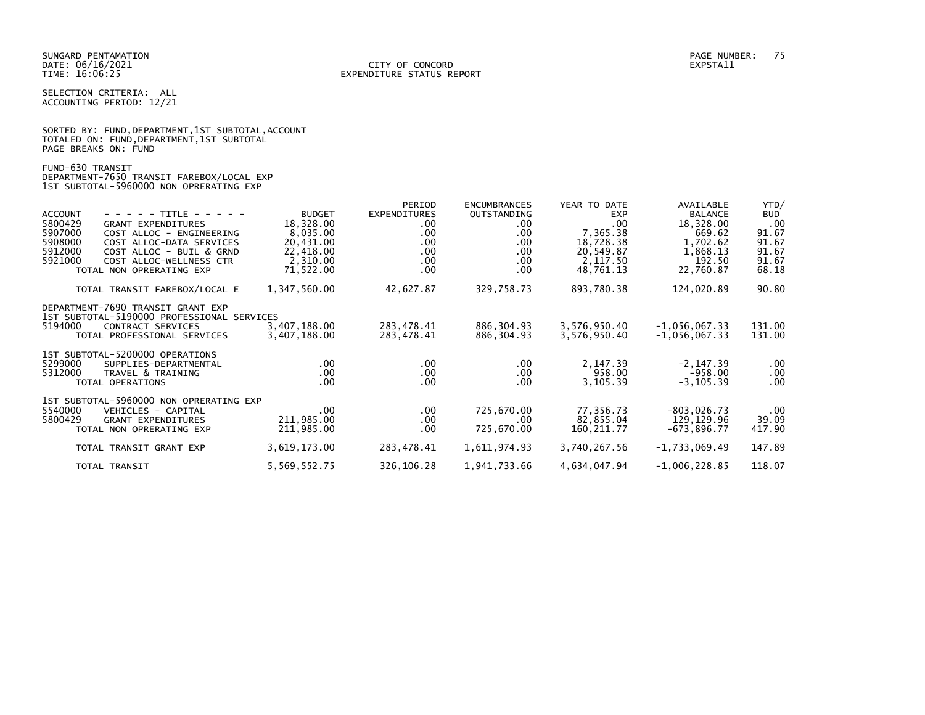SELECTION CRITERIA: ALL ACCOUNTING PERIOD: 12/21

|                      | SORTED BY: FUND, DEPARTMENT, 1ST SUBTOTAL, ACCOUNT |  |  |
|----------------------|----------------------------------------------------|--|--|
|                      | TOTALED ON: FUND, DEPARTMENT, 1ST SUBTOTAL         |  |  |
| PAGE BREAKS ON: FUND |                                                    |  |  |

FUND-630 TRANSIT DEPARTMENT-7650 TRANSIT FAREBOX/LOCAL EXP 1ST SUBTOTAL-5960000 NON OPRERATING EXP

| <b>ACCOUNT</b><br>- - - - - TITLE - - - - -<br>5800429<br><b>GRANT EXPENDITURES</b><br>5907000<br>COST ALLOC - ENGINEERING<br>5908000<br>COST ALLOC-DATA SERVICES<br>5912000<br>COST ALLOC - BUIL & GRND<br>5921000<br>COST ALLOC-WELLNESS CTR<br>TOTAL NON OPRERATING EXP | <b>BUDGET</b><br>18,328.00<br>8,035.00<br>20,431.00<br>22,418.00<br>2,310.00<br>71,522.00 | PERIOD<br><b>EXPENDITURES</b><br>$.00 \,$<br>.00<br>.00<br>.00.<br>.00<br>.00 | <b>ENCUMBRANCES</b><br>OUTSTANDING<br>.00.<br>.00.<br>.00.<br>.00.<br>.00.<br>.00 | YEAR TO DATE<br><b>EXP</b><br>.00<br>7,365.38<br>18,728.38<br>20,549.87<br>2,117.50<br>48,761.13 | AVAILABLE<br><b>BALANCE</b><br>18,328.00<br>669.62<br>1,702.62<br>1,868.13<br>192.50<br>22,760.87 | YTD/<br><b>BUD</b><br>.00<br>91.67<br>91.67<br>91.67<br>91.67<br>68.18 |
|----------------------------------------------------------------------------------------------------------------------------------------------------------------------------------------------------------------------------------------------------------------------------|-------------------------------------------------------------------------------------------|-------------------------------------------------------------------------------|-----------------------------------------------------------------------------------|--------------------------------------------------------------------------------------------------|---------------------------------------------------------------------------------------------------|------------------------------------------------------------------------|
| TOTAL TRANSIT FAREBOX/LOCAL E                                                                                                                                                                                                                                              | 1,347,560.00                                                                              | 42,627.87                                                                     | 329,758.73                                                                        | 893,780.38                                                                                       | 124,020.89                                                                                        | 90.80                                                                  |
| DEPARTMENT-7690 TRANSIT GRANT EXP<br>1ST SUBTOTAL-5190000 PROFESSIONAL SERVICES<br>5194000<br>CONTRACT SERVICES<br>TOTAL PROFESSIONAL SERVICES                                                                                                                             | 3,407,188.00<br>3,407,188.00                                                              | 283,478.41<br>283,478.41                                                      | 886,304.93<br>886,304.93                                                          | 3,576,950.40<br>3,576,950.40                                                                     | $-1,056,067.33$<br>$-1,056,067.33$                                                                | 131.00<br>131.00                                                       |
| 1ST SUBTOTAL-5200000 OPERATIONS<br>5299000<br>SUPPLIES-DEPARTMENTAL<br>5312000<br>TRAVEL & TRAINING<br>TOTAL OPERATIONS                                                                                                                                                    | .00.<br>.00<br>.00                                                                        | $.00 \,$<br>$.00 \,$<br>.00                                                   | $.00 \,$<br>$.00 \,$<br>.00                                                       | 2,147.39<br>958.00<br>3,105.39                                                                   | $-2, 147.39$<br>$-958.00$<br>$-3, 105.39$                                                         | $.00 \,$<br>$.00 \,$<br>$.00 \,$                                       |
| 1ST SUBTOTAL-5960000 NON OPRERATING EXP<br>5540000<br>VEHICLES - CAPITAL<br>5800429<br><b>GRANT EXPENDITURES</b><br>TOTAL NON OPRERATING EXP                                                                                                                               | $.00 \,$<br>211,985.00<br>211,985.00                                                      | $.00 \,$<br>.00<br>.00.                                                       | 725,670.00<br>.00<br>725,670.00                                                   | 77,356.73<br>82,855.04<br>160, 211, 77                                                           | $-803,026.73$<br>129,129.96<br>$-673,896.77$                                                      | $.00 \,$<br>39.09<br>417.90                                            |
| TOTAL TRANSIT GRANT EXP                                                                                                                                                                                                                                                    | 3,619,173.00                                                                              | 283,478.41                                                                    | 1,611,974.93                                                                      | 3,740,267.56                                                                                     | $-1,733,069.49$                                                                                   | 147.89                                                                 |
| TOTAL TRANSIT                                                                                                                                                                                                                                                              | 5,569,552.75                                                                              | 326,106.28                                                                    | 1,941,733.66                                                                      | 4,634,047.94                                                                                     | $-1,006,228.85$                                                                                   | 118.07                                                                 |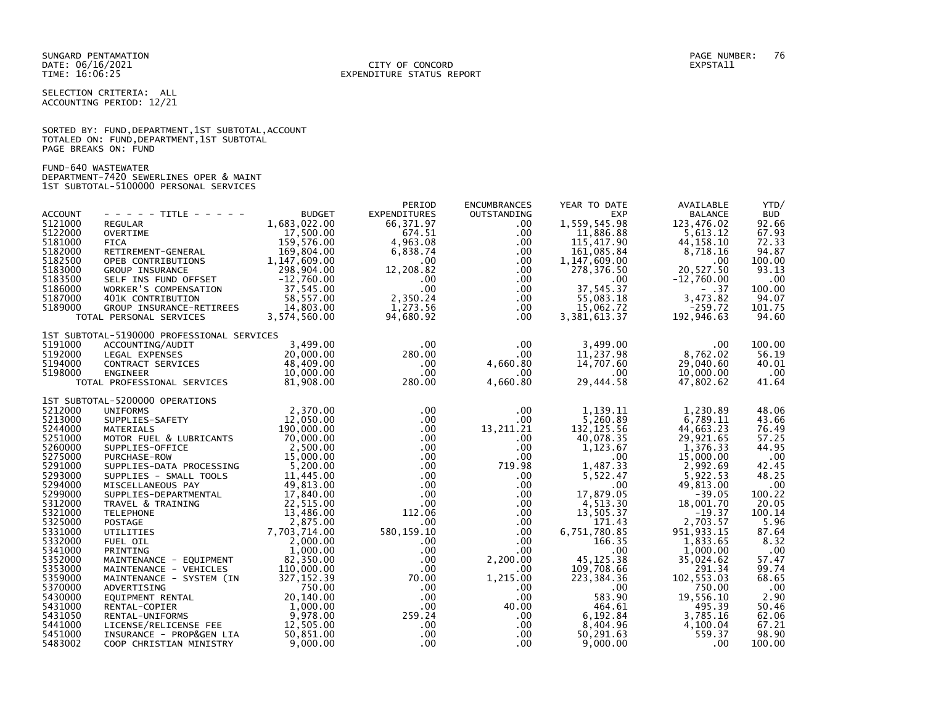SELECTION CRITERIA: ALL ACCOUNTING PERIOD: 12/21

SORTED BY: FUND, DEPARTMENT, 1ST SUBTOTAL, ACCOUNT TOTALED ON: FUND,DEPARTMENT,1ST SUBTOTAL PAGE BREAKS ON: FUND

FUND-640 WASTEWATER DEPARTMENT-7420 SEWERLINES OPER & MAINT 1ST SUBTOTAL-5100000 PERSONAL SERVICES

|                |                                                  |                                                                                             | PERIOD              | <b>ENCUMBRANCES</b> | YEAR TO DATE   | AVAILABLE      | YTD/       |
|----------------|--------------------------------------------------|---------------------------------------------------------------------------------------------|---------------------|---------------------|----------------|----------------|------------|
| <b>ACCOUNT</b> | - - - - - TITLE - - - - -                        | <b>BUDGET</b>                                                                               | <b>EXPENDITURES</b> | OUTSTANDING         | <b>EXP</b>     | <b>BALANCE</b> | <b>BUD</b> |
| 5121000        | REGULAR                                          | 1,683,022.00                                                                                | 66, 371.97          | $.00 \,$            | 1,559,545.98   | 123,476.02     | 92.66      |
| 5122000        | OVERTIME                                         | 17,500.00                                                                                   | 674.51              | .00.                | 11,886.88      | 5,613.12       | 67.93      |
| 5181000        | <b>FICA</b>                                      | 159,576.00                                                                                  | 4,963.08            | $.00 \,$            | 115,417.90     | 44, 158. 10    | 72.33      |
| 5182000        | RETIREMENT-GENERAL                               | 169,804.00                                                                                  | 6,838.74            | .00.                | 161,085.84     | 8,718.16       | 94.87      |
| 5182500        | OPEB CONTRIBUTIONS                               | 1, 147, 609.00                                                                              | $.00 \,$            | $.00 \,$            | 1,147,609.00   | .00            | 100.00     |
| 5183000        | <b>GROUP INSURANCE</b>                           | 298,904.00                                                                                  | 12,208.82           | $.00 \,$            | 278,376.50     | 20,527.50      | 93.13      |
| 5183500        |                                                  | $-12,760.00$                                                                                | $.00 \,$            | .00                 | $.00 \,$       | $-12,760.00$   | .00        |
| 5186000        | SELF INS FUND OFFSET<br>WORKER'S COMPENSATION    | 37,545.00                                                                                   | $.00 \,$            | .00                 | 37,545.37      | $- .37$        | 100.00     |
| 5187000        | 401K CONTRIBUTION                                |                                                                                             | 2,350.24            | $.00 \,$            | 55,083.18      | 3,473.82       | 94.07      |
| 5189000        |                                                  | TREES<br>TREES 58,557.00<br>3,574,560.00                                                    | 1.273.56            | $.00 \,$            | 15,062.72      | $-259.72$      | 101.75     |
|                | GROUP INSURANCE-RETIREES                         |                                                                                             |                     |                     |                |                |            |
|                | TOTAL PERSONAL SERVICES                          |                                                                                             | 94,680.92           | $.00 \,$            | 3, 381, 613.37 | 192,946.63     | 94.60      |
|                | 1ST SUBTOTAL-5190000 PROFESSIONAL SERVICES       |                                                                                             |                     |                     |                |                |            |
| 5191000        | ACCOUNTING/AUDIT                                 | 3,499.00                                                                                    | $.00 \,$            | $.00 \,$            | 3,499.00       | .00            | 100.00     |
| 5192000        | LEGAL EXPENSES                                   | 20,000.00                                                                                   | 280.00              | $.00 \,$            | 11,237.98      | 8,762.02       | 56.19      |
| 5194000        |                                                  | 48,409.00                                                                                   | $.00 \,$            | 4,660.80            | 14,707.60      | 29,040.60      | 40.01      |
| 5198000        | CONTRACT SERVICES<br>ENGINEER<br><b>ENGINEER</b> | 10,000.00                                                                                   | $.00 \,$            | $.00 \,$            | .00            | 10,000.00      | .00        |
|                | TOTAL PROFESSIONAL SERVICES                      | 81,908.00                                                                                   | 280.00              | 4,660.80            | 29,444.58      | 47,802.62      | 41.64      |
|                |                                                  |                                                                                             |                     |                     |                |                |            |
|                | 1ST SUBTOTAL-5200000 OPERATIONS                  |                                                                                             |                     |                     |                |                |            |
| 5212000        | <b>UNIFORMS</b>                                  | 2,370.00                                                                                    | $.00 \,$            | $.00 \,$            | 1.139.11       | 1.230.89       | 48.06      |
| 5213000        | SUPPLIES-SAFETY                                  | 12,050.00                                                                                   | $.00 \,$            | .00                 | 5,260.89       | 6,789.11       | 43.66      |
| 5244000        | MATERIALS                                        | 190,000.00                                                                                  | $.00 \,$            | 13,211.21           | 132, 125.56    | 44,663.23      | 76.49      |
| 5251000        | MOTOR FUEL & LUBRICANTS                          | 70.000.00                                                                                   | $.00 \,$            | $.00 \,$            | 40,078.35      | 29,921.65      | 57.25      |
| 5260000        | SUPPLIES-OFFICE                                  | 2,500.00                                                                                    | $.00 \,$            | $.00 \,$            | 1,123.67       | 1,376.33       | 44.95      |
| 5275000        | PURCHASE-ROW                                     | 15,000.00                                                                                   | $.00 \,$            | $.00 \,$            | .00            | 15,000.00      | .00        |
| 5291000        | SUPPLIES-DATA PROCESSING                         | 5,200.00                                                                                    | $.00 \,$            | 719.98              | 1,487.33       | 2,992.69       | 42.45      |
| 5293000        | SUPPLIES - SMALL TOOLS                           | 11,445.00                                                                                   | $.00\,$             | $.00 \,$            | 5,522.47       | 5,922.53       | 48.25      |
| 5294000        | MISCELLANEOUS PAY                                | 49,813.00                                                                                   | $.00 \cdot$         | $.00 \,$            | $.00 \times$   | 49,813.00      | .00        |
| 5299000        | SUPPLIES-DEPARTMENTAL                            | 17,840.00                                                                                   | $.00 \,$            | $.00 \,$            | 17,879.05      | $-39.05$       | 100.22     |
| 5312000        |                                                  | ARTMENTAL 17,840.00<br>INING 22,515.00<br>13,486.00<br>2,875.00<br>7,703,714.00<br>2.000.00 |                     |                     | 4,513.30       | 18,001.70      | 20.05      |
| 5321000        | TRAVEL & TRAINING<br><b>TELEPHONE</b>            |                                                                                             | .00<br>112.06       | .00                 | 13,505.37      | $-19.37$       | 100.14     |
|                |                                                  |                                                                                             |                     | $.00 \,$            |                |                |            |
| 5325000        | <b>POSTAGE</b>                                   |                                                                                             | $.00 \cdot$         | $.00 \,$            | 171.43         | 2,703.57       | 5.96       |
| 5331000        | UTILITIES                                        |                                                                                             | 580, 159. 10        | $.00 \,$            | 6,751,780.85   | 951, 933.15    | 87.64      |
| 5332000        | FUEL OIL                                         | 2,000.00                                                                                    | $.00 \,$            | $.00 \,$            | 166.35         | 1,833.65       | 8.32       |
| 5341000        | PRINTING                                         | 1,000.00                                                                                    | $.00 \,$            | .00.                | $.00 \,$       | 1,000.00       | .00        |
| 5352000        | MAINTENANCE - EQUIPMENT                          | 82,350.00                                                                                   | $.00 \cdot$         | 2,200.00            | 45, 125. 38    | 35,024.62      | 57.47      |
| 5353000        | MAINTENANCE - VEHICLES                           | 110,000.00                                                                                  | $.00 \,$            | .00.                | 109,708.66     | 291.34         | 99.74      |
| 5359000        | MAINTENANCE - SYSTEM (IN                         | 327, 152.39                                                                                 | 70.00               | 1,215.00            | 223,384.36     | 102,553.03     | 68.65      |
| 5370000        | ADVERTISING                                      | 750.00                                                                                      | $.00 \,$            | $.00 \,$            | $.00 \,$       | 750.00         | .00        |
| 5430000        | EQUIPMENT RENTAL                                 | 20,140.00                                                                                   | $.00 \,$            | $.00 \,$            | 583.90         | 19,556.10      | 2.90       |
| 5431000        | RENTAL-COPIER                                    | 1,000.00                                                                                    | $.00 \,$            | 40.00               | 464.61         | 495.39         | 50.46      |
| 5431050        | RENTAL-UNIFORMS                                  | 9,978.00                                                                                    | 259.24              | $.00 \,$            | 6,192.84       | 3,785.16       | 62.06      |
| 5441000        | LICENSE/RELICENSE FEE                            | 12,505.00                                                                                   | $.00 \,$            | $.00 \,$            | 8,404.96       | 4,100.04       | 67.21      |
| 5451000        | INSURANCE - PROP&GEN LIA                         | 50,851.00                                                                                   | $.00 \,$            | $.00 \,$            | 50,291.63      | 559.37         | 98.90      |
| 5483002        | COOP CHRISTIAN MINISTRY                          | 9.000.00                                                                                    | $.00 \cdot$         | $.00 \times$        | 9,000.00       | .00            | 100.00     |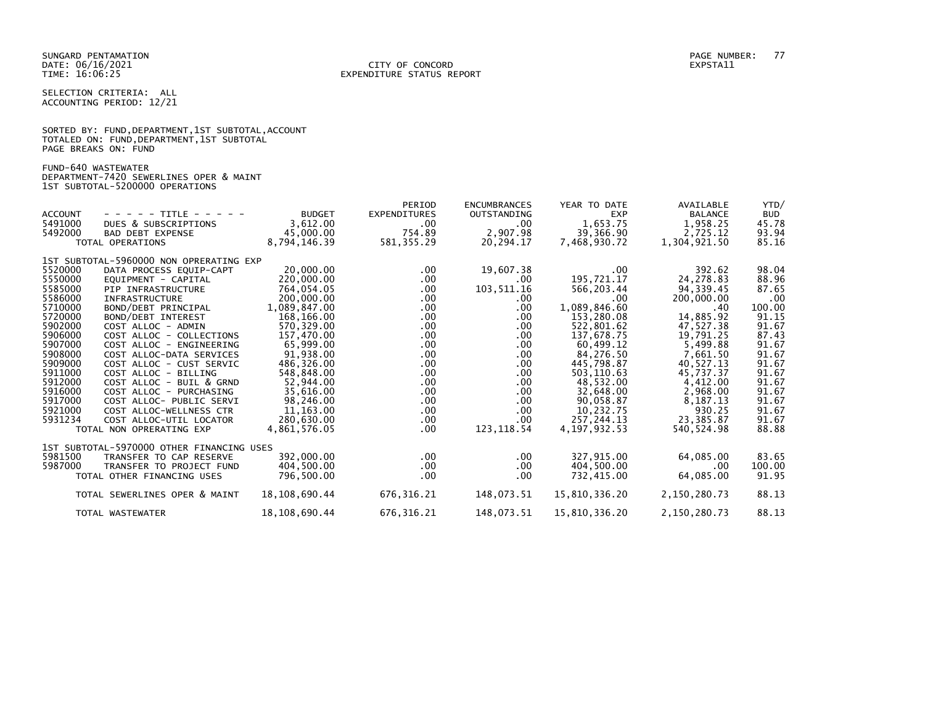SELECTION CRITERIA: ALL ACCOUNTING PERIOD: 12/21

|                      | SORTED BY: FUND, DEPARTMENT, 1ST SUBTOTAL, ACCOUNT |  |  |
|----------------------|----------------------------------------------------|--|--|
|                      | TOTALED ON: FUND, DEPARTMENT, 1ST SUBTOTAL         |  |  |
| PAGE BREAKS ON: FUND |                                                    |  |  |

FUND-640 WASTEWATER

DEPARTMENT-7420 SEWERLINES OPER & MAINT 1ST SUBTOTAL-5200000 OPERATIONS

|                |                                           |               | PERIOD              | <b>ENCUMBRANCES</b> | YEAR TO DATE  | AVAILABLE      | YTD/       |
|----------------|-------------------------------------------|---------------|---------------------|---------------------|---------------|----------------|------------|
| <b>ACCOUNT</b> | - - - - - TITLE - - - - -                 | <b>BUDGET</b> | <b>EXPENDITURES</b> | <b>OUTSTANDING</b>  | <b>EXP</b>    | <b>BALANCE</b> | <b>BUD</b> |
| 5491000        | DUES & SUBSCRIPTIONS                      | 3,612.00      | $.00 \,$            | .00.                | 1,653.75      | 1,958.25       | 45.78      |
| 5492000        | <b>BAD DEBT EXPENSE</b>                   | 45,000.00     | 754.89              | 2,907.98            | 39,366.90     | 2,725.12       | 93.94      |
|                | TOTAL OPERATIONS                          | 8,794,146.39  | 581, 355.29         | 20,294.17           | 7,468,930.72  | 1,304,921.50   | 85.16      |
|                |                                           |               |                     |                     |               |                |            |
|                | 1ST SUBTOTAL-5960000 NON OPRERATING EXP   |               |                     |                     |               |                |            |
| 5520000        | DATA PROCESS EQUIP-CAPT                   | 20,000,00     | $.00 \,$            | 19,607.38           | .00           | 392.62         | 98.04      |
| 5550000        | EOUIPMENT - CAPITAL                       | 220,000,00    | .00                 | .00                 | 195,721.17    | 24,278.83      | 88.96      |
| 5585000        | PIP INFRASTRUCTURE                        | 764,054.05    | $.00 \,$            | 103,511.16          | 566,203.44    | 94, 339.45     | 87.65      |
| 5586000        | <b>INFRASTRUCTURE</b>                     | 200,000.00    | .00.                | .00                 | $.00 \times$  | 200,000.00     | .00        |
| 5710000        | BOND/DEBT PRINCIPAL                       | 1,089,847.00  | $.00 \,$            | .00.                | 1,089,846.60  | .40            | 100.00     |
| 5720000        | BOND/DEBT INTEREST                        | 168,166.00    | .00.                | .00                 | 153,280.08    | 14,885.92      | 91.15      |
| 5902000        | COST ALLOC - ADMIN                        | 570,329.00    | .00                 | .00                 | 522,801.62    | 47,527.38      | 91.67      |
| 5906000        | COST ALLOC - COLLECTIONS                  | 157.470.00    | .00.                | .00                 | 137,678.75    | 19,791.25      | 87.43      |
| 5907000        | COST ALLOC - ENGINEERING                  | 65,999.00     | .00.                | .00                 | 60,499.12     | 5,499.88       | 91.67      |
| 5908000        | COST ALLOC-DATA SERVICES                  | 91,938.00     | $.00 \,$            | $.00 \,$            | 84,276.50     | 7,661.50       | 91.67      |
| 5909000        | COST ALLOC - CUST SERVIC                  | 486,326.00    | .00.                | .00.                | 445,798.87    | 40,527.13      | 91.67      |
| 5911000        | COST ALLOC - BILLING                      | 548.848.00    | .00                 | $.00 \,$            | 503,110.63    | 45.737.37      | 91.67      |
| 5912000        | COST ALLOC - BUIL & GRND                  | 52.944.00     | .00                 | .00                 | 48,532.00     | 4,412.00       | 91.67      |
| 5916000        | COST ALLOC - PURCHASING                   | 35,616.00     | .00.                | .00.                | 32,648.00     | 2,968.00       | 91.67      |
| 5917000        | COST ALLOC- PUBLIC SERVI                  | 98,246.00     | $.00 \,$            | .00.                | 90,058.87     | 8,187.13       | 91.67      |
| 5921000        | COST ALLOC-WELLNESS CTR                   | 11, 163.00    | $.00 \,$            | $.00 \,$            | 10,232.75     | 930.25         | 91.67      |
| 5931234        | COST ALLOC-UTIL LOCATOR                   | 280,630.00    | .00                 | .00                 | 257.244.13    | 23,385.87      | 91.67      |
|                | TOTAL NON OPRERATING EXP                  | 4,861,576.05  | $.00 \,$            | 123,118.54          | 4,197,932.53  | 540,524.98     | 88.88      |
|                |                                           |               |                     |                     |               |                |            |
|                | 1ST SUBTOTAL-5970000 OTHER FINANCING USES |               |                     |                     |               |                |            |
| 5981500        | TRANSFER TO CAP RESERVE                   | 392,000.00    | $.00 \,$            | .00.                | 327,915.00    | 64,085.00      | 83.65      |
| 5987000        | TRANSFER TO PROJECT FUND                  | 404,500.00    | $.00 \,$            | .00.                | 404,500.00    | $.00 \,$       | 100.00     |
|                | TOTAL OTHER FINANCING USES                | 796,500.00    | .00                 | .00                 | 732,415.00    | 64,085.00      | 91.95      |
|                |                                           |               |                     |                     |               |                |            |
|                | TOTAL SEWERLINES OPER & MAINT             | 18,108,690.44 | 676,316.21          | 148,073.51          | 15,810,336.20 | 2,150,280.73   | 88.13      |
|                |                                           |               |                     |                     |               |                |            |
|                | TOTAL WASTEWATER                          | 18,108,690.44 | 676, 316.21         | 148,073.51          | 15,810,336.20 | 2,150,280.73   | 88.13      |
|                |                                           |               |                     |                     |               |                |            |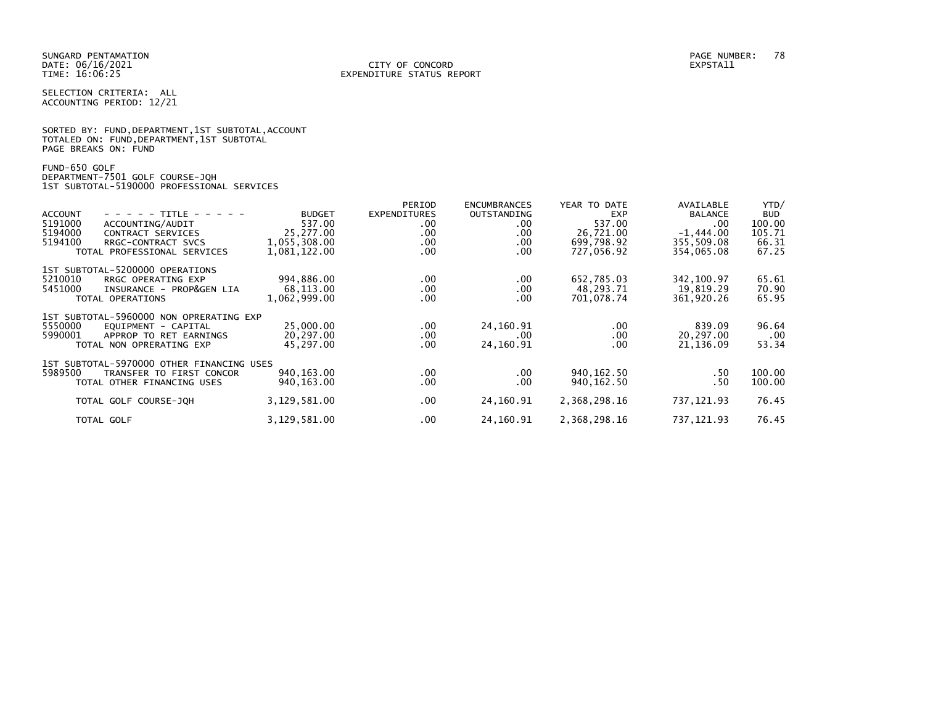SELECTION CRITERIA: ALL ACCOUNTING PERIOD: 12/21

SORTED BY: FUND, DEPARTMENT, 1ST SUBTOTAL, ACCOUNT TOTALED ON: FUND,DEPARTMENT,1ST SUBTOTAL PAGE BREAKS ON: FUND

FUND-650 GOLF DEPARTMENT-7501 GOLF COURSE-JQH 1ST SUBTOTAL-5190000 PROFESSIONAL SERVICES

| - - - - - TITLE - - - - -<br><b>ACCOUNT</b><br>5191000<br>ACCOUNTING/AUDIT<br>5194000<br>CONTRACT SERVICES<br>5194100<br>RRGC-CONTRACT SVCS<br>TOTAL PROFESSIONAL SERVICES | <b>BUDGET</b><br>537.00<br>25,277.00<br>1,055,308.00<br>1,081,122.00 | PERIOD<br><b>EXPENDITURES</b><br>.00<br>.00<br>.00<br>.00 | <b>ENCUMBRANCES</b><br><b>OUTSTANDING</b><br>$.00 \,$<br>$.00 \,$<br>$.00 \,$<br>$.00 \,$ | YEAR TO DATE<br><b>EXP</b><br>537.00<br>26,721.00<br>699,798.92<br>727,056.92 | AVAILABLE<br><b>BALANCE</b><br>.00<br>$-1,444.00$<br>355,509.08<br>354,065.08 | YTD/<br><b>BUD</b><br>100.00<br>105.71<br>66.31<br>67.25 |
|----------------------------------------------------------------------------------------------------------------------------------------------------------------------------|----------------------------------------------------------------------|-----------------------------------------------------------|-------------------------------------------------------------------------------------------|-------------------------------------------------------------------------------|-------------------------------------------------------------------------------|----------------------------------------------------------|
| 1ST SUBTOTAL-5200000 OPERATIONS<br>5210010<br>RRGC OPERATING EXP<br>5451000<br>INSURANCE - PROP&GEN LIA<br>TOTAL OPERATIONS                                                | 994.886.00<br>68,113.00<br>1,062,999.00                              | .00<br>.00<br>.00.                                        | $.00 \,$<br>$.00 \,$<br>$.00 \,$                                                          | 652.785.03<br>48,293.71<br>701,078.74                                         | 342.100.97<br>19,819.29<br>361,920.26                                         | 65.61<br>70.90<br>65.95                                  |
| 1ST SUBTOTAL-5960000 NON OPRERATING EXP<br>5550000<br>EOUIPMENT - CAPITAL<br>5990001<br>APPROP TO RET EARNINGS<br>TOTAL NON OPRERATING EXP                                 | 25,000,00<br>20,297.00<br>45,297.00                                  | .00<br>.00<br>.00                                         | 24,160.91<br>.00.<br>24,160.91                                                            | $.00 \,$<br>$.00 \,$<br>$.00 \,$                                              | 839.09<br>20,297.00<br>21,136.09                                              | 96.64<br>$.00 \,$<br>53.34                               |
| 1ST SUBTOTAL-5970000 OTHER FINANCING USES<br>5989500<br>TRANSFER TO FIRST CONCOR<br>TOTAL OTHER FINANCING USES                                                             | 940, 163.00<br>940,163.00                                            | $.00 \,$<br>.00                                           | $.00 \,$<br>$.00 \,$                                                                      | 940, 162.50<br>940, 162. 50                                                   | .50<br>. 50                                                                   | 100.00<br>100.00                                         |
| TOTAL GOLF COURSE-JOH                                                                                                                                                      | 3,129,581.00                                                         | .00                                                       | 24,160.91                                                                                 | 2,368,298.16                                                                  | 737, 121.93                                                                   | 76.45                                                    |
| TOTAL GOLF                                                                                                                                                                 | 3,129,581.00                                                         | .00                                                       | 24,160.91                                                                                 | 2,368,298.16                                                                  | 737, 121.93                                                                   | 76.45                                                    |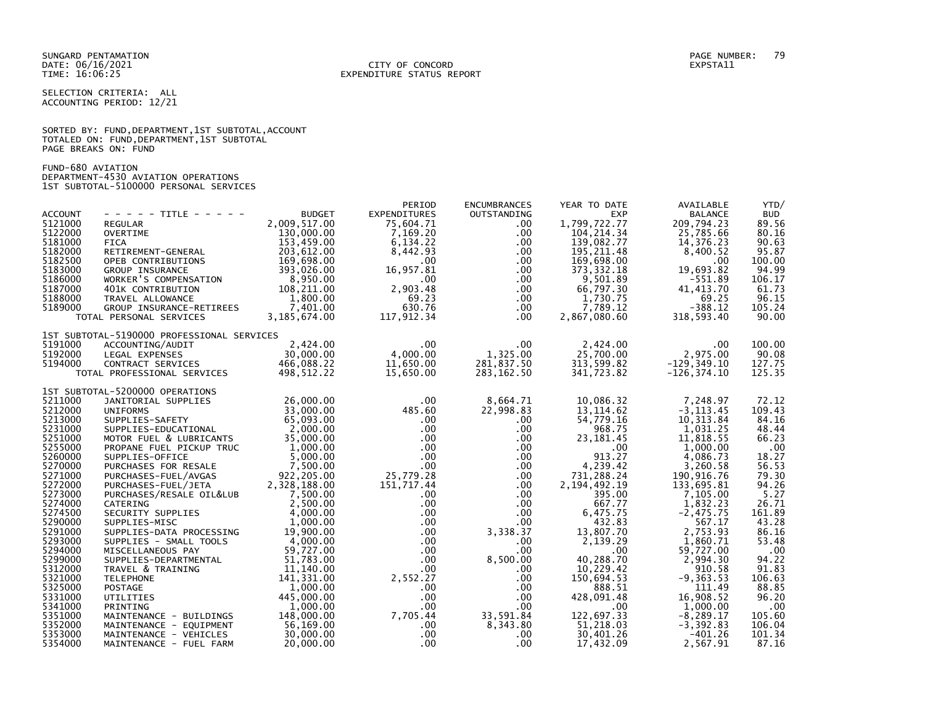## DATE: 06/16/2021 CITY OF CONCORD EXPSTA11 TIME: 16:06:25 EXPENDITURE STATUS REPORT

SELECTION CRITERIA: ALL ACCOUNTING PERIOD: 12/21

SORTED BY: FUND, DEPARTMENT, 1ST SUBTOTAL, ACCOUNT TOTALED ON: FUND,DEPARTMENT,1ST SUBTOTAL PAGE BREAKS ON: FUND

FUND-680 AVIATION DEPARTMENT-4530 AVIATION OPERATIONS 1ST SUBTOTAL-5100000 PERSONAL SERVICES

|                |                                            |               | PERIOD                          | <b>ENCUMBRANCES</b> | YEAR TO DATE    | AVAILABLE      | YTD/       |
|----------------|--------------------------------------------|---------------|---------------------------------|---------------------|-----------------|----------------|------------|
| <b>ACCOUNT</b> | - - - - - TITLE - - - - -                  | <b>BUDGET</b> | <b>EXPENDITURES</b>             | OUTSTANDING         | <b>EXP</b>      | <b>BALANCE</b> | <b>BUD</b> |
| 5121000        | <b>REGULAR</b>                             | 2.009.517.00  | 75,604.71                       | .00                 | 1,799,722.77    | 209.794.23     | 89.56      |
| 5122000        | OVERTIME                                   | 130,000.00    | 7,169.20                        | .00.                | 104, 214.34     | 25,785.66      | 80.16      |
| 5181000        | <b>FICA</b>                                | 153,459.00    | 6,134.22                        | .00.                | 139,082.77      | 14,376.23      | 90.63      |
| 5182000        | RETIREMENT-GENERAL                         | 203,612.00    | 8,442.93                        | .00.                | 195, 211.48     | 8,400.52       | 95.87      |
| 5182500        | OPEB CONTRIBUTIONS                         | 169,698.00    | $.00 \,$                        | $.00 \,$            | 169,698.00      | .00            | 100.00     |
| 5183000        | <b>GROUP INSURANCE</b>                     | 393,026.00    | 16,957.81                       | $.00 \,$            | 373, 332.18     | 19,693.82      | 94.99      |
| 5186000        | WORKER'S COMPENSATION                      | 8,950.00      | $.00 \,$                        | $.00 \,$            | 9,501.89        | $-551.89$      | 106.17     |
| 5187000        | 401K CONTRIBUTION                          | 108,211.00    | 2,903.48                        | $.00 \,$            | 66,797.30       | 41, 413.70     | 61.73      |
| 5188000        | TRAVEL ALLOWANCE                           | 1,800.00      | 69.23                           | $.00 \,$            | 1,730.75        | 69.25          | 96.15      |
| 5189000        | GROUP INSURANCE-RETIREES                   | 7,401.00      | 630.76                          | $.00 \,$            | 7,789.12        | $-388.12$      | 105.24     |
|                | TOTAL PERSONAL SERVICES                    | 3,185,674.00  | 117,912.34                      | $.00 \,$            | 2,867,080.60    | 318,593.40     | 90.00      |
|                | 1ST SUBTOTAL-5190000 PROFESSIONAL SERVICES |               |                                 |                     |                 |                |            |
| 5191000        | ACCOUNTING/AUDIT                           | 2,424.00      | $.00 \,$                        | $.00 \,$            | 2,424.00        | .00            | 100.00     |
| 5192000        | LEGAL EXPENSES                             | 30,000.00     | 4,000.00                        | 1,325.00            | 25,700.00       | 2,975.00       | 90.08      |
| 5194000        | CONTRACT SERVICES                          | 466,088.22    | 11,650.00                       | 281,837.50          | 313,599.82      | $-129, 349.10$ | 127.75     |
|                | TOTAL PROFESSIONAL SERVICES                | 498,512.22    | 15,650.00                       | 283, 162.50         | 341,723.82      | $-126, 374.10$ | 125.35     |
|                | 1ST SUBTOTAL-5200000 OPERATIONS            |               |                                 |                     |                 |                |            |
| 5211000        | JANITORIAL SUPPLIES                        | 26,000.00     | $.00 \,$                        | 8,664.71            | 10,086.32       | 7,248.97       | 72.12      |
| 5212000        | <b>UNIFORMS</b>                            | 33,000.00     | 485.60                          | 22,998.83           | 13, 114.62      | $-3, 113.45$   | 109.43     |
| 5213000        | SUPPLIES-SAFETY                            | 65,093.00     | $.00 \cdot$                     | $.00 \,$            | 54,779.16       | 10,313.84      | 84.16      |
| 5231000        | SUPPLIES-EDUCATIONAL                       | 2,000.00      | $.00 \,$                        | $.00 \,$            | 968.75          | 1,031.25       | 48.44      |
| 5251000        | MOTOR FUEL & LUBRICANTS                    | 35,000.00     | $.00 \,$                        | $.00 \,$            | 23, 181.45      | 11,818.55      | 66.23      |
| 5255000        | PROPANE FUEL PICKUP TRUC                   | 1,000.00      | $.00 \cdot$                     | $.00 \,$            | $.00 \,$        | 1,000.00       | .00        |
| 5260000        | SUPPLIES-OFFICE                            | 5,000.00      | $.00 \cdot$                     | $.00 \,$            | 913.27          | 4,086.73       | 18.27      |
| 5270000        | PURCHASES FOR RESALE                       | 7,500.00      | $.00 \cdot$                     | $.00 \,$            | 4,239.42        | 3,260.58       | 56.53      |
| 5271000        | PURCHASES-FUEL/AVGAS                       | 922,205.00    | 25,779.28                       | $.00 \,$            | 731,288.24      | 190,916.76     | 79.30      |
| 5272000        | PURCHASES-FUEL/JETA                        | 2,328,188.00  | 151,717.44                      | $.00 \,$            | 2, 194, 492. 19 | 133,695.81     | 94.26      |
| 5273000        | PURCHASES/RESALE OIL&LUB                   | 7,500.00      | $.00 \,$                        | $.00 \,$            | 395.00          | 7,105.00       | 5.27       |
| 5274000        | CATERING                                   | 2,500.00      | $.00 \,$                        | $.00 \,$            | 667.77          | 1,832.23       | 26.71      |
| 5274500        | SECURITY SUPPLIES                          | 4,000.00      | $.00 \,$                        | $.00 \,$            | 6,475.75        | $-2,475.75$    | 161.89     |
| 5290000        | SUPPLIES-MISC                              | 1.000.00      | $.00 \cdot$                     | .00 <sub>1</sub>    | 432.83          | 567.17         | 43.28      |
| 5291000        | SUPPLIES-DATA PROCESSING                   | 19,900.00     | $.00 \cdot$                     | 3,338.37            | 13,807.70       | 2,753.93       | 86.16      |
| 5293000        | SUPPLIES - SMALL TOOLS                     | 4,000.00      | $.00 \cdot$                     | $.00 \,$            | 2,139.29        | 1,860.71       | 53.48      |
| 5294000        | MISCELLANEOUS PAY                          | 59,727.00     | $.00 \,$                        | .00                 | $.00 \,$        | 59,727.00      | .00        |
| 5299000        | SUPPLIES-DEPARTMENTAL                      | 51.783.00     | $.00 \cdot$                     | 8,500.00            | 40.288.70       | 2,994.30       | 94.22      |
| 5312000        | TRAVEL & TRAINING                          | 11,140.00     | $.00 \cdot$                     | .00.                | 10,229.42       | 910.58         | 91.83      |
| 5321000        | <b>TELEPHONE</b>                           | 141,331.00    | 2,552.27                        | $.00 \,$            | 150,694.53      | $-9, 363.53$   | 106.63     |
| 5325000        | POSTAGE                                    | 1.000.00      | $.00 \,$                        | .00                 | 888.51          | 111.49         | 88.85      |
| 5331000        | UTILITIES                                  | 445,000.00    | $.00 \cdot$                     | .00.                | 428,091.48      | 16,908.52      | 96.20      |
| 5341000        | PRINTING                                   | 1.000.00      | $.00 \cdot$                     | .00                 | .00             | 1,000.00       | .00        |
| 5351000        | MAINTENANCE - BUILDINGS                    | 148,000.00    | 7,705.44                        | 33,591.84           | 122,697.33      | $-8, 289.17$   | 105.60     |
| 5352000        | MAINTENANCE - EQUIPMENT                    | 56,169.00     | $.00 \cdot$                     | 8,343.80            | 51,218.03       | $-3,392.83$    | 106.04     |
| 5353000        | MAINTENANCE - VEHICLES                     | 30,000.00     | $.00 \cdot$<br>.00 <sub>1</sub> | .00.                | 30,401.26       | $-401.26$      | 101.34     |
| 5354000        | MAINTENANCE - FUEL FARM                    | 20,000,00     |                                 | .00.                | 17,432.09       | 2,567.91       | 87.16      |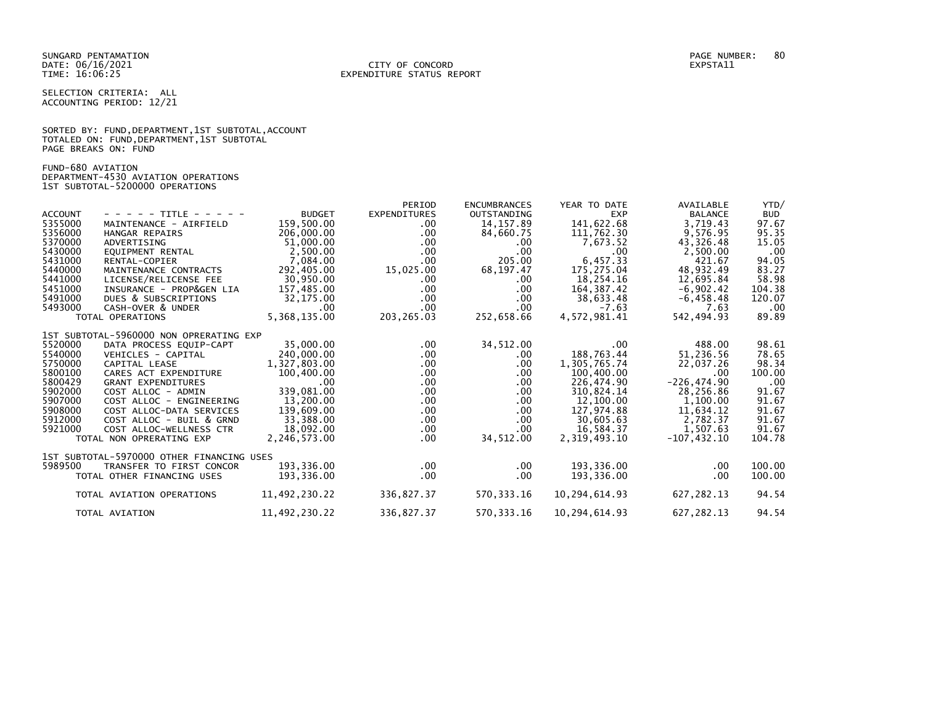SELECTION CRITERIA: ALL ACCOUNTING PERIOD: 12/21

|                      |  |  | SORTED BY: FUND, DEPARTMENT, 1ST SUBTOTAL, ACCOUNT |  |
|----------------------|--|--|----------------------------------------------------|--|
|                      |  |  | TOTALED ON: FUND, DEPARTMENT, 1ST SUBTOTAL         |  |
| PAGE BREAKS ON: FUND |  |  |                                                    |  |

FUND-680 AVIATION DEPARTMENT-4530 AVIATION OPERATIONS 1ST SUBTOTAL-5200000 OPERATIONS

|                    |                                                |                   | PERIOD               | <b>ENCUMBRANCES</b> | YEAR TO DATE            | AVAILABLE             | YTD/            |
|--------------------|------------------------------------------------|-------------------|----------------------|---------------------|-------------------------|-----------------------|-----------------|
| <b>ACCOUNT</b>     | - - - - - TITLE - - - - -                      | <b>BUDGET</b>     | <b>EXPENDITURES</b>  | OUTSTANDING         | <b>EXP</b>              | <b>BALANCE</b>        | <b>BUD</b>      |
| 5355000            | MAINTENANCE - AIRFIELD                         | 159.500.00        | $.00 \,$             | 14, 157.89          | 141,622.68              | 3,719.43              | 97.67           |
| 5356000            | HANGAR REPAIRS                                 | 206,000.00        | $.00 \,$             | 84,660.75           | 111,762.30              | 9,576.95              | 95.35           |
| 5370000            | ADVERTISING                                    | 51,000.00         | $.00 \,$             | .00.                | 7,673.52                | 43,326.48             | 15.05           |
| 5430000            | EOUIPMENT RENTAL                               | 2,500.00          | $.00 \,$             | .00                 | .00                     | 2,500.00              | .00             |
| 5431000            | RENTAL-COPIER                                  | 7,084.00          | $.00 \,$             | 205.00              | 6,457.33                | 421.67                | 94.05           |
| 5440000            | MAINTENANCE CONTRACTS                          | 292,405.00        | 15,025.00            | 68, 197.47          | 175,275.04              | 48,932.49             | 83.27           |
| 5441000            | LICENSE/RELICENSE FEE                          | 30.950.00         | $.00 \,$             | .00                 | 18.254.16               | 12,695.84             | 58.98           |
| 5451000            | INSURANCE - PROP&GEN LIA                       | 157,485.00        | .00.                 | .00                 | 164, 387.42             | $-6,902.42$           | 104.38          |
| 5491000            | DUES & SUBSCRIPTIONS                           | 32,175.00         | $.00 \,$             | .00                 | 38,633.48               | $-6, 458.48$          | 120.07          |
| 5493000            | CASH-OVER & UNDER                              | .00               | $.00 \,$             | $.00 \,$            | $-7.63$                 | 7.63                  | $.00 \,$        |
|                    | TOTAL OPERATIONS                               | 5,368,135.00      | 203,265.03           | 252,658.66          | 4,572,981.41            | 542,494.93            | 89.89           |
|                    |                                                |                   |                      |                     |                         |                       |                 |
|                    | 1ST SUBTOTAL-5960000 NON OPRERATING EXP        |                   |                      |                     |                         |                       |                 |
| 5520000            | DATA PROCESS EQUIP-CAPT                        | 35,000.00         | $.00 \,$             | 34,512.00           | $.00 \,$                | 488.00                | 98.61           |
| 5540000<br>5750000 | VEHICLES - CAPITAL                             | 240,000.00        | $.00 \,$             | .00.                | 188,763.44              | 51,236.56             | 78.65           |
| 5800100            | CAPITAL LEASE                                  | 1,327,803.00      | $.00 \,$             | .00                 | 1,305,765.74            | 22,037.26             | 98.34<br>100.00 |
|                    | CARES ACT EXPENDITURE                          | 100,400.00        | $.00 \,$             | .00.                | 100,400.00              | .00                   |                 |
| 5800429<br>5902000 | <b>GRANT EXPENDITURES</b>                      | .00<br>339,081.00 | $.00 \,$             | .00                 | 226.474.90              | $-226, 474.90$        | .00<br>91.67    |
| 5907000            | COST ALLOC - ADMIN<br>COST ALLOC - ENGINEERING | 13.200.00         | $.00 \,$<br>$.00 \,$ | $.00 \,$<br>.00.    | 310,824.14<br>12,100.00 | 28,256.86<br>1,100.00 | 91.67           |
| 5908000            | COST ALLOC-DATA SERVICES                       | 139,609.00        |                      | .00.                | 127,974.88              |                       | 91.67           |
| 5912000            | COST ALLOC - BUIL & GRND                       | 33,388.00         | $.00 \,$<br>$.00 \,$ | .00                 | 30,605.63               | 11,634.12<br>2,782.37 | 91.67           |
| 5921000            | COST ALLOC-WELLNESS CTR                        | 18,092.00         | $.00 \,$             | .00                 | 16,584.37               | 1,507.63              | 91.67           |
|                    | TOTAL NON OPRERATING EXP                       | 2,246,573.00      | $.00 \,$             | 34,512.00           | 2,319,493.10            | $-107.432.10$         | 104.78          |
|                    |                                                |                   |                      |                     |                         |                       |                 |
|                    | 1ST SUBTOTAL-5970000 OTHER FINANCING USES      |                   |                      |                     |                         |                       |                 |
| 5989500            | TRANSFER TO FIRST CONCOR                       | 193,336.00        | $.00 \,$             | $.00 \,$            | 193,336.00              | .00                   | 100.00          |
|                    | TOTAL OTHER FINANCING USES                     | 193,336.00        | $.00 \,$             | .00                 | 193,336.00              | .00                   | 100.00          |
|                    |                                                |                   |                      |                     |                         |                       |                 |
|                    | TOTAL AVIATION OPERATIONS                      | 11,492,230.22     | 336,827.37           | 570, 333.16         | 10,294,614.93           | 627,282.13            | 94.54           |
|                    |                                                |                   |                      |                     |                         |                       |                 |
|                    | TOTAL AVIATION                                 | 11,492,230.22     | 336,827.37           | 570, 333.16         | 10,294,614.93           | 627, 282. 13          | 94.54           |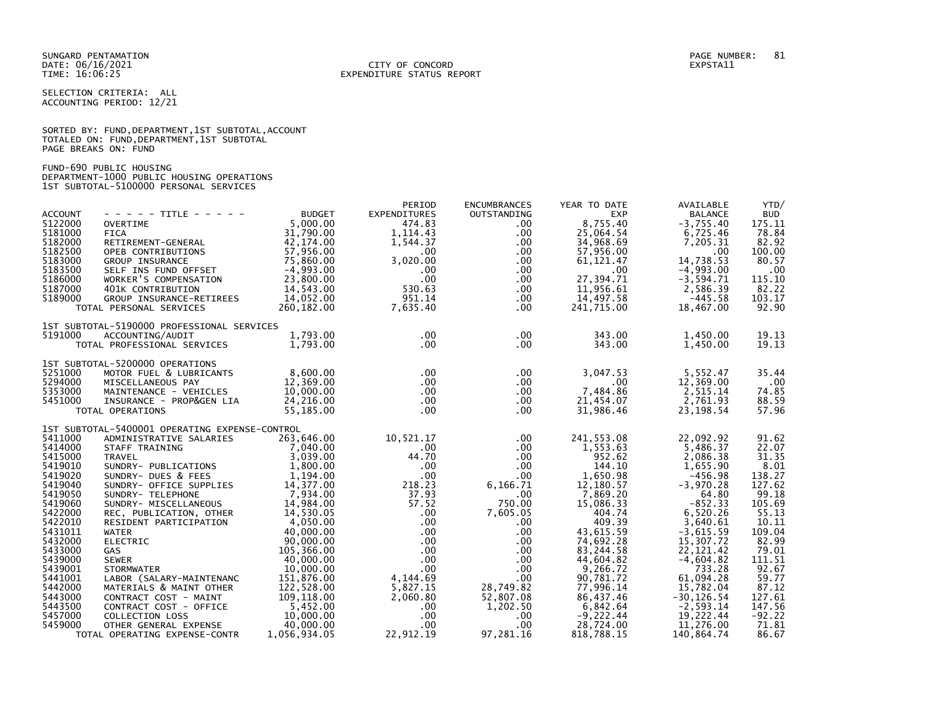## DATE: 06/16/2021 CITY OF CONCORD EXPSTA11 TIME: 16:06:25 EXPENDITURE STATUS REPORT

SELECTION CRITERIA: ALL ACCOUNTING PERIOD: 12/21

|                      |  |  | SORTED BY: FUND, DEPARTMENT, 1ST SUBTOTAL, ACCOUNT |  |
|----------------------|--|--|----------------------------------------------------|--|
|                      |  |  | TOTALED ON: FUND, DEPARTMENT, 1ST SUBTOTAL         |  |
| PAGE BREAKS ON: FUND |  |  |                                                    |  |

FUND-690 PUBLIC HOUSING DEPARTMENT-1000 PUBLIC HOUSING OPERATIONS 1ST SUBTOTAL-5100000 PERSONAL SERVICES

|                |                                                                  |                                   | PERIOD              | <b>ENCUMBRANCES</b>  | YEAR TO DATE           | AVAILABLE      | YTD/         |
|----------------|------------------------------------------------------------------|-----------------------------------|---------------------|----------------------|------------------------|----------------|--------------|
| <b>ACCOUNT</b> | $- - - - -$ TITLE - - - - -                                      | <b>BUDGET</b>                     | <b>EXPENDITURES</b> | OUTSTANDING          | <b>EXP</b>             | <b>BALANCE</b> | <b>BUD</b>   |
| 5122000        | <b>OVERTIME</b>                                                  | 5,000.00                          | 474.83              | $.00 \,$             | 8,755.40               | $-3,755.40$    | 175.11       |
| 5181000        | <b>FICA</b>                                                      | 31,790.00                         | 1, 114, 43          | $.00 \,$             | 25,064.54              | 6,725.46       | 78.84        |
| 5182000        | FICA<br>RETIREMENT-GENERAL<br>CONTINUES CONTINUES                | 42,174.00                         | 1,544.37            | $.00 \,$             | 34,968.69              | 7.205.31       | 82.92        |
| 5182500        | OPEB CONTRIBUTIONS                                               | 57,956.00                         | $.00 \cdot$         | $.00 \,$             | 57,956.00              | .00            | 100.00       |
| 5183000        |                                                                  | 75,860.00                         | 3,020.00            | $.00 \,$             | 61, 121.47             | 14,738.53      | 80.57        |
| 5183500        | GROUP INSURANCE<br>SELF INS FUND OFFSET<br>WORKER'S COMPENSATION | $-4,993.00$                       | $.00 \,$            | .00                  | $.00 \cdot$            | $-4,993.00$    | $.00 \times$ |
| 5186000        |                                                                  | 23,800.00                         | $.00 \,$            | $.00 \,$             | 27,394.71              | $-3,594.71$    | 115.10       |
| 5187000        | 401K CONTRIBUTION                                                | 14,543.00                         | 530.63              | $.00 \,$             | 11,956.61              | 2,586.39       | 82.22        |
| 5189000        | GROUP INSURANCE-RETIREES 14,052.00                               |                                   | 951.14              |                      | 14,497.58              | $-445.58$      | 103.17       |
|                |                                                                  |                                   | 7,635.40            | $.00 \,$<br>$.00 \,$ |                        |                | 92.90        |
|                | TOTAL PERSONAL SERVICES                                          | 260,182.00                        |                     |                      | 241,715.00             | 18,467.00      |              |
|                | 1ST SUBTOTAL-5190000 PROFESSIONAL SERVICES                       |                                   |                     |                      |                        |                |              |
| 5191000        | ACCOUNTING/AUDIT                                                 | 1,793.00                          | $.00 \,$            | $.00 \,$             | 343.00                 | 1,450.00       | 19.13        |
|                | TOTAL PROFESSIONAL SERVICES 1,793.00                             |                                   | $.00 \,$            | $.00 \,$             | 343.00                 | 1,450.00       | 19.13        |
|                |                                                                  |                                   |                     |                      |                        |                |              |
|                | 1ST SUBTOTAL-5200000 OPERATIONS                                  |                                   |                     |                      |                        |                |              |
| 5251000        | MOTOR FUEL & LUBRICANTS                                          | 8,600.00                          | $.00 \,$            | $.00 \,$             | 3,047.53               | 5,552.47       | 35.44        |
| 5294000        | MISCELLANEOUS PAY                                                | 12,369.00                         | $.00 \cdot$         | $.00 \,$             | $.00 \cdot$            | 12,369.00      | $.00 \times$ |
| 5353000        | MAINTENANCE - VEHICLES                                           | 10,000.00                         | $.00 \,$            | $.00 \,$             | 7,484.86               | 2,515.14       | 74.85        |
| 5451000        | INSURANCE - PROP&GEN LIA                                         | 24,216.00                         | $.00 \,$            | $.00 \,$             | 21,454.07<br>31,986.46 | 2,761.93       | 88.59        |
|                | TOTAL OPERATIONS                                                 | 55,185.00                         | $.00 \,$            | $.00 \,$             | 31,986.46              | 23, 198.54     | 57.96        |
|                | 1ST SUBTOTAL-5400001 OPERATING EXPENSE-CONTROL                   |                                   |                     |                      |                        |                |              |
| 5411000        |                                                                  | 263,646.00                        | 10,521.17           | $.00 \,$             | 241,553.08             | 22,092.92      | 91.62        |
| 5414000        | ADMINISTRATIVE SALARIES                                          |                                   |                     |                      | 1,553.63               | 5,486.37       | 22.07        |
| 5415000        | STAFF TRAINING                                                   | $7,040.00$<br>3,039.00            | $.00\,$             | $.00 \,$             |                        |                |              |
|                | TRAVEL                                                           |                                   | 44.70               | $.00 \,$             | 952.62                 | 2,086.38       | 31.35        |
| 5419010        | SUNDRY- PUBLICATIONS                                             | 1,800.00<br>1,194.00              | $.00 \cdot$         | $.00 \,$             | 144.10                 | 1,655.90       | 8.01         |
| 5419020        | SUNDRY- DUES & FEES                                              |                                   | $.00 \,$            | $.00 \,$             | 1,650.98               | $-456.98$      | 138.27       |
| 5419040        | SUNDRY- OFFICE SUPPLIES                                          | 14,377.00                         | 218.23              | 6,166.71             | 12,180.57              | $-3,970.28$    | 127.62       |
| 5419050        | SUNDRY- TELEPHONE<br>SUNDRY- MISCELLANEOUS                       | 7,934.00                          | 37.93               | $.00 \,$             | 7,869.20               | 64.80          | 99.18        |
| 5419060        |                                                                  | 14,984.00                         | 57.52               | 750.00               | 15,086.33              | $-852.33$      | 105.69       |
| 5422000        | REC, PUBLICATION, OTHER<br>RESIDENT PARTICIPATION<br>WATER       | 14,530.05                         | $.00 \,$            | 7,605.05             | 404.74                 | 6,520.26       | 55.13        |
| 5422010        |                                                                  | 4,050.00                          | $.00 \cdot$         | $.00 \,$             | 409.39                 | 3,640.61       | 10.11        |
| 5431011        | <b>WATER</b>                                                     | 40,000.00                         | $.00 \,$            | $.00 \,$             | 43,615.59              | $-3,615.59$    | 109.04       |
| 5432000        | <b>ELECTRIC</b>                                                  | 90,000.00                         | $.00\,$             | $.00 \,$             | 74,692.28              | 15,307.72      | 82.99        |
| 5433000        | GAS                                                              | 105,366.00                        | $.00 \,$            | $.00 \,$             | 83,244.58              | 22, 121.42     | 79.01        |
| 5439000        | <b>SEWER</b>                                                     | 40,000.00                         | $.00 \,$            | $.00 \,$             | 44,604.82              | $-4,604.82$    | 111.51       |
| 5439001        | <b>STORMWATER</b>                                                | 10,000.00                         | $.00 \,$            | $.00 \,$             | 9,266.72               | 733.28         | 92.67        |
| 5441001        | LABOR (SALARY-MAINTENANC                                         | 151,876.00                        | 4,144.69            | $.00 \,$             | 90,781.72              | 61,094.28      | 59.77        |
| 5442000        | MATERIALS & MAINT OTHER                                          | 122,528.00                        | 5,827.15            | 28,749.82            | 77,996.14              | 15,782.04      | 87.12        |
| 5443000        | CONTRACT COST - MAINT                                            | 109,118.00                        | 2,060.80            | 52,807.08            | 86,437.46              | $-30, 126.54$  | 127.61       |
| 5443500        | CONTRACT COST - OFFICE                                           |                                   | $.00 \,$            | 1,202.50             | 6,842.64               | $-2,593.14$    | 147.56       |
| 5457000        | COLLECTION LOSS                                                  | $5,452.00$<br>10.000<br>10,000.00 | $.00 \,$            | $.00 \,$             | $-9,222.44$            | 19,222.44      | $-92.22$     |
| 5459000        | OTHER GENERAL EXPENSE                                            | 40,000.00                         | $.00 \,$            | $.00 \,$             | 28,724.00              | 11,276.00      | 71.81        |
|                | TOTAL OPERATING EXPENSE-CONTR                                    | 1,056,934.05                      | 22,912.19           | 97,281.16            | 818,788.15             | 140.864.74     | 86.67        |
|                |                                                                  |                                   |                     |                      |                        |                |              |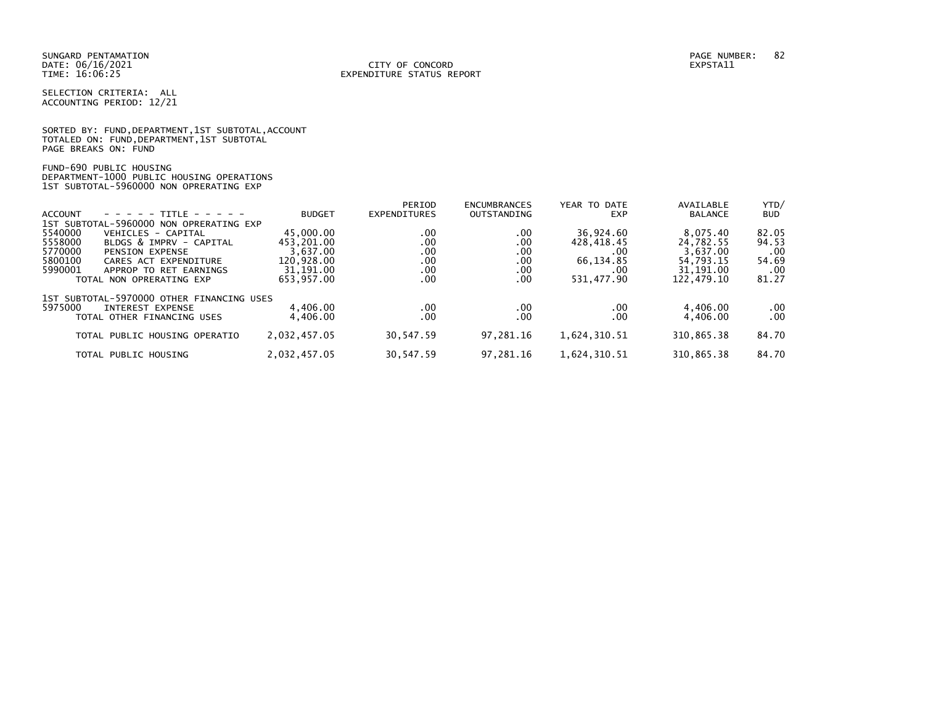SELECTION CRITERIA: ALL ACCOUNTING PERIOD: 12/21

SORTED BY: FUND, DEPARTMENT, 1ST SUBTOTAL, ACCOUNT TOTALED ON: FUND,DEPARTMENT,1ST SUBTOTAL PAGE BREAKS ON: FUND

FUND-690 PUBLIC HOUSING DEPARTMENT-1000 PUBLIC HOUSING OPERATIONS 1ST SUBTOTAL-5960000 NON OPRERATING EXP

|                |                                           |               | PERIOD              | <b>ENCUMBRANCES</b> | YEAR TO DATE | AVAILABLE      | YTD/       |
|----------------|-------------------------------------------|---------------|---------------------|---------------------|--------------|----------------|------------|
| <b>ACCOUNT</b> | $- - - - - -$ TITLE - - - - -             | <b>BUDGET</b> | <b>EXPENDITURES</b> | <b>OUTSTANDING</b>  | <b>EXP</b>   | <b>BALANCE</b> | <b>BUD</b> |
|                | 1ST SUBTOTAL-5960000 NON OPRERATING EXP   |               |                     |                     |              |                |            |
| 5540000        | VEHICLES - CAPITAL                        | 45,000.00     | .00                 | .00                 | 36,924.60    | 8,075.40       | 82.05      |
| 5558000        | BLDGS & IMPRV - CAPITAL                   | 453,201.00    | .00                 | .00                 | 428,418.45   | 24,782.55      | 94.53      |
| 5770000        | <b>PENSION EXPENSE</b>                    | 3,637.00      | .00                 | .00                 | .00          | 3,637.00       | .00        |
| 5800100        | CARES ACT EXPENDITURE                     | 120,928.00    | .00                 | .00                 | 66,134.85    | 54,793.15      | 54.69      |
| 5990001        | APPROP TO RET EARNINGS                    | 31,191.00     | .00                 | .00                 | .00          | 31, 191.00     | .00        |
|                | TOTAL NON OPRERATING EXP                  | 653,957.00    | .00                 | .00                 | 531,477.90   | 122,479.10     | 81.27      |
|                | 1ST SUBTOTAL-5970000 OTHER FINANCING USES |               |                     |                     |              |                |            |
| 5975000        | INTEREST EXPENSE                          | 4,406.00      | .00                 | .00                 | .00          | 4,406.00       | $.00 \,$   |
|                | TOTAL OTHER FINANCING USES                | 4,406.00      | .00                 | .00                 | .00          | 4,406.00       | .00        |
|                | TOTAL PUBLIC HOUSING OPERATIO             | 2,032,457.05  | 30,547.59           | 97,281.16           | 1,624,310.51 | 310,865.38     | 84.70      |
|                | TOTAL PUBLIC HOUSING                      | 2,032,457.05  | 30,547.59           | 97.281.16           | 1,624,310.51 | 310,865.38     | 84.70      |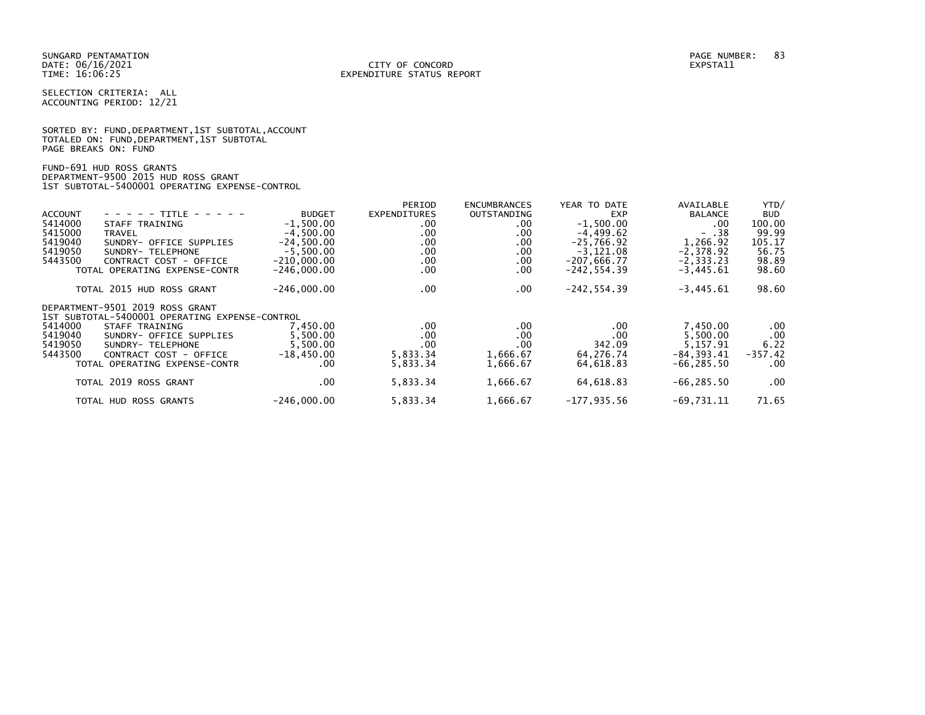SELECTION CRITERIA: ALL ACCOUNTING PERIOD: 12/21

SORTED BY: FUND, DEPARTMENT, 1ST SUBTOTAL, ACCOUNT TOTALED ON: FUND,DEPARTMENT,1ST SUBTOTAL PAGE BREAKS ON: FUND

FUND-691 HUD ROSS GRANTS DEPARTMENT-9500 2015 HUD ROSS GRANT 1ST SUBTOTAL-5400001 OPERATING EXPENSE-CONTROL

|                                                                                          |                                                         | PERIOD                                                                                        | <b>ENCUMBRANCES</b>                 | YEAR TO DATE                       | AVAILABLE                        | YTD/                                                                                              |
|------------------------------------------------------------------------------------------|---------------------------------------------------------|-----------------------------------------------------------------------------------------------|-------------------------------------|------------------------------------|----------------------------------|---------------------------------------------------------------------------------------------------|
| - - - - - TITLE<br>$\begin{array}{cccccccccccccc} - & - & - & - & - & - & - \end{array}$ | <b>BUDGET</b>                                           | <b>EXPENDITURES</b>                                                                           | OUTSTANDING                         | EXP                                | <b>BALANCE</b>                   | <b>BUD</b>                                                                                        |
| STAFF TRAINING                                                                           | $-1,500.00$                                             | .00                                                                                           | .00                                 | $-1,500.00$                        | .00                              | 100.00                                                                                            |
| TRAVEL                                                                                   | $-4,500.00$                                             | .00.                                                                                          | .00                                 | $-4,499.62$                        | $- .38$                          | 99.99                                                                                             |
| SUNDRY- OFFICE SUPPLIES                                                                  | $-24.500.00$                                            | .00                                                                                           | .00                                 | $-25.766.92$                       | 1.266.92                         | 105.17                                                                                            |
| SUNDRY- TELEPHONE                                                                        | $-5.500.00$                                             | .00.                                                                                          | $.00 \,$                            | $-3,121.08$                        |                                  | 56.75                                                                                             |
| CONTRACT COST - OFFICE                                                                   | $-210,000.00$                                           | .00.                                                                                          | $.00 \,$                            | $-207,666.77$                      |                                  | 98.89                                                                                             |
| TOTAL OPERATING EXPENSE-CONTR                                                            | $-246,000.00$                                           | .00                                                                                           | .00                                 | $-242, 554.39$                     | $-3,445.61$                      | 98.60                                                                                             |
| TOTAL 2015 HUD ROSS GRANT                                                                | $-246,000.00$                                           | .00.                                                                                          | $.00 \,$                            | $-242, 554.39$                     | $-3,445.61$                      | 98.60                                                                                             |
| DEPARTMENT-9501 2019 ROSS GRANT                                                          |                                                         |                                                                                               |                                     |                                    |                                  |                                                                                                   |
|                                                                                          |                                                         |                                                                                               |                                     |                                    |                                  |                                                                                                   |
| STAFF TRAINING                                                                           | 7.450.00                                                | .00                                                                                           | .00                                 | .00                                |                                  | .00                                                                                               |
| SUNDRY- OFFICE SUPPLIES                                                                  |                                                         |                                                                                               |                                     | .00                                |                                  | .00                                                                                               |
| SUNDRY- TELEPHONE                                                                        |                                                         |                                                                                               |                                     |                                    |                                  | 6.22                                                                                              |
|                                                                                          |                                                         |                                                                                               |                                     |                                    |                                  | $-357.42$                                                                                         |
|                                                                                          |                                                         |                                                                                               |                                     |                                    |                                  | .00                                                                                               |
| TOTAL 2019 ROSS GRANT                                                                    | $.00 \,$                                                | 5,833.34                                                                                      | 1,666.67                            | 64,618.83                          | $-66, 285.50$                    | $.00 \,$                                                                                          |
| TOTAL HUD ROSS GRANTS                                                                    | $-246,000.00$                                           | 5,833.34                                                                                      | 1,666.67                            | $-177,935.56$                      | $-69,731.11$                     | 71.65                                                                                             |
|                                                                                          | CONTRACT COST - OFFICE<br>TOTAL OPERATING EXPENSE-CONTR | 1ST SUBTOTAL-5400001 OPERATING EXPENSE-CONTROL<br>5.500.00<br>5.500.00<br>$-18,450.00$<br>.00 | .00.<br>.00<br>5,833.34<br>5,833.34 | .00<br>.00<br>1,666.67<br>1,666.67 | 342.09<br>64,276.74<br>64,618.83 | $-2,378.92$<br>$-2, 333.23$<br>7,450.00<br>5,500.00<br>5.157.91<br>$-84, 393.41$<br>$-66, 285.50$ |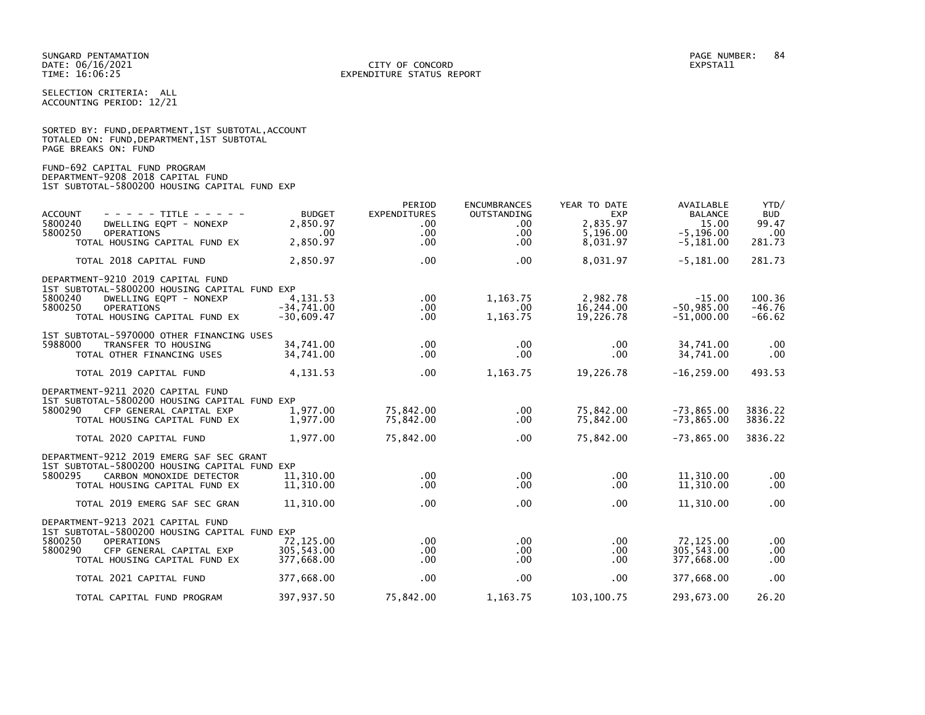SELECTION CRITERIA: ALL ACCOUNTING PERIOD: 12/21

|                      |  |  | SORTED BY: FUND, DEPARTMENT, 1ST SUBTOTAL, ACCOUNT |  |
|----------------------|--|--|----------------------------------------------------|--|
|                      |  |  | TOTALED ON: FUND,DEPARTMENT,1ST SUBTOTAL           |  |
| PAGE BREAKS ON: FUND |  |  |                                                    |  |

FUND-692 CAPITAL FUND PROGRAM DEPARTMENT-9208 2018 CAPITAL FUND 1ST SUBTOTAL-5800200 HOUSING CAPITAL FUND EXP

| <b>ACCOUNT</b><br>$- - - - -$ TITLE - - - - -<br>5800240<br>DWELLING EQPT - NONEXP<br>5800250<br><b>OPERATIONS</b><br>TOTAL HOUSING CAPITAL FUND EX                                      | <b>BUDGET</b><br>2,850.97<br>$.00 \,$<br>2,850.97 | PERIOD<br><b>EXPENDITURES</b><br>.00<br>.00 <sub>1</sub><br>$.00 \,$ | <b>ENCUMBRANCES</b><br><b>OUTSTANDING</b><br>$.00 \,$<br>$.00 \,$<br>$.00 \,$ | YEAR TO DATE<br><b>EXP</b><br>2,835.97<br>5,196.00<br>8,031.97 | AVAILABLE<br><b>BALANCE</b><br>15.00<br>$-5, 196.00$<br>$-5,181.00$ | YTD/<br><b>BUD</b><br>99.47<br>.00<br>281.73 |
|------------------------------------------------------------------------------------------------------------------------------------------------------------------------------------------|---------------------------------------------------|----------------------------------------------------------------------|-------------------------------------------------------------------------------|----------------------------------------------------------------|---------------------------------------------------------------------|----------------------------------------------|
| TOTAL 2018 CAPITAL FUND                                                                                                                                                                  | 2,850.97                                          | $.00 \,$                                                             | $.00 \,$                                                                      | 8,031.97                                                       | $-5,181.00$                                                         | 281.73                                       |
| DEPARTMENT-9210 2019 CAPITAL FUND<br>1ST SUBTOTAL-5800200 HOUSING CAPITAL FUND EXP<br>5800240<br>DWELLING EQPT - NONEXP<br>5800250<br><b>OPERATIONS</b><br>TOTAL HOUSING CAPITAL FUND EX | 4,131.53<br>$-34,741.00$<br>$-30.609.47$          | $.00 \,$<br>$.00 \,$<br>$.00 \,$                                     | 1,163.75<br>.00.<br>1,163.75                                                  | 2,982.78<br>16,244.00<br>19,226.78                             | $-15.00$<br>$-50,985.00$<br>$-51,000.00$                            | 100.36<br>$-46.76$<br>$-66.62$               |
| 1ST SUBTOTAL-5970000 OTHER FINANCING USES<br>5988000<br>TRANSFER TO HOUSING<br>TOTAL OTHER FINANCING USES                                                                                | 34,741.00<br>34,741.00                            | $.00 \,$<br>$.00 \,$                                                 | $.00 \,$<br>$.00 \,$                                                          | $.00 \,$<br>.00                                                | 34,741.00<br>34,741.00                                              | $.00 \,$<br>.00                              |
| TOTAL 2019 CAPITAL FUND                                                                                                                                                                  | 4,131.53                                          | $.00 \,$                                                             | 1,163.75                                                                      | 19,226.78                                                      | $-16, 259.00$                                                       | 493.53                                       |
| DEPARTMENT-9211 2020 CAPITAL FUND<br>1ST SUBTOTAL-5800200 HOUSING CAPITAL FUND EXP<br>5800290<br>CFP GENERAL CAPITAL EXP<br>TOTAL HOUSING CAPITAL FUND EX<br>TOTAL 2020 CAPITAL FUND     | 1,977.00<br>1,977.00<br>1,977.00                  | 75,842.00<br>75,842.00<br>75,842.00                                  | $.00 \,$<br>$.00 \,$<br>$.00 \,$                                              | 75,842.00<br>75,842.00<br>75,842.00                            | $-73,865.00$<br>$-73,865.00$<br>$-73,865.00$                        | 3836.22<br>3836.22<br>3836.22                |
| DEPARTMENT-9212 2019 EMERG SAF SEC GRANT<br>1ST SUBTOTAL-5800200 HOUSING CAPITAL FUND EXP<br>5800295<br>CARBON MONOXIDE DETECTOR<br>TOTAL HOUSING CAPITAL FUND EX                        | 11,310.00<br>11,310.00<br>11,310.00               | $.00 \cdot$<br>$.00 \,$<br>$.00 \,$                                  | $.00 \,$<br>.00.<br>$.00 \,$                                                  | $.00 \,$<br>.00.<br>.00                                        | 11,310.00<br>11,310.00<br>11,310.00                                 | .00<br>$.00 \,$<br>.00                       |
| TOTAL 2019 EMERG SAF SEC GRAN<br>DEPARTMENT-9213 2021 CAPITAL FUND                                                                                                                       |                                                   |                                                                      |                                                                               |                                                                |                                                                     |                                              |
| 1ST SUBTOTAL-5800200 HOUSING CAPITAL FUND EXP<br>5800250<br><b>OPERATIONS</b><br>5800290<br>CFP GENERAL CAPITAL EXP<br>TOTAL HOUSING CAPITAL FUND EX                                     | 72,125.00<br>305.543.00<br>377,668.00             | $.00 \,$<br>$.00 \,$<br>$.00 \,$                                     | $.00 \,$<br>$.00 \,$<br>$.00 \cdot$                                           | $.00 \times$<br>.00<br>.00.                                    | 72,125.00<br>305.543.00<br>377,668.00                               | .00<br>$.00 \times$<br>.00                   |
| TOTAL 2021 CAPITAL FUND                                                                                                                                                                  | 377,668.00                                        | $.00 \,$                                                             | $.00 \,$                                                                      | .00                                                            | 377,668.00                                                          | .00                                          |
| TOTAL CAPITAL FUND PROGRAM                                                                                                                                                               | 397,937.50                                        | 75,842.00                                                            | 1,163.75                                                                      | 103,100.75                                                     | 293,673.00                                                          | 26.20                                        |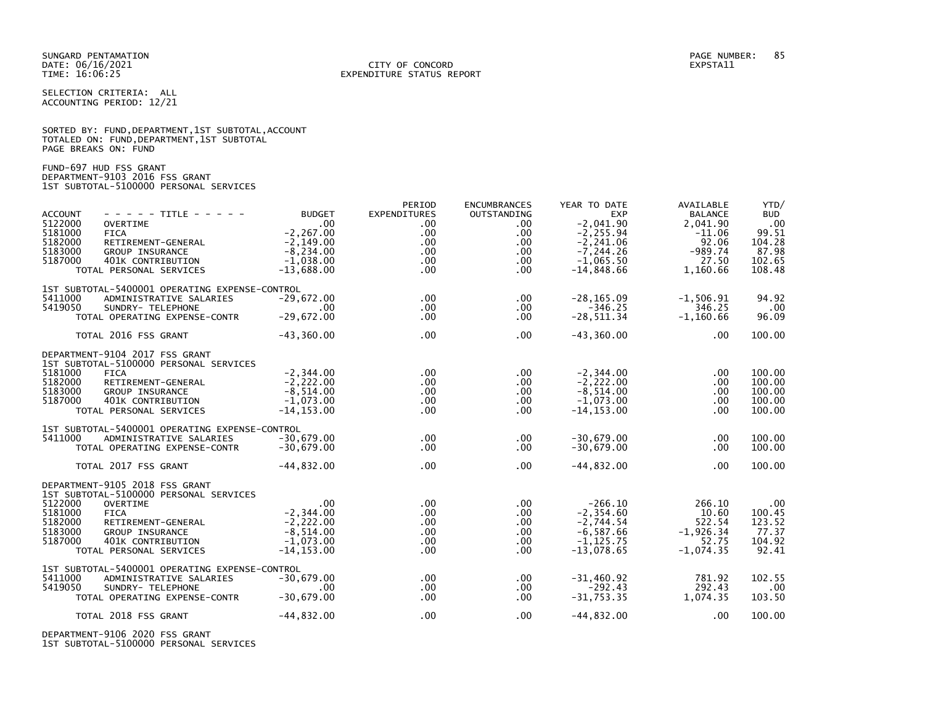SUNGARD PENTAMATION PAGE NUMBER: 85 DATE: 06/16/2021<br>TIME: 16:06:25

SELECTION CRITERIA: ALL ACCOUNTING PERIOD: 12/21

SORTED BY: FUND, DEPARTMENT, 1ST SUBTOTAL, ACCOUNT TOTALED ON: FUND,DEPARTMENT,1ST SUBTOTAL PAGE BREAKS ON: FUND

FUND-697 HUD FSS GRANT DEPARTMENT-9103 2016 FSS GRANT 1ST SUBTOTAL-5100000 PERSONAL SERVICES

| - - - - - TITLE - - - - -<br><b>ACCOUNT</b><br>5122000<br><b>OVERTIME</b><br>5181000<br><b>FICA</b><br>5182000<br>RETIREMENT-GENERAL<br>5183000<br><b>GROUP INSURANCE</b><br>5187000<br>401K CONTRIBUTION<br>TOTAL PERSONAL SERVICES                              | <b>BUDGET</b><br>.00 <sub>1</sub><br>$-2, 267.00$<br>$-2.149.00$<br>$-8,234.00$<br>$-1.038.00$<br>$-13,688.00$ | PERIOD<br><b>EXPENDITURES</b><br>.00<br>.00<br>.00 <sub>1</sub><br>.00 <sub>1</sub><br>.00 <sub>1</sub><br>.00 <sub>1</sub> | <b>ENCUMBRANCES</b><br>OUTSTANDING<br>$.00 \,$<br>.00.<br>$.00 \,$<br>$.00 \,$<br>$.00 \,$<br>.00 | YEAR TO DATE<br><b>EXP</b><br>$-2.041.90$<br>$-2, 255.94$<br>$-2, 241.06$<br>$-7.244.26$<br>$-1.065.50$<br>$-14,848.66$ | AVAILABLE<br><b>BALANCE</b><br>2.041.90<br>$-11.06$<br>92.06<br>$-989.74$<br>27.50<br>1,160.66 | YTD/<br><b>BUD</b><br>.00<br>99.51<br>104.28<br>87.98<br>102.65<br>108.48 |
|-------------------------------------------------------------------------------------------------------------------------------------------------------------------------------------------------------------------------------------------------------------------|----------------------------------------------------------------------------------------------------------------|-----------------------------------------------------------------------------------------------------------------------------|---------------------------------------------------------------------------------------------------|-------------------------------------------------------------------------------------------------------------------------|------------------------------------------------------------------------------------------------|---------------------------------------------------------------------------|
| 1ST SUBTOTAL-5400001 OPERATING EXPENSE-CONTROL<br>5411000<br>ADMINISTRATIVE SALARIES<br>5419050<br>SUNDRY- TELEPHONE<br>TOTAL OPERATING EXPENSE-CONTR<br>TOTAL 2016 FSS GRANT                                                                                     | $-29,672.00$<br>.00<br>$-29,672.00$<br>$-43.360.00$                                                            | $.00 \times$<br>.00 <sub>1</sub><br>.00 <sub>1</sub><br>.00                                                                 | .00<br>$.00 \,$<br>$.00 \,$<br>$.00 \,$                                                           | $-28, 165.09$<br>$-346.25$<br>$-28, 511.34$<br>$-43, 360.00$                                                            | $-1,506.91$<br>346.25<br>$-1,160.66$<br>.00                                                    | 94.92<br>.00<br>96.09<br>100.00                                           |
| DEPARTMENT-9104 2017 FSS GRANT<br>1ST SUBTOTAL-5100000 PERSONAL SERVICES<br>5181000<br><b>FICA</b><br>5182000<br>RETIREMENT-GENERAL<br>5183000<br><b>GROUP INSURANCE</b><br>5187000<br>401K CONTRIBUTION<br>TOTAL PERSONAL SERVICES                               | $-2, 344.00$<br>$-2,222.00$<br>$-8,514.00$<br>$-1,073.00$<br>$-14, 153.00$                                     | $.00 \times$<br>.00 <sub>1</sub><br>.00 <sub>1</sub><br>.00 <sub>1</sub><br>.00                                             | $.00 \,$<br>$.00 \,$<br>.00.<br>$.00 \,$<br>$.00 \,$                                              | $-2, 344.00$<br>$-2.222.00$<br>$-8,514.00$<br>$-1,073.00$<br>$-14, 153.00$                                              | .00<br>.00<br>.00<br>.00<br>$.00 \,$                                                           | 100.00<br>100.00<br>100.00<br>100.00<br>100.00                            |
| 1ST SUBTOTAL-5400001 OPERATING EXPENSE-CONTROL<br>5411000<br>ADMINISTRATIVE SALARIES<br>TOTAL OPERATING EXPENSE-CONTR<br>TOTAL 2017 FSS GRANT                                                                                                                     | $-30.679.00$<br>$-30.679.00$<br>$-44.832.00$                                                                   | .00 <sub>1</sub><br>.00<br>.00                                                                                              | $.00 \,$<br>$.00 \,$<br>.00.                                                                      | $-30,679.00$<br>$-30,679.00$<br>$-44,832.00$                                                                            | .00<br>$.00 \,$<br>.00                                                                         | 100.00<br>100.00<br>100.00                                                |
| DEPARTMENT-9105 2018 FSS GRANT<br>1ST SUBTOTAL-5100000 PERSONAL SERVICES<br>5122000<br><b>OVERTIME</b><br>5181000<br><b>FICA</b><br>5182000<br>RETIREMENT-GENERAL<br>5183000<br><b>GROUP INSURANCE</b><br>5187000<br>401K CONTRIBUTION<br>TOTAL PERSONAL SERVICES | $.00 \,$<br>$-2, 344.00$<br>$-2,222.00$<br>$-8,514.00$<br>$-1,073.00$<br>$-14, 153.00$                         | .00<br>.00 <sub>1</sub><br>.00<br>.00 <sub>1</sub><br>$.00 \,$<br>.00 <sub>1</sub>                                          | $.00 \,$<br>$.00 \,$<br>.00.<br>$.00 \,$<br>$.00 \,$<br>$.00 \,$                                  | $-266.10$<br>$-2, 354.60$<br>$-2,744.54$<br>$-6, 587.66$<br>$-1, 125.75$<br>$-13,078.65$                                | 266.10<br>10.60<br>522.54<br>$-1,926.34$<br>52.75<br>$-1,074.35$                               | .00<br>100.45<br>123.52<br>77.37<br>104.92<br>92.41                       |
| 1ST SUBTOTAL-5400001 OPERATING EXPENSE-CONTROL<br>5411000<br>ADMINISTRATIVE SALARIES<br>5419050<br>SUNDRY- TELEPHONE<br>TOTAL OPERATING EXPENSE-CONTR<br>TOTAL 2018 FSS GRANT                                                                                     | $-30.679.00$<br>.00.<br>$-30,679.00$<br>$-44,832.00$                                                           | $.00 \times$<br>$.00 \,$<br>.00 <sub>1</sub><br>.00                                                                         | .00<br>$.00 \,$<br>.00<br>$.00 \,$                                                                | $-31.460.92$<br>$-292.43$<br>$-31,753.35$<br>$-44,832.00$                                                               | 781.92<br>292.43<br>1,074.35<br>.00                                                            | 102.55<br>.00<br>103.50<br>100.00                                         |
|                                                                                                                                                                                                                                                                   |                                                                                                                |                                                                                                                             |                                                                                                   |                                                                                                                         |                                                                                                |                                                                           |

DEPARTMENT-9106 2020 FSS GRANT 1ST SUBTOTAL-5100000 PERSONAL SERVICES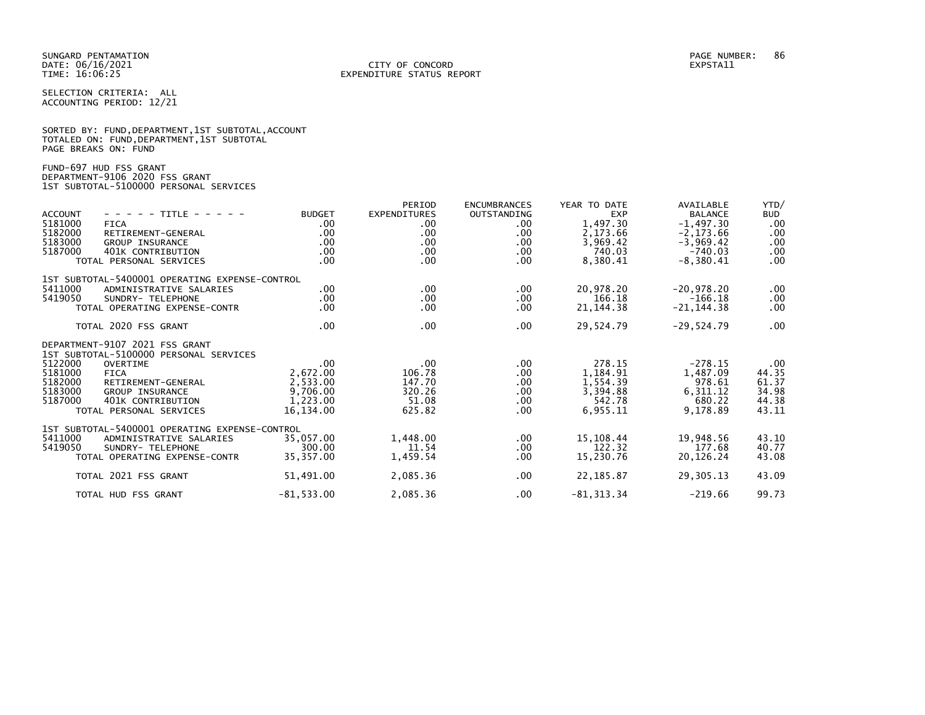SELECTION CRITERIA: ALL ACCOUNTING PERIOD: 12/21

|                      | SORTED BY: FUND, DEPARTMENT, 1ST SUBTOTAL, ACCOUNT |  |  |
|----------------------|----------------------------------------------------|--|--|
|                      | TOTALED ON: FUND, DEPARTMENT, 1ST SUBTOTAL         |  |  |
| PAGE BREAKS ON: FUND |                                                    |  |  |

FUND-697 HUD FSS GRANT DEPARTMENT-9106 2020 FSS GRANT 1ST SUBTOTAL-5100000 PERSONAL SERVICES

| <b>ACCOUNT</b><br>5181000<br>5182000<br>5183000<br>5187000 | - - - - - TITLE - - - - -<br><b>FICA</b><br>RETIREMENT-GENERAL<br><b>GROUP INSURANCE</b><br>401K CONTRIBUTION<br>TOTAL PERSONAL SERVICES                                                            | <b>BUDGET</b><br>$.00 \,$<br>.00.<br>.00.<br>.00<br>$.00 \,$          | PERIOD<br><b>EXPENDITURES</b><br>.00<br>.00.<br>$.00 \,$<br>.00<br>$.00 \,$ | <b>ENCUMBRANCES</b><br><b>OUTSTANDING</b><br>$.00 \,$<br>$.00 \,$<br>$.00 \,$<br>.00.<br>.00. | YEAR TO DATE<br><b>EXP</b><br>1,497.30<br>2,173.66<br>3,969.42<br>740.03<br>8,380.41 | AVAILABLE<br><b>BALANCE</b><br>$-1,497.30$<br>$-2, 173.66$<br>$-3,969.42$<br>$-740.03$<br>$-8,380.41$ | YTD/<br><b>BUD</b><br>.00<br>.00<br>.00<br>.00<br>.00 <sub>1</sub> |
|------------------------------------------------------------|-----------------------------------------------------------------------------------------------------------------------------------------------------------------------------------------------------|-----------------------------------------------------------------------|-----------------------------------------------------------------------------|-----------------------------------------------------------------------------------------------|--------------------------------------------------------------------------------------|-------------------------------------------------------------------------------------------------------|--------------------------------------------------------------------|
| 5411000<br>5419050                                         | 1ST SUBTOTAL-5400001 OPERATING EXPENSE-CONTROL<br>ADMINISTRATIVE SALARIES<br>SUNDRY- TELEPHONE<br>TOTAL OPERATING EXPENSE-CONTR                                                                     | .00<br>.00.<br>.00                                                    | $.00 \,$<br>$.00 \,$<br>.00                                                 | .00<br>$.00 \,$<br>.00.                                                                       | 20,978.20<br>166.18<br>21, 144. 38                                                   | $-20,978.20$<br>$-166.18$<br>$-21, 144.38$                                                            | $.00 \,$<br>.00<br>$.00 \,$                                        |
|                                                            | TOTAL 2020 FSS GRANT                                                                                                                                                                                | $.00 \,$                                                              | $.00 \times$                                                                | $.00 \,$                                                                                      | 29,524.79                                                                            | $-29,524.79$                                                                                          | $.00 \,$                                                           |
| 5122000<br>5181000<br>5182000<br>5183000<br>5187000        | DEPARTMENT-9107 2021 FSS GRANT<br>1ST SUBTOTAL-5100000 PERSONAL SERVICES<br>OVERTIME<br><b>FICA</b><br>RETIREMENT-GENERAL<br><b>GROUP INSURANCE</b><br>401K CONTRIBUTION<br>TOTAL PERSONAL SERVICES | $.00 \,$<br>2,672.00<br>2,533.00<br>9,706.00<br>1,223.00<br>16,134.00 | .00<br>106.78<br>147.70<br>320.26<br>51.08<br>625.82                        | $.00 \,$<br>$.00 \,$<br>$.00 \,$<br>$.00 \,$<br>$.00 \,$<br>$.00 \,$                          | 278.15<br>1,184.91<br>1,554.39<br>3,394.88<br>542.78<br>6,955.11                     | $-278.15$<br>1,487.09<br>978.61<br>6,311.12<br>680.22<br>9,178.89                                     | $.00 \,$<br>44.35<br>61.37<br>34.98<br>44.38<br>43.11              |
| 5411000<br>5419050                                         | 1ST SUBTOTAL-5400001 OPERATING EXPENSE-CONTROL<br>ADMINISTRATIVE SALARIES<br>SUNDRY- TELEPHONE<br>TOTAL OPERATING EXPENSE-CONTR                                                                     | 35,057.00<br>300.00<br>35,357.00                                      | 1,448.00<br>11.54<br>1,459.54                                               | $.00 \,$<br>$.00 \,$<br>.00.                                                                  | 15,108.44<br>122.32<br>15,230.76                                                     | 19,948.56<br>177.68<br>20,126.24                                                                      | 43.10<br>40.77<br>43.08                                            |
|                                                            | TOTAL 2021 FSS GRANT                                                                                                                                                                                | 51,491.00                                                             | 2,085.36                                                                    | $.00 \,$                                                                                      | 22, 185.87                                                                           | 29,305.13                                                                                             | 43.09                                                              |
|                                                            | TOTAL HUD FSS GRANT                                                                                                                                                                                 | $-81,533.00$                                                          | 2,085.36                                                                    | $.00 \,$                                                                                      | $-81, 313.34$                                                                        | $-219.66$                                                                                             | 99.73                                                              |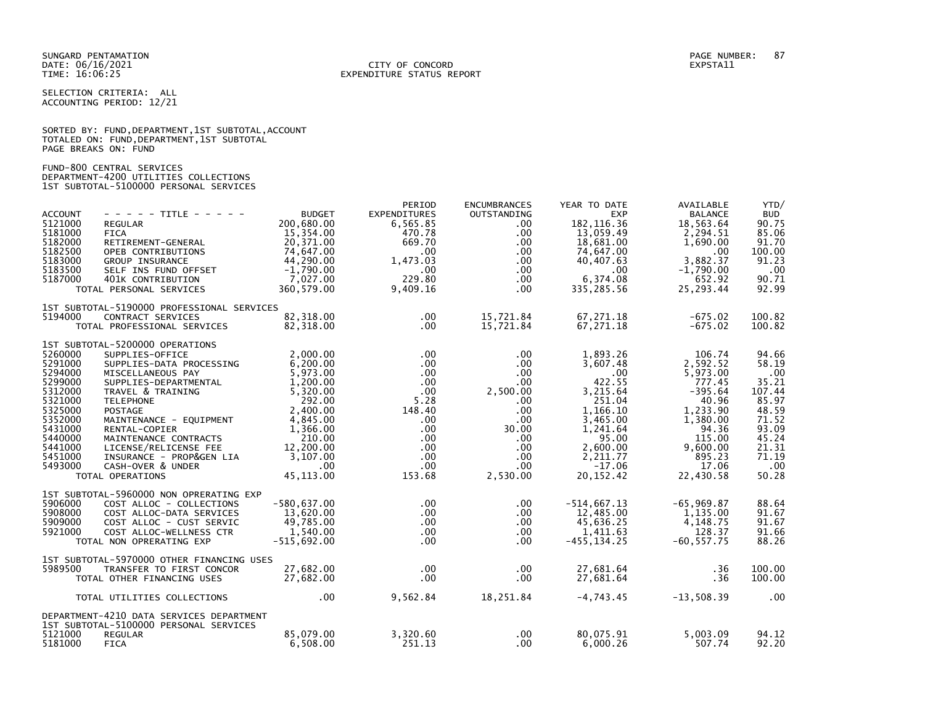SELECTION CRITERIA: ALL ACCOUNTING PERIOD: 12/21

|                      |  |  | SORTED BY: FUND, DEPARTMENT, 1ST SUBTOTAL, ACCOUNT |  |
|----------------------|--|--|----------------------------------------------------|--|
|                      |  |  | TOTALED ON: FUND, DEPARTMENT, 1ST SUBTOTAL         |  |
| PAGE BREAKS ON: FUND |  |  |                                                    |  |

FUND-800 CENTRAL SERVICES DEPARTMENT-4200 UTILITIES COLLECTIONS 1ST SUBTOTAL-5100000 PERSONAL SERVICES

| <b>ACCOUNT</b><br>5121000<br>5181000<br>5182000<br>5182500<br>5183000<br>5183500<br>5187000                                                 | - - - - - TITLE - - - - -<br><b>REGULAR</b><br><b>FICA</b><br>RETIREMENT-GENERAL<br>OPEB CONTRIBUTIONS<br>GROUP INSURANCE<br>SELF INS FUND OFFSET<br>401K CONTRIBUTION<br>TOTAL PERSONAL SERVICES                                                                                                                                                          | <b>BUDGET</b><br>200.680.00<br>15,354.00<br>20,371.00<br>74,647.00<br>44,290.00<br>$-1,790.00$<br>7,027.00<br>360,579.00                                            | PERIOD<br><b>EXPENDITURES</b><br>6,565.85<br>470.78<br>669.70<br>$.00 \,$<br>1,473.03<br>$.00 \,$<br>229.80<br>9,409.16                               | <b>ENCUMBRANCES</b><br>OUTSTANDING<br>$.00 \,$<br>.00.<br>$.00 \,$<br>.00.<br>$.00 \,$<br>$.00 \,$<br>$.00 \,$<br>.00.                                            | YEAR TO DATE<br><b>EXP</b><br>182.116.36<br>13,059.49<br>18,681.00<br>74,647.00<br>40,407.63<br>.00<br>6,374.08<br>335,285.56                              | AVAILABLE<br><b>BALANCE</b><br>18.563.64<br>2,294.51<br>1,690.00<br>.00<br>3,882.37<br>$-1,790.00$<br>652.92<br>25,293.44                             | YTD/<br><b>BUD</b><br>90.75<br>85.06<br>91.70<br>100.00<br>91.23<br>.00<br>90.71<br>92.99                               |
|---------------------------------------------------------------------------------------------------------------------------------------------|------------------------------------------------------------------------------------------------------------------------------------------------------------------------------------------------------------------------------------------------------------------------------------------------------------------------------------------------------------|---------------------------------------------------------------------------------------------------------------------------------------------------------------------|-------------------------------------------------------------------------------------------------------------------------------------------------------|-------------------------------------------------------------------------------------------------------------------------------------------------------------------|------------------------------------------------------------------------------------------------------------------------------------------------------------|-------------------------------------------------------------------------------------------------------------------------------------------------------|-------------------------------------------------------------------------------------------------------------------------|
| 5194000                                                                                                                                     | 1ST SUBTOTAL-5190000 PROFESSIONAL SERVICES<br>CONTRACT SERVICES<br>TOTAL PROFESSIONAL SERVICES                                                                                                                                                                                                                                                             | 82,318.00<br>82,318.00                                                                                                                                              | $.00 \,$<br>$.00 \,$                                                                                                                                  | 15,721.84<br>15,721.84                                                                                                                                            | 67,271.18<br>67,271.18                                                                                                                                     | $-675.02$<br>$-675.02$                                                                                                                                | 100.82<br>100.82                                                                                                        |
| 5260000<br>5291000<br>5294000<br>5299000<br>5312000<br>5321000<br>5325000<br>5352000<br>5431000<br>5440000<br>5441000<br>5451000<br>5493000 | 1ST SUBTOTAL-5200000 OPERATIONS<br>SUPPLIES-OFFICE<br>SUPPLIES-DATA PROCESSING<br>MISCELLANEOUS PAY<br>SUPPLIES-DEPARTMENTAL<br>TRAVEL & TRAINING<br><b>TELEPHONE</b><br><b>POSTAGE</b><br>MAINTENANCE - EQUIPMENT<br>RENTAL-COPIER<br>MAINTENANCE CONTRACTS<br>LICENSE/RELICENSE FEE<br>INSURANCE - PROP&GEN LIA<br>CASH-OVER & UNDER<br>TOTAL OPERATIONS | 2,000.00<br>6,200.00<br>5,973.00<br>1,200.00<br>5,320.00<br>292.00<br>2,400.00<br>4,845.00<br>1,366.00<br>210.00<br>12,200.00<br>3,107.00<br>$.00 \,$<br>45, 113.00 | $.00 \,$<br>$.00 \,$<br>$.00 \,$<br>.00<br>.00<br>5.28<br>148.40<br>$.00 \,$<br>$.00 \,$<br>$.00 \cdot$<br>$.00 \,$<br>$.00 \,$<br>$.00 \,$<br>153.68 | $.00 \,$<br>$.00 \,$<br>$.00 \,$<br>$.00 \,$<br>2,500.00<br>$.00 \,$<br>$.00 \,$<br>$.00 \,$<br>30.00<br>$.00 \,$<br>$.00 \,$<br>$.00 \,$<br>$.00 \,$<br>2,530.00 | 1.893.26<br>3,607.48<br>.00<br>422.55<br>3,215.64<br>251.04<br>1.166.10<br>3,465.00<br>1,241.64<br>95.00<br>2,600.00<br>2,211.77<br>$-17.06$<br>20, 152.42 | 106.74<br>2,592.52<br>5,973.00<br>777.45<br>$-395.64$<br>40.96<br>1,233.90<br>1,380.00<br>94.36<br>115.00<br>9,600.00<br>895.23<br>17.06<br>22,430.58 | 94.66<br>58.19<br>.00<br>35.21<br>107.44<br>85.97<br>48.59<br>71.52<br>93.09<br>45.24<br>21.31<br>71.19<br>.00<br>50.28 |
| 5906000<br>5908000<br>5909000<br>5921000                                                                                                    | 1ST SUBTOTAL-5960000 NON OPRERATING EXP<br>COST ALLOC - COLLECTIONS<br>COST ALLOC-DATA SERVICES<br>COST ALLOC - CUST SERVIC<br>COST ALLOC-WELLNESS CTR<br>TOTAL NON OPRERATING EXP                                                                                                                                                                         | $-580.637.00$<br>13,620.00<br>49,785.00<br>1,540.00<br>$-515,692.00$                                                                                                | .00<br>$.00 \,$<br>$.00 \,$<br>$.00 \,$<br>$.00 \,$                                                                                                   | $.00 \,$<br>.00.<br>$.00 \,$<br>$.00 \,$<br>$.00 \,$                                                                                                              | $-514,667.13$<br>12,485.00<br>45,636.25<br>1,411.63<br>$-455, 134.25$                                                                                      | $-65,969.87$<br>1,135.00<br>4,148.75<br>128.37<br>$-60, 557.75$                                                                                       | 88.64<br>91.67<br>91.67<br>91.66<br>88.26                                                                               |
| 5989500                                                                                                                                     | 1ST SUBTOTAL-5970000 OTHER FINANCING USES<br>TRANSFER TO FIRST CONCOR<br>TOTAL OTHER FINANCING USES                                                                                                                                                                                                                                                        | 27.682.00<br>27,682.00                                                                                                                                              | $.00 \,$<br>$.00 \,$                                                                                                                                  | $.00 \,$<br>$.00 \,$                                                                                                                                              | 27,681.64<br>27,681.64                                                                                                                                     | .36<br>.36                                                                                                                                            | 100.00<br>100.00                                                                                                        |
|                                                                                                                                             | TOTAL UTILITIES COLLECTIONS                                                                                                                                                                                                                                                                                                                                | .00                                                                                                                                                                 | 9,562.84                                                                                                                                              | 18,251.84                                                                                                                                                         | $-4,743.45$                                                                                                                                                | $-13,508.39$                                                                                                                                          | $\overline{\phantom{0}}$ .00                                                                                            |
| 5121000<br>5181000                                                                                                                          | DEPARTMENT-4210 DATA SERVICES DEPARTMENT<br>1ST SUBTOTAL-5100000 PERSONAL SERVICES<br><b>REGULAR</b><br><b>FICA</b>                                                                                                                                                                                                                                        | 85.079.00<br>6,508.00                                                                                                                                               | 3,320.60<br>251.13                                                                                                                                    | $.00 \,$<br>$.00 \,$                                                                                                                                              | 80.075.91<br>6,000.26                                                                                                                                      | 5.003.09<br>507.74                                                                                                                                    | 94.12<br>92.20                                                                                                          |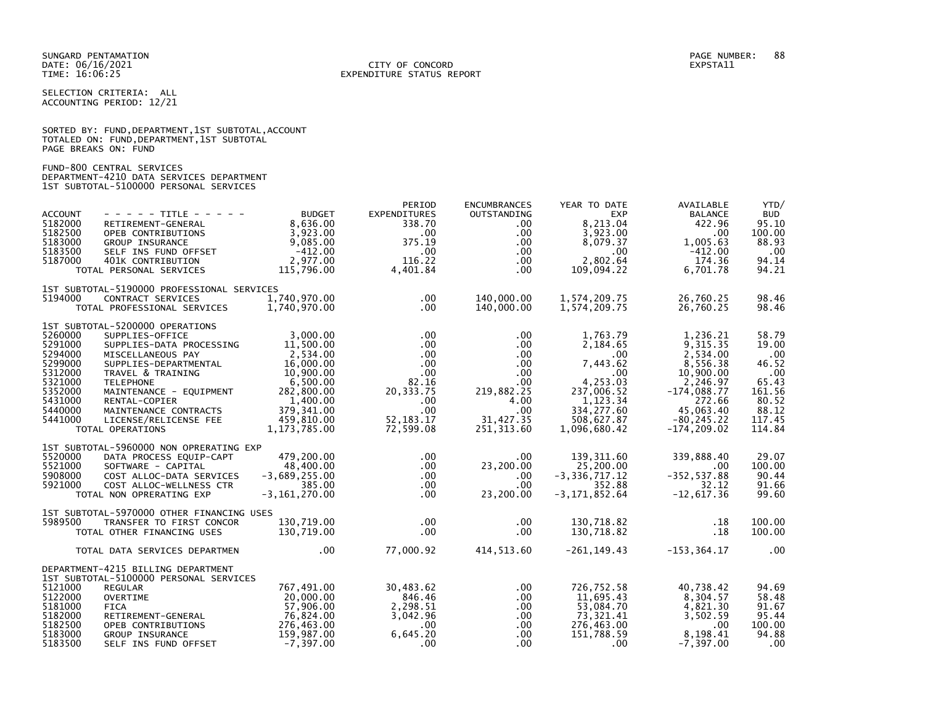## DATE: 06/16/2021 CITY OF CONCORD EXPSTA11 TIME: 16:06:25 EXPENDITURE STATUS REPORT

SELECTION CRITERIA: ALL ACCOUNTING PERIOD: 12/21

|                      |  |  | SORTED BY: FUND, DEPARTMENT, 1ST SUBTOTAL, ACCOUNT |  |
|----------------------|--|--|----------------------------------------------------|--|
|                      |  |  | TOTALED ON: FUND, DEPARTMENT, 1ST SUBTOTAL         |  |
| PAGE BREAKS ON: FUND |  |  |                                                    |  |

# FUND-800 CENTRAL SERVICES DEPARTMENT-4210 DATA SERVICES DEPARTMENT 1ST SUBTOTAL-5100000 PERSONAL SERVICES

|                |                                            |                   | PERIOD       | <b>ENCUMBRANCES</b> | YEAR TO DATE      | AVAILABLE      | YTD/       |
|----------------|--------------------------------------------|-------------------|--------------|---------------------|-------------------|----------------|------------|
| <b>ACCOUNT</b> | $- - - - -$ TITLE - - - - -                | <b>BUDGET</b>     | EXPENDITURES | <b>OUTSTANDING</b>  | <b>EXP</b>        | <b>BALANCE</b> | <b>BUD</b> |
| 5182000        | RETIREMENT-GENERAL                         | 8,636.00          | 338.70       | $.00 \,$            | 8.213.04          | 422.96         | 95.10      |
| 5182500        | OPEB CONTRIBUTIONS                         | 3,923.00          | $.00 \,$     | $.00 \,$            | 3,923.00          | .00.           | 100.00     |
| 5183000        | GROUP INSURANCE                            | 9,085.00          | 375.19       | $.00 \,$            | 8,079.37          | 1,005.63       | 88.93      |
| 5183500        | SELF INS FUND OFFSET                       | $-412.00$         | .00          | $.00 \,$            | .00               | $-412.00$      | .00        |
| 5187000        | 401K CONTRIBUTION                          | 2,977.00          | 116.22       | $.00 \,$            | 2,802.64          | 174.36         | 94.14      |
|                | TOTAL PERSONAL SERVICES                    | 115,796.00        | 4,401.84     | $.00 \,$            | 109,094.22        | 6,701.78       | 94.21      |
|                | 1ST SUBTOTAL-5190000 PROFESSIONAL SERVICES |                   |              |                     |                   |                |            |
| 5194000        | CONTRACT SERVICES                          | 1,740,970.00      | $.00 \,$     | 140,000.00          | 1,574,209.75      | 26,760.25      | 98.46      |
|                | TOTAL PROFESSIONAL SERVICES                | 1,740,970.00      | .00          | 140,000.00          | 1,574,209.75      | 26,760.25      | 98.46      |
|                | 1ST SUBTOTAL-5200000 OPERATIONS            |                   |              |                     |                   |                |            |
| 5260000        | SUPPLIES-OFFICE                            | 3,000.00          | $.00 \,$     | .00.                | 1,763.79          | 1,236.21       | 58.79      |
| 5291000        | SUPPLIES-DATA PROCESSING                   | 11,500.00         | $.00 \,$     | $.00 \,$            | 2,184.65          | 9,315.35       | 19.00      |
| 5294000        | MISCELLANEOUS PAY                          | 2,534.00          | $.00 \,$     | $.00 \,$            | .00               | 2,534.00       | .00        |
| 5299000        | SUPPLIES-DEPARTMENTAL                      | 16,000.00         | $.00 \,$     | $.00\,$             | 7,443.62          | 8,556.38       | 46.52      |
| 5312000        | TRAVEL & TRAINING                          | 10,900.00         | $.00 \,$     | $.00 \,$            | .00               | 10,900.00      | .00        |
| 5321000        | <b>TELEPHONE</b>                           | 6,500.00          | 82.16        | $.00 \,$            | 4,253.03          | 2,246.97       | 65.43      |
| 5352000        | MAINTENANCE - EQUIPMENT                    | 282,800.00        | 20, 333. 75  | 219,882.25          | 237,006.52        | $-174,088.77$  | 161.56     |
| 5431000        | RENTAL-COPIER                              | 1,400.00          | $.00 \,$     | 4.00                | 1,123.34          | 272.66         | 80.52      |
| 5440000        | MAINTENANCE CONTRACTS                      | 379, 341.00       | $.00 \,$     | .00                 | 334, 277.60       | 45.063.40      | 88.12      |
| 5441000        | LICENSE/RELICENSE FEE                      | 459,810.00        | 52, 183. 17  | 31,427.35           | 508,627.87        | $-80, 245.22$  | 117.45     |
|                | TOTAL OPERATIONS                           | 1,173,785.00      | 72,599.08    | 251,313.60          | 1,096,680.42      | $-174, 209.02$ | 114.84     |
|                | 1ST SUBTOTAL-5960000 NON OPRERATING EXP    |                   |              |                     |                   |                |            |
| 5520000        | DATA PROCESS EQUIP-CAPT                    | 479,200.00        | $.00 \cdot$  | $.00 \,$            | 139, 311.60       | 339,888.40     | 29.07      |
| 5521000        | SOFTWARE - CAPITAL                         | 48,400.00         | $.00 \,$     | 23,200.00           | 25,200.00         | .00            | 100.00     |
| 5908000        | COST ALLOC-DATA SERVICES                   | $-3,689,255.00$   | $.00 \,$     | $.00 \,$            | $-3, 336, 717.12$ | $-352, 537.88$ | 90.44      |
| 5921000        | COST ALLOC-WELLNESS CTR                    | 385.00            | $.00 \cdot$  | $.00 \,$            | 352.88            | 32.12          | 91.66      |
|                | TOTAL NON OPRERATING EXP                   | $-3, 161, 270.00$ | $.00 \,$     | 23,200.00           | $-3, 171, 852.64$ | $-12,617.36$   | 99.60      |
|                | 1ST SUBTOTAL-5970000 OTHER FINANCING USES  |                   |              |                     |                   |                |            |
| 5989500        | TRANSFER TO FIRST CONCOR                   | 130,719.00        | $.00 \,$     | $.00 \,$            | 130,718.82        | .18            | 100.00     |
|                | TOTAL OTHER FINANCING USES                 | 130,719.00        | $.00 \cdot$  | $.00 \,$            | 130,718.82        | .18            | 100.00     |
|                | TOTAL DATA SERVICES DEPARTMEN              | .00               | 77,000.92    | 414,513.60          | -261,149.43       | -153,364.17    | $\sim$ .00 |
|                | DEPARTMENT-4215 BILLING DEPARTMENT         |                   |              |                     |                   |                |            |
|                | 1ST SUBTOTAL-5100000 PERSONAL SERVICES     |                   |              |                     |                   |                |            |
| 5121000        | <b>REGULAR</b>                             | 767,491.00        | 30,483.62    | .00.                | 726,752.58        | 40,738.42      | 94.69      |
| 5122000        | <b>OVERTIME</b>                            | 20,000.00         | 846.46       | $.00 \,$            | 11,695.43         | 8,304.57       | 58.48      |
| 5181000        | <b>FICA</b>                                | 57,906.00         | 2,298.51     | .00                 | 53,084.70         | 4,821.30       | 91.67      |
| 5182000        | RETIREMENT-GENERAL                         | 76,824.00         | 3,042.96     | .00                 | 73, 321.41        | 3,502.59       | 95.44      |
| 5182500        | OPEB CONTRIBUTIONS                         | 276,463.00        | $.00 \,$     | $.00 \,$            | 276,463.00        | $.00 \,$       | 100.00     |
| 5183000        | GROUP INSURANCE                            | 159,987.00        | 6,645.20     | $.00 \,$            | 151,788.59        | 8,198.41       | 94.88      |
| 5183500        | SELF INS FUND OFFSET                       | $-7.397.00$       | .00          | .00 <sub>1</sub>    | $\sim 00$         | $-7, 397.00$   | .00        |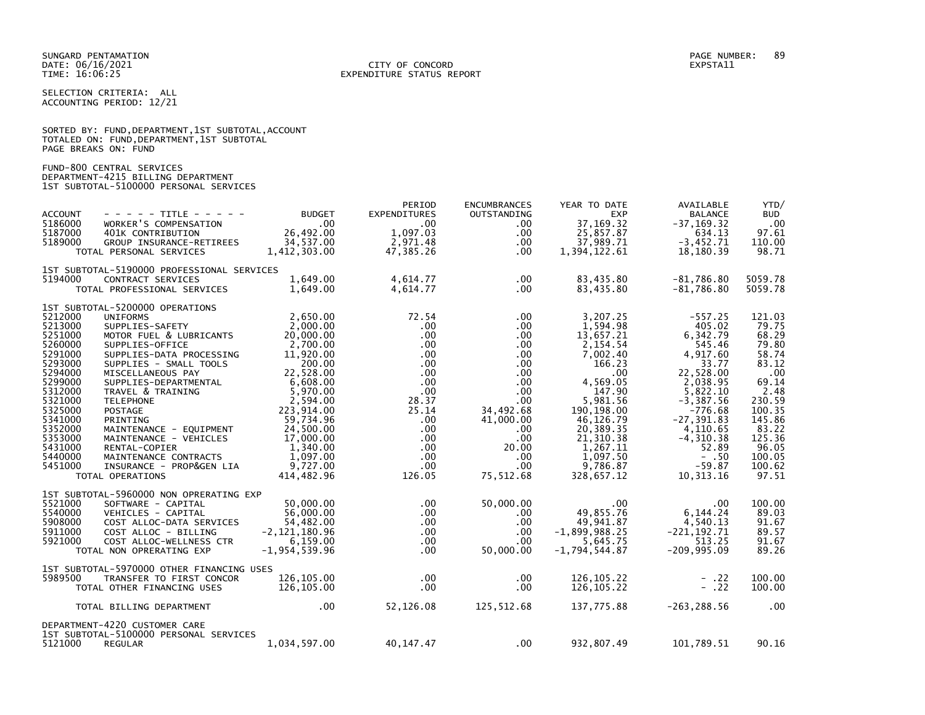SELECTION CRITERIA: ALL ACCOUNTING PERIOD: 12/21

| SORTED BY: FUND, DEPARTMENT, 1ST SUBTOTAL, ACCOUNT |  |
|----------------------------------------------------|--|
| TOTALED ON: FUND,DEPARTMENT,1ST SUBTOTAL           |  |
| PAGE BREAKS ON: FUND                               |  |

# FUND-800 CENTRAL SERVICES DEPARTMENT-4215 BILLING DEPARTMENT 1ST SUBTOTAL-5100000 PERSONAL SERVICES

| <b>ACCOUNT</b><br>- - - - - TITLE - - - - -<br>5186000<br>WORKER'S COMPENSATION<br>5187000<br>401K CONTRIBUTION<br>5189000<br>GROUP INSURANCE-RETIREES<br>TOTAL PERSONAL SERVICES                                                                                                                                                                                                                                                                                                                                                                                                                                                        | <b>BUDGET</b><br>$\sim$ .00<br>$26,492.00$<br>$34,727.00$<br>34,537.00<br>1,412,303.00                                                                                                                                                               | PERIOD<br><b>EXPENDITURES</b><br>.00<br>1,097.03<br>2,971.48<br>47,385.26                                                                                                                                                 | <b>ENCUMBRANCES</b><br>OUTSTANDING<br>$.00 \,$<br>$.00 \,$<br>$.00 \,$<br>$.00 \,$                                                                                                                                       | YEAR TO DATE<br><b>EXP</b><br>37, 169. 32<br>25,857.87<br>37,989.71<br>1,394,122.61                                                                                                                                   | AVAILABLE<br><b>BALANCE</b><br>$-37.169.32$<br>634.13<br>$-3,452.71$<br>18,180.39                                                                                                                                           | YTD/<br><b>BUD</b><br>.00<br>97.61<br>110.00<br>98.71                                                                                                              |
|------------------------------------------------------------------------------------------------------------------------------------------------------------------------------------------------------------------------------------------------------------------------------------------------------------------------------------------------------------------------------------------------------------------------------------------------------------------------------------------------------------------------------------------------------------------------------------------------------------------------------------------|------------------------------------------------------------------------------------------------------------------------------------------------------------------------------------------------------------------------------------------------------|---------------------------------------------------------------------------------------------------------------------------------------------------------------------------------------------------------------------------|--------------------------------------------------------------------------------------------------------------------------------------------------------------------------------------------------------------------------|-----------------------------------------------------------------------------------------------------------------------------------------------------------------------------------------------------------------------|-----------------------------------------------------------------------------------------------------------------------------------------------------------------------------------------------------------------------------|--------------------------------------------------------------------------------------------------------------------------------------------------------------------|
| 1ST SUBTOTAL-5190000 PROFESSIONAL SERVICES<br>5194000<br>CONTRACT SERVICES<br>TOTAL PROFESSIONAL SERVICES                                                                                                                                                                                                                                                                                                                                                                                                                                                                                                                                | 1,649.00<br>1,649.00                                                                                                                                                                                                                                 | 4,614.77<br>4,614.77                                                                                                                                                                                                      | $.00 \,$<br>$.00 \,$                                                                                                                                                                                                     | 83,435.80<br>83,435.80                                                                                                                                                                                                | $-81,786.80$<br>$-81,786.80$                                                                                                                                                                                                | 5059.78<br>5059.78                                                                                                                                                 |
| 1ST SUBTOTAL-5200000 OPERATIONS<br>5212000<br><b>UNIFORMS</b><br>5213000<br>SUPPLIES-SAFETY<br>5251000<br>MOTOR FUEL & LUBRICANTS<br>5260000<br>SUPPLIES-OFFICE<br>5291000<br>SUPPLIES-DATA PROCESSING<br>5293000<br>SUPPLIES - SMALL TOOLS<br>5294000<br>MISCELLANEOUS PAY<br>5299000<br>SUPPLIES-DEPARTMENTAL<br>5312000<br>TRAVEL & TRAINING<br>5321000<br><b>TELEPHONE</b><br>5325000<br><b>POSTAGE</b><br>5341000<br>PRINTING<br>5352000<br>MAINTENANCE - EQUIPMENT<br>5353000<br>MAINTENANCE - VEHICLES<br>5431000<br>RENTAL-COPIER<br>5440000<br>MAINTENANCE CONTRACTS<br>5451000<br>INSURANCE - PROP&GEN LIA<br>TOTAL OPERATIONS | 2,650.00<br>2,000.00<br>20,000.00<br>2,700.00<br>11,920.00<br>200.00<br>22,528.00<br>6.608.00<br>6,608.00<br>5,970.00<br>3,504.00<br>2,594.00<br>223,914.00<br>59,734.96<br>24,500.00<br>17,000.00<br>1,340.00<br>1,097.00<br>9,727.00<br>414,482.96 | 72.54<br>$.00 \,$<br>$.00 \times$<br>$.00 \,$<br>$.00 \,$<br>$.00 \,$<br>$.00 \,$<br>$.00 \times$<br>$.00 \,$<br>28.37<br>25.14<br>$.00 \,$<br>$.00 \,$<br>$.00 \,$<br>$.00 \,$<br>$.00 \,$<br>.00 <sub>1</sub><br>126.05 | $.00 \,$<br>$.00 \,$<br>$.00 \,$<br>$.00 \,$<br>$.00 \,$<br>$.00 \,$<br>$.00 \,$<br>$.00 \,$<br>$.00 \,$<br>$.00 \,$<br>34,492.68<br>41,000.00<br>$.00 \,$<br>$.00 \,$<br>20.00<br>.00.<br>.00 <sub>1</sub><br>75,512.68 | 3,207.25<br>1,594.98<br>13.657.21<br>2,154.54<br>7,002.40<br>166.23<br>.00<br>4.569.05<br>147.90<br>5,981.56<br>190, 198.00<br>46,126.79<br>20,389.35<br>21, 310.38<br>1,267.11<br>1,097.50<br>9,786.87<br>328,657.12 | $-557.25$<br>405.02<br>6,342.79<br>545.46<br>4,917.60<br>33.77<br>22,528.00<br>2,038.95<br>5,822.10<br>$-3,387.56$<br>$-776.68$<br>$-27, 391.83$<br>4,110.65<br>$-4, 310.38$<br>52.89<br>$- .50$<br>$-59.87$<br>10, 313. 16 | 121.03<br>79.75<br>68.29<br>79.80<br>58.74<br>83.12<br>.00<br>69.14<br>2.48<br>230.59<br>100.35<br>145.86<br>83.22<br>125.36<br>96.05<br>100.05<br>100.62<br>97.51 |
| 1ST SUBTOTAL-5960000 NON OPRERATING EXP<br>5521000<br>SOFTWARE - CAPITAL<br>5540000<br>VEHICLES - CAPITAL<br>5908000<br>COST ALLOC-DATA SERVICES<br>5911000<br>COST ALLOC - BILLING<br>5921000<br>COST ALLOC-WELLNESS CTR<br>TOTAL NON OPRERATING EXP<br>1ST SUBTOTAL-5970000 OTHER FINANCING USES                                                                                                                                                                                                                                                                                                                                       | 50.000.00<br>56,000.00<br>54,482.00<br>$-2, 121, 180.96$<br>6,159.00<br>$-1, 954, 539.96$                                                                                                                                                            | $.00 \,$<br>$.00 \,$<br>$.00 \,$<br>$.00 \,$<br>$.00 \,$<br>$.00 \times$                                                                                                                                                  | 50,000.00<br>$.00 \,$<br>$.00 \,$<br>$.00 \times$<br>$.00 \,$<br>50,000.00                                                                                                                                               | $.00 \,$<br>49,855.76<br>49,941.87<br>$-1,899,988.25$<br>5,645.75<br>$-1,794,544.87$                                                                                                                                  | .00<br>6,144.24<br>4,540.13<br>$-221.192.71$<br>513.25<br>$-209,995.09$                                                                                                                                                     | 100.00<br>89.03<br>91.67<br>89.57<br>91.67<br>89.26                                                                                                                |
| 5989500<br>TRANSFER TO FIRST CONCOR<br>TOTAL OTHER FINANCING USES                                                                                                                                                                                                                                                                                                                                                                                                                                                                                                                                                                        | 126,105,00<br>126,105.00                                                                                                                                                                                                                             | $.00 \times$<br>.00 <sub>1</sub>                                                                                                                                                                                          | .00<br>.00                                                                                                                                                                                                               | 126.105.22<br>126, 105.22                                                                                                                                                                                             | $- .22$<br>$- .22$                                                                                                                                                                                                          | 100.00<br>100.00                                                                                                                                                   |
| TOTAL BILLING DEPARTMENT                                                                                                                                                                                                                                                                                                                                                                                                                                                                                                                                                                                                                 | $.00 \,$                                                                                                                                                                                                                                             | 52,126.08                                                                                                                                                                                                                 | 125,512.68                                                                                                                                                                                                               | 137,775.88                                                                                                                                                                                                            | $-263, 288.56$                                                                                                                                                                                                              | .00                                                                                                                                                                |
| DEPARTMENT-4220 CUSTOMER CARE<br>1ST SUBTOTAL-5100000 PERSONAL SERVICES<br>5121000<br><b>REGULAR</b>                                                                                                                                                                                                                                                                                                                                                                                                                                                                                                                                     | 1,034,597.00                                                                                                                                                                                                                                         | 40,147.47                                                                                                                                                                                                                 | $.00 \times$                                                                                                                                                                                                             | 932,807.49                                                                                                                                                                                                            | 101,789.51                                                                                                                                                                                                                  | 90.16                                                                                                                                                              |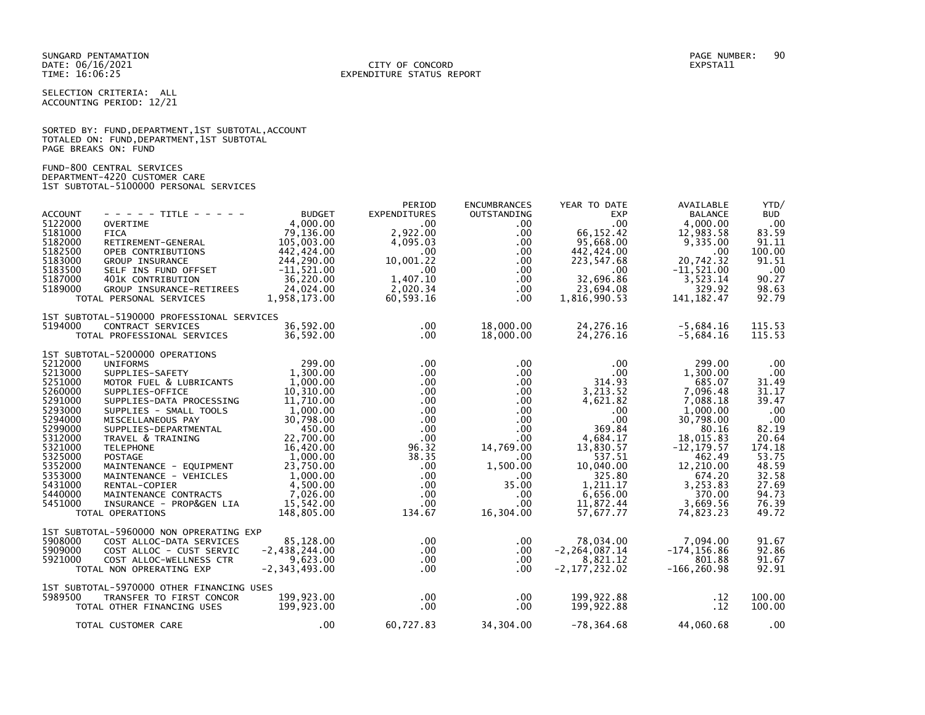SELECTION CRITERIA: ALL ACCOUNTING PERIOD: 12/21

|                      | SORTED BY: FUND, DEPARTMENT, 1ST SUBTOTAL, ACCOUNT |  |  |
|----------------------|----------------------------------------------------|--|--|
|                      | TOTALED ON: FUND, DEPARTMENT, 1ST SUBTOTAL         |  |  |
| PAGE BREAKS ON: FUND |                                                    |  |  |

FUND-800 CENTRAL SERVICES DEPARTMENT-4220 CUSTOMER CARE 1ST SUBTOTAL-5100000 PERSONAL SERVICES

| <b>ACCOUNT</b><br>5122000<br>5181000<br>5182000<br>5182500<br>5183000<br>5183500<br>5187000<br>5189000                                                                       | $- - - - -$ TITLE - - - - -<br><b>OVERTIME</b><br><b>FICA</b><br>RETIREMENT-GENERAL<br>OPEB CONTRIBUTIONS<br>GROUP INSURANCE<br>SELF INS FUND OFFSET<br>401K CONTRIBUTION<br>GROUP INSURANCE-RETIREES<br>TOTAL PERSONAL SERVICES                                                                                                                                                                                                                     | <b>BUDGET</b><br>4,000,00<br>79,136.00<br>105,003.00<br>442,424.00<br>244,290.00<br>$-11,521.00$<br>36,220.00<br>24,024.00<br>1,958,173.00                                                                    | PERIOD<br><b>EXPENDITURES</b><br>$.00 \,$<br>2,922.00<br>4,095.03<br>$.00 \,$<br>10,001.22<br>$.00 \,$<br>1.407.10<br>2,020.34<br>60,593.16                                                              | <b>ENCUMBRANCES</b><br>OUTSTANDING<br>.00.<br>.00.<br>.00<br>$.00 \,$<br>$.00 \,$<br>$.00 \,$<br>$.00 \,$<br>.00<br>$.00 \,$                                                                  | YEAR TO DATE<br><b>EXP</b><br>.00<br>66,152.42<br>95,668.00<br>442,424.00<br>223,547.68<br>.00<br>32,696.86<br>23,694.08<br>1,816,990.53                                                   | AVAILABLE<br><b>BALANCE</b><br>4,000.00<br>12,983.58<br>9,335.00<br>.00<br>20,742.32<br>$-11,521.00$<br>3,523.14<br>329.92<br>141, 182.47                                                            | YTD/<br><b>BUD</b><br>.00<br>83.59<br>91.11<br>100.00<br>91.51<br>.00<br>90.27<br>98.63<br>92.79                                               |
|------------------------------------------------------------------------------------------------------------------------------------------------------------------------------|------------------------------------------------------------------------------------------------------------------------------------------------------------------------------------------------------------------------------------------------------------------------------------------------------------------------------------------------------------------------------------------------------------------------------------------------------|---------------------------------------------------------------------------------------------------------------------------------------------------------------------------------------------------------------|----------------------------------------------------------------------------------------------------------------------------------------------------------------------------------------------------------|-----------------------------------------------------------------------------------------------------------------------------------------------------------------------------------------------|--------------------------------------------------------------------------------------------------------------------------------------------------------------------------------------------|------------------------------------------------------------------------------------------------------------------------------------------------------------------------------------------------------|------------------------------------------------------------------------------------------------------------------------------------------------|
| 5194000                                                                                                                                                                      | 1ST SUBTOTAL-5190000 PROFESSIONAL SERVICES<br>CONTRACT SERVICES<br>TOTAL PROFESSIONAL SERVICES                                                                                                                                                                                                                                                                                                                                                       | 36,592.00<br>36,592.00                                                                                                                                                                                        | $.00 \,$<br>$.00 \times$                                                                                                                                                                                 | 18,000.00<br>18,000.00                                                                                                                                                                        | 24, 276.16<br>24, 276.16                                                                                                                                                                   | $-5,684.16$<br>$-5,684.16$                                                                                                                                                                           | 115.53<br>115.53                                                                                                                               |
| 5212000<br>5213000<br>5251000<br>5260000<br>5291000<br>5293000<br>5294000<br>5299000<br>5312000<br>5321000<br>5325000<br>5352000<br>5353000<br>5431000<br>5440000<br>5451000 | 1ST SUBTOTAL-5200000 OPERATIONS<br><b>UNIFORMS</b><br>SUPPLIES-SAFETY<br>MOTOR FUEL & LUBRICANTS<br>SUPPLIES-OFFICE<br>SUPPLIES-DATA PROCESSING<br>SUPPLIES - SMALL TOOLS<br>MISCELLANEOUS PAY<br>SUPPLIES-DEPARTMENTAL<br>TRAVEL & TRAINING<br><b>TELEPHONE</b><br>POSTAGE<br>MAINTENANCE - EQUIPMENT<br>MAINTENANCE - VEHICLES<br>MAINTENANCE - VEHICLES<br>RENTAL-COPIER<br>MAINTENANCE CONTRACTS<br>INSURANCE - PROP&GEN LIA<br>TOTAL OPERATIONS | 299.00<br>1,300.00<br>1,000.00<br>10,310.00<br>11,710.00<br>1,000.00<br>30,798.00<br>450.00<br>22,700.00<br>16,420.00<br>1,000.00<br>23,750.00<br>1,000.00<br>4,500.00<br>7.026.00<br>15,542.00<br>148,805.00 | $.00 \ \,$<br>$.00 \,$<br>$.00 \,$<br>$.00 \,$<br>$.00 \,$<br>$.00 \,$<br>$.00 \,$<br>$.00 \,$<br>$.00 \,$<br>96.32<br>38.35<br>$.00 \times$<br>$.00 \,$<br>$.00 \,$<br>$.00 \,$<br>$.00 \ \,$<br>134.67 | $.00 \,$<br>$.00 \,$<br>.00<br>$.00 \,$<br>$.00 \,$<br>$.00 \,$<br>$.00 \,$<br>$.00 \,$<br>$.00 \,$<br>14,769.00<br>$.00 \,$<br>1,500.00<br>.00<br>35.00<br>$.00 \,$<br>$.00 \,$<br>16,304.00 | $.00 \,$<br>.00<br>314.93<br>3,213.52<br>4,621.82<br>$.00 \,$<br>.00<br>369.84<br>4,684.17<br>13,830.57<br>537.51<br>10,040.00<br>325.80<br>1,211.17<br>6.656.00<br>11,872.44<br>57,677.77 | 299.00<br>1,300.00<br>685.07<br>7,096.48<br>7,088.18<br>1,000.00<br>30,798.00<br>80.16<br>18,015.83<br>$-12, 179.57$<br>462.49<br>12,210.00<br>674.20<br>3,253.83<br>370.00<br>3,669.56<br>74,823.23 | .00<br>.00<br>31.49<br>31.17<br>39.47<br>.00<br>.00<br>82.19<br>20.64<br>174.18<br>53.75<br>48.59<br>32.58<br>27.69<br>94.73<br>76.39<br>49.72 |
| 5908000<br>5909000<br>5921000                                                                                                                                                | 1ST SUBTOTAL-5960000 NON OPRERATING EXP<br>COST ALLOC-DATA SERVICES<br>COST ALLOC - CUST SERVIC<br>COST ALLOC-WELLNESS CTR<br>TOTAL NON OPRERATING EXP                                                                                                                                                                                                                                                                                               | 85,128.00<br>$-2,438,244.00$<br>9,623.00<br>$-2, 343, 493.00$                                                                                                                                                 | $.00 \ \,$<br>$.00 \,$<br>$.00 \,$<br>$.00 \,$                                                                                                                                                           | $.00 \,$<br>.00<br>$.00 \,$<br>$.00 \,$                                                                                                                                                       | 78,034.00<br>$-2, 264, 087.14$<br>8,821.12<br>$-2, 177, 232.02$                                                                                                                            | 7,094.00<br>$-174, 156.86$<br>801.88<br>$-166, 260.98$                                                                                                                                               | 91.67<br>92.86<br>91.67<br>92.91                                                                                                               |
| 5989500                                                                                                                                                                      | 1ST SUBTOTAL-5970000 OTHER FINANCING USES<br>TRANSFER TO FIRST CONCOR<br>TOTAL OTHER FINANCING USES<br>TOTAL CUSTOMER CARE                                                                                                                                                                                                                                                                                                                           | 199,923.00<br>199,923.00<br>.00                                                                                                                                                                               | $.00 \,$<br>$.00 \,$<br>60,727.83                                                                                                                                                                        | $.00 \,$<br>$.00 \,$<br>34,304.00                                                                                                                                                             | 199,922.88<br>199,922.88                                                                                                                                                                   | .12<br>.12<br>$-78,364.68$ 44,060.68                                                                                                                                                                 | 100.00<br>100.00<br>$\overline{\phantom{0}}$ .00                                                                                               |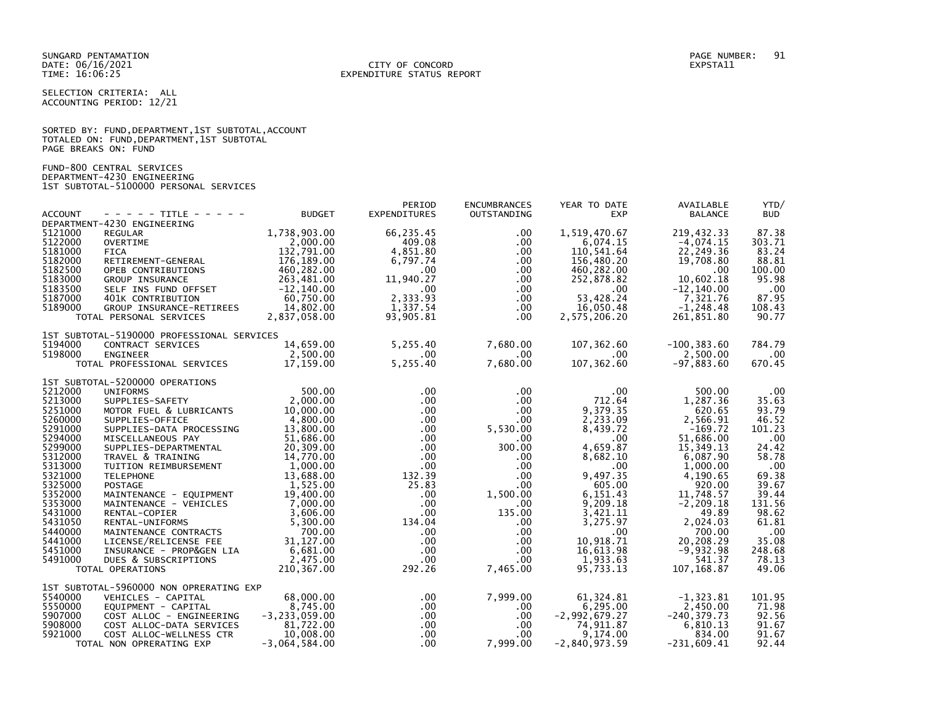SELECTION CRITERIA: ALL ACCOUNTING PERIOD: 12/21

|                      | SORTED BY: FUND, DEPARTMENT, 1ST SUBTOTAL, ACCOUNT |
|----------------------|----------------------------------------------------|
|                      | TOTALED ON: FUND,DEPARTMENT,1ST SUBTOTAL           |
| PAGE BREAKS ON: FUND |                                                    |

FUND-800 CENTRAL SERVICES DEPARTMENT-4230 ENGINEERING 1ST SUBTOTAL-5100000 PERSONAL SERVICES

| <b>ACCOUNT</b>     | - - - - - TITLE - - - - -                         | <b>BUDGET</b>                 | PERIOD<br><b>EXPENDITURES</b>   | <b>ENCUMBRANCES</b><br>OUTSTANDING | YEAR TO DATE<br><b>EXP</b>  | AVAILABLE<br><b>BALANCE</b> | YTD/<br><b>BUD</b> |
|--------------------|---------------------------------------------------|-------------------------------|---------------------------------|------------------------------------|-----------------------------|-----------------------------|--------------------|
| 5121000            | DEPARTMENT-4230 ENGINEERING<br><b>REGULAR</b>     | 1,738,903.00                  | 66,235.45                       | $.00 \,$                           | 1,519,470.67                | 219,432.33                  | 87.38              |
| 5122000            | <b>OVERTIME</b>                                   | 2,000.00                      | 409.08                          | .00                                | 6,074.15                    | $-4,074.15$                 | 303.71             |
| 5181000            | <b>FICA</b>                                       | 132,791.00                    | 4,851.80                        | .00.                               | 110,541.64                  | 22,249.36                   | 83.24              |
| 5182000<br>5182500 | RETIREMENT-GENERAL<br>OPEB CONTRIBUTIONS          | 176,189.00<br>460,282.00      | 6,797.74<br>$.00 \,$            | $.00 \,$<br>$.00 \,$               | 156,480.20<br>460,282.00    | 19,708.80<br>.00.           | 88.81<br>100.00    |
| 5183000            | GROUP INSURANCE                                   | 263,481.00                    | 11,940.27                       | $.00 \,$                           | 252,878.82                  | 10,602.18                   | 95.98              |
| 5183500<br>5187000 | SELF INS FUND OFFSET<br>401K CONTRIBUTION         | $-12, 140.00$<br>60,750.00    | $.00 \,$<br>2,333.93            | .00<br>$.00 \times$                | .00<br>53,428.24            | $-12, 140.00$<br>7,321.76   | .00<br>87.95       |
| 5189000            | GROUP INSURANCE-RETIREES                          | 14,802.00                     | 1,337.54                        | $.00 \,$                           | 16,050.48                   | $-1, 248.48$                | 108.43             |
|                    | TOTAL PERSONAL SERVICES                           | 2,837,058.00                  | 93,905.81                       | .00.                               | 2,575,206.20                | 261,851.80                  | 90.77              |
|                    | 1ST SUBTOTAL-5190000 PROFESSIONAL SERVICES        |                               |                                 |                                    |                             |                             |                    |
| 5194000<br>5198000 | CONTRACT SERVICES<br><b>ENGINEER</b>              | 14,659.00<br>2,500.00         | 5,255.40<br>$.00 \cdot$         | 7,680.00<br>$.00 \,$               | 107,362.60<br>$.00 \,$      | $-100, 383.60$<br>2,500.00  | 784.79<br>$.00 \,$ |
|                    | TOTAL PROFESSIONAL SERVICES                       | 17,159.00                     | 5,255.40                        | 7,680.00                           | 107,362.60                  | $-97,883.60$                | 670.45             |
|                    | 1ST SUBTOTAL-5200000 OPERATIONS                   |                               |                                 |                                    |                             |                             |                    |
| 5212000<br>5213000 | <b>UNIFORMS</b><br>SUPPLIES-SAFETY                | 500.00<br>2,000.00            | $.00 \,$<br>$.00 \,$            | $.00 \,$<br>$.00 \,$               | $.00 \,$<br>712.64          | 500.00<br>1,287.36          | $.00 \,$<br>35.63  |
| 5251000            | MOTOR FUEL & LUBRICANTS                           | 10,000.00                     | $.00 \,$                        | $.00 \,$                           | 9,379.35                    | 620.65                      | 93.79              |
| 5260000            | SUPPLIES-OFFICE                                   | 4,800.00                      | $.00 \times$                    | $.00 \,$                           | 2,233.09                    | 2,566.91                    | 46.52              |
| 5291000<br>5294000 | SUPPLIES-DATA PROCESSING<br>MISCELLANEOUS PAY     | 13,800.00<br>51,686.00        | $.00 \,$<br>$.00 \,$            | 5,530.00<br>$.00 \,$               | 8,439.72<br>.00             | $-169.72$<br>51,686.00      | 101.23<br>.00      |
| 5299000            | SUPPLIES-DEPARTMENTAL                             | 20,309.00                     | $.00 \times$                    | 300.00                             | 4,659.87                    | 15,349.13                   | 24.42              |
| 5312000<br>5313000 | TRAVEL & TRAINING<br>TUITION REIMBURSEMENT        | 14,770.00<br>1,000.00         | $.00 \cdot$<br>.00              | $.00 \,$<br>$.00 \,$               | 8,682.10<br>$.00 \,$        | 6,087.90<br>1,000.00        | 58.78              |
| 5321000            | <b>TELEPHONE</b>                                  | 13,688.00                     | 132.39                          | $.00 \,$                           | 9,497.35                    | 4,190.65                    | .00<br>69.38       |
| 5325000            | POSTAGE                                           | 1,525.00                      | 25.83                           | $.00 \,$                           | 605.00                      | 920.00                      | 39.67              |
| 5352000<br>5353000 | MAINTENANCE - EQUIPMENT<br>MAINTENANCE - VEHICLES | 19,400.00<br>7,000.00         | $.00 \,$<br>$.00 \,$            | 1,500.00<br>$.00 \,$               | 6.151.43<br>9,209.18        | 11.748.57<br>$-2, 209.18$   | 39.44<br>131.56    |
| 5431000            | RENTAL-COPIER                                     | 3.606.00                      | $.00 \,$                        | 135.00                             | 3,421.11                    | 49.89                       | 98.62              |
| 5431050<br>5440000 | RENTAL-UNIFORMS<br>MAINTENANCE CONTRACTS          | 5,300.00<br>700.00            | 134.04<br>$.00 \ \,$            | $.00 \,$<br>$.00 \,$               | 3,275.97<br>$.00 \times$    | 2,024.03<br>700.00          | 61.81<br>.00       |
| 5441000            | LICENSE/RELICENSE FEE                             | 31, 127.00                    | $.00 \,$                        | $.00 \,$                           | 10.918.71                   | 20,208.29                   | 35.08              |
| 5451000            | INSURANCE - PROP&GEN LIA                          | 6,681.00                      | $.00 \,$                        | .00.                               | 16,613.98                   | $-9,932.98$                 | 248.68             |
| 5491000            | DUES & SUBSCRIPTIONS<br>TOTAL OPERATIONS          | 2,475.00<br>210,367.00        | $.00 \,$<br>292.26              | $.00 \,$<br>7,465.00               | 1,933.63<br>95,733.13       | 541.37<br>107, 168.87       | 78.13<br>49.06     |
|                    | 1ST SUBTOTAL-5960000 NON OPRERATING EXP           |                               |                                 |                                    |                             |                             |                    |
| 5540000            | VEHICLES - CAPITAL                                | 68,000.00                     | $.00 \,$                        | 7,999.00                           | 61, 324.81                  | $-1, 323.81$                | 101.95             |
| 5550000<br>5907000 | EQUIPMENT - CAPITAL<br>COST ALLOC - ENGINEERING   | 8,745.00<br>$-3, 233, 059.00$ | $.00 \cdot$<br>.00 <sub>1</sub> | $.00 \,$<br>$.00 \,$               | 6,295.00<br>$-2,992,679.27$ | 2,450.00<br>$-240, 379.73$  | 71.98<br>92.56     |
| 5908000            | COST ALLOC-DATA SERVICES                          | 81,722.00                     | $.00\,$                         | $.00 \,$                           | 74,911.87                   | 6,810.13                    | 91.67              |
| 5921000            | COST ALLOC-WELLNESS CTR                           | 10,008.00                     | $.00 \cdot$                     | $.00 \,$                           | 9,174.00                    | 834.00                      | 91.67              |
|                    | TOTAL NON OPRERATING EXP                          | $-3,064,584.00$               | $.00 \,$                        | 7,999.00                           | $-2,840,973.59$             | $-231,609.41$               | 92.44              |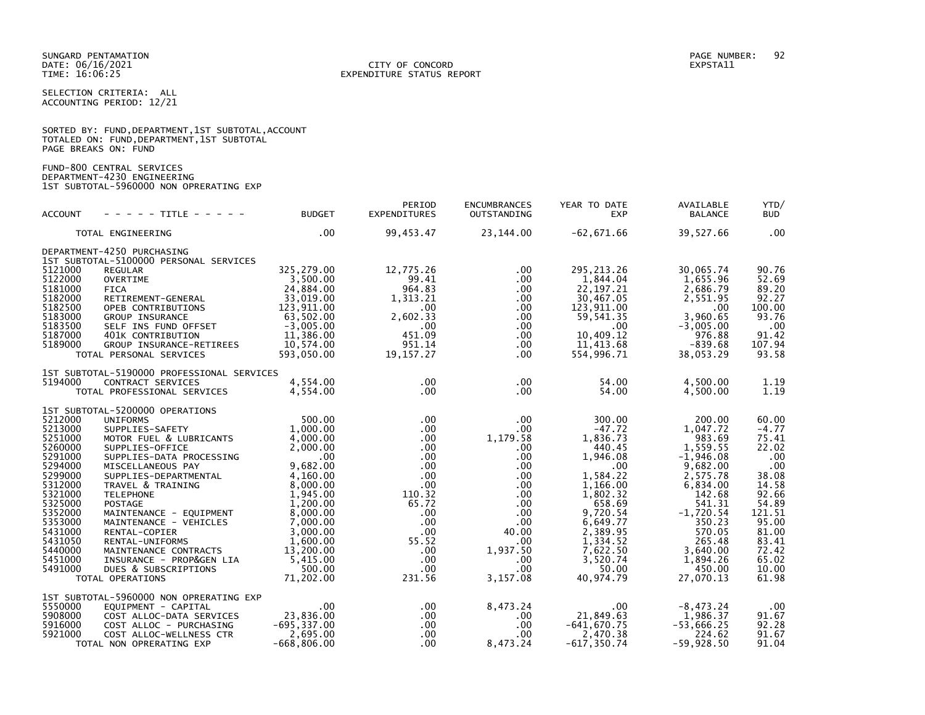SELECTION CRITERIA: ALL ACCOUNTING PERIOD: 12/21

|                      | SORTED BY: FUND, DEPARTMENT, 1ST SUBTOTAL, ACCOUNT |  |  |
|----------------------|----------------------------------------------------|--|--|
|                      | TOTALED ON: FUND, DEPARTMENT, 1ST SUBTOTAL         |  |  |
| PAGE BREAKS ON: FUND |                                                    |  |  |

FUND-800 CENTRAL SERVICES DEPARTMENT-4230 ENGINEERING 1ST SUBTOTAL-5960000 NON OPRERATING EXP

| <b>ACCOUNT</b>                                                                                                                                                                          | - - - - - TITLE - - - - -                                                                                                                                                                                                                                                                                                                                                                                                                   | <b>BUDGET</b>                                                                                                                                                                                                 | PERIOD<br><b>EXPENDITURES</b>                                                                                                                                                                                         | <b>ENCUMBRANCES</b><br><b>OUTSTANDING</b>                                                                                                                                                                | YEAR TO DATE<br><b>EXP</b>                                                                                                                                                                                     | AVAILABLE<br><b>BALANCE</b>                                                                                                                                                                                 | YTD/<br><b>BUD</b>                                                                                                                                            |
|-----------------------------------------------------------------------------------------------------------------------------------------------------------------------------------------|---------------------------------------------------------------------------------------------------------------------------------------------------------------------------------------------------------------------------------------------------------------------------------------------------------------------------------------------------------------------------------------------------------------------------------------------|---------------------------------------------------------------------------------------------------------------------------------------------------------------------------------------------------------------|-----------------------------------------------------------------------------------------------------------------------------------------------------------------------------------------------------------------------|----------------------------------------------------------------------------------------------------------------------------------------------------------------------------------------------------------|----------------------------------------------------------------------------------------------------------------------------------------------------------------------------------------------------------------|-------------------------------------------------------------------------------------------------------------------------------------------------------------------------------------------------------------|---------------------------------------------------------------------------------------------------------------------------------------------------------------|
|                                                                                                                                                                                         | TOTAL ENGINEERING                                                                                                                                                                                                                                                                                                                                                                                                                           | .00                                                                                                                                                                                                           | 99,453.47                                                                                                                                                                                                             | 23,144.00                                                                                                                                                                                                | -62,671.66                                                                                                                                                                                                     | 39,527.66                                                                                                                                                                                                   | .00                                                                                                                                                           |
|                                                                                                                                                                                         | DEPARTMENT-4250 PURCHASING<br>1ST SUBTOTAL-5100000 PERSONAL SERVICES                                                                                                                                                                                                                                                                                                                                                                        |                                                                                                                                                                                                               |                                                                                                                                                                                                                       |                                                                                                                                                                                                          |                                                                                                                                                                                                                |                                                                                                                                                                                                             |                                                                                                                                                               |
| 5121000<br>5122000<br>5181000<br>5182000<br>5182500<br>5183000<br>5183500<br>5187000<br>5189000                                                                                         | <b>REGULAR</b><br><b>OVERTIME</b><br><b>FICA</b><br>RETIREMENT-GENERAL<br>OPEB CONTRIBUTIONS<br>GROUP INSURANCE<br>SELF INS FUND OFFSET<br>401K CONTRIBUTION<br>GROUP INSURANCE-RETIREES<br>TOTAL PERSONAL SERVICES                                                                                                                                                                                                                         | 325.279.00<br>3,500.00<br>24,884.00<br>33,019.00<br>123,911.00<br>63,502.00<br>$-3,005.00$<br>11,386.00<br>10,574.00<br>593,050.00                                                                            | 12.775.26<br>99.41<br>964.83<br>1.313.21<br>$.00 \,$<br>2,602.33<br>$.00 \,$<br>451.09<br>951.14<br>19, 157. 27                                                                                                       | $.00 \,$<br>$.00 \,$<br>$.00 \,$<br>.00<br>.00<br>$.00 \,$<br>.00<br>$.00 \,$<br>$.00 \,$<br>$.00 \,$                                                                                                    | 295, 213.26<br>1,844.04<br>22, 197. 21<br>30,467.05<br>123,911.00<br>59,541.35<br>$.00 \,$<br>10,409.12<br>11,413.68<br>554,996.71                                                                             | 30,065.74<br>1,655.96<br>2,686.79<br>2.551.95<br>$.00 \,$<br>3.960.65<br>$-3,005.00$<br>976.88<br>$-839.68$<br>38,053.29                                                                                    | 90.76<br>52.69<br>89.20<br>92.27<br>100.00<br>93.76<br>.00<br>91.42<br>107.94<br>93.58                                                                        |
| 5194000                                                                                                                                                                                 | 1ST SUBTOTAL-5190000 PROFESSIONAL SERVICES<br>CONTRACT SERVICES<br>TOTAL PROFESSIONAL SERVICES                                                                                                                                                                                                                                                                                                                                              | 4,554.00<br>4,554.00                                                                                                                                                                                          | $.00 \cdot$<br>$.00 \cdot$                                                                                                                                                                                            | $.00 \,$<br>$.00 \,$                                                                                                                                                                                     | 54.00<br>54.00                                                                                                                                                                                                 | 4,500.00<br>4,500.00                                                                                                                                                                                        | 1.19<br>1.19                                                                                                                                                  |
| 5212000<br>5213000<br>5251000<br>5260000<br>5291000<br>5294000<br>5299000<br>5312000<br>5321000<br>5325000<br>5352000<br>5353000<br>5431000<br>5431050<br>5440000<br>5451000<br>5491000 | 1ST SUBTOTAL-5200000 OPERATIONS<br><b>UNIFORMS</b><br>SUPPLIES-SAFETY<br>MOTOR FUEL & LUBRICANTS<br>SUPPLIES-OFFICE<br>SUPPLIES-DATA PROCESSING<br>MISCELLANEOUS PAY<br>SUPPLIES-DEPARTMENTAL<br>TRAVEL & TRAINING<br><b>TELEPHONE</b><br>POSTAGE<br>MAINTENANCE - EQUIPMENT<br>MAINTENANCE - VEHICLES<br>RENTAL-COPIER<br>RENTAL-UNIFORMS<br>MAINTENANCE CONTRACTS<br>INSURANCE - PROP&GEN LIA<br>DUES & SUBSCRIPTIONS<br>TOTAL OPERATIONS | 500.00<br>1,000.00<br>4,000.00<br>2.000.00<br>.00<br>9,682.00<br>4,160.00<br>8,000.00<br>1.945.00<br>1,200.00<br>8,000.00<br>7,000.00<br>3,000.00<br>1,600.00<br>13,200.00<br>5,415.00<br>500.00<br>71,202.00 | $.00 \,$<br>$.00 \,$<br>$.00 \,$<br>$.00 \,$<br>$.00 \,$<br>.00 <sub>1</sub><br>$.00 \,$<br>$.00 \,$<br>110.32<br>65.72<br>$.00 \,$<br>$.00 \,$<br>$.00 \,$<br>55.52<br>$.00 \,$<br>$.00 \,$<br>$.00 \cdot$<br>231.56 | $.00 \,$<br>$.00 \,$<br>1,179.58<br>$.00 \,$<br>$.00 \,$<br>$.00 \,$<br>$.00 \,$<br>$.00 \,$<br>$.00 \,$<br>$.00 \,$<br>$.00 \,$<br>$.00 \,$<br>40.00<br>.00<br>1,937.50<br>.00.<br>$.00 \,$<br>3,157.08 | 300.00<br>$-47.72$<br>1,836.73<br>440.45<br>1,946.08<br>$.00 \ \,$<br>1,584.22<br>1,166.00<br>1.802.32<br>658.69<br>9,720.54<br>6,649.77<br>2,389.95<br>1,334.52<br>7,622.50<br>3,520.74<br>50.00<br>40,974.79 | 200.00<br>1,047.72<br>983.69<br>1,559.55<br>$-1,946.08$<br>9,682.00<br>2,575.78<br>6,834.00<br>142.68<br>541.31<br>$-1,720.54$<br>350.23<br>570.05<br>265.48<br>3,640.00<br>1,894.26<br>450.00<br>27,070.13 | 60.00<br>$-4.77$<br>75.41<br>22.02<br>.00<br>.00<br>38.08<br>14.58<br>92.66<br>54.89<br>121.51<br>95.00<br>81.00<br>83.41<br>72.42<br>65.02<br>10.00<br>61.98 |
| 5550000<br>5908000<br>5916000<br>5921000                                                                                                                                                | 1ST SUBTOTAL-5960000 NON OPRERATING EXP<br>EQUIPMENT - CAPITAL<br>COST ALLOC-DATA SERVICES<br>COST ALLOC - PURCHASING<br>COST ALLOC-WELLNESS CTR<br>TOTAL NON OPRERATING EXP                                                                                                                                                                                                                                                                | $\overline{\phantom{0}}$ .00<br>23,836.00<br>$-695, 337.00$<br>2,695.00<br>$-668,806.00$                                                                                                                      | $.00 \,$<br>$.00 \,$<br>$.00 \cdot$<br>$.00 \cdot$<br>$.00 \cdot$                                                                                                                                                     | 8,473.24<br>$.00 \ \,$<br>$.00 \,$<br>.00<br>8,473.24                                                                                                                                                    | $.00 \,$<br>21,849.63<br>$-641,670.75$<br>2,470.38<br>$-617, 350.74$                                                                                                                                           | $-8,473.24$<br>1,986.37<br>$-53,666.25$<br>224.62<br>$-59,928.50$                                                                                                                                           | .00<br>91.67<br>92.28<br>91.67<br>91.04                                                                                                                       |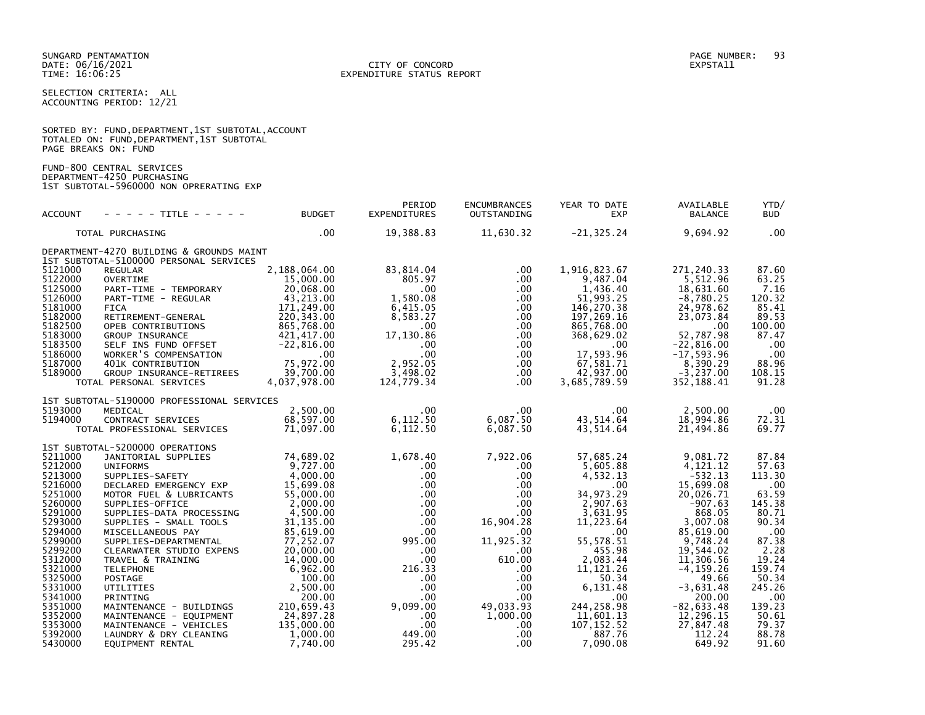SELECTION CRITERIA: ALL ACCOUNTING PERIOD: 12/21

|                      |  | SORTED BY: FUND, DEPARTMENT, 1ST SUBTOTAL, ACCOUNT |  |
|----------------------|--|----------------------------------------------------|--|
|                      |  | TOTALED ON: FUND, DEPARTMENT, 1ST SUBTOTAL         |  |
| PAGE BREAKS ON: FUND |  |                                                    |  |

FUND-800 CENTRAL SERVICES DEPARTMENT-4250 PURCHASING 1ST SUBTOTAL-5960000 NON OPRERATING EXP

| <b>ACCOUNT</b>                                                                                                                                                                                                                      | - - - - - TITLE - - - - -                                                                                                                                                                                                                                                                                                                                                                                                                                                                                       | <b>BUDGET</b>                                                                                                                                                                                                                                                      | PERIOD<br><b>EXPENDITURES</b>                                                                                                                                                                          | <b>ENCUMBRANCES</b><br>OUTSTANDING                                                                                                                                                                                                  | YEAR TO DATE<br><b>EXP</b>                                                                                                                                                                                                                             | AVAILABLE<br><b>BALANCE</b>                                                                                                                                                                                                                                       | YTD/<br><b>BUD</b>                                                                                                                                                                      |
|-------------------------------------------------------------------------------------------------------------------------------------------------------------------------------------------------------------------------------------|-----------------------------------------------------------------------------------------------------------------------------------------------------------------------------------------------------------------------------------------------------------------------------------------------------------------------------------------------------------------------------------------------------------------------------------------------------------------------------------------------------------------|--------------------------------------------------------------------------------------------------------------------------------------------------------------------------------------------------------------------------------------------------------------------|--------------------------------------------------------------------------------------------------------------------------------------------------------------------------------------------------------|-------------------------------------------------------------------------------------------------------------------------------------------------------------------------------------------------------------------------------------|--------------------------------------------------------------------------------------------------------------------------------------------------------------------------------------------------------------------------------------------------------|-------------------------------------------------------------------------------------------------------------------------------------------------------------------------------------------------------------------------------------------------------------------|-----------------------------------------------------------------------------------------------------------------------------------------------------------------------------------------|
|                                                                                                                                                                                                                                     | TOTAL PURCHASING                                                                                                                                                                                                                                                                                                                                                                                                                                                                                                | .00                                                                                                                                                                                                                                                                | 19,388.83                                                                                                                                                                                              | 11,630.32                                                                                                                                                                                                                           | $-21, 325.24$                                                                                                                                                                                                                                          | 9,694.92                                                                                                                                                                                                                                                          | .00                                                                                                                                                                                     |
|                                                                                                                                                                                                                                     | DEPARTMENT-4270 BUILDING & GROUNDS MAINT<br>1ST SUBTOTAL-5100000 PERSONAL SERVICES                                                                                                                                                                                                                                                                                                                                                                                                                              |                                                                                                                                                                                                                                                                    |                                                                                                                                                                                                        |                                                                                                                                                                                                                                     |                                                                                                                                                                                                                                                        |                                                                                                                                                                                                                                                                   |                                                                                                                                                                                         |
| 5121000<br>5122000<br>5125000<br>5126000<br>5181000<br>5182000<br>5182500<br>5183000<br>5183500<br>5186000<br>5187000<br>5189000                                                                                                    | <b>REGULAR</b><br><b>OVERTIME</b><br>PART-TIME - TEMPORARY<br>PART-TIME - REGULAR<br><b>FICA</b><br>RETIREMENT-GENERAL<br>OPEB CONTRIBUTIONS<br><b>GROUP INSURANCE</b><br>SELF INS FUND OFFSET<br>WORKER'S COMPENSATION<br>401K CONTRIBUTION<br>GROUP INSURANCE-RETIREES<br>TOTAL PERSONAL SERVICES                                                                                                                                                                                                             | 2,188,064.00<br>15,000.00<br>20,068.00<br>43,213.00<br>171,249.00<br>220, 343.00<br>865,768.00<br>421, 417.00<br>$-22,816.00$<br>.00<br>75,972.00<br>39,700.00<br>4,037,978.00                                                                                     | 83,814.04<br>805.97<br>.00<br>1,580.08<br>6,415.05<br>8,583.27<br>.00<br>17,130.86<br>.00.<br>.00<br>2,952.05<br>3,498.02<br>124,779.34                                                                | $.00 \,$<br>$.00 \,$<br>$.00 \,$<br>$.00 \,$<br>$.00 \,$<br>$.00 \,$<br>$.00 \,$<br>$.00 \,$<br>$.00 \,$<br>$.00 \,$<br>$.00 \,$<br>$.00 \,$<br>$.00 \,$                                                                            | 1,916,823.67<br>9,487.04<br>1,436.40<br>51,993.25<br>146,270.38<br>197,269.16<br>865,768.00<br>368,629.02<br>.00<br>17,593.96<br>67,581.71<br>42,937.00<br>3,685,789.59                                                                                | 271,240.33<br>5,512.96<br>18,631.60<br>$-8,780.25$<br>24,978.62<br>23,073.84<br>.00<br>52.787.98<br>$-22,816.00$<br>$-17, 593.96$<br>8,390.29<br>$-3,237.00$<br>352,188.41                                                                                        | 87.60<br>63.25<br>7.16<br>120.32<br>85.41<br>89.53<br>100.00<br>87.47<br>.00.<br>.00<br>88.96<br>108.15<br>91.28                                                                        |
| 5193000<br>5194000                                                                                                                                                                                                                  | 1ST SUBTOTAL-5190000 PROFESSIONAL SERVICES<br>MEDICAL<br>CONTRACT SERVICES<br>TOTAL PROFESSIONAL SERVICES                                                                                                                                                                                                                                                                                                                                                                                                       | 2,500.00<br>68,597.00<br>71,097.00                                                                                                                                                                                                                                 | $.00 \cdot$<br>6,112.50<br>6,112.50                                                                                                                                                                    | $.00 \cdot$<br>6,087.50<br>6,087.50                                                                                                                                                                                                 | $.00 \cdot$<br>43,514.64<br>43,514.64                                                                                                                                                                                                                  | 2,500.00<br>18,994.86<br>21,494.86                                                                                                                                                                                                                                | $.00 \,$<br>72.31<br>69.77                                                                                                                                                              |
| 5211000<br>5212000<br>5213000<br>5216000<br>5251000<br>5260000<br>5291000<br>5293000<br>5294000<br>5299000<br>5299200<br>5312000<br>5321000<br>5325000<br>5331000<br>5341000<br>5351000<br>5352000<br>5353000<br>5392000<br>5430000 | 1ST SUBTOTAL-5200000 OPERATIONS<br>JANITORIAL SUPPLIES<br><b>UNIFORMS</b><br>SUPPLIES-SAFETY<br>DECLARED EMERGENCY EXP<br>MOTOR FUEL & LUBRICANTS<br>SUPPLIES-OFFICE<br>SUPPLIES-DATA PROCESSING<br>SUPPLIES - SMALL TOOLS<br>MISCELLANEOUS PAY<br>SUPPLIES-DEPARTMENTAL<br>CLEARWATER STUDIO EXPENS<br>TRAVEL & TRAINING<br><b>TELEPHONE</b><br>POSTAGE<br>UTILITIES<br>PRINTING<br>MAINTENANCE - BUILDINGS<br>MAINTENANCE - EQUIPMENT<br>MAINTENANCE - VEHICLES<br>LAUNDRY & DRY CLEANING<br>EQUIPMENT RENTAL | 74,689.02<br>9,727.00<br>4,000.00<br>15,699.08<br>55,000.00<br>2,000.00<br>4,500.00<br>31, 135.00<br>85,619.00<br>77,252.07<br>20,000.00<br>14,000.00<br>6,962.00<br>100.00<br>2,500.00<br>200.00<br>210,659.43<br>24,897.28<br>135,000.00<br>1,000.00<br>7,740.00 | 1,678.40<br>.00<br>$.00 \,$<br>$.00 \ \,$<br>$.00 \,$<br>.00<br>.00<br>.00<br>.00<br>995.00<br>.00<br>$.00 \,$<br>216.33<br>$.00 \,$<br>.00<br>.00<br>9,099.00<br>.00.<br>$.00 \,$<br>449.00<br>295.42 | 7,922.06<br>$.00 \,$<br>$.00 \,$<br>.00<br>$.00 \,$<br>$.00 \,$<br>$.00 \,$<br>16,904.28<br>.00<br>11,925.32<br>.00.<br>610.00<br>.00.<br>$.00 \,$<br>$.00 \,$<br>$.00 \,$<br>49,033.93<br>1,000.00<br>.00.<br>$.00 \,$<br>$.00 \,$ | 57,685.24<br>5,605.88<br>4,532.13<br>$.00 \,$<br>34,973.29<br>2,907.63<br>3,631.95<br>11,223.64<br>.00<br>55, 578. 51<br>455.98<br>2,083.44<br>11, 121. 26<br>50.34<br>6,131.48<br>.00<br>244,258.98<br>11,601.13<br>107, 152.52<br>887.76<br>7,090.08 | 9,081.72<br>4,121.12<br>$-532.13$<br>15,699.08<br>20.026.71<br>$-907.63$<br>868.05<br>3.007.08<br>85,619.00<br>9,748.24<br>19,544.02<br>11,306.56<br>$-4, 159.26$<br>49.66<br>$-3,631.48$<br>200.00<br>$-82,633.48$<br>12,296.15<br>27,847.48<br>112.24<br>649.92 | 87.84<br>57.63<br>113.30<br>.00<br>63.59<br>145.38<br>80.71<br>90.34<br>.00<br>87.38<br>2.28<br>19.24<br>159.74<br>50.34<br>245.26<br>.00<br>139.23<br>50.61<br>79.37<br>88.78<br>91.60 |